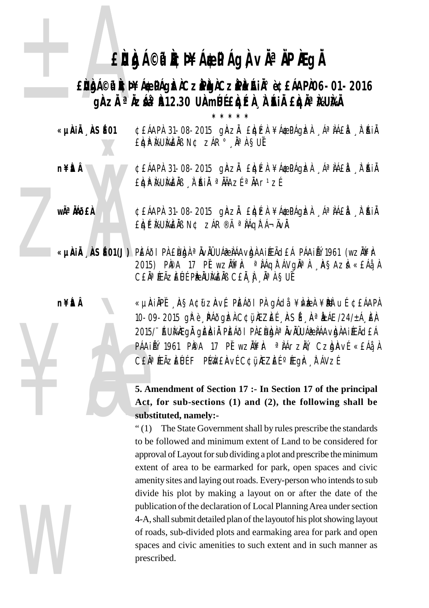#### **ENDÁ©FICPYÁ@PÁGA vĪÄPÆGÄ**

£ÙŊÁ©ſſŔ¢Þ¥Á@PÁgÆÀCzPÀJACzPÀ/ŔIð 袣ÁAPÀ06-01-2016 g**àză <sup>a</sup>äzá? à 12.30 Uàmut Elgér, à fil Elgä<sup>a</sup> kumi** 

¢£ÁAPÀ 31-08-2015 gÀZĂ £ÌqÉZÀ ¥Á\$PÁGÌZÀ "ÁªÌA£Ì "Ì AIÄ «µÀIÀ ÀSÉ01 EIOP LUMEIB NG ZÁR° Na SUL

> ¢£ÁAPÀ 31-08-2015 gÀZĂ £ÒQÉÀ ¥Á\$PÁGÈÀ ÁªÌÁ£À À'ÁIÄ EIOP ISUMEIN A'RIA <sup>a</sup> IAAZE <sup>a</sup> AAr<sup>1</sup>zE

> ¢£ÁAPÀ 31-08-2015 gÀZĂ £ÒQÉZÀ ¥Á\$PÁGÈZÀ ÁªÀÁ£À À'ÁIÄ EIOPIGUMEIB N¢ ZÁR®Ä ªIÁOFÁ-ÄVI.

«µÀIÀ ASÉ01(J) PÈÁÕI PÀ ENGÀ ª ÀVÀÛ UÁ& LÁAVGÀ AIÆÃdEÁ PÁAILÝ 1961 (WZĂ¥I 2015) PPA 17 PI wzN¥r <sup>a</sup>NAqrAvgN<sup>a</sup>N ASAzN «£Áa,A CEĂªÆÃZEUÉ PÈ AUMEAB CEA À AªA SUÉ

**n¥itÂ** 

**n¥itÂ** 

**wÃ<sup>a</sup> MÃ**FÀ

« LIAIAPĚ "ASA¢űzAvÉ PĚÁÕI PA gÁda ¥NEA ¥PA LIÉ ¢EÁAPA 10-09-2015 gì è PÁðgizi C¢ü vezet "ASÍ", Nª deáE/24/±Á "EN 2015/ AUMEGA GEAIA PEÁOI PAEUGA<sup>a</sup> AvAU UÁR AÁA vIGA AI FEÃO EÁ PÁAIŘÝ 1961 PIPA 17 PĚ wzŇ¥Ir <sup>a</sup> NÁrzŇ, CzIgIAvÉ «EÁ». N CEN<sup>a</sup> FEÃZEUL F PLAVEAVE COU REZEL PEGI A AVZE

5. Amendment of Section 17 :- In Section 17 of the principal Act, for sub-sections (1) and (2), the following shall be substituted, namely:-

"(1) The State Government shall by rules prescribe the standards to be followed and minimum extent of Land to be considered for approval of Layout for sub dividing a plot and prescribe the minimum extent of area to be earmarked for park, open spaces and civic amenity sites and laying out roads. Every-person who intends to sub divide his plot by making a layout on or after the date of the publication of the declaration of Local Planning Area under section 4-A, shall submit detailed plan of the layout of his plot showing layout of roads, sub-divided plots and earmaking area for park and open spaces and civic amenities to such extent and in such manner as prescribed.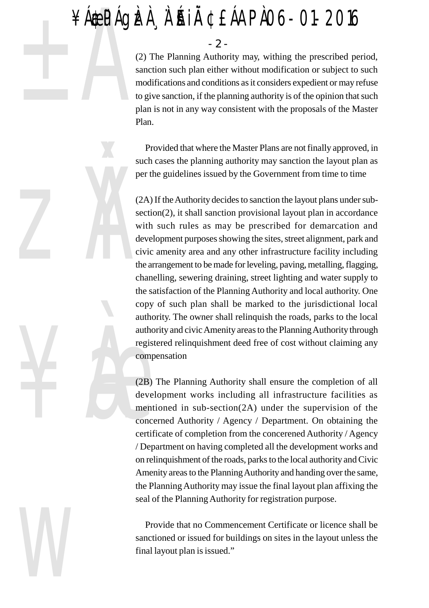# ¥ÁÆPÁGÈÀ À`ÉAIÀ ¢£ÁAPÀ 06-01-2016



¥Àæ

W

 $\sim$  2 -<br>  $(2)$  The Planning Autho<br>
sanction such plan either<br>
modifications and conditi<br>
to give sanction, if the pla<br>
plan is not in any way co<br>
Plan. (2) The Planning Authority may, withing the prescribed period, sanction such plan either without modification or subject to such modifications and conditions as it considers expedient or may refuse to give sanction, if the planning authority is of the opinion that such plan is not in any way consistent with the proposals of the Master Plan.

Provided that where the Master Plans are not finally approved, in such cases the planning authority may sanction the layout plan as per the guidelines issued by the Government from time to time

(2A) If the Authority decides to sanction the layout plans under subsection(2), it shall sanction provisional layout plan in accordance with such rules as may be prescribed for demarcation and development purposes showing the sites, street alignment, park and civic amenity area and any other infrastructure facility including the arrangement to be made for leveling, paving, metalling, flagging, chanelling, sewering draining, street lighting and water supply to the satisfaction of the Planning Authority and local authority. One copy of such plan shall be marked to the jurisdictional local authority. The owner shall relinquish the roads, parks to the local authority and civic Amenity areas to the Planning Authority through registered relinquishment deed free of cost without claiming any compensation

(2B) The Planning Authority shall ensure the completion of all development works including all infrastructure facilities as mentioned in sub-section(2A) under the supervision of the concerned Authority / Agency / Department. On obtaining the certificate of completion from the concerened Authority / Agency / Department on having completed all the development works and on relinquishment of the roads, parks to the local authority and Civic Amenity areas to the Planning Authority and handing over the same, the Planning Authority may issue the final layout plan affixing the seal of the Planning Authority for registration purpose.

Provide that no Commencement Certificate or licence shall be sanctioned or issued for buildings on sites in the layout unless the final layout plan is issued."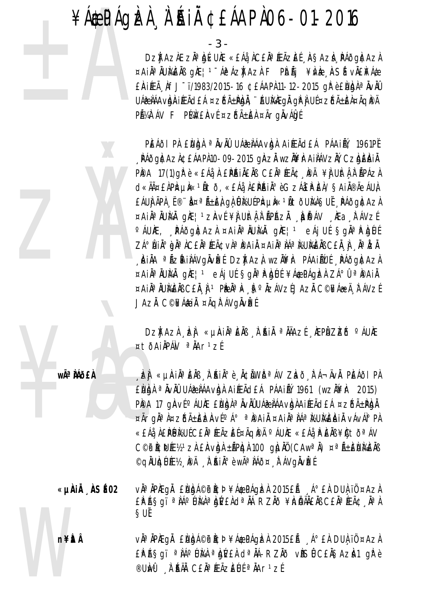#### ¥ÁÆPÁGÈÀ À`ÉAIÀ ¢£ÁAPÀ 06-01-2016

DZJ AZAEZA<sup>a</sup> bykult<br>DZJ AZAEZA<sup>a</sup> bykult<br>¤AiÅ<sup>a</sup> ÄUMEÄB gME | <sup>1 -</sup>Áĕ<br>£ÀiÆÃ¸ÅfJ-ï/1983/201<br>UÁæÀÁAvbJAiÆÃd£Á ¤ZĎ<br>PüĀ ÁV F PĽAV£AvÉ ¤<br>PĚÁðI PA £NJQA ªÄVÁ Dz**ǐj** AzÀEzĂª békuÆ «£Áå¸ÀC£ĂªÆÃzÈÉ ¸À§Azd¸PÁðgÀ¢AzÀ ¤Ai Àª ÀU ÀAÈÀB gÀE¦º¯Á@ÁzŤjAzÀ F PÌOÃj ¥ÀvÀe ¸ÀSÉ vĂ£À¥Áæ £ÀiÆÃ¸ÀfJ¯ï/1983/2015-16 ¢£ÁAPÀ 11-12-2015 gÀ°è £ÙbdÀ <sup>a</sup> ÀvÀÛ UÁæ ÀÁAvÀ)AIÉEÃd£Á ¤zŐñPÀJÅ, ¨ÁUЍÆgÅ gÀ ÙÉ ¤zŐñÈÀ¤ÃqÌ<sup>@</sup>Ä PŘ¼ÀTÁV F PÍ4N£ÀVÉ ¤ZŐñÈÀ ¤ÃrgÀVÁÛQÉ

PEÁði PA ENDA <sup>a</sup> Äväü UÁæ Láav DA Aireãdeá Páai Áy, 1961 PĚ , ÀÁðgÀ¢AzÀ¢£ÁAPÀ 10-09-2015 gÀzĂ wzÀ¥ÀrAiÀÁVzÀÝ, CzÀgÈÀiÀ PPA 17(1)grè «£Áå¸À £PéiÄ£ÄB C£ĂªÆÃ¢¸PÄ ¥jUhtÂ,À ÄPÁzA d«ÄĤ£À PÀ¤µÀ«<sup>1</sup>Ãtõ, «£Áå, À £**PÉ**NÌ<sup>®</sup> è GzÁå£À ĒÀ/§Ai À®ÄeÁUÀ £ÁU) ÃPÀ , Ë®¨Ò¤ªÃ±ÈÀ gÀ Û)½UÉ PÀ¤µÀ«1ÃtðUÀ¼À §UĚ, PÁðgÀ¢AzÀ ¤Ai Àª ÀUÀ¼À gÀE¦1zÀvÉ¥) UÌIt À L'ĂPÁZÀ À LIP ÁV "ÀEa "À ÁVZÉ  $\circ$ ÁU AE, PÁðg Ata ¤Ai À $\circ$  ÀU hand a AE!  $\circ$  eÁju É §g À $\circ$  Phou ZÁ°ÛAIÀ° gha AC£ĂªÆÃ¢vÀªPAIĂ ¤AIÀªÌÁª MUMÈNS C£À jì "ÀªÅZÀ "ÀIÄA ªÃZÍAIÀÁVGÄVÌZÉ DZĬJAZÀ wzŇ¥Ir PÁAIÄÚÉ "PÁðgI¢AzI ¤Ai Àª ÀUÀ¼À gÀE¦<sup>1</sup> eÁj UÉ §g Àª À° ÀUÉ ¥Á \$PÁgÞZÀ ZÁ°Û ª À®Ai À ¤AIĪÄUÀ¥ÈÄB C£À À 1 PÈĪÀ» ISºÄZÁVZÉ JAZĂ C©\ÁæªÄ À ÁVZÉ JAZÄ C©**¥Á&IÄ** ¤ÃQÌ ÁVQÄVÈÉ

Dzi) AzÀ "kaj «µàiàªèàß "à àià" ªàÄAzÉ "kepì Zkõ °áuke ¤tðAiÄPÁN <sup>a</sup>ÄAr<sup>1</sup>zÉ

Wê MÃ

**wê ÀiÁð£ À** ¸ÀzÀj «µÀAi ÀĪÀ£ÀÄß ¸À¨sÉAi ÀÄ°è ¸ÀÄ¢üÃWÀðªÁV ZÀað¸À¯Á¬ÄvÀÄ. PÀ£ÁðlPÀ £ÙÙgÀ <sup>a</sup> ÀvÀÛ UÁ@ÀÁAvÀgÀ AIÆÃd£Á PÁAI ÁÝ 1961 (wzÀ¥À 2015) P˨A 17 gÀNÉ ºÁUÀE £ÙÙgÀ ªÀVĂÛ UÁæ ÀÁAVÀGÀ AI ÉEà dÉA ¤zŐñPÀGÀ ¤ÃrgĪÀ¤zĎñÈŁÀVɺÁ° ªPAI ¤AI ÀªÀÁª KUMÈAI À vÁVÁIº PÀ «£Áå¸À£PÉJÀ½UÉ C£ĂªÆÃzĒɤÃqPÄ °ÁUÆ «£Áå¸À°ÈÄB ¥ÇtðªÁV  $C^{\odot}$ phcué $V_2$ <sup>1</sup>zÀ £À $\nu$ àn ±áPàq 100 gìuà (CAw<sup>a</sup>à) ¤<sup>a</sup> Á±ÈÙMàÈÀB ©qÄUÀqÜÉE½¸À¤Ä∶Ä∶ÁÌÀ°è wêÀÁð¤¸À¯ÁVgÄvÈÉ

**WEIGHTER «µÀAiÀÄ ¸ÀASÉå 02** vÀĪÀÄPÀÆgÀÄ £ÀUÀgÁ©üªÀÈ¢Þ ¥Áæ¢üPÁgÀzÀ 2015£Éà ¸Á°£À DUÀ¸ïÖ ¤AzÀ £Pاgï ªÀÁºŨÀ¼ªbÚ£ÀdªĂÁ RZÀð¥hÄÄÄ£ÅB C£ĂªÆÃ¢¸ÄªÀ §U ÉÎ.

**n¥ÈÅ** v˻ÀPÆgÀ £Ùbá©i<sup>a</sup>È¢Þ¥ÁæPÁgÞÀ 2015£Á ¸Á°£À DUÀ ïÖ ¤AzÀ £Pاgï <sup>a</sup> já°ÚMÀ <sup>a</sup> gver d<sup>a</sup> já-rzið visí c£Ä§Azi-1 grè ®UÀWÜ À`ÉAÄÀ C£ÀªÉÆÃZÈÚÉ ªÀAr1zÉ

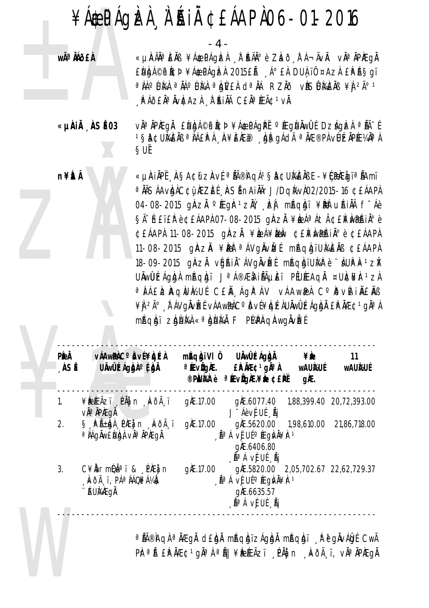## $\angle A$ æ PÁQIZI À A HI CEÁAPIO6-01-2016

wêĂÁð£À

«µAÄĪÈÄß ¥Á\$PÁgÈÀ ¸À˙ĤÄİè Zbð¸ÈÁ¬ÄvÄ. vĪÄPÀEgÄ ENGA©FICI ¥ÁÆPÁGIZA 2015EÑ "Á° EN DUA ïŬ ¤AZI EFASQÏ a NGC UNA a NGC UNA a NGC A Canada RZAO vISUNENS ¥J 2ú 1 PÁÕEÄ<sup>a</sup>Ävícazi î AIÄÄ CEĪÆÃ¢1vì.

vઠÄPÆgÅ EUbA©r I¢þ ¥Á\$PÁgPÍ º ÆgUÄwUÍ DzÁgIzi ª AÃ-E «µÀIÄ ÀSÉ03 1 SA¢UMEN ª NÁEP N N¥ENE® NGSQÁdÄ ª NÆ®PN vÚDÄPƼNª N ŞUË

n¥ÈÂ

«µAIAPĚ "ASA¢űzAvÉ <sup>a</sup> ÁîAqÀ 1 SA¢UMÈÄB E-¥ÇRÆği" LAmi <sup>a</sup> ÄÄSÁAvADAC¢ü, ÆZEÉ , ASÍ nAIÄÄrJ/DqI½vI02/2015-16 ¢EÁAPA 04-08-2015 gikzi <sup>o</sup> fegir <sup>1</sup> zili, bzj. mfaqigi ¥iel ufaili f<sup>-</sup>Ae SÄ-hETER è ¢EÁAPÀ 07-08-2015 gÀZĂ ¥LeÁªÁtÅ¢EA¥MPAHÀ°è ¢£ÁAPÀ 11-08-2015 gÀZĂ ¥ÈA¥ÈM ¢£¥MPAIİè ¢£ÁAPÀ 11-08-2015 ginzi ¥ipi a ávgilvilet mágigiumaeils ¢ Eáapa 18-09-2015 gikzi vgái Avgivizt máqigüliar e áur is 1 zi UÄWÜLEAgIgIA míAqigi J<sup>a</sup> Á®ÆäAilÄpiEï PEUÉEAqi ¤UICEFr<sup>1</sup>zI <sup>a</sup> NAEIZIAQIUI WUE CEN AgI<sup>a</sup> AV vAAwPA C°IOVIAINENS ¥) 2ð À AVGÄVÈLÉ VÁAWERC°DUÉ¥QEAUÄWÜLEÁGDI EPÄÆ¢1GĪA máqiq ziqilika «a qilika F PKAPAqawqivizi

| PÈÀ<br><b>ASÍ</b> | <b><i><u>VÁAWPAC</u></i></b> ODVÉ¥IQÉA<br><b>UÄwÛÉ ÁgÀA ° É ÀA</b>                 | máqàjiVI 0<br><sup>a</sup> 庄vig庄.<br>® <b>PÀJIAR</b> è | <b>UÄwÛÉÁgÀA</b><br>£ÌPĂÆ¢1gĂªÀ<br><sup>a</sup> 佢vig店.¥t ¢£N                                                                                                  | 大事<br><b>wAUI</b> &UÉ<br>qÆ. | 11<br><b>WAUIGUÉ</b>     |
|-------------------|------------------------------------------------------------------------------------|--------------------------------------------------------|---------------------------------------------------------------------------------------------------------------------------------------------------------------|------------------------------|--------------------------|
| $1_{\cdot}$       | ¥PE ÆÃZI PÀ jn kõÃ ï<br>vi <sup>ja</sup> i Piegi                                   | giE.17.00                                              | giE.6077.40<br>$J$ <sup>-</sup> Áè víj UÉ $\Delta$ Ãj                                                                                                         |                              | 1,88,399.40 20,72,393.00 |
| 2.                | S PرDA PÆän kõà ï<br>a AAQAWENDA vÄa APAEQA                                        | $q$ $E.17.00$                                          | giE.5620.00<br><b>A</b> <sup>a</sup> Á vÍj UÍ <sup>o</sup> Ægivil¥ir 1<br>qiE.6406.80<br>ุโ <sup>ล</sup> Á ∨lj UÉ ูโ๊j                                        |                              | 1,98,610.00 21,86,718.00 |
| 3.                | C¥NhrmDÑaï& PNEajn<br>$\lambda$ k ðÃ $\lambda$ i, PÁª $\lambda$ ÁQ¥Á¼À<br>∵ÁUM¥ÆqÄ | $q$ $AE.17.00$                                         | gl E.5820.00 2,05,702.67 22,62,729.37<br><b>A</b> <sup>a</sup> Á vÍj UÍ <sup>o</sup> Ægivil¥ir 1<br>qiE.6635.57<br>$\tilde{A}^{\circ}$ Á víj U $\tilde{A}$ Áj |                              |                          |

<sup>a</sup> AA®Aqa a AÆga d£ba maqbjizagba maqbji a padvabt Cwa Prªå £PÄÆ¢1gĪÀªÅ||¥PÆÃzï PÄäjn kõà ï, vĪÄPÆgÄ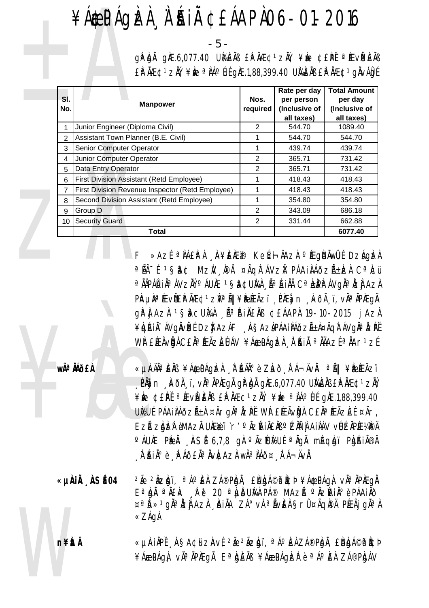- 5 -

gPhan gAE.6,077.40 UMEAS EPAÆC<sup>1</sup>ZAY, ¥A CEP <sup>a</sup> ÆvPEAS EP NEC 1 ZNY ¥W a NA UE GAE.1,88,399.40 UMENS EP NEC 1 GAVAGO

|                |                                                  |                | Rate per day  | <b>Total Amount</b> |
|----------------|--------------------------------------------------|----------------|---------------|---------------------|
| SI.            | <b>Manpower</b>                                  | Nos.           | per person    | per day             |
| No.            |                                                  | required       | (Inclusive of | (Inclusive of       |
|                |                                                  |                | all taxes)    | all taxes)          |
| 1              | Junior Engineer (Diploma Civil)                  | $\mathbf{2}$   | 544.70        | 1089.40             |
| 2              | Assistant Town Planner (B.E. Civil)              |                | 544.70        | 544.70              |
| 3              | Senior Computer Operator                         | 1              | 439.74        | 439.74              |
| $\overline{4}$ | Junior Computer Operator                         | $\overline{2}$ | 365.71        | 731.42              |
| 5              | Data Entry Operator                              | $\mathbf{2}$   | 365.71        | 731.42              |
| 6              | First Division Assistant (Retd Employee)         | 1              | 418.43        | 418.43              |
| $\overline{7}$ | First Division Revenue Inspector (Retd Employee) |                | 418.43        | 418.43              |
| 8              | Second Division Assistant (Retd Employee)        | 1              | 354.80        | 354.80              |
| 9              | Group D                                          | $\mathfrak{p}$ | 343.09        | 686.18              |
| 10             | <b>Security Guard</b>                            | $\overline{2}$ | 331.44        | 662.88              |
|                | Total                                            |                |               | 6077.40             |

F »Azí alá£PA A¥E)E® Ke¤i¬ÄAzA @@EgiUÄwiUEDzágizA <sup>a</sup> HÃ-1 1 SA C MzV Rà ¤ÃqÌ ÁVzI PÁAI AÕZA ± EA C<sup>a</sup> ICu ªÄÄPÁÛAIĪÁVZĂݺÁUÆ 1ŞA¢UЍÀ ѪÁIÄÄ CªÈPPÁVGĪÅZÌ AZÀ Pr捦ÆvÌ£P.ĬÆ¢1zĬªl||¥PéÆÃzï PÆj n kõà ï, vĪÄPÆgÄ QPÄAZÀ 1SA¢UMÀ êAIÄEÄB ¢EÁAPÀ 19-10-2015 jAZÀ ¥ bán í Ávgävízt Dzíj Azi FASA zipáaji áð zá±i ¤ãgit ávgja ízrí WÌ EÆÃVÈ)À CEÀ<sup>a</sup> ÆÃZEÚÁV ¥Á\$PÁgÈÀ À RIÀ ªÄÄAZɪÄAr1zÉ

**wÃ<sup>a</sup> Mộfi** 

**n¥itÂ** 

ǵˀĪÈÄß ¥Á€PÁQIZI A`ÍAĺè ZIað FÁ¬ÄvÄ. ªÅ|| ¥I?IEÃZï ¥N CEP PEVPENS EP NEC1ZN, ¥N aNOUS QNE.1,88,399.40 UI⁄2UÉ PÁAIILÁðzÁ±I ¤Ãrgi¤ IzPĚ WI EÆÃvIgi CEI¤ÆÃzEÉ ¤Ãr, Ezű zigizi emazi ulegí `r' ° äzíai ä£is ° ízifi j ai i áv vú é äpíevapä OÁUNE PEN NSÍ 6,7,8 gh ONZÍUNAUÍ <sup>a</sup>Ngh máglai Plaánea A AIA°è A AOEAª AVACAZA Wê AAO¤ A A-AVA.

2à 2ÃZDI, <sup>a so</sup> EA ZÁ®PIJA, ENDA©PI¢Þ¥Á@PÁQA vĪÄPÆQÄ «µÀiÅ ÀSÉ04 E<sup>a</sup>bě <sup>a</sup>řek řě 20 <sup>a</sup>lbum Pá® MAzá <sup>o</sup>řzřiče Páaiřo ¤ªĎ»1gřªÁzÍAzÀ AhiÀA ZÁ° vÀªŘVĚÀSr٤ÃqIPÄ PIEÃjgřªÀ « ZÁgÀ

> «µÀIÄPĚ AŞA¢üzÀvÉ 2Ă 2Ăzbii, ªÁºEÀZÁ®PbÀ, £NbÁ©iP Ì¢Þ ¥Á \$PÁQA VÄ<sup>a</sup> ÄPÆQÄ E<sup>a</sup> beÄB ¥Á \$PÁQEZP è <sup>a ko</sup> EA ZÁ®PbÁV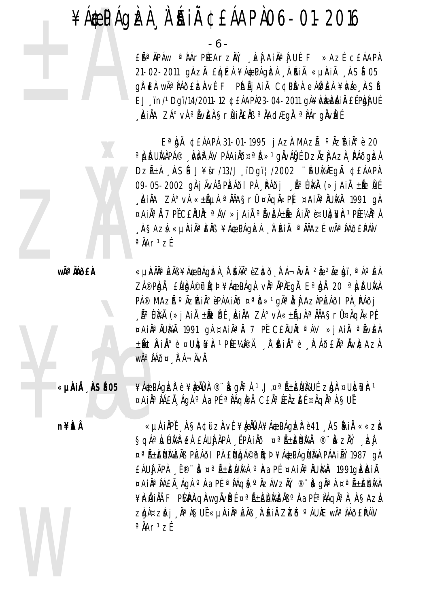#### $\angle A$ æ $P$ Ágèzà À Á H $\AA$  C EÁAPÀ06-01-2016

£ÃªÀPÁw ªÀÁrPÆArzĂÝ, "È∯AiÀªÌJUÉ F »AzÉ ¢£ÁAPÀ 21-02-2011 ginzh Eigízh ¥á¢págizh "ì "kiä «µia" "iasí 05 gì EÀ wÃ<sup>a</sup> HÃÕ EIZIAVE F PIDÃJ AI À C¢PIVA eÁI¥EA ¥IVIE ASE EJ . ïn/1Dgï/14/2011-12 ¢ £ÁAPÌ23-04-2011 gì¥ivizEiAiÄ £ËPÌgì UÉ AIA ZÁ° vÀ <sup>a</sup> Áver Srí AIAEA a AAdæqa a AArgavet

 $E^a$ idi ¢£ÁAPI 31-01-1995 jAzi MAzi  $^{\circ}$  izíain $^{\circ}$ è 20 a Liðumhpá® "WWP ÁV PÁAIÄð¤að»1gÄvÁlgí DzÄzj Az), PÁðglzi DZıA ASÍ J¥ïr/13/J ïDgï¦/2002 "AUMEGA ¢EÁAPA 09-05-2002 gài ÁvÁå PEÁÕI PÀ PÁÕi AªUMÀ (»jAi Hentil AIA ZÁ°VÀ «±ÃµÀ ªÄÄA§rÛ ¤ÃQÀ«PÝ ¤AIÀªÄUÀAĂ 1991 gÀ ¤AIĪÄ 7 PĚC£ÄUÄtªÁV » jAIÄ ªÃVÈÀ±ÃtÂIİè¤UÈ¥È 1PÉE¼ÄªÀ "A§Azi «µAiäªEäß ¥Á¢PÁgizi "ì Aiä ªăäazé wãªiáð£PÁV  $a$ Å $Ar$ <sup>1</sup> $Zf$ 

wêĂÁð£À

«LIAÄĪÈÄߥÁ\$PÁQIZÀ À HÄĺèZIað Ì Á¬ÄvÄ. 2à 2ÃzIqï, ªÁºÈÀ ZÁ®PL)Ă, ENL)A©P LCÞ ¥Á\$PÁQL vĂªÄPÆQL EªL)Ă 20 ªLJDULAA PÁ® MAZà °ÄZÍAIİèPÁAIÄÕ¤ªIð»1gĪIzj AzAPIEÁðI PA "PÁðj A DIA (» JAIN ± It UL AINA ZÁ° vì «±ÃUÌ ª ÀIASrÛ¤ÃQI «PÍ» ¤AIÄ<sup>a</sup>ÄUMÄ 1991 gÀ ¤AIÄ<sup>a</sup>Ä 7 PĚ CEÄUÄt<sup>a</sup>ÁV »jAIÄ <sup>a</sup>ÃVEA ±ÑtÂIN ºè ¤UÈC¥Èr 1PÉC¼Ñ®Ä À ÉAIN ºè È PÁÕEÑ ª NvÈAZÀ WÃ<sup>a</sup> ÀÁð¤ À Á-ÄVÀ.

¥Á\$PÁQÈRè¥ÈÄVÀ ®∵À«QĪÀ 1.J.¤ªÃ±ÈÙ̽UÉ ZÒJÀ ¤UÀCHÈT1 «µÀiÅ NSÉ05 ¤AIĪ IÁEI AQI º Rapíª IÁQIPÄ CEIª ÆÃZEͤÃQIª I SUÍ

n¥itÂ

«LIAIÄPĚ ASA¢üzAvÉ¥èÄW}¥Á¢PÁqIzPè41 ASÍAIÄ ««ZI SqáªLLUMPE) EÁUJ ÃPA EPAIA𠤪ѱEUMÀ ®∵I«zÄV "Izj ¤ªÃ±EÙNEÑS PEÁÕI PÀ EÙNGÁ©iP Ì¢Þ ¥Á&PÁQÙNA PÁAILÝ 1987 gÀ EÁU) ÃPA E® à ¤ªÑ±ENMA º AaPE ¤AIN<sup>a</sup> NUMA 1991 gEAIN ¤AIĪÀÁEÀ ÁgÀ ºÀaPÉ ªÀÁgh��ÀZÁVZŇ, ®'kghªÀ ¤ªÃ±ÈNMÀ ¥näiä F Plapaqawqivizi ¤ªã±£umen º aapiªiaqiªi, asazi zidi ¤ziði "Na i suf «µirina end "A 'rin zizð o áune wãa náðeipálv  $a$  $Mr$ <sup>1</sup>zf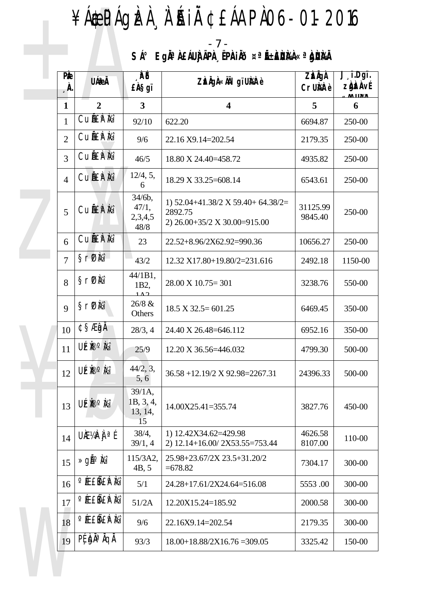# ¥ÁÆPÁGÈLÀ À A HI ¢EÁAPA06-01-2016

# - 7 -<br>SÁ° Egäªà£ÁU) ÃPÀ "ËPÀiÄð ¤<sup>a</sup>ñ±ÈÙÌGÀ«ªÒÙÌGÀ

| <b>PE</b><br>$\Lambda$ | <b>UÁ</b> aÄ                  | <b>RD</b><br><b>£À§gï</b>             | Zizligi «IAI gïUMR è                                                                  | <b>ZizÄgÀ</b><br><b>Cruma</b> è | J ï.Dgï.<br><b>zhizi N</b> |
|------------------------|-------------------------------|---------------------------------------|---------------------------------------------------------------------------------------|---------------------------------|----------------------------|
| 1                      | $\overline{2}$                | 3                                     | $\overline{\mathbf{4}}$                                                               | 5                               | 6                          |
| $\mathbf{1}$           | Cu <b>l</b> £PM               | 92/10                                 | 622.20                                                                                | 6694.87                         | 250-00                     |
| $\overline{2}$         | Cu <b>l</b> £PM               | 9/6                                   | 22.16 X9.14=202.54                                                                    | 2179.35                         | 250-00                     |
| 3                      | Cu <b>l</b> EP <sub>M</sub>   | 46/5                                  | 18.80 X 24.40=458.72                                                                  | 4935.82                         | 250-00                     |
| $\overline{4}$         | Cu <b>l</b> l£P M             | 12/4, 5,<br>6                         | 18.29 X 33.25=608.14                                                                  | 6543.61                         | 250-00                     |
| $\overline{5}$         | <b>CUBER Mi</b>               | $34/6b$ ,<br>47/1,<br>2,3,4,5<br>48/8 | 1) $52.04 + 41.38/2$ X $59.40 + 64.38/2 =$<br>2892.75<br>2) 26.00+35/2 X 30.00=915.00 | 31125.99<br>9845.40             | 250-00                     |
| 6                      | Cu <b>l</b> ler <sub>ki</sub> | 23                                    | 22.52+8.96/2X62.92=990.36                                                             | 10656.27                        | 250-00                     |
| $\overline{7}$         | <b>SrPKi</b>                  | 43/2                                  | 12.32 X17.80+19.80/2=231.616                                                          | 2492.18                         | 1150-00                    |
| 8                      | $S$ r $P$ <i>k</i> i          | 44/1B1,<br>1B2,<br>$1 \wedge 2$       | $28.00 \text{ X } 10.75 = 301$                                                        | 3238.76                         | 550-00                     |
| 9                      | <b>SrPKi</b>                  | 26/8 &<br>Others                      | $18.5 \text{ X } 32.5 = 601.25$                                                       | 6469.45                         | 350-00                     |
| 10                     | ¢§ÆigA                        | 28/3, 4                               | 24.40 X 26.48=646.112                                                                 | 6952.16                         | 350-00                     |
| 11                     | <b>UEPON</b>                  | 25/9                                  | 12.20 X 36.56=446.032                                                                 | 4799.30                         | 500-00                     |
| 12                     | <b>UEPOR</b>                  | 44/2, 3,<br>5, 6                      | $36.58 + 12.19/2$ X 92.98=2267.31                                                     | 24396.33                        | 500-00                     |
| 13                     | <b>UEPON</b>                  | 39/1A<br>1B, 3, 4,<br>13, 14,<br>15   | 14.00X25.41=355.74                                                                    | 3827.76                         | 450-00                     |
| 14                     | $U$ AE¼P $J$ a É              | 38/4,<br>39/1, 4                      | 1) 12.42X34.62=429.98<br>2) 12.14+16.00/2X53.55=753.44                                | 4626.58<br>8107.00              | 110-00                     |
| 15                     | ≫gÃ <sup>o</sup> Má           | 115/3A2,<br>4B, 5                     | 25.98+23.67/2X 23.5+31.20/2<br>$=678.82$                                              | 7304.17                         | 300-00                     |
| 16                     | <b>°Æ£Ñ£P M</b> i             | 5/1                                   | 24.28+17.61/2X24.64=516.08                                                            | 5553.00                         | 300-00                     |
| 17                     | <b>°Æ£Ñ£P</b> Mi              | 51/2A                                 | 12.20X15.24=185.92                                                                    | 2000.58                         | 300-00                     |
| 18                     | <b>©Æ£Ñ£PM</b>                | 9/6                                   | 22.16X9.14=202.54                                                                     | 2179.35                         | 300-00                     |
| 19                     | $Pf$ , gå $^a$ Åqå            | 93/3                                  | $18.00+18.88/2X16.76=309.05$                                                          | 3325.42                         | 150-00                     |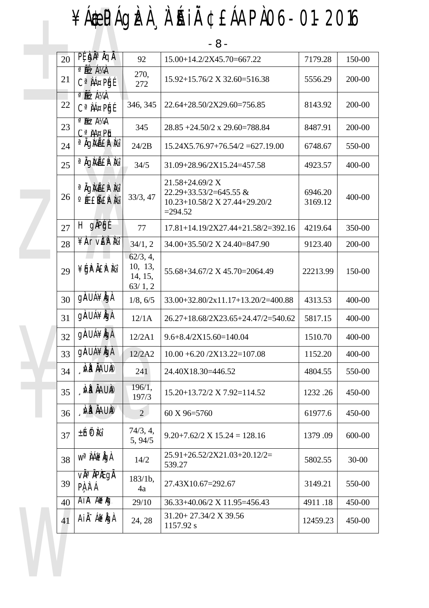# ¥ÁÆPÁGÈÀ À Á ÁI ¢ EÁAPÀ06-01-2016

| 20 | PE <b>gå<sup>a</sup> Äqå</b>                                                              | 92                                        | 15.00+14.2/2X45.70=667.22                                                                      | 7179.28            | 150-00    |
|----|-------------------------------------------------------------------------------------------|-------------------------------------------|------------------------------------------------------------------------------------------------|--------------------|-----------|
| 21 | <sup>a</sup> NEZA¼A<br>C <sup>a</sup> <i>IA</i> <sub>¤</sub> Ph <sub>2</sub> <sup>f</sup> | 270,<br>272                               | 15.92+15.76/2 X 32.60=516.38                                                                   | 5556.29            | 200-00    |
| 22 | $^{\circ}$ N $Z$ A $/4$<br>C <sup>a</sup> <i>I</i> A <sub>¤</sub> Ph <sub>2</sub>         | 346, 345                                  | 22.64+28.50/2X29.60=756.85                                                                     | 8143.92            | 200-00    |
| 23 | <sup>a</sup> AEZA¼A<br>$C^a$ $M$ ¤ $P$ $D$                                                | 345                                       | $28.85 + 24.50/2 \times 29.60 = 788.84$                                                        | 8487.91            | 200-00    |
| 24 | <sup>a</sup> ÄgÌ⁄4ãÌP Ì⁄2Î                                                                | 24/2B                                     | $15.24X5.76.97+76.54/2=627.19.00$                                                              | 6748.67            | 550-00    |
| 25 | <sup>a</sup> AgMAREP M21                                                                  | 34/5                                      | 31.09+28.96/2X15.24=457.58                                                                     | 4923.57            | 400-00    |
| 26 | <sup>a</sup> Ägikä Eip Mai<br><b>EEMERM</b>                                               | 33/3, 47                                  | 21.58+24.69/2 X<br>$22.29 + 33.53/2 = 645.55$ &<br>10.23+10.58/2 X 27.44+29.20/2<br>$= 294.52$ | 6946.20<br>3169.12 | 400-00    |
| 27 | $H$ gipper                                                                                | 77                                        | 17.81+14.19/2X27.44+21.58/2=392.16                                                             | 4219.64            | 350-00    |
| 28 | ¥ArvEPM                                                                                   | 34/1, 2                                   | 34.00+35.50/2 X 24.40=847.90                                                                   | 9123.40            | 200-00    |
| 29 | ¥GP ÄEP M                                                                                 | 62/3, 4,<br>10, 13,<br>14, 15,<br>63/1, 2 | 55.68+34.67/2 X 45.70=2064.49                                                                  | 22213.99           | 150-00    |
| 30 | gÀUÁ¥ÅgÀ                                                                                  | 1/8, 6/5                                  | 33.00+32.80/2x11.17+13.20/2=400.88                                                             | 4313.53            | 400-00    |
| 31 | gÀUÁ¥ÅgÀ                                                                                  | 12/1A                                     | 26.27+18.68/2X23.65+24.47/2=540.62                                                             | 5817.15            | 400-00    |
| 32 | gÀUÁ¥ÅgÀ                                                                                  | 12/2A1                                    | $9.6 + 8.4 / 2X15.60 = 140.04$                                                                 | 1510.70            | 400-00    |
| 33 | gÀUÁ¥ÁgÀ                                                                                  | 12/2A2                                    | $10.00 + 6.20 / 2X13.22 = 107.08$                                                              | 1152.20            | 400-00    |
| 34 | <b>WP AAUP</b>                                                                            | 241                                       | 24.40X18.30=446.52                                                                             | 4804.55            | 550-00    |
| 35 | <b>WE AAUP</b>                                                                            | 196/1,<br>197/3                           | 15.20+13.72/2 X 7.92=114.52                                                                    | 1232.26            | 450-00    |
| 36 | <b>WP AAUP</b>                                                                            | $\overline{2}$                            | 60 X 96=5760                                                                                   | 61977.6            | 450-00    |
| 37 | $\pm \hat{\mathsf{h}} \hat{\mathsf{P}} \hat{\mathsf{M}}$                                  | 74/3, 4,<br>5, 94/5                       | $9.20 + 7.62/2$ X $15.24 = 128.16$                                                             | 1379.09            | 600-00    |
| 38 | w <sup>a</sup> AA¥AQA                                                                     | 14/2                                      | $25.91 + 26.52/2X21.03 + 20.12/2 =$<br>539.27                                                  | 5802.55            | $30 - 00$ |
| 39 | <b><i>VÄ<sup>a</sup> ÄPIEGÄ</i></b><br>PÀ À A                                             | $183/1b$ ,<br>4a                          | 27.43X10.67=292.67                                                                             | 3149.21            | 550-00    |
| 40 | Ain <sup>-</sup> Ae¥ <i>i</i> g                                                           | 29/10                                     | 36.33+40.06/2 X 11.95=456.43                                                                   | 4911.18            | 450-00    |
| 41 | Ain <sup>T</sup> A¥ Ag A                                                                  | 24, 28                                    | 31.20+27.34/2 X 39.56<br>1157.92 s                                                             | 12459.23           | 450-00    |

 $-8-$ 

п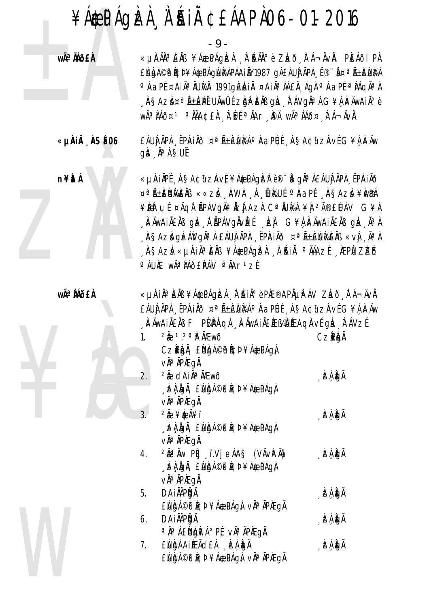## $\angle A$ æ $P$ Ágèzà À Á H $\AA$  C EÁAPÀ06-01-2016

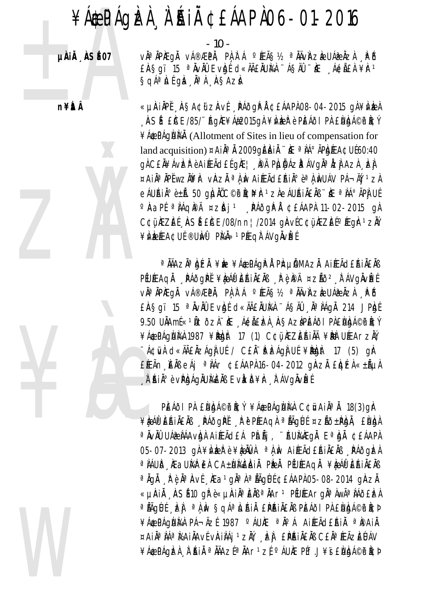**µAIÄ ASE07** 

**n¥itÂ** 



- 10 -

vì a ìpheal vá®æpi. Pì l`á °éeã§½ ªiùviazh uáæizì fō EASgï 15 <sup>a</sup> AvAU Evidé d«AAEAUMA 'ASAU 'KE ACAEA ¥1-1  $\big\{ \big\}$ qá $\bigwedge^{\alpha}$ li qid  $\bigwedge^{\alpha}$  a  $\bigwedge^{\alpha}$  a  $\big\}$ 

«µÀIÀPĚ AŞA¢ijZÀVÉ AÁÕQÈÅ¢£ÁAPÀ08-04-2015 QÀ¥NÈZÀ ASÉ ECE/85/"AgAE\Ad2015gA\}Depered PEAOI PA ENGA@@ACY ¥Á \$PÁGÙ MAI (Allotment of Sites in lieu of compensation for land acquisition)  $\propto$ Ai $\AA$ <sup>a</sup> $\AA$  2009q**E** $\AA$ i $\AA$ <sup>1</sup>  $\Lambda$ <sup>2</sup>  $\AA$ <sup>o</sup>  $\AA$ Ph $\AA$ EA $\triangle$ Uf60:40 gì C£À¥ÁvÌZh è AiÆÃd£Í gìÆ¦ PÀ PÌ LÌ ÁZh ÁVgiªÅZj AZÀ Lzì ¤AIÄ<sup>a</sup>ÄPĚWZÄ¥I<sup>t</sup> vÄZÄ <sup>a</sup> i iv AIÆÃd£ÁII º è a ivuáv pá¬Äjí 1 zi eÁUÁIÀ°è±Ã. 50 g) NÖC©P DCP 1 zìeÁUÁI LE <sup>a</sup> LÁ°ÃP UÍ · Aapí <sup>a</sup> iáqipi ¤ziðj<sup>1</sup> "Páðgi<sup>p</sup>i ¢£áAPi 11-02-2015 gi C¢ü ÆZEÍ, ASÍ £CE/08/nn ¦ /2014 gAvÍC¢ü ÆZEͰÆgIr 1 zIÝ ¥NE FEACUE ®UNU PLAN» PEGATÁVONVELE

PEUE AQĂ PĂÕQPĔ¥ÈAPEAIAEAB PER PA ¤ZÃÕ? FÁVQÄVÈE vìªìPÆqì vá®ÆPì, Pì,ì Á °ÆÃ§½ ªÌÄvÀZè UÁ@ÀZì . PÕ EASgï 15 <sup>a</sup> Avaû Evigí d«AAEAUMA "ÁSAU Na AGA 214 JPigí 9.50 UÄAmÉ«1Ätõzì HE A¢ÃEÈA AŞAZIPEÁÕI PIENIDA©PICÝ ¥Á&PÁQÙNA 1987 ¥RDA 17 (1) C¢ü NEZEŘINÄ ¥RI UPEArzIV "Á¢ivì d«ÄãÄzÁgì UÉ / C£Ă î<sup>n</sup> je ágì UÉ ¥iright 17 (5) gir EJEÃN ENBEAJ aNA CEAAPA 16-04-2012 GAZA ELGEN «+ALLA . À AIA° è vPháqiumeas Evexid¥ir , li avgiviei

PEÁÕI PÀ ENGÁ©PICÝ ¥Á¢PÁQNIA C¢i¤AIĪÄ 18(3)qir ¥ÈÁP EÁINENS PÁÕGPI PEAGA <sup>a</sup> hAgul ¤zhõ±Pon, ENDA ªÄvÄÛ UÁ@ÀÁAvÀgÀ AIÉEÃd£Á PÌOÃj, ¨ŔUŇÀÆgÀ EªÀgÀ ¢£ÁAPÀ 05-07-2013 gì ¥ìvier è ¥èiùvì <sup>a</sup> ì iv Aifeã dépineas páo gier <sup>a</sup> NÁUIS AE a UMAR EN CA±UMAEAIN PIR N PEUÆAGN ¥A AP EAINENS <sup>a</sup> Aq A a Aví A a da a Aquí C E A P 05-08-2014 q Az «µÀIÅ ÀSÍ10 qì 諵ÀIŪÈÄߪÄAr1 PÉUÉEArqĪÀwêÀÁð£ÈA <sup>a</sup> HAQUE LA <sup>a</sup> A IN SQAª LIAI EPAIAEAB PEAOI PA ENDA©P ICP ¥Á&PÁQNIA PÁ¬ÄZÉ 1987 ºÁUIE ªÄºÁ AIÆÃd£ÁIÄ ªI®AIÄ ¤AIĪ IAª I&AIIAVÉ VRIIAĮ 1 zII, LEI EPAIIEIB CEIª ÆÃZEUÁV ¥Á\$PÁQIZÀ À AI AI ª AIAZEª AAr 1 zE º AUAE PEF.J¥S ENIQA©P ACP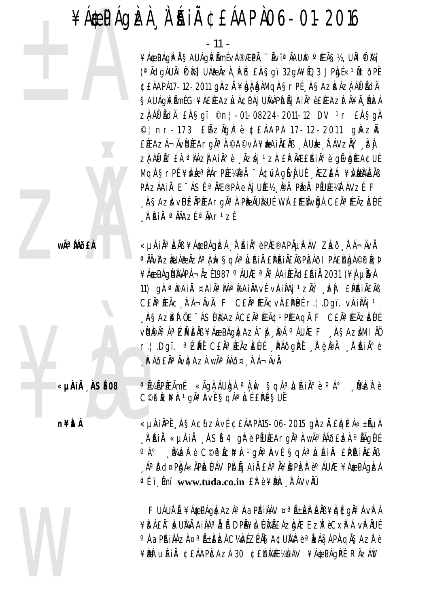- 11 -

¥Á¢PÁQP Å SAUÁQÆÑmÉvÁ®ÆPÄ, ``ÑvïªÄAUP °ÆÃS½, UÄI (P)½į (<sup>a</sup> AdgAUAI (P k2) UA R AzA R B EASgi 32gA¥fQ 3 JPhjf «1At OPE ¢£ÁAPÀ17-12-2011 gÀZĂ¥bàÀbàMgÀ§rPÉ À§AZbÀZÀÁÔPÃdÄ SAUÁGNÉ MÉG VALÉTAZLIÁC PÁJ UNAPIDÁJ AIÄ ° è ELEAZITÁ VAL. PIZA zì ÁPLICH EASQI ©n|-01-08224-2011-12 DV <sup>1</sup>r EASQI © | nr-173 £H Z Ng l<sup>o</sup> è ¢ £ A A P l 17-12-2011 q l A z ll EÆAZÁ¬ÄVÙÆArgĪÀ ©A©vÀ¥ÈWAIÄEÄß "ÄUÈ» "ÈÁVZÄÝ, "È∯ ZÀ ÁP AFEA ª NÁZI AINº è NZÁI 1ZÀ EP NÆERINº è QIVIDIEACUE MQASrPÉ¥NEªIÁrPƼPÄ "Á¢WA gÉvI UÉ , ÆZEÁ ¥NUMENB PAZÁAIÀ E-ÁSÉ <sup>a</sup> ve®pa eáj uky, pa pen plukyatávzé F , AŞAZI VÜZIPIEArqila Pielülisul Wil Eieñvigi Ceiapeãzeul À AIN <sup>a</sup> NAZE <sup>a</sup> NAr<sup>1</sup>zE

wêÀÁÕFÀ

«µAIĪÈÄߥÁ\$PÁQÈÀ À`ÁIİèPÀE®APÀµPÁV ZIað FÁ¬ÄvÄ. a AÄVAZAUÁZ AZA a A AV SOLA LIAIA EPAIAEAB PELAÕI PA ENDJA©P ACP ¥Á&PÁQÙMÀPÁ¬ÄZÉ1987 ºÁUÆ ªÄºÁAIÆÃd£ÁIÄ 2031 (¥) µÌVÀ 11) gì <sup>a</sup>ipai ¤ain<sup>a</sup>ná<sup>a</sup>na mainavé virinái 1 zive je fipainéns CEN<sup>a</sup> (EÃC NA -AVA). E CEN<sup>a</sup> (EÃC VA ENDE r. | DQT. VAINAJ<sup>1</sup> , ASAZ¥I ÜE-ÁSÜMAZI CEĤÆÃ¢1PÆAQI F CEI¤ÆÃZEU VÙPĪ À ª ZP EAB ¥Á\$PÁQI¢AZI `} PÄ ºÁUIE F ASAZIMI ÄÖ r. | .Dgï. <sup>a</sup>ZPI C£ÄªÆÃZEUI NAðgPI ReRA NAINºe A A JEA AVACAZA WÃA A A JA A HUA.

a AVAÑPÆÃMÉ «ÃGÀ ÁUNGÀ a À Nv SQÁª NAKIѺ è ºÁº "NANZIP è COPICIAL 1 gia Aví Saáa Life Bui

«µÀIÀPĚ AŞA¢üzÀvÉ ¢£ÁAPÀ15-06-2015 gÀZĂ £ÌqÉzÀ «±ÃµÀ A RIA «URIA ASÍ 4 grè PEUÆArgia A wãa Að Elea a Bágue OAO WERE COPICHET ON AVE SOA LAIN EPAINENS , Áª Iðd¤PIgi «ÃPILJÚÁV PIDĀj AI I EÁª II¥I®PIZIP è° ÁUIÆ ¥Á\$PAGIZI <sup>a</sup>f i smi www.tuda.co.in £*f* e ¥**Ph** *F* AVvAU

FUÁUIT Á ¥Á&PÁQICAZIO AaPÁILÁV ¤ª Á±EP EIG ¥IQICQIA AVP A ¥ÈÁ£Ă∵IkUMÄ AIIAªIZà DPÃ¥IJUMãÁZIJÆ EZIP è CxPÁ vPÄUÉ O AAPAILÁZL ¤ªÃ±ELZL C¼WZPÄSA¢UMP è ªÀVÁL LPAQĂSAZP è ¥PI UAII ¢EÁAPICAZI 30 ¢ENMÆVNÁV ¥Á¢PÁGPI RÄZÁV

«µÀiÅ ÅSÉ08

n¥ÈÂ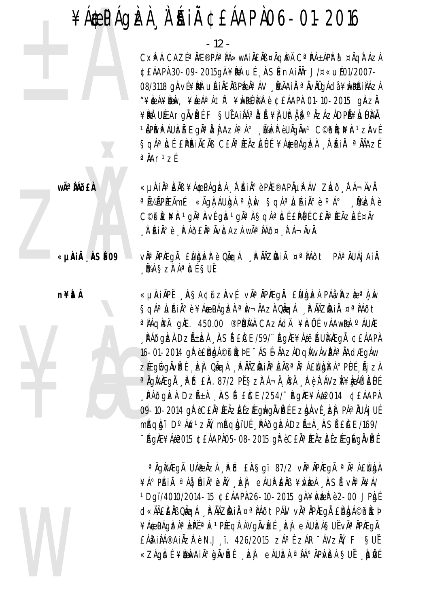## $\angle A$ æ PÁQIZI À A HI CEÁAPIO6-01-2016

- 12 -

CxPÁ CAZͪ AÆ®PAª AÁ»wAIAEAB ¤ÃQPA Cª PÁ±APP J ¤ÃQI ÁZA ¢£ÁAPÀ 30-09-2015gÀ¥ÈÀ uÍ ASÍ nAIÄÄrJ/¤«uÉ01/2007-08/3118 giaví¥in uái neim pinásv "Dzáai a nvidaás ¥iwinázi "\independing \test Ath" \test \test Quang & CEAAPA 01-10-2015 gAzi ¥RÌ UÆArgĬvĚÉ F SUĨAIIÁª IZĨ ¥I UItÁB°IZÁZADPĨ¥LJÚMÄ 1 APAVP AUDEA EQN a DE AZA O A º NADER è UNQAW 1 C©P RCPET 1 ZAVE SgáªLIE EPRIAEAB CEAª FAZEUE ¥A& PÁGEA A RIA ª AAZE  $a$ Å $Ar1zf$ 

«µAIĪÈÄߥÁ\$PÁQIZA À AIĺèPIÆ®APĵPÁV ZIað FÁ¬ÄvÄ. a AVAPPEAME «ÃON AUNON a N M SOLA DUAIN P P A MAZP P C©P I¢l¥Ir 1 gli ª li vf gla 1 gli ª l Sq᪠Lif EPLIf CE li ª (EÃZEF ¤Ãr A AIA°è A AOEAª AVICAZA Wê AAO¤ A A-AVA.

VÀ<sup>a</sup> Aprega Euro de Cágá PAZAIA ¤ª Láðt PÁª AUÁj AIA **WA SZEÁ<sup>a</sup> LIE SUE** 

«µAIÄPĬ AŞA¢üzAvÍ vĪÄPÆgÄ £NGEA PÁvAzEªA.W SqáªLuáin°è¥Á\$PÁgÞZA ªN-ÄAZA QÃqÁ PAÄZDAIN ¤ªIAÕt <sup>a</sup> IAqIPA qIE. 450.00 ®PIJIAA CAZAdA ¥InÜE vAAwRA ºAUIE , PÁÕGIZI DZıIZI , IASI EICE/59/''AGIE¥Á&''AUIAIEGI ¢EÁAPI 16-01-2014 at eEUDA©p RCPE<sup>-</sup>ASHAZADaKvAvPl<sup>a</sup> AAdÆgAw ZÆgívgåvízí , izi, Qãgá , ip Nàzia i na en sa no Aelugia A o Puí , à i zh <sup>a</sup> ÄgMÆgÅ ÅPØ£A. 87/2 P̧zFÁ¬Ä¸ÆÄ ¸Æè,FÁVzĬ¥è,APĒUÉ , PÁÕGIZI DZıI ASÍ EICE/254/ AGIE¥Á#2014 ¢EÁAPI 09-10-2014 QP è CEÄ<sup>a</sup> ÆÃZEEZÆQINQÄVIEE EZIQIAVE DE PÁª ÄUAJ UE mágiai D° Ár<sup>1</sup> zil, mágiai le Páðgizi Dzá±i ASÍ ECE/169/ ∵ÁQ)Æ¥Á¢2015 ¢£ÁAPI\05-08-2015 QIP èC£IIªÆÃZIEÍZÆQÍvQIIvIEE

ªÄgMÆgÅ UÁ@ÄzA "PŐ £Ä§gï 87/2 vĪÄPÆgÄ ªÄºÁ£NbJA ¥Á°PÁIÄ <sup>a</sup>Áå¦AIİEÄÝ EÀ eÁUPEÄB ¥NEA ASÍ vĪÄ¥Á/ 1Dqï/4010/2014-15 CEÁAPÀ 26-10-2015 qÀ ¥Ù te Pè 2-00 JPhgÉ d«ÄÄEEÄB QÃQÁ PHÀZDAIA ¤ªAÁÕtPÁN vÀªÀPAEQÀ ENDA©P ACP ¥Á&PÁQIZÀªLEPĚªD»1PÉEQITÁVQÄVIZÉ DZI eÁUIZÀSUÉVĪÄPIÆQI EÁAILA®AILZP è N.J. ï. 426/2015 zÁª E zÁR-ÁVZII, F SUÍ «ZÁg) LIÉ ¥NNHAIÀ° gÀVDEÉ "DEJI eÁUDEÀ ª NA°ÃPIVDEA SUË "LINDÉ

«µÀIÄ ÀSÉ09

wê MÕ£À

n¥itÂ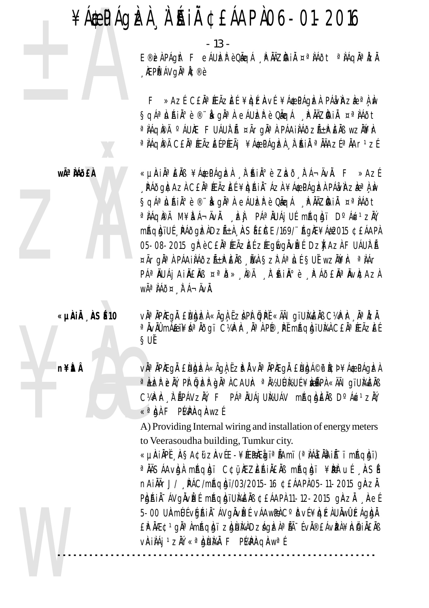$-13 -$ 

E®EXPÁQNE F eÁUER è QÃQÁ PHÀZDAIN ¤ª NAÕE ª NAQNª EX **, ÀEPË ÁVQÄ<sup>a</sup> Å¢®è** 

F »Azi CEĤ FEÃZEI ¥IQIZIAVI ¥A&PÁGIZA PÁMAZIE ª A M Saá<sup>a</sup>láni<sup>o</sup>è ® kaja eáu er díaa PMZAI ¤ª láðt a NAQIPÄ O ÁUIE FUÁUIT Á ¤Ãrgia A PÁAINAÕZÁ±PENS WZIN¥Ir a NAQIPÄ CEN a IEÃZEEPIEÃI ¥Á\$PÁQIZA N RIN a NAZE a NAr 1 ZE



«µÀIN<sup>a</sup>ENS ¥Á\$PÁGEA À AIN°è ZEO TÁ-ÄVN. F »AZÍ , PÁðgI¢AzI C£ÄªÆÃzEÉ¥IQAIįÁzI ¥Á\$PÁgIzI PÁå/iAzIeªI, IW SqáªLuáin°è®∵kgnªn eáuberè Qãqá "PNAZIAin ¤ªNAðt a NAQIPA M¥TA-AVA. EN PAa NUAJ UE mAQIQI Do Ara ziv mágajuí Páðgizi Dzá±i ASÍ ECE/169/'' ÁgiE¥Ád2015 ¢EÁAPI 05-08-2015 gir è CEÄ<sup>a</sup> feãziei ziegivgi vizi Dzij Azi Fuáult ñ ¤Ãrgha) PÁAINÁÕZÁ±PENS NA SZFÁALI SUÍ WZNÉF aNÁr P绀UÁj AIÄEÄß ¤ª1ð» MA A'HAIİè MPÁÕEĪÄVACAZA WÃ<sup>a</sup> ÀÁÕ¤ ÀÁ-ÄVÀ.

«µÀIÄ ÀSÉ 10

vઠàpreoà Eurizh «Ãon Ezi pi gri «Ãa oïumen C¼pi- ઠàzi <sup>a</sup> ÄvÄŪ mÁ£ïì¥Áª Äðgï C¼P Ir "Ī À PI® "PI" mÁqIgïUI¼À C£Äª ÆÃZEÍ SUÊ

V˻ ÀPÆQÅ ENDER «ÃQA ËZP Å VÀª ÀPÆQÅ ENDA©P PCÞ ¥Á\$PÁQEA a leter en pl öder önar Cault anvullende flytar «ääl giumens C¼Ph , À ÁPÁVZŇ, F PÁª AUÁj UkUÁV mÁQUEAS D°Á¤1ZŇ, «<sup>a</sup> b) F P(4PAqAwzt

A) Providing Internal wiring and installation of energy meters to Veerasoudha building, Tumkur city.

«µÀIÀPĚ ASA¢ữZÀvÉE-¥ÆRÆigïªÁAmï (ª)Á£ÄjAIÁ-ï mÁqigï) <sup>a</sup> NASÁA vIgi máqigi c¢u nezeá něm máqigi ¥in uf así nAilirJ/ PÁC/mAqqui/03/2015-16 ¢£ÁAPA05-11-2015 gAzA PARAIA-AVGAVEL MAGAJUMENS ¢EÁAPA 11-12-2015 GAZA Ael 5-00 UAmÚ vária-ávgivizí vá Awrico bví ¥igízi U Nivillízágigi £PÄÆ¢1gĪAmÁqbji zbuMADzágblªÃĨ-[vĂ®£ÁvPA¥hÄiÄ£Äß VAIIAI 1ZIÝ «<sup>a</sup>bumi F PMPAQAW<sup>a[</sup>

**n¥itÂ**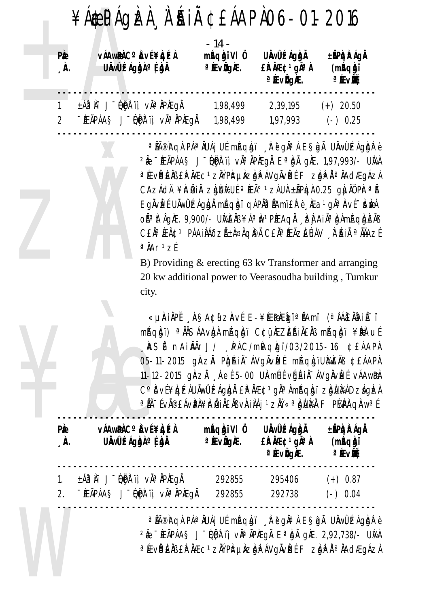| PÈ<br>$\mathbf{A}$ . | <b>VÁAWEAC</b> Obví¥bizA<br>UÄWÜÉ ÁgÀN ° É ÀÄ          | - 14 -<br>mÁqàjiVI 0<br><sup>a</sup> ÆvligÆ. | <b>UÄwÛÉÁgÀÀ</b><br>£PÄÆ¢1gĪÀ<br><sup>a</sup> ÆvligÆ. | <b>±ÃPÀR ÁgĂ</b><br>(mÁqàji<br><b>a ÆvD</b> |  |
|----------------------|--------------------------------------------------------|----------------------------------------------|-------------------------------------------------------|---------------------------------------------|--|
| $\overline{2}$       | ±Áð Aï J DPFü vĪ ÄPÆqÄ<br>-ÉEÃPÁAS J-DËN 11, VÀªÀPÀEGÀ | 1,98,499<br>1,98,499                         | 2,39,195<br>1,97,993                                  | $(+)$ 20.50<br>$(-)$ 0.25                   |  |

<sup>a</sup> HîHoà PÁª HUÁj UÉ mhoàn i kè gha le Sigh Unwubzágigh e  $2\text{Å}$  - ÆÃPÁAS J-DPF II, và ÀPÆQÀ Eª QÀ QÆ. 1,97,993/- UÀA ªÆvÈ EÄBEPÄÆ¢1zĂÝ PÀ¤µkzÀJPÁVgÄvÈE F zÀJPÁªÄAdÆgÁzÀ CAZÁCIA ¥IniA iA ZIGNIZUÉ PEú 1 ZÁUA ±ÃPIGA 0.25 GILIAŬ PIra Eglivlet Ulwubzágbyli máqbyi qáplia lamitre e ka gland hví belyá OÃ<sup>a</sup> At gAE. 9,900/- UMAE AB ¥Áª Av 1 PÉE A q A \_ E J A I A ª b) Amé q b E AB CEN<sup>a</sup> ÆÃ¢<sup>1</sup> PÁAINÁðzñA¤ÃQIPÄ CEN<sup>a</sup> ÆÃZEUÁV A KIN ªNAZE  $a$ Å $Ar1zf$ 

B) Providing & erecting 63 kv Transformer and arranging 20 kw additional power to Veerasoudha building, Tumkur city.

«µÀIÄPĚ "À§A¢ữzÀvÉ E-¥Æ®ÆġïªÅAmï (ªÀÁ£ÄäAIůï máqigi) <sup>a</sup> NASÁAvigi máqigi C¢ü nEZEAI NEMA máqigi ¥Pi uf "ÄSÉ nAiÄÄrJ/ "PÁC/míAqÀgï/03/2015-16 ¢£ÁAPÀ 05-11-2015 ghzh Phyfilia Avgivilze maghui UME in CEAAPA 11-12-2015 ginzi , inet 5-00 UlamUt vgain Avgavizt va Awra C°DVÍ¥DEAUÄWÜEÁQDA EPÄÆ¢1gĪAmÁQDI ZDUMADZÁQEA ªÅįÉvÄ®£ÁvPÀ¥hÄìÄ£ÄßvÀiÀÁj 1zĂÝ«ªÀjÙÀÀ F PĹ4PÀqÀwªÉ

| <b>Pie</b><br>$\Lambda$ . | <b>VÁAWEAC</b> <sup>o</sup> DVÍ¥DÉA<br>UÄw <b>ûízágàjà</b> é <b>hà</b> | mÁqàjiVI 0<br><sup>a</sup> 庄vig汇. | <b>UÄwÛÉAgÀA</b><br>£PÄÆ¢1gĪÀ<br><sup>a</sup> 庄vig庄. | <b>±ÃPÀR ÁgĂ</b><br>(mÁqàji<br><b>a íEvið</b> |  |
|---------------------------|------------------------------------------------------------------------|-----------------------------------|------------------------------------------------------|-----------------------------------------------|--|
| 2.                        | ±Áð Àï J DPFïì vÀª ÀPÆgÄ<br>-ÉEÃPÁAS J-DPF II, VÀªÀPÈEQÀ               | 292855<br>292855                  | 295406<br>292738                                     | $(+)$ 0.87<br>$(-)$ 0.04                      |  |

<sup>a</sup> AA®Aq) PÁª AUAj UÉ mÁqbji <sub>s</sub>ir ĕ gha A E§igh Unwweaghe e  $2\text{\AA}$  - ÆÃPÁAS J-DPF II, và APÆGA E pa DA GAE. 2,92,738/- UMA <sup>a</sup> ÆviP iEINS EIP ÄÆ¢<sup>1</sup> zIV PI¤µkzigiP ÁVgÄviEE F zigiP Å <sup>a</sup> ÄAdÆgÁzI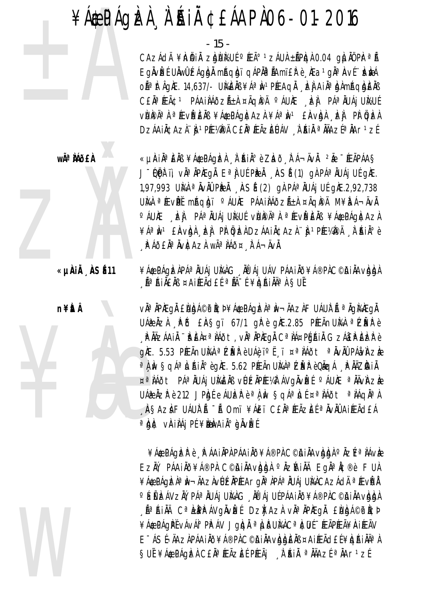#### $\angle A$ æ PÁQIZI À A HI CEÁAPIO6-01-2016

 $-15 -$ 

CAZÁCIA ¥Inih ZIQUIYUÉ º FEú 1 ZÁUA ±APIQA 0.04 QILIAO PIran Eglivizí Ulwüzágigi mágigi gáplia lamifre, lea gia aví brivá OÃ<sup>a</sup> At ÂgAE. 14,637/- UMAEAB ¥Áª Av <sup>1</sup> PÉEAQA LE A LA LA AJA méAgADEAB CEN<sup>a</sup> FEÃO<sup>1</sup> PÁAINÁÕZALA ¤ÃQPA º ÁUNE EL PÁªNUÁJ UNUÍ VUPÄA AFVPENS ¥Á&PÁQNCAZI ¥ÁAN EAVIDI ET PI ÜEL DZÁAIÄ¢AZÌ I 1PƼPÄ CEĪÆÃZEUÁV À AIÄ ªÄÄAZɪÄAr 1 ZÉ

wê MÕ£À «µÀIẰªÈÄß ¥Á\$PÁQÈÀ À ÁIẰºè ZÀð, Ì Á¬ÄvÄ. 2à "ÆÃPÁAŞ J DPF II, vÀ<sup>a</sup> Àpægå E<sup>a</sup>j U{ Pèà ¸ à Sé (1) gà Pá<sup>a</sup> Àuáj U{ g) E. 1,97,993 UMA <sup>a</sup> AvAU PRA ASÍ (2) gÀ PÁ<sup>a</sup> AUAj UÉ gAE.2,92,738 UMA ªÆvPĚ mÁqiqi ºÁUÆ PÁAILÁðzÁ±I ¤ÃqIPÄ M¥ÈÁ¬ÄvÄ O ÁUNE LEI PÁª ÄUÁ UNEUÉ VUPĪ À ª ÆVP ENS ¥Á& PÁGACAZA ¥ÁªIN1 £IAVIGIA EJ PI ÖQIEADZÁAIÄ¢AZI j 1PIE¼IPA A KIİè <sub>"</sub>PÁð£ÄªÄvÆAzÀ wêÌÁð¤¸Ì୮Á¬ÄvÄ.

> ¥Á\$PÁQIZIRAª ÄUÁj UMIG ÄPÁj UÁV PÁAJÄÕ¥Á®PIC©AJÄAVIDIA  $\frac{1}{2}$ êÁIÄ£Äß ¤AIÆÃd£É ªÄïÉ¥báKIÄĪÀ§UĚ

> V˻ ÀPÆGÅ £NDA©P Ì¢Þ¥Á\$PÁGÞAª IV¬ÄAZÀ FUÁUI Á ª ÄGI4ÆGÄ UÁRÄZA PÖ EASGI 67/1 grègAE.2.85 PÉLÄnUMA <sup>a</sup>ZERè **, phìzáain ''pèin¤ªnáðt, vìªnpæqi Cªná¤póáin Gzá£pèezr**è g)Æ. 5.53 PÉEÃNUMÀ <sup>a</sup> ZIER è UÁè ï°Ë i ¤<sup>a</sup> IIÁðt <sup>a</sup> IIvIÚ PÁåvIAZIE <sup>a</sup>l, w §qáª)uÁiŰèg)Æ. 5.62 PÆÃnU)¼Àª1ZĬEłè0ÃqÁ ¸iP ĂÄZIAiÄ ¤ªIAðt PÁªIUÁj UMEIB vÚÉNPƼT ÁVGIVIEÉ °ÁUÆ ªIÄVIAZIE UÁZ ÄZP è 212 JPAJÉ EÁULZP è <sup>a</sup> À M Sqá<sup>a</sup> Li ¤<sup>a</sup> IÁðt a IÁqÄa A ASAZI FUÁUIT A TA Omi ¥ÁEI CEIPLEAZEL PAVIU AIRAJEA a bit väilai PE¥blwAil onvize

> ¥Á\$PÁQIZIP è PÁAI IPA PÁAI II O¥Á®PI C©IAI II AVIDIA O IIZÍ ª II ÁVIE EZÄ, PÁAIÄÕ¥Á®PA C©HIÄAVADA ºÄZÍAIÄÄ EgĪÅ¢®è FUA ¥Á\$PÁQÈLAªÌN¬ÄAZÀVÚÉLÄPÉEArqĪÀPÁªÄUÁjUÌAÀCAZÁdĪÉVÈLÀ ° ÉEEZÁVZŇ, PÁª ÄUÁj UMÀG, ÄPÁj UÉPÁAIÄÕ¥Á®PÀC©KIÄAVÀAA . ê ÁIN Cª LPP ÁVONVE DZ JAZA VĂª NPÆON ENDA©P ICP ¥Á\$PÁQPĚVÁVÁI° PP ÁV JQIQI ª LIBUMACª ICILÍ <sup>-</sup> ÉEÃPÉEÃ¥IA IÉEÃV E-ÁSÍ-ÄAZÀPÁAIÄÖ¥Á®PÀC©ÄIÄAVÀAÀÈÄB¤AIÉĀd£É¥ÀQÁIÀĪÀ SUÍ ¥Á¢PÁQIZI CEIAª ÆÃZIEÍ PÆÃJ A RII ª IIAZÍ ª IAr1zÍ

«µÀiÅ ÀSÉ11

n¥itÂ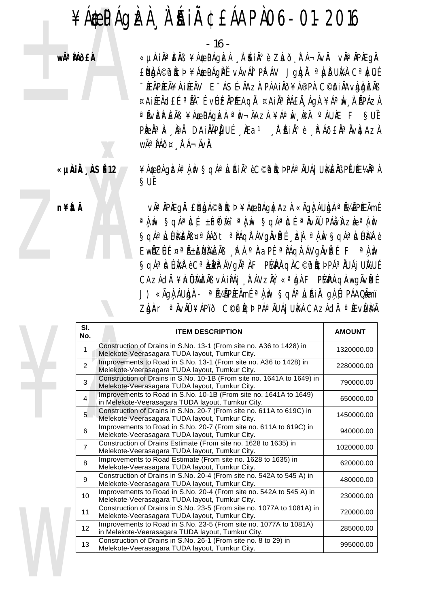### $\angle A$ æ PÁQIZI À A HI CEÁAPIO6-01-2016

wÃ<sup>a</sup> Mõ£À

- 16 -

«µAIĪEÄB ¥ÁÆPÁgÈL A AIĺè Zhō FÁ¬ÄvÄ. vĪÄPÆgÄ ENIGA©O ICD ¥ACPÁGPĚ VÁVÁIº PPÁV JOJA ª LUDUMA Cª CUL -EAPEA¥AIEAV E-ASHAAZA PÁAIAð¥Á®PA C©AIAAvhjeRa ¤AIÆÃdEÍ ªÃÃ-Í vÚÍZĂPÆAQĂ ¤AIĪÀÁ£À ÁgÀ ¥ÁªÌN À ÃPÁZÀ añvepeñs ¥á¢págizi aiv¬äazi ¥áªiv, ipä oáuke F suf PPN - PPA DAINAPY UE Mai A AIN C PAOEN AVEAZA WêÌÁÕ¤ ÀÁ-ÄVÀ.

#### «µÀiÀ ÀSÉ 12

**n¥itÂ** 

#### ¥Á\$PÁQIZÀªÀ IN SQÁªIJAI Àº èC©P ICÞPÁªIJJAjUIGEIBPEUIE¼IPA SUÍ

vઠÄPAEgĂ ENDA©P ACP ¥Á\$PÁgACAZA «ÃgÀ ÁUDA ª Á¼ÃPÆÃmÉ <sup>a</sup>lù §qáª)u{±hphá ªlù §qáª)u{ªÄvÄÛ PÁðvÄzd<sup>a</sup>lù Sa᪠LÚMEIR ¤ª LÁðt ª LÁqlī ÁVgÄvIEÉ "ELJ ª LJ IN Sq᪠LÚMP è EWÄZUE ¤ªÄ±ENMENB PA ºAaPE ªNAGITAVGÄVIZEE F ªNW Sa᪠LÚM è Cª LPP AVa ª À F PMPAQ À C©P PLP PÁª AUAI UMUE CAZÁdÄ ¥InÜMEÄB vAIIAI FAVZÄÝ «ªIgAF PMPAQAWQÄVIZÉ J) «ÃQÀ ÁUÀDÀ - <sup>a</sup> Á¼ÃPÆÃmÉ <sup>a j</sup>ulv Sq᪠Luáin g ji PÁAQÃmi Z giar <sup>a</sup> àvàû ¥ápïð C©p ícþ p᪠àuáj uma Cazáda <sup>a </sup>Æviuma

| SI.<br>No.      | <b>ITEM DESCRIPTION</b>                                                                                                  | <b>AMOUNT</b> |
|-----------------|--------------------------------------------------------------------------------------------------------------------------|---------------|
| 1               | Construction of Drains in S.No. 13-1 (From site no. A36 to 1428) in<br>Melekote-Veerasagara TUDA layout, Tumkur City.    | 1320000.00    |
| 2 <sup>1</sup>  | Improvements to Road in S.No. 13-1 (From site no. A36 to 1428) in<br>Melekote-Veerasagara TUDA layout, Tumkur City.      | 2280000.00    |
| 3               | Construction of Drains in S.No. 10-1B (From site no. 1641A to 1649) in<br>Melekote-Veerasagara TUDA layout, Tumkur City. | 790000.00     |
| $\overline{4}$  | Improvements to Road in S.No. 10-1B (From site no. 1641A to 1649)<br>in Melekote-Veerasagara TUDA layout, Tumkur City.   | 650000.00     |
| 5               | Construction of Drains in S.No. 20-7 (From site no. 611A to 619C) in<br>Melekote-Veerasagara TUDA layout, Tumkur City.   | 1450000.00    |
| 6               | Improvements to Road in S.No. 20-7 (From site no. 611A to 619C) in<br>Melekote-Veerasagara TUDA layout, Tumkur City.     | 940000.00     |
| $\overline{7}$  | Construction of Drains Estimate (From site no. 1628 to 1635) in<br>Melekote-Veerasagara TUDA layout, Tumkur City.        | 1020000.00    |
| 8               | Improvements to Road Estimate (From site no. 1628 to 1635) in<br>Melekote-Veerasagara TUDA layout, Tumkur City.          | 620000.00     |
| 9               | Construction of Drains in S.No. 20-4 (From site no. 542A to 545 A) in<br>Melekote-Veerasagara TUDA layout, Tumkur City.  | 480000.00     |
| 10 <sup>1</sup> | Improvements to Road in S.No. 20-4 (From site no. 542A to 545 A) in<br>Melekote-Veerasagara TUDA layout, Tumkur City.    | 230000.00     |
| 11              | Construction of Drains in S.No. 23-5 (From site no. 1077A to 1081A) in<br>Melekote-Veerasagara TUDA layout, Tumkur City. | 720000.00     |
| 12 <sup>2</sup> | Improvements to Road in S.No. 23-5 (From site no. 1077A to 1081A)<br>in Melekote-Veerasagara TUDA layout, Tumkur City.   | 285000.00     |
| 13              | Construction of Drains in S.No. 26-1 (From site no. 8 to 29) in<br>Melekote-Veerasagara TUDA layout, Tumkur City.        | 995000.00     |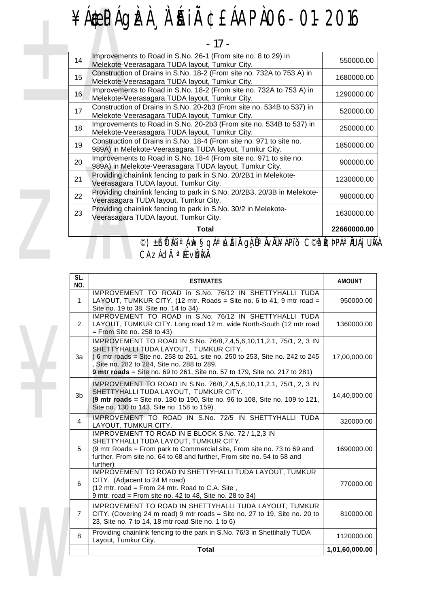# ¥ÁÆPÁGÈÀ Å`ÁIÄ ¢£ÁAPÀ 06-01-2016

|              | $\frac{1}{2}$                                                                                                                                                                          |               |
|--------------|----------------------------------------------------------------------------------------------------------------------------------------------------------------------------------------|---------------|
|              | - 17 -                                                                                                                                                                                 |               |
| 14           | Improvements to Road in S.No. 26-1 (From site no. 8 to 29) in<br>Melekote-Veerasagara TUDA layout, Tumkur City.                                                                        | 550000.00     |
| 15           | Construction of Drains in S.No. 18-2 (From site no. 732A to 753 A) in<br>Melekote-Veerasagara TUDA layout, Tumkur City.                                                                | 1680000.00    |
| 16           | Improvements to Road in S.No. 18-2 (From site no. 732A to 753 A) in<br>Melekote-Veerasagara TUDA layout, Tumkur City.                                                                  | 1290000.00    |
| 17           | Construction of Drains in S.No. 20-2b3 (From site no. 534B to 537) in<br>Melekote-Veerasagara TUDA layout, Tumkur City.                                                                | 520000.00     |
| 18           | Improvements to Road in S.No. 20-2b3 (From site no. 534B to 537) in<br>Melekote-Veerasagara TUDA layout, Tumkur City.                                                                  | 250000.00     |
| 19           | Construction of Drains in S.No. 18-4 (From site no. 971 to site no.<br>989A) in Melekote-Veerasagara TUDA layout, Tumkur City.                                                         | 1850000.00    |
| 20           | Improvements to Road in S.No. 18-4 (From site no. 971 to site no.<br>989A) in Melekote-Veerasagara TUDA layout, Tumkur City.                                                           | 900000.00     |
| 21           | Providing chainlink fencing to park in S.No. 20/2B1 in Melekote-<br>Veerasagara TUDA layout, Tumkur City.                                                                              | 1230000.00    |
| 22           | Providing chainlink fencing to park in S.No. 20/2B3, 20/3B in Melekote-<br>Veerasagara TUDA layout, Tumkur City.                                                                       | 980000.00     |
| 23           | Providing chainlink fencing to park in S.No. 30/2 in Melekote-<br>Veerasagara TUDA layout, Tumkur City.                                                                                | 1630000.00    |
|              | <b>Total</b>                                                                                                                                                                           | 22660000.00   |
|              | ©) ±Íni <sup>ð</sup> 1⁄2i <sup>a</sup> 1, 1ð Sqá <sup>a</sup> 1 jái 4 g1, 1ª 1 v10 ¥ápïð C©f 1¢þp᪠1Uáj U)4<br>CAZÁdÄ <sup>a</sup> ÆvÙWÄ                                                |               |
| SL.<br>NO.   | <b>ESTIMATES</b>                                                                                                                                                                       | <b>AMOUNT</b> |
| $\mathbf{1}$ | IMPROVEMENT TO ROAD in S.No. 76/12 IN SHETTYHALLI TUDA<br>LAYOUT, TUMKUR CITY. (12 mtr. Roads = Site no. 6 to 41, 9 mtr road =<br>$C_{\text{max}}$ 40 to 20 $C_{\text{max}}$ 44 to 24) | 950000.00     |

#### CAZACIA <sup>a</sup> Keviumaa

| IMPROVEMENT TO ROAD in S.No. 76/12 IN SHETTYHALLI TUDA<br>LAYOUT, TUMKUR CITY. (12 mtr. Roads = Site no. 6 to 41, 9 mtr road =<br>$\mathbf 1$<br>Site no. 19 to 38, Site no. 14 to 34)<br>IMPROVEMENT TO ROAD in S.No. 76/12 IN SHETTYHALLI TUDA<br>$\overline{2}$<br>LAYOUT, TUMKUR CITY. Long road 12 m. wide North-South (12 mtr road<br>$=$ From Site no. 258 to 43)<br>IMPROVEMENT TO ROAD IN S.No. 76/8,7,4,5,6,10,11,2,1, 75/1, 2, 3 IN<br>SHETTYHALLI TUDA LAYOUT, TUMKUR CITY.<br>(6 mtr roads = Site no. 258 to 261, site no. 250 to 253, Site no. 242 to 245<br>За<br>, Site no. 282 to 284, Site no. 288 to 289.<br>9 mtr roads = Site no. 69 to 261, Site no. 57 to 179, Site no. 217 to 281)<br>IMPROVEMENT TO ROAD IN S.No. 76/8,7,4,5,6,10,11,2,1, 75/1, 2, 3 IN<br>SHETTYHALLI TUDA LAYOUT, TUMKUR CITY.<br>3b<br>(9 mtr roads = Site no. 180 to 190, Site no. 96 to 108, Site no. 109 to 121,<br>Site no. 130 to 143, Site no. 158 to 159)<br>IMPROVEMENT TO ROAD IN S.No. 72/5 IN SHETTYHALLI TUDA<br>4<br>LAYOUT, TUMKUR CITY.<br>IMPROVEMENT TO ROAD IN E BLOCK S.No. 72 / 1,2,3 IN<br>SHETTYHALLI TUDA LAYOUT, TUMKUR CITY.<br>(9 mtr Roads = From park to Commercial site, From site no. 73 to 69 and<br>5<br>further, From site no. 64 to 68 and further, From site no. 54 to 58 and<br>further)<br>IMPROVEMENT TO ROAD IN SHETTYHALLI TUDA LAYOUT, TUMKUR<br>CITY. (Adjacent to 24 M road)<br>6<br>(12 mtr. road = From 24 mtr. Road to C.A. Site,<br>9 mtr. road = From site no. 42 to 48, Site no. 28 to 34)<br>IMPROVEMENT TO ROAD IN SHETTYHALLI TUDA LAYOUT, TUMKUR<br>$\overline{7}$<br>CITY. (Covering 24 m road) 9 mtr roads = Site no. 27 to 19, Site no. 20 to<br>23, Site no. 7 to 14, 18 mtr road Site no. 1 to 6)<br>Providing chainlink fencing to the park in S.No. 76/3 in Shettihally TUDA<br>8<br>Layout, Tumkur City.<br><b>Total</b> | SL.<br>NO. | <b>ESTIMATES</b> | <b>AMOUNT</b>  |
|-----------------------------------------------------------------------------------------------------------------------------------------------------------------------------------------------------------------------------------------------------------------------------------------------------------------------------------------------------------------------------------------------------------------------------------------------------------------------------------------------------------------------------------------------------------------------------------------------------------------------------------------------------------------------------------------------------------------------------------------------------------------------------------------------------------------------------------------------------------------------------------------------------------------------------------------------------------------------------------------------------------------------------------------------------------------------------------------------------------------------------------------------------------------------------------------------------------------------------------------------------------------------------------------------------------------------------------------------------------------------------------------------------------------------------------------------------------------------------------------------------------------------------------------------------------------------------------------------------------------------------------------------------------------------------------------------------------------------------------------------------------------------------------------------------------------------------------------------------------------------------------|------------|------------------|----------------|
|                                                                                                                                                                                                                                                                                                                                                                                                                                                                                                                                                                                                                                                                                                                                                                                                                                                                                                                                                                                                                                                                                                                                                                                                                                                                                                                                                                                                                                                                                                                                                                                                                                                                                                                                                                                                                                                                                   |            |                  | 950000.00      |
|                                                                                                                                                                                                                                                                                                                                                                                                                                                                                                                                                                                                                                                                                                                                                                                                                                                                                                                                                                                                                                                                                                                                                                                                                                                                                                                                                                                                                                                                                                                                                                                                                                                                                                                                                                                                                                                                                   |            |                  | 1360000.00     |
|                                                                                                                                                                                                                                                                                                                                                                                                                                                                                                                                                                                                                                                                                                                                                                                                                                                                                                                                                                                                                                                                                                                                                                                                                                                                                                                                                                                                                                                                                                                                                                                                                                                                                                                                                                                                                                                                                   |            |                  | 17,00,000.00   |
|                                                                                                                                                                                                                                                                                                                                                                                                                                                                                                                                                                                                                                                                                                                                                                                                                                                                                                                                                                                                                                                                                                                                                                                                                                                                                                                                                                                                                                                                                                                                                                                                                                                                                                                                                                                                                                                                                   |            |                  | 14,40,000.00   |
|                                                                                                                                                                                                                                                                                                                                                                                                                                                                                                                                                                                                                                                                                                                                                                                                                                                                                                                                                                                                                                                                                                                                                                                                                                                                                                                                                                                                                                                                                                                                                                                                                                                                                                                                                                                                                                                                                   |            |                  | 320000.00      |
|                                                                                                                                                                                                                                                                                                                                                                                                                                                                                                                                                                                                                                                                                                                                                                                                                                                                                                                                                                                                                                                                                                                                                                                                                                                                                                                                                                                                                                                                                                                                                                                                                                                                                                                                                                                                                                                                                   |            |                  | 1690000.00     |
|                                                                                                                                                                                                                                                                                                                                                                                                                                                                                                                                                                                                                                                                                                                                                                                                                                                                                                                                                                                                                                                                                                                                                                                                                                                                                                                                                                                                                                                                                                                                                                                                                                                                                                                                                                                                                                                                                   |            |                  | 770000.00      |
|                                                                                                                                                                                                                                                                                                                                                                                                                                                                                                                                                                                                                                                                                                                                                                                                                                                                                                                                                                                                                                                                                                                                                                                                                                                                                                                                                                                                                                                                                                                                                                                                                                                                                                                                                                                                                                                                                   |            |                  | 810000.00      |
|                                                                                                                                                                                                                                                                                                                                                                                                                                                                                                                                                                                                                                                                                                                                                                                                                                                                                                                                                                                                                                                                                                                                                                                                                                                                                                                                                                                                                                                                                                                                                                                                                                                                                                                                                                                                                                                                                   |            |                  | 1120000.00     |
|                                                                                                                                                                                                                                                                                                                                                                                                                                                                                                                                                                                                                                                                                                                                                                                                                                                                                                                                                                                                                                                                                                                                                                                                                                                                                                                                                                                                                                                                                                                                                                                                                                                                                                                                                                                                                                                                                   |            |                  | 1,01,60,000.00 |
|                                                                                                                                                                                                                                                                                                                                                                                                                                                                                                                                                                                                                                                                                                                                                                                                                                                                                                                                                                                                                                                                                                                                                                                                                                                                                                                                                                                                                                                                                                                                                                                                                                                                                                                                                                                                                                                                                   |            |                  |                |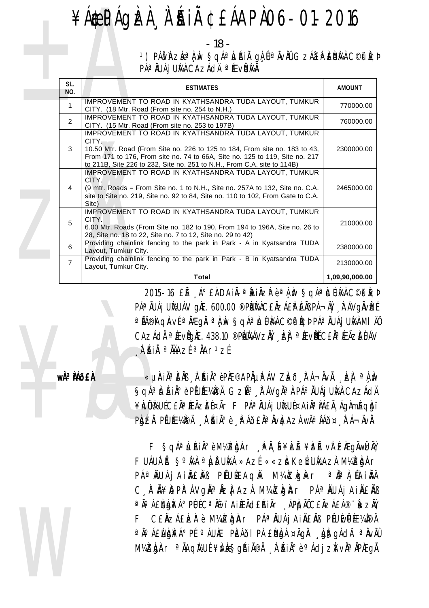- 18 -

1) PÁ $\hat{\mathbf{v}}$ m zh<sup>a</sup>n iv Sqá $\alpha$ láin gì  $\theta$  anviu Gzá£p Elima C©p icd PÁª ÄUÁj UMA CAZÁdĂ ª ÆvÜMÄ

| SL.<br>NO.     | <b>ESTIMATES</b>                                                                                                                                                                                                                                                                                        | <b>AMOUNT</b>  |
|----------------|---------------------------------------------------------------------------------------------------------------------------------------------------------------------------------------------------------------------------------------------------------------------------------------------------------|----------------|
| 1              | IMPROVEMENT TO ROAD IN KYATHSANDRA TUDA LAYOUT, TUMKUR<br>CITY. (18 Mtr. Road (From site no. 254 to N.H.)                                                                                                                                                                                               | 770000.00      |
| 2              | IMPROVEMENT TO ROAD IN KYATHSANDRA TUDA LAYOUT, TUMKUR<br>CITY. (15 Mtr. Road (From site no. 253 to 197B)                                                                                                                                                                                               | 760000.00      |
| 3              | IMPROVEMENT TO ROAD IN KYATHSANDRA TUDA LAYOUT, TUMKUR<br>CITY.<br>10.50 Mtr. Road (From Site no. 226 to 125 to 184, From site no. 183 to 43,<br>From 171 to 176, From site no. 74 to 66A, Site no. 125 to 119, Site no. 217<br>to 211B, Site 226 to 232, Site no. 251 to N.H., From C.A. site to 114B) | 2300000.00     |
| 4              | IMPROVEMENT TO ROAD IN KYATHSANDRA TUDA LAYOUT, TUMKUR<br>CITY.<br>(9 mtr. Roads = From Site no. 1 to N.H., Site no. 257A to 132, Site no. C.A.<br>site to Site no. 219, Site no. 92 to 84, Site no. 110 to 102, From Gate to C.A.<br>Site)                                                             | 2465000.00     |
| 5              | IMPROVEMENT TO ROAD IN KYATHSANDRA TUDA LAYOUT, TUMKUR<br>CITY.<br>6.00 Mtr. Roads (From Site no. 182 to 190, From 194 to 196A, Site no. 26 to<br>28, Site no. 18 to 22, Site no. 7 to 12, Site no. 29 to 42)                                                                                           | 210000.00      |
| 6              | Providing chainlink fencing to the park in Park - A in Kyatsandra TUDA<br>Layout, Tumkur City.                                                                                                                                                                                                          | 2380000.00     |
| $\overline{7}$ | Providing chainlink fencing to the park in Park - B in Kyatsandra TUDA<br>Layout, Tumkur City.                                                                                                                                                                                                          | 2130000.00     |
|                | Total                                                                                                                                                                                                                                                                                                   | 1,09,90,000.00 |

2015-16 £Å A° £À DAIÀ-ªÀNIÀZR è ªÀ N SQÁª LUMA C©P NCP PÁª ÄUÁj UÌ⁄2UÁV GIÆ. 600.00 ®PÙÌ⁄AC£ĂZÁ£ÌP EÄß PÁ¬ÄÝj , ÌT ÁVGÄVÌÞÉ a AA®AqAvÉ a AÆgÄ a A Av SqÁa LUMA C©P ACÞPÁA ÄUÁj UMA MI AÖ CAZÁCIA <sup>a</sup> Ævidove. 438.10 ®PIJMÁVZIÝ, IZI <sup>a</sup> ÆviPČCEJ<sup>a</sup> ÆÃZEUÁV A'AIN <sup>a</sup>NAZÍ<sup>a</sup>NAr<sup>1</sup>zÍ

wêMÃfÀ

«µÀIĂªÈÄB À ÁIĂªèPÆ®APõP ÁV Zhð FÁ¬ÄvÄ. EÀ ªÀ Àv SgÁª Luáin ºè PEUƼPÄ GzÑ2 FÁVghª À PÁª AUÁj UMÀ CAZÁdÄ ¥InÜIKUÍCEĪÆÃZIEͤÃr F PÁªÄUÁjUIKUͤAIĪIÁEI ÁgAmÁgIgï PIOÉZĂ PÉUÉE¼IPÄ "À "ĤIð è "IP ÁÕEĂª ÄVICAZÀ Wê ILÁÕ¤ "IT Á¬ÄVI.

F SQÁªLJÁIÀ°èM¼ZDAr PA 6 ¥Eà ¥Eà VITEÆQÄWENY FUÁUIT Á SOMA a LUDUMA »AZÉ ««ZI Kerülisazi MARDAT PÁ<sup>a</sup> ÄUÁj AiÄEÄB PÉUÉEAQÄ M¼kZkg)Ar <sup>a</sup> na A ÚAiÄÄ C PĥDPPAVgĪÅZH AZA M¼Rhar PÁªÄUÁj AIÄEÄB ªŇ°Á£ÙIDI¥Á° PÚÉCªŇĽvï AIÉEÃd£ŔIÄr ¸ÁPÙIŇŨC£ŇZÁ£Ì®∵}«ZŇ, F CEÄZÁEIZIP è M14Z1g1Ar PÁª ÄUÁj AIÄEÄB PEUWPEE141®Ä a No AENIONEAº PE O AUNE PIEAO I PA ENION ¤ÃON DISOACIA a NUNO M4ZDAr a AqLUE ¥NE Sqain@A A Ain e adi zi via Aplega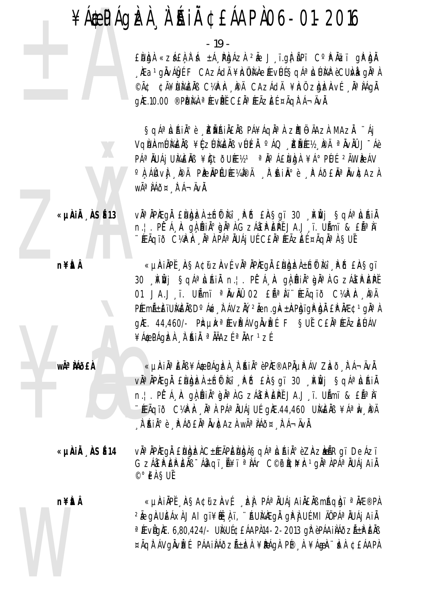- 19 -

 $E$ Ukuh «zá $E$ A i á  $\pm A$  Pkuáza  $2a$  J i ga  $a$  Pi  $C^{\circ}$ P Azi g $P$ ku **Ea giváldi F CAZÁdA ¥hülva e Evü fgaálulva rovu veglad** ©Ã¢ ¢Ã¥ÙMÈNS C¼PIF PA CAZÁdA ¥Inü zIgIZAVE Nª NÁGN g)E.10.00 ®PU)M ª (Ev)P CE A ª (EÃZ)E É ¤ÃQ)T Á¬ÄVÀ.

Saá<sup>a</sup>lahin è kivailens pá¥ágia zi¶ü-äazi mazi 'ái VQNAmUMEAR ¥ÇZUMEAR vUEA °AQ DEWEY PA ªAvAU J-Aè PÁ<sup>a</sup> ÄUÁj UMÈÄB ¥CtÒUƽ<sup>1 a</sup> Äo Á£UCA ¥Á° PÚÉ 2ÃWEÁV °À ÁÑ vH ¸ IPÄ PIPIUƼIPÄ ¸ Ì ́HiÏ °è ¸ lPÁÕ EĬI ª ĬI vICA ZA WÃ<sup>a</sup> ÀÁÕ¤ ÀÁ-ÄVÀ.

«µÀIÄ ÀSÉ13

vàªÀPÆgÅ ENDEA±n®Ki PB EASgï 30 AEVj SqáªLAIÀ n. | PÍ-A A gÀ AIA gÀ AI GZÁEPEPI JA.J I. UAMI & EA<sup>a</sup>II ∵ÆÃqïð C¼Pir ,iŇª A PÁª ÄUÁj UÉC£ÄªÆÃZEɤÃqĪ A §UĚ

n¥ÈrÂ

«µÀIÄPĚ AŞA¢üzÄvÉvĪÄPÆgÄ £NgÈL±ńÖKI PÕ £AŞgï 30 AFNI SOLA LANI n. | PE-A A OLANI DA A GZÁEPEPE 01 JA.J I. UẤMI <sup>a</sup> NvNÛ 02 £Ř<sup>a</sup> Ni Faqið C½P Ir PA PÆmñÈïUÀAEÀB D°Á& À ÁVZAÝ, 2Ă n.qk ±ÀPhjigPhì hÀ EP ÀÆ¢1 gha l g)E. 44,460/- PIELLA <sup>a</sup> (EV) PAVGAVIEL F SUL CEA <sup>a</sup> (EAZEUAV ¥Á¢PÁQIZI I A AI A MAZÍ ª ÄAr 1 ZÍ

wê MÕ£À

«µÀIẰª EÄß ¥Á\$PÁQÞZA À ʿŔIĺ èPÌÆ®APĵP ÁV ZÞO "Ì Á¬ÄvÄ. vàªÄPÆgÅ ENDEA±n®Ki RÕ EASgï 30 KVj SqáªLuáià n. | PÉ-Á A gÀ AIA° gha GzÁ£PEPE JA.J T. UAmi & EA<sup>a</sup>it **ÉEÃQIO C¼PI- ÀªI PÁªIUÁI UÉ QIE.44,460 UMENS ¥ÁªIN PÄ** . À RIA° è . PAÕEĂª ÀvICAZÀ wê ÀÁÕ¤ , lī Á¬ÄvÀ.

vઠÄPÆgÅ EUbDEAC±ÆÃPEUDA SqÁª Lukià° è ZAZEÃRgï DeÁzï «µÀiÅ ÀSÉ 14 GZÁEPEPENS AAGI AZI a NAr Copler-10 a APA AUÁJ AIN  $\circ$   $\epsilon$  sup

n¥ÈrÂ

«µÀIAPE ASA¢üzAvE EL PÁªAUÁJ AIAEAB mÁqui ªAÆ®PA <sup>2</sup>Å gAUEÁXÀ JAI gï¥É Aï, "AUMEGÀ gPÌ UEMI AOPAª AUAj AIA <sup>a</sup> ÆvigÆ. 6,80,424/- UilsUÉ¢EÁAPA14-2-2013 gir ePÁAILÁðzÁ±ir EAB ¤ÃQITÁVQIVIEL PÁAINAÕZÁ±IZA ¥PÁQI P® A ¥ÁRIA EL CEÁAPA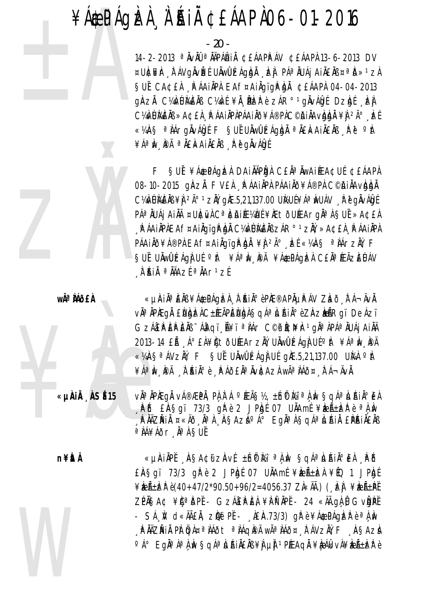#### ¥ÁÆPÁGÈÀ À`ÉAIÀ ¢£ÁAPÀ 06-01-2016

- 20 -<br>- 20 -<br>- 20 -<br>H-2-2013 AVAU ANPAR<br>WHERE TAVGAVEL UNM<br>SUL CACEA PAAINPA E<br>GRZA CANUMENS CANE<br>CANUMENS > ACEA PAAIN<br>- XAAS AATGAVAGLE 14-2-2013 <sup>a</sup> ÄvÄÛ <sup>a</sup> ÄÄPÁÛAIÄ ¢£ÁAPÀ ÁV ¢£ÁAPÀ 13-6-2013 DV ¤U)¢¥Àr¸ÀTÁVgÄvÌEÉ UÄwÛUÉZÁgÀjÄ ¸Àzj PÁªÄUÁjAi Ä£Àߤªð»ºzÀ SUÉ CA¢£À PÁAIAPA EAf¤AIAgïgPha ¢£ÁAPA 04-04-2013 gÀZĂ C¼À/ÛÅÆÀB C¼À/É¥À¸PÈPè zÁR°<sup>1</sup>gÀvÁ的É Dzhé ¸Èj C¼NÚMÈNS »A¢£À PÁAIÄPÀPÁAIÄÕ¥Á®PÀC©¡AIÄAvÀdÀ ¥À <sup>2ð</sup> ÞÉ «¼À§ ªÀÁrgĂvÁÒgÉ F §UĚ UÄwŴÉZÁgÒgĂ ªÄ£ÀkAiÄ£Åß ¸Àº ºÀt ¥ÁªÀW PÄ ªÄ£ÀkAiÄ£Äß À ë gÄvÁÛgÉ

> F SUÍ ¥Á&PÁGEÀ DAIÄÄPÌDA CE À<sup>a</sup> AWAI ÆA¢U É ¢EÁAPA 08-10-2015 gÀZÀ FV£À PÁAI ÀPAAI ÀÕ¥Á®PÀ C©HAI ÀAvÀDA  $C$ ¼Å $V$ ÚÅÆÅ $B \not\cong A^{\circ}$  1  $\vec{Z}$ ÅÝ, g $\lambda E.5, 21, 137.00$  U $\lambda$ s verá $\lambda$ ÀvUÁV  $\lambda$ è gà $\vee$ Aûgé P绀UÁjAiÄÄ ¤UÌ¢ïvÀ CªÌ¢iAi É¥ÌÆtðUÉEArgĪÀ §UÉ »A¢£À , PÁAIÄPÀ EAf¤AIÄgïgÈ bLÄ C¼ÀVÚMEÄB zÁR° 1 zĂÝ, »A¢£À ¸È ÁAIÄPÀ PÁAI À Ò¥Á®PÀ EAf¤AI ÀgïgÀ bÀ ¥Ì ºÃ° LE «¼À§ ª LÁrzÀÝ, F §UẾ UÄWÛUÉAGÀ UÉ °Àt ¥ÁªÀvĮPÄ ¥ÁÆPÁGÞA C£ÄªÆÃZÈÚÁV ¸À¨sÉAi ÀÄ ªÀÄÄAzÉ ªÀÄAr¹zÉ.

**z** 

**wêÀÁð£À** «µÀiĂªÈÄߥÁæPÁgÈÀ ÌĤÀϪèPÆ®APÀµPÁV ZÀð tá¬ÄvÀ. v˻ ÀPÀEgÀ £ÙbdzÀ C±ÉEÃPÈÙbdÀ §qÁª ÙŔIÀ°èZÀZdeÃRgï DeÁzï GzÁ£PÈPÉÄB <sup>-</sup>Áåqï Ř¥ï <sup>a</sup> $i$ Ár C©pI¢I¥ir 1 gia apáa juáj A $i$ äÄ 2013-14 £Ã ¸Á° £À¥ÙtðUÆArzĂÝ, UÄwÛUÉAgÀjUÉ °Àt ¥ÁªÀw¸ÌPÄ «¼À§ªÁVzÀÝ, F §UẾ UĂWÛUÉZÁG) UÉ GÀE.5,21,137.00 UÀ¼ <sup>o</sup> $\hbar$ t ¥ÁªÀw¸PÄ ¸À¨Âiİè¸PÁð£ĂªÀvÈAzÀ wêÀÁð¤¸ÈÁ¬ÄvÀ.

«µ**àiÀ ÀSÉ15** v˻ÀPÆgÀ vÁ®ÆPÀ, PÀ À¨Á ºÉç½, ±ÍnÖ½î ªÀ,Àv §qÁªÀJÁIÀ°EÀ <sub>→</sub>PP £A§gï 73/3 g Pè 2 JP hgÉ 07 U ÀAm É¥ kené <sup>a</sup> À m ¸ÀÄÄZĂ¡Ä ¤«Äð¸ÄªÀ¸À§AzÌ∘Á° EgĪÀ§qÁªÀJÁ¡Ä £PÉIÄ£Àß <sup>a</sup>ÌÁ¥Áðr ÀªÀ§UÍ

¥Àæ

W

**n¥ÈÅ** «µÀIÀPĚ ¸À§A¢ü zÀvÉ ±ÉI®Ài ªÀ,Àv §qÁªÀJÁIÀ°EÀ ¸ÀºÕ  $E$ A§gï 73/3 g $\hat{F}$ è 2 JP $k$ gé 07 U $\hat{A}$ Amé ¥ $\hat{E}$  $\hat{A}$ ± $\hat{E}$  $\hat{A}$  ¥ $\hat{E}$  1 JP $k$ gé ¥**æÅ±èk**è (40+47/2\*90.50+96/2=4056.37 ZÀ«ÄÃ.) (¿**}z}** ¥**}**@ű**P**Ě ZÉNSA¢ ¥ÙªDPĚ- GZÁ£PEN ¥PPNPĚ- 24 «ÄÃ.gÀ Û GvÙPĚ  $-$  SÁ,  $\dot{N}$  d«Ä $\ddot{A}$ £Å, zidet P $\dot{P}$  -  $\dot{A}$ £À,73/3) gir è ¥Áæ $\dot{P}$ Agizh è  $a$ À, Àw <sub>"</sub>ÀÄÄZĂIÄ PÌ ÖJÀ¤ªÌÁðt ªÌÁqì®Ä wêÌÁð¤¸ÀTÁVzÅÝ, F ¸À§AzÀ °Á° EgĪÀªÀ,Àv §qÁªÙÁIÄ£ÄB¥ÀµÀ 1PÉEAqÄ¥èRÁkvÀ¥èZÁ±èZPè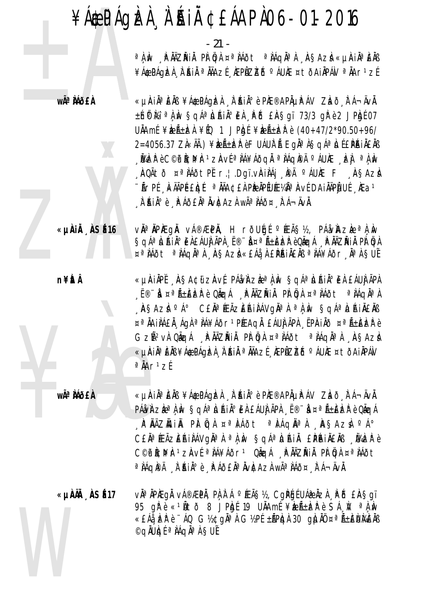- 21 -

a ì w `` hinzinin di qin ¤a inadta a inaqian `` weda kumina Eur ¥Á\$PÁQIZI À AI AI <sup>a</sup> NAZÍ AEPIZIZIÓ <sup>o</sup> ÁUNE ¤ tÕAI NPÁN <sup>a</sup> NAr<sup>1</sup>zÍ

wê MÕ£À

«µAIĪÈÄB ¥Á\$PÁQÈÀ À AIĺè PÆ®APĵPÁV ZLO. FÁ¬ÄvÄ. ±hph'i aliw Salaluain El PD Ensaï 73/3 apè2 JPht 07 UÄAmÉ ¥EAÉEEA ¥EQ 1 JPRIÉ ¥EAÉEER è (40+47/2\*90.50+96/ 2=4056.37 ZI«ÄÄ.) ¥EıERèFUÁULà EqĪÀ§qÁªLLÉPÁIÀEÀB ,⊯ER è C©P PCPF TZAVÉ ª NÁ¥ÁðQN ª NÁQPÄ º ÁUÆ , EN ª A, W AQÃtÕ¤ªÌÁÕtPĚr.¦.Dgï.vÀiÌÁj, PĺÁUÀEF, ÀSAZÌ "Ãr PÉ , KÄĀPÉ EIQÉ" @ NAA¢ EI PIP APEUƼ Ne DA I AAPI UÉ , JEa 1 A AIA°è A AOEAª AVACAZA Wê AÁO¤ A A-AVA.

vĪÄPÆgÄ vÁ®ÆPÄ, HrðUGÉ ºÆÃ޽, PÁåvÀZèªÀ.N Saá<sup>a</sup>ljáin<sup>®</sup> Eleául ápl E® da¤ñ±Eler eoñaá PNAZIAI Pl bl ¤ªIÁðt ªIÁQIªI ASAZI «EÁI I EPRILEIB ªIÁ¥Áðr lal SUÍ

«µÀIĂ ÀSÉ16

n¥ÈÂ

«µÀIÀPĚ "ÀSA¢ữZÀVÉ PÁNÀZEªÀN SQÁªÙAIÀ°EÀ £ÁUÌ ÃPÀ E® à ¤ªÑ±ÈEPÈ OÃQÁ PHÀZAIÀ PLÖA ¤ªLAÕt ªLAQLA] ASAZI <sup>o</sup>Á° CEI¤ÆÃZEAINAVGIªLªLN SQÁªLJAINEIN ¤ªÄAIÀÁEĂ ÁGÀªÀÁ¥ÁÕr1PÆAGĂ EÁUÀÃPÀ EPÀIÀÕ ¤ªÃ±ÈÈPè GzÑ2vì Qigá Phizhi Pì gì ¤ªìáot ªìágiªì Asazi «LIAIĪÈÄB¥Á@PÁQIZÀ À`ÍAIÄ ªÄÄAZÉ 'ÆPÙZIZIŐ ºÁU)Æ ¤tõAIÄPÁV ªÄAr1zÉ

wêÀÁðfÀ

«LIAIĪÈÄB ¥Á\$PÁQIZÀ À AIĺè PIE®APÄLIPÁV ZIað FÁ-ÄVÄ. PÁðvíAzèª), Iv Sqáª)Jáið° Er Eáuj ãpr "ë®∵) ¤ªñ±ElzP è Qãqá CEN<sup>a</sup> ÆÃZEŘINÁVON<sup>a</sup> A <sup>a</sup> A M SOÁ<sup>a</sup> LIŘIN EPŘINENS MAZP è C©P ACHA'TZAVÉ ª AÁ¥ÁÕr1 QÃQÁ PAÄZĂIÀ PA QA ¤ª AÁÕt a NAQIPÄ NIKIN PAJATA NU AZA WÄAND¤ NA-ÄVÄ.

ǵˀ ÀSÉ17 vઠÀPAEQÀ vÁ®ÆPÀ, PÀ À Á ºÆÃ§½, CQPGÉUÁ@ÀZÀ APÓ £A§qï 95 gře «<sup>1</sup>Řtð 8 JPRJÍ 19 UNAMÍ ¥REرRE BÁN <sup>a</sup> AN «EÁà, ER è ''AQ G½¢gĂªÀ G½PÉ ±ĂPIQÀ 30 gLIAÏ ¤ªÁ±ENIKEÀB ©qÄUIgÉ ª IAGIª I SUE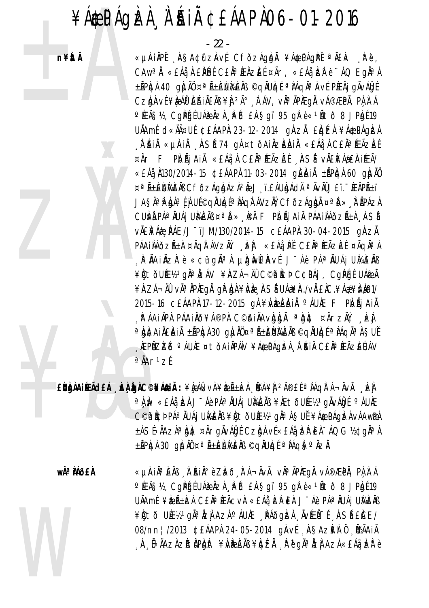#### ¥ÁÆPÁGÈLA À ÁLA ¢EÁAPA06-01-2016

- 22 -

n¥itÂ



«µÀIÀPĽ ASA¢ữZAVĹ CFÕZÁGÀNĂ ¥Á\$PÁGPĽ ªÄ£k Rě, CAW<sup>a</sup>n «EAa) EPUL CEN<sup>a</sup> FEÃZEL ¤Ãr, «EAa) ER e "AQ EGN<sup>a</sup>) ±ÃPICH 40 QILINO ¤ªÃ±ENIKEIN ©QINUCI ª NÁQI ª AVÍ PÉEÃI QIVÁLOI CzynAví¥è, ÁO EAIÄEÄB¥J 2ð, FÁV, vĂªÄPAEgĂ vÁ®ÆPÄ, PÀ, À A OFEÃSIS, COPENE UÁPLAZI PO ERSOI 95 OR è «14 tõ 8 JPENE 19 UÄAmÉ d«ÄäUÉ ¢£ÁAPÀ 23-12-2014 gÀZÀ £ÀdézÀ ¥Á¢PÁgÌZÀ A'RIA «URIA ASÍ 74 gA¤tõAIAZEAIA «EÁAA CEA® ÆÃZEE ¤Ãr F PIDÃJ AIL «EÁå ) CELPA ÆÃZEÍ ASÍ VILLEA ALEIRIEA «EÁå N130/2014-15 ¢EÁAPA 11-03-2014 gEAIA ±APAA 60 gLAO ¤ªÑ±ÈÙЍÆÀB CfðzÁqÌqÁz̺à J ï.£ÁUÌqÁdĂ ªÄvÄÛJ£ï.¨ÆÃPñï JAŞÄªP DI <sup>O</sup> ( ) UE©QÄUDE<sup>a</sup> LÁQIT ÁVZIÝ, CFÕZÁQIDI ¤ªD», I ÄPÁZI CUM PÁª AUÁI UMEAB ¤ª D» PÀ F PIOAI AIA PÁAILAÕZÁ±A ASÍ vÄENFÁ& NÁE/J<sup>-</sup>ïJM/130/2014-15 ¢£ÁAPA 30-04-2015 g|AzĂ PÁAILÁÕZñA ¤ÃQITÁVZIY LE «EÁå PĚ CENªÆÃZEE ¤ÃQIªA , PÄAIÄZPè«¢ü<sup>1</sup>gĪA µhwêAvÉ J<sup>-</sup>Áè PÁªÄUÁj UMÈÄB ¥CtoUE%1giaLzAV ¥AZA-AO COPICD CCPAj, CgPGEUA@A ¥ÀZÁ¬ÄĴ vÀªÄPÀEqÅ qi?idi ¥ì/ie ASÍ UÁæ¥À./vÀ.£IC.¥Áæ¥Ì/IO1/ 2015-16 CEÁAPÀ 17-12-2015 QÀ ¥ÌVEZEÀNIĂ  $\circ$ ÁUAE F PÌOÃI AIÀ .PÁAIÄPA PÁAIÄÕ¥Á®PA C©WAIÄAvIgIgA ªIghc ¤ÃrzĂÝ, ¸Izj a bitairenin ±āpiqi 30 gilin ¤a ā±eumens ©qiuiqe a iaqia i sue AEPÜZIZIŐ Ó ÁUNE ¤ tö AIÄPÁN ¥Á&PÁGIZA A KAIÄ CEĤ ÆÃZIEUÁV  $a$ ÅAr<sup>1</sup>zÍ

 $\mathbf{E}$ Dànair Ád $\mathbf{E}$ Á (dà $\mathbf{C}$ ©rá $\mathbf{A}$ in) : ¥è Álk và ¥èzñ $\pm$ lzà [lan ¥] 2î£ $f$   $^{\circ}$ AÁq)t Á $^{\circ}$ Āvà [lan a À ÀN «EÁå ÈA J Āè PÁª ÄUÁj UMÈÄB¥ÆtÕUƽ<sup>1</sup>gÄVÁ∯É QÁUÆ C©P ACÞ PÁª ÄUÁj UMEÄB ¥Lt ÖUƽ1gĪ A SUÍ ¥ÁÆPÁGIZA VÁAWRA ±ÁSÍ-ÄAZIª DIC ¤Ãr alvÁdí Czarví «EÁa ER EA 140 G½¢alª)  $\pm$ ÃPIGA 30 GILIAŬ ¤ªÃ $\pm$ ÈNIAEAB ©GILUGI ª IAGIS PIZA.

wêÀÁð£À «µÀIẰªÈÄß À ʿŔIĂºè Zhờ lī Á¬ÄvÀ. vÀªĂPÆqÀ vÁ®ÆPĂ, PLÀ Á OFEÃSIS, COPENE UÁPLAZI PO ERSOI 95 OR è «14 tõ 8 JPENE 19 UÄAmÉ ¥ÈıÈZÀ CEĤÉEâvÀ «EÁå ÈZPEÀ J-Áè PÁªÄUÁj UÄAÈÄB ¥Ctð Uƽ1gia izi Azi o ÁUIE PAðgizi NvÆI í ASI ECE/ 08/nn | /2013 CEÁAPÀ 24-05-2014 gÀVÉ ASAZ¥À Ö ÖZÄAIÄ . À . Ô-ĂAzĂ zồ cÃP bứ ¥ND EÀB ¥N EÀ . La cơ gia la AzĂ «EÁa, ER è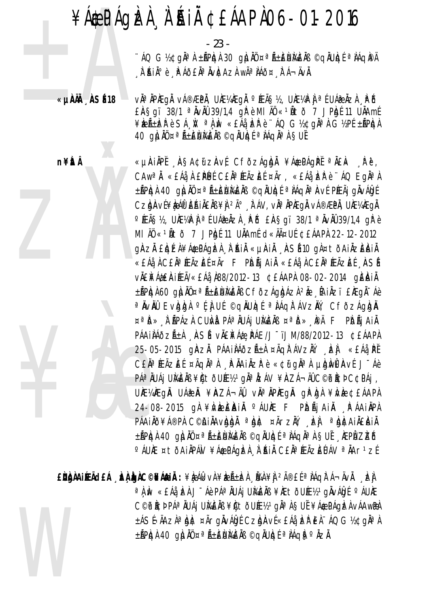$-23-$ 

"ÁQ G½¢gĪ) ±ÃPIQ) 30 gIUIÙ ¤ªÃ±EUMEIB ©gIUIQÉ ªIÁQIPÄ A AIA°è A AOEAª AVACAZA Wê AAO¤ A A-AVA.

vàªÀPÆqÅ vÁ®ÆPÅ, UƼÆqÅ ºÆÃ޽, UƼPÀ ªÉUÁ@ÀZÀ PÕ ǵˀ ÀSÉ18 £AŞqï 38/1 <sup>a</sup> AvAÛ 39/1,4 qi e MI AÜ « 14 to 7 JPbi 11 UAAmi ¥ERELERESA, Var komzet e "AQ G12¢ghar G12PE ±APRA 40 gjuli ¤ª Á±ENMEIB ©giUlgé ª IÁgiª I SUÉ

n¥ÈtÂ

«µÀIÄPĚ AŞA¢üzÄvÉ CFÕZÁgÀÀ ¥Á\$PÁgPĚ ªÄ£k "Pě, CAW<sup>a</sup>n «EÁå, A EPUE CEN<sup>a</sup> FEÃZEE ¤Ãr, «EÁå, EP è "ÁQ Egn<sup>a</sup> A ±ÃPICH 40 GILIN ¤ªÃ±ENMENS ©GILUICI ª NAGIAª AVE PREÃI GIVALOS Czbaví¥báf Eáiå£ÅB¥j 2ð "À ÁV, vĪÄPÆgÄ vÁ®ÆPÄ, UƼÆgÄ <sup>o</sup> ÆÃS½, UƼPj <sup>a {</sup>UÁæŇzì ÅPĎ £ŇSgï 38/1 <sup>a</sup>ŇvŇŮ39/1,4 gřè MI ÄÖ «1Ätõ 7 JPAJÍ 11 UÄAmÍ d«ÄĤUÍ ¢£ÁAPÀ 22-12-2012 ghzh Eigízi ¥á¢págizi í Rin «unin "Insé 10 gi¤tõajäzenin «£Áå À C£Ăª ÆÃzÆÉ ¤Ãr F PbÃj AiÀ «£Áå À C£Ăª ÆÃzĒÉ "ÀSÍ vÄENFÁ AENIFEÃ/«EÁÅ N88/2012-13 ¢EÁAPA 08-02-2014 qENIA ±ÃPICH 60 QILINO¤ªÃ±ENIMENS CFÕZÁQICÁZI 2à [AIÀZI EIEQI - Áè a NvNÛ Evigigi ofj uf ©gNulgf a Nágitávzilý, cfðzágigi ¤<sup>a</sup>b» li Apázi culvi pá<sup>a</sup>iuáj uměns ¤<sup>a</sup>b» Pä F Pidáj Ail PÁAIÀÁÕZñÀ ASÍ vÄ£¥Á¢ PÁE/J~ïJM/88/2012-13 ¢£ÁAPÀ 25-05-2015 giàzh Páailáozhta ¤aglar avzill del «Eai př CEN<sup>a</sup> ÆÃZEE ¤ÃQN<sup>a</sup> A MAINZP è «¢ü gna hunhenvé J-Áè PÁª ÄUÁj UMÈÄB ¥ÙtÕUƽ1gĂª ÅZÁV ¥ÀZÁ¬ÄÛC©P À¢Þ C¢PÁj, UNE¼NEGNĬUÁæNĬ¥NZÁ¬ÄQVNĬªNPNEGNĬGPIGA¥NE¢EÁAPA 24-08-2015 GÀ ¥NECLÀIN PÁULE F PIOLIAIN PAAINPA PÁAIÄÕ¥Á®PÀ C©HIÄAvHHA ªht ¤ÃrzĂ, Lej ªhtaIÄ£AIÄ ±ÃPICH 40 QILIN ¤ªÃ±ENMENS ©QIUICE ª IÁQIª I SUÍ , IEPI ZIZÕ O ÁUNE ¤ tÕAINPÁN ¥Á\$PÁGIZA À RIN CEN ª KEÃZIEUÁV ª NAr 1 ZÉ

 $\mathbf{E}$ ÙÀNAIIEÑ dEÁ DA ÀNAC©NEÁAIN : ¥ÈÁIk vÀ ¥ÈZѱDA DA ¥Ì 2îEÍ ª NÁQITÁ¬ÄVÀ DEN a À Àv «EÁå ÈA J Āè PÁª ÄUÁj UÀAÈÄߥÆtÕUƽºqÄvÁÒgÉ ºÁUÆ C©P I¢Þ PÁª ÄUÁj UMEÄB ¥Èt ðUƽ1 gĪ Á SUÍ ¥ÁÆPÁGIZÁ VÁAWRA ±ÁSÍ-ÄAZÀªÀNC ¤ÃrqŇvÁQÍ CZQÀVÉ«£Áà, ER €À''ÁQ G½¢qĂªÀ ±ÃPIQÀ 40 giui ¤ªÃ±EUMEÄB ©qiulqé ª IÁqiS°ÄzÄ.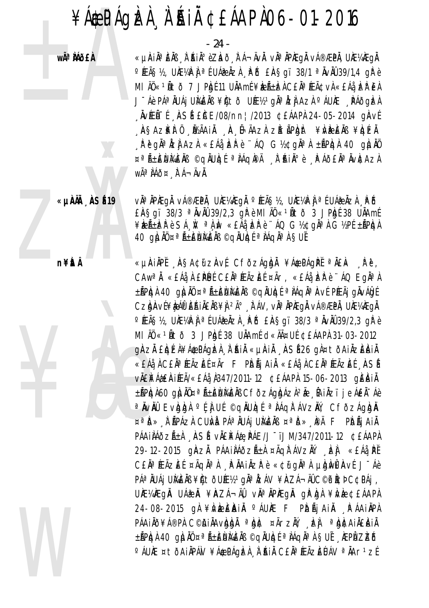- 24 -

wÃ<sup>a</sup> Mõ£À

«µÀIĂªÈÄß À ʿŔIĂºèZbõ 、lī Á¬ÄvĂ. vĂªĂPÆgĂ vÁ®ÆPĂ, UƼÆgĂ °ÆÃ޽, UƼPj ªÉUÁæÄzÀ "PÕ £ÄŞgï 38/1 ªÄvÄÛ39/1,4 gì è MI ÄÖ «<sup>1</sup>Ätõ 7 JPAJÉ 11 UÄAmÉ¥REıR CEÄ<sup>a</sup>ÆÃ¢vA «EÁå REA J Áè PÁª AUÁj UMEAB ¥Cto Uƽ1gAª AzA PÁUAE RAOGAZA  $\mu$ væð - í  $\mu$ Sí ECE/08/nn | /2013 ¢EÁAPA 24-05-2014 g $\mu$ ví ASAZIFA Ü IVÃAIA A G-ÄAZA ZIIrÃPIQIIt ¥IVIPIENS ¥IQIZI . P ë gha lizh Azi «£Aå, bzi è ∵AQ G½¢gha li ±APlgi 40 gluno ¤ªÃ±ÈÙŀAÈNB ©qŇUIqÉ ªNÁqì®Ä ¸N 'Aiñ°è ¸PÁð£ŇªŇvICAzA 

ǵˀÄ ÀSÉ19

vàªÄPÆqÅ vÁ®ÆPÅ, UƼÆqÅ °ÆÃ޽, UƼPÀ ªÉ UÁ@ÄZÀ , PŐ £AŞqï 38/3 <sup>a</sup> AvAÛ 39/2,3 qir è MI AÖ «<sup>1</sup>Ato 3 JPbt 38 UAAmf ¥EREEDPE SAN a A M «EAA EPE"AQ G12¢gAa A G12PE ±APRA 40 glill ¤ª Á±EllMEIB ©qÄUlgé ª IAqia i Sué

«µÀIÀPĚ AŞA¢ữZÀVÉ CFÕZÁQÀN ¥Á\$PÁQPĚ ªÄ£k Rě, CAW<sup>a</sup>ň «£Áå, À £PÚ f C£ŇaÆÃzÆ f¤Ãr, «£Áå, bz Pè '' ÁQ Egňa À ±ÃPICH 40 QILIN ¤ªÃ±ENMEIN ©QIULO ªIAQIªIAVE PÉEÃI QIVALO Czynu f¥ráf Eriåeäߥj <sup>2</sup>ð "À ÁV, vĪÄPÆgÅ vÁ®ÆPÄ, UƼÆgÅ <sup>o</sup> ÆÃ޽, UƼPÌ ªÉUÁæÄZÌ . PÕ £ÀŞqï 38/3 ªÄvÄÛ 39/2,3 gì è MI ÄÜ «1Ñtð 3 JPAJÍ 38 UNAMÍ d«ÄĤUÍ ¢EÁAPI 31-03-2012 ghzh Eigízi ¥á¢págizi "i "Rii «µiai" "IASÍ 26 gl¤tõAi IzEiniä «£Áå¸À C£Ăª ÆÃzÆÉ ¤Ãr F PbÃj AiÀ «£Áå¸À C£Ăª ÆÃzÈÉ ¸ÀSÍ vÄENFÁ AENIÉA/«EÁÅ, K347/2011-12 ¢EÁAPA 15-06-2013 QIENIÄ ±ÃPÌQÀ60 gìLIÀÖ¤ªÃ±ÈÙIXEÀB CFÒZÁgÌgÁZÀºÃ "fAIÀZï j eÁ£À-Áè ªÄvÄÛ EvIgIgi °Éj UÉ ©gÄUIgÉ ªÌÁgÌ ÁVzIIÝ, CfðzÁgIgI ¤ªb» NÄPÁZA CUMA PÁªÄUÁj UMEÄB ¤ªb» PÄ F PIOÃj AIÄ PÁAIÀÁÕZñÀ ASÍ vÄ£ì¥Á& PÁE/J~ïJM/347/2011-12 ¢£ÁAPÀ 29-12-2015 GÀZL PÁAILAÕZñL ¤ÃGLÁVZLI. EL «EÁL PE CEN<sup>a</sup> ÆÃZEE ¤ÃQN<sup>a</sup> A PNAINZPE «¢ij qna h phwenve J-Áè PÁª ÄUÁj UMÈÄB ¥ÙtÕUƽ1gĪ ÅZÁV ¥ÀZÁ¬ÄÛC©P À¢Þ C¢PÁj, UNEXNEQN UÁT NEVAZÁ-NŰ VNA NEDVEGN QTURA ¥NE ¢EÁAPN 24-08-2015 Q A¥NEERIN ºAURE F PIORJAIN PAAINPA PÁAIÄÕ¥Á®PÀ C©jAIÄAvbba ªbl ¤ÃrzĂ, El ªbl AIÄ£ÀIÄ ±ÃPIQÀ 40 QILIÀŬ ¤ªÃ±IELUMEÀB ©QIAUIQÉ ªIAQIÀªÀ SUÉ , IÆPI ZIZÕ O ÁUNE ¤ tÕAINPÁN ¥Á\$PÁGIZA À RIN CEN ª KEÃZIEUÁV ª NAr 1 ZÉ

**n¥itÂ**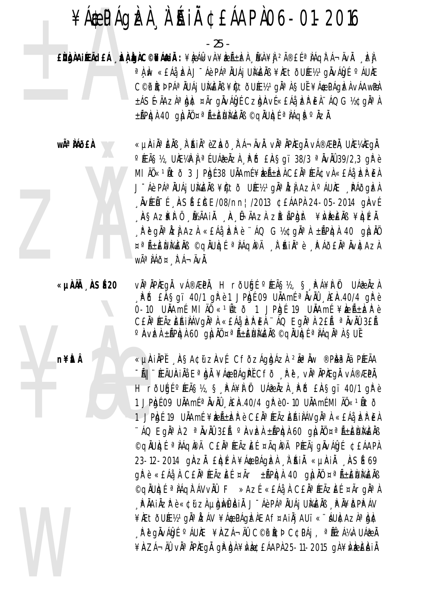#### ¥Á EPÁQIZI À A SAI CEÁAPA 06-01-2016

- 25 -

a A Av «EÁå EA J Áè PÁª AUÁj UMEAB ¥ÆtðUƽº gAvÁGt ºÁUÆ C©P ICD PÁª ÄUÁj UMEÄB ¥CtÕUƽ1gĪ A SUÍ¥Á\$PÁGIZA VÁAWPA ±ÁSÍ-ÄAZÀªÀ) E ¤ÃrgÄvÁÓJÉ CZÒJAVÉ «EÁå, ER EÀ '' ÁQ G½¢gĪÀ ±ÃPICH 40 QILINÜ ¤ªÃ±JENMENS ©QINUICÍ ª NÁQIS º NZI.

wê MÕ£À

**n¥itÂ** 

«µÀiĂªÈÄß À ʿŔiðèZbõ 、È Á¬ÄvĂ. vĂªĂPÆqÄ vÁ®ÆPÄ, UƼÆqÄ OÆÃS½, UƼPŇ ªÉUÁæŇZN PĎ EŇSQï 38/3 ªŇvŇĴ39/2,3 QPè MI ÄÖ«<sup>1</sup>Ätõ 3 JPAgÉ 38 UÄAmÉ¥AzıACEÄ<sup>a</sup>ÆÃ¢vÀ«EÁå ER EÀ J Áè PÁª AUÁj UMEAB ¥Cto Uƽ1gaª DZA AZA º ÁUÆ PÁÕGDZA  $\mu$ væð - í  $\mu$ Sí Elce/08/nn ¦ /2013 ¢ EÁAPA 24-05-2014 gaví ASAZIFA Ü ÜZAAIA A Ü ÄAZA ZIIrIPIQIIT ¥IVIPIEAB ¥IQIZI <sub>.</sub> P ĕ gh<sup>a</sup> lzj Azl «£Áå, k P è ∵ÁQ G½¢gh<sup>a</sup> l ±ÃPlql 40 glull0 ¤ªÑ±ÈÙŀAEÄB ©qÄUIqÉ ªIAqIPÄ "I:ÉIİè "PÁð£ÏªÄvICAzI WÃ<sup>a</sup> ÀÁÕ¤ À Á-ÄV**À**.

ǵˀ ÀSÉ20 vઠÀPAEQÀ vÁ®ÆPÀ, HrõUGÉ ºÆÃ޽, Ş, PÁ¥À Öt UÁ@ÀZÀ PD EASqi 40/1 qrè1 JPbt 09 UAAmt a NVAU AEA.40/4 qrè 0-10 UNAmE MI AO « 10to 1 JPhpE 19 UNAmE ¥bentber CEĂ<sup>a</sup> ÆÃZEAIAVQÄ<sup>a</sup> A «EÁa ER EA "ÁQ EQÄ<sup>a</sup> A 2EÃ a AVAU 3EÃ O AVE LAPGA 60 GILIN ¤ª ALEUMENS ©GIUGE ª IAGIª A SUE

> «µÀIẰPĚ 'À§A¢ữZÀvÉ CfðzÁgÀdÁzÌ <sup>2</sup>ĂªÄw ®PÀªÄä PÉEÃA <sup>-</sup>Ã|| ∵ÆÃUÀIÄå EªÀgĂ ¥Á\$PÁgPĚCfð ¸Àª, vĪÄPÆgÄ vÁ®ÆPĂ, H rõugí ºÆÃ޽, § PÁ¥Ì Öt UÁæÄzì PÕ EÀŞgï 40/1 gřè 1 JPhof 09 UNAmi <sup>a</sup> NvNU AEA.40/4 gP e 0-10 UNAmi MI AU «<sup>1</sup>Ato 1 JPRI 19 UÄAmE ¥RıRP è CEÄ<sup>a</sup> ÆÃZEAIAAVQĪA «EÁa EP EA "ÁQ EgÄ<sup>a</sup> A 2 ª ÄvÄÛ 3£Ã º AvIzA ±ÃPIGA 60 gILIAÜ ¤ª ñENIGEAB ©aiubí alágia CELa Fázieí ¤Ãgia Preãi givábí ¢ EÁAPA 23-12-2014 GIAZI EIGEL ¥Á&PÁGEL L'ÍRIL «µRIL ASÍ 69 gì è «EÁå À CEÀ<sup>a</sup> ÆÃZEE ¤Ãr ±ÃPhgÀ 40 gluÀO ¤ª ñENMEÀB ©qiulgí a lági ávviu F »Azí «£Áå a C£ia ÆÃzi Ef ¤Ãrgia a . P NAINZP è «¢ữ zh µh) wênin J - Áè PÁª NUÁj UMÈNB . P N¥ISPP ÁV ¥ÆtðUƽ1gĪÅZÁV¥ÁÆPÁgÌZÀEAf¤AiÅjAU﫨ÁUÀCAZÀªÀDÀC , Ρ ĕ gĂvÁGUÉ °ÁUÆ ¥AZÁ¬ÄÛ C©t Ì¢Þ C¢PÁj, ª ĹÉzÁ¼À UÁ₹À ¥AZÁ¬ÄŨvÀªÄPÆQÄ gP bJA¥WE¢EÁAPA 25-11-2015 gA¥WEEAIÄ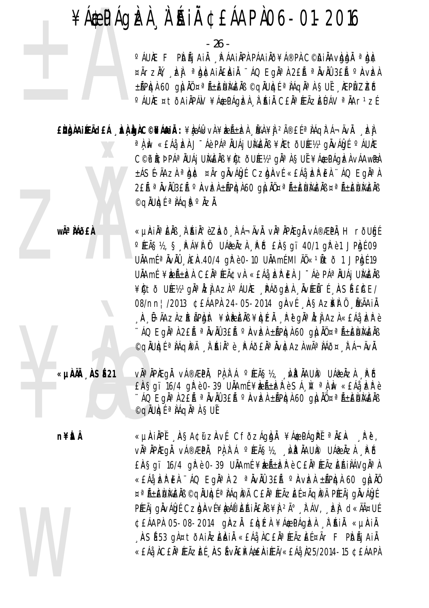- 26 -

°ÁUÆ F PIOÃj AII APÁAINPA PÁAINO¥Á®PA C©iAINAvIgIon ªIght ¤ÃrzŇ, La ªbitainenin 'AO Egnan 2ER ªnviu 3ER ºnvizh ±ÃPIQÀ 60 giui ¤ªÃ±EUMEÀB ©qiulqé ªiáqiaªà §ué , kepi zizõ O ÁUNE ¤ tÕAINPÁN ¥Á\$PÁGIZA À RIN CEN ª REÃZIEUÁV ª NAr 1 ZE

 $\mathbf{E}$ Dànair ndeá , bà bàc©báain : \e Alevà $\mathbf{E}$ a  $\mathbf{E}$ h , ba $\mathbf{E}$  , ba  $\mathbf{E}$ a À Àv «EÁå ÈÀ J Āè PÁª ÄUÁj UÀÆÄߥÆtÕUƽºqÄ∨ÁĠqÉ ºÁUÆ C©P I¢Þ PÁª ÄUÁj UMEÄB ¥Èt ðUƽ1 gĪ Á SUÍ ¥ÁÆPÁGIZÁ VÁAWRA ±ÁSÍ-ÄAZÀ <sup>a</sup> bì¢ ¤ÃrgÄvÁbí CzbÀví «£Áå bèi EÀ ''ÁQ EgĪÀ 2Eà ª ÀVÀÛ3Eà º AVER±ÃPICR60 GILIÃO ¤ª Á±ENIGEÀB ¤ª Á±ENIGEÀB ©gÄUIgÉ <sup>a</sup> IÁgis**·** IzI.

wê MÕFÀ

«µÀIĂªÈÄß À ʿÁIĂºèZÀð 、̯Á¬ÄvĂ. vĂªĂPÀEgĂ vÁ®ÆPĂ, H rðUģÉ O ÆÃS½, S PA¥I Öt UÁZI AZI PO EASO, 40/1 OP è 1 JP O E UÄAmÉ  $a$   $\lambda$ v $\lambda$ Ü  $\lambda$  LE $\lambda$  40/4 g  $R$  è 0-10 U $\lambda$ AmÉ MI  $\lambda$ Ü «  $\lambda$  10 to 1 JPh E 19 UÄAmÉ ¥ÈıÈZÀ CEĤÉEâvÀ «EÁå ÈZPEÀ J-Áè PÁªÄUÁj UÄAÈÄB ¥Cto Uƽ1giªIzi AziºÁUÆ PÁðgizi IvÆI-1 ASI ECE/ 08/nn | /2013 CEÁAPÀ 24-05-2014 gÀVÉ ASAZ¥À Ü ÜZÄAIÄ ¸À¸Î⊢ÄAzl zIrÃPIglit ¥IVIR EĂB ¥IqÉÄ ¸l? ĕ gilªlej Azl «£Áå¸lel? è  $\pm$ ÁQ Egă $^{\circ}$ à 2£Ã  $^{\circ}$ àvàû 3£Ã  $^{\circ}$ àvèà $_{\pm}$ ãPca 60 gìjàŭ ¤ $^{\circ}$ ã $_{\pm}$ èù)à{èàß ©qÄUIqÉ <sup>a</sup> IAqIPÄ A BIA°è RAÕEIA AVICAZI Wê IAÕ¤ RÁ¬ÄVI.

ǵˀ ASÉ21

vઠÀPAEqà vá®ÆPÀ, PÀ À Á ºÆÃS½, "WP ÀAUP UÁ@ÀZÀ "PÕ  $E$ ASgï 16/4 gřè 0-39 UÄAmÉ ¥æÃ±berè SÁ N a A M «EÁå berè ∵ÁQ EgĪÀ2£Ã ªĂ∨ĂÛ3£Ã ºÀVÈÀ±ÃPÈGÀ60 gÌJĂܤªÁ±ÈÙ}¼ÈÀß ©qÄUIqÉ <sup>a</sup> IAqIa i SUE

**n¥itÂ** 

«µÀIAPĚ ASA¢űzAvÉ CfðzÁgha ¥Á¢PÁgPĚ ªÄ£k Rě, vઠÀPAEqà vá®ÆPÀ, PÀ À Á ºÆÃS½, "Wª ÀAUP UÁ@ÀZÀ "PÕ EASqï 16/4 qrè 0-39 UAAmE ¥bentere è CEA<sup>a</sup> FEAZEAIAAVqaal «£Áå, beir EA '' ÁQ EgĤÀ 2 ªÄvÄÜ 3£Ã ºÄvbei ±ÃPiqi 60 giunö ¤ªÑ±ÈÙЍÆÀB ©QÀUÀQÉ ªÀÁQÌ®À C£ÀªÆÃZÈÉ ¤ÃQÌ®À PÆÃj QÀVÁÍQÉ PÉEÃI QIN AUSÉ CZURNÉ ¥I AP EAIREAS ¥I 2ú FÁV, EL d«HäUÉ ¢£ÁAPÀ 05-08-2014 gÀZĂ £ÌQÉZÀ¥Á\$PÁGÈZÀ À ÁIÄ «µÀIÄ "ÀSÍ 53 gì¤tðAilizEAII «EÁå ICEI¤ÆĀzEE¤Ãr F PIDĀJ AII «EÁå ÀCEĂªÆÃZEÉ ASÍ vÄENÁÆÀIÆÃ/«EÁå N25/2014-15 ¢EÁAPÀ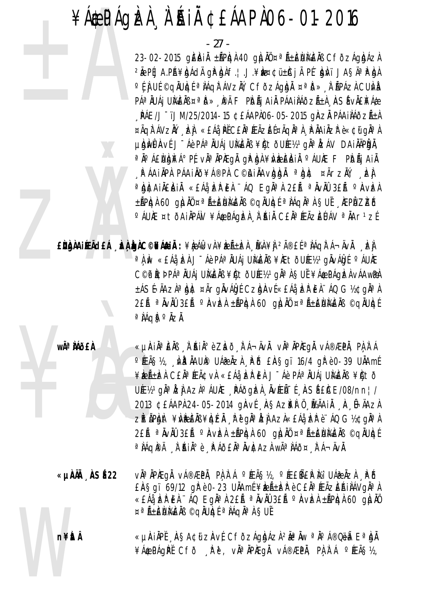#### ¥ÁÆPÁGÈÀ À`ÉAIÀ ¢£ÁAPÀ 06-01-2016

-<br>27 -<br>23-02-2015 gÈÀiÀ ±ÁPÌ<br>2Å PĹJA.PÁ¥ÀdÀ gÈÀN<br>6 °Ĺ,j UĹ©qÄUhqÉ ª ÀÁqh Á\<br>PÁªÄUÁj UÌAÈÄߤªð», P<br>,PÁE/J ¯ïJM/25/2014-15<br>¤Ãqh ÁVZĂY , kej «EÁà, Pť  $23-02-2015$  gèài  $\pm$ ếpìgh 40 gì hồ ¤<sup>a</sup> Á $\pm$ ênhà En Cfðzághazh <sup>2</sup>Ă PÉJA.PÁ¥ÀgÁdÄ gÀ<sup>p</sup>ÀgÀ f.¦.J.¥Àw¤¢ü±ÀCjà PÉ``ÀgÀvï JA§ÄªÀªÀgÀ °ÉÀ UÉ ©QÄUÀqÉ ªÀÁQÀ¯ÁVZĂÝ, CfðzÁgÀdĂ ¤ªð» À ÁPÁZÀ CUÀvÀ PÁªÀUÁj UÀ¥ÈÀB ¤ªð»¸À¤ F PIdÃj AiÀ PÁAiÀÁðzÁ±À¸ÀSÍ vÀ£I¥Áæ  $\hat{P}$ ŘÁE/J $^{-}$ ïJM/25/2014-15 ¢£ÁAPÀ06-05-2015 gÀ $\overline{A}$ À PÁAi $\hat{A}$ ð $\overline{A}$ ¤ÃqÈÁVzĂÝ, ÈÀ «£Áå, PĚC£ĂªÆÃzÈɤÃqĂªÀ, PÄAiÅZPè«¢ü gĂªÀ µÀGÀWÊÀN Ú J¯Áè PÁª ÄUÁj UÀ¼ÈÄß ¥ÈtðUɽºqĪÅZÁV DAIÄÄPÀJÄ, <sup>a</sup>ˡÁ£ÙIQI¥Á°PÉ, vĂªÄPAEGÀ gÀPLIAÀ¥ÀVEZELAIÄ °ÁUAE FPIOÃjAIÄ <sub>"</sub>PÁAI ÀPÁ PÁAI ÀÕ¥Á®PÀ C© AI ÀAv Àg Àu ¤ÃrzĂÝ, "Þ] <sup>a</sup>À)¢AI ÀÈÀÌÄ «£Áå, ÞREÀ ¨ÁQ EgĪÀ 2£Ã ªÄvÄÛ 3£Ã ºÀVÞA ±ÃPÀqÀ 60 gÀJĂÜ ¤ªÃ±ÈÙÀ&ÈÄB ©qĂUÀqÉ ªÀÁqĂªÀ §UÉ ¸ÀEPÌ ZÌZŐ °ÁUÆ ¤tðAiÄPÁN¥ÁÆPÁGÞA, À`ÁIÄ C£ÄªÆÃZÈÚÁV ªÄAr1zÉ

z<br>Zavedni završil<br>Završil<br>Završil<br>Završil<br>Završil<br>Završil<br>Završil<br>Završil<br>Završil<br>Završil<br>Završil<br>Završil<br>Završil<br>Završil<br>Završil<br>Završil<br>Završil<br>Završil<br>Završil<br>Završil<br>Završil<br>Završil<br>Završil<br>Završil<br>Završil<br>Završil<br>Zavr **£ÙÀÀAIÆÃd£Á ¸ÈÀÀGÀC©¥Á&IĂ:** ¥ÈÁkvÀ¥ÈÆÃ±ÈÀ ¸Ŭ¼À¥Ì, <sup>2</sup>î£É ªÀÁq̯Á¬ÄvÄ. ¸È] <sup>a</sup>À, Àv «£Áå, ÀzÀ J¯Áè PÁªÄUÁj UÀ¼ÈÄß ¥ÄEtðUƽºqÄ∨ÁÔgÉ. ºÁUÀE. C©P ÀCÞ PÁª ÄUÁj UÀ¼ÈÄB¥ÙtðUƽ1gĪÀ ŞUÍ¥Á\$PÁgÌZÀ vÁAwRÀ ±ÁSÍÄAzÀªÀȤÃrgÄvÁÓdÉ CzÒÀVÉ «£Áå,ÀÈRÈÀ ¨ÁQ G½¢gĂªÀ 2£Ã ªÀVÀÛ 3£Ã °ÀVÈÀ ±ÃPÀQÀ 60 gÌUÀÜ ¤ªÃ±ÈÙMÀÈÀB ©qÀUÀqÉ <sup>a</sup>ÀÁqi§<sup>o</sup>ÀzÀ.

Wê MÕ

**wã<sup>a</sup> Àáð£À** «µÀiĂªÈÄß ¸À˙ÂiĂºèZbð¸ÀTÁ¬ÄvÄ. vĂªÄPÆgÅ vÁ®ÆPÅ, PÀ¸À˙Á  $^{\circ}$ ÆÃ§½, "MªÄAUI® UÁæÄzÀ PÕ £À§gï 16/4 gì°è 0-39 UÄAmÉ ¥ÈÆÄ±ÈÀ C£ĂªÆÃ¢vÀ «£Áå, ÈÀ Đà LÌ PÁªÀUÁjUÀ¼ÈÀB ¥Ùtð UÉL½<sup>1</sup>gÀªÀzÌAzÀ°ÁUÀE PÁðgÌzÀ ÄvÉÑŤÍ ASÍEÙE/08/nn¦/ 2013 ¢£ÁAPÀ 24-05-2014 gÀvÉ "À§Az¥À Ö "ϽÃAi À "Î⊢ÄAzÀ zÀrÃPÀ)At ¥À/ÈLÄB¥ÀqÉÀ ĮŘĕgĂªÀzÌAzÀ«£Áå,Àzhè¨ÁQ G½¢gĂªÀ 2£Ã ªÀVÀÛ 3£Ã ºÀVEÀ ±ÃPÀQÀ 60 gÌ LÀÜ ¤ªÃ±ÈÙMÀÈÀB ©qÀUÀqÉ <sup>a</sup>ÀÁqÌ®Ä ¸À¨ÅìŰè ¸ÌºÁð£ĂªÄvÌ¢AzÀ wêÀÁð¤¸Ì¯Á¬ÄvÄ.

n¥ita **«µÀAÄ ÀÄ ¸ÀASÉå 22** vÀĪÀÄPÀÆgÀÄ vÁ®ÆèPÀÄ, PÀ¸À¨Á ºÉÆÃ§½, ºÉÆ£ÉßãÀºÀ½î UÁæªÀÄzÀ ¸ÀªÉð £À§gï 69/12 gkè 0-23 UAAm E¥kenEkekè C£ karakan Kana Ai «£Áå¸Èk̰ÈÀ ¨ÃQ EgĂªÀ 2£Ã ªĂvĂÛ 3£Ã ºÀVÈÀ ±ÃPÀqÀ 60 gÀµÀÜ ¤ªÑ±ÈÙMÈÄB ©qÄUk¤É ªÀÁqĪÀ §UĚ

**n¥ÈÅ** «µÀiÅPĚ , ÀSA¢ü zÀvÉ CfðzÁgÀgÁzÀ <sup>2</sup>êÀw ªÀ°Á®QëÄ EªÀdÀ ¥ÁÆPÁGPĚ CFð ÅP. vĪÄPÆgÄ vÁ®ÆPÄ, PAÀ`Á ºÉÆÃ§½,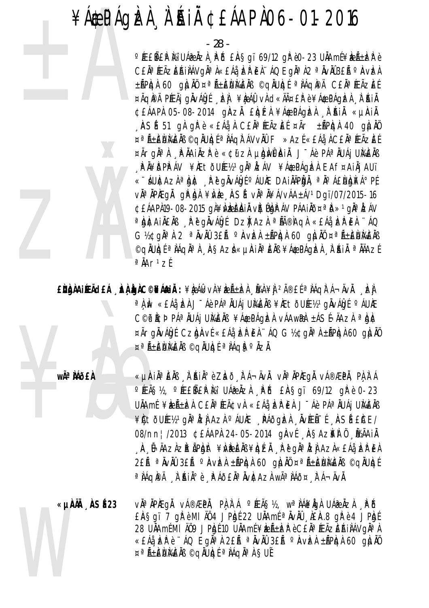$-28$  -

O ÆEÑEP Vai UÁR NZA, P O EAS qu 69/12 q Pè0-23 UNA mÉ¥REѱR è C£ĂªÆÃZĒŔIÀÁVgĂªÀ«£Áå¸ÞRÆÀ∵ÁQ EgĪÀ2 ªĂvÄÛ3£Ã °AvÞA ±ÃPIGA 60 GILIAŬ ¤ªÃ±ENIGEAB ©GIULIO ª AAGIPA CEAªÆÃZEE ¤ÃQIPÄ PÉEÃI QINALOIÉ LEI ¥LE ÁLI VI d«ÄäEIP è ¥ÁQEPÁQIEA À ÉNIA ¢£ÁAPÀ 05-08-2014 gÀZĂ £ÌqÉZÀ¥Á\$PÁgÌZÀ ÅĤIÄ «µÀIĂ ASÍ 51 gÀ gir è «EÁà À CEÀ<sup>a</sup> FEÃZEE ¤Ãr ±ÃPIGÀ 40 gILINO ¤ªÑ±ENMEÑS ©qŇUkqɪÑÁqÑ ÁVvŇÛ F »AzÉ «EÁå À CEŇªÆÃZEÉ ¤Ãrgha) Franize è «¢üzi phwêni J-áè Páaluáj Umèns A A¥DPPAV ¥ÆtðUƽ1gĪÅZÁV ¥Á\$PÁgÌZA EAf¤AiÄjAUï ǬÁUÆAZÀªÀÈ È PPQÄVÁÔLÉ QÁUÆ DAIÄÄPÌDÀ, ªÄ QÁ£ÙIQN4Áº PÉ vàªÄPÆqå qèba¥vè ASÉ vàªÄ¥Á/vÁA±Á/1Dqï/07/2015-16 ¢£ÁAPÀ19-08-2015 gÀ¥NEEAIÄ vÀ¦PAR ÁV PÁAIÄÕ¤ªD»1 gĪNZÁV <sup>a</sup> bhcaineas ar e ghvári Dzi Aza <sup>a</sup> hã®hga «Eáa bar Ea '' ÁQ  $G$ ½¢gha) 2 a nvil 3£ñ  $\circ$ nviz) ±ñPig) 60 gli va a ñ±Elumeñs ©qäulgé a iáqäa i "Asazi «µAiäa Eiß ¥á¢páglzi "i 'Aiä a iäazé  $a \angle A r^1 z$ 

 $\mathbf{E}$ ìngàair Ách cho là cho chánh : $\mathcal{L}$ h, án  $\mathcal{L}$ h, ín  $\mathcal{L}$ h,  $\mathcal{L}$ h,  $\mathcal{L}$ h,  $\mathcal{L}$ h,  $\mathcal{L}$ h,  $\mathcal{L}$ h,  $\mathcal{L}$ h,  $\mathcal{L}$ h,  $\mathcal{L}$ h,  $\mathcal{L}$ h,  $\mathcal{L}$ h,  $\mathcal{L}$ h,  $\mathcal{L}$ h,  $\mathcal{L}$ h, a À Àv « £Áå LEÀ J - Áè PÁª ÄUÁj UMAEÄB ¥Æ tÕUƽ 1 gÄ∨Á∯É º ÁUÆ C©P ICD PÁª IUÁJ UMEIB ¥Á¢PÁGIZI VÁAWRI ±ÁSÍ-ÄAZI ª IGIC ¤ÃrgĂvÁbú CzbAví «EÁå, ER EA "ÁQ G½¢gĪÀ±ÃPbdÀ60 gluAÖ ¤ªÑ±ÈÙMÈÑS ©qĂUIqÉ ª IÁqI§ºÄZĂ.

wê MÕ£À

«µÀIẰªÈÄß À ʿŔIĂºè Zhõ 、┟`Á¬ÄvÄ. vĂªĂPÆgÄ vÁ®ÆPĂ, PÀ À ʿÁ OFEÃS12, OFEEÑERIZI UÁRIZA RO EASQI 69/12 QRè 0-23 UÄAmÉ ¥ÈıÈZÀ CEÄ<sup>¤</sup>ÉEâvÀ «EÁå ÈZPEÀ J<sup>-</sup>Áè PÁªÄUÁj UÄAÈÄB ¥ÇtõUƽºgĪÀzÌAz̺ÁUÆ RÁðgÌzÀ ÅVÆĨI-É ASÍ EICE/ 08/nn | /2013 CEÁAPÀ 24-05-2014 gÀVE ASAZIFÀ Ö IVÃAIÀ , À , Ô-ÄAZÀ ZII rÃPIQIII: ¥IVIP EINS ¥IQÉZII, À ĕ QII ª IZI AZÀ «EÁå, IZI? EÀ 2Eà ª ÀVÀÛ 3Eà º AVEA ±ÃPICA 60 QILIAŬ ¤ª ñEUMEAB ©QILUICI a NAQIPÄ N'INIO È PAJENA NURAZI WÄANAJ¤ FA-AVÄ.

vàªÀPÆQÅ vÁ®ÆPÅ, PAÀ`Á °ÆÃ޽, wªÀÁ¥ÅQÀ UÁ@ÀZÀ PÕ ǵˀ ÀSÉ23 EAS gï 7 ghè MI A04 JPh 122 UAA mé a NVAO LAEA.8 ghè 4 JPh 1 28 UNAmEMI AU9 JP by 10 UNAmE ¥ bent e CEN ª FEAZERINAV GN ª A «EÁå, ER è ''ÁQ Eqñ<sup>a</sup> à 2Eà ª ÀvÀÛ 3Eà º AvEA ±ÃPIQA 60 QILAŬ ¤ªÑ±ÈNMEN ©qNUgéªNAqNªN SUE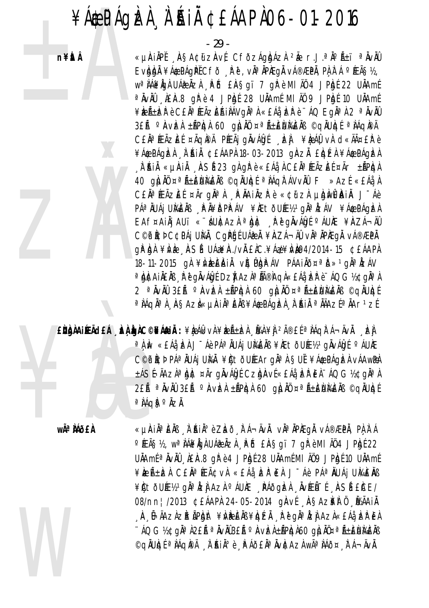#### ¥ÁÆPÁGÈLA À ÁLA ¢EÁAPA06-01-2016

- 29 -

n¥itÂ

«µAIÄPĚ ASA¢űzAvÉ CFÕzÁgÀdÁzÀ 2Ă r.J.ªÄºÃ±ï ªÄvÄÛ EVIDIN ¥ÁOPÁGPI CFO RU, VIA APAEGA VÁ®ÆPA, PA A A PÉAS12, W<sup>a</sup> LA¥ LOLA LA LA LA LA LA SQI 7 QR è MI A0 4 JP LOL 22 ULLAME <sup>a</sup> ÄvÄÜ AEA.8 q Pè 4 JPA 1 28 UAA m E MI A 0 9 JPA 10 UAA m E ¥EıER è CEÄ<sup>¤</sup>ÆÃZEŔIÀÁVQĪÀ «£Áå ER è ¨ÁQ EqĪÀ 2 ªÄvÄÛ 3Eà PAVER ±ÃPIGA 60 GILIAU ¤ªÃ±EUMEAB ©GAUIGE ª AÁGIPA CEN<sup>a</sup> FEÃZE E ¤ÃQIPA PFEÃJ GINVALOS LEI ¥LAU VA CI «AäEIP è ¥Á\$PÁQIZI À AJI ¢EÁAPI 18-03-2013 QIAZI EIQIZI ¥Á\$PÁQIZI "À "RIA «µRIA "ASÉ 23 gÀ gì" è «£Áå À C£Ăª ÆÃZEE ¤Ãr ±ÃPIqÀ 40 glulü ¤<sup>a</sup> A±Elumelis ©glulde alaglavviü F »Aze «EA1) CEN<sup>a</sup> ÆÃZEE ¤ÃrgNa) PNAINZP è «¢ữ zh µhwênin J-Áè P绀UÁjUMÈÄB RÄ¥DPRÁV¥ÆtÕUƽ1gĪÅZÁV¥Á\$PÁgÌZA EAf¤AiljAUï «¨ áUltazl ª blt ReglivAbj º áUlt ¥AZÁ-ÄÛ C©P I¢Þ C¢PÁj UMÄ, CgPGE UÁ@ Ä ¥AZÁ¬ÄŪ vĪÄPÆGÄ vÁ®ÆPÄ 18-11-2015 gì ¥ivizieini vì Pigi AV Páaino¤<sup>a</sup>id»<sup>1</sup>giaizáv a bhcainear regivailte Dzi Azia ha ag acha e a cha cha Ghadai 2 <sup>a</sup> ÄvÄÜ 3Eà <sup>o</sup> ÄvIzA ±ÃPIGA 60 g|uĂÜ ¤<sup>a</sup> ñENIAEÄB ©qÄUIGE a IÁQÄa I. ASAZI«UAIÄa EÄB ¥Á\$PÁQIZI. I AIÄ a ÄÄAZÉAÄAr 1 ZÉ

EÙÙÀAIÆÃdEÁ LÀ LA C©¥Á&IÄ : ¥L ÁL vÀ ¥L ñLA LA ¥Ì <sup>2î</sup>EÍ ª LÁQL Á¬ÄVÄ. LA a À Àv «£Áå, ÌzÀ JīÁè PÁª ÄUÁj U̼ÈÄß ¥ÌÆtÕUƽºqÄ∨ÁÍdÉ ºÁUÌÆ C©P ACÞ PÁª ÄUÁj UMÄ ¥ÇtðUÆArgĪ A SUÍ ¥Á@PÁGJEA vÁAwRA ±ÁSÍ-ÄAZÀªÀ) E ¤ÃrgĂvÁÓgÉ CZÒJÀVÉ «£Áå, ER EÀ 1140 G½¢gĂªÀ 2Eà <sup>a</sup> NVAU 3Eà <sup>o</sup> AVEA ±ÃPICA 60 gIUNU ¤ <sup>a</sup> ñEUMENS © gIUICIE  $A \triangle A$   $\triangle A$   $\triangle A$ 

wê MÕ£À

«µÀIĂªÈÄß À ÁIĂªè Zhõ FÁ¬ÄvÄ. vĂªÄPÆqÄ vÁ®ÆPÄ, PÀ À Á <sup>O</sup> ÆÃS½, w<sup>a</sup> NÁ¥IgI UÁZ NZI N BÓ ENS GI 7 gR è MI AÜ 4 JP IgE 22 UÄAmÉ<sup>a</sup> ÄvÄÜ AEA.8 grè 4 JPAgé 28 UÄAmÉMI AÜ9 JPAgé 10 UÄAmÉ ¥ÈZñÈZÀ CE ĤÉTâvÀ «EÁå EZP EÀ J Áè PÁªÄUÁj UMÈÄB ¥¢tõUƽ1gĪÅzÌAzÀºÁUÆ PÁÕgÌZÀ ÅVÆĨÍ ASÍ EICE/ 08/nn | /2013 CEÁAPÀ 24-05-2014 gÀvÍ "ÀSAZ¥À Ö "ÏVÃAIÀ , A , G-ÄAzAzIrÃPIQAt ¥iVIP EĂB ¥IQÉÄ , P ĕ giठÎzij AzA «EÁå, IzP EÀ ∵ÁQ G½¢gĂª) 2£Ã ªÄvÄÛ3£Ã ºÀvÈ}±ÃPIQ}60 g|uÄŬ¤ªÃ±EN}4EÄß ©qÄUIqÉ ª IAqIPÄ A BIAº è PAÕEI¤ ÄVICAZI Wê IAÕ¤ FA¬ÄVI.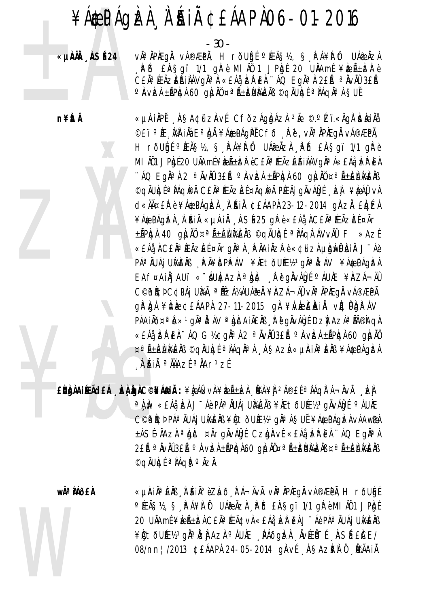- 30 -

ǵˀ ÀSÉ24

vàªÀPÆgÅ vÁ®ÆPÀ, HrðUģÉ ºÆÃ޽, Ş PÁ¥À Öt UÁ@ÀZA PD EASqi 1/1 qPèMI A0 1 JPb 20 UNAmE ¥bent ber CEĂ<sup>a</sup> ÆÃZEŘINÁVON<sup>a</sup> A «EÁA ER EA "ÁQ EON<sup>a</sup> A 2EA <sup>a</sup> NVAU 3EA O AVE LAPCA 60 GILIN ¤ ALEUMEN OGIULI ALGIA SUL

n¥ÈÂ



«µÀIÀPĚ ASA¢űzAvÉ CFÕZÁgÀDÁZÀ 2à ©.ºZï.«ÃgÀ EÀIÀi ©£ï°Æ MAHÀå EªNÀ ¥Á\$PÁgPĚCfð Rě, vĪÄPÆgÅ vÁ®ÆPÄ, H rõugí Pízãs½, s Pá¥ì üt uáæizì Píð Einsgï 1/1 girè MI ÄÖ1 JPD(20 UÄAmE¥DıDZP èCEĪÆÃZEAIÀAVQĪÀ«EÁå DZP EÀ ∵ÁQ EgĪ) 2 ªÄvÄÛ 3£Ã °Äv)zÀ ±ÃP}q} 60 g)jÄÜ ¤ªÃ±ÈÙ}AEÄß ©qüulgéª láqipä C£ lª feãz léé¤ãqipä Pfeãj gliválgé "Lej ¥leálį vi d«ÄĤEIPè¥Á\$EPÁQIEA À AIA ¢EÁAPA 23-12-2014 gAZI EIQEZA ¥Á¢PÁGIZI LI KIL «µILIL LISÉ 25 GIR è «£Áå LCEI¤ÆÃZIEE ¤Ãr ±ÃPICH 40 QILIAÏ ¤ªÃ±ENIKEIN ©QILUICIÍ ªIAQITÁVVIÙ F »AZÍ «£Áå À C£Ăª ÆÃZĒÉ ¤ÃrqĂª À , PĂAIĂZP è «¢ü zÀ µbhnÊÀIĂ J¯Áè P绀UÁjUMÈÄB ŘIVEDPPÁV ¥MEtÕUƽ1gĪÅZÁV ¥Á\$PÁgÌZA EAf¤AiljAUï «¨ áUltazl ª blt ReglivAbj º áUlt ¥AZÁ-ÄÛ C©P Ì¢Þ C¢PÁj UMÄ, ª ÍlzÁ¼ÀUÁ? À ¥ÀZÁ¬ÄQ vÀª ÄPÀEqÄ vÁ®ÆPÄ PÁAIÄð¤ªD»1gĪÀZÁV ªbÀCAIÄEÄB RěgÄvÁÖQÉDZĬJAZÀªÄîAqÀ «EÁå ÞER EÀ ''ÁQ G½¢gĪÀ 2 ªÄvÄÛ 3£Ã °ÀvÞEÀ ±ÃPÞOÀ 60 GILIÀÜ ¤ªÃ±ÊNMEN ©QNUQɪNÁQNªN AŞAZI «µAINªÈNS ¥Á\$PÁQIZI A'AIA <sup>a</sup> AAzí <sup>a</sup> AAr<sup>1</sup>zí

ENDAILLACEA LA COFÁRIA : ¥R ÁK VÀ ¥RñDA NA ¥J 2îEL ª JÁQIT Á¬ÄVÀ. EL a À Àv «EÁå ÈÀ J Āè PÁª ÄUÁj UÀAÈÄߥÆtÕUƽ1 gÄ∨ÁÛgÉ ºÁUÆ C©P I¢Þ PÁª ÄUÁj UMEÄB ¥Lt ðUƽ1gĪ Á SUÍ ¥ÁÆPÁGIZÁ VÁAWRA ±ÁSÍ-ÄAZÀ <sup>a</sup> bì¢ ¤ÃrgivÁbí CzbiAví «£Áå bèi £À ¨ÁQ EgiaÀ 2Eà ª ÀVÀÛ3Eà º AVER±ÃPICR60 QILIÃO ¤ª ñENIGEÀB ¤ª ñENIGEÀB ©gÄUIgÉ <sup>a</sup> IÁgis**·** IzI.

wêÀÁð£À «µÀIĂªÈÄB À ʿÁIĂºèZÀð 、È Á¬ÄvĂ. vĂªĂPÆqĂ vÁ®ÆPĂ, H rðUģÉ O ÆÃS½, S PA¥I Ot UÁPIZI PÕ EASqï 1/1 grèmi A01 JPQE 20 UNAMÉ¥RÉLEL CEN¤ FEâvA «EÁA, ER EA J - Aè PÁ¤NUÁJ UNAENB ¥¢tõUƽ1gĪÅzÌAzÀºÁUÆ RÁðgÌzÀ ÅVÆĨÍ ASÍ EICE/ 08/nn | /2013 CEÁAPÀ 24-05-2014 gÀvÉ ÀSAZ¥À Ö ÜZÄAIÄ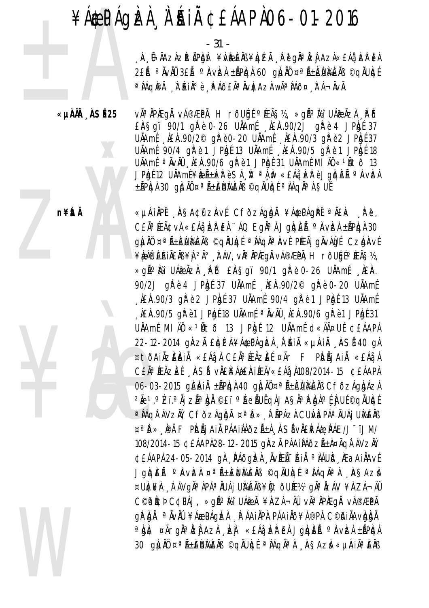- 31 -

. À Ú-ÄAZAZIrÃPIQII: ¥IVIPIEINS ¥IQIEI RU OJI¤ IZI AZA«EÁå IZIPIEA 2Eà <sup>a</sup> NVAU 3Eà <sup>o</sup> AVEA ±ÃPICA 60 gIUNU ¤ªÃ±EUMENS © GIUICIE a NAQIPÄ NI ININ PAJATA KOLIA NI ANDURA NAJATA NI A

ǵˀ ÀSÉ25 vì®ìPìEqì vá®ÆPì, H rõUþt ºÆÃS½, »qãºÌ⁄ài UÁ@ÌZì . Pið EAS aï 90/1 al è 0-26 UNAmi AEA.90/2J al è 4 JPbi 37 UÄAmE LEA.90/2<sup>©</sup> al<sup>p</sup> è 0-20 UÄAmE LEA.90/3 alp è 2 JPade 37 UÄAmi: 90/4 gire 1 JPkgi 13 UÄAmi: AEA.90/5 gire 1 JPkgi 18 UÄAmf<sup>a</sup> ÄvÄÜ AEA.90/6 grè1 JPhjf 31 UÄAmf MI ÄÜ «1Ätõ 13  $J$ Prof 12 Unamé¥réter è Sá  $N$   $^{\circ}$ n «Eáa er è Jordeñ  $^{\circ}$ nvea  $\pm$ ÃPICH 30 QILIN ¤ªÃ $\pm$ ÈNIKEIB ©QINUICÍ ªIÁQIAªI SUÍ

n¥itÂ

«µÀIÀPĚ AŞA¢ữZÀVÉ CFÕZÁQÀN ¥Á\$PÁQPĚ ªÄ£k Rě, CEN<sup>a</sup> FEÃC VÀ «EÁ» EA "ÁQ EGN<sup>a</sup> A JORDEA <sup>O</sup> AVEA ±APRO A 30 glin ¤ª Á±ElikaEAB ©gäulgé ª AÁgäª Avé PÉEÃj gäválgé CzIgiAvé ¥ÀÁP EÁIÀEÀB ¥À 2ð À ÁV, vÀªÀPÀEQÀ vÁ®ÆPÀ, H rðU6ͰÆÃS½, » gho Mi UAR Az A PD EASgi 90/1 g Pè 0-26 UAA mf AEA. 90/2J gřě 4 JP.br 57 UAAmf LEA.90/2<sup>©</sup> gřě 0-20 UAAmf LAEAR.90/3 g/P è 2 JP.by f 37 UAAm f 90/4 g/P è 1 JP.by f 13 UAAm f LEA.90/5 gPe1 JPb(18 UAAm(aVA) LEA.90/6 gPe1 JPb(31 UÄAmÍ MI ÄÜ «1Űtð 13 JPhjí 12 UÄAmÍ d«ÄĤUÍ ¢EÁAPÀ 22-12-2014 ginzi Elgízi ¥á¢págizi , i éli «ulai , así 40 gi ¤tðAiÄzEAIÄ «EÁå À CEĪÆÃzEÍ ¤Ãr F PbÁjAIÄ «EÁå À CEÄ<sup>®</sup>FEÃZEÍ ASÍ VILLPÁ AENIFEÃ/«EÁA Nº 108/2014-15 ¢EÁAPA 06-03-2015 GEAIA ±APIGA 40 GILIA ¤ªA±ENMEAB CFOZÁGIGÁZA 2Å 1.ºZï.ªÅj zÁªbÀ ©£ï ºÁeÁUËqÀJAŞÄªPbÀºĹÀ UÉ©qÅUbÉ a NÁGIT ÁVZIN, CFÖZÁGIDI ¤a D» N ÁPÁZI CUM PÁP NUÁJ UMENB ¤ªĎ» PÅ F PIDÃJ AIÀ PÁAILÁÕZñÀ ASÍ VILLIFÁ& PÁE/J¯ïJM/ 108/2014-15 ¢£ÁAPÀ28-12-2015 gÄZĂ PÁAIÀÁðZñÀ¤ÃGĀ ÁVZŇ ¢£ÁAPÀ 24-05-2014 gì PÁðgÞzA NVÆÑ - AIN a LAUD MEaAILAVE JODEÄ AVEN ¤ªÄ±ENMEN ©ONUDI ªNÁQNªN ASAZI ¤UNCIKIL AVQNa APAA AUAI UNAEAB ¥CtÕUƽ1gNa NZAV ¥AZÁ¬ÄÛ C©P ICD C¢PÁj, »qú Mi UÁR À ¥ÀZÁ¬ÄQ vĂª ÄPÆqÄ vÁ®ÆPÄ qp di a iviù ¥á&páqizi páainpi páainð¥á®pi c©hinavidia a bit ¤Ãrgia izi Azi Ei «EÁa EFEA Jolgeã a NVEA ±ÃPIGA 30 glill ¤<sup>a</sup>ñ±Elikelis ©gluldí aláglal ASAzi «µAila Elis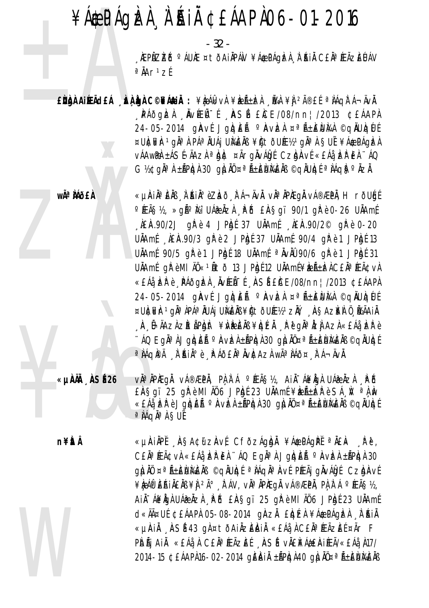$-32-$ 

AEPÜZIZIÓ Ó ÁUNE ¤ tö AINPÁN ¥Á&PÁGIZA A KAN CEN A FEÃZIEUÁV  $a$ A $r1zf$ 

EÙÙA AIREACH LEA DA C©NA AIA : ¥È AG VÀ ¥È A-LA NA ¥Ì 2î EL ª AAQIT A-AVÀ. PÁÕGEI NVÆŨ (ASÍ ECE/08/nn | /2013 ¢EÁAPI 24-05-2014 gAvE JgkqEA ORVEA ¤<sup>a</sup> A±ENMA OgNUkqUE ¤UNCHE 1 gha l Páa NUAj UMENB ¥C tòULE12 1 gha l SUE ¥AQPÁGEA VÁAWRA ±ÁSÍ-ÄAZA <sup>a</sup> DIC ¤ÃrgÄvÁDI CZDAVÍ «EÁå ER EA ''ÁQ  $G$ ½¢gă $^a$ À ±ÃPÀGÀ 30 gì LIŨ ¤ ªÃ±ÈÙI¼ÈÄB ©gĂUÀGÉ ª IÁGIS º ÀZĂ.

> «µÀIĂªÈÄB À ÁIĂªèZÀð FÁ¬ÄvÄ. vĂªÄPÆqÄ vÁ®ÆPÄ, H rðUgí <sup>o</sup> ÆÃS½, »qã<sup>o</sup> Mi UÁ RIZA PO EASqi 90/1 qp è 0-26 UIAmí  $AE$ AR.90/2J q $R$ è 4 JP $k$ dé 37 UALAmé AEAR.90/2<sup>©</sup> q $R$ è 0-20 UÄAmf LEA.90/3 gl e 2 JPbg 637 UÄAmf 90/4 gl e 1 JPbg 613 UÄAmf 90/5 gře 1 JPAgé 18 UÄAmf <sup>a</sup> NvAU 90/6 gře 1 JPAgé 31 UÄAmÉ gŘèMI ÄŮ«1Ätð 13 JPAgÉ12 UÄAmÉ¥ keر kehe KEÄ¢vA «EÁå, ER è "PÁÕGEA "ÄVÆÄ-Í "ASÍ ECE/08/nn¦/2013 ¢EÁAPA 24-05-2014 gAvE JggEA OAvEA ¤ªA±ENMA OgNUGUE ¤U)¢¥r1găªAPÁªÄUÁjU)&EÄB¥ÇtðUƽ1zĂÝ "ASAz¥I 0, IY2ÃAiÀ , A , Îl-ÄAZA ZIIrÃPIQAt ¥IVIP EÄB ¥IQÉÄ , P ĕ QĪ IZJ AZA «EÁå, IZP è "ÁQ EgĪ À JgIQEà º AVIZÀ ±ÃPIQÀ 30 GIUÀŬ¤ªÃ±ENIXEÄB ©GIUIQÉ <sup>a</sup> IÁQIPÄ A KIİè RAÕEĪÄvICAZI WêIÁÕ¤ FÁ¬ÄvÄ.

vàªÀPÆqÅ vÁ®ÆPÀ, PÀÀ`Á °ÆÃ޽, AiÀ-Á¥ÀqÀ UÁ@ÀzÀ , PÕ ǵˀ ÀSÉ26  $E$ A Sqï 25 qir è MI AO 6 JPh (23 UAAme ¥ben + Er è SA N a A N «EÁå, ER è JOREà <sup>o</sup> AvEA ±ÃPR)A 30 gluÃO ¤ªÃ±ENMEÃB ©qÃURI{ a jáqja a Sut

n¥ÈtÂ

wê MÕ£À

«µÀIÀPĚ ASA¢ữZÀVÉ CFÕZÁQÀÀ ¥Á\$PÁQPĚ ªÄ£k Rě, CEN<sup>a</sup> (Eâv) «EÁå ER EA '' ÁQ EgN<sup>a</sup> A JorgEA <sup>o</sup> AvEA ±APR) 30 glin ¤ª Á±ElikaEAB ©gäulgé ª AÁgäª Avé PÉEÃj gäválgé CzIgiAvé ¥ÈÁP EÁILEIB ¥I 2ð TÁV, vI¤IPIEGI vÁ®ÆPI, PLI Á ºÆÃS½, AIA<sup>-</sup>Á¥ÁGA UÁ@AZA PŐ EASGI 25 GPèMI AÖ6 JPADÉ 23 UAAmÉ d«ÄĤUÉ ¢EÁAPÀ 05-08-2014 gÀZÀ ELgÉZÀ ¥Á\$PÁGEZÀ À ÁJÄ «µAIÄ ASÍ 43 gì¤tòAIÄzEAIÄ «£Áå I CEĪÆÃzEE ¤Ãr F PIOÃJ AIĂ «EÁå À CEĂ<sup>¤</sup> ÆÃZEÍ "ASÍ vÄENÁ#EIAIÆÃ/«EÁå N17/ 2014-15 ¢ £ÁAPA16-02-2014 g £ A i A ± AP ca A 2 a A i A 2 a A ± E N M 2 A 6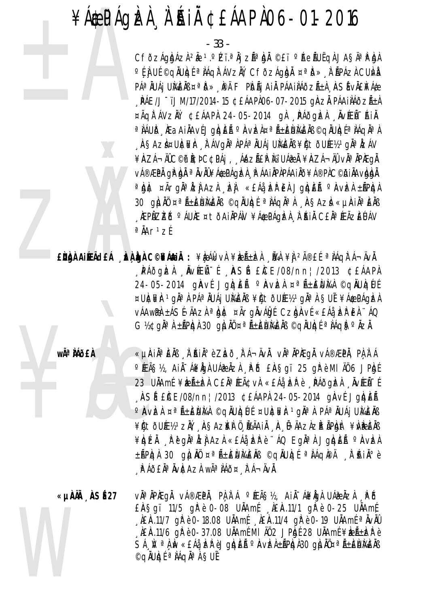#### ¥ÁÆPÁGÈÀ À`ÉAIÀ ¢£ÁAPÀ 06-01-2016

- 33 -<br>CFÕZÁGÁJÁZÁ <sup>2</sup>Á <sup>1.</sup>°EI<br>CFÕZÁGÁJÁZÁ <sup>2</sup>Á <sup>1.</sup>°EI<br><sup>0</sup>[j] UÍ ©qÄULQÍ ª ÁÁQÁTÁ<br>PÁªÄUÁJ UMÉNS ¤ªÕ», P<br>PÁE/J TJM/17/2014-15<br>AÃQÁTÁVZŇ ¢EÁAPÁ 2<br>AÃQÁTÁVZŇ ¢EÁAPÁ 2<br>AÃQÁTÁVZŇ ¢EÁAPÁ 2 CfðzÁgházì <sup>2</sup>å <sup>1</sup>.ºEï.ªÀj zÁªhjì ©£ï ºÁeÁUËqì JA§ÄªÀþ}ì °É, Ìj UÉ ©qÄUÌqÉ ª ÌÁq̯ÁVzĂÝ, CfðzÁgÀjÀ ¤ªĬð»¸À¨ÉPÁzÀ CUÌvÀ PÁªÀUÁj UÀ¥ÈÀB ¤ªð»¸PÄ F PÌdÃj AiÀ PÁAiÀÁðzÁ±À¸ÀSÉ vÀ£À¥Áæ  $\hat{P}$ AE/J $^{-}$ ïJM/17/2014-15 ¢£ÁAPÀ 06-07-2015 gÀ $\overline{A}$ À PÁAi $\hat{A}$ ð $\overline{A}$ Á $\hat{A}$ ¤ÃQ LĀVZ LÝ. ¢£ÁAP À 24-05-2014 g À PÁð g LA "NVÆ LÄ" ÁN Á ªÀÁUÀD, ÀEaAi ÀAvÉ JgÀqÈà º ÀvÈÀ¤ªÃ±ÈÙÀ¿ÈÀ§ ©qÀUÀqÉ ªÀÁqÀªÀ , ÀSAZ̤UÈ¥È, ÈÁVgĪÀPÁªÄUÁjUÀ¥ÈÄB ¥ÈtðUƽºqĪÅZÁV ¥ÀZÁ¬ÄÛ C©t<sup>à</sup> Àcþ C¢páj, "ÁðazãÀP Àá UÁæÀ ¥ÀZÁ¬ÄÛ, vÀª ÀPÀEgÀ v種ÞÄ gÀ þÀ ªÄvÄÛ¥Á\$PÁgÞÀ ,ÀPÁAiÄPÀPÁAiÄð¥Á®PÀC©}AiÄAvÀdÀÄ <sup>a</sup>À)¢ ¤ÃrgÀªÀzÌAzÀ LèÌ «£Áå LePEÀ JgÀqEà ºÀVLZÀ ±ÃPÀqÀ 30 gìniü ¤<sup>a</sup>ñ±èiùmèis ©qiulat <sup>a</sup> iáqia ì A§Azi «µÀiàªèiß , ÀÆPÌLZEÕ °ÁUÆ ¤tðAiÄPÁN ¥ÁÆPÁQIZÀ À ¡AIÀ C£ÄªÆÃZEUÁV  $a$ A $r$ <sup>1</sup>z $f$ 

z<br>ENGA A **£ÙÀÀ AIÉEÃd£Á ĮÈÀÀÀ C©¥ÁÆIĂ : ¥È**ÁIkvÀ ¥ÈÆÃ±ÞÀ ĮÑA ¥Ì <sup>2î£É</sup> ªÀÁQÌ Á¬ÄvÀ. "PÁðgþzi "ÄvÆŰ-Í "ASÉ £ICE/08/nn¦/2013 ¢£ÁAPI  $24-05-2014$  g Av É Jg Q E Á · Av E  $a$   $\alpha$  Å  $\pm$  EN  $M$   $\odot$  Q  $N$ U Q Ú É ¤U)¢¥Ir 1 gia lP᪠IUÁj UMÈIN ¥ÇtðUƽ1 gia l§UÉ ¥Áæpágizi vÁAwæA ±ÁSÍÄAzÀ <sup>a</sup>Ànt ¤ÃrgÀvÁÙdÉ CzÙAvÉ «£Áå, LeR €À ¨ÁQ  $G\nu$ ¢gà $\alpha$ À ±ápàt 30 gài $\ddot{\alpha}$ à Á±èù $\dot{\alpha}$ eà $\ddot{\alpha}$ oqàuà $\dot{\alpha}$ a Àáq $\dot{\beta}$ °àzà.

Wê MÕ

**wê ÀiÁð£ À** «µÀAi ÀĪÀ£ÀÄß ¸À¨sÉAi Àİè ZÀað¸À¯Á¬ÄvÀÄ. vÀĪÀÄPÀÆgÀÄ vÁ®ÆèPÀÄ, PÀ¸À¨Á °ÆÃ§½, Ai ÀjĀ¥ÅgÀ UÁæÀzÀ ÀPŐ £À§gï 25 gÀ°è MI ÄÜ 6 JPÀgÉ 23 UÄAmÉ ¥ÈÆÃ±ÈZÀ C£ĂªÉFâvÀ «£Áå¸ÈZ̰è ¸PÁðgÈZÀ ¸ÄvÉEÙÉ , ASÍ £CE/08/nn¦/2013 ¢£ÁAPÀ 24-05-2014 gAvÉ JgLgÈÃ °AvIz ¤ªÑ±ENIA ©qĂUIQUÉ ¤UICI¥Ir 1 gĂªN PÁªÄUÁjUIAEÄß ¥ÇtðUɽºzŇ, "A§Az¥À Ö "Ö½ÃAiÄ "A "Ö¬ÄAzÀzÀrÃPÀdht ¥ÀvèrÀB ¥ÀgÉÀ, À°è'gÀªÀzÌAzÀ «£Áå,Àzhè ¨ÁQ EgĂªÀ JgÀqÈà ºÀVÀZÀ ±ÃPIQA 30 gILJÄÜ ¤ªÃ±EUMEÄB ©gAUIQE ªAÁQI®Ä ,A`AjA°è <sub>"</sub>ÀÁð£ĂªÄvÀ¢AzÀ wêÀÁð¤¸À¯Á¬ÄvÀ.

W «µ**ÀÄÄ ÀSÉ27** v˻ÄPÀEQÄ vÁ®ÆPÀ, PÀÀ˙Á °Éç½, AiÀ¨Á¥ÀgÀ UÁæÀzÀ ¸À°Õ  $E$ A§gï 11/5 g $\hat{F}$ è 0-08 U $\hat{A}$ Am $\hat{F}$ ,  $\hat{A}E$ A.11/1 g $\hat{F}$ è 0-25 U $\hat{A}$ Am $\hat{F}$  $\hat{A}$  A.E.A.11/7 gh è 0-18.08 UAAm  $\hat{A}$ .E.A.11/4 gh è 0-19 UAAm  $\hat{A}$  avail  $\Box$ AEA.11/6 g $\dot{R}$ è 0-37.08 U $\ddot{A}$ Ame MI A $\ddot{0}$  2 JP $\ddot{R}$ ne 28 U $\ddot{A}$ Ame ¥ $\cancel{k}$ z $\ddot{A}$  ± $\cancel{k}$  $\ddot{R}$  è  $SA_{\alpha}N^{\alpha}A_{\alpha}N^{\alpha}$ é EÁå $_{\alpha}k^{\alpha}P_{\alpha}N^{\alpha}$ à $\lambda^{\alpha}P_{\alpha}N^{\alpha}$ à $\lambda^{\alpha}P_{\alpha}N^{\alpha}$ à $\lambda^{\alpha}P_{\alpha}N^{\alpha}$ à $\lambda^{\alpha}P_{\alpha}N^{\alpha}N^{\alpha}$ ©qÄUJqÉ <sup>a</sup> InáqÄa À SUÉ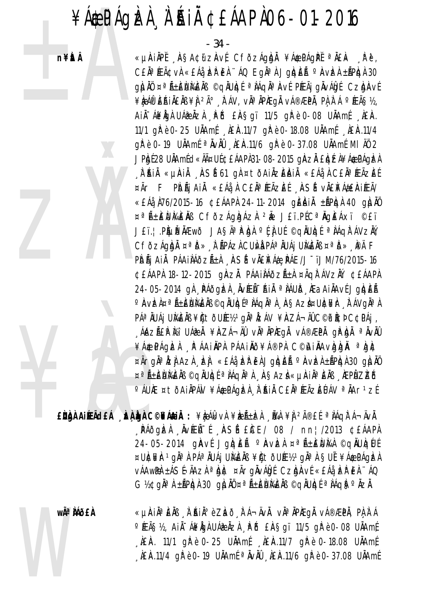#### ¥ÁÆPÁGÈÀ À ÁLA ¢EÁAPA06-01-2016

- 34 -

n¥itÂ



«µÀIAPĚ ASA¢ữZAVÉ CFÕZÁGAN ¥Á¢PÁGPĚ ªÄ£k Rě. CEĂ<sup>a</sup> ÆÃ¢vÀ «EÁå, ER EÀ '' ÁQ EgĂª À JgIqEà <sup>o</sup> AvEÀ ±ÃPIqÀ 30 glin ¤ª Á±Elikelis ©giulgí ª jágiª Aví Péeãi giválgí Czlgiaví ¥ÈÁO EÁINENS ¥J 2ð A ÁV, vNªNPÆGN vÁ®ÆPN, PLA`Á °ÆÃS½, AIA<sup>-</sup>A¥AQA UA@AZA PB EAŞQI 11/5 QPè0-08 UAAmE AEA. 11/1 gř è 0-25 UÄAmf , LEA.11/7 gř è 0-18.08 UÄAmf , LEA.11/4 gì rè 0-19 Unamé <sup>a</sup> nviù a cha 11/6 gì rè 0-37.08 Unamé MI AO 2 JP.br 28 UAAmf d«AA¤Uf¢EÁAPA31-08-2015 gAZA ELO EA ¥Á&PÁGEA A'RIA «unia ASI 61 ga¤tõAIAZEAIA «EÁa CEAªFEÃZEE ¤Ãr F PIDÃI AIN «EÁI A CEN¤ FEÃZEE ASÍ VILLEFALEAIFEÃ/ «EÁå, N76/2015-16 ¢EÁAPA 24-11-2014 gEAIA ±ÃPIGA 40 gILIAO ¤<sup>a</sup>ѱENMENB CfðzÁglgÁzh <sup>2</sup>Å JEï.PEC<sup>a</sup>NgEÁxï ©Eï JEï. | PLUP LEWO JASH<sup>a p</sup> bl of i Uf og lubit a lage avziv, CFÕZÁGAJA ¤ªD» A ÁPÁZA CUNA PÁªÄUÁJ UMEAB ¤ªD» PÄ F PIDÃI AIL PÁAILAÕZñI ASÍ VIENA PÁE/J-ïJM/76/2015-16 ¢£ÁAPA 18-12-2015 GIAZA PÁAIAA ÓZA±A ¤ÃGATÁVZIN ¢£ÁAPA 24-05-2014 gì PÁÕgizi NVEŨ-AII <sup>a</sup> IÁUD EaAIIAVE JgigEL ◦À∨È̤ªÑ±ÈÙЍÈÌВ©qÄUÀqɪÌÁqĂªÌ¸À§AZ̤UȥȸÈÁVgĬªÌ PÁª ÄUÁj UMÈÄß ¥ÇtõUƽ1gĪ İZÁV ¥AZÁ¬ÄĴC©iP İCÞ C¢PÁj, , ÁAZãÌP Ì⁄2i UÁ@À ¥ÀZÁ¬ÄĴ vÀªÄPÌEgÀ vÁ®ÆPÀ gP bÀ ªĂvÄŨ ¥Á \$PÁG ER A PÁAINER PÁAIN Ö¥Á®PA C© AINAVG ON ª GE ¤Ãr gh azh ezh e ka bek e lugheñ avezh ±ñ ph 30 gi ho ¤ªÑ±ÈÙЍÈÑ ©qŇUÒQÉ ªÑÁqŇªÀ ASAZÀ «µÀIŇªÈŇ》 ÆPÙ ZEÕ O ÁUNE ¤ tÕAINPÁN ¥Á\$PÁGÞA, N'IAN CEN ªIEAZEUAV ªNAr1ZE

EÙÙA AIÆÃdEÁ AZA LO COVÁRIA : \RA AG VA \REñDZA NA \A ZîE E ª AÁQITÁ¬ÄVA. PÁÕGIZI NVÆŨ [ ASÍ EICE/ 08 / nn /2013 ¢EÁAPI 24-05-2014 gAvE JgkqEA Avizi ¤ªA±ENMA ©qiUkqUE ¤UNCHE 1 gia l Páa iuáj UMEIB ¥ÇtðUƽ1 gia l SUÍ ¥Á&PÁgIzA vÁAwRA ±ÁSÍ-ÄAZA <sup>a</sup> but ¤ÃrgÄvÁbú CzbAvú «EÁå ER EA ''ÁQ  $G$ ½¢gia i ±ãpigi 30 giui ¤añ±eiumeir ©giuigí a iágiso izi.

«µÀIẰªÈÄß À ʿŔIĂºè Zhō 、lī Á¬ÄvĂ. vĂªĂPÆgĂ vÁ®ÆPĂ, PÀ À Á wêÀÁð£À O FEÃS 12, AIA - ABEA UA PAZA, PO EAS QUE 11/5 QP è 0-08 UAA mí LEA. 11/1 gP è 0-25 UAAmf LEA.11/7 gP è 0-18.08 UAAmf  $\hat{A}E\hat{A}$ .11/4 g $\hat{B}$ è 0-19 U $\hat{A}$ Amé  $\hat{A}$ V $\hat{A}0$ ,  $\hat{A}E\hat{A}$ .11/6 g $\hat{B}$ è 0-37.08 U $\hat{A}$ Amé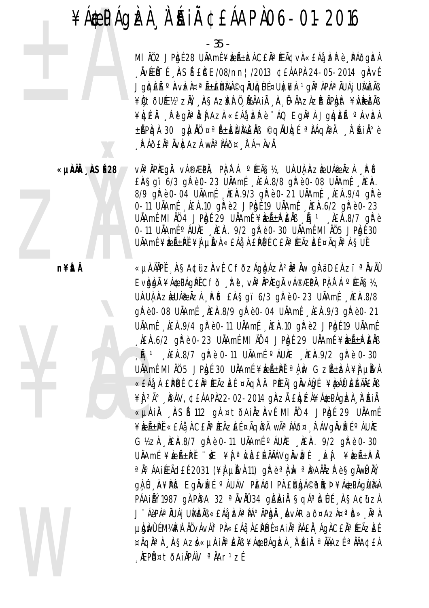#### ¥Á EPÁQIZI À A SAI CEÁAPA 06-01-2016

- 35 -

MI ÄÖ2 JP.br 28 UÄAmE¥DEıDEÄO EÄ®ÆÃ¢vÀ «EÁå DER è PÁÕGDEA  $\mu$ VÆÃ<sup>-</sup>Í ASÍ £CE/08/nn¦/2013 ¢£ÁAPÀ 24-05-2014 gAVÍ JQIQEà <sup>o</sup> AvIzi¤ªÃ±ENMÀ©QÄUIQUɤUICI¥Ir 1 qia iPAªÄUAj UIGEÄB ¥Qtõuƽ1zŇ AŞAz¥I Ü ÜZÃAIÄ A Ü-ÄAzAzIrÃPIght ¥ivirieñs ¥IQIZI A PEQIPIZI AZI «EA EPE "AQ EQIPI JOLOJEA PAVIZI ±ÃPIQI 30 QILIN ¤ªÃ±EUMEN ©QIUIQE ªIAQI®I I AINºè A Á JEN A VICAZA WÃ<sup>a</sup> NÁÕ¤ A Á-ÄVÄ.

ǵˀ ÀSÉ28

n¥itÂ

vઠÀPAEQÀ vÁ®ÆPÀ, PÀ À Á ºÉEÃS½, UAUÀ AZÈ UÁ@ÀZÀ PÕ EASgi 6/3 ghè 0-23 UAAmf, AEA.8/8 ghè 0-08 UAAmf, AEA. 8/9 gh è 0-04 UNAmi LEA.9/3 gh è 0-21 UNAmi LEA.9/4 gh è 0-11 UNAmf NEN 10 g P è 2 JP g E 19 UNAmf NEN 6/2 g P è 0-23 UÄAmÉ MI ÄÖ 4 JP hot 29 UÄAmÉ ¥benä±P EÄB n mj ji hem.8/7 g P è  $0-11$  UNIA mé MUNE LEA. 9/2 g Pè 0-30 UNIA mé MI AU 5 JP qué 30 UÄAmÉ¥ELıPĚ¥Ì LIMÀ «EÁå À EPÚÉ CEĂªÆÃZEÉ ¤ÃQĪÀ SUĚ

«µAÄÄPĚ "AŞA¢üzAvÉ CfðzÁgÀdÁzÀ <sup>2</sup>ê Äw gPä D£Azï ª ÄvÄÛ Evbb) ¥Á&PÁgPĚCFð Rě, vĪÄPÆgÄ vÁ®ÆPÄ, PLA`Á °ÆÃS½, UAUA AZEUÁZ AZA PŐ EASOI 6/3 OPEO-23 UAAMÍ AEA.8/8  $qR e0 - 08$  UNAmf NENRS/9  $qR e0 - 04$  UNAmf NENRS/3  $qR e0 - 21$ UÄAmf LIEIA.9/4 glP è 0-11 UÄAmf LEIA.10 glP è 2 JPkgf 19 UÄAmf AEA.6/2 grè 0-23 UAAmé MI AO 4 JP.gf 29 UAAmé ¥bene EAB  $\sqrt{2}$  Aj<sup>1</sup>  $\sqrt{2}$  AEA 8/7 g Pè 0-11 U AA m f  $\circ$  AU AE  $\sqrt{2}$  AEA 9/2 g Pè 0-30 UÄAmÉ MI ÄÜ 5 JPADÉ 30 UÄAmÉ ¥REıPĚ ªA, IN GZıRA ¥I LINA «£Áå À £PÚ C£ÄªÆÃzE ¤ÃqīÄ PÆÃjqÄvÁbí ¥èÁPÈAÄLÄB ¥Ì 2ð PÁV, ¢EÁAPI22-02-2014 QIAZI EIQIZI¥Á\$PÁQIZI I A BIL «µÀIÀ ASÉ 112 gà ¤tòAIÀZÀVÉ MI ÀŨ 4 JPAIE 29 UÀAmE ¥ÈË.HE «EÁå À CEĂª ÆÃZEÉ ¤ÃQI®Ä wê ÌÁð¤ À ÁVQIVIEÉ º ÁUIE G1/2ZA LEAR.8/7 GR è 0-11 UAAmE AUAE LEAR 9/2 GR è 0-30 UÄAmÉ¥bzñPĚ DE ¥J ªNDERÄÄÁVGÄVDE DZJ ¥bzñPÅ a jo áaiífadeí 2031 (¥) µjva11) qirèaliv a panizire şqiwiziy a) û A¥PIS Eqivizí o AUAV PEAOI PA ENIQA©P ICD ¥A&PAQNIYA PÁAINÝ 1987 GÀ PIPA 32 ª AVAU 34 GEAIA SGÁª LUE ASA¢üzA J ÁèPÁªÄUÁj UMÈNS «EÁà, EÀª NAºÃPÒNĂ AvÀRað¤AzÀ¤ªD», NªÀ µ bì mu là mù là mù và vâ vâ là xhâ là £ pé lá ¤ A i À ª À A E À , Á g À C £ À ª Æ Ã z E É ¤ÃQĪ) AŞAZÌ «µÀIĪEÄB ¥Á\$PÁQÈÀ À AIÄ ªÄÄAZɪÄÄA¢£À KEPܤtðAIÄPÁN <sup>a</sup>ÄAr<sup>1</sup>zÉ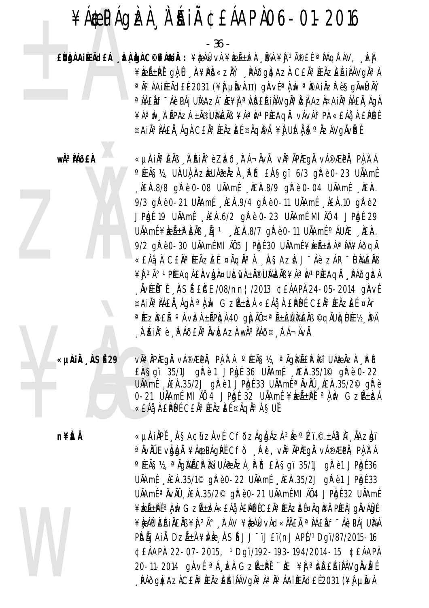#### ¥Á EPÁQIZI À A SAI CEÁAPIO6-01-2016

 $-36 -$ 

EÙÙÀ AIRACEÁ LA LA C©NÁAIA : ¥L ÁL VÀ ¥L Á±LA UA ¥L 2îEÍ ª LÁQITÁV, LA ¥ÈEñPĽ gÀ Û A¥PD«zĂ, PÁðg|¢AzI C£ÄªÆÃzEAiIAVg|ÀªA ªÄ°ÁAIÆÃd£É2031 (¥ÌJ µÌNÀII) gÀVɪÀ,ÌN ªÌ®AIÄZłè§gÄWÈÄÝ a NAEN F ÁGDAI UNAZI HE¥N a NDEAINAVOÑ a NEN AZI¤AIÑ A NAEN A GA ¥ÁªÌN À ÃPÁZÀ ±Ă®ÙMÈÄB ¥ÁªÌN1PÆAQĂ vÁvÁI°PÀ «£Áå À £PÉJÉ ¤AIĪ IÁEI ÁGI CEIª ÆÃZEE ¤ÃQIPI ¥I UIti ISº IZÁVGIVIZE

wê MÕ£À «µÀIẰªÈÄß À ʿŔIĂºè Zhõ 、┟`Á¬ÄvÀ. vĂªÄPÆgĂ vÁ®ÆPĂ, PÀ À ʿÁ O ÆÃS½, UAUÀ AZÈUÁZÀZÀ PÕ EASQI 6/3 QPè0-23 UAAMÍ  $\hat{A}E\hat{A}.8/8$  grè 0-08 UNAmi  $\hat{A}E\hat{A}.8/9$  grè 0-04 UNAmi  $\hat{A}E\hat{A}.$ 9/3 gh è 0-21 UNAmi LEA.9/4 gh è 0-11 UNAmi LEA.10 gh è 2 JPhyl 19 UNAmi \_ NEN.6/2 g/l è 0-23 UNAmi MI A0 4 JPhyl 29 UÄAmÉ ¥ÈZñÈP EAR AI 1 AEA.8/7 g Pè 0-11 UÄAmÉ  $\circ$  AUAE AEA. 9/2 gř è 0-30 UÄAmÉ MI AU 5 JP.b.E 30 UÄAmÉ ¥keرken a LÁ¥ÁðgÄ «EÁå, À CEÀª ÆÃZEÉ ¤ÃQÀª À , ÀSAZÀ J-Áè ZÁR-UMÈÀB ¥Ì 2ð 1PÉEAQIEÀVIDI¤UICIVI±I®UIGEIS ¥ÁªIN1PÉEAQI RAÕQIEI  $\mu$ væð - í  $\mu$ SÍ £ICE/08/nn ¦ /2013 ¢£ÁAPI 24-05-2014 ginví ¤AIĪÌÁEÀ ÁGÀ ªÀÌN GZñÈÀ «EÁå À EPLUE CEÀªÉEÃZEE ¤Ãr ªÆZPEà ºAVE) ±ÃPIQI 40 g|UIÙ ¤ªÃ±ENMEIS ©QIUIQUƽ¸PÄ A AIA°è A AO EAª AVACAZA Wê AÁÕ¤ A Á¬ÄVÀ

«µÀIÄ ÀSÉ29 vàªÄPÆqÅ vÁ®ÆPÅ, PÀÀ`Á °ÆÃ޽, ªÄqÀÁĒ£PÀá UÁæÅzÀ , PŐ £A Sqi 35/1J q Pè 1 J Pb [ 36 UAA m [ A E A . 35/1 © q Pè 0-22 UÄAmf REA.35/2J gPe1 JPgf 33 UÄAmf a KVAU REA.35/2<sup>©</sup> gPe 0-21 UAAmE MI AU 4 JPhof 32 UAAmE ¥bent a A M Gzneba «EÁå, À EPUE CEĂª ÆÃZEE ¤ÃQĂª À §UË

**n¥itÂ** 

«µÀIĂPĚ "À§A¢ü zÀvÉ CFðzÁgIgÁzÌ <sup>2</sup>Ă °ízï.©.±Ái<sup>a</sup> Ìï "ĂAzIgï <sup>a</sup> ÄvÄÛ EvIDIN ¥Á&PÁQPĚ Cfð Re, vĪÄPÆQÄ vÁ®ÆPÄ, PA A Á O ÆÃS½, <sup>a</sup> Äqiká EP ki UÁ& Äzi PÕ EASqi 35/1J qi è 1 JP.p.f 36 UÄAmf REA.35/1<sup>©</sup> gPe0-22 UÄAmf REA.35/2J gPe1 JPgf 33 UÄAmí <sup>a</sup> ÄvÄÜ , AEA 35/2<sup>©</sup> gP è 0-21 UÄAmí MI ÄÜ 4 JPRJÍ 32 UÄAmí ¥ÈLÁ±PĚªÀÙ GZñÈLÀ«£Áå À£PÉJÉC£ĂªÆÃZEɤÃQIPÄ PÆÃj gÄvÁGIÉ ¥ÈAP EAILENS ¥L 2ú À AV ¥ÈAlkvAd«ÄÄEN ª LAEL F-ACPAJ UNA PIDÃJ AIĂ DZñÀ ¥MÈ ASÍ JJ<sup>-</sup>ïJ£ï(nJAP)/1Dgï/87/2015-16 ¢£ÁAPÀ 22-07-2015, 1Dgï/192-193-194/2014-15 ¢£ÁAPÀ 20-11-2014 ginvé <sup>a k</sup>, izi Gzű±pé "ie ¥j <sup>a</sup> i béhi hávgivizé , PÁÕGACAZICEÄ<sup>a</sup> ÆÃZEŔIIAVGĪ lª JP ÁAIÆÃCLEÍ 2031 (¥I LINA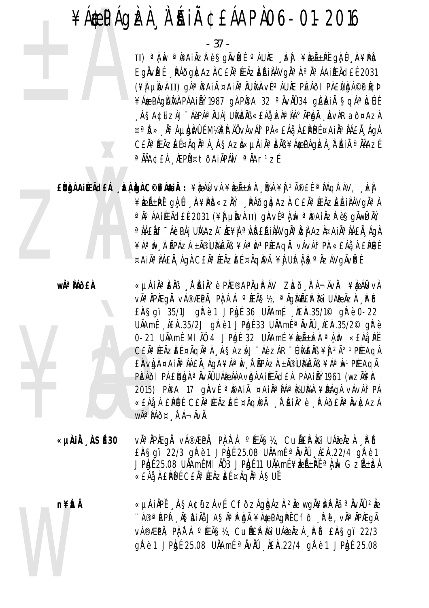

EÙÀNAIRACEA DA LO C©NA AIN : ¥LA A LUA ¥LA LA LA VA ¥L 2îE E ª NAQITAV, LA ¥ÈEñPĽ gÀ Û A¥PD«ZĂ, PÁðgÆAzA C£ÄªÆÃZEŔIÀÁVgĪA ªÄ°ÁAIÆÃd£É2031 (¥ÌJ µÌNÀII) gÀVɪÀ,ÌN ªÌ®AIÄZłè§gÄWÈÄÝ a NAEN F ÁGDA I UNAZN. NE¥N a NDEAINAVONA NZI AZN¤AINA NAEN ÁGN ¥ÁªIW I ÄPÁZI ±Ä®UMEÄB ¥ÁªIW1PÆAQI vÁvÁI°PI «EÁå I EPÉJÉ ¤Ail<sup>a</sup> lá£l ágl C£la¤ (EÃzEE ¤Ãql<sup>a</sup>) ¥l Ultá la azávglvizé

wêMÕ£À

- «µAIĪÈÄß 'À AIĺè PAE®APĵPÁV ZLað "LÁ¬ÄvÄ. ¥L}ÁLkvA vhªñphegň vá®æpň, pì ì á °Æã§½, ªňgmã£íp Mi Uáæňzi "þó  $E$ A Sqi 35/1J q $\mathbb{R}$  è 1 JPh  $\mathbb{R}$  36 UALA m $\mathbb{R}$ . A.E.A. 35/1© q $\mathbb{R}$  è 0-22 UÄAmf REA.35/2J gPe1 JPgf 33 UÄAmf a KVÄU REA.35/2<sup>©</sup> gPe 0-21 UÄAmÉ MI ÄÖ 4 JP.byÉ 32 UÄAmÉ ¥.ben A M «EA » P. CEÀ<sup>a</sup> FEÃZEI ¤ÃQNª À ASAZI J-Áè ZÁR-UMENS ¥I 2ú 1 PEAQA EAVIDA ¤AIĪ IÁEÄ ÁGA ¥ÁªIN À ÃPÁZA ±Ä®UIVEÄB ¥ÁªIN1PÉEAGÄ PEÁÕI PÀ ENDA <sup>a</sup> ÄvÄÛ UÁ À AA vIDA AI ÆÃ CEÁ PÁAI AÝ 1961 (WZIN F 2015) PIPA 17 GIAVE <sup>a</sup> IPAI Ä ¤AIN<sup>a</sup> IA<sup>a</sup> IYUMA ¥IPAGA VAVAIº PI «£Áå, À £PÚ ÉCEĂª ÆÃZE ɤÃQIPÄ, À AIѺ è, PÁÕEĂª ÄVICAZA WÃ<sup>a</sup> ÀÁð¤ À Á-ÄVÀ.
- V˻ ÀPAEQĂ VÁ®ÆPÀ, PÀ À Á ºÆÃS½, CUÃER A2i UÁ@ÀZÀ PÕ «µÀIÅ ÀSÉ 30 EASqi 22/3 qr è 1 JPb( 25.08 UAAmf a NVAO AEA.22/4 qr è 1 JPRJÍ 25.08 UAAmÍ MI AU3 JPRJÍ 11 UAAmÍ ¥DEA±PI <sup>a</sup> A M GZA±DA «EÁå À EPUE CEĂª ÆÃZEE ¤ÃQĂª À SUE

n¥ÈrÂ

«µAIAPĚ ASA¢űzAvÉ CfðzÁgAAzA 2Å wgÄ¥NPÄä ªÄvÄÛ 2Å ``稻́ŘPÌ\_ĂSAIĂåJASĪPÀJĂ ¥Á\$PÁqPĚCfð Rě, vĪÄPÆqĂ v種PŇ, PŇ, lí Á ºÆÃS½, CuÑ£PM UÁæŇzh "PĎ £ŘSgï 22/3 grè 1 JPhgf 25.08 UNAmf <sup>a</sup>NvAU AEA.22/4 grè 1 JPhgf 25.08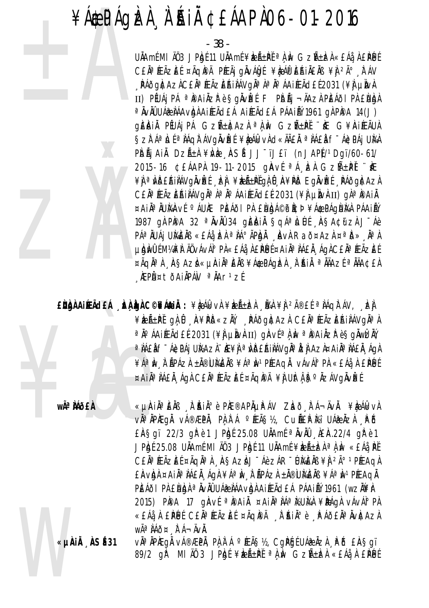- 38 -

UÄAmÉ MI ÄÖ3 JPAJÉ 11 UÄAmÉ ¥RıPĚ <sup>a</sup> A Av GzñRA «EÁå A EPÚÉ CEN<sup>a</sup> FEÃZE E ¤ÃQIPA PFEÃJ GINALOS ¥LAPERINENS ¥L 2ú TAV , PÁðgI¢AzICEĪÆÃzEÁIIÁVgI¤lªIºÁAIÆÃdEÍ2031 (¥I µIWH II) PÉUÁj PÁ <sup>a</sup> IPA i Az P sgävízé F PIOÁj ¬ ÄAZA PIEÁði PA ENIGA <sup>a</sup> ÄvÄÛ UÁ@ LÁAvIgI AIJEÃ de Á AIJEÃ de Á PÁAIL 1961 gI PIPA 14(J) gEAIA PEUAI PÁ GZA+ACAZA a A M GZA+PE "A G¥AIEAUA SZITÁª LLÍ ª LÁQITÁVOLVE ¥LAKVA O «ÄÄEÄ ª LÁEL F-ÁCPÁJ UMA PIDÃI AIN DZñA ¥ME ASÍ JJ<sup>-</sup>ïJ£ï (nJAPÍ/1Dqï/60-61/ 2015-16 CEÁAPA 19-11-2015 gAVE <sup>a</sup> A EA GZALPI "KE ¥) <sup>a</sup> vdéáinávonvet , en ¥rá±pťon 0 n¥pď Eonvet , páðoncazn CEĂª ÆÃZEŔIÀÁVgĂª Àª Ăº ÁAIÆÃdEĹ2031 (¥) µÌWŁII) gÀª PAIÀ ¤AIĪÄUЍAVÍ ºÁUÆ PÈÁÕI PÀ ENDA©PÌ¢Þ¥Á\$PÁQNÌA PÁAILÝ 1987 gì PIPA 32 <sup>a</sup> Nviù 34 gieini Sgá<sup>a</sup>lulí RSA¢üzi J-Áè P绀UÁj UMENS «EÁ¿ÞA ªIÁ°ÃPIDA MVA Rað¤AzA ¤ªið» NªA µ bì mu là nh là nh là nh là nh là nh là nh là nh là nh là nh là nh là nh là nh là nh là nh là nh là ¤ÃQĪ) AŞAZÌ «µÀIĪEÄB ¥Á\$PÁQÈÀ À AIÄ ªÄÄAZɪÄÄA¢£À **AEPI** ¤tðAIAPAN <sup>a</sup> AAr<sup>1</sup>zE

EÙÀNAIREACH AN DA C©NANAI : ¥RAKVA ¥RA±RA NA ¥A 2îEL ªNAQITAV, RA ¥ÈEñPĽ qù Û A¥PD«ZĂ, PÁðq#Azì C£ÄªÆÃZEAIÌÁVqĪÀ ªÄ°ÁAIÆÃd£É2031 (¥ÌJ µÌNÀII) gÀVɪÀ,ÌN ªÌ®AIÄZ̺è§gÄWÊÄÝ a NAEN F ÁGDA LUKAZI. HE¥N a MDEA NAVOJA HZN AZN¤A NAEN ÁGA ¥ÁªÌN À ÃPÁZÀ ±Ă®ÙMÈÄB ¥ÁªÌN1PÉEAQĂ vÁvÁI°PÀ «£Áå À £PÉJÉ ¤Ail<sup>a</sup> láfl ágl Cfla (fázet ¤Ãqla) ¥l Ultá bolzávglvet

**wÃ<sup>a</sup>Mõ£À** 

«UAIN¤ENS A AIN» è PIE®APAUPAV ZIaõ FA¬AvA. ¥IeAGkvA vàªĂPÆgÅ vÁ®ÆPÀ, PÀÀʿÁ °ÆÃ§½, CuãÌPÀá UÁ@ÀZÀ "PÕ EASgi 22/3 grè 1 JPb 25.08 UAAmE <sup>a</sup> AVAO LEA.22/4 grè 1 JPkgf 25.08 UAAmf MI AO 3 JPkgf 11 UAAmf ¥kzA±kzA a A M «EAa PF CEÀ<sup>a</sup> FEÃZEI ¤ÃQNª À ASAZI J-Áè ZÁR-UMENS ¥I 2ú 1 PEAQA EAVIDA ¤AIĪ IÁEÄ ÁGA ¥ÁªIN À ÃPÁZA ±Ä®UIVEÄB ¥ÁªIN1PÉEAGÄ PEÁÕI PÀ ENDA <sup>a</sup> ÄvÄÛ UÁ À AA vIDA AI ÆÃ CEÁ PÁAI AÝ 1961 (WZÄVEN 2015) PIPA 17 GIAVÉ <sup>a</sup> IPAI À ¤AIN a NA MEUMA ¥IPAGA VÁVAIº PA «EÁå À EPUL CEÀª ÆÃZEL ¤ÃQIPÀ À AÑ è À AÕEÀª ÀVICAZA WêÌÁÕ¤ FÁ-ÄVÀ.

«µÀiÅ ÀSÉ31

vì<sup>a</sup> ìpiegì vá®æpì, pì ì á °íeã§½, Capát Uáæìzì . Pô £ìa§aï 89/2 gř MI AO 3 JPAgé ¥AzÁ±PĚ <sup>a</sup>n M GzA±A «£Áå A £PÚÉ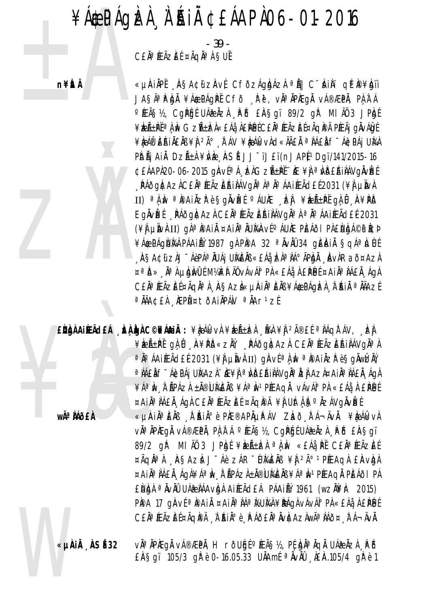- 39 -CEÄ<sup>a</sup> ÆÃZEÍ ¤ÃQĪÀ SUÍ

n¥ÈÂ

«µÀIÄPĚ AŞA¢üzAvÉ CFÕzÁgházÀ ªÅ|| C∵ÀIÀï qPP¥hjì JAŞÄ<sup>a</sup>P DI ¥Á\$PÁGPĚ CFÕ "P ĕ, vĪÄPÆGÄ vÁ®ÆPÄ, PÌ jì Á O FEÃS 12, COPE O LA PO ERSOI 89/2 OF MI AU 3 JPE ¥¢Á±PĚªÀÙ GZñÌZÀ«£Áå¸À£PÉJÉC£ĂªÆÃZÈɤÃQÌPÄ PÆÃj gÄVÁÖJÉ ¥ÈAP EAILENS ¥N 2ú A AV ¥ÈAlkvAd«ÄÄEN ªNAEN f-ACPAI UNA PIDÃI AIL DZñI ¥ME ASÍ JJ<sup>-</sup>ïJ£ï(nJAPJ1Dqï/141/2015-16 ¢£ÁAPÀ20-06-2015 gÀvéªÁ EÀGZñPĚ HE¥ÀªNĎ£ÁIÀÁVgÄvÈÉ , PÁÕG)¢AZICE ĤÆÃZEŔIIAVGI¤ l¤ JP ÁAIÆÃ dE E2031 (¥I LIVE II) <sup>a</sup> A w <sup>a</sup> Paiåzr e Sgåv**l**et <sup>o</sup> AUAE , ej ¥rá±pť gA û , A¥PD EgÄVEE PÁÕGACAZA CEÄ<sup>a</sup> ÆÃZEAJAAVGÄ<sup>a</sup> A <sup>a</sup> A A LIÆÃ dE E 2031 (\#) um+II) gì<sup>a</sup> pai ¤aiìª iumaví aune peáo i pì eumá©f icd ¥Á&PÁQÙMA PÁAINÝ 1987 QI PIPA 32 ª IVIÙ 34 QIEIAI SQÁªLJÚ "ÀSA¢üzìJ"ÁèPÁªÄUÁj UMÈÄB «EÁà, bàªÌÁ°ÃPÒÀ, "ÀvÀRað¤AzÀ  $\alpha^{\alpha}$ ð» Na Ludwul Maki Aövává $^{\circ}$ Pi «Eáå A EPUE ¤AIÄa NAEÄ Aga CEĂª ÆÃZEͤÃQĂª À "ASAZÌ«µÀIĂª EÄB ¥Á\$PÁQIZÀ "À ¡RIÀ ª ĂÄAZÍ <sup>a</sup> ÄÄA¢£À AEPÙ¤tÕAiÄPÁN <sup>a</sup> ÄAr<sup>1</sup>zÉ

ENNA AIRACEÁ , EA LA C©FÁRIA : ¥L ÁL VA ¥EñEA , VA ¥A 2îEÍ ª AÁQITÁV, EA ¥ÈEñPL ghû A¥PD«zĂ, PÁðg#Aza C£ÄªÆÃzEAiAAVgĪA ªÄ°ÁAIÉFÃd£É2031 (¥ÌJ µÌNÀII) gÀVɪÀ,ÌN ªÌ®AIÄZłè§gÄWÈÄÝ a NAEN F ÁGDAJ UNAZN. NE¥N a NDERINAVONA NZI AZN¤AINA NAEN AON ¥ÁªIW I ÄPÁZI ±Ä®UMEÄB ¥ÁªIW1PÆAQI vÁvÁI°PI «EÁå I EPÉUÉ ¤AIĪ IÁEI ÁGI CEIª ÆÃZEE ¤ÃGIPÄ ¥I UItLI Sº IZÁVGIVEE «µAIĪEÄB À`ĂIĺè PÆ®APĵPÁV ZLað FÁ¬ÄvÄ. ¥LeÁlkvA wÃ<sup>a</sup> Mõ£À vઠÀPAEgÀ vÁ®ÆPÀ, PÀ À Á ºÆÃ§½, CgPGÉUÁ@ÀZÀ À Õ £À§gï

89/2 qř MI AÖ 3 JPRIE ¥REALER a A Av «EÁA PĚ CENA PEAZEE ¤ÃQN<sup>a</sup> A ASAZA J Áè ZÁR WAENB ¥J <sup>2ú 1</sup> PÉEAQA EAVIGA ¤AIĪ IAEI AQI¥Aª Iv A APAZI±Ä®WIGEIB¥Aª Iv PEEAQI PEAÕI PI EUNA <sup>a</sup> ÄvÄÜ UÁZ LÁAVNA AIÆÃCLÁ PÁAILÝ 1961 (WZÄ¥I- 2015) PPA 17 gAVE <sup>a</sup> PAI ¤AI A AA KUMA ¥PAGA VAVA PA «EA A A EPUE C£ĂªÆÃZĒŤÃQÌPÄ À ŔIĂº è È AÕ£ĂªÄvÌCAZÀwêÀÁÕ¤ È A¬ÄvÄ.

«µÀiÅ ÀSÉ 32 vì<sup>a</sup> ìpiegì vá®ÆPì, H rõUģé°ÆÃ§½, PÉ.biàªÌqì UÁ@Ìzì . PĎ EASgi 105/3 gh è 0-16.05.33 UAAmf <sup>a</sup> AvAU AEA.105/4 gh è 1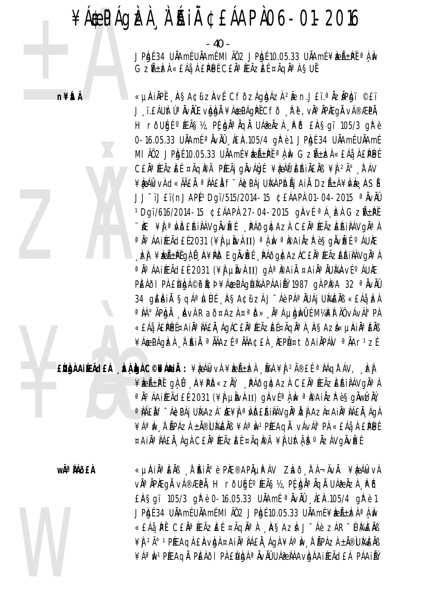# ¥ÁÆPÁGÈLÀ À ĤILÀ ¢£ÁAPÀ 06-01-2016

JPÀgÉ 34 UÄAmÉ UÄAmÉ MI ÄÖ 2 JPÀgÉ 10.05.33 UÄAmÉ ¥ÀzÁ±ÀPĚ ªÀ, Àw  $Gz\tilde{A}$ ±kà «£Áå,  $\lambda$  £Péjé  $CE\lambda^a$ ÆÃ $z\tilde{E}$ é ¤Ãq $\lambda^a\lambda$  §Uế

zÀÝ

THE CONTROLL TO BE A SAME UNAMENT CHANGE OF THE A SAME UNAMENT CONTROLL TO BE A SAME OF THE AND CONTROLL TO BE<br>DESCRIPT TO BE A SAME OF THE A SAME OF THE AND SURVEY OF THE CONTROLL OF THE AND CONTROLL TO BE A SAME OF THE A **n¥ÈÅ** «µÀIÄPĚ A§A¢üzÄvÉ CfðzÁgÀdÁzÀ <sup>2</sup>Å n.J£ï.ªÀzÀPÀgï ©£ï Jᢩï.£ÁUÀtÚªĂvĂÛEvÀdÀÄ¥Á\$PÁgPĚCfð Rè, vÀªÀPÆgÀ vÁ®ÆPÀ, Hrðuģé ºÉĀŞ½, PÉ, bila lo UÁæ la "Pó £lasgï 105/3 gl? è 0-16.05.33 UÄAmÉ <sup>a</sup> ÄvÄÜ , LEA.105/4 g/l<sup>e</sup> e1 JPhpé 34 UÄAmÉ UÄAmé MI ÄÖ 2 JP $k$ é 10.05.33 UÄAmé $k$ æ $k + P$ ě $a$ ,  $w$  GzA $+k$ z $k$ «£Áå,  $\lambda$  £ $P$ éué CE˻ÆÃZEɤÃQPÄ PÆÃjqÀvÁQÉ ¥ÀÀ ÁPÈAJÄEÀB ¥À 2ð, ÀTÁV ¥ÈÂkvÀ d«ÄãĂ ªÀÁ£À f¯Á¢PÁj UÌ⁄AÀ PÌÐÃj AiÀ DZñÀ ¥Ì⁄È, ÀSÍ JJ<sup>-</sup>ïJ£ï(nJAP)<sup>1</sup> Dgï/515/2014-15 ¢£ÁAPÀ 01-04-2015 <sup>a</sup> ÀvÀÛ <sup>1</sup>Dgï/616/2014-15 ¢£ÁAPÀ 27-04-2015 gÀVÉ <sup>a</sup>Á ke GzѱPĚ ∵ìÆ¥Ì,ª À∕DĚÁIÀÁVgÄvÌZÉ, PÁðgÌ¢AzÀ C£ĂªÆÃzEÁIÀÁVgĪ À <sup>a</sup>ҰÁAI ÆÃCE E 2031 (¥À µÀVÀII) <sup>a</sup>À Àv <sup>a</sup>Ì®AI ÀZÌ è §gÀVÈ É. ºÁUÆ ¸È) ¥ÈñPĚġÌ Û A¥PÒ EgÄvÈÉ ¸PÁðgÀ¢AzÀC£ÄªÆÃzÈŔiÌÁVgĪÀ ªÄ°ÁAiÆÃd£É2031 (¥ÌJµÌvÀII) gÀªÌ®Ai äAi ĂªÄU̼ÀVÉ ºÁUÆ PĚÁÕI PÀ ENDÁ©Ũ ICÞ ¥ÁÆPÁGNIAI PÁAI Í 1987 GÀ PIPA 32 ª ÄVÄÛ 34 gÈÀIÀ §qÁªÀJÚÉ À§A¢üzÀ J¯Áè PÁªÀUÁjUÀ¼ÈÀB «£Áå, ÞÀ <sup>a</sup>ÀÁ°ÃPÀJÀ ÀNÀ Rað¤AzÀ ¤<sup>a</sup>ð», À<sup>a</sup> À µÀnMÙÉ M¼À¥À ÄÖ vÁvÁI°PÀ «£Áå¸À£PÉJɤAiŪÀÁ£Ă¸ÁgÀC£ĂªÆÃzÈɤÃgĂªÀ¸À§Azd«µÀiĂªÈÄß ¥ÁÆPÁGEÀ À`ÉAIÄ ªÄÄAZÉ ªÄÄA¢£À ÆPÙ¤tõAiÄPÁN ªÄAr1zÉ

EDDA AI £ÙÀÀ AI**ÉEà d£Á**, ÀÀ ÀgÀ C©¥Á**&iÀ :** ¥è Ák∨À¥ÀzñÀ "ÙAÀ¥Ì, <sup>2</sup>Ă®£É ªÀÁq̯ÁV, ¸Àzj ¥ÈÆÃ±PĚ GÀÛ, À¥PD«ZÄÝ, PÁðg ¢Az C£ ĪÆÃZ EÁI ÀAVG Ī À <sup>a</sup>ðÁAiÆÃd£É2031 (¥ÌJµÌNÀII) gÀVÉ <sup>a</sup>À, ÀN <sup>a</sup>Ì®Ai ÀZÌ<sup>p</sup>è§gĂWĹÀŸ, <sup>a</sup> )Á£À f<sup>-</sup>Á¢pÁj U)½AzÀ ¨)E¥) ª vð£Ái)ÁVgĪ ÍzJ AzÀ¤AiĪ IA£Ä AgA ¥ÁªÀw¸À¨ÃPÁZÀ ±À®Ù}ÁÈÄß ¥ÁªÀwºPÉEAqĂ vÁvÁPPÀ «£Áå¸À £ÌPÉJÉ ¤Ai Àª À Á£À, ÁgÀ C£Àª ÆÃZEÉ ¤ÃqPÀ ¥À UÀt À §º ÀZÁVgÀvÈÉ

W

**wã<sup>a</sup> Àáð£À** «µÀiĂªÈÄß ĮÀ¨ Ăiðè PÆ®APĵPÁV ZaðÕ ŗFÁ¬ÄvÄ. ¥è ÁkvA v˻ÀPÆgÅ vÁ®ÆPÀ, HrðUģÉ ºÉÆÃ§½, PĘ.þjÀªÀqÀ UÁæÀzÀ ¸ÀºÕ £À§gï 105/3 gì è 0-16.05.33 UÄAmÉ <sup>a</sup> ÄvÄÛ , LEÀA.105/4 gì è 1 JPÀgÉ 34 UÄAmÉ UÄAmÉ MI ÄÖ 2 JPÀgÉ 10.05.33 UÄAmÉ ¥ÀzñÀzÀ ªÀ¸Àw «£Áå, PĚ Č£Ăª ÆÃZEE ¤ÃqĂª A "ASAza J¯Áè zÁR¯ ÚMÈÄB ¥À <sup>2ð</sup> PÉEAQÀ £ÀVÀJÀ ¤AI ÀªÀA£À¸ÁGÀ ¥ÁªÀw¸À¨ÃPÁZÀ ±À®ÙÀGÀB ¥ÁªÀWºPÉŁAQĂ PÈÁðI PÀ £ÙÀDÀª ÀVÀÛ UÁæ ÀÁAVÀDÀ AI ÉEÃO EÁ PÁAI ÁÝ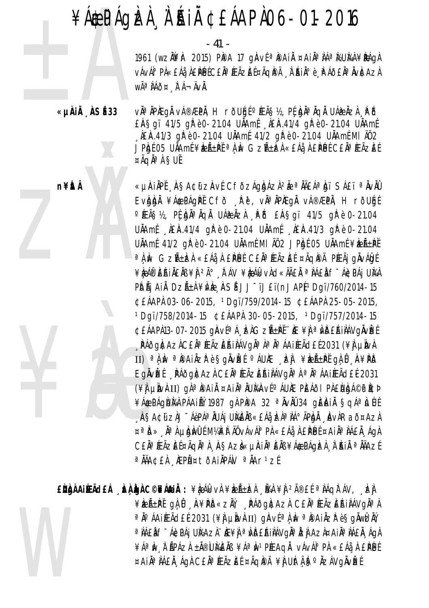- 41 -

1961 (wzN¥r 2015) PPA 17 gAvfapaiA ¤AiAa Malana ¥PAga vÁvÁ<sup>1</sup>° PÀ«£Áå¸À£**PÉJ**ÉC£ĂªÆÃZÈɤÃQPPÄ ¸À ŔÌðè¸P ÁÕ£ĂªÄvÀCAZÀ WÃ<sup>a</sup> ÀÁÕ¤ À Á-ÄVÀ.

«µÀiÅ ÀSÉ 33 vઠÀPAEQÀ vÁ®ÆPÀ, H rõUGɺÆÃ޽, PÉ bઠÀQÀ UÁ@ÀZÀ APÓ £ASqï 41/5 qP è 0-21.04 UAAmf AEA.41/4 qP è 0-21.04 UAAmf LEA.41/3 gP è 0-21.04 UAAmf 41/2 gP è 0-21.04 UAAmf MI A02 JPAJÉ 05 UÄAmÉ¥RɱPĚ ªÀN GZıRÀ«EÁå, À EPÉJÉ CEĪÆÃZEÉ ¤ÃqĪ À SUُL

**n¥itÂ** 

«µAIAPE AŞA¢üzAvECfözÁgidázi?» a NEA içi SAET a İviü EVAAN ¥Á&PÁQPĚ CFÕ Rě, VĪÄPÆQÅ VÁ®ÆPÄ, H rÕUGÉ OFEÃS12, PE DIA LA UA DE LA SOL ANTE DE LA SOL A DE 10-21.04 UÄAmf \_\_ AEA .41/4 g/ P è 0-21.04 UÄAmf \_\_ AEA .41/3 g/ P è 0-21.04 UÄAmf 41/2 qi e 0-21.04 UÄAmf MI AO 2 JPh t 05 UÄAmf ¥keıPf a ) w Gzñ±ch «£Áå ) £PÚ C£Ăa ÆÃzE (¤ÃqìPĂ PÆÃj gÀvÁb ( ¥È ÁO ERILENS ¥N 2ð À AV ¥È ÁI VA C «AÃEN ª NAEN F-ÁC PÁJ UNA PIDÃI AIL DZñI ¥ME, ASÍ JJ<sup>-</sup>ïJ£ï(nJAPI1Dqï/760/2014-15 ¢£ÁAPÀ 03-06-2015, 1Dqï/759/2014-15 ¢£ÁAPÀ 25-05-2015, 1Dgï/758/2014-15 CEÁAPÀ 30-05-2015, 1Dgï/757/2014-15 ¢£ÁAPÀ13-07-2015 gÀvɪÁ¸kAGzÁ±PĚ∵Æ¥jªWĎ£ÁiLÁVgÄvkEÉ . PÁðg|¢Az]C£]¤ÆÃzEÁI]ÁVg]¤}¤J°ÁAIEĀd£Ĺ2031 (¥] µ]v} II) a A M a Painzr è Sgivlet aux dei verteri ga i avpo Eglvké Ráðglada Cela Fázeailávgla a la árifade 2031 (\#) um+II) gì¤ìPAII ¤AII¤IUMAVE AUNE PEAOI PIENDA©iP ICP ¥Á&PÁGÙMA PÁAINÝ 1987 GÀ PIPA 32 ª NVAU 34 GIEIAIN SGÁªLJÚ , ASA¢üzl Táèp᪠äuái Umèns «Eáà, bઠiẠãpidă, "Avàrað¤Azi ¤ªD» Ī LUUMUL MYKA ÄÜ VÁVÁI° PA «EÁå A EPEJE ¤AIĪ NÁEĂ AqA CEĂª ÆÃZEͤÃQĂª À ASAZÌ«µÀIĂª EÀB ¥Á\$PÁQIZÀ À AIÀ ª ÀÄAZÍ <sup>a</sup> ÄÄA¢£À ÆPÙ¤tõAiÄPÁN <sup>a</sup> ÄAr<sup>1</sup>zÉ

¥ÈEñPĽ gÀ Û A¥PD«ZĂ, PÁðgÆAzA C£ÄªÆÃZEŔIÀÁVgĪA ªÄ°ÁAIÆÃd£É2031 (¥ÌJ µÌNÀII) gÀVɪÀ,ÌN ªÌ®AIÄZłè§gÄWÈÄÝ a NAEN F ÁGDA LUKAZI. HE¥N a MDEA NAVOJA HZN AZN¤A NAEN ÁGA ¥ÁªÌN À ÃPÁZÀ ±Ă®ÙMÈÄB ¥ÁªÌN1PÉEAQĂ vÁvÁI°PÀ «£Áå À £PÉJÉ ¤AIĪ IÁEI ÁGI CEIª ÆÃZEE ¤ÃGIPI ¥I UItLES NZÁVGIVEE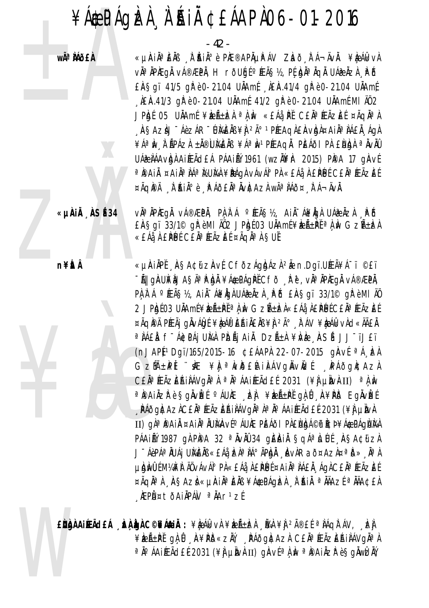- 42 -

wê MÕ£À

«µÀIẰªÈÄß À ĂIĂºè PhE®APõPÁV Zhð FÁ¬ÄvÄ. ¥è ÁlkvÀ vì<sup>a</sup> ìpiegì vá®ÆPì, H rõUģé°ÆÃ§½, Pí¸ģìªÌqì Uá@Ìzì¸Pô £A Sqï 41/5 q Pè 0-21.04 UAA mf AEA.41/4 q Pè 0-21.04 UAA mf LAEA 41/3 q Pè 0-21.04 UAA m [41/2 q Pè 0-21.04 UAA m [M I AO 2 JPADÍ 05 UNAMÍ ¥REѱRA ªAN «EÁA PI CENªÆÃZEÍ ¤ÃQNªA , ÀSAZIJ ÁèzÁR WAEÄB¥Ì 2ú 1 PÉEAQIEÀVIDI¤AIIª IAEI, ÁQI ¥ÁªIN I ÁPÁZI ±Ä®UIGEIB ¥ÁªIN1PÉEAQI PEÁðI PI ENIGI ªIVIÚ UÁR NÁAVAN AIPEÃO EÁ PÁAINÝ 1961 (WZNYEN 2015) PIPA 17 GIAVE ª PAI ¤AI ¤AI Aª MUM ¥PÁQ NÁVÁ PÅ «£Áå Å £PÚ É C£ Ī ÆÃZ E É ¤ÃQIPÄ À AIA<sup>0</sup>è PÁÕ£ĂªÄVICAZÀ WêÀÁÕ¤ FÁ¬ÄVÄ.

«µÀIÄ ÀSÉ34

vàªÀPÆqÅ vÁ®ÆPÀ, PÀÀ`Á ºÆÃ޽, AiÀ-Á¥ÀqÀ UÁ@ÀzÀ PÕ  $E$ A Sqï 33/1© qi è MI A02 JPh 603 UAAmf¥le A $E$   $\tilde{P}$ t  $a$  and  $G$ zh $E$ le  $A$ «EÁå, À EPUE CEÀª ÆÃZEE ¤ÃQÀª À SUE

«µÀIÄPĬ 'À§A¢ï zÀvÍ CfðzÁgbázì <sup>2</sup>Å n.Dgï.UÆÃ¥Á¯ï ©£ï <sup>−</sup>Ã|| gÀU¥ÀJA§ÄªÌPÌgĂ ¥Á¢PÁgÌPĚCfð ¸ÌPĕ', vĂªÄPÀEgĂ vÁ®ÆPĂ, PÀ À Á °ÆÃS½, AIÀ-Á¥ÅGÀ UÁ@ÀZÀ "PÕ EÀSgï 33/1© gì è MI ÄÖ 2 JPAJÉ 03 UÄAmÉ¥RıPĚªA M GZñRÁ «EÁå A EPÚÉCEĪÆÃZEÉ ¤ÃQIPÄ PÉEÃJ QINAUQÉ ¥ILAPEAIAEAB¥I 2ð FÁV ¥ILAGNO «ÄÃEA <sup>a</sup> NAEN F-ACPAJ UNA PIOÑJ AIN DZA±A ¥NE ASÍ JJ-ïJEï (nJAPb<sup>1</sup>Dgï/165/2015-16 ¢£ÁAPÀ 22-07-2015 gÀvÉ <sup>a</sup>Á EA GZHA±PI 'K ¥NaWBEAINAVQNVNEL PAÕQNCAZA CEN<sup>a</sup> FEÃZERINÁVON<sup>a</sup> A <sup>a No</sup> ÁAI FEÃO EL 2031 (¥) LUVAII) <sup>a</sup> A N ªPAIÄZPè§gÄvÈEÍ ºÁUÆ "ÈJI ¥ÈZñPĚ gÌ, Û "A¥PIÖ EgÄvÈEÍ , PÁðg|¢Az]C£ÄªÆÃzEÁI}ÁVg|ĭª}ªĬ°ÁAIÆÃd£É2031 (¥] µ]v} II) gì<sup>a</sup> paiì ¤aiìª iumrví° áune peáði pieiddá©p et ¥áæpágima PÁAIỂÝ 1987 GÀ PÌPA 32 ª ÀVÀÙ 34 GIEINIÀ SCIÁª LUE ASACIIZA J - ÁèPÁª ÄUÁj UMEÄB «£Áå¸ÞÀª ÌÁ° ÃPÌgĂ ¸ÀVÀRað¤Az̤ªĎ», ĪÀ µ bì mu li ma li ng và vâ vâ li nghệt đần hà li ngh chi ngh chi nghệt. Loài chi nghệt li ¤ÃQĪ) AŞAZÌ «µÀIĪEÄB ¥Á\$PÁQÈÀ À AIÄ ªÄÄAZɪÄÄA¢£À **AEPI** ¤tðAIAPÁN <sup>a</sup> AAr<sup>1</sup>zÍ

EÙÙA AIRACEÁ DA DA C©DEÁNIA : ¥RÁG VA ¥RñDA DA ¥A 2îEÍ ª AGA ÁV, DA ¥ÈEñPĽ gÀ Û A¥PD«ZĂ, PÁðgÆAzA C£ÄªÆÃZEŔIÀÁVgĪA ªÄ°ÁAIÉEÃd£É2031 (¥Ì µÌNÀII) gÀVɪÀ,ÌN ªÌ®AIÄZ̺ è §gÄWÊÄÝ

n¥ÈrÂ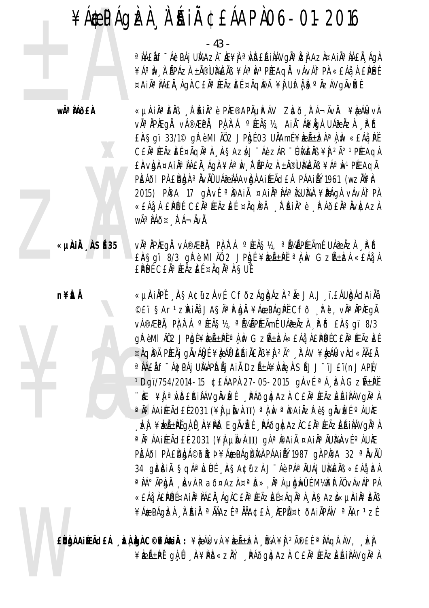- 43 -

a NAEN F ÁGDAI UNAZN HE¥N a NDEAINÁVONA NZI AZN¤AINA NAEN AON ¥ÁªIN I A PÁZA ± N®UMEIB ¥ÁªIN 1 PÉEAQI VÁVÁI° PA «EÁå A EPÉJE ¤AIĪ IÁEI ÁGI CEIª ÆÃZEE ¤ÃGIPÄ ¥I UItLI Sº IZÁVGIVEE

wê MÕ£À

«µÀIẰªĒÄß À ĂIĂºè PIÆ®APõPÁV ZLað FÁ¬ÄvÄ. ¥LeÁlkvA vઠÀPAEQÀ vÁ®ÆPÀ, PÀ À Á ºÆÃ޽, AIÀ-Á¥ÀQÀ UÁ@ÀZÀ PÕ  $E$ A Şqï 33/1© qi è MI A02 J Pigé 03 UAA mé¥ie A ± La a A in «£ A a Pě CEÀ<sup>a</sup> FEÃZEÍ ¤ÃQNª A ASAZA J Áè ZÁR DI MENS ¥ Pº 1 PFEAQA £Avbl ¤Ail<sup>a</sup> lá£l, ágl ¥áªlv, l`épázl ±l®ukell ¥áªlv1PæAql PEÁÕI PÀ ENDA <sup>a</sup> ÄvÄÛ UÁ & JÁA vIDA AI ÆÃ CEÁ PÁAILÝ 1961 (WZIN F 2015) PIPA 17 GIAVE <sup>a</sup> IPAI Ä ¤AINA ALA MENAI ¥IPAGI VAVAI PI «£Áå¸À £PÚť C£ĂªÆÃZÈÉ ¤ÃQPÄ ¸À˙Ŕiðè ¸PÁð£ĂªĂvÌCAZÀ WÃ<sup>a</sup> ÀÁÕ¤ À Á-ÄVÀ.

v˻ÀPÆgÅ vÁ®ÆPÅ, PÀÀ`Á °ÆÃ§½, ªÁ¼ÃPÆÃmÉ UÁ֎ÀZÀ ¸₽Ő EASqi 8/3 qirè MI AO 2 JPhof ¥ientin a A M Gzntech «EAA A EPUE CEĂª ÆÃZEE ¤ÃQĂª À SUE

«LIAIAPĚ ASA¢űzAvÉ CFÕZÁGADÁZA 2Á JA.J I.EÁUADÁCIAI ©£ï ŞAr1zĂIÄå JAŞÄªPÀÀ ¥Á\$PÁQPĚ CFð Rě, vĪÄPÀEQĂ v種PÄ, PA A Á ºÉEÃS½, ªÅ¼ÃPÉEÃmÉ UÁæÀZÀ A Ď £ÀSqï 8/3 gì è MI AO2 JPhé¥rñPĚªÀ N GzѱrÀ«£Áå A£PÚÉC£ĂªÆÃZÈÉ ¤ÃQIPÄ PÉEÃJ QINAUQÉ ¥ILAPEAIAEAB¥I 2ð FÁV ¥ILAGNOSAÃEA ªÌÁ£Ì f¯Á¢PÁj UÌÀPÌDÃj AII DZñÌ¥Ì∕ȸÌASÍ JJ¯ïJ£ï(nJAP)⁄ <sup>1</sup>Dgï/754/2014-15 ¢£ÁAPÀ 27-05-2015 gÀvÉ <sup>a</sup>Á EÀ GZñPĚ ∵ìÆ ¥j ªivið£íAinAvgilvilzt "Páðgildazi C£ila" feãzi£íAinAvgilan ªÄ°ÁAIÉFÃd£É2031 (¥Ì µÌN⊬II) ªÀÌN ªÌ®AIÄZ̺è§gÄVÌZÉ °ÁUÌÆ , E) ¥EñP (Q) Û, A¥PO EQÄVE (PÁÕQ)CAZICE Ĥ ÆÃZE A ILÁVQJA A <sup>a</sup>ҰÁAIÉAÃd£É2031 (¥) µÌN}II) gÀªÌ®AIÄ ¤AIĪÄU}ANEºÁUÆ PEÁÕI PÀ ENDA©P PCÞ¥Á EPÁQUMÀ PÁAIRÝ 1987 QÀ PPA 32 ª ÄVÄÜ 34 QIÊJAIN ŞQA<sup>a</sup> LULI AŞA¢üzi J-Áè PAªNUAI UMENB «EA: EA <sup>a</sup> IA° APIDI AVI Rað¤Azi ¤<sup>a</sup> D» A<sup>a</sup> Ludwu í M4N AÖ vávál° Pi «£Áå¸À£ÌPĚŀɤA¡ÌŪ ÌÁ£Ă¸ÁGÀC£ĂªÆÃZÈɤÃGĂªÀ¸À§AZÌ«µÀ¡ÄªÈÄß ¥Á\$CPÁQÈZÀ À ÉNIÄ ªÄÄAZɪÄÄA¢£À ÆPܤtÕAIÄPÁN ªÄAr1zÉ

 $\mathbf{E}$ ìngh aifeã $\mathbf{d}$ eá  $\mathbf{E}$ àngh  $\mathbf{C}^{\odot}$ nánh  $\colon$   $\mathbb{A}$ è álk $\vee$ a  $\mathbb{A}$ eá $\pm$ lza  $\mathbb{A}$ la  $\mathbb{A}$ a  $\mathbb{A}$ eá  $\mathbb{A}$ a  $\mathbb{A}$ a  $\mathbb{A}$ a  $\mathbb{A}$ a  $\mathbb{A}$ ¥ÈEñPĽ gÌ Û "A¥PÖ«ZÄV, "PÁÕGACAZA CEÄ®ÆÃZEŔIÀÁVGÄ®A

n¥ÈÂ

«µÀiÅ ÀSÉ 35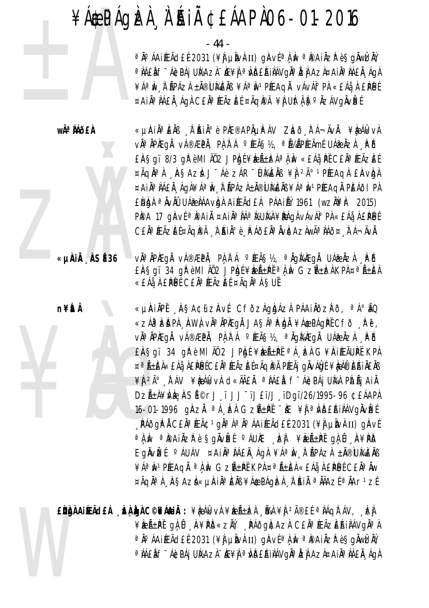- 44 -

ªÄ°ÁAIÉEÃd£É2031 (¥Ì µÌNÀII) gÀVɪÀ, Ù ªÌ®AIÄZP è SgÀWÈÀŸ, a NAEN F ÁGDAJ UNAZN. NE¥N a NDERINAVONA NZI AZN¤AINA NAEN ÁGN ¥ÁªÌN À ÃPÁZÀ ±À®ÙMÈÄB ¥ÁªÌN1PÉEAQĂ vÁvÁI°PÀ «£Áå À £ÌPÉJÉ ¤AIĪ IÁEI AgI CEIª ÆÃZEE ¤ÃQPA ¥J UItLBº IZÁVGIVEE

wê MÕ£À

«µÀiĂªÈĂB À ĂiĂiðè PIÆ®APõPÁV ZLað FÁ¬ÄvÄ. ¥LeÁlkvÀ vàªÄPÆqÅ vÁ®ÆPÅ, PA A Á ºÆÃ§½, ªÁ¼ÃPÆÃmÉ UÁ@ÀZÀ . PÕ EASgï 8/3 gl è MI AO2 JPhi ¥ré±ha a N «EÁa PĚ CENa ÆÃZEE ¤ÃQN<sup>a</sup> A ASAZA J<sup>-</sup>Áè ZÁR<sup>-</sup>UMENB ¥Ì <sup>2ú 1</sup>PÆAQA EAVQA ¤AIĪ IÁEI "ÁgI¥Áª Iv "I HPÁZI±I®UMEIB¥Áª Iv1PÆAgI PEÁðI PI EURIA <sup>a</sup> ÄvÄÜ UÁZ LÁAVRI AIÆÃ CEÁ PÁAILÝ 1961 (WZLYKE 2015) PPA 17 gAVE <sup>a</sup> PAI ¤AI ª AA<sup>a</sup> MUMA ¥PÁGA VÁVÁ PA «EÁA A EPUE CEĂªÆÃZEŤÃQÌPÄ À ŔIĂºè PÁÕEĂªÄVÈAZÀWêÌÁÕ¤ FÁ¬ÄVĂ.

«µÀiÅ ÀSÉ 36

n¥ÈÂ

vì<sup>a</sup> ìpheaì vá®æpì. Pì ì á º rãs½, ª iameaì uáæ izi Põ £AŞQI 34 QP è MI A02 JPDGÉ ¥REA±PL <sup>a</sup> A M GZA±RA KPA ¤<sup>a</sup> A±EA «EÁå À EPUE CEĂª ÆÃZEE ¤ÃQĂª À SUE

«µAIÄPĬ AŞA¢ữzAvÍ CfðzÁgAAZA PÁAIÄðzPð, ªÁºÃQ «ZÁP EDPA AWA VĪÄPÆQÄ JASĪP DÄ ¥Á\$PÁQPĚCFÕ AP ë, vĂªĂPÆgĂ vÁ®ÆPĂ, PĄÀ`Á °ÆÃ§½, ªĂgKAÆgĂ UÁ@ĂzÀ ¸\PB EAS QÏ 34 QR è MI AO 2 JPRE ¥EAERE ªA EA G¥AILEÃURE KPA ¤ªÃ±EÀ«£Áå À£PÉJÉC£ĂªÆÃZEɤÃQI®Ä PÆÃj qÄvÁQIÉ ¥À ÁO EŘIÄ£ÄB ¥) 2ð , IT ÁV ¥IR ÁIK VI CI «ÄÃEI ®I ÁEI F-ÁICIPÁJ UIVAI PIDÃJ AI À DZıÀ¥NÈ ASÍ©rJ ï JJ<sup>-</sup>ïJ£ï/J iDgï/26/1995-96 ¢£ÁAPÀ 16-01-1996 gÀZH <sup>a</sup>Á, Là GZHEPE TE ¥J a WBEAIAAV GÀVEE **PÁÕGP A CEĂ<sup>a</sup> ÆÃ¢ 1 gĂª A ª Ăº ÁAI ÆÃ dE E 2031 (¥) LUVAII) GAVE** a A M a Painzh e Sgivizí a Aune da Fréi-Píga i A¥PD Eqnvir( OAUAV ¤AINONAEN Aga ¥AON A APAZA ±N®UMENB ¥ÁªÌN1PÆAQĂ ªÀÌN GZñPĚ KPÀ¤ªÃ±ÈÀ«£Áå À £PÉJÉ C£ĂªĂW ¤ÃQĪÀ AŞAZÌ«µÀIĪEÄB¥Á¢PÁQÈÀ À'AIÄ ªÄÄAZɪÄAr1zÉ

EÙÀNAIREACHA DEA LONG CONFRAIN: ¥ÈARVA ¥ÈAELEA DEA ¥À 2îEL ª NAON AV, LE ¥keñ±PťgĄû A¥PD«zŇ, PÁðg|¢Az) C£ŇªÆÃzEŔiNÁVgŇª) a jo áAiÆÃd£É2031 (¥) µÌNAII) gÀVÉ a j in a pai lizk è Sglwizi. a NAEN F ÁGDA JUNAZI HE¥N a NDEAINAVONA DEN AZA¤AIÑ A NAEN A GA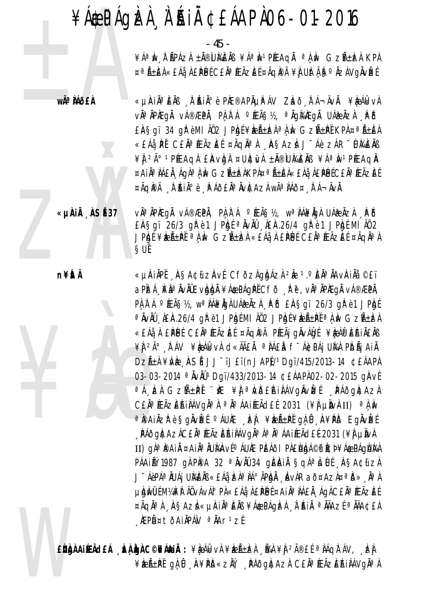# $\angle A$ æ $P$ Ágèzà À Á H $\AA$  C EÁAPÀ06-01-2016

- 45 -

¥ÁªIN I APÁZI ±Ä®UMEIB ¥ÁªIN1PÆAQI ªLIN GZA±IZI KPI ¤ªÑ±EÀ«£Áå À £PÚÉ C£ĂªÆÃZEÉ ¤ÃQIPÄ¥Ì UItÀB°ÄZÁVQIVEÉ

wê MÕ£À

«µÀIẰªÈÄß À ĂIĂºè PhE®APõPÁV Zhð FÁ¬ÄvÄ. ¥è ÁlkvÀ vàªÀPÆqÅ vÁ®ÆPÀ, PÀÀʿÁ ºÆÃ޽, ªÀqÀAÆqÀ UÁ@ÀZÀ PÕ £A§gï 34 gl? è MI ÄÖ2 JPbj{¥bzh̃±bzh <sup>a</sup>l u Gzh̃±pť KPh¤<sup>a</sup>h±en «£Áå PĚ C£ĂªÆÃZEÉ ¤ÃQĂªÀ "A§AZÀ J¯Áè ZÁR¯ŨMÈŇB ¥ J 2ð 1 PÉEAQ A E AV Q A ¤ UNC WA ± N ® W MAIE NS ¥ A ª N 1 PÉEAQ N ¤AIĪÌÁEÀ ÁGÀªÌÌN GZñÈÀKPÀ¤ªÃ±ÈÀ«EÁå À£PÚÉCEĂªÆÃZÈÉ ¤ÃQIPÄ À AIA<sup>0</sup>è PÁÕ£ĂªÄvICAZÀ wêÀÁÕ¤ FÁ¬ÄvÄ.

«µÀiÅ ASÉ37

vàªÀPÆqÅ vÁ®ÆPÀ, PÀÀ`Á °ÆÃ޽, wªÀÁ¥ÅqÀ UÁ@ÀZÀ PÕ EASqi 26/3 qrè 1 JPb[ a NVNO AEA.26/4 qrè 1 JPb [ MI AO 2 JPRI ¥RÁ±PI <sup>a</sup> A M GZA±RA «EÁA A EPLU CEA ÆÃZEI ¤ÃQA A SUĚ

**n¥itÂ** 

«µÀIÄPĚ AŞA¢űzAvÉ CfðzÁgbÁz) 2Å 1.ºEĪÄAvÀIÅå ©£ï aPİZÁ MAZIL VIDIN YACPÁQIPI CFÖ RU, VII APIEQI VA®ÆPI, PA A A º KEÃS 12, W<sup>a</sup> AÁBEACA UÁR AZA PO EAS que 26/3 que el JPA el <sup>a</sup> ÄvÄÜ , AEA.26/4 g/P è 1 JP g E MI ÄÜ 2 JP g E¥ EAEPE <sup>a</sup> A W GzñEA «£Áå À £PÚ É C£Äª ÆÃZE ɤÃQI®Ä PÆÃj gÄvÁIg É¥Ie ÁO EŘIÄ£Äß ¥Ì 2ð À ÁV ¥È ÁLKVÀ CI «ĂÃEÀ ª IAEL F-ÁC PÁJ UNA PIDÃI AIÀ DZıÀ ¥NÈ ASÍ JJ<sup>-</sup>ïJ£ï(nJAP)/1Dqï/415/2013-14 ¢£ÁAPÀ 03-03-2014 <sup>a</sup> NvNU 1 Dgï/433/2013-14 ¢ £ÁAPN 02-02-2015 gAvf <sup>a</sup> A EA GzH+PI "K ¥I ª WBEAIAAVgAvE PAOgEAzA CEÄ<sup>a</sup>ÆÃZEÁIIÁVGIª A ª JPÁAIÆÃCHE 2031 (¥I UNDAII) ª A M ªPAIÄZPè§gÄvÈEÍ ºÁUÆ JŁ] ¥ELıPĚ g] û A¥PD EgÄvÈEÍ , PÁðgI¢AzIC£ÄªÆÃzEÁIIÁVgIĭªlªĬ°ÁAIÆÃd£É2031 (¥Jj µÌIv} II) gì<sup>a</sup> paiì ¤aiìª iumrví° áune peáði pieligá©p ed ¥á¢páglim PÁAILÝ 1987 GÀ PÌPA 32 ª ÀVÀÙ 34 GIEIRIÀ SCIÁª LUE ASACIIZA J ÁèPÁªÄUÁj UMÈNS «EÁ¿) ERªIÁ°ÃPEJÄ AVRað¤AZR¤ªD» ĪI µ bì mu li ma li ng và vâ vâ li nghệt đâ là li nghĩ ha li ngà C£ li nghệt là li ¤ÃQĪÀ AŞAZÀ «µÀIĪÈÄB ¥Á\$PÁQÈÀ À ŔIÄ ªÄÄAZÉ ªÄÄA¢£À KEPܤtðAIÄPÁN <sup>a</sup>ÄAr<sup>1</sup>zÉ

 $\mathbf{E}$ ngà air Ách (comán). The seachtair an t-ìr Alba anns an t-ìr anns an t-ìr an Ach Av, an ¥ÈıPĚ QLŮ A¥PD«ZŇ PÁÕQNCAZL CEÄ®ÆÃZEŘIJÁVQÄ®A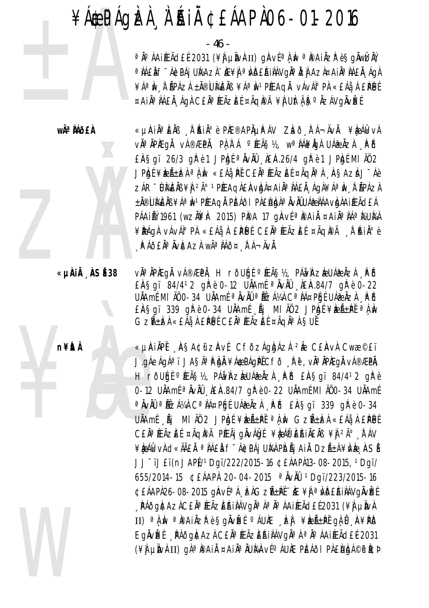- 46 -

ªÄ°ÁAIÆÃd£É2031 (¥ÌJ µÌNÀII) gÀVɪÀ,ÌN ªÌ®AIÄZ̺è§gÄWÊÄÝ a NAEN F ÁGDAJ UNAZN. NE¥N a NDERINAVONA NZI AZN¤AINA NAEN ÁGN ¥ÁªÌN À ÃPÁZÀ ±Ă®ÙMÈÄB ¥ÁªÌN1PÆAQĂ vÁvÁI°PÀ «£Áå À £PÉJÉ ¤AIĪ IÁEI ÁGI CEIª ÆÃZEE ¤ÃQIPI ¥I UItA Sº IZÁVGIVEE

wêÀÁð£À



«UAIN¤ENS A AIN» è PIE®APAUPAV ZIaõ FÁ¬ÄvA. ¥IeÁlkvA vàªÄPÆqÅ vÁ®ÆPÅ, PA,A`Á °ÆÃ§½, wªÀÁ¥ÅqA UÁæÀzA "PÕ EAS gi 26/3 ghè 1 JPhgé <sup>a</sup> NVAU LEA. 26/4 ghè 1 JPhgé MI AU 2 JPRJÍ ¥RÁ±RÁªA N «EÁå PĚ CEĪÆÃZEÍ ¤ÃQĪA ASAZÀ J¯Áè ZÁR WALAN ¥Ì 2ð 1 PÉLAGHE AVAN ¤AIN ALA LAGHE A NU HAPAZH ±Ă®ÙI¼ÈÄB ¥ÁªÌN 1 PÉEAQĂ PÈÁÕI PÀ£ÙIdhª ÄvÄÛUÁ@ IIÁAvIdhA IÉEÃCLÁ PÁAIỂÝ 1961 (WZĂÉK 2015) PPA 17 GAVÉ <sup>a</sup>PAIĂ ¤AIĪÀÁªÀSUÀA ¥PÁGÀ VÁVÁIº PÀ «EÁå À EPUE CEĂª ÆÃZEE ¤ÃGPA A AINº è A A A SE A "AVALAZA WÃ" A A SE A TA TAVA.

«µÀIÅ ÀSÉ38 vĂªĂPÆQÅ vÁ®ÆPĂ, H rõUGÉ ºÆÃ§½, PÁåvìAzèUÁ@ÅzÀ . PÕ  $E$ A Şqï 84/412 q $\ell$ è 0-12 UAM ne AvAU AEA 84/7 q $\ell$ è 0-22 UÄAmÉ MI AÜ 0-34 UÄAmÉ a AvAÜ a AEZAVA Ca AA¤PGE UÁR AZA AP B EASgi 339 gPè 0-34 UAAmé Kij MI AO 2 JPbgE ¥beki±PE a Lu Gzѱbà «EÁå, À EPUE CEĂª ÆÃZEE ¤ÃqĂª À SUE

n¥itÂ

«µAIÄPĬ AŞA¢ilzAvÍ CfðzÁgbáza 2Å C£AvÀ Cwa ©£ï J.gÁeÁgÁªï JAŞÄªÌPÀJÀ ¥Á\$PÁgÌPĚCfð ÌPě, vÀªÄPÀEgÀ vÁ®ÆPÀ, H rõugí "ÆÃ޽, PÁ:vìAzèUÁ åzì PÕ EÀSgï 84/412 gì è 0-12 UÄAmÉ <sup>a</sup> ÄvÄÜ , AEA.84/7 g Pè 0-22 UÄAmÉ MI AÜ 0-34 UÄAmÉ <sup>a</sup> ÄvÄÜ <sup>a</sup> AEZÁ¼À C<sup>a</sup> IÁ¤PÉIE UÁ@ÄZÀ PÖ EASqï 339 qi è 0-34 UÄAmÉ  $\tilde{A}$ j MI $\tilde{A}$ 0 2 JP $\tilde{B}$ i ¥ke $\tilde{A}$ ± $P\tilde{B}$  a $\tilde{A}$ w Gz $\tilde{A}$ ±ke $\tilde{A}$  «£ $\tilde{A}$ à £ $P\tilde{B}$ lé CEN<sup>a</sup> FEÃZE E ¤ÃQIPA PFEÃI QUVÁDI ¥DAPERINENS ¥N 2ð FAV ¥ÈÁI KVÀ C «ÄÃÊĂ ª ÌÁÊÀ f "ÁCPÁJ UÌAÌ PIDÃJ AI DZñÀ ¥ÌVÈ , ÀSÍ JJ<sup>-</sup>ïJ£ï(nJAP)<sup>1</sup>Dqï/222/2015-16 ¢£ÁAP)13-08-2015, 1Dqï/ 655/2014-15 CEÁAPÀ 20-04-2015 <sup>a</sup> NvAU 1Dqï/223/2015-16 ¢£ÁAPÀ26-08-2015 gÀvɪÁ¸ÞÀGZÁ±PĚ∵Æ¥jªWĎ£ÁIJÁVgÄvÞEÉ ¸ PÁðgI¢AzIC£ĬªÆÃzEŔIÌÁVgĬªlªĬ°ÁAIÆÃd£Í2031 (¥I µÌIvA II) <sup>a</sup>lw <sup>a</sup>painzrè§gnvef <sup>o</sup> auk , ej ¥rá±pí glû, n¥pd Eglvké Ráðglazi Cela Æãzlékilávgla a la álalífjade (2031) (\] unh II) gàapain ¤ainanuman a chun peaoi paenda@p icd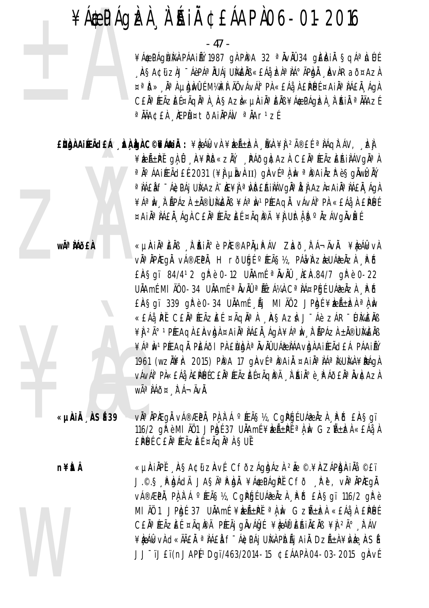- 47 -

¥Á&PÁQÙMA PÁAINÝ 1987 GÀ PIPA 32 ª AVAU 34 GIEIAIA SGÁª LUÍ . ASA¢ü zij <sup>-</sup>Áèp᪠IUÁj UMEIB «£Áà, Izlª IA° ÃPIgI , Avi Rað¤Azi ¤ªD» Nª A LICHINDE MIAINE AU VÁVAIº PA «EÁÀ A EPEUE ¤AIA ª AAEA AGA CEĂª ÆÃZE{¤ÃQĂª À ÀSAZÌ«µÀIĂª ÈÄB ¥Á\$PÁQIZÀ À AIÄ ª ÄÄAZÉ <sup>a</sup> ÄÄA¢£À ÆPܤtÕAiÄPÁN <sup>a</sup> ÄAr<sup>1</sup>zÉ

EÙÙÀAIÆÃdEÁ ¸ÈÙÙÀO C©¥Á&IĂ : ¥ÈÁŒvÀ¥ÈÆÃ±ÈÀ ¸Ŭ¼À¥Ì ºÃ®£É ªÌÁQÌ ÁV, ¸È] ¥ÈEñPĽ gÀ Û A¥PD«ZĂ, PÁðgÆAzA C£ÄªÆÃZEŔIÀÁVgĪA ªÄ°ÁAIÆÃd£É2031 (¥ÌJUN) UN VɪÀM ªPAIÄZP è SQÄWDAY a NAEN F ÁGDAI UNAZN HE¥N a NDEAINAVOÑ a NEN AZN¤AIÑ A NAEN A GA ¥ÁªÌN À ÃPÁZÀ ±Ă®ÙMÈÄB ¥ÁªÌN1PÆAQĂ vÁvÁI°PÀ «£Áå À £PÉJÉ ¤AIĪ IÁEI ÁGI CEIª ÆÃZEE ¤ÃGIPI ¥I UIt I ISº IZÁVGIVIZE

wê MÕ£À

«µÀIẰªÈÄß À ĂIĂºè PhE®APõPÁV Zhð FÁ¬ÄvÄ. ¥è ÁlkvÀ v˻ÀPÆgÅ vÁ®ÆPÀ, H rõUģÉ °ÆÃ§½, PÁà/ÀZÈUÁ֎ÀZÀ ¸₽Ő £A Sqï 84/412 q Pè 0-12 U Amé <sup>a</sup> AvAU LEA 84/7 q Pè 0-22 UÄAmÉ MI AÜ 0-34 UÄAmÉ a AvAÜ a AEZA¼A Ca AÁ¤PÉJÉ UÁ@ÀZA PÖ  $E$ A Sqï 339 q  $\mathbb{R}$  è 0-34 U  $\lambda$ Amé  $\tilde{\mathbb{A}}$ i MI  $\tilde{\mathbb{A}}$  2 J Phot  $\frac{1}{2}$ «£Áå¸ÞĚ C£ŇªÆÃzEÉ ¤ÃqŇªÀ ¸À§AzÌ J¯Áè zÁR¯Ú¼ÈŇß ¥Ì 2ð 1PÉEAQÀ EÀVIDÀ ¤AIÀªÌÁEÀ ÁQÀ ¥ÁªÌN À ÃPÁZÀ ±À®ÙIVEÀB ¥Áª IN 1 PÍEAQI LEAÕI PI EURI ª IVIÙ UÁR IAAVRI AI ÉADEA PÁAILY 1961 (wzN¥r 2015) PPA 17 gAv{aPAjA ¤AjAaNAaNUMA¥PAGA vÁvÁ<sup>1</sup>° PÀ«£Áå¸À£**PÉ**JÉC£ĂªÆÃZÈɤÃQPA ¸À`Ŕiðè¸PÁÕ£ĂªÄvÀCAZÀ WÃ<sup>a</sup> ÀÁð¤ À Á⊣ÄVÀ.

«µÀiÅ ÀSÉ 39 vì<sup>a</sup> ìpiegì vá®æpì, pì ì á °íeã§½, Cgrói uáæìzì . Põ £ìa§gï 116/2  $q\tilde{F}$  è MI A01 JP $q\tilde{F}$  37 UAAmf ¥b $\tilde{E}$  $\tilde{F}$  $\tilde{F}$  $q\tilde{F}$  $\tilde{F}$  $q\tilde{F}$  $\tilde{F}$  $\tilde{F}$  $\tilde{F}$  $\tilde{F}$  $\tilde{F}$  $\tilde{F}$  $\tilde{F}$  $\tilde{F}$  $\tilde{F}$  $\tilde{F}$  $\tilde{F}$  $\tilde{F}$  $\tilde{F}$  $\tilde{F}$  $\tilde{F}$  $\til$ EPUE CEÄ<sup>a</sup> ÆÃZEE ¤ÃQĪ À SUE

«µÀIĂPĚ . ASA¢ữ zàvÉ CfðzÁgházì 2Å ©.¥ÀZÁPhàiĂå ©£ï n¥ÈtÂ J.©.§ PUÁCIA JASAªPUA ¥Á\$PÁGPI CFÕ RU, VIªAPIEGA v種PÄ, PA A Á ºÆÃS½, CgPGEUÁæÄZA PÖ EASgï 116/2 gPè MI ÄÖ 1 JPAJE 37 UÄAmE ¥REıPĚ <sup>a</sup> A Av GzñRA «£Áå A £PÚE CEN<sup>a</sup> ÆÃZEE ¤ÃQIPÄ PÆÃj gINVÁIDE ¥ILAPERINENS ¥I 2ð FAV ¥ÈÁI (KV) CHA AN AN THAIR AN AN AN AN AN AN AN AN AN AN AN AN AS AS AS AS AS AS A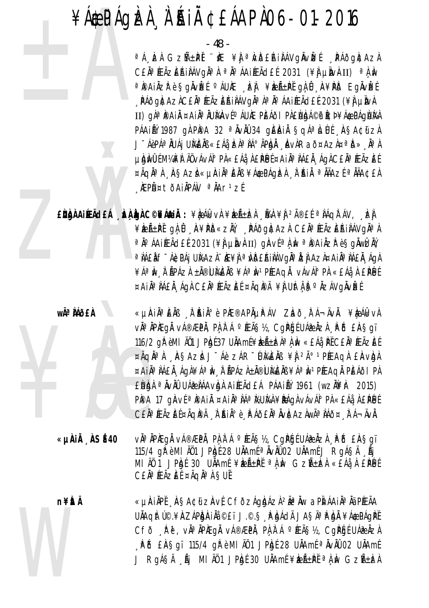- 48 -

<sup>a</sup>Á, EÀ GZH+PI "KE ¥J <sup>a</sup>NDERINÁVgNVEE DAÕGACAZA CEÄ<sup>a</sup>FEÃZEAIAN GA a A ALIFEÃ CEL 2031 (¥) UN ET a A N ªPAIÄZPè§gÄvÈEÍ ºÁUÆ "È) ¥ÈZñPĚ gÌ, Û "A¥PIð EgÄvÈEÍ , PÁðg|¢AzIC£ĬªÆĨzEŔijAVgI¤lªIºÁAijÆĨd£Ĺ2031 (¥] µIWH II) gì<sup>a</sup> i Ai ¤Ai ¤Ai Ninh ví Ó ÁU ME PIEÁÖI PI ELUGA © P ICD ¥Á & PÁGLUMA PÁAIỂÝ 1987 GÀ PÌPA 32 ª ĂVÀŨ 34 GIEIAIĂ SCIÁª LUÍ ASACII ZA J ÁèPÁªÄUÁj UMÈŇ «EÁå, EÀªÌÁ°ÃPÀJÄ , ÀvÀRað¤AzÀ¤ªð», ĪÌ µ bì mu là nh là nh là nh là nh là nh là nh là nh là nh là nh là nh là nh là nh là nh là nh là nh là ¤ÃQĪ) AŞAZÌ «µÀIĪEÄB ¥Á\$PÁQÈÀ À AIÄ ªÄÄAZÉ ªÄÄA¢£À **EPܤtðAIÄPÁN ªÄAr1zÉ** 

EÙÙÀAIÆÃCIEÁ "ÈÀÙ)AC©¥Á&IĂ: ¥ÈÁkvÀ¥ÈÆÃ±ÈÀ "ÜAÀ¥J 2î£É ªÌÁQÌTÁV, "ÈJ ¥ÈEñPĚ gÀ Û A¥PD«ZĂ, PÁðg|¢AzI C£ÄªÆÃZEŔIIAVg|¤I ªÄ°ÁAIÆÃd£É2031 (¥ÌJUN) UN VɪÀM ªPAIÄZP è SQÄWDAY a NAEN F ÁGDAI UNAZN HE¥N a NDEAINAVOÑ a NEN AZN¤AIÑ A NAEN A GA ¥ÁªIN I ŘPÁZI ±Ä®UMEIB ¥ÁªIN1PÉEAQI vÁvÁI°PI «£Áå I £PÉJÉ ¤AIĪ IÁEÄ, ÁGA CEĪ ÆÃZEE ¤ÃGPA ¥I UItA FO AZÁVGÄVEE

wÃ<sup>a</sup> Mõ£À

«LIAIÄ<sup>a</sup>EÄB A`ÄIİèPÆ®APÄLIPÁV ZIað FÁ¬ÄVÄ. ¥IeÁIkvA vઠÀPÆgÅ vÁ®ÆPÀ, PÀ À Á ºÆÃ§½, CgPGÉUÁ@ÀZÀ "PÕ £A§gï 116/2 gì è MI AU1 JPh 637 UAAmé ¥ben ±ba a h « EA è PI CE A a PEAZE f ¤ÃQN<sup>a</sup> A ASAZA J Áè ZÁR WAENB ¥Ì <sup>2ð</sup> PÉEAQA EAVOA ¤AIĪ IÁEI "ÁGI ¥Áª Iv "I "ÄPÁZI ±Ä®UIAEIB ¥Áª Iv "PÉEAGI PEÁÕI PI EURIA <sup>a</sup> ÄvÄÜ UÁZ LÁAVRIA AIÆÃ CEÁ PÁAILÝ 1961 (WZÄVENT 2015) PPA 17 gAVE <sup>a</sup> PAI ¤AI ª AA<sup>a</sup> MUMA ¥PÁGA VÁVÁ PA «EÁA A EPUE CEĂªÆÃZEŤÃQÌPÄ À ŔIĂºè PÁÕEĂªÄvÌCAZÀwêÌÁÕ¤ Ì Á¬ÄvÄ.

vì<sup>a</sup> ìpiegì vá®æpì. Pì ì á º Æāṣ½. Capáí Uáæìzì Põ £ìaṣaï «µÀIA ASÉ40 115/4 gřeMI A01 JPgt 28 UAAmt <sup>a</sup> AvA002 UAAmt J RgÁSA  $\tilde{A}$ j MI ÄÖ 1 JPAJÉ 30 UNAMÉ ¥DZıPĚ <sup>a</sup>n m GzñDZA «EÁå A EPUE CEÄ<sup>a</sup> ÆÃZEÍ ¤ÃQĪ À SUÍ

n¥ÈtÂ

«µÀIẰPĚ 'ÀSA¢ữZÀvÉ CfðzÁgÀdÁzÀ ?êÄw aPÀ/ÁAIĪÄä PÉEÃA UÄAQIItÚ©.¥IAZÁPIDIAI I ÖLÜ J.©.§ P DÁdÄ JASĪP DI ¥Á&PÁQIPÍ CFÕ RP JR JA VÄ<sup>a</sup> ÄPÆGÄ VÁ®ÆPÄ, PA A Á ºÆÃS½, CGPGÉ UÁ*®* ÄZA PI EASgï 115/4 gì è MI AU 1 JPhy 28 UAAmE <sup>a</sup> AvAU 02 UAAmE J RgÁSA Á MI AO 1 JPAJE 30 UAAME ¥RALAPE <sup>a</sup> A Av GzALAZA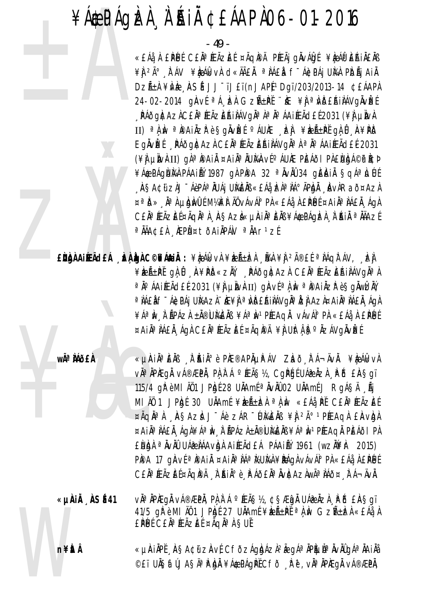- 49 -

«£Áå À £PÚ É C£Ăª ÆÃZE ɤÃQI®Ä PÆÃj gÄvÁDI ¥RÁI® EŘIÄ£ÄB ¥Ì <sup>2ð</sup> "Ì ÁV ¥È ÁlkvÀ d«ÄãÀ ª ÌÁ£À f<sup>-</sup>ÁCPÁj UÌ⁄A PIOÃj AIÀ DZıÀ ¥NÈ ASÍ JJTJEï(nJAPÍ1Dqï/203/2013-14 ¢EÁAPÀ 24-02-2014 gAvi <sup>a</sup> A k GzA+PI "k ¥j a vb£A ilAVgAvket , PÁÕG)¢AZICE Ĥ ÆÃZEŔI I AVGI¤ l¤ J¤ ÁAI ÆÃCI EL 2031 (¥I LIN) II) a A M a Painzr è Sonvet caux et referent or 0 A FPD EgÄVEE PÁÕGACAZA CEÄ<sup>a</sup> ÆÃZEAJAAVGÄ<sup>a</sup> A <sup>a</sup> A A LIÆÃ dE E 2031 (\#) un\hti) gì@@Ain ¤Ain@NUMAvE@AUNE PEAOI PIENDA@@NCP ¥Á&PÁQÙMÀ PÁAINÝ 1987 QI PIPA 32 ª IVIÙ 34 QIEIAI SQÁªLJÚ "ÀSA¢üzìJ"ÁèPÁªÄUÁj UMÈÄB «EÁà, bàªÌÁ°ÃPÒÀ, "ÀvÀRað¤AzÀ  $\alpha^{\alpha}$ ð» , ä $^{\alpha}$  á likiműlé m¼n äö vává $^{\circ}$  På «EÁå, à EPÉJÉ ¤Aiä $^{\alpha}$  àáEà, ágà CEĂª ÆÃZEͤÃQĂª À ASAZÌ«µÀIĂª EÀB ¥Á\$PÁQIZÀ À AIÀ ª ÀÄAZÍ a ÄÄA¢£À ÆPÙ¤tõAiÄPÁN a ÄAr1zÉ

EÙÀNAIRACH LE LA LA CORÁLIA : ¥L ÁL VÀ ¥L A-LA LA ¥À 2îE (ª LAQITÁV, LA ¥ÈEñPĽ QLÛ A¥PD«ZÄV PÁðQNCAZI CEĪÆÃZEAIIAVQĪI ªÄ°ÁAIÉEÃd£É2031 (¥] µÌNÀII) gÀVɪÀ, N ªÌ®AIÄZP è SgÄWEÄŸ a NAEN F ÁGDAI UNAZN HE¥N a NDEAINAVOÑ a NEN AZN¤AIÑ A NAEN A GA ¥ÁªÌN À ŘPÁZÀ ±Ă®ÙMÈÄB ¥ÁªÌN1PÉEAQĂ vÁvÁI°PÀ «£Áå À £PÉJÉ ¤AIĪ IÁEI AgA CEIª ÆÃZEE ¤ÃQPA ¥I UItA Sº IZÁVGIVEE

wê MÕ£À

«µAIĪÈÄß 'À AIĺè PAE®APĵPÁV ZLað "TÁ¬ÄvÄ. ¥Le Álk vA vઠÀPAEgÀ vÁ®ÆPÀ, PÀ À Á ºÆÃ§½, CgPGEUÁ@ÀZÀ APÓ £A§gï 115/4 girêmi ji bi ji piştî 28 unamê a ji vilo 2 unamê ji roast a ser MI ÄÖ 1 JPADE 30 UNAME ¥RENELDA a A N «EAA PE CENA FEAZEE ¤ÃQN<sup>a</sup> A ASAZA J-Áè ZÁR-UMENB ¥Ì <sup>2ú 1</sup> PÉEAQA EAVIOA ¤AIĪ IÁEI "ÁgI ¥Áª Iv "I HPÁZI ±I®UMEIB ¥Áª Iv PÉEAQI PEÁÕI PI EURIA <sup>a</sup> ÄvÄÜ UÁZ LÁAVRI AIÆÃ CEÁ PÁAILÝ 1961 (WZÄ¥I- 2015) PPA 17 GAVE <sup>a</sup> PAI ¤AI ª AA<sup>a</sup> MUMA ¥PAGA VAVA PA «EAA A EPUE CEĂªÆÃZEŤÃQÌPÄ À AÌAÏ è À ÁÕEĂªÄVÌCAZÀWêÌÁÕ¤ À Á-ÄVÄ.

vàªĂPÆqÅ vÁ®ÆPÅ, PÀ À Á ºÆÃ޽, ¢ŞÆnÀ UÁ@ÄZÀ . PÕ £À§qï «µÀiÅ ÀSÉ41 41/5 gì è MI AU 1 JPhof 27 UAAmé ¥izh-Pe <sup>a</sup> ji v Gzh+izh «EAi 1 EPUE CEĂª ÆÃZEE ¤ÃQĪ À SUE

«µAIÄPĬ "ASA¢ű zAvÍ CFðzÁglgÁzl<sup>2</sup>à gÁª ÄP̵Ĭª ÄvÄÛgÁª ÄAIÄå **n¥itÂ** ©£ï UħåtŰJA§ÄªĬPÁDÅ ¥Á\$PÁQĬPĚCFð ÅPĕ, vĪÄPÄEQÅ vÁ®ÆPÅ,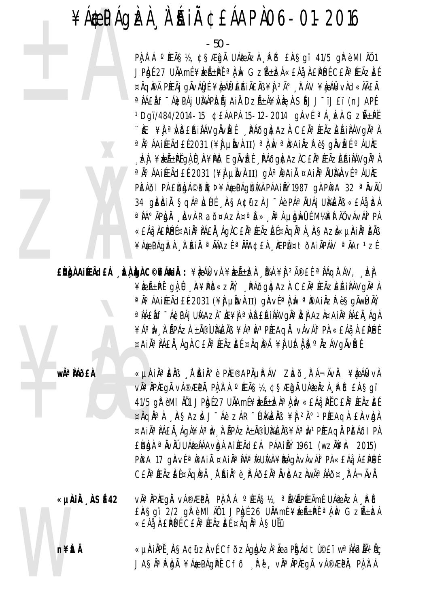- 50 -

PA A A PEAS12, CSÆDA UÁRAZA PO EASQI 41/5 OF è MI AU1 JPAJÉ 27 UÄAmÉ¥REıPĚ ªÀN GZıRÀ«EÁå A EPÚÉ CEÀªFEÃZEÉ ¤ÃQIPÄ PÉEÃJ QINAU LE LA APEAJAEAB ¥I 2ú FÁV ¥U ÁL VA CI «ÄÃEA a NAEN FTÁCPÁI UMPDŐI AIN DZŐ±N¥ME, ASÍ JJTIJET (NJAP) <sup>1</sup>Dqï/484/2014-15 ¢£ÁAPÀ 15-12-2014 qiAví <sup>a</sup> Á EA GzѱPĚ ∵ìÆ ¥Ì ªÌvið£ÁIÌÁVgĬvÌzÉ , PÁðgÌ¢AzÌ C£ĬªÆÃzEÁIÌÁVgĬªÌ ªÄ°ÁAIÉEÃdEÉ2031 (¥Ì µÌNÀII) ªÀÌN ªÌ®AIÀZÌ è§gÄVÈE ºÁUÀE **LEI ¥EñPĚGÀÛ A¥PD EGÄVEÉ PÁÕGACAZACEĪÆÃZEŔIIÁVGĪÀ** a No ÁAIÉEà d£É 2031 (¥) µN v k II) g Na Pai Na ¤AIN a NUMA v fo ÁUNE PEÁÕI PÀ ENDÁ©P PCÞ¥Á EPÁQNA PÁAIHÝ 1987 QÀ PPA 32 ª ÄVÄÜ 34 QIEIAIA SQÁªILILIE ASA¢üzI JÉÁèPÁªILLAI UMEINS «EÁÀ IZA a JÁ° ÃP DI LAVI Raõ¤AzI ¤a D» Ja Ludwu EM MAH JÜ vÁvÁI° PI «EÁå ÀEPÉJɤAIÀª ÌÁEĂ ÁGÀCEĂªÆÃZEɤÃGĂª À 'ÀSAZÀ«µÀIĪÈÄß ¥Á\$PÁGEZA À AJÄ ª ÄÄAZÉ ª ÄÄA¢£À ÆPÙ ¤ tÕAIÄPÁN ª ÄAr1zÉ

 $\hat{E}$ Ngà Aireã $\det A$  ,  $\hat{E}$ à co $\hat{E}$ Asià : \\anda algabra  $\hat{E}$ ¥ÈıPĚ gÀÛ A¥PD«ZÄ, PÁÕGACAZA CEĪÆÃZEŔIAÁVGĪA ªÄ°ÁAIÉEÃd£É2031 (¥) µÌN}II) gÀVɪÀÌN ªÌ®AIÀZÈè§GĂWÊÀÝ a NAEN F ÁGDAJ UNAZN HE¥N a WOERINAVONA DZI AZN¤AIÑ ANAEN "AON ¥ÁªÌN À ÃPÁZÀ ±À®ÙMÈÀB ¥ÁªÌN1PÉEAQÀ VÁVÁIº PÀ «£Áà À £ÌPÉJÉ ¤AiĪ IÁEI ÁgI CEIª ÆÃZEE ¤ÃqIPÄ ¥I UItLI Sº IZÁVgIvIZE

**WÃ<sup>a</sup>MÃfÀ** 

«µÀIẰªÈÄß À ĂIĂªè PìÆ®APõPÁV Zhð tá¬ÄvÄ. ¥è ÁlkvÀ vì<sup>a</sup> ìpiegì vá®æpì, pì ì á °íeã§½, ¢§æidì uá?ìzì . Põ £ìa§gï 41/5 qi eMI A01 JPigé 27 UAAmé¥izã±izh<sup>a</sup> A iw «EÁå PĚCEA¤ FEÃZEÉ ¤ÃQN<sup>a</sup> A ASAZA J-Áè ZÁR-UMENB ¥ 7ú 1PÆAQA EAVA ¤AIĪ IÁEI AQI¥Áª Iv À APÁZI±I®UMEIB¥Áª Iv1PÆAQI PEÁðI PI EURIA <sup>a</sup> ÄvÄÜ UÁR IAA vIGIA AIÆÃ CHÁ PÁAILI 1961 (WZIKIET 2015) PPA 17 QAVE <sup>a</sup> PAI ¤AI ª AA<sup>a</sup> MUMA ¥PAQA VAVA PA «EAA A EPUE CEĂª ÆÃZEE¤ÃQPA A AN SIú è PAÕEĂª AVEAZAWê AAÕ¤ FA-AVA.

vàªÄPÆqÅ vÁ®ÆPÅ, PA A Á ºÆÃ§½, ªÅ¼ÃPÆÃmÉ UÁæÀZÀ "PÕ «µÀiÅ ÀSÉ42 EASgï 2/2 grèmi A01 JPh 26 UAAmE ¥beA±PE <sup>a</sup> A w GzA±beA «EÁå, À EPUÉ CEĂª ÆÃZEÉ ¤ÃQÀª À SUËü

«µÀIẢPĚ ÀSA¢ữ ZÀVÉ CFÕZÁQÒJÁZÀ<sup>2</sup>Ă aPÒJÁdtÚ©£ï w<sup>a</sup> JÁ?ÄÃ1â **n¥itÂ** JAŞÄ<sup>a</sup>PU ¥ACPAQPECFO PU, VÄ<sup>a</sup>APAEQA VA®ÆPA, PAA`A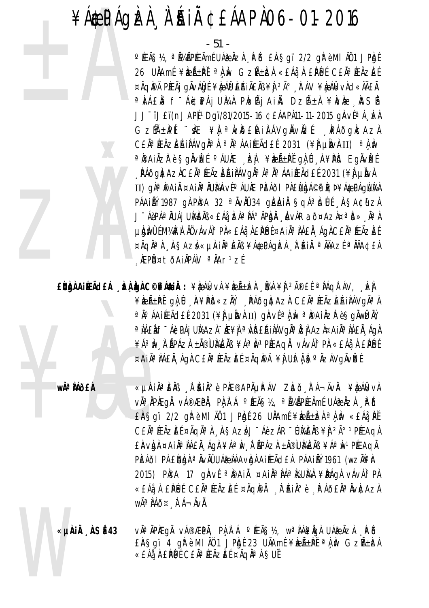- 51 -

O ÆÃS½, <sup>a </sup>luã prãmé UÁ dizi po ERSgï 2/2 grèmi A01 JPgé 26 UÄAmÉ ¥ÈEñPĚ ªÀÀV GZñÈZÀ «EÁå À EPÚÉ CEÀªÆÃZÈÉ ¤ÃQIPÄ PÉEÃJ QINAUQÉ ¥ILAPEAIAEAB¥I 2ð FÁV ¥ILAGNOSAÃEA <sup>a</sup> NAEN f<sup>-</sup>A&PAjUMA PIOAjAIN DZA±A ¥NR ASA JJ<sup>-</sup>ïJ£ï(nJAPĮ)<sup>1</sup>Dgï/81/2015-16 ¢£ÁAPl11-11-2015 gAv[<sup>a</sup>Á El GZHñPI ''ME ¥Àj<sup>a</sup> NÒB£KAINÀVg NUNEL NAÕG NCAZA CEN<sup>a</sup> FEÃZERINÁVON<sup>a</sup> A <sup>a No</sup> ÁAI FEÃO EL 2031 (¥) LINAII) <sup>a</sup> A No <sup>a</sup> PailzP è Sglvet <sup>o</sup> Aure, ej ¥eri±Pi gli a¥Pio Eglvet , PÁÕG)¢AZICE Ĥ ÆÃZEŔI I ÁVGI¤ I¤ Ĥ ÁAI ÆÃCIE E 2031 (¥I UN) II) gì<sup>a</sup> i Ai ¤Ai Aukaví Mur Peáði Pieuda©p icþ¥áæpágijka PÁAIỂÝ 1987 GÀ PÌPA 32 ª ĂVĂŨ 34 GIEIAIĂ SQÁª LUE ASA¢ữ ZA J ÁèpáªÄUÁj UMÈNS «EÁå, ERªNÁ°ÃPQN , AvÀRað¤AzÀ¤ªD», ĪA µ bì mu là nh là nh là nh là nh là nh là nh là nh là nh là nh là nh là nh là nh là nh là nh là nh là nh là nh ¤ÃQĪÀ AŞAZÀ «µÀIĪÈÄB ¥Á\$PÁQÈÀ À ŔIÄ ªÄÄAZɪÄÄA¢£À KEPܤtðAIÄPÁN <sup>a</sup>ÄAr<sup>1</sup>zÍ

EÙÙÀ AIÆÃCEÁ "ÈÀ LA C©¥Á&IĂ: ¥ÈÁkvÀ ¥ÈÆÃ±ÈÀ "ÜAÀ ¥Ì <sup>2î</sup>£Ĺ ªÌÁQÌ ÁV, "È] ¥ÈEñPĽ QLÛ A¥PD«ZÄV PÁðQNCAZI CEĪÆÃZEAIIAVQĪI <sup>a</sup>ҰÁAIÉAÃCLÉ2031 (¥) µNvÀII) gÀvɪÌ, Nº PRAIÄZP è SgÄWDÄÝ a NAEN E-ACPAI UNAZI HE¥N a NDEAINAVONA NZI AZI¤AINA NAEN AQI ¥ÁªÌN À ÃPÁZÀ ±Ă®ÙI¼ÈÄB ¥ÁªÌN1PÉEAQĂ vÁvÁI°PÀ «£Áå À £PÉJÉ ¤AIĪ IÁEI ÁGI CEIª ÆÃZEE ¤ÃGIPI ¥I UIt I ISº IZÁVGIVIZE

wê MÕ£À

«µAIĪÈÄß À ĂIĺè PIÆ®APĵPÁV ZIað FÁ¬ÄvÄ. ¥IęÁlkvA vĂªĂPÆgĂ vÁ®ÆPĂ, PÀ,À˙Á °ÆÃ§½, ªÃ¼ÃPÆÃmÉ UÁ@ÀZÀ .\Pô EAS qï 2/2 qi e MI A01 JPb [26 UAAm EVEALEDA a A Av «EAA PE CEĂ<sup>a</sup> (EÃZEE ¤ÃQNª), ASAZ) J-Áè ZÁR-UMENS ¥) 2ú 1 P(EAQ) EAVIDA ¤AIA AAEA AQA ¥A a M A APAZA ±A®UMEAB ¥A a M PEEAQA PEÁÕI PÀ ENDA <sup>a</sup> ÄvÄÛ UÁ ê LÁA vIDA AI ÆÃ CIEÁ PÁAI LÝ 1961 (WZI) PA 2015) PIPA 17 GIAVE <sup>a</sup> IPAI À¤ ¤AIN<sup>a</sup> NA MEUMA ¥IPAGA VAVAIº PA «£Áå À £PÚ C£ĂªÆÃZE í¤ÃQPÄ À AIѺ è PÁð£ĂªÄvICAZA WêÌÁÕ¤ À Á-ÄVÀ.

«µÀIÄ ÀSÉ43 vì<sup>a</sup> ìpiegì vá®æpì, pì,ì á °éeã§½, wªìá¥igì uáæìzì ¸þð  $E$ A Sqï 4 q  $R$ è M I AU 1 J P a 1 23 UA A m E ¥  $x$  A  $\overline{P}$   $\overline{P}$   $\overline{P}$   $\overline{P}$   $\overline{P}$   $\overline{P}$   $\overline{P}$   $\overline{P}$   $\overline{P}$   $\overline{P}$   $\overline{P}$   $\overline{P}$   $\overline{P}$   $\overline{P}$   $\overline{P}$   $\overline{P}$   $\overline{P}$   $\overline{P}$   $\overline$ «£Áå¸À £PÚĒ C£ĂªÆÃZÆÉ ¤ÃQĂªÀ §UÉ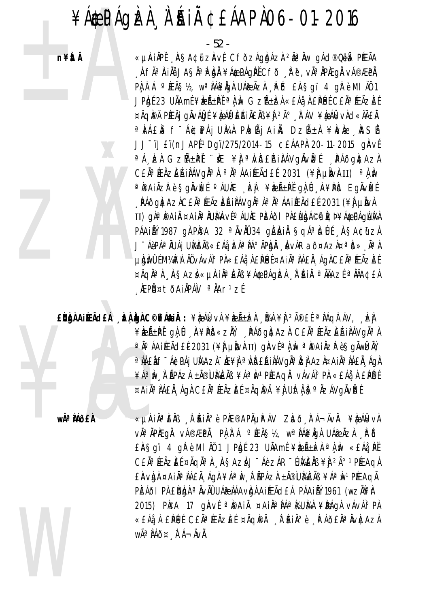- 52 -

n¥itÂ

«µAIÄPĬ "ASA¢űzAvÍ CfðzÁgbázi 2ê Äw gád®Qëà PÉEÃA "Àfê ÀiẢå JASẢª P bẢ ¥Á\$PÁgPĚCfð "Ì" ě', vẢª ĂPÀEgÅ vÁ®ÆPĂ, PA A A PEAS12, W<sup>a</sup> AA¥ACA UA@AZA PO EASQI 4 OR è MI A01 JPAJÉ 23 UÄAmÉ¥REñPĚ ªÀN GZѱRÀ «EÁÀ À EPUÉCEĂªÆÃZEÉ ¤ÃQI®Ä PÉEÃJ GINALOSE ¥LA ÁP EAILENS ¥L 2ú FÁV ¥LA ÁLK VI d«ÄÃEL <sup>a</sup> NAEN f<sup>-</sup>Act PAj UMA PIOHj Ain DzA+A ¥N R AS a <sup>a</sup>Á, ER GZH+PI "KE ¥J <sup>a</sup>NDEAIRÁVGNVE PAÕGACAZA CEĂ<sup>a</sup> ÆÃZEAIÀNQĪÀ ªÄºÁAIÆÃdEÍ 2031 (\} un-hI) ªÀM ªPAIÄZPè§gÄvÈEÍ ºÁUÆ "È] ¥ÈZñPĚ gÌ Û "A¥PIð EgÄvÈEÍ , PÁÕG)¢AZICE ĤÆÃZEÁII ÁVGI¤ A¤ ĤÁAI ÆÃCLÉ 2031 (¥I LIN) II) gì<sup>a</sup> paiì ¤aiìª iumrví° áune peáði pieligá©p ed ¥á¢páglim PÁAINÝ 1987 GÀ PIPA 32 ª NVAU 34 GIEIRIA SOLA PLUE ASACII ZA J ÁèPÁªÄUÁj UMÈNS «EÁà, EÀªÌÁºÃPÀJÄ , AvÀRað¤AzÀ¤ªĎ», ĪÀ µ bì mu li ma li ng và vâ vâ li nghệt đâ là E phú trai ngà C E li ngh C E li nghệt E li nghệt Li Li ¤ÃQĪ) ASAZI «µAIIªEIB ¥Á\$PÁQIZI A AII ªIJAZE ªIJA¢EI KEPܤtðAIÄPÁN <sup>a</sup>ÄAr<sup>1</sup>zÍ

EÙÙÀAIÍEÃOEÁ "ÌEÀÙÀOAC©NEÁAIĂ: \R`A(kv)A\}IEñJEA "ÏVA\\} 2îEÉ ª ÀÁQITÁV, "JE} ¥ÈEñPĽ gÌ Û "A¥PD«ZĂ, "PÁðg)¢AzI C£ÄªÆÃZEŔIÌÁVgĪI ªÄ°ÁAIÉEÃd£É2031 (¥ÌJ µÌNÀII) gÀVɪÀ,ÌN ªÌ®AIÄZ̺è§gÄWÈÄŸ, a NAEN E - ACPAJ UNAZA DE¥N a NDERINAVOJA NZI AZA¤AIJA NAEN AO A ¥ÁªÌN À ÃPÁZÀ ±À®Ù}AÈÄB ¥ÁªÌN1PÆAQÀ vÁvÁI°PÀ «£Áå À £PÉJÉ ¤Ail<sup>a</sup> láfl "Ágl Cfla" (FÁzEE ¤Ágl®) ¥J Ultl B° lzávglvet

wê MÕ£À

«µAIĪÈÄß 'À 'ÄIĺè PIÆ®APĵPÁV ZIað 'lī Á¬ÄvÄ. ¥IęÁlkvÀ vàªÄPÆgÅ vÁ®ÆPÅ, PA A Á ºÆÃ§½, wªÀÁ¥ÁgÀ UÁæÀzÀ "PÕ EASqi 4 qrèmi A01 JProf 23 UAAmi ¥bent Elan a A dv «EAa Pi CEÀ<sup>a</sup> FEÃZEI ¤ÃQNª À ASAZI J-Áè ZÁR-UMENS ¥I 2ú 1 PEAQA EAVIDA ¤AIA AAEA AQA ¥A a M A APAZA ±A®UMEAB ¥A a M PEEAQA PEÁÕI PÀ ENDA <sup>a</sup> ÄvÄÛ UÁ & LÁA vIDA AI ÆÃ CEÁ PÁAI AÝ 1961 (WZIN F 2015) PIPA 17 GIAVE <sup>a</sup> IPAI À ¤AIN<sup>a</sup> NA MEUMA ¥IPAGA VAVAIº PA «£Áå À £PÚ C£ĂªÆÃZE (¤ÃQPĂ A AIѺ è PAÕ£ĂªÄVICAZA WÃ<sup>a</sup> ÀÁð¤ À Á-ÄVÀ.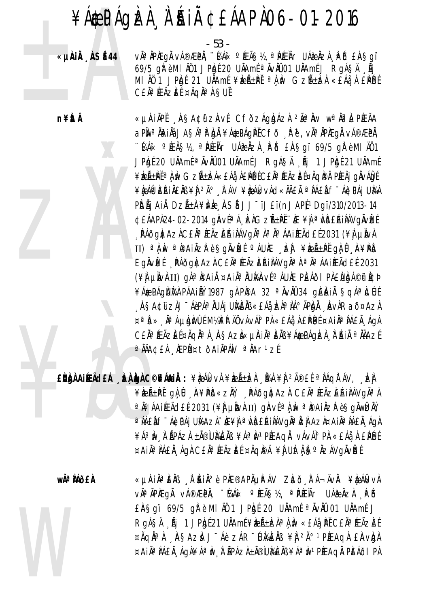- 53 -

«µÀiÅ ÅSÉ44

vઠÀPÆqå vÁ®ÆPÅ, ''KÁk« °ÆÃ§½, ªPÆŘr UÁ@ÅZÀ È BÊA§gï 69/5 ghe MI A01 JPbgf 20 UAAmf a AvA001 UAAmf J RgASA AI MI ÄÖ 1 JPAJÉ 21 UNAmÉ ¥DEѱPĚ <sup>a</sup> A M GZѱDA «EÁå A EPUÉ CEÄ<sup>a</sup> ÆÃZEE ¤ÃQĪ À SUE

n¥ÈÂ



«µÀIÀPĚ ASA¢ữZAvÉ CFÕZÁgbÁZÀ 2ªÀw wªÀPÀ PÉEÃA aPÎN<sup>a</sup> ÄRITÄ JAŞÄ<sup>a</sup> İP İQI ¥Á\$PÁQIP CFÕ R P, VĪÄPIEQI VÁ®ÆPÄ, "MÁK PÆÃ޽, ªPÆŘr UÁæÄZÀ PÕ EÀSqï 69/5 qirèMI ÄÜ1 JPhyf 20 UAAmf <sup>a</sup> AvAO 01 UAAmf J RgÁSA "Aj 1 JPhyf 21 UAAmf ¥ÈÁ±PĚªÀÙ GZñÈÀ«£Áå¸À£PÉJÉC£ĂªÆÃZÈɤÃQPPÄ PÆÃj gÄVÁQÉ ¥ÈAP EAILENS ¥L 2ú A AV ¥ÈAlkvAd«ÄÄEN ªNAEN F-ACPAJ UNA PIDÃI AIL DZñI ¥ME ASÍ JJ<sup>-</sup>ïJ£ï(nJAPJ1Dgï/310/2013-14 ¢£ÁAPÀ24-02-2014 gÀvéªÁ¸ÈAGZñŘŤ∵Æ¥jªÙĎ£ÁiÀÁVgÄvÈÉ , PÁÕGACAZICEÄ<sup>a</sup> ÆÃZEÁIIÁVGĪ lª ĺ ÁAIÆÃdEÍ 2031 (¥I µIWH II) a A M a Painzr è Sonvet caux et referient or 0 A FPD Eglvké Ráðglada Cela féldek hann a no haife hall 2031 (\#) umhi qida matiqalik qatiqalik qatiqalik qatiqalik qatiqalik qatiqalik qatiqalik qatiqalik qatiqalik qatiq ¥Á&PÁQÙMA PÁAINÝ 1987 QÀ PIPA 32 ª AVAU 34 QIEIAIA SQÁª LUÍ "ÀSA¢ữ zìJ"ÁèPÁª ÄUÁj UMÈÄB «EÁà, ÞÀª IÁº ÃPIDĂ "ÀVÀRað¤AzI ¤ª10» Nª A phònill M¼M AÖ vÁvÁI° PA «EÁå A EPEUE ¤AIĪ AAEÄ "ÁgA CEĂª ÆÃZEͤÃQĂª À ÀSAZÌ«µÀIĂª ÈÄB ¥Á\$PÁQIZÀ À AIÀ ª ĂÄAZÍ <sup>a</sup> ÄÄA¢£À ÆPܤtÕAiÄPÁN <sup>a</sup> ÄAr<sup>1</sup>zÉ

EÙÙÀ AIRACH AN LO CONÁNIA : ¥È ÁIRVÀ ¥È LE À LA VA VA 2 AO EL ª LAQIT ÁV, LA ¥ÈEñPĽ gÀ Û A¥PD«ZĂ, PÁÕgA¢AZA CEĪÆÃZEŔIÀÁVGĪA ªÄ°ÁAIÉFÃd£É2031 (¥Ì µÌNÀII) gÀVɪÀ,ÌN ªÌ®AIÄZÌ èŞgÄWÊÄÝ a NAEN FTÁIDPAI UNAZN. NE¥N a MDEAINAVOÑ a NZI AZN¤AIÑ ANALA. AON ¥ÁªÌN À ÃPÁZÀ ±Ă®ÙI¼ÈÄB ¥ÁªÌN1PÉEAQĂ vÁvÁI°PÀ «£Áå À £PÉJÉ ¤AIĪ IAEI Agi CEIª ÆÃZEE ¤ÃQIPÄ ¥I UIt I ISº IZÁVGIVIZE

wêÀÁð£À

«µÀIẰªÈÄß À ĂIĂºè PhE®APõPÁV Zhð FÁ¬ÄvÄ. ¥èÁkkvÀ vì<sup>a</sup> ìpiegì vá®ÆPì, ''Iaák °Féã§½, ªPFEÃr Uáæìzì Pô EASqi 69/5 qirè MI A01 JPh 20 UAAmE a AvAO 01 UAAmE J RgÁSÄ Äj 1 JPhjé 21 UÄAmé¥kzıkzA<sup>a</sup> $\lambda$ kv «£Áå PČC£Ä<sup>a</sup>ÆĀzEÉ ¤ÃQN<sup>a</sup> A ASAZA J Áè ZÁR WAENB ¥J <sup>2ú 1</sup> PÉEAQA EAVIGA ¤AIĪ IÁEI "ÁGI ¥Áª Iv "I "ÄPÁZI ±Ä®UMEIB ¥Áª Iv "PÆAGI PEÁÕI PI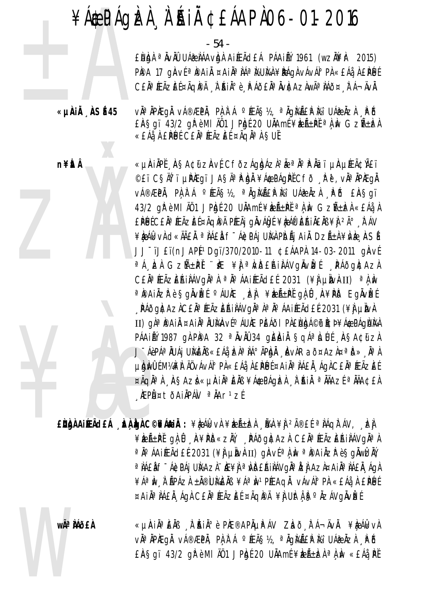- 54 -

«EÁå, À EPUE CEĂª ÆÃZEE ¤ÃQĂª À §UË

EUNA <sup>a</sup> Nvàu Uái Náavna Airfádeá Páainý 1961 (wzniem 2015) PPA 17 gAVE <sup>a</sup> PAI ¤AI A 14 MUM ¥PÁGA VÁVÁ PA «EÁÅ A EPUE CEĂª ÆÃZEE¤ÃQÌPÄ A A AJA è A AÕEĂª ÄVICAZAWê IAÕ¤ A A-ÄVÄ.

«µÀiÅ ÀSÉ45 vઠÀPÆqå vá®ÆPÅ, PÀ À Á ºÆÃ޽, ªÄqໄ4ãÌP Ì⁄a UÁ@ÅZÀ , PÕ  $E$ AŞqï 43/2 qi è MI A01 JPh (20 UAAmi ¥iz $E$ i+Pi  $^a$ A iv GzA+ $E$ A

> «µÀIAPĚ AŞA¢űzAvÉCFðzÁgAdÁzÀºÃªĂºPÄZïµAµÆÃ¢Ñ£ï ©£ï CŞÄİ ï µPAEqï JAŞÄªP bÀ ¥Á\$PÁqPĚCFð R ë , vĪÄPAEqĂ v種PÄ, PA À Á ºÆÃS½, ªÄgMãPMi UÁ@ÄZA RPŐ £ÄSgï 43/2 gì è MI A01 JPh 20 UAAmE ¥ben + PE a A M G zh + ben « E A a A £PÚĹC£ĂªÆÃZEŤÃQIPÄ PÆÃj gÀvÁQLÉ¥RÁO EAJÄ£ĂS¥Ì 2ð À ÁV ¥ÈÁkVÀ d«ÄÃÊĂ ª ÌÁÊÀ fīÁ¢PÁj UÌÀ PIDÃj AI DZñÀ ¥ÌVÈ, ÀSÍ JJ-ïJ£ï(nJAP)1Dqï/370/2010-11 C£ÁAPÀ 14-03-2011 qÀVE <sup>a</sup> A EA GzH+PI "K ¥h a WBEAIAAVghvEt PAOgEAzA CEN<sup>a</sup> FEÃZERINÁVON<sup>a</sup> A <sup>a No</sup> ÁAI FEÃO EL 2031 (¥) LINAII) <sup>a</sup> A No ªPAIÄZPè§gÄvÈEÍ ºÁUÆ "È] ¥ÈZñPĚ gÌ ∫I A¥PD EgÄvÈEÍ , PÁÕG)¢AZICE Ĥ ÆÃZEŔI I ÁVGI¤ I¤ Ĥ ÁAI ÆÃCE É 2031 (¥I UN) II) gì<sup>a</sup> paiì ¤aiìª iumrví° áune peáði pieligá©p icþ¥áæpáglimi PÁAINÝ 1987 GÀ PIPA 32 ª NVAU 34 GIEINIA SGAª LUE ASACIIZA J ÁèpáªÄUÁj UMÈNS «EÁ¿ÞÀªÌÁ°ÃPÒNĂ AvÀRað¤AzÀ¤ªð» ĪÀ µ bì mu li ma li ng khô ng khô ng khô ng khô ng khô ng khô ng khô ng khô ng khô khô khô khô khô khô khô khô kh ¤ÃQĪÀ "AŞAZÀ «µÀIĪÈÄß ¥Á¢PÁQÈÀ "À AIÄ ªÄÄAZÉ ªÄÄA¢£À KEPܤtðAIÄPÁN <sup>a</sup>ÄAr<sup>1</sup>zÍ

EÙÙÀ AIRACH LA LA LA CONÁLIA : ¥L ÁL VA ¥LA LA LA VA ¥L 2îE E ª AÁQITÁV, LA ¥EıPĬqìÛ A¥PD«zĂ, PÁðg|¢Azì C£ĂªÆÃzEAjiAVg|ÀªA ªÄ°ÁAIÆÃd£É2031 (¥Ì µÌWÀII) gÀVɪÀ,ÌW ªÌ®AIÄZ̺ èŞgÄWÊÄÝ a NAEN F ÁGDA LUKAZI HE¥N a NDEAINAVOÑa NZI AZI¤AIÑ A NAEN A GA ¥ÁªÌN À ÃPÁZÀ ±Ă®ÙMÈÄB ¥ÁªÌN1PÆAQĂ vÁvÁI°PÀ «£Áå À £PÉJÉ ¤AIĪ IAEI AgI CEIª ÆÃZEE ¤ÃqIPÄ ¥I UItA Sº IZAVgIvIzE

wê MÕ£À

n¥itÂ

«µÀIN¤ÈNB N AINI¤ è PIE®APNUPAV ZIað FÁ¬ÄvN. ¥IQÁIkvA vĂªĂPÆgÅ vÁ®ÆPÅ, PA À Á °ÆÃ§½, ªÄgÀÁEP Ì⁄a UÁ@ÅZÀ "PÕ EASqi 43/2 qrèmi A01 JPb(20 UAAmE ¥bent Lean a A M «EAA PE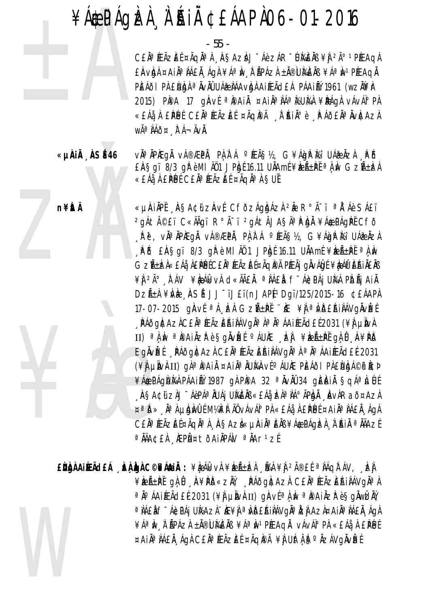- 55 -

CEN<sup>a</sup> ÆÃZEÍ ¤ÃQN<sup>a</sup> A ASAZA J Áè ZÁR DIKENS ¥J <sup>2ú 1</sup> PÆAQA £Avbl ¤Ail<sup>a</sup> lá£l, ágl ¥áªlv, l`ãpázl ±l®ukels ¥áªlv1PéEAql PEÁÕI PÀ ENDA <sup>a</sup> ÄvÄÛ UÁ ÀÁA vIDA AI ÆÃ CEÁ PÁAI AÝ 1961 (WZI YEA 2015) PIPA 17 gIAVE <sup>a</sup> IPAI Ä ¤AIÄ<sup>a</sup> IA<sup>a</sup> IYUMA ¥IPAGA VAVAI° PI «EÁå À EPUL CEÀª ÆÃZEL ¤ÃQIPÀ À AIÀº è PAÕEÀª ÀVICAZA WÃ<sup>a</sup> ÀÁÕ¤ À Á-ÄVÀ.

«µÀIÅ ÀSÉ46 vઠÀPAEQÀ vÁ®ÆPÀ, PÀ À Á ºÆÃ޽, G¥ÁndPhú UÁ@ÀZÀ PÕ  $E$ A Sgï 8/3 gir è MI A01 J Pigé 16.11 UAAmé ¥be $E$ A ± Pě  $^a$ A kv G z $E$ + $E$ A «EÁå À EPUÉ CEĂª ÆÃZEÉ ¤ÃQÀª À SUĚ

> «µÀIẰPĚ 'ÀSA¢ữZÀvÉ CFÕZÁgÀJÁZÀ 2Ă R°Ã-ï ªÅ-Áè SÁ£ï <sup>2</sup>gáti ©£ï C«ÄÃgï R°Ã-ï <sup>2</sup>gáti JAS Ī Pha ¥Á \$PÁgPĽ Cfð R ở , vha hPheqh vá®æPh, Phìa Á °ÆÃ§½, G¥ÁnPhá UÁæñzh AP & EAS gi 8/3 gh è MI AO 1 JP gé 16.11 UAA mé ¥ben-PE a A Av GZѱÌZÀ«EÁå, À EÌPÉJÉCEĂª ÆÃZEɤÃQÌPÄ PÆÃj QÄVÁÍDÉ¥Ì; ÁÏP EŘIÄEÄB ¥) 2ð KAV ¥È ÁLKVÀ CI «ÄÃEÀ ªÀÁEÀ F-ÁCCPÁJ UNA PIDÃJ AIÀ DZñÀ ¥ŴÈ ASÍ JJ<sup>-</sup>ïJ£ï(nJAP)<sup>1</sup>Dgï/125/2015-16 ¢£ÁAPÀ 17-07-2015 ginve <sup>a</sup> A bei Gzh+pe "ke ¥i a Wbehinavgivbe , PÁÕG)¢AZICE ĤÆÃZEŔIIAVGI¤ lª JPÁAIÆÃdE (2031 (¥I LIV) II) a A M a Painzr è Sonvet caux et referent or 0 A FPD Eglvet Páðglaza Cela Fázeáilávgla a la án fair a de 2031 (\] unh II) qì <sup>a</sup> pai ¤ai a lumaví a que peáo i pi endiá@p icd ¥Á&PÁQÙMA PÁAINÝ 1987 QI PIPA 32 ª IVIÙ 34 QIEIAI SQÁªLJÚ "ÀSA¢üzìJ"ÁèpáªÄUÁjUKEÄB«EÁà, EÀªÌÁºÃPÈJÄ, "ÀvÀRað¤AzÀ ¤ª10» Nª l ludwul M¼M AÖ vÁvÁl° PL «EÁå l EPÚ í ¤AIĪ LÁEÅ Agl CEĂª ÆÃZEͤÃQĂª À ASAZÌ«µÀIĂª EÀB ¥Á\$PÁQIZÀ À AIÀ ª ÀÄAZÍ <sup>a</sup> ÄÄA¢£À AEPÙ¤tÕAiÄPÁN <sup>a</sup> ÄAr<sup>1</sup>zÉ

EÙÙÀ AIÆÃCEÁ "È À Ù LO CHÁ AI : ¥È Á LE VÌ ¥È LE LE À VA ¥ J 2î E É ª LÁQ LT ÁV, "È J ¥EıPĬqìÛ A¥PD«zĂ, PÁðg|¢Azì C£ĂªÆÃzEAjiAVg|ÀªA <sup>a</sup>İÁAIÉÆÃd£É2031 (¥]jµÌN}II) gÀVɪÌ, MªPAIÄZPè§gÄWÈÄÝ a NAEN F ÁGDAI UNAZI HE¥N a NDEAINAVOÑ AZI AZI¤AIÑ A NAEN A GA ¥ÁªÌN À ÃPÁZÀ ±Ä®ÙMÈÄB ¥ÁªÌN1PÉEAQĂ vÁvÁI°PÀ «£Áå À £ÌPÉJÉ ¤AIĪ IAEI AgI CEIª ÆÃZEE ¤ÃQIPI ¥I UItA Sº IZAVGIVIZE

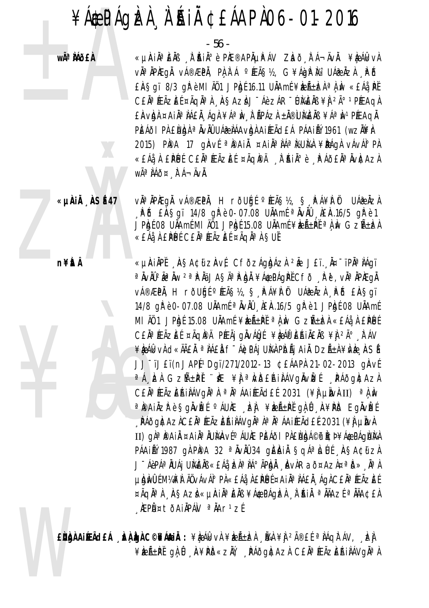- 56 -

wê MÕ£À

«µAIĪÈÄß À ĂIĺè PIÆ®APĵPÁV ZIað FÁ¬ÄvÄ. ¥IęÁIkvA vhªnpægn vá®æpn, pl, i á ∘æã§½, G¥ánpPi⁄a Uáænzi "Põ EAS qï 8/3 qi è MI A01 JPh [16.11 UAA mé ¥ben Ela a Lui « EA a LPI CEÀ<sup>a</sup> FEÃZE (¤ÃQNª), ASAZ) J-Áè ZÁR-UMENS ¥) 2ú 1 PFEAQ) EAVIDA ¤AIA AAEA AQA ¥A a M A APAZA ±A®UMEAB ¥A a M PEEAQA PEÁÕI PÀ ENDÀ <sup>a</sup> ÄvÄÛ UÁ ÀÁA vI A HÆÃ CEÁ PÁA I A 1961 (WZÄ¥I-2015) PIPA 17 GIAVÉ <sup>a</sup> IPAI À ¤AIN a NA MEUMA ¥IPAGA VAVAIº PA «£Áå À £PÚ C£ĂªÆÃZE í¤ÃQPÄ À AIѺ è PÁð£ĂªÄvICAZA WÃ<sup>a</sup> ÀÁð¤ À Á⊣ÄVÀ.

«µÀiÅ ÀSÉ47

n¥itÂ

vì<sup>a</sup> ìpiegì vá®æpì, H rõuģí °ÆÃ޽, Ş PÁ¥Ì Öt UÁ?Äzì PD EASqi 14/8 qr è 0-07.08 UAAme <sup>a</sup> AvAU AEA.16/5 qr è 1 JPhof 08 UAAmf MI A01 JPhof 15.08 UAAmf ¥beh+Pt a A W Gzh+beh «EĂå À EPUE CEĂª ÆÃZEE ¤ÃQĂª À SUE

«µÀIÀPĚ ASA¢ữZÀVÉ CFÕZÁgÀAZÀ 2Ă JEï À¤¨ïPĪÀÁgï <sup>a</sup> ÄvÄĴ2ê Äw 2ª P Ää JASĪ P bL ¥Á\$PÁqPĚ Cfð , P ë , vĪ ÄPÆqÄ V種PÄ, H rðUGÍ ºÆÃ޽, Ş PÁ¥Ì Öt UÁ@ÄZÌ PÕ EÀSqï 14/8 gř è 0-07.08 UÄAmÉ <sup>a</sup> ÄvÄÛ , LEA.16/5 gř è 1 JP.o.f 08 UÄAmÉ MI ÄÖ 1 JPRJÉ 15.08 UÄAmÉ ¥REıPĚ <sup>a</sup> A N GZıRA «£Áå A £PÉJÉ CEN<sup>a</sup> FEÃZE E ¤ÃQIPA PFEÃI QUVÁIDE ¥DAPERINENS ¥N 2ð FAV ¥ÈÁI (KV) CHA AN AN THAIR AN AN AN AN AN AN AN AN AN AN AN AN AS AS AS AS AS AS A JJ-ïJ£ï(nJAP)1Dqï/271/2012-13 C£ÁAPÀ 21-02-2013 qÀVÍ <sup>a</sup> A EA GzH+PI "K ¥I ª WBEAIAAVgAvE PAOgEAzA CEÄ<sup>a</sup>ÉEÃZEÁIIÁVGÄ<sup>a</sup> À <sup>a</sup> jo ÁAIÉEÃdEÍ 2031 (¥) µIVAII) <sup>a</sup> À N ªPAIÄZPè§gÄvÈÉ ºÁUÆ LèÌ ¥EıPĚ gÌ Û A¥PD EgÄvÈÉ , PÁðg|¢Az]C£ÄªÆÃz}EÁI}ÁVg|ĭª}ªĬ°ÁAI{EÃd£É2031 (¥] µ]v} II) gì<sup>a </sup>ipaiì ¤aiìª iumhví° áuie pieáði pieiugá©p icþ¥á@págima PÁAIỂÝ 1987 GÀ PÌPA 32 ª ÀVÀÛ 34 GIEINIÀ SQÁª LUE ASACIIZA J ÁèpáªÄUÁj UMÈNS «EÁ¿ÞÀªÌÁ°ÃPÒNĂ AvÀRað¤AzÀ¤ªð» ĪÀ µ bì mu là nh là nh là nh là nh là nh là nh là nh là nh là nh là nh là nh là nh là nh là nh là nh là ¤ÃQĪ) AŞAZI «µAIĪEÄB ¥Á\$PÁQIZI I AIÄ ªÄÄAZE ªÄÄA¢£I KEPܤtðAIÄPÁN <sup>a</sup>ÄAr<sup>1</sup>zÉ

ENNA AIRACEÁ DA LONG CONTANA : ¥RÁGKVA ¥RñDA DA ¥A 2îEL ªNÁQITÁV, DA ¥keñPĽgĄÛ A¥PD«zŇ, PÁðg|¢AzI C£ÄªÆÃzEAiIAVgĪI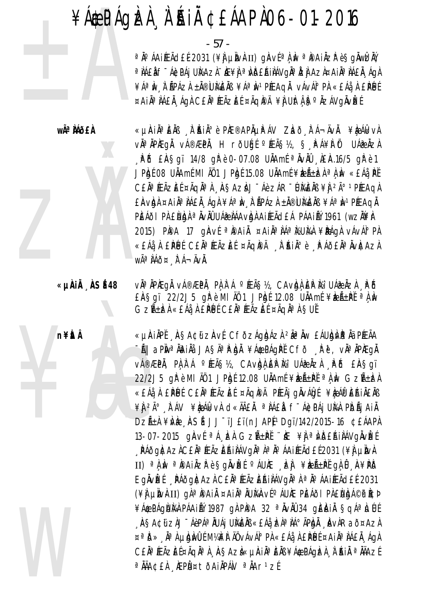- 57 -

<sup>a</sup>İÁAIÉÆÃd£É2031 (¥)jµÌNÀII) gÀVɪÌ, ÎN ªPAIÄZP èSgÄWİZÄÝ a NAEN F ÁGDA JUNAZI HE¥N a NDEAINAVOÑa DEN AZA¤AIÑ A NAEN AON ¥ÁªÌN À ÃPÁZÀ ±Ă®ÙMÈÄB ¥ÁªÌN1PÆAQĂ vÁvÁI°PÀ «£Áå À £PÉJÉ ¤AIĪ IÁEI ÁGI CEIª ÆÃZEE ¤ÃQIPI ¥I UItA Sº IZÁVGIVEE

wêÀÁð£À



n¥itÂ

«µÀIẰªÈÄß À ĂIĂºè PhE®APõPÁV Zhð FÁ¬ÄvÄ. ¥èÁkkvÀ vàªĂPÆqÅ vÁ®ÆPÀ, HrðUģÉ ºÆÃ޽, Ş PÁ¥À Öt UÁ@ÅZA PD EASgi 14/8 grè 0-07.08 UAAmE <sup>a</sup> AvAU LAEA.16/5 grè 1 JPRJÍ 08 UNAMÍ MI AO 1 JPRJÍ 15.08 UNAMÍ ¥RZÁ±RA <sup>a</sup>n N «EÁa Př CEN<sup>a</sup> ÆÃZEÍ ¤ÃQNª A ASAZI J-Áè ZÁR-UMENS ¥I 2ú 1 PÆAQA £ÀVÀN ¤AIÀªÌÁ£Ă ÁQI ¥ÁªÌN Ì ÃPÁZI ±Ă®ÙIVEÀB ¥ÁªÌN1PÉEAQI PEÁÕI PÀ ENDA <sup>a</sup> ÄvÄÛ UÁZ LÁA vIDA AIÆÃ CLÁ PÁAILÝ 1961 (WZILYET 2015) PIPA 17 GIAVE <sup>a</sup> IPAI À ¤AIN<sup>a</sup> NA MUMA ¥IPAGA VAVAIº PA «£Áå À £PÚ C£ĂªÆÃZE ¤ÃQPÄ À AIѺ è PÁÕ£ĂªÄVICAZA WêÌÁÕ¤ À Á-ÄVÀ.

«µÀIÅ ÀSÉ48 vઠÀPAEQÀ vÁ®ÆPÀ, PÀ À Á ºÆÃ޽, CAvAdÀ EP Mi UÁ@ÀZÀ PÕ  $E$ AŞqï 22/2J5 qirêmi AÜ 1 JPh (12.08 UAAmi ¥keh±Pt a A Av Gzñbà «EÁà, À EPUE CEÀª ÆÃZEE ¤ÃqÀª À SUE

> «µAIÄPĬ ASA¢ijzAví CfðzÁgbázi <sup>2</sup>ê Äw £ÁUbjvið Ää PÆÃA -Ã|| aPÎw<sup>a</sup>ŇAIŇå JAŞÄªÌPÀDĂ ¥Á¢PÁQPĚ CFÕ (È?, vĂªĂPÌEQĂ V種PÄ, PA A Á ºÉAS½, CAVAA EP M UÁPÄZA PÖ EASQÜ 22/2J5 qirè M1 A01 JPigé 12.08 UAAmé ¥ienE+Pě a Liv GznE+bel «£Áå À £PÚ ECE Ĥ ÆÃZE E¤ÃQI®À PÆÃj gÀvÁlg E¥ Le Ál FÉA IÀ EÀS ¥Ì <sup>2ð</sup> À ÁV ¥È ÁI KVÀ CI «ÄÃEÀ ª LAEA F ÁCPA I UMA PIOÃI AIÀ DZñÀ ¥ŴÈ ASÍ JJ~ïJ£ï(nJAPĮ1Dgï/142/2015-16 ¢EÁAPÀ 13-07-2015 ginve <sup>a</sup> A bei Gzh+Pt "if ¥j a Wbehilavgivbe ¸ PÁðg)¢Az) C£Ăª ÆÃzEŔI) ÁVg) ª }ª Ňº ÁAI ÆÃd£ É2031 (¥) µ þv} II) <sup>a</sup> A w <sup>a</sup> Paiåzr e Sgåv**l**et <sup>o</sup> AUAE , ej ¥rá±pť gA û , A¥PD EgÄvİZÉ RAÕGACAZA CEÄ<sup>a</sup> ÆÃZEAIAVGÄ<sup>a</sup> A <sup>a</sup> A <sup>o</sup> ÁAIÆÃdEE 2031 (\] unh II) qì <sup>a</sup> pai ¤ai a lumaví a que peáo i pi endiá@p icd ¥Á&PÁQÙMA PÁAINÝ 1987 QA PIPA 32 ª AVAU 34 QIEIAIA SQÁªLJÚ "ÀSA¢ữ zìJ"ÁèPÁª IUÁj UIAEIB «EÁà, Izìª IA° ÃPIDI "AvìRað¤Azì ¤ªD» ĪA LIDINÜLEM¼NH ÄÜ VÁVÁI° PÀ «EÁÅ A EPEUE ¤AIĪ AAEÄ AQA CEĂª ÆÃZEͤÃQĂª À ¸ ÀSAZÌ«µÀIĂª ÈÄB ¥Á\$PÁgÌZÀ ¸ À ¨ ÁIÄ ª ÀÄAZÍ <sup>a</sup> ÄÄA¢£À ÆPܤtÕAiÄPÁN <sup>a</sup> ÄAr<sup>1</sup>zÉ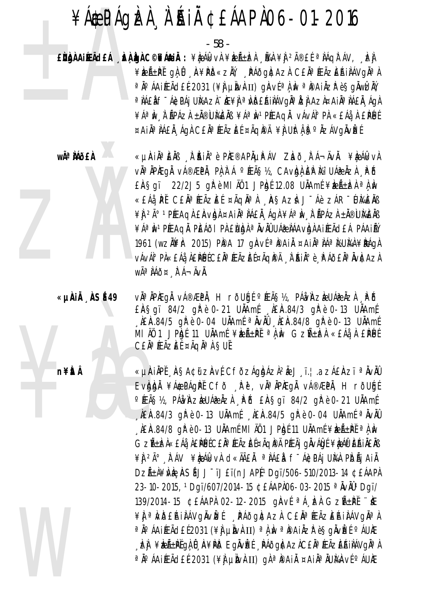## ¥Á EPÁQIZI À A SAI CEÁAPA 06-01-2016

- 58 -

EÙÙÀ AIRACEÁ LA LA C©NÁLIÀ : ¥L ÁL VÀ ¥LA LA LA VA ¥Ì 2îEÍ ª LAQITÁV, LA ¥ÈEñPĽ gìÛ A¥PD«zŇ, PÁðgI¢AzI C£ÄªÆÃzEŔIIÁVgI¤I ªÄ°ÁAiÆÃd£É2031 (¥j}µÌN}HI) gÀVɪÌ, Nº PPAIÄZP èSgÄWEÀŸ, a NAEN F ÁGDAI UNAZN HE¥N a NDEAINÁVON a ÍZN AZN¤AIN A NAEN ÁGH ¥ÁªIW À BPÁZA ±N®UMENB ¥ÁªIW1PÆAQN vÁvÁI°PA «EÁå A EPUE ¤AIĪ IÁEÄ ÁGA CEĪ ÆÃZEE ¤ÃGPA ¥I UItA ISº ÄZÁVGÄVEE

wêÀÁð£À



«µÀiÅ ÀSÉ49 v˻ ÀPÆqÅ vÁ®ÆPÅ, HrõUgÉ ºÆÃ§½, PÁåvÀZÈUÁ@ÅZÀ ÈPŐ £ASgï 84/2 gk è 0-21 UAAmf , AEA.84/3 gk è 0-13 UAAmf AEA.84/5 gře 0-04 UÄAmf  $a$  AVAU AEA.84/8 gře 0-13 UÄAmf MI ÄÖ 1 JPAJÉ 11 UNAMÉ ¥DEѱPĚ <sup>a</sup> A M GZѱDA «£Áå A £PÚÉ CEÄ<sup>a</sup> ÆÃZEE ¤ÃQĪ À SUE

n¥itÂ

«µAIAPI AŞA¢üzAvi CfðzÁgbázì<sup>2</sup>à J ï.¦ azá£Azï<sup>a</sup> ÄvÀÛ Evbba ¥Á&PÁgPĚCfð Pè, vĪÄPÆgÄ vÁ®ÆPÄ, HrðUgÉ O FEÃS 12, PÁN AZEUÁZ ÀZI PO EAS que 84/2 que è 0-21 UNA mé  $\hat{A}$ EA.84/3 gP è 0-13 UAAmf  $\hat{A}$ EA.84/5 gP è 0-04 UAAmf  $\hat{A}$ VAU AEAR.84/8 g/R è 0-13 UAAmé MI A01 JPg f 11 UAAmé ¥ben + Pr a A Av GZѱÌZÀ«EÁå¸ÀÊÌPĚJÉCEĂªÉFÃZĚɤÃQÌPÄ PÉEÃj gÀVÁIDÉ¥ÈAÎP EÁIÄEÄB ¥Ì <sup>2ð</sup> À ÁV ¥È ÁL VÀ C «ÄÃEA ª AÁEA F ÁC PÁJ UNA PIOÃJ AIÀ DZÁ±À¥ŴÈ, ASÍJJ<sup>-</sup>ïJ£ï(nJAP)<sup>1</sup>Dgï/506-510/2013-14 ¢£ÁAPÀ 23-10-2015, 1Dgï/607/2014-15 ¢£ÁAPÀ06-03-2015 <sup>a</sup> ÀvÀÛ 1Dgï/ 139/2014-15 CEÁAPA 02-12-2015 gAVE <sup>a</sup> Á EA GZALPE "KE ¥Ĭ<sup>a</sup>NDEAIJAVQIVIEL PAOQICAZI CE FEAZEAIJAVQIA ªÄ°ÁAiÆÃd£Í2031 (¥j} µÌN⊬II) ªÀ,ÌN ªÌ®AiÄZłè§gÄVÌZÉ °ÁUĬÆ , E) ¥EñPĚGĄÛ, A¥PD EgÄvEÉ, PÁðgAcAzAC£ÄªÆÃzEŔIJÁVgĪ} <sup>a</sup> Ä∘ÁAiÆÃd£É2031 (¥∯µÌNvÀII) gÀªÌ®AiäAiĂªÄUЍANVÉ ºÁUÆ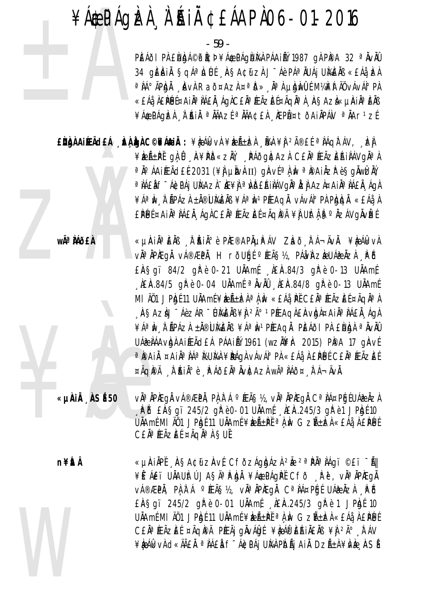- 59 -

PEÁÕI PÀ ENDA©P PCÞ¥Á EPÁGNA PÁAI PÍ 1987 GÀ PPA 32 ª ÄVÄÛ 34 gEAIN SQÁª LUE ASA¢üzI J-Áè PÁª ÄUÁj UMENB «EÁå EA <sup>a</sup> IIA° ÃPIQI AVI Raõ¤AzI ¤ªID» Mari µIgINUE M¼I¥I ÄÜ vÁvAI° PI «£Áå À£PÉJɤAIÀª ÌÁ£Ă ÁGÀC£ĂªÆÃZÈɤÃGĂª À 'À§AZÀ«µÀIĪÈÄß ¥Á\$CPÁQÈLÀ À ÉNIA ª ÄÄAZÉ ª ÄÄA¢£À ÆPܤtÕAIÄPÁN ª ÄAr1zÉ

EÙÀNAIREACH AN LO COMANN : ¥RAKVA ¥RA±DA NA ¥A 2îEL ª NAQITAV, DA ¥ÈıPĚ QLÛ A¥PÖ«ZÄ) PÁÕQNCAZI CEĪÆÃZEŔIIAVQĪI ªÄ°ÁAiÆÃd£É2031 (¥Ì µÌNÀII) gÀVɪÌ N ªÌPAIÄZÌ è §gĂWÈĂÝ a NAEN F ÁGDAI UNAZI HE¥N a NDEAINAVOÑa LEN AZI¤AIÑ ANALA AON ¥ÁªIN I APÁZI ±Ä®UMEIB ¥ÁªIN1PÆAQI vÁvÁI°PI PIQIQI «EÁå I EPUE¤AIĪ IÁEÄ ÁGACEĪ ÆÃZEE¤ÃGPÄ ¥I UItA ISº ÄZÁVGÄVIZEE

> «µÀIẰªÈÄß À ĂIĂºè PhE®APõPÁV Zhð FÁ¬ÄvÄ. ¥è ÁlkvÀ vĂªĂPÆgĂ vÁ®ÆPĂ, H rõUģÉ ºÉ§½, PÁ¿vÀZèUÁ@ĂZÀ ÈPŐ £ASgï 84/2 gh è 0-21 UAAmf AEA.84/3 gh è 0-13 UAAmf AEA.84/5 gh è 0-04 UAAmf <sup>a</sup> AvAU AEA.84/8 gh è 0-13 UAAmf MI ÄÖ1 JP İgÉ 11 UNA mÉ¥ LEN a LU «EA PE CEN ¤ FEAZEE ¤A GA A AŞAZI JÊREZARÊ LIMENS ¥I 2ú 1 PÆAQI EAVIDI ¤AJI ª NAEN, AQI ¥ÁªIW I I APÁZI ±Ä®UIGEIB ¥ÁªIW1PÉEAQI PELAÕI PI EIUIDI ªIVIÜ UÁR NÁA VIDA AIPEÃO EÁ PÁAINÝ 1961 (WZNYLIT 2015) PIPA 17 GIAVE ªPAI ¤AIĪ IÁª I⁄2UI⁄A ¥PÁQI vÁvÁI° PI «£Áå I £PÉJÉ C£Ăª ÆÃZEÉ ¤ÃQIPÄ À AIA<sup>0</sup>è PÁÕ£ĂªÄvICAZÀ wêÀÁÕ¤ FÁ¬ÄvÄ.

«µÀIÄ ÀSÉ50 vĂªĂPÆqÅ vÁ®ÆPÅ, PÀ À Á °ÆÃ޽, vĂªĂPÆqÅ CªÀÁ¤PÉIÉUÁ@ÀZÀ  $\mu$  is Ensay 245/2 give 0-01 Unami LiEn. 245/3 give 1 JPh  $10$ UÄAmÉ MI ÄÖ1 JPAJÉ 11 UÄAmÉ ¥REıPĚ ªÀ Àv GZıRÀ «EÁå À EPÉJÉ CEÄ<sup>a</sup> ÆÃZEÍ ¤ÃQê À SUÍ

n¥itÂ

wê MÕ£À

«µÀIÄPĚ AŞA¢ijzAvÉ CfðzÁgbázì 2à 2ªPĪIÁgï ©£ï -Ã|| ¥É ÁET UÄAUItÚ JASĪP bI ¥Á¢PÁGPĚ CFÕ RU, vĪÄPÆGÄ v種PÄ, PA A A ºÆÃS½, vĪÄPÆqÄ CªÌÁ¤PÉJÉ UÁ@ÄZA APÉ £ÄSgï 245/2 gřè 0-01 UÄAmf \_ A£Ä.245/3 gřè 1 JPhjf 10 UÄAmÉ MI ÄÖ1 JPAJÉ 11 UÄAmÉ ¥RıPĚ <sup>a</sup> A Av GzñRA «£Áå A £PÚE CEN<sup>a</sup> ÆÃZEE ¤ÃQIPA PÆÃj gINVALOSE ¥LA DE AINENS ¥J 2ð KAV ¥ÈÁI (KV) CI «ÄÄEÄ ª IAEI F "ÁICPÁJ UIAI PIDÃJ AI DZñI ¥IVIE ASÍ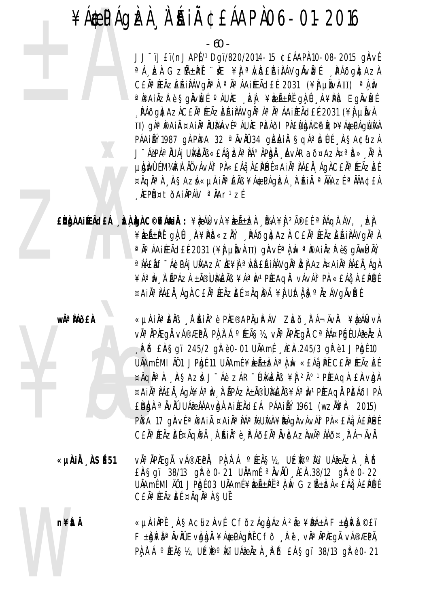- 60 -

<sup>a</sup> A ke Gzm + PI "K \ \ a Wb Ekin Avg Nvk [ PA og k A z A CEĂ<sup>a</sup> ÆÃZEAIÀNOJN<sup>a</sup> À <sup>a</sup> Nº ÁAIÆÃCHE 2031 (\} un vh II) <sup>a</sup> À N ªPAIÄZPè§gÄvEE ºÁUÆ "E) ¥EıPĚ gÌ, Û "A¥PÖ EgÄvEE , PÁðg|¢AzIC£ÄªÆÃzEÁIIÁVg|ĭªlªÏ°ÁAIÆÃd£É2031 (¥]j µÌIv} II) gì<sup>a</sup> i Ai ¤Ai ¤Ai Ninh ví Ó ÁU ME PIEÁÖI PI ELUGA © P ICD ¥Á & PÁGLUMA PÁAINÝ 1987 GÀ PIPA 32 ª NVAU 34 GIEIRIA SOLA PLUE ASACII ZA J ÁèpáªÄUÁj UMÈNS «EÁ¿ÞÀªÌÁ°ÃPÒNĂ AvÀRað¤AzÀ¤ªð» ĪÀ µ bì mu là nh là nh là nh là nh là nh là nh là nh là nh là nh là nh là nh là nh là nh là nh là nh là ¤ÃQĪ) AŞAZÌ «µÀIĪEÄB ¥Á\$PÁQÈÀ À AIÄ ªÄÄAZɪÄÄA¢£À **AEPI¤tŌAIAPÁN** <sup>a</sup>AAr<sup>1</sup>zÉ

EÙÙA AIRACEÁ "È ÙA C©NÁAIA: ¥È ÁIk vÀ ¥È Á±È À "ÜA ¥Ì <sup>2î</sup>£Í ª ÀÁQÀ ÁV, "È J ¥ÈEñPĽ gÀ Û A¥PD«ZĂ, PÁðgÆAzA C£ÄªÆÃZEŔIÀÁVgĪA ªÄ°ÁAIÆÃd£É2031 (¥Ì µÌWÀII) gÀVɪÀ,ÌW ªÌ®AIÄZ̺ èŞgÄWÊÄÝ a NAEN F ÁGDAI UNAZI HE¥N a NDEAINÁVOÑ AZI AZI¤AIÑ A NAEN A GA ¥ÁªÌN À ÃPÁZÀ ±Ă®ÙMÈÄB ¥ÁªÌN1PÉEAQĂ vÁvÁI°PÀ «£Áå À £PÉJÉ ¤AIĪ IÁEI ÁGI CEIª ÆÃZEE ¤ÃGPA ¥I UIt A Fº AZÁVGIVEE

**wÃ<sup>a</sup> MÕEÀ** 

«µÀiĂªÈĂB À ĂiĂiðè PIÆ®APõPÁV ZLað FÁ¬ÄvÄ. ¥LeÁlkvÀ vìª ìPìEgì vá®ÆPì, Pì ì Á °Éç½, vìª ìPìEgì Cª ìÁ¤Péi UÁ֎ ìzì  $\mu$  is Ensay 245/2 give 0-01 Unami LiEn. 245/3 give 1 JPh  $10$ UÄAmÉ MI ÄÖ1 JPAJÉ 11 UÄAmÉ ¥AZıAZÀ ªÀ Av «EÁå, PĚ CEĪ ÆÃZEÉ ¤ÃQN<sup>a</sup> A ASAZA J-Áè ZÁR-UMENB ¥Ì <sup>2ð</sup> PÉEAQA EAVIDA ¤AIĪ IÁEI ÁQI¥ÁªIW I ÄPÁZI±Ä®UMEIB¥ÁªIWPÆAQI PEÁÕI PI EURIA <sup>a</sup> ÄvÄÜ UÁZ LÁAVRIA AIÆÃCIEÁ PÁAILÝ 1961 (WZÄVEN: 2015) PPA 17 gÀVE <sup>a</sup> PAI ¤AI a AI A MUM ¥PÁG NAVÁ PA «EÁ A EPUE C£ĂªÆÃZĒŤÃQÌPÄ À ŔIĂºè PÁÕ£ĂªÄVÌCAZÀWêÌÁÕ¤ À Á¬ÄVĂ.

vìª ÀPIÆQÅ vÁ®ÆPÀ, PÀ À Á ºÉÆÃ޽, UÉÈ®ºMi UÁ@ÀZÀ PÕ «µÀiÅ , ÀSÉ 51 £ASqi 38/13 gR è 0-21 UAAmf <sup>a</sup> AvAU \_ AEA.38/12 gR è 0-22 UÄAmÉ MI ÄÖ1 JPAJÉ 03 UÄAmÉ ¥keñ±PĚ <sup>a</sup> A M Gzѱken «EÁå A EPÚÉ CEÄ<sup>a</sup> ÆÃZEÍ ¤ÃQĪÀ SUĨ

n¥itÂ «LIAIAPĚ ASA¢űzAvÉ CFŎZÁQDÁZÀ 2 ¥RÁ±À F±DJ¥À ©£ï F±b)¥àªÄvÄÛEvb)bL¥Á\$PÁqPĚCfð, Pě, vĪÄPÆqÄ vÁ®ÆPÄ, PA A A º FEÃSIS, UÉNDO Mi UÁR AZA PO EAS GI 38/13 GR è 0-21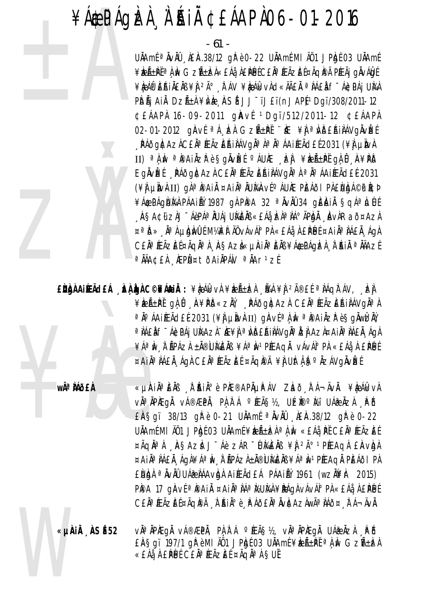

- 61 -

UÄAmÉ <sup>a</sup> ÄvÄÜ , AEA.38/12 g Pè 0-22 UÄAmÉ MI ÄÜ1 J PAgÉ 03 UÄAmÉ ¥ÈLıPĚªÀÙ GZñÈLÀ«£Áå À£PÉJÉC£ĂªÆÃZEɤÃQI®Ä PÆÃj gÄVÁÖJÉ ¥ÈAP EAILENS ¥Ì 2À° FÁV ¥ÈAlkvAd«ÄÄEN ªIAEN f-ACPAJ UNA PIDÃI AIL DZñI ¥ME ASÍ JJ<sup>-</sup>ïJ£ï(nJAPĮ 1Dgï/308/2011-12 ¢£ÁAPÀ 16-09-2011 gÄVÍ 1Dgï/512/2011-12 ¢£ÁAPÀ 02-01-2012 ginve <sup>a</sup> A bel Gzh+pe "ke ¥i a Wbealiavgivbe , PÁÕGACAZICEÄ<sup>a</sup> ÆÃZEÁIIÁVGĪ lª ĺ ÁAIÆÃdEÍ 2031 (¥I µIWH II) <sup>a</sup> A w <sup>a</sup> Painzr e Sgivlei <sup>o</sup> Aune de venter da û a¥PD EgÄVLEÍ PÁÕGACAZA CEÄ<sup>a</sup> ÆÃZEŘIJÁVGÄ<sup>a</sup> À <sup>a</sup> Jo ÁAI ÆÃ dEL 2031 (\#) um+II) qì¤main ¤ain¤numant® aune peaoi pienda©p icd ¥Á&PÁGÙMA PÁAINÝ 1987 GÀ PIPA 32 ª NVAU 34 GIEINIA SGÁªLJÚ "ÀSA¢üzìJ"ÁèpáªÄUÁjUKEÄB«EÁà, EÀªÌÁºÃPÈJÄ, "ÀvÀRað¤AzÀ  $\alpha^{\alpha}$ ð» Na hlanni Maki Aövává $^{\circ}$ Pi «Eáå A EPUE ¤AIÄa NAEÄ Aga CEĂª ÆÃZEŤÃQĂª À 'ASAZÌ «µÀIĪ EÄB ¥Á\$PÁQEÀ 'À 'AIÄ ª ÄÄAZÉ <sup>a</sup> ÄÄA¢£À AEPÙ¤tÕAiÄPÁN <sup>a</sup> ÄAr<sup>1</sup>zÉ

EÙÙA AIÆÃCEÁ "È ÙA C©¥Á&IĂ: ¥È ÁŒVÀ ¥ÈÆÃ±ÈÀ "ÜAÀ ¥Ì <sup>2î</sup>£Ĺ ª ÀÁQÀ ÁV, "È Ì ¥ÈEñPĽ qù Û A¥PD«ZĂ, PÁðq#Azì C£ÄªÆÃZEAIÌÁVqĪÀ ªÄ°ÁAIÆÃd£É2031 (¥ÌJ µÌN}II) gÀV{ªÌ, MªPAIÄZP è §gÄWŒĂŸ a NAEN F ÁGDAJ UNAZN HE¥N a NDEAINÁVONA NZI AZN¤AINA NAEN ÁON ¥ÁªIW I ŘPÁZI ±Ä®UMEIB ¥ÁªIW1PÉEAQI vÁvÁI°PI «EÁå I EPÚE ¤AIĪ IÁEI AGI CEIª ÆÃZEE ¤ÃQIPI ¥I UItA Sº IZÁVGIVEE

wê MÕ£À

«µAIĪÈÄß ˌÀ˙ĂIĺè PIÆ®APĵPÁV ZIað¸līÁ¬ÄvÄ. ¥IęÁlkvl vì®àPÆgì vá®ÆPì, Pì,ì Á °ÆÃ§½, UÉÈ®°Èi UÁ@Ìzì .Pô £14.5qi 38/13 qr è 0-21 UNAme <sup>a</sup> Novil AE14.38/12 qr è 0-22 UÄAmÉMI ÄÖ1 JPAJÉ 03 UÄAmÉ¥DEıDEA ªA M «EÁA PĚ CEĪÆÃZEÉ ¤ÃQN<sup>a</sup> A ASAZA J Áè ZÁR WAENB ¥I 2ú 1PEEAQA EAVOR ¤AIĪ IÁEI "ÁgI ¥Áª Iv "I `ÃPÁZI ±Ă®UI¥EIB ¥Áª Iv1 PÉEAQI PEÁÕI PI EURIA <sup>a</sup> ÄvÄÛ UÁZ LÁAVRIA AIÆÃ CEÁ PÁAILÝ 1961 (WZAYA 2015) PPA 17 gAvÍ<sup>a</sup> PAI ¤AI A AA MUMA ¥PÁGA VÁVÁ PA «EÁÅ A EPUL CEĂ<sup>a</sup> ÆÃZEE¤ÃQIPÄ, À AIĂºè, PÁÕEĂª ÄVICAZAWê IÁÕ¤, ITÁ-ÄVI.

«µÀIÄ ÀSÉ52 vàªĂPÆqÅ vÁ®ÆPÅ, PA A Á ºÆÃ§½, vÀªĂPÆqÅ UÁ@ÅzÀ PÕ  $E$ AŞqi 197/1 q $\hat{r}$ è MI A01 JPh (03 UAAmi ¥be $\tilde{A}$ ±PI  $\alpha$ ) w Gzñba «EÁå À EPNÉ CEĂªÆÃZEÉ ¤ÃQĂª À SUĚ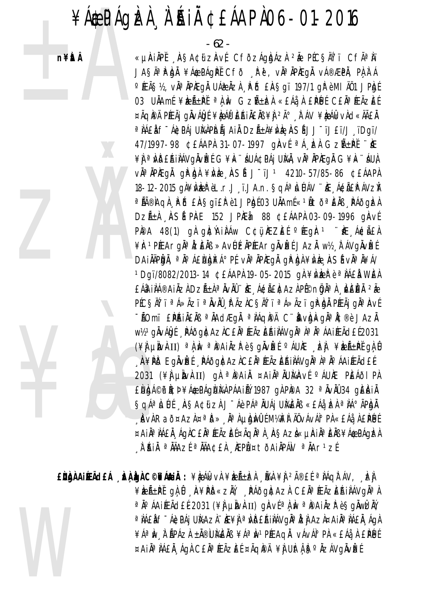$-62$  -

«µÀIÀPĚ ASA¢ữZÀVÉ CFÕZÁgÀJÁZÀ <sup>2</sup>Ă PÉCSĂŤï CFêÀï

n¥itÂ



JASÄ<sup>a</sup>Phji ¥Á¢PÁgPĚCfð Rě, via iPiegi vá®ÆPi, Pilitá °ÆÃ§½, vÀªÀPÆgÀ UÁ@ÀzÀ PÕ £À§gï 197/1 gÌ è MI ÄÖ1 JPbl 03 UÄAmE ¥EıPĚ ªÀN GZıEÀ «EÁåÀ EPÚE CEĪÆÃZEE ¤ÃQIPÄ PÉEÃI QIVAIDE ¥ILAPEAILEIO ¥IL2ú FÁV ¥ILAGKVAd«ÄÃEI <sup>a</sup> JÁ£L f<sup>-</sup>Á¢PÁj UMAPDÃj AIÑ DZñL¥WE, ASÍ JJ-ïJ£ï/J , ïDqï/ 47/1997-98 CEÁAPA 31-07-1997 gAvÍ<sup>a</sup>Á EA GZAEPĚ "KE ¥Ì ªNDEAINAVQNVE G¥k JUA¢PAI UNA, VÀªNPÆQN G¥k JUA và<sup>a</sup> Apaeqa qip ba ¥a/b AS6 J<sup>-</sup>ij<sup>1</sup> 4210-57/85-86 ¢EÁAPA 18-12-2015 g˴ÌVÌZÌ èL.r.J ï.JA.n. §gÁªÌJÚÁV "IE ÁCÃEÌPÁVZĬ <sup>a</sup> AA®Kal PD EASqiEP e1 JPbf03 UAAmf «1AtoªEAB PAOgEA DZıÀ , ASÍ PAE 152 JPIEIn 88 ¢EÁAPI 03-09-1996 gAVÍ PPA 48(1) gh ght Vinhaw Ctu Mezlet Fight Time At Men-¥Ir1PEEArgil<sup>a</sup> IzEIN »AvUEIPEEArgilvEE JAZI w½ FAVgilvEE DAIÀÄPÈJÄ, <sup>a</sup> à° á£ìJèJi¥Á° PÉ vઠàPàEqà qi? èjà ¥ivè . ASé vઠà¥Á/ 1Dqï/8082/2013-14 CEÁAPÀ 19-05-2015 qÀ ¥Ù ER è ª À ÁEÀ WEÀ £ÁªAIÀÁ®AIÀZÀDZñÀªÀVÀÛ¨Œ, Á¢Ã£\CAZÀPÉ©nÒ}ÀªÀ, ÀJÈÈÀ 2Ă PÉCSÄTT <sup>a</sup> Á»Ãzï <sup>a</sup> ÄvÄŨ, IFÃzICSÄTT <sup>a</sup> Á»Ãzï gi<sup>a</sup> bi Péeãj gia Avé -ÃOmi EPAIAEAB a Addæga a AdqPA C'Avbokga Ac®e JAza W12 gÄVADJE RAÕGATAZICEÄ<sup>a</sup> ÆÃZEŔIAAVGÄ<sup>a</sup> l<sup>a</sup> l<sup>o</sup> ÁAIÆÃdEE2031 "A¥PD EgÄVEE "PÁÕGACAZACEÄ®ÆÃZEAIAAVGÄ®A®AO AAIÆÃdEE 2031 (¥I UNVAII) QI <sup>a</sup> PAI ¤AI AUMAVE AUNE PEAÕI PI EUDJÁ©T PCÞ¥ÁÆPÁQUMA PÁAIRÝ 1987 QA PPA 32 ª ÄVÄÜ 34 QEAIA SQÁª LLÚÍ ASA¢üzi J-Áè PÁª ÄUÁj UMEÄB «EÁå EÀ ª IÁº ÃPIDÄ , Àvì Raõ¤Azì¤<sup>a</sup> Ď», ̪ ì µỳÌvÙÉ M¼À ÄŪvÁvÁI° PÌ «£Áå, Ì £PÙÉ ¤AIĪ IAEÄ ÁGACEĪÆÃZEɤÃGĪÀ ASAZI«µAIĪEÄB¥Á@PÁGEA A'AIN <sup>a</sup> NAZE <sup>a</sup> NA¢EN MEPÙ ¤ tò AINPAN <sup>a</sup> NAr<sup>1</sup>zE

EÙÙÀ AIRACEÁ ALA LO COMÁNIA : ¥LA ÁL VÀ ¥LA LA NA ¥LA 2îE E ª AÁQITÁV, LA ¥keñPĽ gẠ Û A¥PD«zŇ, PÁðg\tazi C£ĂªÆÃzEAIIAVgXªI a jo áA jíÆÃd£É 2031 (¥) µlvkII) glav{a j w a pa ji zpè§glwtziv a NAEN F ÁGDAI UNAZI HE¥N a NDEAINAVOÑ a NEN AZI¤AIÑ ANAEN AON ¥ÁªÌN À ŘPÁZÀ ±Ă®ÙMÈÄB ¥ÁªÌN1PÉEAQĂ vÁvÁI°PÀ «£Áå À £ÌPÉJÉ ¤AIĪ IÁEI ÁGI CEIª ÆÃZEE ¤ÃGIPI ¥I UIt I Sº IZÁVGIVEE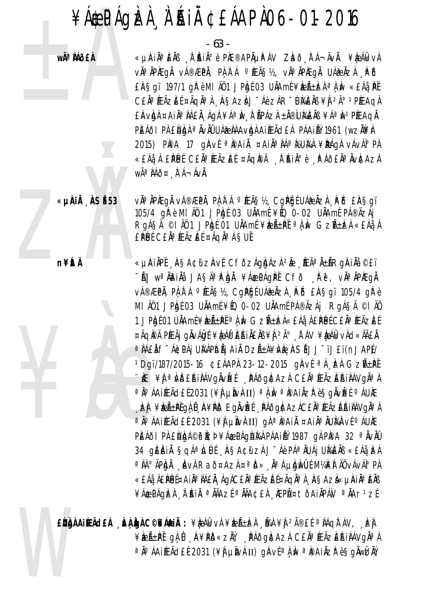- 63 -

wêMð£À

«µÀIẰªÈÄß À ĂIĂºè PIÆ®APĵPÁV ZLað tá¬ÄvÄ. ¥LeálkvÀ vàªĂPÆqÅ vÁ®ÆPÅ, PÀÀʿÁ ºÆÃ§½, vÀªĂPÆqÅ UÁ@ÀzÀ "PÕ EASqi 197/1 qir è MI A01 JPh 1 03 UAAmE ¥bent da M «EAa PE CEÀ<sup>a</sup> (EÃZEE ¤ÃQNª), ASAZ) J-Áè ZÁR-UMENS ¥) 2ú 1 P(EAQ) EAVIDA ¤AIA AAEA AQA ¥A a M A APAZA ±A®UMEAB ¥A a M PEEAQA PEÁÕI PÀ ENDA <sup>a</sup> ÄvÄÛ UÁZ LÁAVDA AIÆÃCLÁ PÁAILÝ 1961 (WZÄ¥I-2015) PIPA 17 GIAVE <sup>a</sup> IPAI À¤ ¤AIN<sup>a</sup> NA MEUMA ¥IPAGA VAVAIº PA «£Áå À £PÚ ÉCEĂª ÆÃZE ɤÃQIPÄ À ATAIÀº è PÁÕEĂª ÄVICAZA WÃ<sup>a</sup> ÀÁð¤ À Á-ÄVÀ.

«µÀIÄ ÀSÉ 53

vઠÀPAEQÀ vÁ®ÆPÀ, PÀ À Á ºÆÃ޽, CQPÓELUÁ@ÀZÀ PÕ £AŞQï 105/4 gř è MI A01 JPgf 03 UAAmf ¥EQ 0-02 UAAmf PA®AZAj ROÁSA © I AU 1 JPADE 01 UAAME ¥REA±PE ª A M GZA±RA «EAAA A EPUL CEN<sup>a</sup> FAZEL ¤AqN<sup>a</sup> A SUL

«µÀIẰPĚ ASA¢ữ zàvÉ CfðzÁgbázì 2Ă . Khā A±ÃRgàIĂ ©£ï -Ã|| wa Àa iÀå JASA a P ba ¥Á\$PÁgPĚ CFÕ R ë, vÀ a ÀPÆgÅ v種PÄ, PA A Á ºÆÃS½, CaPáÉ UÁæÄzA PÖ £ASaï 105/4 al è MI ÄÖ1 JPIgE 03 UILAME ¥EQ 0-02 UILAME PÁ®ÄZÁj RgÁSÄ ©I ÄÖ 1 JP of 01 UNAmE ¥ r A N GzA+ c k £A N £ PLUE CEN F K Az EE ¤ÃQI®Ä PÉEÃj gINALO É ¥ILA DE LA INENSI ¥ILA 2ú À AV ¥ILA AG VILO «ÄÃEI <sup>a</sup> IÁ£I f<sup>-</sup>Á¢PÁj UMPDŐj AI DZŐ±I¥W. ASÍ JJ "ïJ£ï(nJAP)/ <sup>1</sup>Dqï/187/2015-16 CEÁAPA 23-12-2015 gAvf<sup>a</sup> Á EA GZA-PE ∵KE ¥) <sup>a</sup> Wö£AinAVgnvizé "PÁðgntAzn C£n¤ÆÃzEAinAVgn¤n ªÄ°ÁAIÉFÁd£É2031 (¥) µÌN⊬II) ªÀÌN ªÌPAIÄZPè§gÄVÌZÉ °ÁUÆ **, E) ¥EñPĚQÀÛ, A¥PÕ EQÄVEÉ, PÁÕQACAZÀCEĪÆÃZEŔIÌÁVQĪÀ** <sup>a</sup>İÁAIÉEÃd£É2031 (¥) µÌNÀII) gÀªÌ®AIÄ ¤AIĪÄUÀANÉ ºÁUÀE PEÁÕI PÀ ENDA©P PCÞ¥Á EPÁGNA PÁAI PÍ 1987 GÀ PPA 32 ª ÄVÄÛ 34 QIEIAIĂ ȘQÁªILILE AȘA¢ũ zì J-Áè PÁªILUÁI UIAEIAB «EÁå EA a Ng April Ng Rad¤Azi ¤a D» Na Hini mai ng vavai pi «EÁå ÀEPÉJɤAIÀª ÌÁEĂ ÁGÀCEĂªÆÃZÈɤÃGĂª À 'ÀSAZÀ«µÀIĪÈÄß ¥Á\$CPÁQÈZÀ À ÉNIÄ ªÄÄAZɪÄÄA¢£À ÆPܤtÕAIÄPÁN ªÄAr1zÉ

EÙÙÀAIIEÃCLÁ DÀÙAC©NÁAIÀ : \RAGEN \RAJEA JVA \AJEA@EE @NAQITAV, DA ¥ÈEñPĽ gÀ Û A¥PD«ZĂ, PÁðg)¢AzA C£ÄªÆÃZEAIÀÁVgĪÀ ªÄ°ÁAiÆÃd£É2031 (¥ÌJµÌNÀII) gÀVɪÌ, Nº PPAIÄZP èSgÄWEÄŸ

n¥Èl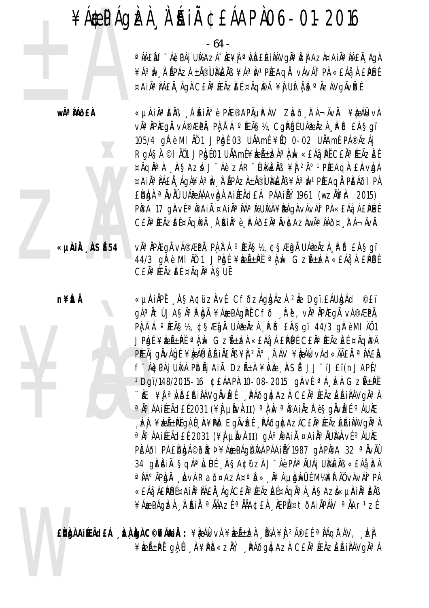- 64 -

a NAEN F ÁGDAJ UNAZN HE¥N a NDEAINÁVON AZN AZN ¤AIN ANAEN AON ¥ÁªÌN À ŘPÁZÀ ±Ă®ÙMÈÄB ¥ÁªÌN1PÉEAQĂ vÁvÁI°PÀ «£Áå À £ÌPÉJÉ ¤AIĪ IÁEI ÁGI CEIª ÆÃZEE ¤ÃGIPI ¥I UIt I Sº IZÁVGIVEE

wê MÕ£À

«µÀiĂªÈĂB À ĂiĂiðè PIÆ®APõPÁV ZLað FÁ¬ÄvÄ. ¥LeÁlkvÀ vઠÀPAEQÀ vÁ®ÆPÀ, PÀ À Á ºÆÃ޽, CQPGÉUÁ@ÀZÀ È Ô £ÀSqï 105/4 gře MI A01 JPA 103 UAAmE ¥ÉQ 0-02 UAAmE PÁ®ÄZÁj RgÁSÄ ©I ÄÖ1 JPhté01 UÄAmÉ¥keıkzÀªÀ, hv «£Áå, PĚC£Äª ÆÃZEÉ ¤ÃQN<sup>a</sup> A ASAZA J Áè ZÁR WAEAB ¥Ì <sup>2ú 1</sup> PÉRAQA EAVOA ¤AIĪ IÁEI AGI¥Áª Iv A APÁZI±I®UMEIB¥Áª Iv1PÆAGI PEÁðI PI EURIA <sup>a</sup> ÄvÄÜ UÁZ IAA VIGIA AIÆÃ CEÁ PÁAILI 1961 (WZIKIET 2015) PPA 17 gÀví <sup>a</sup> PAI ¤AI <sup>a</sup> lá <sup>a</sup> MUM ¥PÁG VÁVÁ PI «EÁ à LPU CEĂª ÆÃZEE¤ÃQIPÄ À ŔIĂº è PÁÕEĂª ÄVICAZAWê JÁÕ¤ FÁ¬ÄVÄ.

vìª ìPìEgì vá®ÆPì, Pì ì á °ÉEç½, ¢§Æigì UÁæ ìzì "Pið £ìA§gï 44/3  $q\tilde{F}$ è MI AÜ 1 JP $qf$  ¥beñ $\pm P$ ť  $a \lambda w$  Gzñ $\pm b$ zh «£Áå $\lambda$  £ $\tilde{P}$ Uf CEÀ<sup>a</sup> ÆÃZEÍ ¤ÃQÀª À SUÍ

n¥itÂ

«µÀiÅ ÀSÉ54

«µÀIAPĚ ASA¢ữZAVÉ CFÕZÁgADÁZA 2Ă Dgï. EÁUADÁC ©ET g绀tÚJAŞÄªP¤NÄ¥Á\$PÁgPĚCfð Pě, vĪÄPÆgÄ vÁ®ÆPÄ, PA A A PEAS12, CSÆDA UÁRAZA PO EASQI 44/3 OR è MI AU1 JPIgí ¥IzñPĬ ª) IN GZѱIzI «EÁå I EPIJÍ CE Iª ÆÃZEÍ ¤ÃQIPI PÉLÃJ GÀVÁLOIE ¥LA AP EAINENS ¥L 2ú A AV ¥L AL VH d«AÃEN ª NAEN f Ácpái Um Pidái Ain Dzá±i ¥we "Asé JJ TJ£T(nJAP)/ <sup>1</sup>Dgï/148/2015-16 CEÁAPÀ 10-08-2015 gÀvÍ <sup>a</sup>Á EÀ GZѱPĽ ∵ìÆ ¥Ì ªÌ∕DEÁIÌÁVgĬvĨzÉ ¸PÁðgÌ¢AzÌ C£ĬªÆÃzEÁIÌÁVgĬªÌ ªÄ°ÁAIÆÃd£É2031 (¥Ì µÌW}II) ªÀÌW ªÌ®AIÀZÌ èŞgÄVÌZÉ °ÁUÆ **LEI ¥EñPĚGÀÛ A¥PD EGÄVEÉ PÁÕGACAZACEĪÆÃZEŔIIÁVGĪÀ** a jo áaiÆãd£É2031 (¥) µlvkII) gìa pai ¤ai ¤ai Nanví o áu Æ PEÁÕI PÅ ENDÁ©P PCÞ¥ÁÆPÁQNMA PÁAIRÝ 1987 QÀ PPA 32 ª ÄVÄÛ 34 giêinin Sqá<sup>a</sup> Luílé "Insacüzi J-áe Pá<sup>a</sup> Nuáj Umens «Eáa Izi a JÁ° ÃP DI LAVI Raõ¤AzI ¤a D» Ja Ludwu EM MAH JÜ vÁvÁI° PI «EÁå, ÀEPÉJɤAIÀª ÌÁEĂ, ÁGÀCEĂªÆÃZEɤÃGĂª À, ÀSAZÀ«µÀIÀªÈÄB ¥Á\$CPÁQIZA A RIL <sup>a</sup> HAZE <sup>a</sup> HA¢EA REPܤtÕAIÄPÁV <sup>a</sup> HAr<sup>1</sup>zÉ

 $\hat{E}$ ugh Aifeã $dE$ á ,  $\hat{E}$ à gh  $C$ ©ifágià : \} é Álk và \} $\hat{E}$ e , [¼ \}  $\hat{A}$  2î £ {  $\circ$  à láqi $\hat{A}$  v,  $\hat{E}$ à ¥ÈıPĚ QLŮ A¥PD«ZÄV PÁÕQNAZA CEĪÆÃZEŔIAÁVQĪA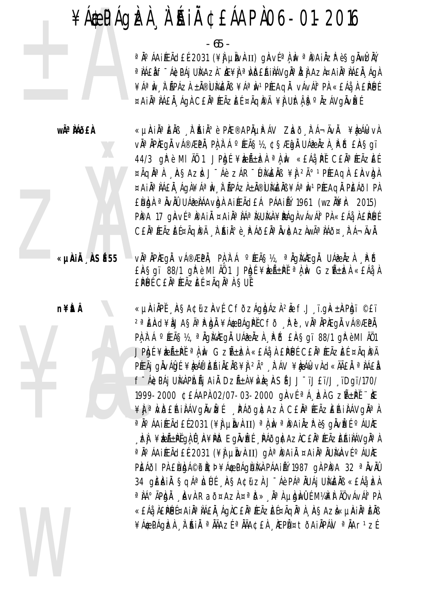$-65 -$ 

ªÄ°ÁAiÆÃd£É2031 (¥jjµÌN}HI) gÀVɪÌ, ÌN ªÌ®AiÄZłè§gÄWÈÄÝ a NAEN F ÁGDAJ UNAZN. NE¥N a NDERINAVONA NZI AZN¤AIÑ ANAEN AON ¥ÁªÌN À ÃPÁZÀ ±À®ÙMÈÄB ¥ÁªÌN1PÉEAQĂ vÁvÁI°PÀ «£Áå À £ÌPÉJÉ ¤AIĪ IÁEI ÁGI CEIª ÆÃZEE ¤ÃGPA ¥I UItÁ Sº IZÁVGIVEE

wê MÕ£À

«µÀiĂªÈĂB À ĂiĂiðè PIÆ®APõPÁV ZLað FÁ¬ÄvÄ. ¥LeÁlkvÀ vàªĂPÆqÅ vÁ®ÆPÅ, PÀ À Á ºÆÃ§½, ¢§Æàn UÁ@ÀZÀ È PŐ £À§qï 44/3 gřè MI AÜ 1 JPAgé ¥AzÁ±AzA <sup>a</sup> A Av «EÁå PĚ CEĂ<sup>a</sup> ÆÃZEÉ ¤ÃQN<sup>a</sup> A ASAZA J Áè ZÁR WAEAB ¥Ì <sup>2ú 1</sup> PÉRAQA EAVIOA ¤AIĪ IÁEI "ÁgI¥Áª Iv "I HPÁZI±I®WKEIB¥Áª Iv1PÆAgI PEÁðI PI EURIA <sup>a</sup> ÄvÄÜ UÁZ LÁAVRI AIÆÃ CEÁ PÁAILÝ 1961 (WZLYKE 2015) PPA 17 gAVE <sup>a</sup> PAI ¤AI ª AA<sup>a</sup> MUMA ¥PÁGA VÁVÁ PA «EÁA A EPUE CEĂª ÆÃZEE¤ÃQIPÄ À ANIP è PÁÕEĂª ÄVICAZAWê IÁÕ¤ À Á-ÄVÄ.

«µÀiÅ ÀSÉ 55

n¥itÂ

vì<sup>a</sup> ìpheaì vá®æpì. Pì ì á º rãs½, ª iameaì uáæ izi Põ EASqi 88/1 grèmino 1 JPhje ¥bent <sup>a</sup>n w Gzntba «EAa, A EPUE CEĂª ÆÃZEE ¤ÃQĂª À SUE

«µÀIAPĚ AŞA¢üzAvÉ CFŎzÁqIdÁzÌ 2Å f.J. ï.qk±APIdï ©£ï 2ªÈÀd¥ÌJA§ÄªÌPÀJÌ¥Á\$PÁgÌPĚCfð ÌPĕ, v̪ÄPÀEgĬVÁ®ÆPĬ, PA A A PEAS12, <sup>a</sup> Aglatega UA a Aza PB EASqi 88/1 qp emi A01 JPAJÉ ¥REıPĚ ªÀN GZѱRÅ «EÁÅÀ EPLUÉ CENªÆÃZEÉ ¤ÃQPÀ PÉEÃI GÀVÁLOIE ¥LA AP EAINEAB ¥L 2ú FÁV ¥L AG VÀ CI «ÄÃEN ª LAEL T-ÁCPÁI UMAPDÃI AIA DZñA¥NE ASÍ JJ-ïJ£ï/J IDQï/170/ 1999-2000 ¢£ÁAPÀ 02/07-03-2000 gÄvÉ <sup>a</sup>Á EÀ GZıPĚ "KE ¥] <sup>a</sup> Ndeailávgivizí "Páðgitazi Cela<sup>a</sup> Æãzeailávgial ªÄ°ÁAIÆÃd£É2031 (¥) µÌN⊬II) ªÀÌN ªÌ®AIÄZłè§gÄVÌZÉ °ÁUĬÆ **, E) ¥EñP (Q) Û A¥PO EQÄVE (PÁÕQ) EAZICE Nª ÆÃZE A ILÁVQIª I** a jo áaiÆãd£É2031 (¥) µlvkII) gla pai ¤ai ¤ai Numanví o áuke PEÁÕI PÀ ENDA©P R¢Þ¥ÁÆPÁGNMÀ PÁAIÑ 1987 GÀ PIPA 32 ª ÄVÄÜ 34 QIÊJAIN ŞQA<sup>a</sup> LULI AŞA¢üzi J-Aè PA<sup>a</sup> NUAİ UMENB «EA: EA <sup>a</sup> IA° APIDI AVI Rað¤Azi ¤<sup>a</sup> b» Ia lubiwllí M¼M AU vávál° Pi «EÁå, ÀEPÉJɤAIÀª ÌÁEĂ, ÁGÀCEĂªÆÃZEɤÃGĂª À, ÀSAZÀ«µÀIÀªÈÄß ¥Á\$PÁQIZI I A AJ A JAZE A AJACEI AEPI ¤ tÕA JAPÁV A ALTIZE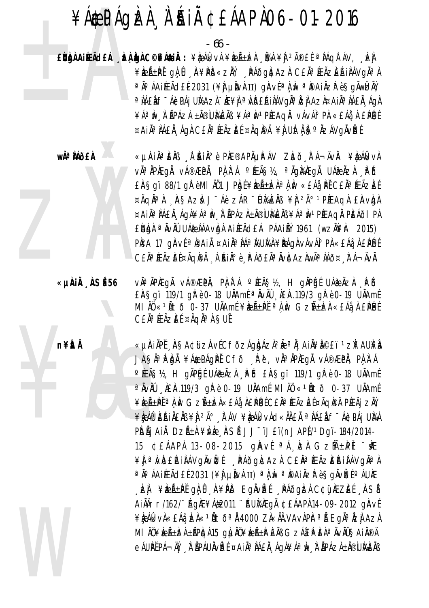### ¥Á EPÁQIZI À A SAI CEÁAPA 06-01-2016

- 66 -

EÙÙÀ AIRACEÁ LA LA C©NÁLIÀ : ¥L ÁL VÀ ¥LA LA LA VA ¥Ì 2îEÍ ª LAQITÁV, LA ¥ÈEñPĽ gìÛ A¥PD«zŇ, PÁðgI¢AzI C£ÄªÆÃzEŔIIÁVgI¤I ªÄ°ÁAIÉFÁCLÉ2031 (¥Ì µÌNHI) gÀVɪÀ,ÌN ªÌ®AIÄZPè§gÄWÉÀŸ a NAEN F ÁGDAI UNAZI HE¥N a NDEAINAVOÑ a NEN AZI¤AIÑ A NAEN A GA ¥ÁªÌN À ÃPÁZÀ ±Ă®ÙMÈÄB ¥ÁªÌN1PÉEAQĂ vÁvÁI°PÀ «£Áå À £ÌPÉJÉ ¤AIĪ IÁEÄ ÁGA CEĪ ÆÃZEE ¤ÃQIPÄ ¥I UItA ISº ÄZÁVGÄVIZE

wê MÕ£À

«µÀIN¤ÈNB N AINI¤ è PIE®APNUPÁV ZLAÕ TÁ¬ÄVN. ¥LQÁLkvA vàªĂPÆqÅ vÁ®ÆPÄ, PÀÀʿÁ °ÆÃ޽, ªÄqMÆqÅ UÁ@ÄzÀ PÕ EAŞQI 88/1 QP è MI AÜ1 JPDE ¥EA±EA a A IN «EA A PI CEA PEAZEE ¤ÃQN<sup>a</sup> A ASAZA J Áè ZÁR WAENB ¥I 2ú PÉEAQA EAVIDA ¤AIĪ IÁEI "ÁGI ¥Áª Iv "I "ÄPÁZI ±Ä®UMEIB ¥Áª Iv "PÆAGI PEÁÕI PI ENIGI <sup>a</sup> Iviû UÁZ IÁAvIGI AIÆÃ CEÁ PÁAI I 1961 (wzIVA 2015) PPA 17 gAVE <sup>a</sup> PAI ¤AI A AA KUMA ¥PAGA VAVA PA «EA A EPUE CEĂªÆÃZEŤÃQÌPÄ À ŔIĂº è È AÕEĂªÄVÌCAZÀWêÀÁÕ¤ È Á¬ÄVÄ.

«µÀiÅ ÀSÉ56

n¥ÈÂ

VÀ<sup>a</sup> Apaeqa vá®æpa, pa a á °Æã§½, H gapét uáæaza . Pé £ÄSgï 119/1 gřè 0-18 UÄAmf <sup>a</sup> ÄvÄI A£Ä.119/3 gřè 0-19 UÄAmf MI ÄŪ «1ÑtÕ 0-37 UÄAmÉ ¥ÈEñPĚ ªÀ ÀV GZѱÈZÀ «£Áå À £PÉJÉ CEÄ<sup>a</sup> ÆÃZEÍ ¤ÃQĪ À SUĨ

«µÀIÀPĚ AŞA¢ữ zàvÉCfðzÁqÀdÁzÀ2 ªÄj AIÄ¥À©£ï 1zř AU¥À JAŞÄªPDÄ ¥Á\$PÁGPĚCFÕ RP, vĪÄPÆGÄ vÁ®ÆPÄ, PA I Á °ÆÃS½, H gÀPGE UÁ æ ÅzA "PÕ £ASgï 119/1 gP è 0-18 UÅAmE <sup>a</sup> ÄvÄÜ , AEA.119/3 grè 0-19 UAAmÉ MI ÄÜ «<sup>1</sup>ALTÕ 0-37 UAAmÉ ¥EñPĚªÀ N GZñEÀ«£Áå A£PÚÉC£ĂªÆÃZEɤÃQIPÄ PÆÃj ZŇ ¥ÈAP EAILENS ¥I 2ú FÁV ¥ÈAlkvAd«ÄÄEN ªIAEI f-ACPAI UNA PIDÃI AIL DZñI ¥IVE ASÍ JJ<sup>-</sup>ïJ£ï(nJAPI)/1Dgï-184/2014-15 ¢£ÁAPÀ 13-08-2015 gÀVÍ <sup>a</sup>Á EA GZMEPI "KE ¥] <sup>a</sup> NDEAIAAVgAVEE AAOgICAZA CEA<sup>a</sup> EAZEAIAAVgA<sup>a</sup> ªÄ°ÁAIÉEÃd£É2031 (¥Ì µÌNÀII) ªÀÌN ªÌ®AIÀZÌ èŞqÄVÈE ºÁUÆ , bi ¥izh+Pi gi, û , n¥Pið Egivizi , páðgizi C¢ü, nZEI , nSi AIÄÄrr/162/"AgAE¥Á#2011 "AUMAAEgA ¢EÁAPA14-09-2012 gAVE ¥è Álkvi «EÁå Þa «1Ñtðªi 4000 Zi «Äà VAvi Pirªi Egi ª İzj Azi MI ÄÜ¥ÈıÈZÀ±ÃPÈQÀ15 QLIÀÜ¥ÈZñÈPÈÀB GZÁJEPÈÀªÄVÀܧAIÀ®Ä eÁUPĚPÁ¬ÄÝ À ÃPÁUÄVÈE ¤AIĪ NÁEĂ ÁGÀ¥Áª N À ÃPÁZÀ±Ă®UNÆÄB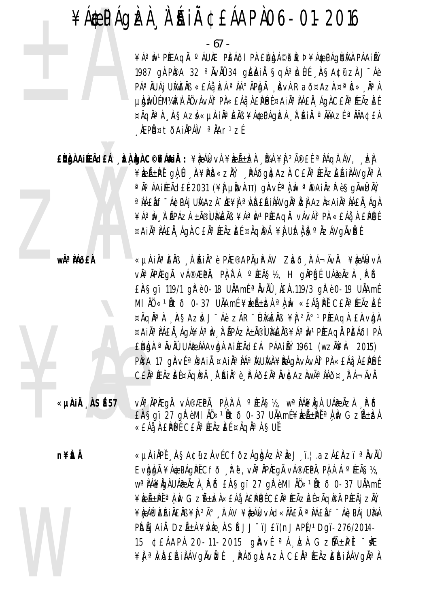- 67 -

¥ÁªIN1PÆAQI ºÁUÆ PEÁðI PI ENIGA©PICÞ¥Á\$PÁGNIGI PÁAILÝ 1987 gì PIPA 32 <sup>a</sup> Nviù 34 gieini Sgá<sup>a</sup>lulí RSA¢üzi J-Áè P绀UÁj UMENS «EÁå, ER ªIÁºÃPIDA NVA Rað¤AzA ¤ªIð», NªA µ bỳ MU EMMAN AN VÁVA PÀ « EÁ » À EPUE ¤ A I À ª À A EÀ " Á G À C E À ª ÆÃZ E E ¤ÃQĪ) AŞAZI «µAIĪEÄB ¥Á\$PÁQIZI I AIÄ ªÄÄAZE ªÄÄA¢£I **AEPÙ¤tòAIÀPÁN ªÀAr1zÉ** 

EÙÙNAIEACEÁ DA DA C©NÁNIA : ¥RÁGWA ¥RÁ±RA ÙA ¥I 2îEÍ ª NÁQITÁV, DA ¥ÈEñPĽ QLÛ A¥PD«ZÄV PÁðQNCAZI CEĪÆÃZEAIIAVQĪI ªÄ°ÁAIÆÃd£É2031 (¥ÌJUN) UN VɪÀM ªPAIÄZP è SQÄWDAY a NAEN F ÁGDAI UNAZI HE¥N a NDEAINAVOÑa LEN AZI¤AIÑ ANALA AON ¥ÁªIW I ÄPÁZI ±Ä®ÜMEIB ¥ÁªIW1PÉEAQI vÁvÁI°PI «EÁå I EPÉJÉ ¤Ail<sup>a</sup> láfl ágl Cfla ÆãzEt ¤ÃqPÄ ¥LUtl Solzávglvet

wÃ<sup>a</sup> Mõ£À

«µÀIẰªÈÄß À ĂIĂºè PhE®APõPÁV Zhð FÁ¬ÄvÄ. ¥èÁkkvÀ vàªÀPÆqÀ vÁ®ÆPÀ, PAÀ`Á °ÆÃ޽, H qÀPGÉ UÁ@ÀZA APÕ EASqï 119/1 qrè 0-18 UAAmé <sup>a</sup> AvAU AEA.119/3 qrè 0-19 UAAmé MI ÄÜ «1Ñtõ 0-37 UÄAmÉ¥keѱka a A Av «EÁå PĚ CEÄ ÆÃZEÉ ¤ÃQN<sup>a</sup> A ASAZA J Áè ZÁR WAENB ¥I 2ú 1 PÉEAQA EAVIDA ¤AIĪ IÁEI "ÁgI ¥Áª Iv "I `ÃPÁZI ±Ă®IJI4EIB ¥Áª Iv 1 PÉEAQI PEÁÕI PI ENIGI <sup>a</sup> Iviû UÁZ IÁAvIGI AIÆÃ CEÁ PÁAI I 1961 (wzIVA 2015) PPA 17 QAVE <sup>a</sup> Pail ¤ail<sup>a</sup> lá<sup>a</sup> lula ¥Páq vává P «EÁ à LPUE C£ĂªÆÃZĒŤÃQĬPÄ À ŔIĂºè PÁÕ£ĂªĂvÌCAZÀwêÀÁð¤ À Á¬ÄvÄ.

vàªÀPÆgÅ vÁ®ÆPÅ, PAÀ`Á °ÆÃ§½, wªÀÁ¥ÅgÀ UÁ֎ÅZÀ ¸\PÕ «µÀiÅ ASÉ 57 £A§qï 27 gřèMI AO«<sup>1</sup>Ato 0-37 UAAmE¥EA±PE<sup>a</sup> A w GzA±EA «EÁå À EPUÉ CEĂª ÆÃZEÉ ¤ÃQĂª À SUĚ

n¥ÈtÂ

«µAIÄPĬ, AŞA¢üzAvÍCfðzÁgbázì<sup>2</sup>ÃJ, ï. ¦.azÁ£Àzï<sup>a</sup> ÀvÀÛ EVAAN ¥Á&PÁQPĚCFŎ RU, VĪÄPÆQÄ VÁ®ÆPÄ, PA A A ºÆÃS½, w<sup>a</sup> Méklgi UÁæ Nzi "PÓ ERSgi 27 grèmi Ni«1Ñtð 0-37 UNAmf ¥ÈıPĚªÀN GZñÈZÀ«£Áå À£PÚÉC£ĂªÆÃZÈɤÃQI®Ä PÆÃj ZŇ, ¥È ÁO EÁINENS ¥N 2ú A ÁV ¥È ÁL VICI «ÄÄEN ª NAEN F-ÁC PÁJ UNA PIDÃI AIL DZñI ¥ME ASÍ JJ<sup>-</sup>ïJ£ï(nJAPJ/1Dqï-276/2014-15 ¢£ÁAPÀ 20-11-2015 gÀVÍ ªÁ EÀ GZMEPI "KE ¥Ĭ<sup>a</sup>NDEAIJAVQIVIEL PAOQICAZI CE FEAZEAIJAVQIA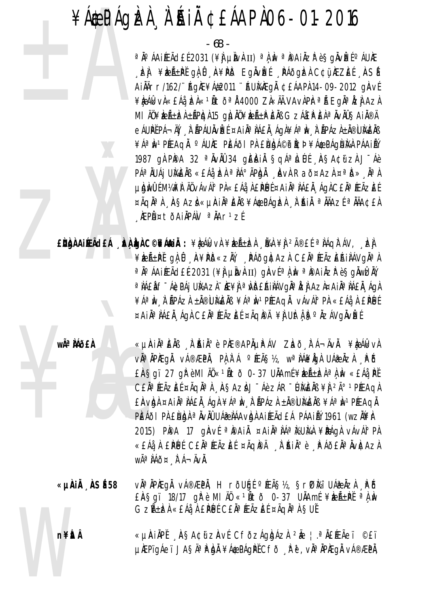### ¥ÁÆPÁGÈÀ À`ÉAIÀ ¢£ÁAPÀ 06-01-2016

- 68 - ±ÀÄ <sup>a</sup>ҰÁAI ÆÃ d£É 2031 (¥À µÌNÀII) <sup>a</sup>À ÀN <sup>a</sup>Ì®AI ÀZÌ è §gÀVÈ É °ÁUÆ ¸È) ¥ÈıPĚ gÀ Û ¸À¥PHŎ EgÀvÈÉ ¸PÁðgÈÀ C¢ü,ÀEZÈÉ ¸ÀSÉ AIÄÄrr/162/¨Äg)Æ¥Á#2011 ¨ÄUMAÆgÄ ¢£ÁAPÀ 14-09-2012 g)AvÉ ¥ÀkÁkvÀ«£Áå, ÞÀ«<sup>1</sup>ÑtðªÅ 4000 ZÀ«ÄÃ.VAvÀ PÀ<sup>a</sup>Ñ EgÀªÀzÌ, AzÀ MIÄÜ¥ÈıÀ±ÄPÀqÀ 15 gÌJÀÜ¥ÈÆÃ±À ÈÄß GzÁæÀ ÈÀ ªÀvÀÜ §Ai À®Ä eÁUÀĚPÁ¬ÄÝĮ, À¨ÃPÁUÄvÈɤAiĪÀÁ£Ă¸ÁgÀ¥ÁªÀv¸À¨ÃPÁzÀ±Ă®ÙÀ4ÈÄß ¥ÁªÌWºPÉŁAQÄ ºÁUÀE PÈÁðIPÀ £ÌJbJÁ©tÌ⊄Þ ¥ÁÆPÁQÌJÀÀ PÁAIÄÝ 1987 gÀ PÀPA 32 ªÀVÀÜ 34 gÈÀNÀ §qÁªÀJÚE , ÀSA¢üzÀ J¯Áè PÁªÀUÁjUMÈÀB «£Áà¸kh ªÀÁ°ÃPÀJÀ ¸ÀvÀ Rað¤Azh ¤ªð»¸ÀªÀ µÀ)MŨE M¼ÀÀ ÄÖ vÁvÁI° PÀ «£Áå¸À £ÌPÉJÉ ¤AI Ăª ÀÁ£Ă, ÁGÀ C£Ăª ÆÃZÈÉ ¤ÃqĂªÀ ¸À§AzÀ «µÀiĂªÈÄB ¥Á\$PÁgÞÀ ¸À¨ÁiÄ ªÄÄAzÉ ªÄÄA¢£À **, ÆPÙ¤tðAiÄPÁN ªÄAr1zÉ** 

E DIGA AI £ÙÀÀ AI**ÉEà LEÀ ÀJÀ C©¥ÁÆIÀ :** ¥È ÁÎk vÀ ¥ÈÆÃ±ÈÀ ÙAÀ¥À <sup>2î</sup>£É ªÀÁQ̯ÁV, ¸ÈÀ ¥ **æñ±P**Ě gÀ Û ¸ À¥PÖ«zŇ, ¸ PÁðg Itaz C£ Àª ÆÃz EAi ÀÁVg Àª À  $^{\circ}$ ÁAiÆÃd£É-2031 (¥ÌJµÀVÀII) gÀVÉ $^{\circ}$ À,Àw  $^{\circ}$ i®Ai $\lambda$ złè §gÀwûzĂÝ <sup>a</sup> ÌÁ£À f¯Á¢PÁj U̽AzÀ ¨ÌE¥Ì] ªÌ√ð£ÁiÌÁVgĂªÀzÌ, AzÀ¤AiŪÌÁ£Ă¸ÁgÀ ¥ÁªÀw¸À¨ÃPÁZÀ ±Ă®Ù}ÁÈÄß ¥ÁªÀwºPÉEAqĂ vÁvÁ|°PÀ «£Áå¸À £PÉJÉ ¤Ai Àª À Á£À, ÁgÀ C£Ăª ÆÃzÈÉ ¤ÃqÌ®Ä ¥À UÀt Á Sº ÀZÁVgÄvÌZÉ

WAªAAð

**wêÀÁð£À │ «µÀiĂªÈÄß À¨ ÅìĂ**`è PእÆ®APĵPÁV Zbð tá¬ÄvÄ. ¥k¿Ák«vÀ v˻ÀPÆgÀ vÁ®ÆPÀ, PÀÀ∶Á ºÉÆÃ§½, wªÀÁè¥ÅgÀ UÁæÀzÀ ,PÕ  $E$ ˤgï 27 g $\hat{F}$ è MI $\hat{A}\hat{0}$ « $\hat{B}$ tð 0-37 U $\hat{A}$ Am $\hat{E}$ lé $\hat{E}$ le $\hat{A}$ a $\hat{A}$ ,  $\hat{M}$  « $E$ Áå,  $\hat{P}$ Ě C£ĂªÆÃzĒÉ ¤ÃQĂªÀ A§AzdJ-Áè zÁR-ÚMÈNS ¥À <sup>2ð 1</sup>PÉEAQÀ £ÀVÀN ¤AI Àª ÌÁ£Ă, ÁgÀ ¥ÁªÌw¸À˙ÃPÁZÀ ±Ă®ÙÀ¥ÈÄB ¥ÁªÌwºPÉEAQĂ PĚÁÕI PÀ ENDÀ <sup>a</sup> ÄvÄÛ UÁ $\hat{x}$  LÁAvDÀ AIÆÃCEÁ PÁAI ÁÝ 1961 (wzÄ¥) 2015) P˨A 17 gÀNÉ ªÀ®AIÀ ¤AIÀªÀÁªÀ¿UÀ¼À¥ÀÀGÀ VÁVÁIº PÀ «£Áå, À £PÚ É C£Ăª ÆÃZE É ¤ÃQIPÄ , À ÉAI Àº è , PÁð£Ăª ÄVICAZA wêÌÁð¤ À Á¬ÄvÄ.

**n¥ita** «µ**ÀiÀ , ÀSÉ 58** v˻ÀPÀEQÀ vÁ®ÆPÀ, HrðUÉIÉ ºÉÆÃ§½, §r¢À¿i UÁæÀzÀ , ÞŐ  $E$ ˤgï 18/17 g  $\ell$ è MI  $\ddot{N}$  «  $\ddot{N}$ tð 0-37 U ÀAm É¥æ $\tilde{R}$ ± $\dot{P}$   $\ell$  a  $\dot{N}$  $Gz\tilde{A}$ ±ìzì «£Áå, À £ìpéué c£àªÆÃzèé¤ÃqǎªÀ§UĚ

n¥L «µÀIÄPĚ À§A¢üzÄvÉ CfðzÁgbázì <sup>2</sup>Å ¦.ª À£ÆÃeï ©£ï µÀĒPïgÁeï JA§ÄªÌPÅJÀ ¥Á¢PÁgÌŘČfð Ūě, vÀªÀPÀEgÀ vÁ®ÆPÀ,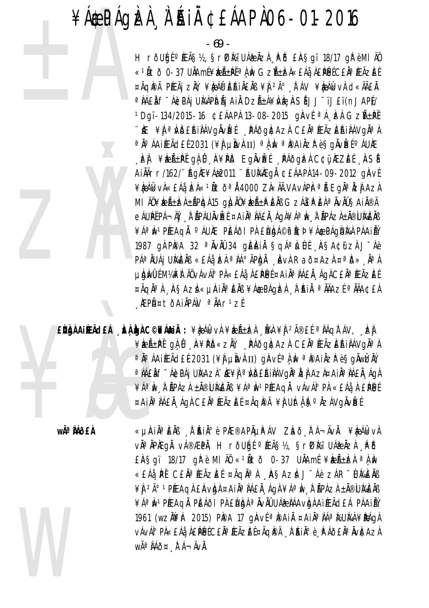- 69 -

H rõugí°ÆÃS½, SrPiki UÁRIZA PÕ EASgï 18/17 grèmi AÖ «1Ñtð 0-37 UÄAmí¥æÃ±PĚªÀÌN Gzѱlzk«£Áå,À£PÉJÉC£ÄªÆÃzEÉ ¤ÃQI®Ä PÉEÃj ZII, ¥IE AP ERIJELIB ¥I 2ð FÁV ¥IE AL xV d«ÄÃEI a IÁEI FTÁIDPÁI UMPDÁI AIL DZÁ±A¥NI: ASÍ JJTIJEI(NJAPÍ/ <sup>1</sup>Dqï-134/2015-16 ¢£ÁAPÀ 13-08-2015 qi Avf<sup>a</sup> Á EA GzѱPĚ ∵ìÆ ¥Ì ªÌvb£ÁilÁVqlvÞ£f , PÁðgl¢Azl C£lĭªÆÃzEÁilÁVqlĭªl ªŇ°ÁAIÉFÃd£É2031 (¥) µNv}II) ª) N ªPAIÄZPè§gÄvÈEɰÁUÆ , bì ¥ieñ±pí gì û , n¥pið Egivieí , páðgiei C¢ü, nezeí , nSi AIÄÄrr/162/"AgAE¥Á#2011 "AUMAAEgA ¢EÁAPA14-09-2012 gAVE ¥è Álkvi «EÁå Þa «1Ñtðªi 4000 Zi «ÄÃ.VAvi Pirªi Egi ª İzj Azi MI ÄÜ¥ÈıÈZÀ±ÃPÈQÀ15 QÌLĂÜ¥ÈZñÈPÈÄB GZÁJEPÈÀªÄVÄÜŞAIÄ®Ä eÁUPĚPÁ¬ÄÝ "À ŘPÁUÄvÈE ¤AIĪ IÁ£Ă "ÁgÀ¥Áª Iv "À ŘPÁZÀ±Ă®UIAEÄB ¥ÁªIN1PÆAQI ºÁUÆ PEÁÕI PI ENIGA©PICÞ¥Á\$PÁGNMA PÁAILÝ 1987 gh PIPA 32 <sup>a</sup> Nivil 34 gi Einin Sqáa Lullí RSA¢üzi J-Áè P绀UÁj UMENS «EÁ¿ÞA ªIÁ°ÃPIDA MVA Rað¤AzA ¤ªið» NªA ¤ÃQĪÀ "AŞAZÀ «µAIĪÈÄß ¥Á\$PÁQÈÀ "À AIÄ ªÄÄAZÉ ªÄÄA¢£À KEPܤtõAIÄPÁN <sup>a</sup>ÄAr<sup>1</sup>zÉ

ENNA AIRACEÁ , EA LA C©FÁRIA : ¥L ÁL VA ¥EñEA , VA ¥A 2îEÍ ª AÁQITÁV, EA ¥ÈEñPĽ gẠ Û A¥PD«ZĂ, PÁÕGA AZA CEĂªÆÃZEA INAVGĪA ªÄ°ÁAIÆÃd£É2031 (¥Ì µÌNÀII) gÀVɪÀ,ÌN ªÌ®AIÄZłè§gÄWÈÄÝ ª NAEN f<sup>-</sup>ÁCPÁj UNAZN∵NE¥N ª NDERINÁVGŇªNZN AZN¤AIѪNAEN "ÁGN ¥ÁªIW I ÄPÁZI ±Ä®UIGEÄB ¥ÁªIW1PÉEAQI vÁvÁI°PI «EÁå I EPÉJÉ ¤AIĪ IÁEI ÁGI CEIª ÆÃZEE ¤ÃGIPÄ ¥I UItLI Sº IZÁVGIVEE

wêÀÁðfÀ

«µÀiĂªÈÄß À ĂiĂiðè PIÆ®APõPÁV ZLað FÁ¬ÄvÄ. ¥LeÁlkvA v˻ĂPÆgÅ vÁ®ÆPÀ, HrðUģÉ ºÉç½, §rßki UÁæÅzÀ "PÕ £AŞgï 18/17 girê Mi AÜ «1Ñtõ 0-37 UNAmÉ ¥keѱken a A Nu «EÁå PĚ CEĪÆÃZEÉ ¤ÃQĪÀ ASAZÀ J-Áè ZÁR-UMEÄB ¥) 2ð 1PÉEAQÀ EÀVÈJÀ ¤AIÀª LÁEÀ ÁQÀ ¥Áª ÌN À ÁPÁZÀ ±Ă®ÙIVEÀB ¥Áª IN 1 PÍEAQI LPEÁÕI PA ENDA ª AVAU UÁR NAAVIDA AI ÉEA CLA PÁAIAÝ 1961 (wzN¥h 2015) PPA 17 gAvf<sup>a</sup>PAiĤAiĪNA<sup>a</sup>NYUMA¥PAgA vÁvÁ° PÀ«£Áå, À£PÉJÉC£Ăª ÆÃZÈɤÃQI®Ä , À ÉNIð è , le Áð£Ăª ÄvI¢AZÀ WÃ<sup>a</sup> ÀÁð¤ À Á-ÄVÀ.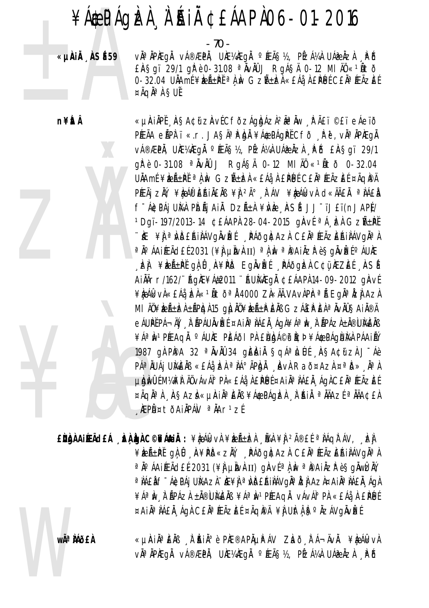- 70 -

«µÀiÅ NSÉ 59

vઠÀPAEqà vá®ÆPÀ, UƼÆqà °ÆÃ§½, PÉzÁ¼À UÁ֎ÀzÀ . PÕ  $E$ AŞqï 29/1 q $\hat{F}$ è 0-31.08  $\alpha$ AVAU J RgÁSA 0-12 MIAU «1Atõ 0-32.04 UÄAmÉ¥ÈEñPĚ<sup>a</sup> A N GZñEĀ«EÁå A EPÚÉCEĂªÆÃZEÉ  $\Delta \tilde{A}$ q $\tilde{A}^a$  $\tilde{A}$  SUE

«µÀIÀPĚ ASA¢ữ zÀvÉCfðzÁgbázì<sup>2</sup>Ăª Àw A°Ã£ï ©£ï eÁeïð

**n¥itÂ** 



PÉEÃA eÃPÀ ï «.r. JASĪ P bi ¥Á\$PÁgPĚ Cfð R ë , viª ÄPÆgÄ V種PÄ, UƼÆgÄ °ÆÃ޽, PÉZÁ¼À UÁæÄZÀ È PŐ £Ä§gï 29/1 grè 0-31.08 <sup>a</sup> NvNU J RgáSA 0-12 MIA «<sup>1</sup>Ato 0-32.04 UÄAmÉ¥RÁ±PĚªÀN GZñRL «EÁåÀ EPUÉCEĪÆÃZEɤÃQPÄ PÆÃj ZN, ¥LAPEAILEN ¥L 2ð FAV ¥LAKVA d«HÃEL ªLAEL f Ácpái Um Pidái Ain Dzá±i ¥ivie "Así JJ TJ£T(nJAP)/ <sup>1</sup>Dgï-197/2013-14 ¢£ÁAPÀ 28-04-2015 gÀvÉ <sup>a</sup>Á kh GzѱPĚ "KE ¥N ª WÖEAINÁVQNVIZÉ DAÕQNCAZA CEN ª KEÃZEAINÁVQN ª N a jo áaiÆãd£Í 2031 (¥) µjv}II) a l iv a pai az è §gävizí o áuke . EI ¥EıPI 910 A¥PD E9ÄVEI PÁð9EI C¢ü ÆZEI ASI AIÄÄrr/162/"AQAE¥Á#2011 "AUMAEQÄ ¢EÁAPA14-09-2012 QAVE ¥è Álkvi «EÁå Þa «1Ñtðªi 4000 Zi «ÄÄ.VAvi Pirªi Egi ª İzj Azi MI ÄÜ¥ÈıÈZÀ±ÃPÈQÀ15 QÌJÄÜ¥ÈZñÈPÈÄB GZÁ∂EPÈÀªÄVÄܧAIÄ®Ä eÁUPĚPÁ¬ÄÝ "À ŘPÁUÄvÈE ¤AIĪ NA£Ă "ÁgÀ¥Áª Iv "À ŘPÁZÀ±Ă®ÙIAEÄB ¥ÁªÌN1PÆAQĂ ºÁUÆ PÈÁÕI PÀ ENDA©TÌCÞ¥ÁÆPÁGÙMÀ PÁAIÑ 1987 gì PIPA 32 <sup>a</sup> Inviù 34 gieini Sgá<sup>a</sup>lullí . Insacu zì J-áè P绀UÁj UMEÄB «EÁ¿ÞEA ªIÁºÃPIDA AVA Rað¤AzA ¤ªD» AªI µ bì mu li ma li ng về dân liên khô hiệ một hành hiện về hiện về hiện thán khác là một liên khác là m ¤ÃQĪ) ASAZÌ «µÀIÀªEÄB ¥Á\$PÁQÌZÀ À AIÀ ªÄÄAZÉ ªÄÄA¢£À KEPܤtðAIÄPÁN <sup>a</sup>ÄAr<sup>1</sup>zÍ

 $\hat{\mathbf{F}}$ ìngà Aireã $\mathbf{d}$ eá (c) cho confária :  $\hat{\mathbf{F}}$ à (k)  $\hat{\mathbf{F}}$ heã $\pm$ ìzà (và  $\hat{\mathbf{F}}$ à  $\hat{\mathbf{F}}$ à  $\hat{\mathbf{F}}$ à  $\hat{\mathbf{F}}$ à  $\hat{\mathbf{F}}$ à (và  $\hat{\mathbf{F}}$ à  $\hat{\mathbf{F}}$ à  $\hat{\mathbf{F}}$ à  $\hat{\mathbf{F}}$ à (và  $\hat{\mathbf{F}}$ à  $\$ ¥EREN ON O A¥PD«ZA) PAÕQNAZA CENª FAZEAINAVONªA a jo áaifeãd£é 2031 (¥) µjvi II) giavéa i ma pai izpesso sa viziv a NAEN F ÁGDAI UNAZN HE¥N a NDEAINÁVONA NZI AZN¤AINA NAEN ÁON ¥ÁªÌN À ŘPÁZÀ ±Ă®ÙMÈÄB ¥ÁªÌN1PÉEAQĂ vÁvÁI°PÀ «£Áå À £PÉJÉ ¤AIĪ IÁEI ÁGI CEIª ÆÃZEE ¤ÃGIPI ¥I UIt I Fº IZÁVGIVEE

wê MÕ£À

«µÀin ên înin è pr©apăµpáv Zað tá¬ävä. ¥èákvà vઠÀPAEQÀ vÁ®ÆPÀ, UƼÆQÀ ºÆÃ޽, PÉZÁ¼À UÁ@ÀZÀ , PÕ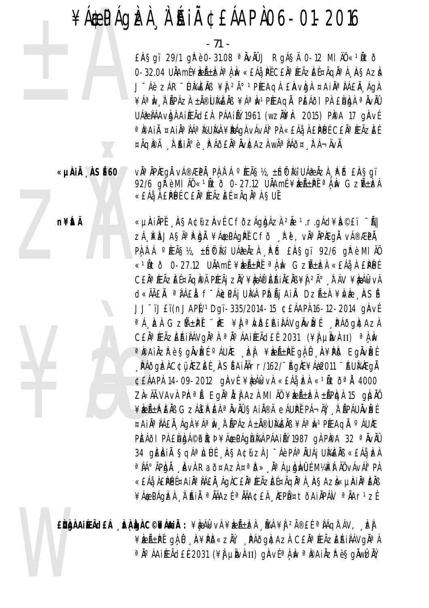- 71 -

£A§gï 29/1 gì è 0-31.08 <sup>a</sup> NvAU J RgÁ§Ä 0-12 MI ÄŬ «<sup>1</sup>Atõ 0-32.04 UÄAmÉ¥ÈEñÈZÀªÀÙ «£Áå PĚC£ĂªÆÃZÈɤÃQĪÀ ASAZÀ J-Áè ZÁR-UMENB ¥N 2ú 1PEAQA EAVON ¤AIN<sup>a</sup>NAEN AQA ¥ÁªÌN À ŘPÁZÀ ±Ň®ÙMÈŇB ¥ÁªÌN1PÉEAQĂ PÈÁÕI PÀ EÙJDÀ ªÄVŇŨ UÁR NÁA VIDA AIPEÃO EÁ PÁAINÝ 1961 (WZNY IT 2015) PIPA 17 GIAVE ªPAI ¤AIĪ IÁª I⁄UIAI ¥PÁQI vÁvÁI° PI «EÁå I EPÉJÉ CE Iª ÆÃZEÉ ¤ÃQIPÄ À AINº è PÁÕEN<sup>a</sup> NVICAZI WÃ<sup>a</sup> NÁÕ¤ FÁ¬ÄVI.

vઠÀPAEQÀ vÁ®ÆPÀ, PÀ À Á ºÆÃ§½, ±hữ Mi UÁ@ÀZÀ . PÕ £À§qï 92/6 gřè MI AÜ «<sup>1</sup>Ätõ 0-27.12 UÄAmÉ ¥keرPĚ <sup>a</sup> A M GzرkeA «£Áå¸À £PÚÉ C£ĂªÆÃZÈÉ ¤ÃQĂªÀ §UĚ

«µÀIÀPĚ "ÀSA¢ữ zàvÉ CfðzÁgÀJÁzÀ <sup>2</sup>Ă 1.r.gÁd¥À ©£ï <sup>-</sup>Ã|| ZÁ NA JASÄ<sup>a p</sup>üji ¥Á¢PÁGPI CFð Re, við nPÆgi vá®ÆPI, PA A A PEAS12, ±np ki UA a Aza PB EASgi 92/6 gP è MI AO «1Ñtð 0-27.12 UÄAmí ¥kéh±PI <sup>a</sup>n m GzA±ka «EAan EPUI CEN<sup>¤</sup> ÆÃZEE¤ÃQIPA PÆÃI ZIN, ¥DAP EAIAENS ¥I 2ð FAV ¥DAGKVA d«ÄÄEÄ <sup>a</sup>ÄÁEÀ f<sup>-</sup>Á¢PÁj UMÀ PIOÃj AIÄ DZñÀ ¥IVE ASÍ JJ<sup>-</sup>ïJ£ï(nJAP)<sup>1</sup>Dqï-335/2014-15 ¢£ÁAPÀ 16-12-2014 qÀVÉ <sup>a</sup> A EA GzM+PI "K ¥ A a WBEAIAAVg NvE PAOg EAZA CEN<sup>a</sup> ÆÃZEAINÁVQN<sup>a</sup> A <sup>a</sup> Nº ÁAIÆÃCEE 2031 (\\ un un II) <sup>a</sup> A N a painzrès givle caure de verfer gli avpo Egivle RÁðgizi C¢ü IEZEÍ ASÍ AIIÄrr/162/ AgIE¥Á&2011 AUIAEGI ¢£ÁAPÀ 14-09-2012 gÀVÉ ¥ÈAlkVÀ «£ÁåLeÀ «1ÑtõªÅ 4000 ZL«ÄÄ.VAVI PIral Eglalzi Azi MI AÜ ¥IELLER ±APIGI 15 giullo ¥EıPEÄB GZÁEPEÀ ªÄvÄÛ ŞAIÄ®Ä eÁUPĚ PÁ¬ÄÝ , À ÃPÁUÄvÈÉ ¤AIĪ IÁEI ÁGI ¥ÁªIN I APÁZI ±I®UMEIB ¥ÁªIN1PÆAGI ºÁUÆ PEÁÕI PÀ ENDA©P PCÞ¥ÁÆPÁQNAA PÁAIAÝ 1987 QÀ PPA 32 ª ÄVÄÜ 34 QIÊJAIN ŞQA<sup>a</sup>) LILIF AŞA¢üzI J-Áè PAªNUAI UMENB «EA: EA <sup>a</sup> IA° APIDI AVI Rað¤Azi ¤<sup>a</sup> D» A<sup>a</sup> Ludwu M¼M AU vávál° Pi «EÁå ÀEPÉJɤAIÀª ÌÁEĂ 'ÁGÀCEĂª ÆÃZEɤÃGĪ À 'ÀSAZÀ«µÀIĪ ÈÄß ¥Á\$PÁGEZ A A A A A AZ E A A A LEPL ¤ tÕA IAPÁV a A A r 1 z E

EÙÙA AIÆÃCEÁ "È LUA C©¥Á&IÄ: ¥È ÁlkvÀ ¥ÈıÈÀ "Ü4À ¥Ì <sup>2</sup>î£Ĺ ª IÁQITÁV, "EJ ¥ÈEñPĽ gÀ Û A¥PD«ZÄV AAÕGA AZA CEÄ®ÆÃZEŔIÀÁVGÄ®A a jo áaifeãd£é 2031 (¥) µjvi II) giavéa i iv a pai izt è Sgiwiziv

«µÀiÅ ÀSÉ 60

n¥itÂ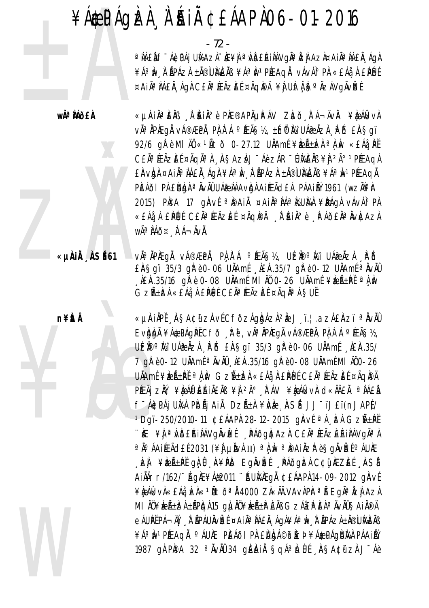- 72 -

a NAEN F ÁGDAJ UNAZN. NE¥N a NDEAINAVONA NZI AZN¤AINA NAEN ÁGN ¥ÁªIW I ŘPÁZI ±Ă®UMEIB ¥ÁªIW1PÆAQI vÁvÁI°PI «EÁå I EPÚÉ ¤AIĪ IÁEI ÁGI CEIª ÆÃZEE ¤ÃGPA ¥I UIt I Sº IZÁVGIVEE

wêÀÁðfÀ

«µÀIN¤ÈNB N AIN» è PIE®APNUPAV ZIað FÁ¬ÄvN. ¥Ie ÁlkvA vì<sup>a</sup> ìpiegì vá®æpì, pì ì á °é£ã§½, ±ínôèi⁄a uá@ìzì, Põ £ìA§qï 92/6 qře MI AÜ «1Ñtõ 0-27.12 UÄAmÉ ¥ÈZñLZÀ a A IN «EÁå PĚ CEÀ<sup>a</sup> FEÃZEE ¤ÃQNª A ASAZA J Áè ZÁR DI AENS ¥ Pú 1 PEAQA EAVIDA ¤AIA AAEA AQA ¥A a M A APAZA ±A®UMEAB ¥A a M PEEAQA PEÁÕI PÀ ENDA <sup>a</sup> ÄvÄÛ UÁ ÀÁA vIDA AI ÆÃ CEÁ PÁAI AÝ 1961 (WZI) <del>P</del> 2015) PIPA 17 GIAVÉ <sup>a</sup> IPAI À ¤AIN a NA MEUMA ¥IPAGA VÁVAIº PA «EÁå À EPUL CEÀª ÆÃZEL ¤ÃQIPÀ À AIѺ è PÁÕEĪ ÄVICAZA WÃ<sup>a</sup> ÀÁð¤ ໋ FÁ¬Ä∨À.

«µAIÄ ASÍ61

n¥itÂ

vìª ìPìEqì vá®ÆPì, Pì ì Á °ÉÃS½, UÉÈ®°Ì⁄¿i UÁ@ ÌZì Pè £ASgï 35/3 gP è 0-06 UAAmf LEA.35/7 gP è 0-12 UAAmf <sup>a</sup> AvAU AEA.35/16  $q\overline{r}$  è 0-08 UAAmi MI AO 0-26 UAAmi  $\angle$ keñ  $\pm$ ri a A Av Gzıèk «£Áå À £PÚÉ C£ĂªÆÃzÈÉ ¤ÃqĂªÀ§UĚ

«µÀIÀPĽ ASA¢ữZÀvÉCFðzÁgbÁzÌ<sup>2</sup>à J ï.¦.azÁ£Àzï ªÀvÀÛ Evbba ¥Á&PÁgPĚCFð Rě, väªÄPÆgÄ vÁ®ÆPÄ, PARÁ ºÆÃS½, UE POMI UA PO EASQI 35/3 OF è 0-06 UAAME AEA.35/ 7 gř è 0-12 UÄAmÉ <sup>a</sup> ÄvÄÛ , LEA 35/16 gř è 0-08 UÄAmÉ MI AÖ 0-26 UÄAmÉ¥RɱPĚªÀN GZıRÁ «EÁåÀ EPÚÉCEĪÆÃZEɤÃQPÄ PÉLÃI ZNY ¥IRÁPEAINENS ¥I 2ð FÁV ¥IRÁKVA d«MÃEN ªNÁEN f Ácpái Um Pidái Ain Dzá±i ¥ivie "Insé JJ TJET(nJAP)/ <sup>1</sup>Dgï-250/2010-11 ¢£ÁAPÀ 28-12-2015 gÀvÉ <sup>a</sup>Á EÀ GzñPĚ ∵ìÆ ¥Ì ªÌvið£ÁilÁVqIvizE , PÁðgI¢AzI C£I ªÆÃzEÁilÁVqI¤l ªÄ°ÁAIÆÃd£É2031 (¥Ì µÌW}II) ªÀÌW ªÌ®AIÄZ̺è§qÄVÌZɰÁU)Æ . EI ¥EıPI 910 A¥PD E9ÄVEI PÁð9EI C¢ü ÆZEI ASI AIÄÄrr/162/"AQAE¥Á#2011 "AUMAEQÄ ¢EÁAPA14-09-2012 QAVE ¥ÈÁk vÌ «EÁå ÞÀ «1Ñ tồªÅ 4000 ZÌ «Äà VA vÀ PÌrªÅ EgĪÅZÌ A ZÀ MI ÄÜ¥ÈL±ÈLÀ±ÃPÈQÀ 15 QLAŬ¥ÈLñÈ ÈÀB GZÁ£È LÀ ª ÀVÀÛ SA IÀ®Ä eÁUPĚPÁ¬ÄÝ À ÃPÁUÄvÈE ¤AIĪ ÀÁ£À ÁgÀ¥Áª Ìv À ÃPÁZÀ±Ă®ÙÀÆÀB ¥ÁªIN1PÆAQI ºÁUÆ PEÁÕI PI ENIGA©PICÞ¥Á\$PÁGNMA PÁAILÝ 1987 gì PIPA 32 <sup>a</sup> luil 34 giàil san Luit Asacu zh J-Aè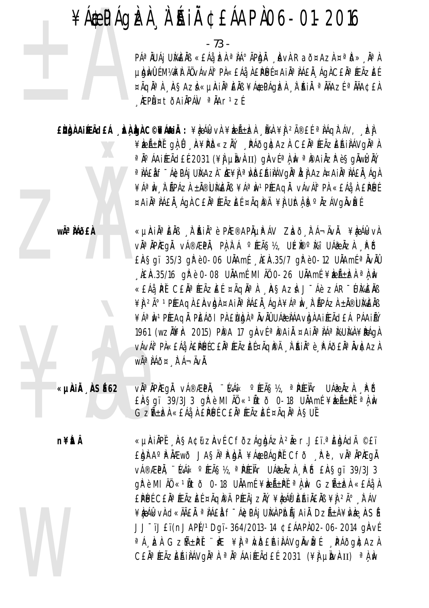- 73 -

P绀UÁj UMĚNS «EÁå, ER ªIÁ°ÃPE) AVR Rað¤AzR ¤ªIð», NªR µ bì mu li ma li ng và vâ vâ li nghệt đâ là E pé li ¤ A i là " là E là Q là C E là " la E le E ¤ÃQĪ) AŞAZÌ «µÀIĪEÄB ¥Á\$PÁQÈÀ À AIÄ ªÄÄAZɪÄÄA¢£À KEPܤtðAIÄPÁN <sup>a</sup> ÄAr<sup>1</sup>zÉ

¥keñPĽgĄÛ A¥PD«zŇ, PÁðg|¢AzI C£ÄªÆÃzEAiIAVgĪI ªÄ°ÁAIÆÃd£É2031 (¥ÌJ µÌNÀII) gÀVɪÀ,ÌN ªÌ®AIÄZ̺è§gÄWÊÄÝ a NAEN F ÁGDA I UNAZN. NE¥N a NDEAINAVONA NZI AZN¤AINA NAEN AON ¥ÁªIN I ŘPÁZI ±Ä®UMEIB ¥ÁªIN1PÉEAQI vÁvÁI°PI «£Áå I £PÉJÉ ¤AIĪ IÁEI ÁGI CEIª ÆÃZEE ¤ÃGPA ¥I UIt I Bº IZÁVGIVEE

wê MÕFÀ

«µÀIẰªÈÄß À ĂIĂºè PhE®APõPÁV Zhð FÁ¬ÄvÄ. ¥è ÁlkvÀ vìªìPÆgì vÁ®ÆPì, PìLì Á °ÆÃ§½, UÉÈ®°Èi UÁæÌZì "PĎ EASqi 35/3 qr è 0-06 UAAmf AEA.35/7 qr è 0-12 UAAmf <sup>a</sup> AvAU AEA.35/16 q Pè 0-08 UNAmé MI AO 0-26 UNAmé ¥ REA+ R a A M «EÁå PĚ CEĪÆÃZEÉ ¤ÃQĪÀ ASAZÀ J¯Áè ZÁR¯ÚMÈÄB ¥Ì 2ð 1PÉEAQÌ EÀVIDÀ ¤AIÀªÌÁEÀ ÁQÌ ¥ÁªÌN À ÃPÁZÌ ±À®ÙIAEÀB ¥Áª IN 1 PÍEAQI L PEÁÕI PI ENIGI ª IVIÙ UÁR IÁAVIGI A I FEÃO EÁ PÁA I AV 1961 (wzN¥r 2015) PPA 17 gAvfapaiA ¤AiAaNAaNUMA¥DAGA vÁvÁ° PÀ«£Áå À£PÚÉC£ĂªÆÃZÈɤÃQI®Ä À ŔIðè P Áð£ÄªÄvI¢AzÀ WÃ<sup>a</sup> HÁÕ¤ FÁ-ÄVÀ.

«µÀIÄ NSÍ62 v˻ÀPÆQÅ vÁ®ÆPÅ, "KAK ºÆÃ޽, ªPÆŘr UÁ@ÀZÀ PÕ EASgï 39/3J3 gì è MI AO «10to 0-18 UAAmE ¥bent a A No Gzñbà «EÁà, À EPUE CEÀª ÆÃZEE ¤ÃqĂª À SUE

n¥ÈrÂ

«µÀIÀPĚ AŞA¢ữZAvÉ CFÕZÁQIDÁZI 2Ă r.JEï.ªEDAdÄ ©Eï EDIAOPÄEWO JASAOPDI ¥ACPÁQIPI CFO RU, VIOIPIEQI V種PÄ, "KAA« °ÆÃ޽, ªPÆŘr UÁ@ÅZA PÕ EASQI 39/3J3 gì è MI AO «10tò 0-18 UAAmi ¥bentan da M Gzntba «EA.) £PÚ CE N ÆÃZE E¤ÃQIPA PÆÃJ ZN, ¥IRAO ERINENS ¥I 2ú TÁV ¥ÈÁkVÀ d«ÄÃÊĂ ªÀÁÊÀ fīÁ¢PÁj UЍÀ PIDÃj AIÀ DZñÀ ¥ÌVÈ, IASÍ JJ<sup>-</sup>ïJ£ï(nJAP) /<sup>1</sup>Dqï-364/2013-14 ¢£ÁAPÀ02-06-2014 qÀVÉ <sup>a</sup> A Le Gzh+PI "IE ¥ A a NDEAIA A VONVLE PAO OR A ZA C£ĂªÆÃZĒŔIÌÁVgĬªÀ ªĂºÁAIÆÃd£Í 2031 (¥Ì µÌIvÀII) ªÀÌW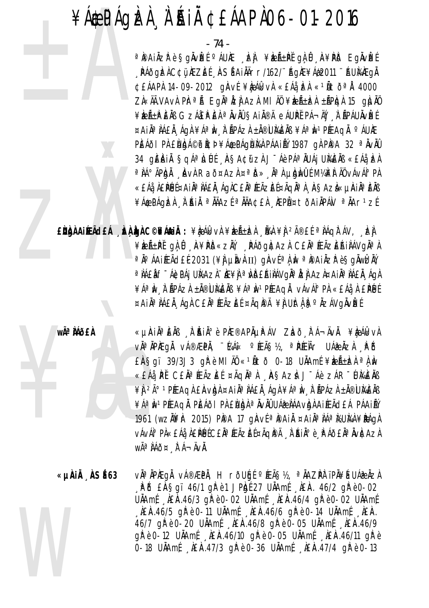# ¥ÁÆPÁGÈÀ À`ÉAIÀ ¢£ÁAPÀ 06-01-2016

-74<br>-74<br>-74<br>PAOGERCCUREZEE RS<br>PAOGERCCUREZEE RS<br>CEAPR 14-09-2012 GRS<br>ZA«ÄÄVAVA PR=A EGRS<br>PEAOLPA ENDA@PRCP <sup>a</sup>˨Ai Àzhè§gÀvké °ÁU kë shi ¥kanën ga û sh¥ho Egàvké <sub>、</sub>ÀAÕgÈÀ C¢ü, ÆZÈÉ ÅSÍ AI ÀÄrr/162/¨ÁgÆ¥Áæ2011 ¨ÁUÀ¼ÆgÀ ¢£ÁAPÀ 14-09-2012 gÀVÉ ¥À¿ÁÎkVÀ «£Áå, ÈZÀ «1ÑtðªÅ 4000 ZÀ«ÄÃ.VAvÀ PÀ<sup>ra</sup>Á EgĂ<sup>a</sup> ÅzÀ AzÀ MI ÄÖ ¥ÈÆÑ±À ±ÁPÀqÀ 15 gÀJÀÖ ¥ÈÆÄ±À ÈÑS GZÁÆÀ ÈÀ ªÀVÀÛ ŞAI À®Ä eÁURÉ PÁ¬ÄÝ , À "ÃPÁUÀVEÉ ¤Ai Àª À Á£À, ÁgÀ ¥Áª Àv¸À˙ÃPÁZÀ ±À®Ù À¥ÈÄß ¥Áª Àv 1 PÉEAqÄ ∘ÁUÆ PĚÁÕI PÀ ENDÁ©Ũ PČÞ ¥ÁÆPÁGUMÀ PÁAI NÝ 1987 GÀ PIPA 32 ª ÄVÄÛ 34 gÈÀIÀ §qÁªÀJÚÉ ¸À§A¢ữ zÌ J¯Áè PÁªÀUÁj UÀ¼ÈÄB «£Áå¸ÞÀ <sup>a</sup>ÀÁ°ÃPÀJÀ ÀvÀ Rað¤AzÀ ¤<sup>a</sup>ð» À µÀnWÙ M¼ÀÄ ÄÖ vÁvÁI°PÀ «£Áå¸À£ÌPÉJɤAIÀªÌÁ£Ă¸ÁgÀC£ĂªÆÃzÈɤÃgĂªÀ¸À§AzÀ«µÀiĂªÈÄß ¥ÁÆPÁGÞÀ À`ÍAIÀ ªÀÄAZÉ ªÀÄA¢£À ÆPÙ¤tðAIÄPÁN ªÀAr<sup>1</sup>zÉ

ENDA AI £ÙÀÀ AI**ÉEà LEÁ ÀJÀ C©¥ÁÆIÀ :** ¥ÈÁIkvÀ ¥ÈÆÑ±ÈÀ ÙAÀ¥Ì, <sup>2î</sup>£É ªÀÁQ̯ÁV, ¸ÈÀ ¥ æÃ±PĚ g Û , À¥PÕ«z ÀY, ĮPÁðg ¢ÞAz C£ Àª ÆÃz EÁI ÀAVg Àª À  $^{\circ}$ ÁAiÆÃd£É-2031 (¥ÌJµÌNÀII) gÀVÉ $^{\circ}$ À,ÌN  $^{\circ}$ i®Ai Àzłè§gĂwûzĂŸ <sup>a</sup> ÌÁ£À f<sup>-</sup>Á¢PÁj U̽AzÌ ¨ìE¥Ì ªÌvð£ÁiÌÁVgĂªÌzÌ AzÀ¤AiĪÌÁ£Ă¸ÁgÀ ¥ÁªÀw¸À¨ÃPÁZÀ ±Ă®Ù}A£ÀB ¥ÁªÀwºPÉEAqĂ vÁvÁPPÀ «£Áå¸À £ÌPÉJÉ ¤Ai Àª À Á£À, ÁgÀ C£Àª ÆÃzÈÉ ¤ÃqI®Ä ¥Ì UÌt Á FSº ÀZÁVgÀvIzÉ

¥Àæ

**wê ÀÁð£À** «µÀi Àª È ÀB À ˙ Ăi À º è PÆ®AP Àj µ PÁV Z Lað AT Á¬Äv À. ¥ Le Álk v À vĪÄPÆgÅ vÁ®ÆPÅ, ¨½Ái« ºÆÃ§½, ªPÆĬÁr UÁæÀzÀ ¸PÕ  $E$ ˤgï 39/3J3 gì è MI ÄÖ «<sup>1</sup>Ãtð 0-18 UÄAmÉ ¥ÀzñÀ <sup>a</sup>À Àv «£Áå¸PĚ Č£ÄªÆÃzĔÉ ¤ÃqĂªÀ ¸À§AzÀ J¯Áè zÁR¯ŨŀÀĒĂB ¥À <sup>2ð</sup> PÉEAQÀ £ÀVÀJÀ ¤AI ÀªÀÁ£À¸ÁGÀ ¥ÁªÀw¸À˙ÃPÁZÀ ±À®ÙÀ4ÈÀB ¥ÁªÀWºPÉŁAQĂ PÈÁðI PÀ £ÙÀDÀª ÀVÀÛ UÁæ ÀÁAvÀDÀ AI ÉEÃO£Á PÁAI ÁÝ 1961 (wz˴À 2015) PÀBA 17 gÀVÉ <sup>a</sup>À®AI ¤AI ÀªÀAªÀ½UÀ¼À ¥ÀÀGÀ vÁvÁº PÀ«£Áå¸À£PÉUÉ C£ĂªÆÃZÈɤÃqÌ®Ä ¸À¨ÍAïÀ°è¸ÌPÁð£ĂªÄvÌ¢AzÀ wêÌÁð¤ÀÁ⊣ÄvÄ.

W «µ**ÀiÀ , ÀSÉ 63** v˻ÀPÆgÅ vÁ®ÆPÀ, HrðUÓgÉ ºÉÆÃ§½, ªÀAZPÀ¨iPÅ¥É UÁæÀzÀ  $\hat{A}$ <sup>e</sup> $\hat{D}$  £ $\hat{A}$ §gï 46/1 g $\hat{A}$ °è 1 JP $\hat{A}$ t $\hat{A}$  27 U $\hat{A}$ Am $\hat{A}$ ,  $\hat{A}$ E $\hat{A}$ . 46/2 g $\hat{A}$ °è 0-02  $U$ ÅAm $f$ ,  $\lambda$ E $\overline{A}$ .46/3 g $\overline{R}$ è 0-02  $U$ ÅAm $f$ ,  $\lambda$ E $\lambda$ .46/4 g $\overline{R}$ è 0-02  $U$ ÅAm $f$  $\Box$ AEA.46/5 g $\dot{R}$ è 0-11 UAAm $f \Box$ AEA.46/6 g $\dot{R}$ è 0-14 UAAm $f \Box$ AEA. 46/7 gh è 0-20 UNAmi LEA.46/8 gh è 0-05 UNAmi LEA.46/9  $qR$ <sup>è</sup> 0-12 UÅAm  $f$ ,  $\lambda E$ Å $.46/10$   $qR$ è 0-05 UÅAm  $f$ ,  $\lambda E$ À $.46/11$   $qR$ è 0-18 UÄAm $\int_{a}^{b}$  AEA.47/3 gh è 0-36 UÄAm $\int_{a}^{b}$  AEA.47/4 gh è 0-13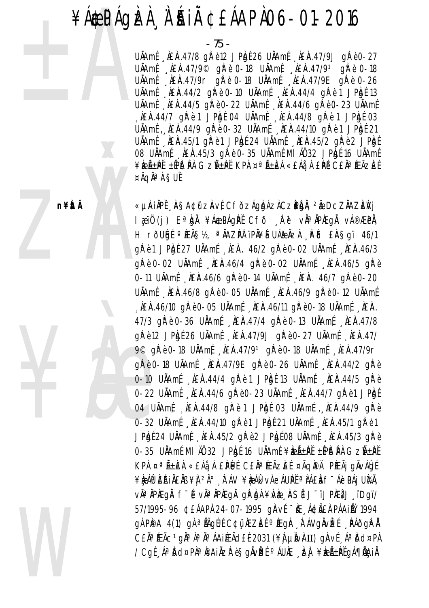# ¥ÁÆPÁGÈÀ À`ÉAIÀ ¢£ÁAPÀ 06-01-2016

n¥ŁÂ

¥Àæ

W

- 75 - ±ÀÄ UÄAmÉ, ÀEÀA.47/8 gh è 12 JPh (£26 UÄAmÉ, ÀEÀA.47/9J gh è 0-27 UÄAm $f \sim \hbar E \hat{R}$ .47/9 $\degree$  g $\hbar$ è 0-18 UÄAm $f \sim \hbar E \hat{R}$ .47/91 g $\hbar$ è 0-18 UÄAm {  $\triangle$  AEA.47/9r g  $R$ <sup>è</sup> 0-18 UÅAm {  $\triangle$  AEA.47/9E g  $R$ <sup>è</sup> 0-26  $U$ ÅAm $f$ ,  $\lambda$ £À $.44/2$  g $\lambda$ <sup>e</sup> 0-10  $U$ ÅAm $f$ ,  $\lambda$ £À $.44/4$  g $\lambda$ <sup>e</sup> e 1 JP $k$ gé 13 UÄAm É, ÀEÀA.44/5 gh è 0-22 UÀAm É, ÀEÀA.44/6 gh è 0-23 UÀAm É  $\Box$ AEAR.44/7 g $\dot{R}$ è 1 JPAgÉ 04 UALAm $\dot{R}$  AEAR.44/8 g $\dot{R}$ è 1 JPAgÉ 03 UÄAmÉ, ÀEÀA.44/9 gh è 0-32 UÄAmÉ, ÀEÀA.44/10 gh è 1 JPh e 21  $U$ Å $Amf$ ,  $\lambda$  $E$  $\lambda$ .45/1 g $\lambda$ <sup> $\beta$ </sup> è 1 JP $k$ g $f$  24 U $\lambda$  $Amf$ ,  $\lambda$  $E$  $\lambda$ .45/2 g $\lambda$ <sup> $\beta$ </sup> è 2 JP $k$ g $f$ 08 UÄAmf, JLEA.45/3 gh è 0-35 UÄAmE MI AO 32 JPA e 16 UÄAmE ¥ÈıPĚ ±ÉPÀtÊÀ GZñPĚ KPÀ ¤ªÃ±ĚÀ «£Áå À £PÉ C£ĂªÆÃZĚÉ  $\vec{A}$ qÀ $\vec{A}$  & SUE

> **n¥ìtâ** «µÀIÄPĚ 'À§A¢ü zÀvÉ CfðzÁgÌgÁzÀCzÌPÀjĂ, <sup>2</sup>ǎ D¢ZĂAZÈŇj I æjiÖ (j) E<sup>a</sup> İgÄ ¥Á opág PĚ Cfð <sub>s</sub>ip ei vÄ<sup>a</sup> ÄPAEgÄ vÁ®ÆPÄ, Hrðuál<sup>o</sup>ÆÃ§½, <sup>a</sup>ÄAZÞÀTïPÄ¥É UÁæÄzÀ "PÖ £À§gï 46/1  $q$  $R$ <sup> $\dot{e}$ </sup> $1$  JP $k$ <sub>E</sub> $i$  $2$  U $k$ Å $Am$  $j$ <sub>k</sub> $k$  $k$  $m$ ,  $k$  $m$ <sub>k</sub> $k$  $m$ <sub>k</sub> $m$ <sub>k</sub> $m$ <sub>k</sub> $m$ <sub>k</sub> $m$ <sub>k</sub> $m$ <sub>k</sub> $m$ <sub>k</sub> $m$ <sub>k</sub> $m$ <sub>k</sub> $m$ <sub>k</sub> $m$ <sub>k</sub> $m$ <sub>k</sub> $m$ <sub>k</sub> $m$ <sub>k</sub> $m$ <sub>k</sub> $m$ <sub>k</sub> $m$ <sub>k</sub> $m$ <sub>k</sub> $m$ <sub>k</sub> $m$ <sub>k</sub> $m$ <sub>k</sub> $m$ <sub>k</sub> $m$ <sub>k</sub> $m$ <sub>k</sub> $m$ <sub>k</sub>  $q$  $R$ <sup>è</sup> 0-02 U $\ddot{A}$ Am $f$ ,  $\ddot{A}E$  $\dot{A}$ .46/4  $q$  $\ddot{R}$  è 0-02 U $\ddot{A}$ Am $f$ ,  $\ddot{A}E$  $\dot{A}$ .46/5  $q$  $\ddot{R}$  è 0-11 UÄAm f NEA.46/6 gh<sup>e</sup> 0-14 UÄAm f NEA. 46/7 ghe 0-20 UÄAm f \_ AEA.46/8 gh<sup>e</sup> 0-05 UÄAm f \_ AEA.46/9 ghe 0-12 UÄAm f  $\frac{1}{2}$ ÀEÀA.46/10 gh è 0-05 UÀAm É $\frac{1}{2}$ ÀEÀA.46/11 gh è 0-18 UÀAm É $\frac{1}{2}$ ÀEÀ. 47/3 gh è 0-36 UNAmi AEA.47/4 gh è 0-13 UNAmi AEA.47/8  $q$  $R$ <sup> $e$ </sup> $12$  JP $k$ <sub>p</sub> $f$   $26$  U $k$ Am $f$ ,  $k$  $E$  $k$ ,  $47/9$ J  $q$  $k$  $e$  $0$ - $27$  U $k$ Am $f$ ,  $k$  $E$  $k$ ,  $47/9$ 9<sup>©</sup> g<sup>P</sup> è 0-18 UÅAm {  $\lambda$  EA.47/9<sup>1</sup> g<sup>P</sup> è 0-18 UÅAm {  $\lambda$  EA.47/9r  $g$  $R$ <sup>è</sup> 0-18 U $\ddot{\text{M}}$ Am $f$ ,  $\ddot{\text{A}}$ E $\dot{\text{A}}$ .47/9E  $g$  $R$ <sup>è</sup> 0-26 U $\ddot{\text{M}}$ Am $f$ ,  $\ddot{\text{A}}$ E $\dot{\text{A}}$ .44/2  $g$  $R$ <sup>è</sup>  $0-10$  U $\text{MAmf}$   $\text{AER}.44/4$  g $\text{R}$ è 1 JP $\text{M}$  $\text{C}$  13 U $\text{MAmf}$   $\text{AER}.44/5$  g $\text{R}$ è 0-22 UÄAm É , ÀEÀA.44/6 ghè 0-23 UÄAm É , ÀEÀA.44/7 ghè 1 JPhgé 04 UÄAm É, ÀEÀA.44/8 gìrè 1 JPÀgÉ 03 UÄAm É, ÀEÀA.44/9 gìrè 0-32 UÄAm É , LEAR.44/10 g/ $\bar{F}$ è 1 JPÀgÉ 21 UÄAm É , LEAR.45/1 g/ $\bar{F}$ è 1 JPÀgÉ 24 UÄAmÉ, ÀEÀA.45/2 ghè 2 JPÀgÉ 08 UÄAmÉ, ÀEÀA.45/3 ghè 0-35 UÄAmÉ MI ÄÖ 32 JP $h$ é 16 UÄAmé ¥àzñPĚ ±ÉPàt $h$ à GzñPĚ KPA ¤<sup>a</sup> ñÈÀ «£Áå À £ PÚ É C£ À<sup>a</sup> ÆÃZ È É ¤Ãq PÅ PÆÃj g ÀvÁ ÚG É ¥À¿ÁÔP ÆŔIŇĒŇB¥Ì <sup>2ð</sup>, ÈÁV ¥À¿ÁÎkvÀ eÁUÞĚ <sup>a</sup> NÁ£À f<sup>-</sup>Á¢PÁj UÀ¼À, v˻ÄPÆgÀ f<sup>-</sup>É vÀªÄPÆgÀ gÈbÀ¥Àè ASÉ J¯ïJPÆå/J¸ïDgï/ 57/1995-96 ¢EÁAPÀ 24-07-1995 gÀVÉ ÜL Á¢ÃEÀ PÁAIÑ 1994 gÀ PÀPA 4(1) gÀ <sup>a</sup> lÃgÚÉ C¢ü, AEZEÉ ºÉEgh, À ÁVgÀVLEE , PÁðgÀPÀ C£ĂªÆÃ¢1gĂªÀªĂºÁAiÆÃd£É2031 (¥À µÀWÀII) gÀVÉ ÁªÀðd¤PÀ / CgÉ ÁªÀðd¤PÀªÌ®AiÄzÌ è§gÀvÈÉ ºÁUÀE ¿ÈÀ ¥ÈıPĚ gÁ¶ÃAIÀ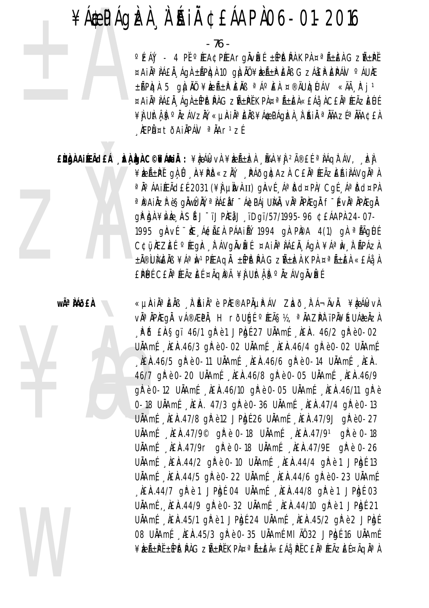- 76 -

<sup>O</sup>ÉÁÝ - 4 PĚ PÆA¢PÆArgÄvÈÉ ±ÉPÈLÊPÀ KPÀ¤ªÃ±ÈLÀ GZñPĚ ¤AIÄ<sup>a</sup> IÁEI AGI ±APIGI 10 GI JI ¥IEA±PEIB GZÁEPEPÁV º AUIE ±ÃPICH 5 QILIN ¥IEA±PENB ªAºEH ¤®ÄUICIUAV «Äà P j 1 ¤AIĪ IÁEI, ÁgA±fPIt PA GZA+PI KPA¤ª A±EA«EÁå, ACEIª ÆÃZEUE ¥Ì UItî Iş°ÄzÁVzIY «µiriña EIB ¥A¢PÁQIZI), I AI A NAZE a NA¢EI **EPܤtÕAIÄPÁN** <sup>a</sup>ÄAr<sup>1</sup>zÉ

EÙÙNAIEACEÁ DA DA C©NÁNIA : ¥RÁGWA ¥RÁ±RA ÙA ¥I 2îEÍ ª NÁQITÁV, DA ¥ÈıPĚ QLŮ A¥PD«ZŇ, PÁÕQNAZ) CEŇªÆÃZEŔINÁVQŇªN <sup>a</sup> Ä<sup>o</sup> ÁAIÆÃd£É2031 (¥) µÌNHII) gÀVÍ ÁªĎd¤PÀ/ CgÍ ÁªĎd¤PÀ a í Paiåzí é Sgäwíziű a IÁEI f - Ácpáj UIAI, via IPIEgi f - é via IPIEgi qp b) \{\bdd{k}} \{\bdd{B}\$\} \{\bdd{L}\$1\} \{\bdd{B}\$7/1995-96 \{\te EAAP}\$24-07-1995 già ví "iE Actilea Páaili" 1994 gi Piea 4(1) gi aliagui C¢ü MEZEE O PEGIT TAVGÄVILE ¤AIN<sup>a</sup> NAEN AGI ¥AªIN N APAZA ±Ă®ÙMÈÄB ¥ÁªÌN1PÆAQĂ ±ÉPÌtPÀ GZñÌZÀ KPÀ ¤ªÃ±ÈÀ «£Áå À EPUL CEN PEÃZEL ¤ÃQIPÀ ¥I UN LIS PAZÁVQIVIZE

wê MÕ£À

«µÀiĂªÈĂB À ĂiĂiðè PIÆ®APõPÁV ZLað FÁ¬ÄvÄ. ¥LeÁlkvÀ vĪÄPÆqÅ vÁ®ÆPÄ, H rõUģÉ °ÆÃ§½, ªÄAZPÀ ïPÄ¥Í UÁ@ÄzÀ  $\,$   $\mathbb{R}$  fo  $\,$  EASgi 46/1 g $\,$ R è 1 JPg f 27 UAAmf  $\,$  AEA. 46/2 g $\,$ R è 0-02 UÄAmf \_ AEA 46/3 g P è 0-02 UÄAmf \_ AEA 46/4 g P è 0-02 UÄAmf  $\hat{A}E\hat{A}$ .46/5 g $\hat{B}$ è 0-11 U $\hat{A}$ Am $\hat{A}$   $\hat{A}E\hat{A}$ .46/6 g $\hat{B}$ è 0-14 U $\hat{A}$ Am $\hat{A}$   $\hat{A}E\hat{A}$ . 46/7 gh è 0-20 UNAmi LEA.46/8 gh è 0-05 UNAmi LEA.46/9 g) r è 0-12 UNAmi NEN.46/10 g) r è 0-05 UNAmi NEN.46/11 g) r è 0-18 UÄAmf LAEA. 47/3 gP è 0-36 UÄAmf LAEA.47/4 gP è 0-13 UÄAmf LAEA.47/8 gP e 12 JPh f 26 UÄAmf LAEA.47/9J gP e 0-27 UÄAmf REA.47/9<sup>©</sup> gPe 0-18 UÄAmf REA.47/91 gPe 0-18 UÄAmf , AEA 47/9r gřè 0-18 UÄAmf , AEA 47/9E gřè 0-26 UÄAmf AEAR.44/2 gree 0-10 UÄAmf AEAR.44/4 gree 1 JPhpf 13 UÄAmf AEA 44/5 gh è 0-22 UAAmf AEA 44/6 gh è 0-23 UAAmf  $\lambda$  AEA .44/7 g  $R$  è 1 JP g f 04 UAA m  $\lambda$  AEA .44/8 g  $R$  è 1 JP g f 03 UÄAmÉ, AEAR.44/9 g/P è 0-32 UÄAmÉ AEAR.44/10 g/P è 1 JP/g/E 21 UÄAmf AEA.45/1 grè1 JPbgf 24 UÄAmf AEA.45/2 grè2 JPbgf 08 UÄAmf LEA.45/3 gP è 0-35 UÄAmf MI AÖ 32 JP gf 16 UÄAmf ¥ÈıP̱FPItPIGZıPĚKPI¤ªÃ±EÀ«£Áå PĚC£ĂªÆÃZEɤÃQĪÀ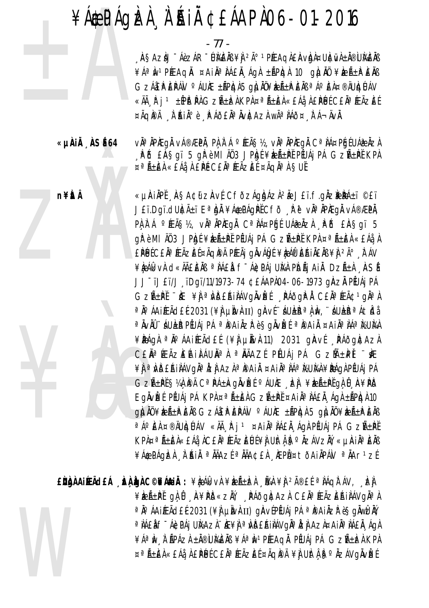- 77 -

. ÀSAZIJ <sup>-</sup> ÁèzÁR <sup>-</sup> ÚMÈÄB ¥I <sup>2Ã</sup>° 1 PÆAQÀ£ÀvIdÀ¤UI¢WÀ±Ă®UMÈÄB ¥Áª Nº 1 PÉEAQN ¤AIN ª NAEN AO A ±APRO A 10 OLLNO ¥REA±PENS GZÁEPEPÁV <sup>o</sup> ÁUÆ ±ÃPIGA5 gIJAÜ¥IEÁ±PEÄB ªÁºEA¤®ÄUIGLJAV «ÄÃ, È i 1 ±EPÈt PÀ GZñÈZÀ KPÀ ¤ª ñÈZÀ «£Áå, À £PÉJÉ C£Àª ÉEÃZÈÉ ¤ÃQIPÄ À AIİè PÁÕEĪÄVICAZA WêIÁÕ¤ FÁ¬ÄVI.

«µÀiÄ ÀSÉ64 v˻ ÀPÆqÅ vÁ®ÆPÀ, PÀ À Á °ÆÃ§½, vÀª ÀPÆqÀ Cª ÀÁ¤PÉJÉ UÁ֎ ÀZÀ AP & EASQ' 5 OF è MI AU3 JPRE ¥REA±PE PEUAI PA GZAEPE KPA ¤ªÑ±ÈÀ «EÁå¸À EPÉ CEÀªÉÃZÈĒ ¤ÃqÀªÀ SUĚ

> «µÀIÀPĚ AŞA¢ữZÀvÉ CfðzÁgbázì2 J£ï.f.gìzifidá±ï ©£ï J£ï.Dgï.dUkrñï E<sup>a</sup> bh ¥Á\$PÁgPĚCfð Rěvi vàªÄPÆgh vÁ®ÆPÀ, PA A A PEAS12, VA APAEGA C AA¤PGE UA AZA PD EASQI 5 gì è MI AO 3 JPhoé ¥heñ±hě Péuáj Pá Gzñ±hě KPa ¤<sup>a</sup>ñ±èa «£Áå A EPULCE À<sup>a</sup> (EÃZEL¤ÃQIPA P(EÃ] QÀVÁQIE ¥D AO ERIAENS ¥) 2ú, IT AV ¥ÈÁI VÀ C «ĂÃEÈÄB ª IAEI F-ÁCPÁJ UIAI PIDÃJ AI DZñI ASÍ JJ-ïJ£ï/J ïDgï/11/1973-74 ¢£ÁAPI04-06-1973 gÄZÄ PEUÁj PÁ GZıPĬ "KE ¥I ªNDEAINAVQNVEE PAÕQP I CEN PEâ1qNa) a jo áaiÆãd£é 2031 (\} un un daví dáu la a n m, dáu la a átida ªÄvÄÛ∵ÁUŁB PEUÁj PÁ ªPAiÄzPè§gÄvÈÉ ªPAiÄ ¤AiĪIÁªIŁUI4A ¥PÁQA <sup>a</sup> Nº ÁAIFEÃ dE (¥) µN v k 11) 2031 q A v { PÁÕ g A z k CEÄ<sup>a</sup> ÆÃZEAINAUN<sup>a</sup> A ª NAZE PEUAJ PÁ GZM+PI "K ¥Ì ªWDEAINAVQNª LZI AZI ªPAIN ¤AINªNAªWUMH¥PAQI PEUAI PA GZñPĚ S¼À PA CªPÁ±kgĂvÈÉ ºÁUÆ EÀ ¥ÈıPĚGÀ Û A¥PÕ Eglvizí Píuáj Pá KPA ¤<sup>a</sup> رEA GzرPĚ ¤AIÄ<sup>a</sup> JÁEA ÁgA ±ŘPIgA 10 gì lào ¥izã±i? Eàis Gzáæp EPAV ° AUIE ±ÃPIgì 5 gì lào ¥izã±i? Eàis a Á°EL ¤®ÄUIQUÁV «Äà F j 1 ¤AIN a LAEN ÁQI PEUAJ PÁ GZѱPĚ KPA¤ªÃ±EA«£Áå AC£ÄªÆÃZEŨĹ¥À UÌtÁ F°ÄZÁVZÄÝ, «µÀiĪĒÄB ¥Á\$PÁQIZI I A AJ A JÄJAZÍ ª AJA¢£I IEPI ¤ tÕA JÄPÁV ª AAr 1 zÍ

EÙÀNA AIREACHA LA LONGCONALIA : ¥LA AL VA ¥LA LA VA ¥A 2îEL ª NÁON ÁV, LA ¥ÈıPĚ gÀ Û A¥PD«ZÄ, PÁÕGACAZA CEĪÆÃZEŔIAÁVGĪA a jo á A jí E Á dé 2031 (¥) LINA II) GA vé PÉU Á j PÁ a PA ji ZzP è SGÄWIZAY a NAEN F ÁGDAI UNAZN HE¥N a MDEAINÁVONA NZI AZN¤AIÑ ANAEN AON ¥ÁªIN I ŘPÁZI ±Ă®UMEIB ¥ÁªIN1PÆAQI PÉUÁJ PÁ GZѱIZI KPI ¤ªÑ±EÀ«£Áå À £PÚÉ C£ĂªÆÃZEÉ ¤ÃQPÀ¥Ì UÌtÁ F°ÄZÁVGÄVÈÉ

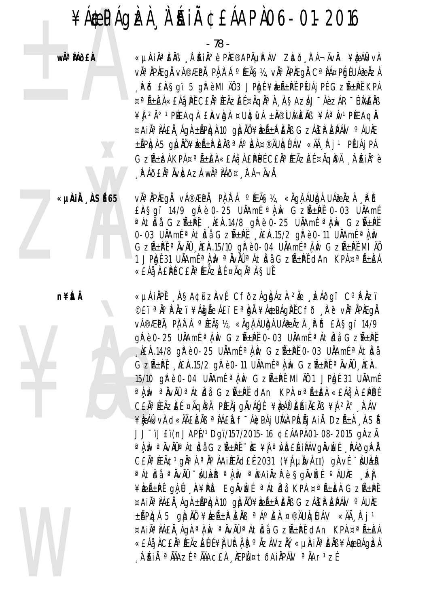- 78 -

wÃ<sup>a</sup> Mõ£À

«µÀIẰªÈÄß À ĂIĂºè PhE®APõPÁV Zhð FÁ¬ÄvÄ. ¥è ÁlkvÀ v˻ ĂPÆqÅ vÁ®ÆPÄ, PÀ À Á °ÆÃ§½, vÀª ĂPÆqÅ Cª ÌÁ¤PÉJÉ UÁ@ ÀZÀ AP & EASqi 5 q Pèmi A03 JPh E¥REALPE PEUAI PE GZALPE KPA ¤ªÃ±EÀ«£Áå¸PĚ C£ĂªÆÃZEɤÃQĂªÀ¸À§AZÀJ¯ÁèZÁR¯ŨMEÀB ¥ 1 2ð 1 PÉE AQ A E AV Q A ¤ UNC WA ± N ® W AGE N B ¥ A ª N 1 PÉE AQ N  $\propto$ Ain<sup>a</sup> ná£n ága ±ápiga 10 giunü ¥izá±p Ens Gzá£p Epáv  $\circ$ áune ±ÃPICJA 5 QILJAŬ ¥IZñP E AB ª Áº E A ¤®ÄUICJÚAV «Äà R j 1 PEUA j PÁ GZñÈÀ KPÀ ¤ªÃ±ÈÀ «£Áå¸À £PÚÉ C£ĂªÆÃZÈÉ ¤ÃQIPÄ ¸À ĤIÀº è A Áð EÄ<sup>a</sup> Ävícaza wã<sup>a</sup> Iáð¤ A Á¬ÄvÄ.

«µÀIÄ ÀSÉ65 vઠÀPAEQÀ vÁ®ÆPÀ, PÀ À Á ºÆÃ޽, «ÃQÀ ÁULDÀ UÁ@ÀZÀ APÕ  $E$ AŞqï 14/9 q $\mathbb{P}$ è 0-25 U $\lambda$ Amé  $\partial \lambda$  M GzA $\pm$ Pt 0-03 U $\lambda$ Amé <sup>a</sup> Átria Gzñ±pť, A£A.14/8 gře 0-25 UÄAmé <sup>a</sup> A w Gzñ±pě 0-03 UÄAmÉ <sup>a</sup> Átidi GzR̃±PI, LEA.15/2 grè0-11 UÄAmÉ <sup>a</sup> Lu GZñPĚ <sup>a</sup> AvAU AEA.15/10 grè 0-04 UAAmÉ a A Av GzñPĚ MI AU 1 JPAJÉ 31 UÄAmÉ <sup>a</sup> A Av a AvAU a AtAJA GZALPĚ dAn KPA ¤a Alen «EÁå, À EPÉ CEÀª ÆÃZEÉ ¤ÃQÀª À SUÉ

**n¥itÂ** 

«µÀIÀPĚ AŞA¢ữZÀVÉ CFÕZÁQÀÁZÀ 2Ă LZÁÕQÏ CºPÀZÏ ©£ïªÄ°PÄZï¥ÁåQÃeÁ£ïEªÀdÄ¥Á\$PÁQPĚCfð RěvĪÄPÆQÄ V種PÄ, PA A Á ºÉAS½, «ÃQA ÁUAA UÁ&ÀZA A B EASQI 14/9 gì è 0-25 UÀAmí a À Av GzñPĚ 0-03 UÀAmí a Áticia GzñPĚ  $\hat{A}$  A  $\hat{A}$  A  $\hat{A}$  and  $\hat{B}$  a  $\hat{C}$  and  $\hat{A}$  and  $\hat{C}$  and  $\hat{C}$  and  $\hat{C}$  and  $\hat{C}$  and  $\hat{C}$  and  $\hat{C}$  and  $\hat{C}$  and  $\hat{C}$  and  $\hat{C}$  and  $\hat{C}$  and  $\hat{C}$  and  $\hat{C}$  and  $\hat{C}$  and  $GzH+H$ , AEA.15/2 qi e 0-11 UAAmi a A M  $GzH+H$  a AvAU, AEA. 15/10 gřè 0-04 UÄAmÉ <sup>a</sup> A M GZرPĚ MI AÖ 1 JP.p.E 31 UÄAmÉ a A Av a AvAU a Aticla GzñPE dan KPA ¤a ñEA «£Aå A £PUE CEN<sup>a</sup> FEÃZE E ¤ÃQIPA PFEÃI QUVÁIDE ¥ILAPERINENS ¥ILAP E AV ¥ỆÁ KU H C KHẾ LIN <sup>a</sup> NAEN f^ ÁC PÁJ UNA PIDÃJ A IN DZñA A SÍ a ì în a îvăû a Atîda Gzã±př víe ¥ì a îndealiavgăvizí paqa î CEN<sup>a</sup> FEÃC 1 gNa Na No AAI EÃO EL 2031 (¥N LINORII) GA VÍ "ÁULEN <sup>a</sup> Átidi <sup>a</sup> ÄvÄÜ '' ÁULB a À ÌN a PAIÄZP è SQÄVIZE O ÁUIE LZI ¥keñ±Pť g) û A¥PD Eglvké a Atida KP ¤añ±El Gzñ±Pť ¤AIÄ<sup>a</sup> IAEI Agi ±APIgi 10 gili ¥IzA±PEIB GzAEPEPAV °AUIE ±ÃPICH 5 CHUNU ¥IEAEPENS ªAºEN ¤®ÄUICIUAV «Äà P j 1 ¤AIĪÀÁEÀ ÁgÀ ªÀ Àv ªÀvÀÛ ªÁtkJå GzñPĚ dAn KPÀ ¤ªÃ±EÀ «£Áå ÀC£Ăª ÆÃZĒŨÉ¥Ì UÌt Á ISº ÄZÁVZĂÝ, «µIA ¡IÀª IEI}B ¥Á\$PÁGIZA A'AIN <sup>a</sup> NAZE <sup>a</sup> NACEA AEPO ¤tõAINPAN <sup>a</sup> NAr<sup>1</sup>zE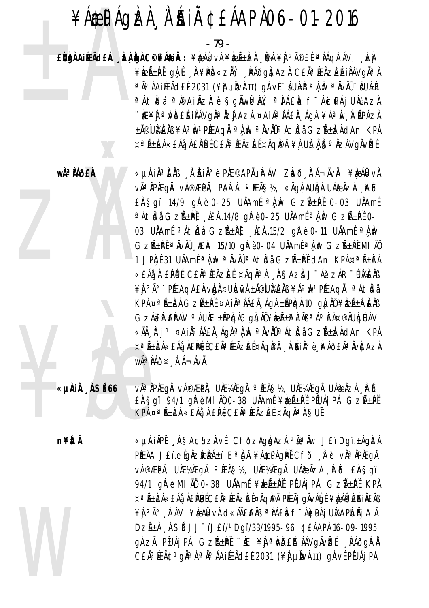### ¥Á EPÁQIZI À A SAI CEÁAPA 06-01-2016

- 79 -

EÙÙÀ AIRACEÁ LA LA C©NÁLIÀ : ¥L ÁL VÀ ¥LA LA LA VA ¥Ì 2îEÍ ª LAQITÁV, LA ¥ÈEñPĽ gìÛ A¥PD«zŇ, PÁðgI¢AzI C£ÄªÆÃzEŔIIÁVgI¤I ªÄ°ÁAIÆÃd£É2031 (¥Ì µÌvÀII) gÀvÉ áUÈÈ ªÀ N ªÄvÄÛ áUÈÈ <sup>a</sup>Átİdi <sup>a İ@</sup>AIÄZİP è ŞgÄwİZÄY, <sup>a</sup> İTAEL f<sup>-</sup>ACIPAI UMAZI ∵Æ¥I ªWDEAIIAVQNªIZI AZI ¤AINªIAEN ÁQI ¥AªIW I APAZI ±Ă®ÙЍÆÀB¥ÁªÌNºPÆAQĂªÀÌNªĂVĂÛªÁtÌdåGZѱÌZÀdAn KPÀ ¤ªÑ±EÀ«£Áå À £PÚÉ C£ĂªÆÃZEÉ ¤ÃQPÀ ¥J UÌtÅ S°ÄZÁVgÄvÈÉ

> «µAIĪÈÄß 'À AIĺè PAE®APĵPÁV ZLað "lī Á¬ÄvÄ. ¥LgÁlkvÀ vàªÄPÆqÅ vÁ®ÆPÄ, PÀÀ`Á °ÆÃ޽, «ÃqÀÁUbÀ UÁ֎ÅZÀ ÈPŐ  $E$ AŞqï 14/9 q $\mathbb{P}$ è 0-25 U $\lambda$ Amé  $\partial$ , w GzÃ $\pm$ Pt 0-03 U $\lambda$ Amé  $^{\circ}$ Átida Gzѱipi, jiein.14/8 qirè0-25 Unamé $^{\circ}$ i, w Gzѱipi 0-03 UÄAmÉ <sup>a</sup>Átidi GzIñPĚ, AEA.15/2 gire 0-11 UÄAmÉ aliw GZA+PI <sup>a</sup> AvAU AEA. 15/10 grè0-04 UAAmi a A NGZA+PI MI AU 1 JPAJÉ 31 UÄAmÉ <sup>a</sup> A Av a AvAÛ a ÁtAJ GZA+PĚ dAn KPA ¤a A+EA «EÁå, À EPUE CEÀªFEÃZEE ¤ÃQNª), ASAZI J-Áè ZÁR-UMENB ¥Ì <sup>2ð</sup> 1PÉEAQÌ EÀVIDÀ ¤UICIVÀ ±Ă®UIGEÀB ¥ÁªIN1PÉEAQIÀ, ªÁtIdà  $KP$ À ¤  $^{\alpha}$ ñÈÀ GZñPĚ ¤AIÀ<sup>a</sup> ÀÁ£À ÁgÀ ±ÃPÀJÀ 10 gÌJÀÜ ¥ÌZñÌP ÈÀB GZÁEPEPÁN ºÁUÆ ±ÃPIGA5 GILIÄÜ¥IEıPEÄB ªÁºEA¤®ÄUIGLÁV «Äà N j 1 ¤AIN¤NAEN ÁghªN N ªNvN ªÁtklå GzѱkzAdAn KPA ¤ªÃ±EÀ«£Áå À£PÉJÉC£ĂªÆÃZEɤÃQPÄ À RIÀº è PÁÕ£ĂªÄvÈAZÀ WÃ<sup>a</sup> ÀÁÕ¤ , FÁ-ÄVÀ.

wê MÕEÀ

«µÀiÅ ASÉ66 vઠÀPAEqà vá®ÆPÀ, UAE¼Æqà °ÆÃ§½, UAE¼Æqà UÁæÀzÀ APÔ EASqï 94/1 qrè MI AO 0-38 UAAmE ¥beather PEUAI PA GZAther KPA ¤ªÃ±ÆÀ «£Áå¸À £PÉ C£ĂªÆÃZEÉ ¤ÃQĪÀ SUĚ

**n¥itÂ** 

«µÀIÀPĚ ASA¢űzAvÉ CFÕZÁgbÁzÀ <sup>2ê</sup>Àw J£ï.Dqï.±ÁgbÀ PÆÃA JEï.etgÄz¥PÁ±ï EªbÀ ¥Á\$PÁgPť Cfð Rè vìªÄPÆgÄ V種PÄ, UƼÆGÄ ºÆÃ޽, UƼÆGÄ UÁæÄZÀ PÕ £ÄŞGï 94/1 girê MI AÖ 0-38 UNAmÉ ¥izA±PE PEUAj PÁ GZA±PE KPA ¤ªÃ±ÈÀ«£Áå¸À£ÌĚŀÉ C£ĂªÆÃZÈɤÃQÌ<sup>®</sup>Ä PÆÃj gÀvÁÔdÉ¥À¿ÁÔ°ÈŔiĂ£Ăß ¥Ì <sup>2ð</sup> TÁV ¥ÈÁKVÀ CKÄŘEÈÄB ªÌÁEÀ f<sup>-</sup>ÁÈPÁj UÌAÀ PÌOÃj AIÀ DZıÀ , ASÍ JJ<sup>-</sup>ïJ£ï/1Dqï/33/1995-96 ¢£ÁAPÀ 16-09-1995 gàzh Pfuáj Pá Gzñ±pť "ke ¥j <sup>a</sup> vdeáilávgàvke "Páðgi<sup>a</sup>i CEĂ<sup>a</sup> ÆÃ¢<sup>1</sup>gĂª À ª Ăº ÁAIÆÃd£É2031 (¥) µÌWHII) gÀVÉ PÉUÁJ PÁ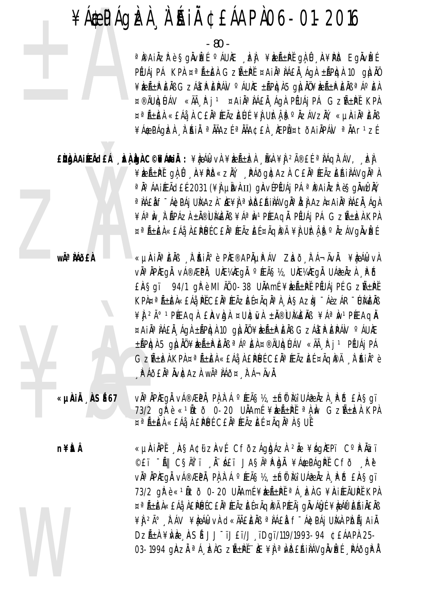- 80 -

ªPAIÄZPè§gÄVEE ºÁUÆ LEJ ¥EıPE gLO A¥PD EgÄVEE PÉUÁj PÁ KPA ¤ªÃ±ÆÀ GZñPĚ ¤AIÀªÀÁ£À ÁGÀ ±ÁPIQÀ 10 GILIAO ¥ÈËıPËÄB GZÁËPËPÁN °ÁUÆ ±ÃPIQA5 GI JÄÖ¥ÈEñPËÄB ªÁ°EA ¤®ÄUIQUÁV «Äà Fj<sup>1</sup> ¤AiĪIAEI ÁQI PEUAj PÁ GZAL±PĚ KPI ¤ªÃ±EÀ «£Áå À C£ĂªÆÃZEUÉ ¥Ì UItÀ ISºÄZÁVZIŇ, «µiAiĪÈÄß ¥Á\$PÁQIZI I RIL ª ÄÄAZÍ ª ÄÄA¢£I IEPI ¤ tÕAIÄPÁN ª ÄAr 1 zÍ

EÙÙNAIEACEÁ LA LONGEANIA : ¥LA AGVA ¥LEñLA LA PA®EͪNAQITÁV, LA ¥ÈıPĚ QLŮ A¥PD«ZŇ, PÁÕQNAZ) CEŇªÆÃZEŔINÁVQŇªN a jo áaifeã d£é 2031 (¥) µjv}II) gjavé Péuáj Pá a jpai jz pè§gjwizjý a NAEN F ÁGDAI UNAZI HE¥N a NDEAINAVOÑ a IZN AZN ¤AIN ANALA ÁON ¥ÁªIN I APÁZI ±Ä®UMEIB ¥ÁªIN1PÆAQI PÉUÁj PÁ GZA±IZI KPI ¤ªÑ±EÀ«£Áå À £PÚÉ C£ĂªÆÃZEÉ ¤ÃQPÀ¥Ì UÌtÀ§ºÄZÁVgÄvÈÉ

wê MÕ£À

«µÀIẰªÈÄß À ĂIĂºè PIÆ®APõPÁV ZLað FÁ¬ÄvÄ. ¥LeÁlkvÀ v˻ÀPÆqÅ vÁ®ÆPÅ, UƼÆqÅ °ÆÃ§½, UƼÆqÅ UÁ@ÀzÀ . PŐ EASqï 94/1 qì è MI AO 0-38 UAAmE ¥beathe PEUAI PE GZAthe KPA¤ªÃ±ÈÀ«£Áå PĚC£ĂªÆÃZÈɤÃQĂªÀ ASAZÀJ¯ÁèZÁR¯ÚÀGÀB ¥ N 2ð 1 PÉE AQ A E AVA A ¤ UNCIVA ± N ® UME N S ¥ A ª N 1 PÉE AQ N ¤AIÄ<sup>a</sup> IAEI AGI ±APIGI 10 GI JAU ¥IEA±P EIU GZAEP EPAV ºAU Æ ±ÃPICJA 5 QILJĂŨ ¥IZñIP E ÀB ªÁº E À ¤®ÄUICJÚAV «Äà P j 1 PÉUÁ j PÁ Gzıbà KPÀ ¤ª ñÈÀ «£Áå À £PÚÉ C£Ăª ÆÃZÈÉ ¤ÃQPÀ À Á1À° è A Áð EÄ<sup>a</sup> Ävícaza wã<sup>a</sup> Iáð¤ A Á¬ÄvÄ.

«µÀiÅ ASÍ67 vઠÀPAEQÀ vÁ®ÆPÀ, PÀ À Á ºÆÃ޽, ±hữ Mi UÁ@ÀZÀ , PÕ £ÀSqï 73/2 gřè «1Ñtð 0-20 UÄAmÉ ¥keرPĚ <sup>a</sup> A M GzѱkzA KPA ¤ªÃ±ÈÀ «£Áå À £PÚÉ C£ĂªÆÃZÈÉ ¤ÃQĂªÀ ȘUẾ

«µÀIÀPĚ ASA¢ữZAVÉ CFÕZÁQIDÁZI 2Ă ¥ÁQIEPï CºPÄZï **n¥itÂ** ©£ï -Ã|| C§ÄĹï ,Ä∵Á£ï JAŞÄªPÀÀ ¥Á\$PÁgPĚ Cfð ,Pě vઠÀPAEQÀ vÁ®ÆPÀ, PÀ À Á ºÆÃ޽, ±hữ Mi UÁ@ÀZÀ , PÕ £ÀSqï 73/2 gřè«<sup>1</sup>Ñtð 0-20 UNAmí¥beñ±PI ªÁ ben G¥AIPEÃUPI KPN ¤ªÃ±ÈÀ«£Áå À£ÌPÉJÉC£ĂªÆÃZÈɤÃQÌPÄ PÆÃj gÀvÁÔgÉ¥èÀĤ ÈŘIÄ£ĂB ¥Ì <sup>2ð</sup> À ÁV ¥È ÁI XVÀ CI KHI ELAB ª LA ELA F-ÁC PÁJ ULAI PIDÃI AI À DZıÀ ¥ŴÈ ASÍ JJ™JEï/J ïDgï/119/1993-94 ¢EÁAPÀ 25-03-1994 gàzì <sup>a á</sup> Leigzá±pí k ¥i <sup>a</sup> vdeáilávgive páðgri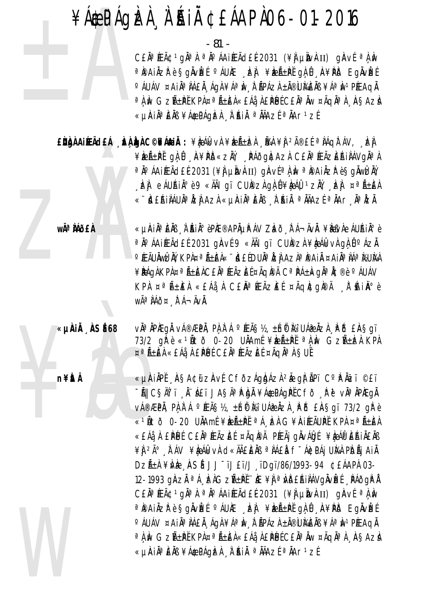- 81 -

C£ÄªÆÃ¢1gĂªÀªĂ°ÁAiÆÃd£Ĺ2031 (¥j µÌNvkII) gÀVÍ ªÀ,ÌN ªPAIÄZPè§gÄvÈEÍ ºÁUÆ "ÈLJI ¥ÈZñPĚ gÌ Û "A¥PIð EgÄvËEÍ ° ÁUÁV ¤AIĪ JÁEĂ ÁGA ¥Áª Iv Å ŘPÁZA ±Ă®UIAE IS ¥Áª Iv1PÉEAGĂ a) w GzñPĚ KPA¤añEA«£Áå A£PÚÉC£ĂaÄw ¤ÃqĂaA ASAzA «LIAIĪEÄB ¥Á\$PÁQÞEA À AIÄ ªÄÄAZEªÄAr1zE

EÙÀNAIREACH AN LO COMANN : ¥RAKVA ¥RA±DA NA ¥A 2îEL ª NAQITAV, DA ¥EıPĬqìÛ A¥PD«zĂ, PÁðg|¢Azì C£ĂªÆÃzEAjiAVg|ÀªA ªÄ°ÁAiÆÃd£É2031 (¥Ì µÌNÀII) gÀVɪÌ N ªÌPAIÄZÌ è §gĂWÈĂÝ E EAUAIN 0 49 < AAI qi CUPZA qA 0 \RA 1 ZAY E A x 0 A+EA ǬÙ£ŔIÌÁUĬªĬZI AZI «µI`IĂªEÏB LI`ŔII ªĬÄAZE ªĬAr lë Izi

wê MÕ£À

n¥ÈÂ

«µÀiĂªÈÄß là ÀiĂiðèPÀE®APÀµP ÁV Zhõ lī Á¬ÄvÄ. ¥IBMeÁUÁiŰè <sup>a</sup> Ä∘ÁA IÆÃ d£Í 2031 gÀVÍ 9 «ÄÃI gï CUIPZÀ¥ Le ÁL kvÀ gÀ Û ºÁZĂ °ÆÃUÄWŒŇ, KPÀ¤ªÃ±ÈÀ«∵"QEÉDUĪ ÆÌ AZÀª®AIÀ ¤AIĪÌÁªÌ½U̼À ¥PÁQÀKPÀ¤ªÃ±ÈÀC£ĂªÆÃZÈɤÃQPÀ CªPÁ±kçĪÁ¢®è ºÁUÁV KPA ¤ªÑ±ÆA «£ÁåA C£ÄªÆÃZÆÍ ¤ÃQÆQÆÄ A`Hiĺè WÃ<sup>a</sup> ÀÁÕ¤ À Á-ÄVÀ.

«µÀIÀ ÀSÉ68 vì<sup>a</sup> ìpiegì vá®æpì. Pì ì á °ÆÃ§½. ±ínôki Uá@Àzì Põ £À§qï 73/2 gřè «1Ñtờ 0-20 UNAmí ¥keѱPI <sup>a</sup>n w Gzѱken KPA ¤ªÑ±ÈÀ «£Áå À £PÚÉ C£ĂªÆÃZEÉ ¤ÃQĂªÀ SUĚ

> «µÀIÀPĚ AŞA¢ữZÀvÉ CFÕZÁQIDÁZI 2Ă QI ÃPI CºPĂIZI ©£ï - Ñ CSĂ'T N 'ÁET JASĂª P bÀ ¥Á¢PÁGPĚ CFÕ N P V Nª ÄPÆGÅ vá®ÆPÄ, PÀ À Á °ÆÃ§½, ±Ínë Mì UÁæÄZÀ , le lé EÀ§qï 73/2 qle è «<sup>1</sup>Ätð 0-20 UÄAmÉ¥ÞZÁ±PĚ ªÁ, ÞZÀ G¥AIÆÃUPĚ KPÀ ¤ªÁ±ÈÀ «£Áå À £PÚ ECE Ĥ ÆÃZE E¤ÃQI®Ä PÆÃj gÀvÁIg E¥Le ÁOP EŘI ÀEAB ¥Ì <sup>2ð</sup> L ÁV ¥È ÁI VÀ C «ÄÃE E ÀB ª LAE LA F-ÁE PÁJ UNA PIDÃI AI L DZıÀ ¥WÈ ASÍ JJTJEï/J ïDgï/86/1993-94 ¢EÁAPÀ 03-12-1993 ginzi <sup>a</sup> á "izi Gzű±pi" ke ¥j <sup>a</sup> ivideái i ávgivizé "páðgi<sup>a</sup> i CEN<sup>a</sup> FEÃC 1 gNa A a No AAI FEÃO EL 2031 (\\ un un un un un ví a A No a painzrès givize saure , izi ¥izé±pé qi û . A¥pis Eqivize °ÁUÁV ¤AIĪÌÁ£Ă ÁGÀ¥ÁªÌN À ÃPÁZÀ±Ă®Ù}À£ÀB¥ÁªÌN1PÉEAGÀ a Lin Gzñ±př Kpi¤añ±el«£Áå Lepül C£Ăa Lin ¤ÃqĂa Lasazi «µÀIĪÈÄB ¥Á\$PÁgÈÀ ¸À'ÁIÄ ªÄÄAZɪÄAr1zÉ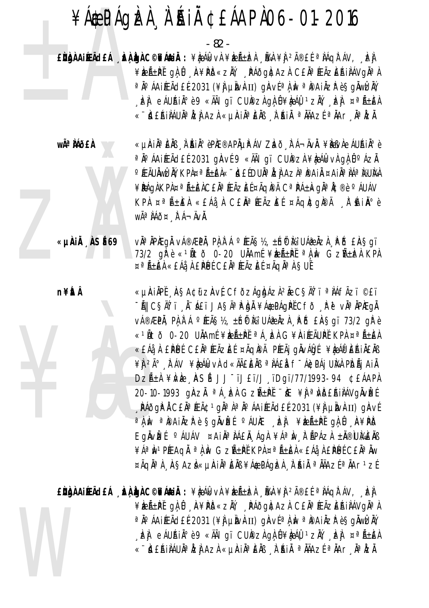- 82 -

EÙÙA AIRACEÁ DA LO DEÁLAIA : ¥LA ÁL VÀ ¥LA LEA NA ¥LA 2îEÍ ª NAQITÁV, DE ¥ÈEñPĽ gÌ Û A¥PD«ZŇ, PÁÕgÌCAZÀ CEĂªÆÃZÈŔIÀÁVGĂªÀ ªÄ°ÁAIÉEÃd£É2031 (¥ÌJ µÌN}II) gÀVɪÀ, N ªÌ®AIÄZP è SgÀWÈÀÝ E EAUAIN 0 49 < AAI qi CUPZA qA 0 \be AU 1 zAY E a a A + EA ǬId£AiliAUĪIzi Azi «µiailiªEili "I·Aili ªiliaze" ªiar "IªIzi

wêÀÁð£À «µÀiĂªÈÄß À ÀiĂiİèPÀE®APõPÁV Zhõ À Á¬ÄvĂ. ¥ÈßvÀeÁUÁiŰè a jo áa jÆãd£Í 2031 gjavÍ 9 «ÄÃI gï CUPZA ¥ e Álk v a g l jo áz j °ÆÃUŇWŒŇ, KPÀ¤ªÃ±ÈÀ«∵"N£ÍDUĪЉ] Az쪮AiÄ ¤AiĪÌÁªĬŁUĬVÀ ¥PÁQÀKPÀ¤ªÃ±ÈÀC£ĂªÆÃZÈɤÃQPÀ CªPÁ±kgĂªÅ¢®è ºÁUÁV KPA ¤ªÑ±ÆA «£ÁåA C£ÄªÆÃZÆÍ ¤ÃQÆQÆÄ A'ÁAIİè WÃ<sup>a</sup> ÀÁÕ¤ ÀÁ-ÄVÀ.

> vì<sup>a</sup> ìpiegì vá®æpì. Pì ì á °́ÆÃ§½. ±hp̀ ří Uáæ ìzì Põ £À§qï 73/2 gPè «<sup>1</sup>Ñtõ 0-20 UÄAmí ¥keرPĚ <sup>a</sup> A N GzѱkzA KPA ¤ªÑ±ÈÀ «£Áå À £PÚÉ C£ĂªÆÃZEÉ ¤ÃQĪÀ SUĚ

«µÀIÀPĚ AŞA¢ữZÀVÉ CFÕZÁQÀJÁZÀ<sup>2</sup>Ă CŞÄTï ª IÁFÃZï ©£ï -AII CSATT À A LI JASAª P bÀ ¥Á¢PÁQPĚCFÕ A P P vĪ ÄPAEQÄ v種PÄ, PA I Á °ÆÃS½, ±Íni Kì UÁæÄzI PÕ EÄSgï 73/2 gPè «1Ñtð 0-20 UNAmí¥læÑ±PĬªÁ LZA G¥AIÆÃUPĬKPA ¤ªÑ±EA «£Áå À £PÚ É C£Ăª ÆÃZE ɤÃQI®Ä PÆÃj gÄvÁDI ¥RÁI® EŘIÄ£ÄB ¥Ì 2ð À ÁV ¥È ÁL VÀ CI KHIÊNA ª NAEN f-ÁCPAJ UNA PIDÃJ AIN DZñÀ ¥À/È ASÉ JJ<sup>-</sup>ïJ£ï/J ïDgï/77/1993-94 ¢£ÁAPÀ 20-10-1993 gÀZI <sup>a</sup>Á, kà GzñPĚ ik ¥javb£ÁilÁVgÄvké **PÁÕGP A CEĂ<sup>a</sup> ÆÃ¢ 1 gĂa A a A CA ELE A CEL 2031 (¥A LUNAII) GA VE** a A M a PAIAZP è SOAVE CAURE EN ¥EREN OA O A¥PD EgÄvIEÍ <sup>o</sup> ÁUÁV ¤AIĪ JÁEÄ ÁgA ¥Áª M J LÄPÁZA ±Ä®IUMEÄB ¥ÁªIN<sup>1</sup>PÉEAQI ªLIN GZıPĚ KPL¤ªÄ±EL«EÁå LPUÉ CEIªIW ¤ÃQĪ) AŞAZÌ«µÀIĪEÄB¥Á\$PÁQÈL) L'AIÄ ªÄÄAZɪÄAr1zÉ

 $\hat{\mathbf{F}}$ ìngà Aireã $\mathbf{d}$ eá (c) cho confária :  $\hat{\mathbf{F}}$ à (k)  $\hat{\mathbf{F}}$ heã $\pm$ ìzà (và  $\hat{\mathbf{F}}$ à  $\hat{\mathbf{F}}$ à  $\hat{\mathbf{F}}$ à  $\hat{\mathbf{F}}$ à  $\hat{\mathbf{F}}$ à (và  $\hat{\mathbf{F}}$ à  $\hat{\mathbf{F}}$ à  $\hat{\mathbf{F}}$ à  $\hat{\mathbf{F}}$ à (và  $\hat{\mathbf{F}}$ à  $\$ ¥ÈEñPĚ gÀ Û A¥PÕ«ZÄ) PÁÕGACAZA CEĪÆÃZEŔIÀÁVGĪÀ ªÄ°ÁAIÉEÃd£É2031 (¥] µÌN}II) gÀVɪÌ N ªÌ®AIÄZP è §gÄWÉÄŸ , benji e AUA in o e AA sa Sali gir CUP za ga û ¥bendi 1 zav, benji ¤ ¤ ñ±en ǬId£ÁiIIÁUĪIZI] AzI «µIAiĪIEIII» ] A AIA ªIIAZE ªIAr [IªIZI]

n¥ÈtÂ

«µÀIÄ ASÉ69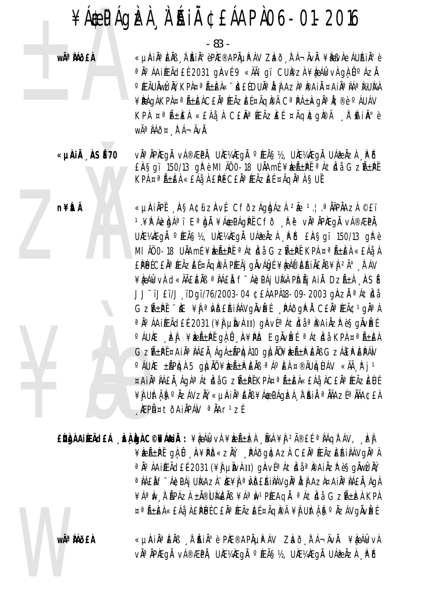# ¥ÁÆPÁGÈLA N'ÁIÀ ¢EÁAPA06-01-2016

|              | $-83 -$                                                                                                                                                                                                                                                                                                                                                                                                                                             |
|--------------|-----------------------------------------------------------------------------------------------------------------------------------------------------------------------------------------------------------------------------------------------------------------------------------------------------------------------------------------------------------------------------------------------------------------------------------------------------|
| wê MÕ£À      | «µÀiĂªÈÄß "À ĂiĂªèPÆ®APõP ÁV Zbð "À Á¬ÄvÅ. ¥\&vàeÁUÁiİè<br>ª Ň ? ÁA IÉLÃ CHE É 2031 GIA VE 9 «ÄÃI GI CUP ZÀ ¥IR ÁI K VÀ GIA Ô º ÁZI<br>°ÆÃUÄWŒĂÝ, KPÀ¤ªÃ±ÈÀ«∵"ÀEÉDUĪĬZ) AZÀªI®AIÄ ¤AIĪÌÁªI%UI‰A<br>¥PÁG) KP) ¤ªÑ±EÀC£ŇªÆÃZEÉ ¤ÃQI®Ä CªPÁ±IkgŇªÅ¢®è °ÁUÁV<br>KPA ¤ªÑ±IEA «EÁå A CEIAªÆÃZIEÍ ¤ÃQIE gIPA A HAINºè<br>WêÌÁð¤ Ì Á¬ÄVÌ.                                                                                                                   |
| «µÀIÅ ÅSÉ70  | vìªìPÆgì vá®ÆPì, UƼÆgì °ÆÃ§½, UƼÆgì UÁæìzì Pô<br>EASgï 150/13 gì è MI AO 0-18 UAAmE ¥beA±PE <sup>a</sup> Aticla GzñPE<br>KPA ¤ªÃ±ÆÀ «£Áå¸À £PÉ C£ĂªÆÃZEÉ ¤ÃqĂªÀ §UĚ                                                                                                                                                                                                                                                                                 |
| <b>n¥itÂ</b> | «µÀIÄPĚ 'ÀSA¢űzÀvÉ CFðzÁgbázì 2à 1.¦.ªÄÄPÄAzì ©£ï<br>1.¥PÁZDÁªï EªDÄ ¥Á\$PÁGPĚCFð RU vĪÄPÆGÄ vÁ®ÆPÄ,<br>UNE¼AEgÄ °PEç½, UNE¼AEgÄ UÁæÄzÀ PÕ EA§gï 150/13 gPè<br>MI ÄÖ 0-18 UÄAmÉ¥EıPĚ <sup>a</sup> ÁtÍdå GzñPĚ KPÀ ¤ <sup>a</sup> ñEÀ «£Áå,À<br>£PÚĽC£ĂªÆÃZEĽ¤ÃQI®Ä PÆÃj gÄvÁÖJÉ ¥À ÁO EÁIÄ£Äß ¥Ì 2ð Å AV<br>¥ệÁlkv) d«IÃÊÈIN ªIÁÊI f~Á¢PÁj UIG PIDÃj AI DZñ) ASÍ<br>JJ <sup>-</sup> ïJ£ï/J üDgï/76/2003-04 ¢£ÁAPÀ18-09-2003 gÀzĂ <sup>a</sup> ÁtkJå |
|              | GZñPĚ ``#E ¥) ªNDEAINÁVgŇVEÉ PÁÕGP L CENªÆÃ¢1gŇªN<br>ªÄ°ÁAIÆÃd£É2031 (¥) µÌWÀII) gÀVɪÁtÍdåªI®AIÄZIP è§gÄVÌZÉ<br>°ÁU)Æ DEN ¥DEѱPĚ GILÛ DEYA¥PIS EGÄVDEÉ ªÁtÍdå KPA ¤ªÑ±IEÀ<br>GZѱP̤AIĪ IÁ£Ă¸ÁgÀ±ÃPIQÀ10 gÌJĂÜ¥IZñP EIB GZÁEP EPÁV<br>°ÁU)ƱÃP)Q) 5 G)LINÜ ¥IRZñP ENS ªÁ°E) ¤®ÄU)QLIÁV «Äà R j 1<br>¤AiĪ ÌÁ£Ì ÁgÀªÁt ÈJå GzѱPĚKPÀ¤ªÑ±ÈÀ«£Áå ÀC£ĂªÆÃzÈÚÉ<br>¥Ì UItÎ IS°ÄZÁVZIÝ, «µIAIĪEIB ¥Á@PÁQIZI ĮI AIÄ ªIÄAZɪIÄA¢£I                                 |

∫ÆPÙ¤tðAiÄPÁN ªÄAr1zÉ

**wê MÕ£À** 

EÙÙA AIÆÃCEÁ "È ÙA C©¥Á&IÄ: ¥È Ák vÀ ¥ÈıÈÀ "Ü4À ¥Ì <sup>2</sup>î£Í ª ÀÁQÀ ÁV, "È J ¥keñ±Pťglů "A¥PD«zN", "PÁðgltAzl C£l<sup>a</sup> ÆÃzEAilAVgl<sup>a</sup>l ªÄ°ÁAIÉFÃd£É2031 (¥) µÌNÀII) gÀVɪÁtÍdåªÞAIÄZP èSgÄWÍZĂÝ ªÌÁ£Ì f<sup>-</sup>Á¢PÁj U̽AzÌ ∵ÌÆ¥j ªÌvð£ÁiÌÁVgĬªÌzj Az̤AiĬªÌÁ£Ĭ¸ÁgÌ ¥ÁªIN I ÁPÁZI ±Ä®UMEIB ¥ÁªIN1PÆAQI ªÁtIdi GZıIZI KPI ¤ªÑ±EÀ«£Áå¸À £PÚÉ C£ĂªÆÃZEÉ ¤ÃQPÄ ¥J UItÁ, SºŇZÁVGÄVÈÉ

> «µÀIĂªÈÄß À ĂIĂªè PIE®APõPÁV ZLað tá¬ÄvÄ. ¥LeálkvA vĪÄPÆgÅ vÁ®ÆPÅ, UƼÆgÅ °ÆÃ§½, UƼÆgÅ UÁ@ÄzÀ APÕ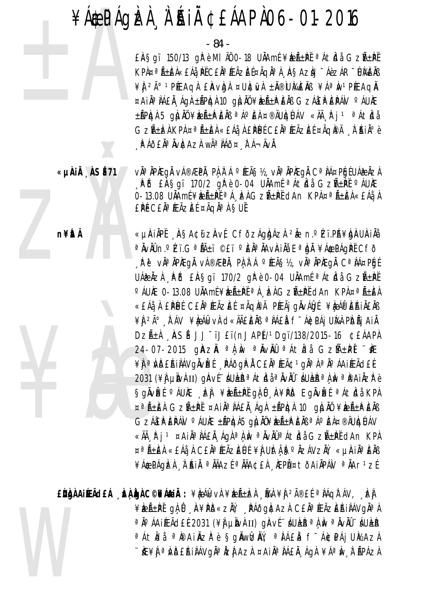- 84 -

£AŞgï 150/13 gì è MI AO 0-18 UAAmé ¥beal+Pě <sup>a</sup> Aticla GzA+Pě KPA¤ªÃ±ÈÀ«£Áå¸ÞĚC£ĂªÆÃZÈɤÃqĂªÀ¸À§AZÀJ¯ÁèZÁR¯ŨÀ£ĂB ¥ J 2ð 1 PÉE AQ A E AV Q A ¤ UNC WA ± N ® UM AE NS ¥ A ª N 1 PÉE AQ N ¤AIÄ<sup>a</sup> IAEI Agi ±APIgi 10 gili ¥IzA±PEIB GzAEPEPAV °AUIE ±ÃPICH 5 QILIN ¥IZñPENS ªÁºEH ¤®ÄUICLJÁV «Äà P j 1 ªÁtICI Gzñbà KPA ¤ªÃ±là «£Áå, À £PÚ C£ĂªÆÃZE í¤ÃqPÄ, À Ai Ai À°è A Á JEN AVICAZA WÃA NÁÕ¤ A Á-ÄVÄ.

v˻ ÀPÆqÅ vÁ®ÆPÀ, PÀ À Á °ÆÃ§½, vÀª ÀPÆqÀ Cª ÀÁ¤PÉJÉ UÁ֎ ÀZÀ "PIŐ EASgï 170/2 gPè 0-04 UÄAmÉ ªÁtida GzAEPĚ °ÁUÆ 0-13.08 UAAmE¥EAEPE<sup>a</sup>A, EAGZAEPEdAn KPA¤ªAERKEA EPÉ CEÄ<sup>a</sup> ÆÃZEE ¤ÃQĪ À SUĚ

«µÀIÄPĚ ASA¢űzAvÉ CFÕzÁgAdÁzÀ 2à n.ºZï.PÁ¥AJAUAIÀå ªÄvÄŨn.ºKï.GªÄñï ©£ï ºÈĪÄAvÀiÄå EªbÄ ¥Á\$PÁqPĚ Cfð <sub>.</sub> P ĕ vĂª ĂPĂEGĂ vÁ®ÆPĂ, PA À Á °ÆÃ§½, vĂª ĂPÀEGĂ Cª ÌÁ¤PÉJÉ UÁR ÄZA RŐ EASgï 170/2 gře 0-04 UÄAmÉ <sup>a</sup>Átkja GzıPĚ °ÁUÆ 0-13.08 UÄAmÉ¥IRÁ±PĚªÁ ERGZıPĚ dAn KPA¤ªÃ±EA «£Áå À £PÚ C£Ăª ÆÃZE í¤ÃQI®Ä PÆÃj gÄvÁIg f¥lgÁI® EŘIÀ£Äß ¥Ì <sup>2ð</sup> À ÁV ¥È ÁI XVÀ CI «HAELENS ª NAEN F-ÁICPAI UNA PIDÃI AIN DZıÀ ÀSÍ JJ<sup>-</sup>ïJ£ï(nJAPÍ)/1Dgï/138/2015-16 ¢£ÁAPÀ 24-07-2015 gAZA <sup>a</sup> A w a NvAU a A t ba G z M ± PI " KE ¥Ì ªNDEAINAVQNVEE NAOQP LE CEN FAC1 QUA PLO AAIFACEE 2031 (\] un\hti) gàví áullà a átbàan.<br>2031 (\] una hindrid y Sgivize AUKE DE ¥DEA±PI gili A¥PIS Egivize a Atidi KPI ¤ªÃ±ÈÀ GZñPĚ ¤AIĪÀÁ£À ÁgÀ ±ÃPIQÀ 10 gIUÀÜ ¥IEñPEÀB GZÁEPEPÁV O ÁUÆ ±ÃPIGA5 GILIÖ¥IEıPEÄB ªÁºEA¤®ÄUIGÚÁV «Äà N j 1 ¤AIĪ NAEN Ágh ª N N ª NvNÛ ª Á t Ida G z ѱ PĚ dan K P N ¤ªÃ±EÀ «£Áà À C£ĂªÆÃZEUÉ ¥Ì UItÀ ISºÄZÁVZIÝ, «µIAIĪEÄB ¥Á\$PÁQİZÀ À RIL <sup>a</sup> NAZE <sup>a</sup> NA¢EA REPܤtÕAINPÁV <sup>a</sup> NAr<sup>1</sup>zE

EÙÙNAILEÃO EÁ LA LONG CONFRUIT : ¥R AGEVA ¥R A-LEA LA VA ¥A 2î EL ª NAQIT AV, LEA ¥keñPĚ gÀ Û A¥PD«zŇ, PÁðgN:AzA C£ĂªÆÃzEAIAAVgĪA a No ÁA IÉEÃO EÉ 2031 (¥) µN v k II) g A v { `` ÁU L B a A M a N v AU `` ÁU L B a A tha a pe Ainzh è Sgiwheny, a ha f - Act Paj UMAZA ∵ìÆ¥ÌjªÙĎ£ŔiÌIÁVgĬªÅZÌJ AzÀ¤AiĂªÌA£Ă¸ÁgÀ¥ÁªÌv¸Ì ÃPÁZÀ

«µÀiÅ ÀSÉ 71

n¥ÈrÂ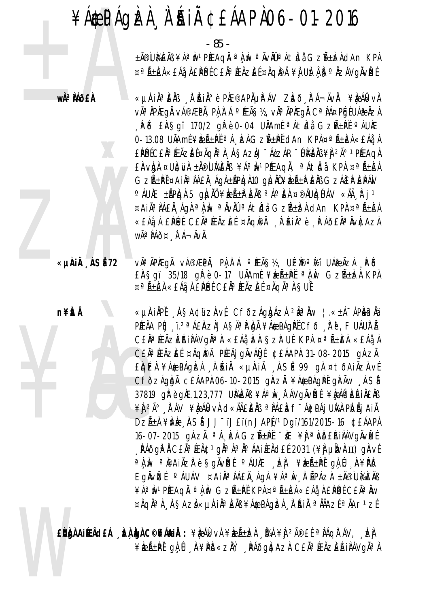- 85 -

±Ă®ÙЍÆĂB¥ÁªÌN1PÆAqĂªÀÌNªĂvĂŪªÁtÌdåGzѱÌzÀdAn KPÀ ¤ªÑ±EÀ«£Áå À £PÚÉ C£ĂªÆÃZEÉ ¤ÃQI®Ä ¥Ì UItÀ S°ÄZÁVGÄVIZÉ

wê MÕ£À

«µÀIẰªÈÄß À ĂIĂºè PIÆ®APõPÁV ZLað FÁ¬ÄvÄ. ¥LeÁlkvÀ v˻ ÀPÆqÅ vÁ®ÆPÀ, PÀ À Á °ÆÃ§½, vÀª ÀPÆqÅ Cª ÀÁ¤PÉJÉ UÁ@ ÀZÀ ÅPŐ £ÄSgï 170/2 gřè 0-04 UÄAmÉ ªÁtidå GzѱPĚ ºÁUÆ 0-13.08 UÄAmÉ¥keñPĚ<sup>a</sup>Á, keÀGzñPĚdAn KPÀ¤<sup>a</sup>ñEÀ«£Áå, À EPÉJÉCEÄ<sup>a</sup> ÆÃZEE¤ÃQĪÀ ÀSAZÀJ ÁèZÁR DIKEÄB¥À 2ú 1 PÉEAQÀ EAVAN ¤UNCIVA ± N®UMENS ¥AªN1PREAQN, ª Atida KPA ¤ªA±EA GZñP̤AIÀª JÁ£Ă ÁgÀ±ÃPIQÀ10 gI JÄÜ¥IZñP EIB GZÁIEP EPÁV O ÁUNE ±ÃPICH 5 QILINO ¥IEñPENS ªÁO EN ¤®ÄUICIÚAV «Äà P j 1  $\propto$ Ail<sup>a</sup> láfl Ágl <sup>a</sup> lu <sup>a</sup>lvil <sup>a</sup>lvil a látla GzR+bl dan KPl  $\propto$  Ath «£Áå, À £PÚ É C£Ăª ÆÃZE É ¤ÃQIPÄ , À AIĺ è , PÁÕ£Ăª ÄVICAZA WÃ<sup>a</sup> ÀÁÕ¤ À Á-ÄVÀ.

«µÀiÅ ÀSÉ72

**n¥itÂ** 

vàªÀPÆgÅ vÁ®ÆPÅ, PA,À`Á °ÆÃ§½, UÉÈ®°Ѝá UÁ@ÀZÀ 、PÕ  $E$ AŞqï 35/18 q $\ell$ è 0-17 UAAmé ¥be $\ell$ i+ $\ell$ ě a w GzA+bea KPA ¤ªÑ±ÈÀ «EÁå À EPUÉ CEÀª ÆÃZEE ¤ÃQÀªÀ SUÉ

«µÀIÄPĚ AŞA¢üzAvÉ CFÕzÁqIqÁzÌ <sup>2</sup>êÄw ¦.«±Á¯ÁPÈi?Ää PÆÃA PĹJ ï.2ªÁ£ÀZÀJA§ÄªPÀÀ ¥Á\$PÁQPĚCfð Rë, FUÁUÈÃ CEN<sup>a</sup> Frázehinávgna k stálda szpul kpl ¤añ±en «EA1) CEN<sup>a</sup> FEÃZE (¤ÃQIPA PFEÃI QUVADI ¢EÁAPA 31-08-2015 QIAZA ELOTZI ¥ACPÁQIZI I AI MI «UAII ASÍ 99 OI ¤ TÕAIIZAVE CFÕZÁQIDI ¢EÁAPI 06-10-2015 QIAZI ¥Á\$PÁQIPI QIPÃW ASÍ 37819 gì è gì E.1,23,777 Uila Eius ¥A<sup>a</sup> in FAVgi viet ¥ie Au Eta i AEA ¥Ì <sup>2ð</sup> À ÁV ¥È ÁI VÀ CI «ĂÃÊÈÀB ª ÌÁÊÀ f<sup>-</sup>ÁEPÁJ UNA PÌOÃJ AIĂ DZÁ±À ¥MÈ ASÍ JJ<sup>-</sup>ïJ£ï(nJAP)/1Dgï/161/2015-16 ¢£ÁAPÀ 16-07-2015 ginzi <sup>a</sup> A k Gzh+Pi "k ¥j a Wbehilávgivké "PÁðgPÅ C£ÄªÆÃ¢1gĪÀªÄ°ÁAiÆÃd£É2031 (¥) µIv}II) gAvf a A M a PAIAZP è SOAVEL CAURE EN ¥ERELPI O A D A¥PD Eqnvir( OAUAV ¤AINONAEN Aga ¥AON A APAZA ±N®UMENB ¥ÁªIN<sup>1</sup>PÉEAQI ªLIN GZıPĚ KPL¤ªÄ±EL«EÁå LPUÉ CEIªIW ¤ÃQĪÀ ÀŞAZÌ«µÀIĪÈÄB¥Á¢PÁQÈÀ À'AIÄ ªÄÄAZɪÄAr1ZÉ

EÙÙA AIRACEÁ DE LO CONÁLIA : ¥R ÁG VÀ ¥RñDA DA ¥À 2îEÍ ª NÁQITÁV, DE L ¥ÈıPĚ QLŮ A¥PD«ZÄV PÁÕQNAZA CEĪÆÃZEŔIAÁVQĪA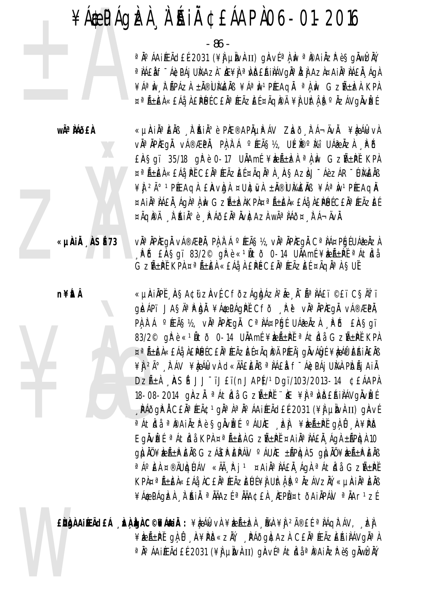- 86 -

ªÄ°ÁAIÉEÃd£É2031 (¥) µÌNHII) gÀVɪÀ Mª PAIÄZP è SgÄWEÄÝ a NAEN F ÁGDAJ UNAZN HE¥N a NDERINÁVONA NZI AZA¤AIÑ A NAEN AON ¥ÁªÌN Ì ÃPÁZÀ ±Ă®ÙÌGĚÀB ¥ÁªÌN1PÉEAQĂ ªÌ ÌN GZѱÌZÀ KPÀ ¤ªÑ±ÈÀ«£Áå À £PÚÉ C£ĂªÆÃZÈÉ ¤ÃQIPÄ ¥Ì UItÁ ISºŇZÁVQIVÈÉ

wê MÕ£À

«µÀiĂªÈĂB À ĂiĂiðè PIÆ®APõPÁV ZLað tá¬ÄvÄ. ¥LeálkvA vàªÀPÆqÅ vÁ®ÆPÅ, PAÀ`Á °ÆÃ޽, UÉI®°Ì⁄¿i UÁ@ÀZÀ . PÕ  $E$ A Sgï 35/18 gřè 0-17 U $\lambda$ Amé ¥ $\frac{1}{2}$ A $\pm$ k $\lambda$  a $\lambda$  av GzA $\pm$ Pě KP $\lambda$ ¤ªÑ±ÈÀ«£Áå PĚ C£ĂªÆÃZÈɤÃQĂªÀ ASAZÀJ¯ÁèZÁR¯ÚÀÆÀB ¥ N 2ð 1 PÉE AQ A E AV Q A ¤ UNC WA ± N ® W ME NS ¥ A ª W 1 PÉE AQ N ¤AIĪ LÁEĂ, ÁGÀª À ÈN GZñÈÀKPÀ¤ª ñÈÀ«£Áå, À£PÉJÉC£Ăª ÆÃZEÉ ¤ÃQIPÄ À AIİè PÁÕEĪÄVICAZI WêIÁÕ¤ FÁ¬ÄVI.

«µÀiÅ ÀSÉ73

vìª ÀPÆQL vÁ®ÆPÀ, PÀ À Á °ÆÃS½, v̪ ÀPÆQL Cª LÁ¤PÉLÍ UÁ® ÀZÀ AB EASqi 83/2<sup>©</sup> qrè «<sup>1</sup>Atò 0-14 UAAmi ¥beAtiri a Atida GZıPĚ KPA ¤ªÁ±EA «EÁå A EPÉ CEĪÆÃZEÉ ¤ÃQĪA SUĚ

«µÀIÀPĚ ASA¢ữ zàvÉ CFðzÁgbázì2Ă "À-êÌÁ£ï ©£ï CSÄŤï gleápi JASÄ<sup>a</sup> Plan ¥á¢Págpi Cfð Re via npægi vá®ÆPi. PA A A º FEÃS 12, VÀ ª ÀPREGA Cª AA¤PGE UA & AZA PO EAS GI 83/2<sup>©</sup> qřè«<sup>1</sup>Ñtð 0-14 UÄAmí¥keرPĚ <sup>a</sup>Átidi GzѱPĚ KPÀ ¤ªÃ±ÈÀ«£Áå¸À£ÌŶĹŀĆ£ĂªÆÃZÈɤÃQÌ<sup>®</sup>Ä PÆÃj gÀvÁÔĿÉ¥À§ÁÎPÈŔijÄ£Ăß ¥Ì 2ð À ÁV ¥È ÁI KVÀ CI KAJELE ÀS ª LAEL F-ÁC PÁJ ULA PIDÃI AIÀ DZıA "ASÍ JJ<sup>-</sup>ïJ£ï(nJAPĮ/1Dgï/103/2013-14 ¢£ÁAPA 18-08-2014 ginzi <sup>a</sup> átida Gzñ±pi "ie ¥j <sup>a</sup>ivideriaávgivizí , PÁðgP Á C£Ăª ÆÃ¢ 1 gĂª À ª Ăº ÁAIÆÃd£É 2031 (¥) µÌW} II) gÀVÉ a Aticia a Painzi è Sgivizi caune jzi ¥izi±Pi gi i A¥Pio Eglvizí <sup>a</sup> Átidi KPA ¤<sup>a</sup> Á±ich GzÁ±i ¤Ail<sup>a</sup> Láfi <sub>"</sub>Ágh ±ÁPigh 10  $Q$  (  $\mu$  )  $\ddot{\mu}$  )  $\ddot{\mu}$  )  $\ddot{\mu}$  )  $\ddot{\mu}$  )  $\ddot{\mu}$   $\ddot{\mu}$  )  $\ddot{\mu}$  )  $\ddot{\mu}$  )  $\ddot{\mu}$  )  $\ddot{\mu}$  )  $\ddot{\mu}$   $\ddot{\mu}$  )  $\ddot{\mu}$   $\ddot{\mu}$  )  $\ddot{\mu}$   $\ddot{\mu}$  )  $\ddot{\mu}$   $\ddot{\mu}$  )  $\ddot{\mu}$   $\ddot{\mu}$  ) a Áo EN ¤®ÄUIQUÁV «Äà Fj<sup>1</sup> ¤AiNa NÁEN ÁgA a ÁtIdå GZѱPĚ KPA¤ªÃ±EA«£Áå AC£ÄªÆÃZEŨĹ¥À U\tÁ S°ÄZÁVZĂÝ, «µÀiĪÈÄß ¥Á\$PÁGEZ A A A A A A AZ E A A A CEA A A A A A A A A LET

EÙÙNAIEACH LA LONGHAN : ¥LA AKVA ¥LA LA VA ¥LA 2îE (ª NÁQITÁV, LA ¥ÈEñPĚ QLÛ A¥PD«ZŇ, PÁÕQNCAZÀ CEŇªÆÃZEŔINÁVGŇªN a jo áaifeãd EE 2031 (¥) µjv. HI) giavía át ídi a pai äzir è Sgiwizi.

**n¥itÂ**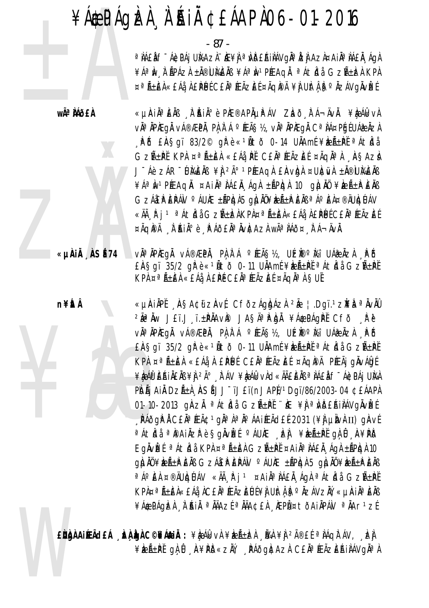- 87 -

a NAEN F ÁGDAJ UNAZN. NE¥N a NDEAINAVONA NZI AZN¤AINA NAEN ÁGN ¥ÁªÌN À ŘPÁZÀ ±Ă®ÙMÈÄB ¥ÁªÌN1PÉEAQĂ ªÁtÍdå GZرÍZÀ KPÀ ¤ªÑ±EÀ«£Áå, À £PÚÉ C£ĂªÆÃZEÉ ¤ÃQI®Ä ¥Ì UÌtÁ, SºŇZÁVGÄVÌZÉ

wê MÕ£À

«µÀiĂªÈĂB À ĂiĂiðè PIÆ®APõPÁV ZLað tá¬ÄvÄ. ¥LeálkvÀ v˻ ÀPÆqÅ vÁ®ÆPÀ, PÀ À Á °ÆÃ§½, vÀª ÀPÆqÀ Cª ÀÁ¤PÉJÉ UÁ֎ ÀZÀ PD EASgi 83/2<sup>©</sup> grè «<sup>1</sup>Ñtð 0-14 UÄAmf¥beñ±Pť <sup>a</sup>Átba GZıPĬ KPA ¤ªÃ±EA «£Áå PĬ C£ĂªÆÃZEÍ ¤ÃQĪA ASAZÀ J-Áè ZÁR-UMENS ¥Ì 2ð 1PÉEAQL EAVOL ¤UNEWL ±N®UMENS ¥ÁªIWPÉEAQI ¤AINPAEN ÁQA ±APGA 10 QLINU ¥IEA=PENB GZÁEPEPÁN O ÁUÆ ±ÃPIGA5 GILIÖ¥IEıPEÄB ªÁºEA¤®ÄUIGUÁV «Äà R j <sup>1 a</sup> Átidi Gzѱizi KPi¤ªÑ±Ei «£Ái ì £PÚ C£Ăª ÆÃzE ! ¤ÃQPÄ , I AIIº è , PÁÕEIª IVICAZI Wê IÁÕ¤, FÁ¬ÄVI.

«µÀiÅ ÀSÉ 74 vàªÀPÆgÅ vÁ®ÆPÅ, PA À Á °ÆÃ§½, UÉÈ®°ໄ⁄¿i UÁ֎ÅZÀ ÀPÕ £AŞqï 35/2 qire «1Ñtð 0-11 UAAmí¥keh±Pt ªÁtida GzA+Pt KPA ¤ªÃ±ÆÀ «£Áå À £PÉ C£ĂªÆÃZEÉ ¤ÃQĂªÀ SUĚ

**n¥itÂ** 

«µÀIAPE ASA¢ữZAvE CFÕZÁgbÁZÀ 2 | Dqï.1ZĂPA ªÀvÀÛ 2ê Àw JEï.J I.±PÀAVP JASĪP bÀ ¥Á\$PÁGPĚ CFÕ Pě v˻ÀPÆgÅ vÁ®ÆPÀ, PÀÀ`Á °ÆÃ§½, UÉÈ®°ໄ⁄¿i UÁ֎ÀZÀ ¸PŐ £AŞqï 35/2 qirè«1Ñtð 0-11 UÄAmí¥keѱPťªÁtidå GzѱPť KPA ¤ªÃ±ÈA «£ÁåA £PÚJÉ C£ĂªÆÃZÈÉ ¤ÃQPA PÆÃj gÀVÁÙE ¥ÈÁP EÁIÄEÄB ¥Ì <sup>2ð</sup> À ÁV ¥ÈÁlkvÀd«ÄÃEEÄB ªÌÁEÌ fīÁ¢PÁj UÌAÀ PIDÃI AIĂ DZñÀ , ASÍ JJ TJET(nJAP)/1DQT/86/2003-04 ¢EÁAPÀ 01-10-2013 gÀZH <sup>a</sup> Átha GzѱPI "KE ¥] <sup>a</sup> WDEAILAV gÀVEE , PÁðgP Å C£Ăª ÆÃ¢ 1 gĪ À ª ĺ ÁA iÆÃd£É 2031 (¥) µIVA II) gAVÍ a Aticia a Pariazio è Sonvizi chune izi veri-pi on 0 avrio Eglvet <sup>a</sup> átida KPA ¤<sup>a</sup> Á±ich GzÁ±i ¤Ajla Láfi. Ága ±ápiga 10  $Q$  (LIAO ¥ ) E AB G ZÁ E PAN  $\circ$  AU ) E AP C A C LIAO ¥ E AB E AB a Ao E a ®AUIQUAV «AA Fi<sup>1</sup> ¤AINA AAEN AQA a Atida GZA+PE KPA¤ªÃ±ĒA«£Áå AC£ĂªÆÃZĒŨĹ¥À UÆA SºÄZÁVZĂ, «µAiĪĒÄB ¥Á\$CPÁQIZA A RIL <sup>a</sup> HAZE <sup>a</sup> HA¢EA REPܤtÕAIÄPÁV <sup>a</sup> HAr<sup>1</sup>zÉ

EÙNA AIREACH AN DA C©NA AIA : ¥R AR VA ¥R A-R NA ¥A 2îE E ª NA QA AV, R ¥kæÃ±PĚ gÀ Û "A¥PD«zŇ, "PÁðgAtAzA C£ĂªÆÃzEŔiÀÁVgĪÀ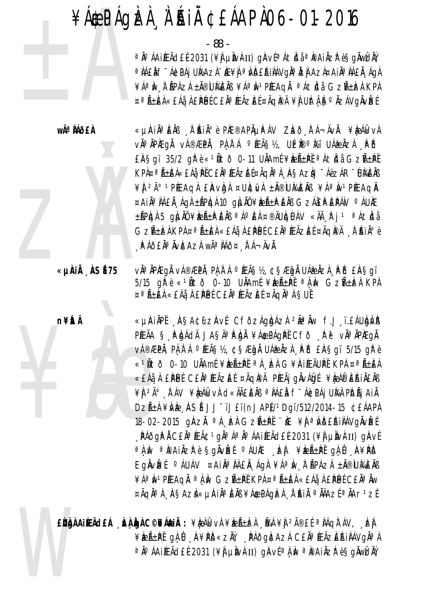- 88 -

a jo á Aiífeã d£é 2031 (¥) µjv h II) ginvé a Átidi a pari nær e Sgiwizi ( a NAEN F ÁGDAJ UNAZN HE¥N a NDEAINÁVON a ÍZN AZN¤AIÑ A NAEN AON ¥ÁªIN I ŘPÁZI ±Ä®UMEIB ¥ÁªIN1PÆAQI ªÁtIdi GZرIZI KPI ¤ªÃ±EÀ«EÁå À EPÚÉ CEÀªÆÃZEÉ ¤ÃQIPÄ ¥À UItÀ F º ÀZÁVQIVIZÉ

wê MÕ£À



n¥ÈÂ

«µÀiĂªÈĂB À ĂiĂiðè PIÆ®APõPÁV ZLað FÁ¬ÄvÄ. ¥LeÁlkvÀ vàªÀPÆqÅ vÁ®ÆPÅ, PAÀ`Á °ÆÃ§½, UÉÈ®°Ѝ¿i UÁ@ÀZÀ . PÕ £AŞqï 35/2 qirè«1Ñtð 0-11 UÄAmí¥keñPťªÁtidå GzѱPť KPA¤ªÃ±ÈÀ«£Áå PĚC£ĂªÆÃZÈɤÃQĂªÀ ASAZÀJ¯ÁèZÁR¯ÚÀGÀB ¥ 1 2ð 1 PÉE AQ A E AVA DA ¤ UNCIVA ± NO UME NO ¥Áª NO 1 PÉE AQ NO  $\propto$ Ain<sup>a</sup> ná£n, ága ±ápiga 10 gilinü ¥izá±i? Ens Gzá£i? Epáv  $\circ$ áune ±ÃPICJA 5 QILJAŬ ¥IELñIPIEĂB ªÁºEA ¤®ÄUICJÚAV «Äà Fj1 ªÁtICJå GzñEÀ KPA ¤ªÃ±EA «£Áå À £PÚ C£ĂªÆÃZE E¤ÃQPA A "ŔIð è A Á JEA AVALAZA WÃA AÁJ¤ A Á-AVÀ.

«µÀiÅ ÀSÉ75

vìª ìPÆgì vá®ÆPì, Pì l á °ÆÃ§½, ¢§Æði Uáæ ìzì "Pið £ìA§gï 5/15 gře «14to 0-10 UAAmí ¥bent na hv Gzntba KPA ¤ªÑ±ĔÀ «£Áå À £PÚÉ C£ĂªÆÃZÈÉ ¤ÃQĂªÀ SUĚ

«µÀIÀPĚ ASA¢ữZÀVÉ CFÕZÁQÙÁZÀ <sup>2ê</sup>ÀW f.J ï.£ÁUÙÀA PÆÃA S PUACA JASAPUN ¥Á¢PÁQPI CFO PU VIPAPÆQI vá®ÆPÄ, PA À Á °ÆÃS½, ¢SÆDÄ UÁ@ÄZÀ APÓ EASqï 5/15 gPè «<sup>1</sup>Ñtõ 0-10 UÄAmÉ¥EñPĚ ªÁ, EÀ G¥ÄIÆÃUPĚ KPÀ ¤ªÃ±EÀ «EÁå À EPÚÉ CEĪÆÃZEÉ ¤ÃQIPÄ PÆÃI QIVADÉ ¥I ÁPEA INENS ¥Ì 2ð À ÁV ¥È ÁL VÀ CI KHIÊNA ª NAEN f-ÁCPAJ UNA PIDÃJ AIN DZıÀ ¥NÈ ASÍ JJ<sup>-</sup>ïJ£ï(nJAPĮ/1Dqï/512/2014-15 ¢£ÁAPÀ 18-02-2015 gàzi <sup>a á</sup> kh Gzá+Př k ¥javbeáilávgivet , PÁðgPÅ C£ÄªÆÃ¢ 1 gĪÀªÄ°ÁAiÆÃd£É 2031 (¥À µÌWÀII) gÀVÉ a A M a Painzpè Sgivlet aux de vei the Sa i Avpd Eglvizí <sup>o</sup> áuáv ¤ Ail<sup>a</sup> tá fil ágt ¥áªiv tépázt ± övümels ¥ÁªÌN1PÆAQĂ ªÀÌN GZñPĚ KPÀ¤ªÃ±ÈÀ«£Áå À £PÉJÉ C£ĂªĂW ¤ÃQĪÀ ÀŞAZÌ«µÀIĪÈÄB¥Á¢PÁQÈÀ À'ÁIÄ ªÄÄAZɪÄAr1zÉ

EÙÙÀ AIRACEÁ , EÀ LA C©NÁLIÀ : ¥L ÁL VÀ ¥L ñLA , LA ¥Ì 2îEÍ ª LÁQITÁV, , LA ¥ÈEñPĚ gÀ Û A¥PD«ZŇ, PÁÕgACAZÀ CEŇªÆÃZEŔIÀÁVgĪÀ a jo áA jÆÃd£É 2031 (¥) µ juvil II) giavía liv a pa ji jz e sgiwiziv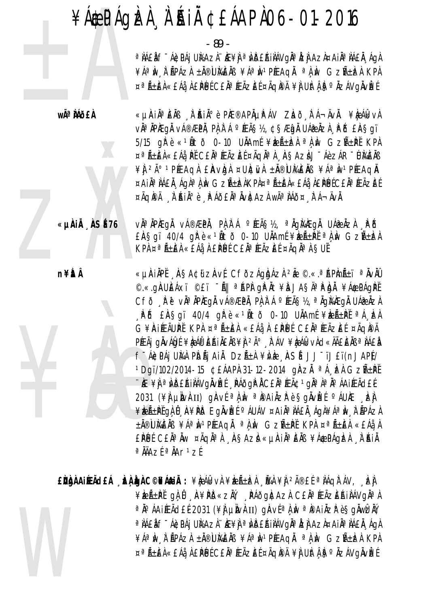- 89 -

a NAEN E-ACPAI UNAZI DE¥N a NDEA NAVOJA IZI AZI¤A INA NAEN AQI ¥ÁªIN I ÁPÁZI ±Ä®UMEÄB ¥ÁªIN1PÆAQI ªI IN GZñIZI KPI ¤ªÑ±EÀ«£Áå À £PÚÉ C£ĂªÆÃZEɤÃQPÄ¥Ì UÌtÁ F>ŇZÁVQÄVÈÉ

wÃ<sup>a</sup> Mõ£À

«µÀin è Èn A Ài Àin è Phe®aphµp áv Zað Fá¬ävn. ¥è Álkva vìª ìPìEgì vá®ÆPì, Pì lì á °ÆÃ§½, ¢§Æţjì UÁ@Ìzì ¸₽Ď £À§gï 5/15 gřè «<sup>1</sup>Ñtð 0-10 UNAmí ¥keñ±ken <sup>a</sup>n m Gzѱpř KPn ¤ªÑ±EÀ«EÁå, PĚ CEĂªÆÃZEɤÃQĂªÀ, ÀSAZÀJ-ÁèzÁR-UÀAEÀB ¥Ì 2ð 1PÉEAQI EÀVIDI ¤UICIVI ±I®IUIAEIB ¥ÁªIW1PÉEAQI ¤AIĪÌÁEÀ ÁGÀªÌÌN GZñÈÀKPÀ¤ªÃ±ÈÀ«EÁå ÀEPÚÉCEĂªÆÃZÈÉ ¤ÃQIPÄ À ANIO è A AÕEI<sup>a</sup> AvIcAza w㪠AÁÕ¤ A Á-ÄvÄ.

«µÀIÄ ÀSÉ76 vàªÀPÆqÅ vÁ®ÆPÀ, PÀÀʿÁ ºÆÃ޽, ªÀqÀAÆqÀ UÁ@ÀZÀ PÕ  $E$ AŞqï 40/4 q $\hat{F}$ è « $1\hat{A}$ tõ 0-10 U $\hat{A}$ Amí ¥ $\hat{E}$ A $\hat{E}$ i $\hat{F}$ <sup>a</sup> $\hat{A}$  $\hat{M}$  Gz $\hat{A}$  $\pm$  $\hat{E}$ A KPA ¤ªÃ±ÆA «£Áå A £PÚÉ C£ĂªÆÃZEÉ ¤ÃQĂªA SUĚ

n¥ÈÂ

«µÀIAPĚ ASA¢ữZAvÉ CFÕZÁgAAZÀ 2à ©.«.ªÁPMñï ªÀvÀŨ ©.«.gÀUÈÁxï ©£ï ¯Ã|| ªÁPÌ gÌ Àt¥Ì JASÀªÌ ÀJ ¥Á\$PÁgÌ Í CFÕ, Pừ và<sup>a</sup> Apkegà vá®ÆPÀ, PÀ À Á ºÆÃ޽, ªÀgkaÆqà UÁ&ÀZÀ PB EASqi 40/4 qrè «14to 0-10 UAAmi ¥beathe a A ba G¥AIÆÃUPĬ KPA ¤ªÃ±EA «£Áà A £PUÍ C£ĂªÆÃZEÍ ¤ÃQPA PÉEÃI QĂVÁD É¥D AP EAIAEAB¥) 2ð A AV¥D AG VA CI «AÃEEAB ª NAED f Ácpái Um Pidái Ain Dzá±i ¥ivie "Insé JJ TJET(nJAP)/ <sup>1</sup>Dgï/102/2014-15 ¢£ÁAPÀ 31-12-2014 gÀZĂ ªÁ EÀ GZñPĚ <u>WE ¥Ì a MDEAINAVQNWE ARAJQAN CEN ARET CON a VO AUTERO EF</u> 2031 (¥L) WINN II) QIAVE <sup>a</sup>LIN apailizir e Sqivize alure , izl ¥ÈEñPĚQLÛ A¥PD EQÄVÈE ºÁUÁV ¤AIĪJÁ£Ă ÁQI¥ÁªIW L`ÃPÁZI ±Ă®UMEÄB ¥ÁªM1PÆAQĂ ªÀM GZñPĚ KPA ¤ªÃ±EÀ «£Áå À EPUL CE˻ ÀW ¤ÃQNª À ASAZI «µAINª EN ¥Á\$PÁQIZI À AI  $a$   $\hat{A}$   $\hat{A}$   $\hat{A}$   $\hat{B}$   $\hat{A}$   $\hat{A}$   $\hat{C}$   $\hat{C}$   $\hat{C}$   $\hat{A}$   $\hat{C}$   $\hat{C}$   $\hat{C}$   $\hat{C}$   $\hat{C}$   $\hat{C}$   $\hat{C}$   $\hat{C}$   $\hat{C}$   $\hat{C}$   $\hat{C}$   $\hat{C}$   $\hat{C}$   $\hat{C}$   $\hat{C}$   $\hat{C}$   $\hat{C}$ 

EÙÙNAILEÃO EÁ LA LONG CONSTANT : ¥RA(KVA ¥RñR) VA ¥A 2î EL ª NAQITAV, LA ¥ERENI ON Û A¥PD«ZN, PAJORTAZN CEN FEAZERINAVONA a jo áaifeãd£é 2031 (¥i µivi II) giavéa i iva pari zi è Sgiwizili a NAEN E-ACPAI UNAZI DE¥N a NDEA NAVOJA IZI AZI¤A INA NAEN AQI ¥ÁªIN I ÁPÁZI ±Ä®UMEÄB ¥ÁªIN1PÆAQI ª]IN GZÁ±IZI KPI ¤ªÑ±EÀ«£Áå¸À £PÚÉ C£ĂªÆÃZEÉ ¤ÃQPÄ¥Ì UÌtÁ, SºÄZÁVGÄVÉÉ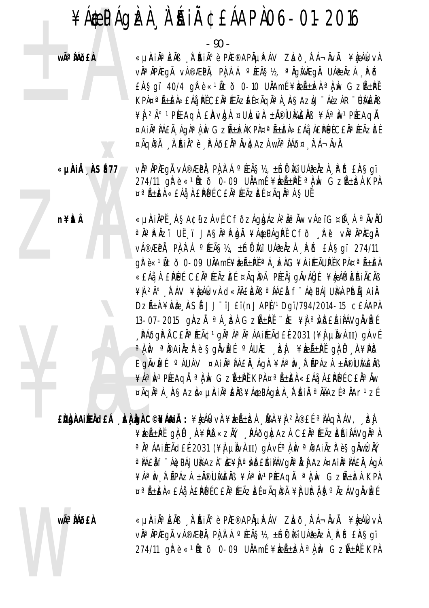- 90 -

wê MÕ£À

«µÀIN¤ÈNB N AINI¤ è PIE®APNUPÁV ZLAÕ LTÁ¬ÄVN. ¥LEÁLKVN v˻ÀPÆgÅ vÁ®ÆPÀ, PÀÀ`Á °ÆÃ§½, ªÀgໄAÆgÀ UÁ@ÀZÀ ÀPÕ  $E$ AŞqï 40/4 q $\hat{F}$ è «<sup>1</sup>Ãtõ 0-10 UÄAmí ¥ka Ali ali v GzñPť KPA¤ªÃ±ĒA«£Áå PĚC£ĂªÆÃZĒɤÃQĂªA ASAZAJ ÁèzÁR ÚKEAB ¥ j<sup>2</sup>ð 1 PÉEAQ À EÀV DA ¤ UNC TUA ± N® UME NB ¥ Aª N 1 PÉEAQ N ¤AIĪ IAEÄ, ÁGIª I IN GZñIZAKPI¤ª ñEA«EÁå, A£PÉJÉCEĪ ÆÃZEÉ ¤ÃQPÄ À AIA°è A AOEAª AVACAZA Wê AÁO¤ A A-AVA.

vઠÀPÆgÅ vÁ®ÆPÀ, PÀ À Á º ÆÃ§½, ±hữ Mi UÁ@ ÅzÀ ¸ P Ő £À§gï «µÀiÅ ÀSÉ77 274/11 al è «14to 0-09 UAAmi ¥bent al m Gzntba KPA ¤ªÑ±ÈÀ «£Áå À £PÙÉ C£ĂªÆÃZÈÉ ¤ÃQĪÀ §UĚ

> «µÀIÄPĬ, AŞA¢ü zAvÍ CFÕzÁgbÁzÌ<sup>2</sup>ê Äw vÁeïG¤Ñ, Á ªÄvÄÛ <sup>a</sup>ň°řňzï UË ï JA§Äªřbň ¥Á¢PÁgPĚ Cfð "řě vňªňPÆgň V種PÄ, PA A A ºÆÃS½, ±ÍNÖ M2 UÁ@ÄZA PÖ EÄSQI 274/11 qì è « 1Ñ tò 0-09 UÀAmí ¥keñ±pǐ <sup>a</sup> Á Ed G¥AifeãUpǐ KPA ¤ ª ѱEA «£Áå À £PÚ É C£Äª ÆÃZE ɤÃQI®Ä PÆÃj gÄvÁQE ¥LA ÁPEŘIÄ£ÄB ¥) 2ð , IT ÁV ¥IçÁIkvI: d«ÄãIEINS ªIAEI f"Á¢PÁj UIVA PIDÃJ AII DZıÀ ¥WÈ ASÍ JJ<sup>-</sup>ïJ£ï(nJAP)/1Dgï/794/2014-15 ¢£ÁAPÀ 13-07-2015 GIAZI <sup>a</sup> Á LA GZA+PI "IE ¥I <sup>a</sup> NDERILÁVGIVLE , PÁÕGP A CEĂ<sup>a</sup> ÆÃ¢ 1 gha a a o AAIÆÃ dE E2031 (¥A LIN) HA VE a A Iv a Paily a Sglvet CAURE DI YERLPI GA I AYPD Egnvizí <sup>o</sup> áuáv ¤ Ain<sup>a</sup> ná fin, ágn ¥áªm, n ápázn ±n®lumens ¥ÁªIN<sup>1</sup>PÆAQI ªLIN GZñPI KPL¤ªÃ±EL«EÁå LPUECEIªIW ¤ÃQĪ) AŞAZÌ «µÀIĪEÄB ¥Á\$PÁQÈÀ À AIÄ ªÄÄAZɪÄAr1ZÉ

 $\hat{E}$ Ngà Aireã $\det A$   $\hat{E}$ à comán : ¥èákvà ¥èzã $\pm$ zà Ù $\hat{A}$  ¥à  $\hat{A}$ ®£í ªàáqì ÁV, Èà ¥ÈEñPĚ gÀ Û A¥PD«ZŇ, PÁÕGNCAZÀ CEŇªÆÃZEŔINÁVGŇªN a jo áaifeãd£é 2031 (¥) µjvi II) giavíai iv a pai az pesgivoziv a NAEN E-ACPAI UNAZI DE¥I a NDEA NAVOJA IZI AZI¤A NA NAEN AQI ¥ÁªIN I APÁZI ± N®UMEIB ¥ÁªIN1PÆAQI ªLIN GZA±IZI KPL ¤ªÑ±EÀ«£Áå À £PÚÉ C£ĂªÆÃZEÉ ¤ÃQIPÄ ¥Ì UItÀ F ºŇZÁVQIVÈÉ

> «µÀIN¤ÈNB N AINI¤ è PIE®APNUPÁV ZLAÕ LTÁ¬ÄVN. ¥LEÁLKVN V˻ ÀPÆQÅ VÁ®ÆPÀ, PÀ À Á ºÆÃ޽, ±Ín® Mi UÁ@ÀZÀ , PÕ £ÀSqï 274/11 gřè «1Ñtð 0-09 UÄAmí ¥kan là mu Gznipř KPA

n¥itÂ

wêÀÁÕfÀ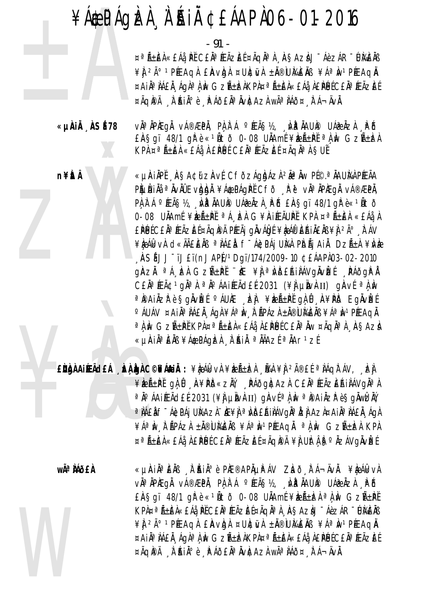- 91 -

¤ªÃ±EÀ«EÁå PĚ CEĂªÆÃZEɤÃQĂªÀ, ASAZÀJ-ÁèzÁR-UMEÀB ¥ J <sup>2</sup> A° <sup>1</sup> PÉE AQ A E AV Q A ¤ U AC N A ± A ® U M AE A S A ª N 1 PÉE AQ A ¤AIĪ IAEÄ, ÁGIª L IN GZñIZAKPL¤ª ñEA«EÁå, LEPÚLCEĪ ÆÃZEE ¤ÃQPA À AIAº è AAJEAª AVEAZA Wê AÁÕ¤ A Á¬ÄVÀ.

«µÀiÅ ÀSÉ78 vì<sup>a</sup> ìpiegì vá®æpì, pì ì á °íeã§½, ¿mp ìaup uá? ìzì . Pô  $E$ AŞqï 48/1 qi è «1Ãtõ 0-08 UÄAmí ¥izñPť a A M GzñDA KPA ¤ªÃ±EA «EAå, A EPUE CEĂªÆÃZEE ¤ÃQÀªA SUE

> «µÀIẰPĚ ASA¢ữZÀvÉ CFÕZÁQIQÁZÌ <sup>2ê</sup>ŇW PÉ©.ªÄAU̼À PÉEÃA PEULAIA <sup>a</sup> AvAU Evidida ¥A&PÁQPI Cfð Re va Apæga vá®ÆPA, PA A A PEASY, MP AAUP UARAZA PB EASOT 48/1 OF ex<sup>1</sup>Ato 0-08 UÄAmÉ ¥RÉLPĚ ªÁ RA G¥ŘIÆÃUPĚ KPA ¤ªŘIEA «EÁÅA £PÚĹC£ĂªÆÃZEŤÃQIPÄ PÆÃj gÄvÁQLÉ¥RÁO EŔIÄ£ĂB¥Ì 2ð À ÁV ¥ÈÁK VÀ C «ÄÃEEÄB ª IÁEL F ÁCPÁJ UIA PIDÃJ AIL DZñA ¥IVE , ASÍ JJ TJET(nJAPÍ/1Dqi/174/2009-10 ¢£ÁAPI03-02-2010 ghzh <sup>a</sup> á kh Gzñ±pi i ke ¥j a vdeáilávgivké páðgri CEN<sup>a</sup> FEÃC 1 gNa A a No AAI FEÃO EL 2031 (\\ um um um um um quot a A M a PailzP è Sglubé dauk del ¥bel±Pt gl 0 A¥PD Eglubé °ÁUÁV ¤AIĪÌÁ£Ă,ÁgÀ¥ÁªÌW,À'ÃPÁZÀ±Ă®Ù}¼ÈÄB¥ÁªÌW1PÉEAGÀ a ì Iv Gzñ±pǐ kpì ¤añ±èì «£Áà ì £pùí c£ìa iw ¤ãqìa ì . ASAzì «µÀIÀªÈÀB ¥Á¢PÁQÞÀ À AIÀ ªÀÄAZÉ ªÀAr1ZÉ

EÙÙAAIÆÃdEÁ "ÈÀÙAC©¥Á&IÄ: ¥ÈÁkvÀ¥ÈıÈÀ "ÜAÀ¥J 2î£É ªÀÁQÌTÁV, "ÈJ ¥ÈEñPĚ gÀ Û A¥PD«ZĂ, PÁðg|¢AzI C£ÄªÆÃZEŔIIAVg|¤I ªŇ°ÁAiÆÃd£É2031 (¥j}µÌN}HI) gÀVɪÌ,ÌN ªÌ®AiÄZłè§gĂWÈĂŸ a NAEN E-ACPAI UNAZI HE¥N a NDEAINAVONA NZI AZI¤AINA NAEN, AON ¥ÁªIN I APÁZI ±Ä®UMEIB ¥ÁªIN1PÆAQI ªLIN GZA±IZI KPI ¤ªÑ±ÈÀ«£Áå À £PÚÉ C£ĂªÆÃZÈÉ ¤ÃQI®Ä ¥Ì UÌtÅIS°ÄZÁVGÄVIZÉ

wêÀÁð£À

n¥ÈÂ

«µAIĪÈÄß 'À 'ÄIĺè PIÆ®APĵPÁV ZIað 'lī Á¬ÄvÄ. ¥IęÁlkvÀ vàªÀPÆgÅ vÁ®ÆPÅ, PA A Á ºÆÃS½, WP AAUP UÁ@ÀZA PÕ EASqï 48/1 qřè «<sup>1</sup>Ätð 0-08 UÄAmí ¥ka fitar a A M GzA + Př KPÀ¤ªÃ±ÈÀ«£Áå PĚC£ĂªÆÃZÈɤÃQĂªÀ ASAZÀJ¯ÁèZÁR¯ÚÀGÀB ¥ Î 2ð 1 PÉE AQ À E AV Q À ¤ UNC N À ± N ® IU MA E N S A 2 A º N 1 PÉE AQ N ¤AIĪ IÁEI Aglª LIN GZñIZAKPL¤ª ñEL«EÁå LEPLICEL¤ÆĀZEE ¤ÃQIPÄ À AIA°è APÁÕEAª AVICAZA Wê AÁÕ¤ A Á-ÄVÀ.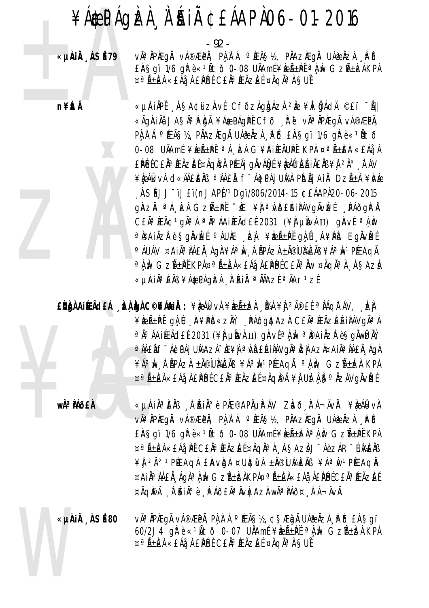- 92 -

«µÀiÅ ÀSÉ 79

n¥ÈtÂ

vĂªĂPÆgĂ vÁ®ÆPĂ, PÀ,À`Á °ÆÃ§½, PÀAzÆgĂ UÁ@ÀzÀ ¸₽Ő  $E$ ASaï 1/6 al è « 14 tõ 0-08 UAAmí ¥be $E$ +Př $^a$ A w GzR $+$ bel KPA ¤ªÃ±ÈÀ «£Ăå¸À £PÚÉ C£ĂªÆÃZEÉ ¤ÃqĪÀ §UĚ

«LIAIAPĚ ASA¢űzAvÉ CFŎZÁQAÁZÀ 2à ¥ÅLÖJÁQÄ ©£ï "ÃIL «Ãgì hải JASA Phu ¥Á¢PÁgì LETO Na VI APIEGI VÁ®ÆPI, PA À Á º ÆÃS½, PÀAZÆGÀ UÁ@ÀZÀ PÓ EASgï 1/6 grè«1Ãtò 0-08 UÄAmÉ ¥REıPĚ ªÁ RA G¥AIÆÃUPĚ KPA ¤ªÃ±EÀ «£Áå A £PÚĹC£ĂªÆÃZEŤÃQIPÄ PÆÃj gÀvÁQLÉ¥RÁO EAJÄEÄB¥J 2ð À ÁV ¥ÈÁGKVÀ CKÄÄEÈÄB <sup>a</sup> NÁEN f<sup>-</sup>Á¢PÁj UNA PIOÃj AIN DZñA ¥NÈ , ASÍ JJ TJET(nJAPÍ/1Dqi/806/2014-15 ¢£ÁAPI20-06-2015 ghzh <sup>a</sup> le Gzh+pi i r ¥j a vdehinvgnvei páðgri CEN<sup>a</sup> FEÃC 1 gNa A a No AAI FEÃCIELE 2031 (\#) plv AII) gAV E a A No a Pailz Pè Sglute Cault Ed ¥ré±pé gl 0 A¥PD Eglute °ÁUÁV ¤AIĪÌÁ£Ă ÁGÀ¥ÁªÌN À ÃPÁZÀ±Ă®Ù}A£ÀB¥ÁªÌN1PÆAGÀ a ) Iv GzñPĚ KPÀ¤a ñEÀ«£Áå À £PÙÉC£Ăa Äw ¤ÃqĂa ) ASAzL «LIAIĪEÄB ¥Á\$PÁQÞEA À AIÄ ªÄÄAZEªÄAr1zE

¥ÈEñPĽ gÌ Û A¥PD«zŇ, PÁðgICAzI CEĪÆÃzEAIÌÁVgI¤I a jo áaiÆãd£é2031 (¥i µivi II) giavíai iv a paiäzi? è Sgiwizi. a NAEN F ÁGDAJ UNAZN. NE¥N a NDERINAVONA NZI AZN¤AINA NAEN ÁGN ¥ÁªIN I APÁZI ±Ä®UMEIB ¥ÁªIN1PÆAQI ªLIN GZA±IZI KPL ¤ªÑ±EÀ«£Áå¸À£PÚÉC£ÄªÆÃZEɤÃQPÄ¥jUktŧ°ÄZÁVgÄvÞÉ

wê **MÕ£À** 

«µÀIẰªÈÄß À ĂIĂºè PIÆ®APĵPÁV ZIað FÁ¬ÄvÄ. ¥IęÁlkvA vìªìPÆgì vá®ÆPì, Pì,ì Á °ÆÃ§½, PìAzÆgì UÁælzì , PĎ EASqï 1/6 qrè«14to 0-08 UAAmi¥bentilen a lu GzAtPikPA ¤ªÃ±EÀ«EÁå, PĚ CEĂªÆÃZEɤÃQĂªÀ, ÀSAZÀJ¯ÁèZÁR¯ÙÀAĒÀB ¥ 1 2ð 1 PÉE AQ A E AV Q A ¤ UNC WA ± N ® W AGE N B ¥ A ª N 1 PÉE AQ N ¤AIĪÌÁEÀ ÁQ̪ÌÌv GzñÌZÀKP줪ñÈÌ«£Áå Ì£PÉJÉC£ĂªÆÃZÈÉ ¤ÃQIPÄ À ANI P A A A LA AVICAZA Wê A A D ¤ A H A J A.

«µÀIĂ ÀSÉ 80 vì<sup>a</sup> ìpiegì vá®æpì, pì ì á °éā§½, ¢§ædì uá@ìzì , pô £ìa§gï 60/2J4  $qR e \ll 1$ Ñtõ 0-07 UÄAmí¥keѱ $PI$ íª $\lambda$ N Gzѱka KPA ¤ªÑ±EÀ «EÁÀ À EPUE CEÀªÆÃZEE ¤ÃQÀªÀ SUE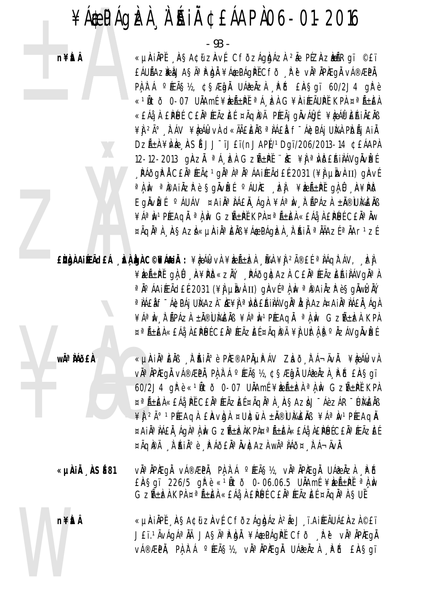n¥itÂ

- 93 -«µÄIÄPĬ "ASA¢űzÄvÍ CfðzÁgházì 2Å PÍZAzkÁRgï ©£ï EÁUÑAZNAJASÃ<sup>a</sup> P DA ¥Á¢PÁGPĚCFŎ Ř P vĂªÄPÆGÅ vÁ®ÆPÅ, PA A A º ÆÃS½, ¢SÆna UÁæÃzA PO EASgï 60/2J4 grè «1Ñtð 0-07 UÄAmÉ¥æÃ±PĚ ªÁ, EÀ G¥AIÆÃUPĚ KPA ¤ªÃ±EÀ «£Áå À £PÚ É C£ÄªÆÃZE ɤÃQIPÄ PÆÃI QIVÁIQIE ¥I; APEAIÄ£IN ¥Ì 2ð À ÁV ¥È ÁL VÀ d«ĂÃEÈÀB ª LAEL F-ÁCPÁJ ULA PIDÃJ AIÀ DZıÀ ¥MÈ ASÍ JJ<sup>-</sup>ïJ£ï(nJAPÍ/1Dqï/206/2013-14 ¢EÁAPÀ 12-12-2013 gÀZH <sup>a</sup>Á EÀ GZREPL FE ¥H a WBEAILAV GAVE , PÁðgP Á C£Ăª ÆÃ¢ 1 gĂª À ª Ăº ÁAIÆÃd£É 2031 (¥) µIVAII) gAVÍ a î.N. a îpaiăzr e Sgăvîzí a Auke de Let Frente Gali Afrio Eglvizí <sup>o</sup> áuáv ¤ail<sup>a</sup> láel ágl ¥áªiv l'épázl ±l®umels ¥ÁªIN<sup>1</sup>PÉEAQI ªLIN GZѱPĚ KPL¤ªÑ±EL«£ÁåLEPÚÉ C£ÄªIW ¤ÃQĪÀ AŞAZÌ«µÀIĪEÄB¥Á\$PÁQÈÀ À'ÁIÄ ªÄÄAZɪÄAr1ZÉ

¥ÈÆÃ±PĚ gÀ Û A¥PD«ZŇ, PÁÕgACAZÀ C£ĂªÆÃZEŔIÀÁVgĪÀ a jo áaifeãd£é 2031 (¥) µlvkII) glavéa) w a pai zrèsgäwtziv a NAEN F ÁGDAJ UNAZN HE¥N a NDERINÁVONA NZU AZN¤AIÑ ANAEN "AON ¥ÁªIN I APÁZI ± N®UMENS ¥ÁªIN1PÆAQI ªLIN GZA±IZI KPI ¤ªÑ±ÈÀ«£Áå À £PÚÉ C£Ăª ÆÃZÈÉ ¤ÃQIPÄ ¥Ì UItÁ ISº ÄZÁVGÄVIZÉ

wê MÕ£À

«µÀIN¤ÈNB À AIN» è PIE®APAUPÁV ZLAÕ FÁ¬ÄVA. ¥LAGKVA vìª ìPÆgì vá®ÆPì, Pì ì Á °ÆÃ§½, ¢§Ænì UÁæ ÌZì }PĎ £À§gï 60/2J4 qřè «<sup>1</sup>Ñtð 0-07 UNAmí ¥keñ±ka a A M Gzñ±př KPA ¤ªÑ±EÀ«£Áå PĚ C£ĂªÆÃZEɤÃQĂªÀ ASAZÀJ¯ÁèZÁR¯ŨŘEÀB ¥ 1 2ð 1 PÉE AQ A E AVA DA ¤ UNCIVA ± NO UME NO ¥Áª NO 1 PÉE AQ NO ¤AIĪ IÁEÄ ÁGIª I IV GZıIZKPI¤ª ıEI«EÁå IEPUECEIª ÆÃZEE ¤ÃQIPÄ À AIѺ è FÁÕEĪÄVICAZÀ WêÌÁÕ¤ FÁ¬ÄVÄ.

vઠÀPAEQÀ vÁ®ÆPÀ, PÀ À Á ºÆÃ޽, vÀª ÀPAEQÀ UÁ@ÀZÀ PÓ «µÀiÅ ÀSÉ81  $E$ AŞqï 226/5 q $\mathbb{R}$ è « $1$ Ãtõ 0-06.06.5 UÄAmí ¥k $E$ ñPľ a  $\mathbb{R}$ w GZıEÀ KPA ¤ªÄ±EÀ «£Áå À £PÙÉ C£ĂªÆÃZEÉ ¤ÃQĂªÀ SUĚ

«µÄIÄPĬ "ASA¢űzÄvÍ CfðzÁgbázi 2å J "ï.AIÆÃUÁ£Azi ©£ï n¥itÂ JEï.1ÃVÁGÁªÄÄ JASĪÌPÁJÄ ¥Á\$PÁGÌPĚ CFÕ "ÌPĕ vĪÄPÆGÄ v種PÄ, PA I Á ºÆÃ޽, vĪÄPÆqÄ UÁ®ÄZA PÖ £ÄŞqï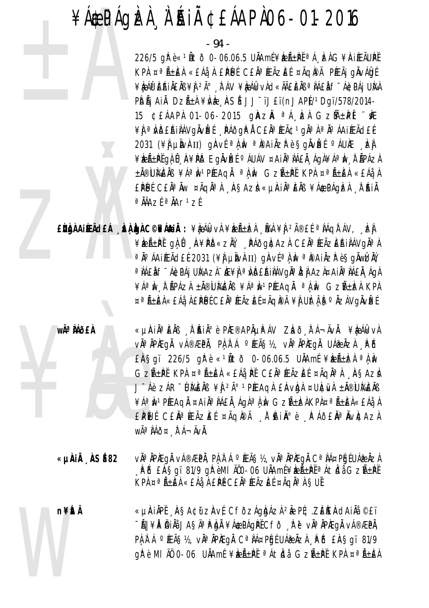- 94 -

226/5 gPè«<sup>1</sup>Ätð 0-06.06.5 UÄAmÉ¥beıPĚ<sup>a</sup>Á belG¥AJFEÃUPĚ KPA ¤ªÃ±ÈA «£ÁåA £PÚJÉ C£ĂªÆÃZEÉ ¤ÃQPPÄ PÆÃj gÄVÁÛJÉ ¥ÈAÎP EAIAEAB ¥L 2ð A AV ¥ÈAlkvAd«ÄÄEEAB ª LAEA F-ACPAJ UNA PIDÃI AIL DZñI ¥VE ASÍ JJ<sup>-</sup>ïJ£ï(nJAPĮ/1Dgï/578/2014-15 CEÁAPA 01-06-2015 QAZA ªÁ EA GZM±PI "KE ¥Ì ª NDEAINAVQNVEE NAÕQP A CENº ÆÃ¢ 1 qua a nº AAIÆÃCLE 2031 (\#) unvhII) gaví a i ma a painzre sgivet cáune . En ¥ÈLıPĚGÀÛ A¥PD EGÄVLÉ ºÁUÁV ¤AIĪLÁ£Ă ÁGÀ¥ÁªÌN À ÃPÁZA ±Ă®UMEÄB ¥ÁªM1PÆAQÄ ªÀM GZñPĚ KPA ¤ªÃ±EÀ «£Áå.A EPUL CEÀ<sup>a</sup> Àw ¤Ãqha À ASAZI «µAIÀa EAB ¥Á\$PÁqIZA À AIÀ  $a$   $\hat{\text{MAX}}$   $a$   $\hat{\text{MAX}}$   $1$   $\hat{\text{MAX}}$ 

EÙÙÀ AIREACH AN LO GHÁNIA : ¥R ÁR VÀ ¥R Á±R NA ¥Ì 2îE É ª NÁQIT ÁV, R ¥keñPĽgĄÛ A¥PD«zŇ, PÁðg|¢AzI C£ÄªÆÃzEAiIAVgĪI ªÄ°ÁAIÆÃd£É2031 (¥ÌJUN) UN VɪÀM ªPAIÄZP è SQÄWDAY a NAEN F ÁGDA I UNAZN. NE¥N a NDEAINAVONA NZI AZN¤AINA NAEN AON ¥ÁªIN I APÁZI ± N®UMEIB ¥ÁªIN PÉEAQI ª I IN GZA±IZI KPI ¤ªÑ±EÀ«£Áå À £PÚÉ C£ĂªÆÃZEÉ ¤ÃQI®Ä ¥Ì UItÀ ISº ÄZÁVQÄVIZÉ

wêÀÁðfÀ

«µAIĪEÄB À AIÄIİè PAE®APĵPÁV ZLað FÁ¬ÄvÄ. ¥LeÁlkvA vìªìPÆgì vá®ÆPì, Pìlì Á °ÆÃ§½, vìªìPÆgì UÁ@Ìzì Pô  $E$ AŞqï 226/5 q $\hat{F}$ è « $1\hat{A}$ tõ 0-06.06.5 U $\hat{A}$ Amí ¥k $\hat{E}$ Á $\pm$ k $\hat{A}$  a $\hat{A}$  w GZıPĬ KPA ¤ªÃ±EA «£Áå PĬ C£ĂªÆÃZEÍ ¤ÃqĪA ASAZÀ J-Áè ZÁR-UMENS ¥Ì 2ð 1PÆAGÀ EAVDA ¤UNEWA ±N®UMENS ¥ÁªÌN1PÆAQI ¤AIIªIAEI AQIªLIN GZA±blKPA¤ªA±EA«EAiLA EPŨJÍ CEĂªÆÃZEÍ ¤ÃQÆÄ ĮÌ AIѺè ĮPÁÕEŇªŇVÆAZA WÃ<sup>a</sup> ÀÁÕ¤ ÀÁ-ÄVÀ.

v˻ ÀPÆgÅ vÁ®ÆPÀ, PÀ À Á °ÆÃ§½, vÀª ÀPÆgÅ Cª ÀÁ¤PÉJÉ UÁ@ ÀZÀ «µÀIÄ ÀSÉ82 P & EASqi 81/9 q eMI A0-06 UAAmE ¥kent a Atida GzA+PE KPA ¤ªÃ±ĒÀ «£Áå À £PÉ C£ĂªÆÃZEÉ ¤ÃQĂªÀ SUĚ

«LIAIAPĚ ASA¢űzAvÉ CFŎZÁgIdÁzI 2Ă PÉ; ZEIENdAIAI ©ET n¥ÈrÂ - Ấ| ¥ẢI A NIA JA SA ¤ P NA ¥Á&PÁQPĚC FÕ P P U VÀ ¤ ÀPÀEQĂ VÁ®ÆPÀ, PA A A º ÆÃS½, vha Aprega Ca AA¤PGEUA & Aza A B EASQI 81/9 gì è MI AO 0-06 UAAmé ¥keht <sup>a</sup> Atida GzhtPě KPA ¤<sup>a</sup> htea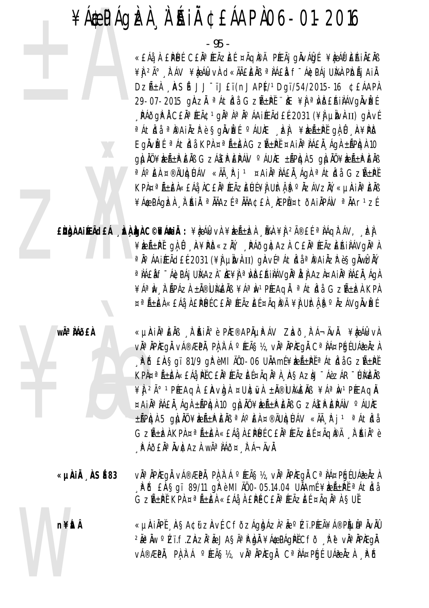- 95 -

«£Áå À £PÚ É C£Ăª ÆÃZE ɤÃQI®À PÆÃj gÀvÁQI ¥È ÁP EŘIÄ£ÄB ¥Ì <sup>2ð</sup> À ÁV ¥È ÁI d«ÄÄ£ÈÀB ªÌÁ£Ì f<sup>-</sup>ÁÈPÁj UÌAÌ PÌOÃj AIÌ DZıA ASÍ JJ<sup>-</sup>ïJ£ï(nJAPĮ)/1Dgï/54/2015-16 ¢£ÁAPA 29-07-2015 gÀZL <sup>a</sup> Átidi GzREPE "KE ¥J <sup>a</sup> WDEAIIAV gÀVEE **. PÁðgP Á C£Äª ÆÃ¢ 1 gĂª Àª ĺ ÁA iÆÃd£É 2031 (¥) µIvÀ II) gÄvÉ** a Aticia a po Ainzir è Sgivizi o Aune da Perñeri di 8 a feri Eglvet <sup>a</sup> átida KPA ¤<sup>a</sup> Á±ien GzÁ±ie ¤Ain<sup>a</sup> náen ága ±ápiga 10 g) LIAÜ ¥IZñP EAB GZÁ&P EPÁV ºÁUIE ±ÃPIQÀ 5 G) LIAÜ ¥IZñP EAB a Áo EL ¤®ÄUIQUÁV «Äà Fj1 ¤AIĪIAEI ÁgI ªÁtIdå GZѱPĚ KPA¤ªÃ±EA«£Áå AC£ÄªÆÃZEŨĹ¥À UÌtÁ FªÄZÁVZĂ, «µÀiĂªĒĂB ¥Á\$PÁQIZI À AI AI a AAZE a AACEA AEPI ¤ tÕAIAPÁN a AAr1zE

EÙÙÀAIRACEÁ DEL AGAC©NÁAIA : ¥ÈÁKVÀ¥RÁ±RÀ NA ¥Ì 2î£É ªIÁQIFÁV, DE ¥ÈEñPĚ gÀ Û A¥PD«ZŇ, PÁÕG)¢AZÀ C£ĂªÆÃZEŔIÀÁVGĪÀ a jo á A jí EÁd E é 2031 (¥) LIN A II) gia v fa á tidja a iP A ji A z P e Sgiwizi v a NAEN F ÁGDAI UNAZN HE¥N a MDEAINÁVONA NZI AZN¤AIÑ ANAEN AON ¥ÁªIN I APÁZI ±Ä®UMEIB ¥ÁªIN1PÆAQI ªÁtIdi GZA±IZI KPI ¤ªÑ±EÀ«£Áå À £PÚÉ C£ĂªÆÃZEÉ ¤ÃQIPÄ ¥Ì UItÁB°ÄZÁVQIVÈÉ

wêMÕ£À

«µÀiĂªÈĂB À ĂiĂiðè PÌÆ®APõPÁV Zhò, tá¬ÄvĂ. ¥è ÁlkvÀ v˻ ÀPÆgÅ vÁ®ÆPÀ, PÀ À Á °ÆÃ§½, vÀª ÀPÆgÅ Cª ÀÁ¤PÉJÉ UÁ֎ ÀZÀ <sub>.</sub>PD £AŞgï 81/9 gP èMI A00-06 UAAmE¥beA±PE<sup>a</sup> Atida GzñPE KPA¤ªÃ±ĒA«£Áå¸PĚC£ĂªÆÃZĒɤÃqĂªA¸À§AZÀJ¯ÁèZÁR¯ŨÀ£ĂB ¥ 1 2ð 1 PÉE AQ A E AV DA ¤ UNC WA ± NO UME NO ¥Áª N 1 PÉE AQ N ¤AIÄ<sup>a</sup> IÁEI AGI ±APIGI 10 GI JI ¥IEA±PEIB GZÁEPEPÁV º AUIE ±ÃPICJA 5 GILIAŬ ¥IEñPEAS ªÁºEA ¤®ÄUICJÚAV «Äà R j 1 ªÁtICJå GzñEÀ KPA ¤ªÃ±EA «£Áå À £PÚ C£ĂªÆÃZE E¤ÃQPA A "ŔIð è A Á JEN AVICAZA WÃA NÁÕ¤ A Á-ÄVÄ.

vằª ĂPÆgÅ vÁ®ÆPÄ, PÀ À Á °ÆÃ§½, vẰª ĂPÆgÅ Cª ÀÁ¤PÉJÉ UÁ֎ ÀZÀ «µÀiÅ ÀSÉ83 P & EASgi 89/11 g Pè MI A00-05.14.04 UAAmE ¥keA±PE <sup>a</sup> Atba GZıPĚ KPA ¤ªÃ±ĔĂ «£Áå, À £PÉ C£ĂªÆÃZĒÉ ¤ÃQĂªÀ SUĚ

n¥itÂ

«µÄIÄPĬ 'ħA¢ijZÄvÍ CfðzÁgÀdÁz̺à °Éï.PÆÃ¥Á®P̵ĬªĬvĬÛ 2ê ÄW ° Zï. F. ZÀZĂ2à JASĂª P DI ¥Á\$PÁGPĽ CFÕ R ë vĂª ÄPÆGÅ v種PÄ, PA A A º ÆÃS½, vĪÄPÆgÄ CªÌÁ¤PÉJÉ UÁ®ÄZÀ APÉ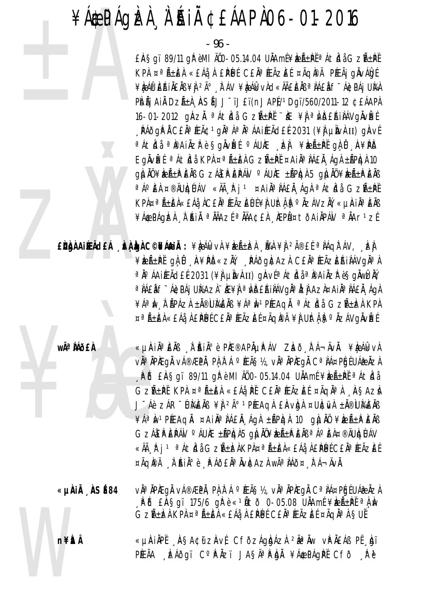- 96 -

£AŞqï 89/11 qi èMI A00-05.14.04 UAAmE¥EA±PEªAtida GzA±PE KPA ¤ªÃ±ÈA «£Áå¸A £PÚJÉ C£ĂªÆÃZÈÉ ¤ÃQPA PÆÃj gÄvÁÔJÉ ¥ÈAP EÁIÄEÄB ¥Ì <sup>2ð</sup> "FÁV ¥ÈAk vÌd«ÄÄEEÄB ªÌÁEÌ f"Á¢PÁj UKA PIDÃI AIĂ DZÁ±À , ASÍ JJ~ïJ£ï(nJAP)/1Dgï/560/2011-12 ¢£ÁAPÀ 16-01-2012 gÀZÀ <sup>a</sup>Átbà GzñPĚ `` ke ¥) <sup>a</sup> võ£ÁilÁVgÄvÈÉ **PÁÕGP A CEĂ<sup>a</sup> (Eâ 1 gia ) a jo áAI (EÃdEE 2031 (¥) LUVAII) GAVE** a Aticia a Painzi è Sgivizi chune da veritale di 0 avrilo Eglvet <sup>a</sup> átida KPA ¤<sup>a</sup> Á±ien GzÁ±ie ¤Ain<sup>a</sup> náen ága ±ápiga 10 gì là ¥ìzã±p Eàr Gzá£p Epáv ° áuæ ±ãpìgà 5 gì là ¥ìzã±p Eàr ªÁ°EÀ¤®ÄUIQUÁV «ÄøÌ°j ª¤AiĪIÀEĸÁgÀªÁtIdå GzѱPĚ KPÀ¤ªÃ±ÈÀ«£Áå ÀC£ĂªÆÃZÈÙĹ¥À UÌt FºÄZÁVZŇ, «µÀIĂªÈÄß 

EÙÙNAILEÃO EÁ LUI LO DE A LUI E LA LUI ETA LA LA LA LA LA LA LA LA LA LA LA LA ¥ÈEñPĽ gÌ Û A¥PD«ZIV, PÁÕGICAZI CEI¤ÆÃZEŔIIAVGI¤I a jo á A i ÆÃ d E é 2031 (¥) µ juv k II) g jav f a á t Ída a je A i Äz P è Sg Äw İz Ä a NAEN F ÁGDAI UNAZI HE¥N a NDEAINÁVOÑ a IZN AZA¤AIÑ A NAEN ÁON ¥ÁªIN I ÁPÁZI ±Ä®UMEIB ¥ÁªIN1PÆAQI ªÁtIdi GZÁ±IZI KPI ¤ªÑ±EÀ«£Áå À £PÚÉ C£ĂªÆÃZEÉ ¤ÃQPÀ ¥Ì UÌtÁ FºŇZÁVQÄVÈÉ

**wê MÕEÀ** 

«µAIĪEÄB À'ÀIĺè PAE®APĵPÁV ZLað FÁ¬ÄvÄ. ¥LeÁlkvA vઠÀPÆgÅ vÁ®ÆPÀ, PÀ À Á °ÆÃ§½, vÀª ÀPÆgÅ Cª ÀÁ¤PÉjÉ UÁ֎ ÀZÀ PÕ EASaï 89/11 al è MI AO 0-05.14.04 UAAmE ¥bell+PE <sup>a</sup> Aticla GZıPĬ KPA ¤ªÃ±EA «£Áå PĬ C£ĂªÆÃZEÍ ¤ÃQĂªA ASAZÀ J-Áè ZÁR-UMENS ¥J 2ð 1 PÉEAQÀ EAVIDA ¤UICIVA ±N®IUMENS ¥ÁªN1PÉEAQÄ ¤AIĪÌÁ£Ä ÁQÀ ±ÃPIQÀ 10 gILIÄÜ ¥IEZıIPIEÄB GZÁEPEPÁN O ÁUÆ ±ÃPIGA5 GILIAU¥IELE EIB ª AO EL¤®ÄULIGLAV «Äà R j <sup>1 a</sup> Átidi Gzѱizi KPi¤ªÑ±Ei «£Ái ì £PÚ C£Ăª ÆÃzE í ¤ÃQPÄ À AIİè PÁÕEĪÄV¢AZÀ WêÌÁÕ¤ FÁ¬ÄVÄ.

v˻ ÀPÆgÅ vÁ®ÆPÀ, PÀ À Á °ÆÃ§½, vÀª ÀPÆgÅ Cª ÀÁ¤PÉJÉ UÁ֎ ÀZÀ «µÀiÅ ÀSÉ84 , PD £AŞgi 175/6 gPè«1Ñtð 0-05.08 UNAmÉ¥bzA-PEªA, Nv GZıDÀ KPA ¤ªÃ±ÈĂ «£Áå¸À £PÙÉ C£ĂªÆÃZÈÉ ¤ÃQĂªÀ SUĚ

**n¥itÂ** 

«µÀIAPĚ ASA¢ữZAVÉ CFÕZÁQAAZÀ 2êAW vPAEÁB PË AJI PÆÃA , LÁÕGI CºPÄZI JASĪPhjÄ ¥Á\$PÁGPĚ CFÕ , Pě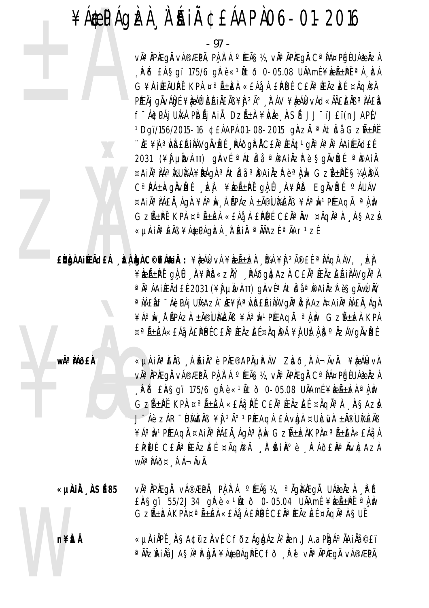- 97 -

v˻ ÀPÆQÅ vÁ®ÆPÀ, PÀ À Á °ÆÃ޽, vÀª ÀPÆQÅ Cª ÀÁ¤PÉIE UÁ@ ÀZÀ  $R$  is Ensay 175/6 or e < 10 to 0-05.08 Unami \\test+pt a A below G¥AIÆÃUPĬ KPA ¤ªÃ±EA «£Áå, A EPUÍ CEAªÆÃZEÍ ¤ÃQPA PÉEÃJ GÄVÁLOI ¥LA ÁP EAIAEAB ¥L 2ú A ÁV ¥LA ÁL VA d«ÄÃEEAB ª LAEL f Ácpái Uma Pidãi Aia Dzá±a ¥ivie , ASÍ JJ TJ£T(nJAP)/ <sup>1</sup>Dqï/156/2015-16 ¢£ÁAPÀ 01-08-2015 gÀZĂ ªÁtkJå GzѱPĚ ∵ÄE ¥Ì ªÌVĎEÁIÌÁVQÄVÈÉ PÁÕQPÀ CEĂªÆÃ¢1qĂªÀªĂ°ÁAIÉĀdEÉ 2031 (\#jumukII) ginvé a Atida a pai Azire Sgivizé a pai A ¤AIĪ IÁª ISUMA ¥PÁQA ªÁt IJ ª PAIÄZP è ªÀ IN GZñPĚ S¼À PÄ C<sup>a</sup>PÁ±kgÄvké kaj ¥keرPĚgAû A¥PD EgÄvké <sup>o</sup>ÁUÁV ¤AIĪÀÁ£À ÁgÀ¥ÁªÌN À ÃPÁZÀ±Ă®U}&}EÄB¥ÁªÌN1PÉEAQÄ ªÀÌN GZıPĚ KPA ¤ªÃ±ÈÀ «EÁ¿À EPÚÉ CEÀªĂW ¤ÃQÀªÀ ASAZÀ «µÀIÀªÈÀB ¥Á\$PÁQÈA À AIÀ ªÀÄAZɪÀAr1ZÉ

EÙÀN AIREACH LA LO C©NAUN : ¥LA AKVA ¥LA LA LA PA®EL ª NAQIT AV, LA ¥ÈEñPĽ gÀ Û A¥PD«ZĂ, PÁðg)¢AzA C£ÄªÆÃZEAIÀÁVgĪÀ a jo á a íÆåd£é 2031 (¥) ulverti) giavía át bla a pari a zrandulæn. a NAEN F ÁGDAI UNAZN HE¥N a NDEAINAVOÑa LEN AZN¤AIÑa NAEN AON ¥ÁªIN I APÁZI ±Ä®UMEIB ¥ÁªIN1PÆAQI ªLIN GZA±IZI KPI ¤ªÑ±EÀ«£Áå À £PÚÉ C£ĂªÆÃZEÉ ¤ÃQPÀ¥Ì UÌtÀ§ºÄZÁVgÄvÈÉ

**wÃ<sup>a</sup>MÃfÀ** 

«µAIĪEÄB À`ĂIĺè PÆ®APĵPÁV ZLað FÁ¬ÄvÄ. ¥LeÁlkvA vìª ìPìEqì vá®ÆPì, Pì ì Á °Éç½, vìª ìPìEqì Cª ìÁ¤Péj{UÁ֎ Àzì  $R$   $\tilde{D}$   $ER$   $S$ qï 175/6 q $R$ è « $1\tilde{A}$ tð 0-05.08 U $\tilde{A}$ Amí ¥èz $\tilde{A}$ ±èz $A$   $a$  $\tilde{A}$  $M$ GZıPĬ KPA ¤ªÃ±EA «£Áå PĬ C£ĂªÆÃZEÍ ¤ÃqĪA ASAZÀ J-Áè ZÁR-UMENS ¥Ì 2ð 1PÆAGA EAVIGA ¤UICIVA ±N®UMENS ¥ÁªÌN1PÆAQI ¤AIIªIAEI AQIªLÙ WGZA±ÈNKPI¤ªA±EI«EÁåL EPUL CEN<sup>a</sup> FAZEL ¤AQPA A HAINº è PAQEN<sup>a</sup> NVICAZA WÃ<sup>a</sup> ÀÁÕ¤ À Á-ÄVÀ.

v˻ÄPÆgÅ vÁ®ÆPÄ, PÀÀ`Á °ÆÃ§½, ªÄgÀAÆgÅ UÁæÅzÀ ¸\PÕ «µÀIÄ ÀSÉ85  $E$ AŞqï 55/2J34 q $\mathbb{R}$ è « $1\overset{\circ}{\mathbb{A}}$ tõ 0-05.04 U $\overset{\circ}{\mathbb{A}}$ Amí ¥k $\overset{\circ}{\mathbb{A}}$ i $\overset{\circ}{\mathbb{A}}$   $\overset{\circ}{\mathbb{A}}$  w GZıDÀ KPÀ ¤ªÄ±ÈÀ «£Áå¸À £PÙÉ C£ĂªÆÃZÈÉ ¤ÃQĂªÀ ŞUẾ

«µÀIÀPĚ ASA¢ữ zÀvÉ CfðzÁgÀdÁzÌ ?Å n.JA.aPÀgÁª ÀAIÀå ©£ï **n¥itÂ** <sup>a</sup> ĂÄZĂIĂå JASÄ<sup>a</sup> P.b.Ă ¥Á\$PÁgPĚ Cfð R ĕ vĂª ĂPÆgĂ vÁ®ÆPĂ,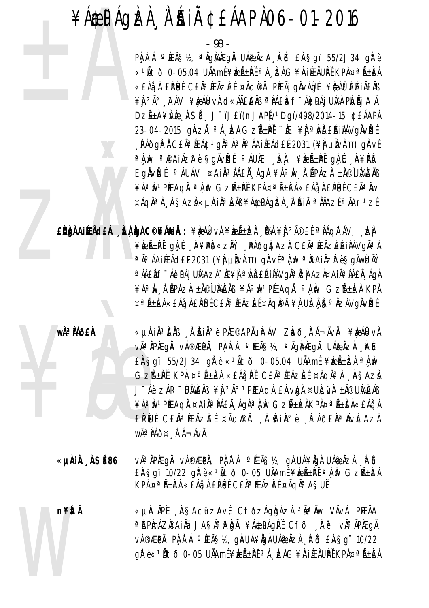- 98 -

PA A A PEAS<sub>12</sub>, <sup>a</sup> AgMEgA UA& AzA PD EASqi 55/2J34 gP è «<sup>1</sup>Ñtð 0-05.04 UÄAmí¥kæÁ±PI ªÁ, ka G¥AiÆÃUPI KPA¤ªÃ±EA «£Áå À £PÚ C£ÄªÆÃZE ¤ÃQPÄ PÆÃj gÄvÁDI ¥ÈÁP EŘIÄ£ÄB ¥Ì <sup>2ð</sup> TÁV ¥ÈAkVA d«ĂÃEEÀB ªIÁEA f<sup>-</sup>ÁEPÁj UMA PIDÃJ AIÀ DZıÀ¥WÈ ASÍ JJ<sup>-</sup>ïJ£ï(nJAPÍ/1Dqï/498/2014-15 ¢EÁAPÀ 23-04-2015 ghzh <sup>a A</sup>, ka Gzh+Pi i ke ¥j a vdealiavgivke **PÁÕGP A CEĂ<sup>a</sup> ÆÃ¢ 1 gĂa A a A CA ELE A CEL 2031 (¥A LUNAII) GA VE** a î.N. a îpa inzî ê Sgiviz (OAU) ê xwe ser sala învend Egnvizí <sup>o</sup> áuáv ¤ Ain<sup>a</sup> ná En ága ¥áªiv a ñpáza ±n®iumens ¥ÁªÌN1PÉEAQL ªLÌN GZREPLEKPL¤ªRELL«EÁLLEPLUECELAN ¤ÃQNª) AŞAZI«µAIIªEIB¥Á¢PÁQIZI I AII ªIJAZEªIAr1ZE

EÙÙNA AIREACHA LA LONGCONALIÀ : \RAGELA \RA LA LA PA®EL ª NAQITAV, LA ¥ÈEñPĽ gÀ Û A¥PD«ZÄV AAÕgAtAZA CEĪÆÃZEŔIÀÁVGĪÀ ªÄ°ÁAIÆÃd£É2031 (¥ÌJ µÌNÀII) gÀVɪÀ,ÌN ªÌ®AIÄZłè§gÄWÈÄÝ a NAEN F ÁGDA LUKAZI. HE¥N a MDEA NAVOJA HZN AZN¤A NAEN ÁGA ¥ÁªIN I APÁZI ± N®UMEIB ¥ÁªIN1PÆAQI ªLIN GZA±IZI KPL ¤ªÑ±EÀ«£Áå À £PÚÉ C£ĂªÆÃZEÉ ¤ÃQIPÄ ¥Ì UItÀ ISºÄZÁVQIVIEÉ

wêMÕ£À

«µAiĪÈÄß 'À˙Ăiİè PIÆ®APĵPÁV ZLað¸līÁ¬ÄvÄ. ¥LeálkvÀ vì<sup>a</sup> ìpiegì vá®æpì, pì ì á °Æã§½, ªìgiaiegì uáæìzì .pô  $E$ AŞqï 55/2J34 q $\hat{F}$ è «1Ãtõ 0-05.04 UÄAmí ¥èzñÌzÀ a À Àv GZıPĬ KPA ¤ªÃ±EA «£Áå PĬ C£ĂªÆÃZEÍ ¤ÃQĂªA ASAZÀ J-Áè ZÁR-UMENS ¥J 2ð 1PÆAGA EAVDA ¤UNEWA ±N®UMENS ¥ÁªÌN1PÆAQI ¤AIIªIAEI ÁQIªLIN GZѱEIKPI¤ªÑ±EI«EÁåLI EPŨJÍ CEĂªÆÃZÆÍ ¤ÃQÆÅ A'ÁNIðè APÁÕEĂªÄVÆAZA WÃ<sup>a</sup> ÀÁð¤ À Á-ÄVÀ.

v˻ÀPÆgÅ vÁ®ÆPÅ, PAÀ`Á °ÆÃ§½, gÀUÁ¥ÅgÀ UÁ@ÀZÀ ÀPÕ «µÀIÅ ÀSÉ86  $E$ ASgï 10/22 gře «1Ñtð 0-05 UNAmí¥k $E$ Á±PI <sup>a</sup> A w Gzѱka KPA ¤ªÃ±EA «£Áå A £PÚÉ C£ĂªÆÃZEÉ ¤ÃQĪA SUĚ

«µÀIÀPĽ ASA¢űzAvÍ CfðzÁgháza 2êÀw VÃvÁ PÉEÃA **n¥itÂ** a APIMÁZIPAI NA JASÄA PIDI VA VA PÁGIPI CFÕ RU VIA NEGI v種PÄ, PÀ,À`Á °ÆÃ§½, gÀUÁ¥ÅgÀ UÁæÄzÀ , PÕ £À§gï 10/22  $q$  $R$ è«<sup>1</sup> $\tilde{A}$ tð 0-05 U $\tilde{A}$ Amí¥æ $\tilde{A}$ ± $R$ í $\cong$ A E $\tilde{A}$ G¥ $R$ ifE $\tilde{A}$ U $R$ íK $P$  $\tilde{A}$  $\cong$  $\tilde{A}$  $\pm$ E $\tilde{A}$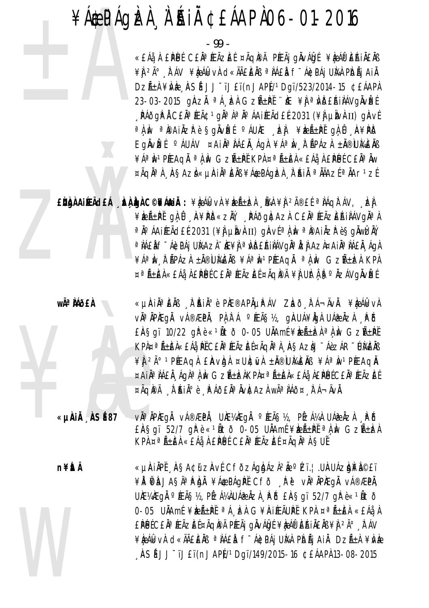- 99 -

«£Áå À £PÚ É C£Ăª ÆÃZE ɤÃQI®Ä PÆÃj gÄvÁDI ¥RÁI® EŘIÄ£ÄB ¥) 2ð , IT ÁV ¥I; AI&vA d«ÄÄ£IEÄB ªIAEA F-AEPAJ UMA PIOÃJ AIĂ DZıÀ ¥NÈ ASÍ JJ<sup>-</sup>ïJ£ï(nJAPÍ/1Dqï/523/2014-15 ¢£ÁAPÀ 23-03-2015 ghzh <sup>a A</sup>, k Gzh+Pi 'k ¥j a Wbehilávgivké **PÁÕQP A CEĂ<sup>a</sup> ÆÃ¢ 1 gĂª A ª A º ÁA IÆÃ dE E 2031 (¥A LIDVA II) QA VÉ** a A M a Painzpè Sgivlet aux de ven freñ±Pt ga û A¥PD Eglvizí <sup>o</sup> áuáv ¤ Ail<sup>a</sup> tá flagt ¥áªiv tépázt ± övümels ¥ÁªINºPÆAQI ªLIN GZñPĚ KPL¤ªÃ±EL«£Áå LPNÉ C£IªIW ¤ÃQĪ) AŞAZI«µAIĪEÄB¥Á@PÁQIZI I AIÄ ªÄÄAZEªÄAr1zE

EÙÙA AIRACEÁ "ÞÀ LA C©NÁ LIA: ¥LA ÁLVA ¥LA LEA "ÜA ¥L <sup>2î</sup>EÍ ª LÁQA ÁV, "LA ¥ÈEñPĽ gÀÛ A¥PD«ZŇ, PÁðgN:AzA C£ÄªÆÃZEŔIÀÁVgĪÀ ªÄ°ÁAIÉEÃd£É2031 (¥Ì µÌNÀII) gÀVɪÀ,ÌN ªÌ®AIÄZ̺ è SgÄWÊÄÝ a NAEN F ÁGDAJ UNAZN. NE¥N a NDERINAVONA DEN AZN¤AIÑ ANAEN ÁGN ¥ÁªIN I APÁZI ±Ä®UMEIB ¥ÁªIN1PÆAQI ªLIN GZA±IZI KPI ¤ªÑ±EÀ«£Áå À £PÚÉ C£ĂªÆÃZEÉ ¤ÃQIPÄ¥Ì UItÀB°ÄZÁVQIVEÉ

wê MÕ£À

«µÀiĂªÈĂB À ĂiĂiðè PIÆ®APõPÁV ZLað FÁ¬ÄvÄ. ¥LeÁlkvÀ vì¤ìPÆgì vá®ÆPì, Pì,ì Á °ÆÃ§½, gìAUÁ¥Ìgì UÁ@Ìzì ¸₽Õ £AŞgï 10/22 gřè«1Ñtð 0-05 UÄAmÉ¥keѱka<sup>a</sup>lów GzѱPĚ KPÀ¤ªÃ±ÈÀ«£Áå PĚC£ĂªÆÃZÈɤÃQĂªÀ ASAZÀJ¯ÁèZÁR¯ÚÀGÀB ¥ Î 2ð 1 PÉEAQA E AVA A ¤UAC MA ± NOUMENB ¥Aª N 1 PÉEAQN ¤AIĪÌÁEÀ ÁGÀªÌÌN GZѱÌZÀKPÀ¤ªÃ±ÈÀ«£Áå À£PĹÚĆ£ĂªÆÃZÈÉ ¤ÃQPÄ À AIA°è PÁÕEĂªÄVÆAZÀ WêÀÁÕ¤ FÁ¬ÄVÀ.

«µÀiÄ ÀSÉ87 vઠÀPAEgÀ vÁ®ÆPÀ, UƼÆgÀ °ÆÃ§½, PÉzÁ¼À UÁ@ÀzÀ ÀPÕ £AŞqï 52/7 qrè «1Ñtð 0-05 UAAmí¥keѱPI ªAW GzѱkeA KPA ¤ªÃ±ÈÀ «£Áå À £PÚÉ C£ĂªÆÃZÈÉ ¤ÃQĂªÀ SUĚ

«µÀIÀPĚ ASA¢ữZÀvÉ CfðzÁgbÁzÀºÃºZï.¦.UÀUÁZb¥À©£ï n¥ÈÂ ¥N VÀ JASN<sup>a</sup> Phù ¥Á¢PÁQPĚ Cfð Re vŇa NPÆQN vÁ®ÆPŇ, UƼÆgÅ ºÆÃ޽, PÉZÁ¼ÀUÁæÀZÀ PÕ EÀSgï 52/7 grè«1Ãtð 0-05 UÄAmÉ ¥REıPĚ ªÁ EÀ G¥ŘIÆÃUPĚ KPA ¤ªŘ±EÀ «£Áå À £PÚĹC£ĂªÆÃZEŤÃQIPÄ PÆÃj gÀvÁGLÉ¥ÈÁO EŔIÄ£ĂB¥Ì 2ð À ÁV ¥ÈAGKVÀ CKAJAEJEAN ªÀAEÀ F-ACPAJUNA PIOÃJAIÀ DZñÀ ¥IVÈ ASÍ JJ<sup>-</sup>ïJ£ï(nJAPÍ/1Dqï/149/2015-16 ¢£ÁAPÀ 13-08-2015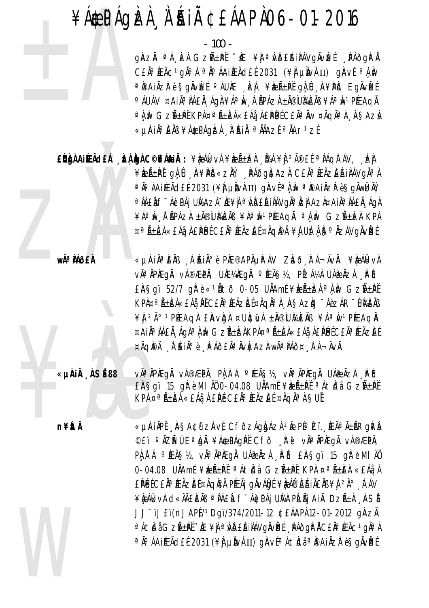$-100 -$ 

gAZA <sup>a</sup>Á, EA GZA±PI "KE ¥J a WBEAIAVO NE PÁÕGPA CEN<sup>a</sup> FEÃC 1 gNa A a No AAI FEÃCIEL 2031 (\#) plvAII) gAV fa A No a PainzPè§gnvize o Aune dzi ¥dzñ±pě ga û "A¥Pið Egnvize °ÁUÁV ¤AIĪÌÁ£Ă,ÁgÀ¥ÁªÌN,À`ÃPÁZÀ±Ă®Ù}¼ÈÄߥÁªÌN1PÉEAGÀ a ) Iv GzñPĚ KPÀ¤a ñEÀ«£Áå À £PÙÉC£Ăa Äw ¤ÃqĂa ) ASAzL «LIAIĪEÄB ¥Á\$PÁQIZI À'AIÄ ªÄÄAZɪÄAr1ZÉ

EÙÙNAIEACEÁ DA DA C©NÁNIA : ¥RÁGWA ¥RÁ±RA ÙA ¥I 2îEÍ ª NÁQITÁV, DA ¥ÈEñPĽ QLÛ A¥PD«ZÄV PÁðQNCAZI CEĪÆÃZEAIIAVQĪI ªÄ°ÁAIÆÃd£É2031 (¥ÌJUN) UN VɪÀM ªPAIÄZP è SQÄWDAY a NAEN F ÁGDAI UNAZI HE¥N a NDEAINAVOÑa LEN AZI¤AIÑ ANALA AON ¥ÁªIN I APÁZI ±Ä®UIGEIB ¥ÁªIN1PÆAQI ªLIN GZA±IZI KPI ¤ªÑ±EÀ«£Áå À £PÚÉ C£ĂªÆÃZEÉ ¤ÃQI®Ä ¥Ì UItÀ Sº ÄZÁVGÄVIZÉ

wê MÕEÀ

«µÀIN¤ÈNB N AINI¤ è PIE®APNUPAV ZIað FÁ¬ÄvN. ¥IQÁIkvA vઠÀPÆgÅ vÁ®ÆPÀ, UƼÆgÅ °ÆÃ§½, PÉzÁ¼À UÁæ ÅzÀ ¸\PÕ  $E$ AŞqï 52/7 q $\hat{F}$ è « $1\hat{B}$ tõ 0-05 U $\hat{A}$ Amí ¥k $\hat{E}$ i $\pm$ ka  $\hat{A}$  A  $\hat{M}$  Gz $\hat{A}$  $\pm$ př KPÀ¤ªÃ±ÈÀ«£Áå PĚC£ĂªÆÃZÈɤÃQĪÀ À§AZÀJ¯ÁèZÁR¯ÚÀ&ÈÄB ¥ J 2ð 1 PÉE AQ A E AV Q A ¤ UNC WA ± N ® W AGE N B Y A ª N 1 PÉE AQ N ¤AIĪÌÁ£Ă¸ÁgÀªÌ¸Ìv GzѱÌzÀKPÀ¤ªÃ±ÈÀ«£Áå¸À£PÉJÉC£ĂªÆÃZÈÉ ¤ÃQPÄ À AIA°è APÁÕEĂªÄVÆAZÀ WêÀÁÕ¤ A Á¬ÄVÀ.

«µÀIÄ ÀSÉ88

vì<sup>a</sup> ìpiegì vá®æpì, pì ì á °íeã§½, vìªìpiegì uáæìzì . Pô £ASgï 15 ghè MI AO 0-04.08 UAAmf ¥keht <sup>a</sup> Atidi GzAth KPA ¤ªÃ±IEA «EÁå À EIPÉ CEĂª ÆÃZIEÉ ¤ÃQIÀª A SUË

n¥ÈÂ

«µÀIÀPĚ AŞA¢ữZÀVÉ CFÕZÁQÀÁZÀ 2à PɺZï ÆÃªÀ±ÃRQÀÀ ©£ï °ÄZĬtŰEªÌgĬ ¥Á\$PÁQÌPĚCfð ÌPě! vŇªÄPÌEQĬ vÁ®ÆPĬ, PA A A º PEÃSIS, VÀ NHE QA UAR AZA PO EAS QUE 15 QP è MI AO 0-04.08 UÄAmÉ ¥keñPĚ ªÁtkJå GzѱPĚ KPA ¤ªÃ±EA «£Áå A £PÚ CE À ¤ ÆÃZE E ¤ÃQIPA PÆÃJ QIVÁD E ¥D Á DE AJAENS ¥J 2ú FAV ¥ÈÁI VÀ C «ĂÃÊIEĂB ª ÌÁEÀ F-ÁICIPÁJ UIVÀ PIDÃJ AIÀ DZñÀ ASÍ JJ-ïJ£ï(nJAP)/1Dqï/374/2011-12 ¢£ÁAPÀ 12-01-2012 qÀZÀ a Átidi GzѱPĚ ``IE ¥Ì a MĎEÁIIÁVQÄVIEÉ PÁðQP I CEI a ÆÃ¢ 1 gia l a jo á A i ÆÃ d E é 2031 (¥) LINAI) giaví a Á t Ídi a PA i Äzir è Sgivizí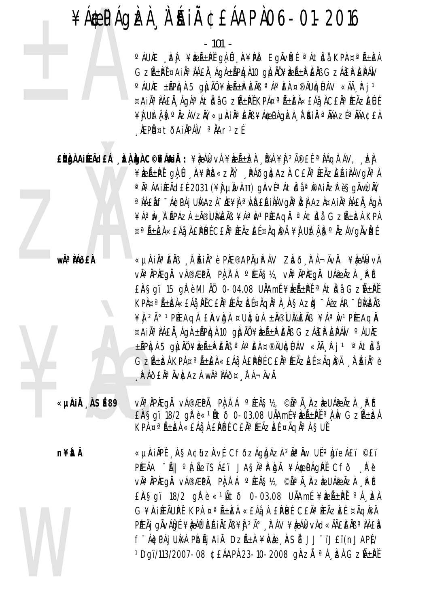$-101 -$ 

O ÁUNE DEN ¥DEѱPI GA Û A¥PIO EGNVIEL ª Á tICI KPA ¤ªÑ±IEA GZñP̤AiÀª IÁ£Ă¸ÁgÀ±ÃPIQÀ10 gļu JŨ¥IZñP EIB GZÁI£P EPÁV O ÁUNE ±ÃPICH 5 QILINO ¥IEñPENS ªÁO EN ¤®ÄUICIÚAV «Ăà P j 1 ¤AIĪ IÁEI AqlªÁt Idå GzѱPĬ KPI¤ªÑ±EI«EÁå ACEIªÆÃZEUÍ ¥Ì UItî Iş°ÄzÁVzIY «µiriĪEIB ¥Á\$PÁQIzI A RI a NAzEªÄJA¢£I **AEPÙ¤tòAIÀPÁN ªÀAr1zÉ** 

EÙÙNAIEACEÁ DA DA C©NÁNIA : ¥RÁGWA ¥RÁ±RA ÙA ¥I 2îEÍ ª NÁQITÁV, DA ¥ÈEñPĽ qì Û A¥PÕ«zÄÝ PÁðqI¢AzI C£ÄªÆÃzEAjIÁVqI¤I a jo ÁAIÉEÃOLEE 2031 (¥) LINAII) GAVÍaÁtIda a PAIAZR è SGAWIZAY a NAEN F ÁGDAI UNAZI HE¥N a NDEAINAVOÑa LEN AZI¤AIÑ ANALA AON ¥ÁªIN I APÁZI ±Ä®UMEIN ¥ÁªIN1PÆAQI ªÁtÍdi GZA±ÍZI KPI ¤ªÑ±EÀ«£Áå À £PÚÉ C£ĂªÆÃZEÉ ¤ÃQI®Ä ¥Ì UItÀ ISº ÄZÁVGÄVIZÉ

wÃ<sup>a</sup> Mõ£À

«µÀIẰªÈÄß À ĂIĂºè PhE®APõPÁV Zhð FÁ¬ÄvÄ. ¥èÁkkvÀ vàªĂPÆqÅ vÁ®ÆPÅ, PÀÀʿÁ ºÆÃ§½, vÀªĂPÆqÅ UÁ@ÀzÀ "PÕ  $E$ AŞqi 15 q $\hat{r}$ è MI AO 0-04.08 UAAmE ¥be $\hat{A}$ ± $P\hat{I}$   $^{\circ}$ At $\hat{A}$ bà Gz $\hat{A}$ ± $\hat{P}\hat{I}$ KPÀ¤ªÃ±ÈÀ«£Áå PĚC£ĂªÆÃZÈɤÃQĪÀ À§AZÀJ¯ÁèZÁR¯ÚÀ&ÈÄB ¥Ì 2ð 1PÉEAQÀ EÀVIDÀ ¤UICIVÀ ±Ä®IUIAEÄB ¥ÁªIW1PÉEAQÄ  $\approx$ Ai $\AA$ <sup>a</sup> $\AA$ £ $\AA$ <sub>.</sub>Ág $\AA$ ±Ã $P$ kg $\AA$  10 g) $\Box$  $\AA$ Ũ ¥ke $\AA$ ± $P$ k $\AA$ B GzÁ $\triangle$ E $P$ Á $N \circ \AA$ Uke ±ÃPICJA 5 QILJAŬ ¥IZñIPIEĂB ªÁºEA ¤®ÄUICJÚÁV «Ià F j 1 ªÁtICJå GzñEÀ KPÀ ¤ªÃ±EÀ «£Áå À £PÚ C£ĂªÆÃZEÉ ¤ÃQPÀ À "ŔIÀ°è A Áð£ÄªÄvÆAzÀ wêÌÁð¤ A Á¬ÄvÄ.

«µÀiÅ ÀSÉ89 vh<sup>a</sup>ňpiegň vá®æpň, příá °éã§½, ©ãªň nzèuáæňzi "pô  $E$ AŞqï 18/2 q $\mathbb{R}$ è«<sup>1</sup>Ãtõ 0-03.08 UÄAmí¥æÃ±Pť<sup>a</sup> $\lambda$ M Gzѱbe KPA ¤ªÃ±EA «EAà, A EPUE CEĂªÆÃZEE ¤ÃQĂªA SUE

**n¥itÂ** «µÀIÄPĚ ÀŞA¢ïZÀvÉ CFðzÁgbÁzÀ <sup>2</sup>ŪÄw U˰bjïeÁ£ï ©£ï PÆÃA "Ã|| º À ÃeïSÁ£ï JASĪ P bÀ ¥Á\$PÁgPĚ CFÕ P ë vàªĂPÆqÅ vÁ®ÆPÄ, PÀÀʿÁ °ÆÃ޽, ©ÃªÀ ÀZÈUÁ@ÀZÀ PÕ £AŞgï 18/2 g $\mathbb{P}$ è «<sup>1</sup>Ãtõ 0-03.08 UÄAmí ¥k $\mathbb{Z}$ ñPľ <sup>a</sup>Á kzh G¥AIÆÃUPI KPA ¤ªÃ±EA «£Áà A EPUI CEAªÆÃZEI ¤ÃQPA PÉEÃI QUVÁLO E LA APERIALABE LA 2ú FAV LA ALVA CERTE LA PAREA f Ácpái Uma Pidãi Aia Dzã±a ¥ivie , insé JJ Tjeti(nJAP)/ <sup>1</sup>Dqï/113/2007-08 ¢£ÁAPÀ 23-10-2008 qÀZĂ ªÁ EÀ GZñPĚ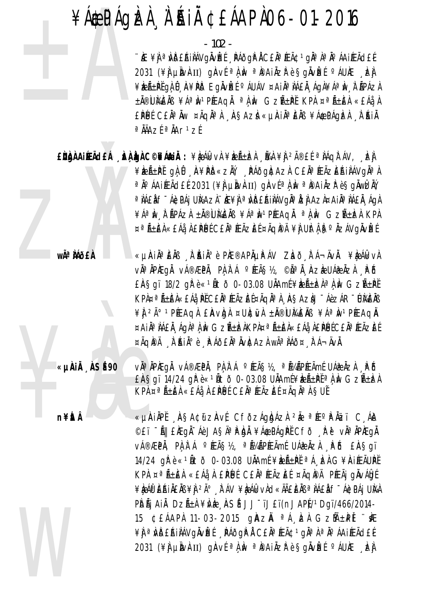$-102 -$ 

<u>WE ¥Ì a MDEAINAVQNWE NAÕQP À CEN a ÆÃC 1 gÑ a No AAIÆÃCLE</u> 2031 (\\{A} LI LI LI LI CIAVE a A AN a APAIAZA è SOAVE CAUNE EN ¥ÈLıPĚQLŮ A¥PD EQÄVÈLÉ OÁUÁV ¤AIĪJÁ£Ă ÁQI¥ÁªIW L`ÄPÁZI ±Ă®UMENS ¥ÁªM1PÆAQĂ ªÀM GZñPĚ KPA ¤ªÃ±EÀ «£ÁåÀ EPUL CEÀ<sup>a</sup> Àw ¤Ãqha À ASAZ «uniàa EAB ¥A¢PÁqIZA À AIÀ  $a \overline{M}$ Az $f a \overline{M}$ 

EÙÀNAIREACHA DEANDA C©NEANAIA : ¥RAGKVA ¥RA±DA UAA ¥A 2îEL ªNAQITAV, DEA ¥EıPĬqìÛ A¥PD«zĂ, PÁðg|¢Azì C£ĂªÆÃzEAjiAVg|ÀªA ªÄ°ÁAIÆÃd£É2031 (¥Ì µÌNÀII) gÀVɪÀ,ÌN ªÌ®AIÄZłè§gÄWÈÄÝ a NAEN F ÁGDA I UNAZN. NE¥N a MDEA INAVOÑa NZI AZN¤A INA NAEN ' ACH ¥ÁªIN I APÁZI ±Ä®UMEIB ¥ÁªIN1PÆAQI ªLIN GZA±IZI KPL ¤ªÑ±EÀ«£Áå À £PÚÉ C£ĂªÆÃZEÉ ¤ÃQI®Ä ¥Ì UItÁ ISºÄZÁVGÄVIZÉ

wê Mõ£À

«µÀin è Èn II à Àin è Phe®APnµP ÁV Zhō Fá¬Ävn. ¥è Álk vi vìª ìPÆgì vÁ®ÆPì, Pì ì Á °ÆÃ§½, ©ãª Ì ÀZÈ UÁ@ ÌZÌ ¸PĎ EASgï 18/2 gle e < 14to 0-03.08 UAAmf \et ELA a A & GzA+Pf KPA¤ªÃ±ÈÀ«£Áå PĚC£ĂªÆÃZÈɤÃQĂªÀ ASAZÀJ¯ÁèZÁR¯ÚÀGÀB ¥ 1 2ð 1 PÉEAQ A E AV Q A ¤ UNC WA ± N ® W MAIE NS ¥ A ª N 1 PÉEAQ N ¤AIĪÌÁEÄ ÁGÀªÌÌN GZñÈÀKPÀ¤ªÃ±ÈÀ«EÁå À£PÉJÉCEĂªÆÃZÈÉ ¤ÃQIPÄ À AIA^è APÁÕEĂªÄVICAZÀ WêÀÁÕ¤ A Á¬ÄVÄ.

«µÀIÄ ÀSÉ90

n¥ÈLÂ

vઠÀPAEQÀ vÁ®ÆPÀ, PÀ À Á ºÆÃS½, ªÁ¼ÃPÆÃmÉ UÁ@ÀZÀ PÕ EASqi 14/24 qrè«14to 0-03.08 UAAmE¥bentalw Gzntbal KPA ¤ªÃ±ÆA «EÁå A EPÚÉ CEĂªÆÃZEÉ ¤ÃQĂªA SUĚ

«µÀIAPĚ ASA¢űzAvÉ CfðzÁgAdáza 2à ªÆºPÄZï C ÁA ©£ï -Ã|| £ĂEQĂ-ÁèJAŞÄªÌPÀDĂ ¥Á\$PÁQPĚCFð ÌPĕVĂªĂPĂEQĂ v種PÄ, PA I Á ºÆÃ޽, ªÄ¼ÃPÆÃMÉ UÁ®ÄZA PÕ £ÄŞqï 14/24 gře « $10t\bar{t}$  0-03.08 U $\ddot{A}$ Amé ¥ $\dot{z}$ Á $\pm$ pě  $^{\circ}$ A  $\dot{z}$ A G¥ $\ddot{A}$ i KEÃU $\dot{P}$ É KPA ¤ªÃ±ÈA «£ÁåA £PÚJÉ C£ĂªÆÃZÈÉ ¤ÃQPA PÆÃj gÀVÁDE ¥ÈÁP EÁILEAS ¥L 2ð A AV ¥ÈÁIk vÀ d«ÄÄEEAS ª LÁEL f"Á¢PÁI UMA PIDÃI AIL DZñI ¥IVE ASÍ JJ<sup>-</sup>ïJ£ï(nJAPI)/1Dgï/466/2014-15 ¢£ÁAPÀ 11-03-2015 gÀZĂ ªÁ EÀ GZMEPI "KE ¥Ì ªÌJDEAIÌÁVQÄVÈÉ "PÁÕQP Å CEĂªÆÃ¢1qĪÀªÄºÁAIÉÃdEÉ 2031 (\#) unv}II) gav{ a ) in a painzre SgnvEt caure En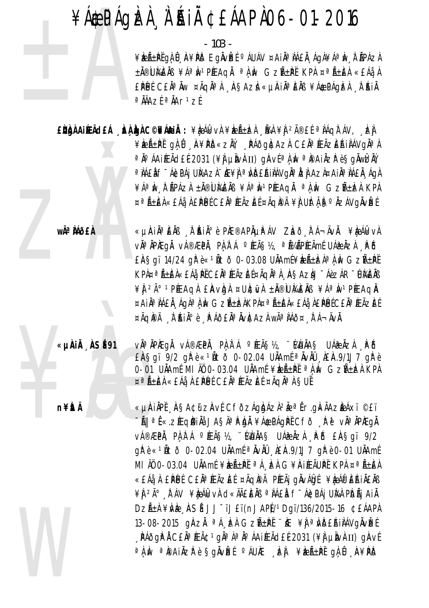$-103 -$ 

¥ÈLñPĚ QLÛ , A¥PÕ EQÄVÈLÉ ºÁUÁV ¤AIÀª LÁEĂ , ÁQÀ¥Áª ÌN , À ÁPÁZA ±Ă®UMENS ¥ÁªM1PÆAQĂ ªÀM GZñPĚ KPA ¤ªÃ±EA «£Áå A EPUL CEÀ¤ Àw ¤ÃQÀª À "ASAZÀ «µAIÀª EÀB ¥Á\$PÁgÌZÀ "À RIÀ  $a \overline{M}$ Az $f a \overline{M}$ 

¥keñPĽgĄÛ A¥PD«zŇ, PÁðg|¢AzI C£ÄªÆÃzEAiIAVgĪI ªÄ°ÁAIÆÃd£É2031 (¥ÌJ µÌNÀII) gÀVɪÀ,ÌN ªÌ®AIÄZ̺è§gÄWÊÄÝ a NAEN F ÁGDAI UNAZN HE¥N a NDEAINAVOÑ a NEN AZN¤AIÑ A NAEN A GA ¥ÁªIN I APÁZI ±Ä®UMEIB ¥ÁªIN1PÆAQI ªLIN GZA±IZI KPI ¤ªÑ±ÈÀ«£Áå À £PÚÉ C£ĂªÆÃZÈÉ ¤ÃQI®Ä ¥Ì UItÀ ISºÄZÁVQÄVIZÉ

wê MÕFÀ

«µÀin è Èn II à Àin è Phe®APnµP ÁV Zhō Fá¬Ävn. ¥è Álk vi vĂªĂPÆgÅ vÁ®ÆPÅ, PLÀ`Á °ÆÃ§½, ªÅ¼ÃPÆÃmÉ UÁ@ÀZÀ "PPŐ  $E$ AŞqï 14/24 q $\hat{F}$ è«<sup>1</sup>Ãtõ 0-03.08 UÄAmÉ¥k $E$ Á±k $\hat{A}$ a $\hat{A}$  w Gzñ $\hat{P}$ É KPA¤ªÃ±ÈÀ«£Áå¸ÞĚC£ĂªÉÆÃZÈɤÃqĂªÀ¸À§AZÀJ¯ÁèZÁR¯ÚÀ&ÈÃB ¥Ì 2ð 1PÉEAQI EÀVIDI ¤UICIVI ±I®IUIAEIB ¥ÁªIW1PÉEAQI ¤AIĪ IÁEI ÁGIª I IV GZA±DAKPI¤ªA±EA«EÁå AEPLUÉ CEIªÆÃZEÉ ¤ÃQIPÄ À AIA<sup>0</sup>è PÁÕ£ĂªÄVICAZÀ WêÀÁÕ¤ FÁ¬ÄVÄ.



n¥ÈtÂ

vàªÀPÆQÅ vÁ®ÆPÅ, PAÀ`Á °ÆÃ޽, "KAUÀAŞ UÁ@ÀZA PÕ  $E$ AŞqï 9/2 q $\mathbb{R}$ è « $1$ Ãtð 0-02.04 UÄAmí  $\alpha$ ÄvÄÛ AEA.9/1J7 q $\mathbb{R}$ è 0-01 UÄAmE MI AÖ 0-03.04 UÄAmE ¥REıPE a A Av GZAEEZA KPA ¤ªÑ±ĔÀ «£Áå À £PÚÉ C£ĂªÆÃZÈÉ ¤ÃQĂªÀ §UĚ

«µÀIÀPĚ AŞA¢üzÀvÉ CfðzÁgÀdÁz̺Å ªÉr.gkÃAzÈÁxï ©£ï -ÃII ªĹ«.ZÆQIAIÄå JASĪP.bIÄ ¥Á\$PÁQPĚCFð RěviĪÄPIEQĂ vá®æpi, pili á °Æã§½, "kiujas uáæizi .pó £iasgi 9/2 qřè«<sup>1</sup>Ñtð 0-02.04 UÄAmí<sup>a</sup> ÄvÄÜ AEA.9/1J7 qřè0-01 UÄAmí MI ÄÖ 0-03.04 UÄAmÉ¥ELıPĚ <sup>a</sup>Á EA G¥ÄIÆÃUPĚ KPA ¤<sup>a</sup>ıEA «£Áå À £PÚ É C£Äª ÆÃZE ɤÃQI®Ä PÆÃj gÄvÁIg É¥Ie ÁO EŘIÄ£Äß ¥Ì <sup>2ð</sup> È ÁV ¥È ÁI VÀ C «ÄÃE E ÀB ª Ì ÁE À fī Á E PÁ J U LA PIDÃI AI À DZñÀ ¥NÈ ASÍ JJ<sup>-</sup>ïJ£ï(nJAP)/1Dqï/136/2015-16 ¢EÁAPA  $13-08-2015$  ginzi  $^{\circ}$  h izi Gzñ±pi  $^{\circ}$ ie ¥i  $^{\circ}$ i beni avgivizi , PÁÕGP A CEĂ<sup>a</sup> ÆÃ¢ 1 gha a a o ÁAIÆÃ dE 2031 (¥A LIN) HA VE a A M a Painzpè Sgivlet aux de ven freñ±Pt ga û A¥PD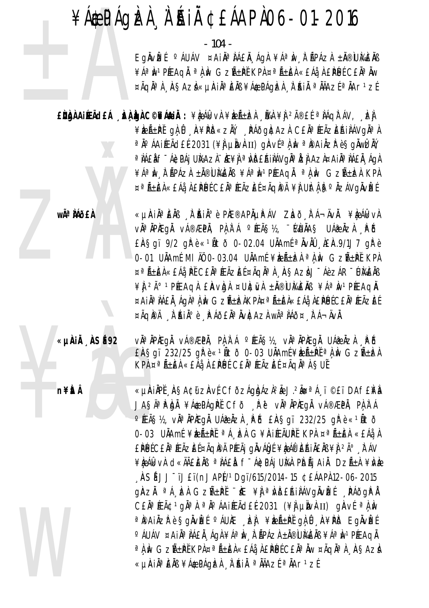$-104 -$ 

EgÄvIEÍ <sup>o</sup> ÁUÁV ¤AIĪ JÁEI "ÁgA ¥Áª Iv "A ŘPÁZA ±Ä®IUMEIB ¥ÁªIN1PÆAQI ªLIN GZñPĚ KPL¤ªÃ±EL«£Áå LPLUÉ C£ĂªIW ¤ÃQĪ) AŞAZÌ«µÀIĪÈÄB¥Á\$PÁQÈÀ Ì'ÁIÄ ªÄÄAZɪÄAr1zÉ

EÙÙÀ AIREACH AN LO COMANN : \RA AIRVA \REA LEA AN \A ZA®EI ª AAQIT AV, LEA ¥keñ±Pťg) û A¥PD«zŇ, PÁðg|cazi C£ÄªÆÃzEAiÌÁVgĪÀ ªÄ°ÁAIÆÃd£É2031 (¥ÌJ µÌNÀII) gÀVɪÀ,ÌN ªÌ®AIÄZłè§gÄWÈÄÝ a NAEN E - AGEPAI UNAZA DE¥N A NDERINAVONA IZI AZA¤AINA NAEN AQA ¥ÁªIW I APÁZI ±Ä®UIKEIB ¥ÁªIWPÆAQI ªLIW GZA±IZI KPI ¤ªÑ±EÀ«£Áå À £PÚÉ C£ĂªÆÃZEÉ ¤ÃQI®Ä ¥Ì UItÀ ISº ÄZÁVQÄVIZÉ

**wÃ<sup>a</sup>MÃfÀ** 

«µÀIN¤ÈNB N AINI¤ è PIE®APNUPAV ZIað FÁ¬ÄvN. ¥IQÁIkvA vàªÄPÆgÅ vÁ®ÆPÅ, PA,À`Á °ÆÃ§½, ''¼ÙÄA§ UÁ@ÀZÀ "PÕ EASqi 9/2 qre < 10to 0-02.04 UAAmE a VAO LEA.9/1J7 qre 0-01 UÄAmÉMIÄÖ 0-03.04 UÄAmÉ¥ ké A±ka a A M GzAEPĚKPA ¤ªÑ±ÈÀ«£Áå, PĽ C£ĂªÆÃZÈɤÃQĂªÀ , ÀSAZÀJ¯ÁèZÁR¯ÚÀÈÄß ¥ Î 2ð 1 PÉE AQ A E AV DA ¤ UNC NO ± NOUME NO ¥Aª NO 1 PÉE AQ NO ¤AIĪ ÀÁEĂ AQAª À Àv GZѱÀKPA¤ª ñÈÀ«£Áå À£PÚEC£Ăª ÆÃZÈE ¤ÃQI®Ä À AIA^è APÁÕ£ĂªÄvICAZÀ wêÀÁÕ¤ A Á¬ÄvÄ.

«µÀiÀ ÀSÉ92

n¥ÈrÂ

vì<sup>a</sup> ìpiegì vá®æpì, pì ì á °íeãs½, vìªìpiegì uáæìzì . Pô  $E$ AŞqï 232/25 q $\hat{R}$ è«<sup>1</sup>Ãtõ 0-03 U $\hat{A}$ Amí¥æÃ $\pm \hat{P}$ i $\hat{P}$ a $\hat{A}$ w GzÑ $\pm \hat{P}$ A KPA ¤ªÃ±IEA «£Áå¸À £PÉJÉ C£ĂªIEÃZIEÉ ¤ÃQĂªÀ §UĚ

«µÀIÀPĚ ASA¢ü zAvÉ CFÕzÁgÀdÁzÀ2 J.2¤ªÁ ï ©£ï DAF£À JAŞÄ<sup>a</sup>PU ¥ACPAQPI CFÕ PU vÄ<sup>a</sup>NPAQI vA®ÆPI, PLIA °ÆÃ޽, vÀªÀPÆgÀ UÁæÀzÀ RĎ £AŞgï 232/25 grè«1Ãtð 0-03 UÄAmÉ ¥REıPĚ ªÁ RA G¥AIÆÃUPĚ KPA ¤ªÃ±EA «£Áå A £PÚ ECE Na ÆÃZE E ¤ÃQIPA PÆÃJ QNVÁDE ¥I AO ERINENS ¥I 2ú FAV ¥ÈÁK VÀ C «ÄÃEEAR ª AÁEA F ÁCPÁI UNA PIOÃI AIA DZñA ¥IVE ASÍ JJ<sup>-</sup>ïJ£ï(nJAPÍ/1Dqï/615/2014-15 ¢£ÁAPÌ 12-06-2015 ghzh <sup>a</sup>á bà Gzñ±pí k ¥j avbehinávgňvízí páðgri CEN<sup>a</sup> FEÃC 1 gNa A a No AAI FEÃCIELE 2031 (\#) plv AII) gAV E a A No ªPAIÄZPè§gÄvÈEÍ ºÁUÆ "ÈLJI ¥ÈZñPĚ gÌ JI A¥PIð EgÄvÈEÍ °ÁUÁV ¤AIĪÌÁ£Ă ÁGÀ¥ÁªÌN À ÃPÁZÀ±Ă®Ù}À£ÀB¥ÁªÌN1PÉEAGÀ a ) Iv GzñPĚ KPA ¤a ñEA «£Áå A £PÚÉ C£Ăa Aw ¤ÃqĂa A "ASAzA «µÀIÀªÈÀB ¥Á¢PÁQÞÀ À AIÀ ªÀÄAZÉ ªÀAr1ZÉ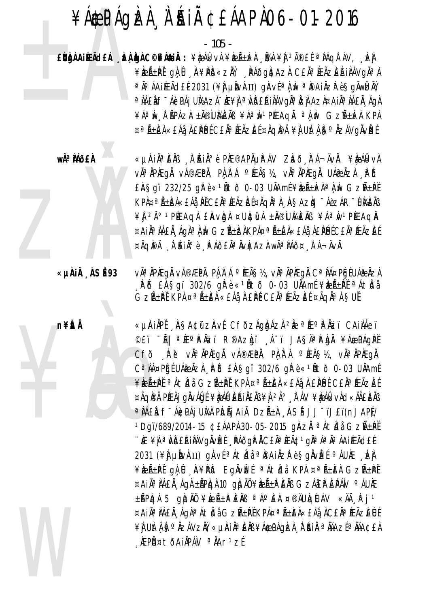# ¥Á EPÁQIZI À A SAI CEÁAPIO6-01-2016

 $-105 -$ 

EÙÙÀ AIREACH AA LO COMÁNIA : ¥R ÁR VI ¥R ÁH LA NA ¥J 2îE É ª NÁQITÁV, RA ¥ÈEñPĽ gìÛ A¥PD«ZIV PÁÕgICAZI CEIAªÆÃZEŔIIAVGIAªI a jo áaifeãd£é 2031 (¥) µjvi II) giavíai ma pai jz pesgiwiziv a NAEN F ÁGDAI UNAZN HE¥N a NDEAINÁVON a ÍZN AZN¤AIN A NAEN AON ¥ÁªIN I APÁZI ±I®UMEIB ¥ÁªIN1PÆAQI ªI IN GZA±IZI KPI ¤ªÑ±ÈÀ«£Áå À £PÚÉ C£ĂªÆÃZÈÉ ¤ÃQIPÄ ¥Ì UÌtÅFS°ÄZÁVQÄVÌZÉ

wê MÕ£À

«µÀIẰªÈÄß À ĂIĂºè PIÆ®APĵPÁV ZLað tá¬ÄvÄ. ¥LeálkvÀ vĂªĂPÆqÅ vÁ®ÆPÄ, PÌ,À`Á °ÆÃ§½, vĪÄPÆqÅ UÁ@ÅzÀ . P`Õ  $E$ AŞqï 232/25 q $\mathbb{R}$ è«<sup>1</sup>Ãtõ 0-03 U $\lambda$ Amí¥èzñèzÀ<sup>a</sup> $\lambda$ ÀW Gzñèl̃ KPÀ¤ªÃ±ÈÀ«£Áå, PĚC£ĂªÆÃZÈɤÃQĂªÀ, ÀSAZÀJ¯ÁèZÁR¯ÚÀAÈÄß ¥ Î 2ð 1 PÉE AQ A E AVIO A ¤ UICIVA ± NO UIVA E NS ¥Áª NO 1 PÉE AQ N ¤AIĪÌÁ£Ă¸ÁgÀªÌ,Ìv GzñÌzÀKPÀ¤ªÃ±ÈÀ«£Áå¸À£PĹŰĆ£ĂªÆÃZÈÉ ¤ÃQPÄ À AIA°è PÁÕEĂªÄvÆAZÀ wêÀÁÕ¤ FÁ¬ÄvÄ.

«µÀIÄ ÀSÉ93

**n¥itÂ** 

v˻ ÀPÆQÅ vÁ®ÆPÀ, PÀ À Á °ÆÃS½, vÀª ÀPÆQÅ Cª ÀÁ¤PGEUÁ@ÄZÀ PD EASqi 302/6 qi e < 14to 0-03 UAAmi \telit a Atida GZıPĚ KPA ¤ªÁ±EA «£Áå A £PÉ C£ĂªÆÃZEÉ ¤ÃQĪA SUĚ

«µÀIÀPĚ AŞA¢ữZAvÉ CfðzÁgbÁz) 2Å ªÆºPÄZï CAILÁeï ©£ï -Ã|| ªÆºPÀZï R®Azdjï "Á∵ï JAŞÄªP.djÄ ¥Á\$PÁgPĚ CFO RU VIAPIEGI VA®ÆPI, PARA PEÃS12, VIAPIEGI C<sup>a</sup> IA¤Pbi UA@ AzI PD EASqi 302/6 qP è «1Ato 0-03 UAAmi ¥ÈıPĚ ªÁtNå GZѱPĚ KPÀ ¤ªÑ±ÈÀ «£Áå À £PÚÉ C£ĂªÆÃZEÉ ¤ÃQÌ®Ä PÉEÃj QINAÛQÉ ¥ILAÎ EAJÄEINS ¥IL 2ð ET ÁV ¥ILA(KN)d«ÄÃEIEINS <sup>a</sup>náen f<sup>-</sup>ácpáj Uma Pidãj Ain Dzã±a "Así JJ-ïJ£ï(nJAP)/ <sup>1</sup>Dqï/689/2014-15 ¢£ÁAPÀ 30-05-2015 qÀZĂ ªÁtbà GzñPĚ <u>WE ¥Ì a MDEAINAVQNVEE NAOQRICEÀ ESTE LON A LO AAIRACEE</u> 2031 (¥I LINAII) GAVÍ <sup>a</sup> Átidi <sup>a je</sup> Ailizi è Sgluizi <sup>o</sup> Áulie izi ¥ÈıPĚ QLŮ A¥PD EQÄVEÉ ªÁtIdå KPA ¤ªÃ±EA GZñPĚ  $\propto$ Ai $\AA$ <sup>a</sup> $\AA$ A $\AA$ , Ág $\AA$  ±Ã $P$ Ìg $\AA$  10 gì $\AA$ i $\AA$ ) ¥ì $\epsilon$ Ã $\pm$ i $P$  E $\AA$ s G $\geq$ Á $\pm$ i $P$  E $P$ Á $V$   $\circ$  ÁU $\Lambda$ E ±ÃPICH 5 GILIND ¥IELñPENB ªAºEH ¤®ÄUICIÚAV «Äà F j 1 ¤AIĪ IÁEI Aqlª Át Idå GzѱPĚ KPl¤ªÑ±El«EÁå ACEIª ÆÃZEUE ¥Ì UItî iş°ÄzÁVzIY, «µiri ila elis ¥Á¢PÁqizì , I â ki a naze a na¢eì **EPܤtðAIÄPÁN ªÄAr1zÉ**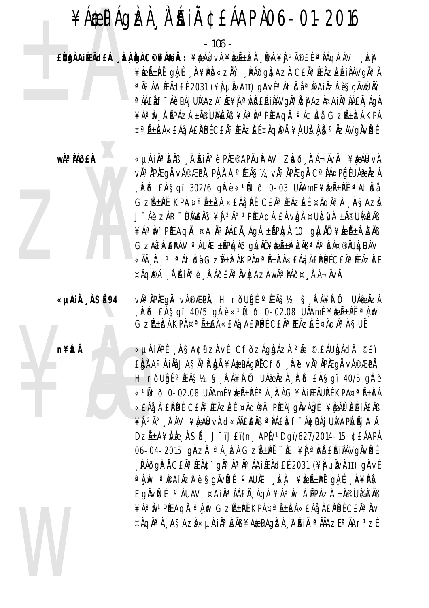$-106 -$ 

EÙÙA AIREACH AR LUA C©NA AIN : ¥ÈA AGUN ¥ÈA LEA AN ¥Ì 2î EL ª NAQIT AV, LE ¥ÈEñPĽ gÌ Û A¥PD«ZIÝ AAÕgICAZI CEIAªÆÃZEŔIIAVGIAªI ªÄ°ÁAIÆÃd£É2031 (¥) µÌNAII) gÀVɪÁtÍdåªÞAIÄZÌP èSgÄWÍZĂÝ a NAEN F ÁGDAI UNAZN HE¥N a NDEAINÁVON a ÍZN AZN¤AIN A NAEN AON ¥ÁªIN I APÁZI ±I®UMEIB ¥ÁªIN1PÆAQI ªÁtIdi GZA±IZI KPI ¤ªÑ±ÈÀ«£Áå À £PÚÉ C£ĂªÆÃZÈÉ ¤ÃQIPÄ ¥Ì UÌtÅFS°ÄZÁVQÄVÌZÉ

wê MÕ£À

n¥itÂ

«µÀIẰªÈÄß À ĂIĂªè PìÆ®APõPÁV Zhð tá¬ÄvÄ. ¥è ÁlkvÀ v˻ ÀPÆqÅ vÁ®ÆPÀ, PÀ À Á °ÆÃ§½, vÀª ÀPÆqÀ Cª ÀÁ¤PÉJÉ UÁ@ ÀZÀ P & EASqi 302/6 q Pè « 14 to 0-03 UAAmi ¥keht a Atida GZıPĬ KPA ¤ªÃ±EA «£Áå PĬ C£ĂªÆÃZEÍ ¤ÃQĪA ASAZÀ J-Áè ZÁR-UMENS ¥Ì 2ð 1PÆAGÀ EAVDA ¤UNEWA ±N®UMENS ¥ÁªIw1PEEAQI ¤AINªIAEN ÁQI ±APIQI 10 QILINU ¥IEA±PENS GZÁJEP EPÁV <sup>o</sup> ÁUAE ±ÃPAJA5 gÀJĂŬ¥AEıP EÄB ªÁº EÀ¤®ÄUAJÚÁV «Äà R j 1 ªÁtbå GzñbàKPपñÈÀ«£Áå À£PÚÉC£ÀªÉÃZÈÉ ¤ÃQIPÄ À AINº è PÁÕEN<sup>a</sup> NVICAZI WÃ<sup>a</sup> NÁÕ¤ FÁ¬ÄVI.

vàªÀPÆqÀ vÁ®ÆPÀ, HrðUbí ºÆÃ޽, Ş.PÁ¥À Öt UÁæÀZÀ «µÀiÄ ÀSÉ94 PD EASqi 40/5 qrè «1Ñto 0-02.08 UNAmé ¥bent) a Av GZñÈLÀ KPA ¤ªÃ±ÈÀ «£Áå¸À £PÚÉ C£ĂªÆÃZÈÉ ¤ÃQĂªÀ SUĚ

> «µÀIẰPĚ "ÀSA¢ữZÀvÉ CFÕZÁgÀJÁZÀ <sup>2</sup>Ă ©.£ÁUÀJÁdÄ ©£ï EIDIN A° IAI IASA®IDI ¥ACPÁGIPI CFÕ "IR II. VÄ®IPIEGI VÁ®ÆPI, H rõugí "ÆÃ޽, § PÁ¥I Öt UÁRÄZI PÕ EAŞQI 40/5 grè «<sup>1</sup>Ñtð 0-02.08 UÄAmÉ¥ÞEѱPĚªÁ, ÞA G¥AIÆÃUPĚKPA¤ªÑ±EA «£Áå À £PÚ É C£Ăª ÆÃZE ɤÃQI®Ä PÆÃj gÄvÁ0dÉ¥beÁlP EÁ JÄ£ÄB ¥Ì 2ð À ÁV ¥È ÁL VÀ d«ÄÃEÈÀB ª LAEL F-ÁCPÁJ ULA PIDÃJ AIÀ DZıÀ ¥MÈ ASÍ JJ<sup>-</sup>ïJ£ï(nJAPÍ/1Dgï/627/2014-15 ¢£ÁAPÀ 06-04-2015 ghzh <sup>a A</sup> E Gzh+Pi i E ¥j a Wbeaulavgiver , PÁðgP Á C£Ăª ÆÃ¢ 1 gĂª À ª Ăº ÁAIÆÃd£É 2031 (¥) µIVAII) gAVÍ a î.N. a îpaiăzi e sgăviei aluke de veri-pi gi î. A¥Po Eqnvir( OAUAV ¤AINONAEN Aga ¥AON A APAZA ±N®UMENB ¥ÁªIN<sup>1</sup>PÉEAQI ªLIN GZA±PĚ KPL¤ªA±EL«£Áå LEPLUÉ C£IªIW ¤ÃQĪÀ AŞAZÌ«µÀIĪEÄB¥Á\$PÁQÈÀ À'ÁIÄ ªÄÄAZɪÄAr1ZÉ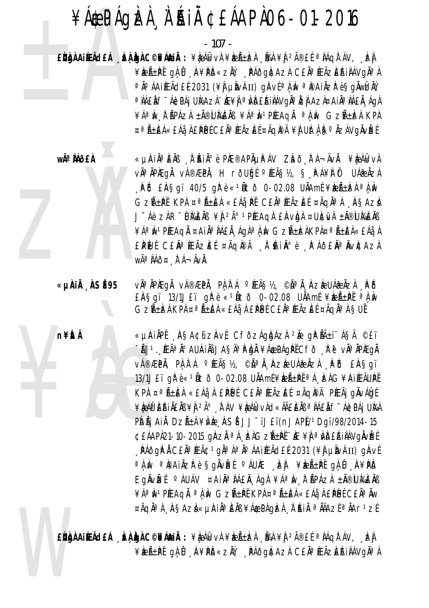# ¥Á EPÁQIZI À A SAI CEÁAPIO6-01-2016

 $-107 -$ 

EÙÙA AIRACEÁ DA LO DEÁLAIA : ¥LA ÁL VÀ ¥LA LEA NA ¥LA 2îEÍ ª NAQITÁV, DE ¥ÈEñPĽ gìÛ A¥PD«ZIV PÁÕgICAZI CEIAªÆÃZEŔIIAVGIAªI ªÄ°ÁAiÆÃd£É2031 (¥∯µÌNv⊩II) gÀVɪÌ, Nº ªÌ®AiÄZP è§gÄWEÀŸ, a NAEN F ÁGDAI UNAZN HE¥N a NDEAINÁVON a ÍZN AZN¤AIN A NAEN AON ¥ÁªIN I APÁZI ±I®UMEIB ¥ÁªIN1PÆAQI ªI IN GZA±IZI KPI ¤ªÑ±ÈÀ«£Áå À £PÚÉ C£ĂªÆÃZÈÉ ¤ÃQIPÄ ¥Ì UÌtÅISºÄZÁVQÄVÌZÉ

wê MÕ£À «µÀiĂªÈĂB , À Ăiðè PIÆ®APõPÁV ZLað, FÁ¬ÄvÄ. ¥LgÁlkvÀ v˻ĂPÆgÅ vÁ®ÆPÄ, HrðUģÉ ºÆÃ§½, §¸ÞÁ¥À Öt UÁæÅzÀ PD EASgi 40/5 gPè < 14to 0-02.08 UAAmE \ELELER a A AV GZıPĬ KPA ¤ªÃ±EA «£Áå PĬ C£ĂªÆÃZEÍ ¤ÃQĪA ASAZÀ J-Áè ZÁR-UMENS ¥J 2ð 1PÆAGA EAVDA ¤UNEWA ±N®UMENS ¥ÁªÌN1PÆAQI ¤AIIªIAEI AQIªLÌN GZѱÈLAKPR¤ªÑ±EL«EÁåL £PŨJÍ CEŇªÆÃZÆÍ ¤ÃQÆÄ SN'ÁNIҰè SPÁÕEŇªŇVÆAZA WÃ<sup>a</sup> ÀÁÕ¤ À Á-ÄVÀ.

«µÀIÄ ÀSÉ95 vઠÀPÆqå vá®ÆPÀ, PÀ À Á ºÆÃ޽, ©Ãª À ÀZÈ UÁ@ ÀZÀ PĎ  $E$ AŞqï 13/1J£ï q $\hat{R}$ è «<sup>1</sup>Ñtð 0-02.08 UNAmí ¥keѱ $\hat{P}$ ľ <sup>a</sup> $\hat{R}$  N GZñÈLÀ KPÀ ¤ªÃ±ÈÀ «£Áå À £PÙÉ C£ĂªÆÃZÈÉ ¤ÃQĂªÀ SUĚ

n¥itÂ

«µÀIAPĚ ASA¢ữZAVÉ CFÕZÁQQÁZÀ 2Ă gPLñï ÁSA ©ET -Ã|| 1. ÆÃªĂ° AUÀIÅå JASĪÌPÀDÀ ¥Á\$PÁQÌPĚCFð Å ë vĂªÄPÆQÀ v種PÀ, PÀÀ`Á °ÆÃ޽, ©ÃªÀ`AzèUÁæÀzÀ `FŐ £AŞgï 13/1JEï qirè«<sup>1</sup>Ätõ 0-02.08 UÄAmÉ¥keñPĚ<sup>a</sup>Á, keÀG¥AiÆÃUPĚ KPA ¤ªÃ±ÈA «£ÁåA £PÚJÉ C£ĂªÆÃZÈÉ ¤ÃQPA PÆÃj gÀVÁDE ¥ÈÁP EÁILEAS ¥Ì 2ð À ÁV ¥ÈÁIk vÀd«ÄÃEEAS ª LÁEL f"Á¢PÁI UNA PIDÄI AIÄ DZıA¥NE ASÍ JJ<sup>-</sup>ïJ£ï(nJAPÍ/1Dqï/98/2014-15 ¢£ÁAPÀ21-10-2015 gÀZĂ ªÁ EIGZñPĚ E ¥I ªINDEAIIÁVGÄVEÉ "PÁðgPÅ C£ÄªÆÃ¢1gĪÀªÄ°ÁAiÆÃd£É2031 (¥) µIv}II) gAvf a A M a Painzh e Sgivizí a Aune da Fréi-Píga i A¥PD EgÄvIEÍ <sup>o</sup> ÁUÁV ¤AIĪ JÁEÄ ÁgA ¥Áª M J LÄPÁZA ±Ä®IUMEÄB  $\angle A^{\alpha}$ iv<sup>1</sup> Píeach<sup>a</sup>i iv Gzñ $\pm$ Pi Kpi ¤<sup>a</sup>ñ $\pm$ Ei «£Áå i EPilí C£Ä<sup>a</sup>i v ¤ÃQĪ) AŞAZI«µAIĪEÄB¥Á@PÁQIZI À AIÄ ªÄÄAZEªÄAr1ZE

EUMAH AIREACHA DEA ADA C©PÁNHA : ¥RÁKVA ¥RÁ±DA DA ¥A 2îEL ª AÁQA ÁV, DEA ¥ÈEñPĚ gÀ Û A¥PD«ZŇ, PÁÕgICAZI CEĪÆÃZEŔIIÁVGIªI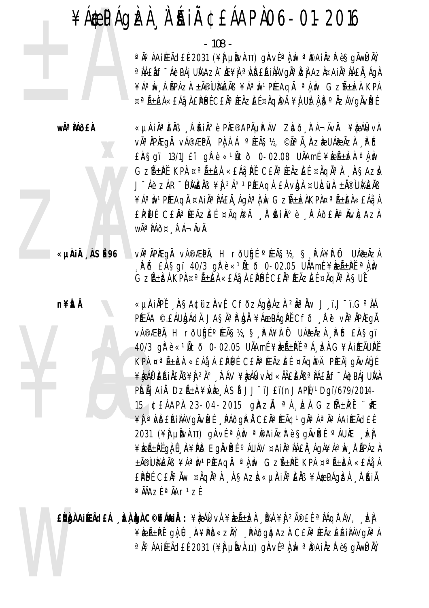$-108 -$ 

ªÄ°ÁAiÆÃd£É2031 (¥jj µÌN}II) gÀV{ªÌ N ªPAIÄZłè§gÄWEÄÝ a NAEN F ÁGDAJ UNAZN. NE¥N a NDERINAVONA NZI AZN¤AINA NAEN ÁGN ¥ÁªÌN Ì ÃPÁZÌ ±À®ÙÌGÈÀB ¥ÁªÌN1PÉEAQÀ ªÌ ÌN GZñÌZÌ KPÀ ¤ªÑ±ÈÀ«£Áå À £ÌPLIÉ C£ĂªÆÃZÈɤÃQIPÄ¥Ì UÌtÀ FSºÄZÁVQÄVÌZÉ

wêÀÁð£À

«µÀIN¤ÈNB N AINI¤ è PIE®APNUPAV ZIað FÁ¬ÄvN. ¥IQAGvA vઠÀPÆqå vÁ®ÆPÀ, PÀ À Á ºÆÃ޽, ©Ãª À ÀZÈ UÁ@ ÀZÌ PÕ  $E$ AŞqï 13/1J£ï q $\hat{F}$ è «<sup>1</sup>Ãtõ 0-02.08 UÄAmí ¥keñke <sup>a</sup> A w GZıPĬ KPA ¤ªÃ±EA «£Áå PĬ C£ĂªÆÃZEÍ ¤ÃQĂªA ASAZA J-Áè ZÁR-UMENS ¥I 2ð 1 PÉRACIA EAVAI ¤UNEWA ±N®UMENS ¥ÁªÌN1PÆAQI ¤AIIªIAEI ÁQIªLIN GZA±EIKPI¤ªA±EI«EÁLI EPŨJÍ CEĂªÆÃZEÍ ¤ÃQÆÄ ĮÌ AIѺè ĮPÁÕEŇªŇVÆAZA WÃ<sup>a</sup> ÀÁð¤ À Á-ÄVÀ.

«µÀIÄ ÀSÉ96 vàªÀPÆgÅ vÁ®ÆPÀ, HrðUģÉ ºÆÃ޽, Ş PÁ¥À Öt UÁ@ÀZA

n¥ÈtÂ

 $\frac{1}{2}$ P & ENSgi 40/3 g Pè «  $\frac{1}{2}$  U  $\frac{1}{2}$  O - 02.05 UNAme ¥ E A + P  $\frac{1}{2}$  a  $\frac{1}{2}$  W GZñÈLÀ KPA ¤ªÃ±ÈÀ «£Áå¸À £PÙÉ C£ĂªÆÃZÈÉ ¤ÃQĂªÀ SUÉ «µÀIÄPĚ ASA¢űzAvÉ CFðzÁgbÁzÀ <sup>2</sup>êÄw J ï.J ï.GªÀÁ PÆÃA ©. EÁU DÁCIA JASA PIDA ¥Á CPÁGPI CFO RU VIA APREGI V種PÄ, H rðUģÍ ºÆÃ޽, Ş PÁ¥Ì Öt UÁ@ÄZÌ PÕ £ÄŞgï 40/3 gřè «<sup>1</sup>Ätð 0-02.05 UÄAmí ¥keرPĚ <sup>a</sup>Á kel G¥RIÆÃUPĚ KPA ¤ªÃ±ÈA «£Áå A £PÚJÉ C£ĂªÆÃZÈÉ ¤ÃQIPA PÆÃI QIVAIDE ¥ÈÁP EÁILEÀB ¥Ì 2ð E ÁV ¥ÈÁIk vÌd«ÄãÈÄB ª IÁ£Ì fīá¢PÁj UÌVA PIDÃI AIL DZñI ¥NE ASÍ JJ<sup>-</sup>ïJ£ï(nJAPI)/1Dgï/679/2014-15 CEÁAPA 23-04-2015 GAZA <sup>a</sup> Á EA GZMEPI "KE

¥) <sup>a</sup> WDEAIIAVGÄVEE NAÕGPI CEIAREAC1 GIARA PIO AAIÆÃCLE 2031 (\\{A} LINO\{ II) QAV{ a} M a PAIAZP è SQAVE ( cAU) EA ¥ÈLıPĚGÀÛ A¥PD EGÄVELÍ Ó ÁUÁV ¤AIĪLÁEL ÁGÀ¥ÁªIN LÉPÁZA ±Ă®UMEÄB ¥ÁªM1PÆAQÄ ªÀM GZıPĚ KPA ¤ªÄ±EA «£Áå A EPUL CEÀ<sup>a</sup> Àw ¤Ãqha À ASAZ «uniàa EAB ¥A¢PÁqIZA À AIÀ  $a$   $\ddot{A}$   $\ddot{A}$   $\ddot{A}$   $\ddot{A}$   $\ddot{A}$   $\ddot{A}$   $\ddot{A}$   $\ddot{A}$   $\ddot{A}$   $\ddot{A}$   $\ddot{A}$   $\ddot{A}$   $\ddot{A}$   $\ddot{A}$   $\ddot{A}$   $\ddot{A}$   $\ddot{A}$   $\ddot{A}$   $\ddot{A}$   $\ddot{A}$   $\ddot{A}$   $\ddot{A}$   $\ddot{A}$   $\ddot{A}$ 

EÙÙÀ AIRACEÁ DA LO C©NÁAIA : ¥LA ÁR VA ¥LA LA LA VA ¥A 2îEÍ ª AÁQITÁV, DA ¥keñPĽgĄÛ A¥PD«zŇ, PÁðg|¢AzI C£ÄªÆÃzEAiIAVgĪI ªÄ°ÁAIÆÃd£É2031 (¥Ì µÌNÀII) gÀVɪÀ,ÌN ªÌ®AIÄZ̺è§gÄWÈÄŸ,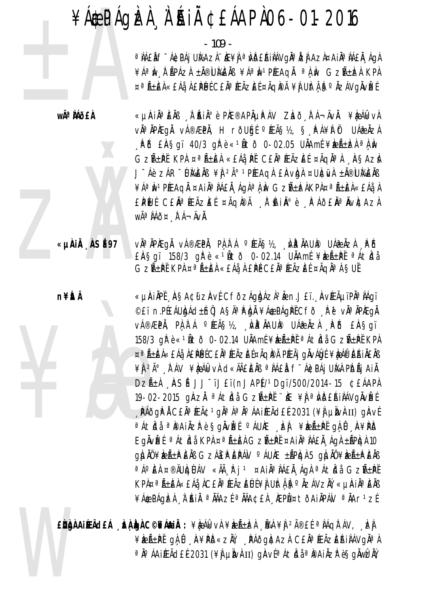$-109 -$ 

a NAEN F ÁGDAJ UNAZN. NE¥N a NDEAINAVONA NZI AZN¤AINA NAEN ÁGN ¥ÁªIN I APÁZI ±Ä®UKEIB ¥ÁªIN1PÆAQI ªLIN GZA±IZI KPI ¤ªÑ±EÀ«£Áå À £PÚÉ C£ĂªÆÃZEÉ ¤ÃQIPÄ ¥Ì UÌtÅBºŇZÁVQÄVÌZÉ

wêÀÁðfÀ

«µÀIN¤ÈNB À AIN» è PIE®APNUPÁV ZIað FÁ¬ÄvN. ¥Ie ÁlkvA v˻ÀPÆgÅ vÁ®ÆPÀ, HrðUģÉ ºÆÃ§½, § PÁ¥À Öt UÁæÀzÀ  $R$   $\tilde{D}$   $ER$   $S$ qï 40/3 q $R$ è « $1\tilde{A}$ to 0-02.05 U $\tilde{A}$ Amf ¥k $\tilde{E}$  $AE$ a $A$   $M$ GZıPĬ KPA ¤ªÃ±EA «£Áå PĬ C£ĂªÆÃZEÍ ¤ÃQĂªA ASAZA J-Áè ZÁR-UMENS ¥Ì 2ð 1PÆAGÀ EAVDA ¤UNEWA ±N®UMENS ¥ÁªÌN1PÆAQI ¤AIIªIAEI ÁQIªLÌN GZѱÈLKPL¤ªÑ±EL«EÁ¿L EPŨJÍ CEŇªÆÃZÆÍ ¤ÃQI®À SH`ÚAINº è SPÁÕENªNVICAZA WÃ<sup>a</sup> AÁÕ¤ FÁ¬ÄVÀ.

vìª ìPìEgì vá®ÆPì, Pì,ì Á °ÆÃS½, ¸ù₽ ÌAUP UÁ@ Ìzì ¸P`Õ  $E$ AŞqï 158/3 q $\mathbb{R}$ è «1Ãtõ 0-02.14 UÄAmí ¥keñPť a Átida GZÃIP KPA ¤ªÃIEA «EÁå, À EPÉ CEÀªÆÃZEE ¤ÃQÀªA SUE

«µÀIÄPĚ, ÀSA¢ű zÀvÉ CfðzÁgÀdÁz̺à n.J£ï, ÀvÆÃµïPĂªÌÁgï ©£ïn.PÉEÁUÒdÁd±ÍnŰJAŞÄªÌPÌdĂ ¥ÁODPÁQÌPĚCFð "ÌPĕ vĂªÄPĬEQĂ v種PÄ, PAÀ`Á °ÆÃS½, WPÄAUP UÁ®ÄZÀ RÕ £ÄSgï 158/3 gPè«<sup>1</sup>Ätð 0-02.14 UÄAmí¥beñPťªÁtidå GzѱPť KPA ¤ªÃ±EÀ«£Áå À£PÉJÉC£ĂªÆÃZEɤÃQI®Ä PÆÃj qÄvÁԢɥèÅ®EŔjÄ£Ăß ¥Ì <sup>2ð</sup> À ÁV ¥È ÁI XVÀ CI «HA ELLA <sup>a</sup> TAELA F-ÁICPÁI UNA PIDÃI AI A DZıÀ ASÍ JJ<sup>-</sup>ïJ£ï(nJAPÍ/1Dqï/500/2014-15 ¢£ÁAPÀ 19-02-2015 gÀZH <sup>a</sup> Átidi GzѱPĚ HE ¥Ì a við EA II ÁVgIvizE , PÁðgP Å C£Ăª ÆÃ¢ 1 gĂª Àª ĺ ÁA iÆÃd£É 2031 (¥) µIvÅ II) gAvÍ a Aticia a parinzir è Sonvizi dalla che di strende di fatti di artico Eglvet <sup>a</sup> átidi KPA ¤<sup>a</sup> Á±ich GzÁ±i ¤Ajla Láfi Ágh ±ápigh 10  $Q$  which the same state of  $\mathbb{Z}$  and  $\mathbb{Z}$  and  $\mathbb{Z}$  and  $\mathbb{Z}$  and  $\mathbb{Z}$  and  $\mathbb{Z}$  and  $\mathbb{Z}$  and  $\mathbb{Z}$  and  $\mathbb{Z}$  and  $\mathbb{Z}$  and  $\mathbb{Z}$  and  $\mathbb{Z}$  and  $\mathbb{Z}$  and  $\mathbb{Z}$  and  $\mathbb{Z}$  an a Áo EL ¤®ÄUIQUÁV «Äà Fj<sup>1</sup> ¤Ail<sup>a</sup> LÁEL Ágl a ÁtIdi GZѱPĚ KPA¤ªÃ±ĒA«£Áå AC£ĂªÆÃZĒŨĹ¥À UÆA SºÄZÁVZĂ, «µAIĪÈÄB ¥Á&PÁGIZA À RIL <sup>a</sup> HAZE <sup>a</sup> HA¢EA REPI ¤ tÕAIAPÁV <sup>a</sup> HAr<sup>1</sup>zE

EÙÙA AIÆÃCEÁ . È À LO C©NÁ AIA : ¥L ÁL vÀ ¥L ñLZÀ . LA ¥L 2îE É ª NÁQITÁV, . LA ¥ÈEñPĽ gÀ Û A¥PD«ZÄV AAÕGA AZA CEÄ®ÆÃZEŔIÀÁVGÄ®A a jo á A jí EÁ d E é 2031 (¥) LINH II) giaví a á t idi a ip A ji z r e Sgiwizi (

n¥ÈÂ

«µÀIÄ ASÉ 97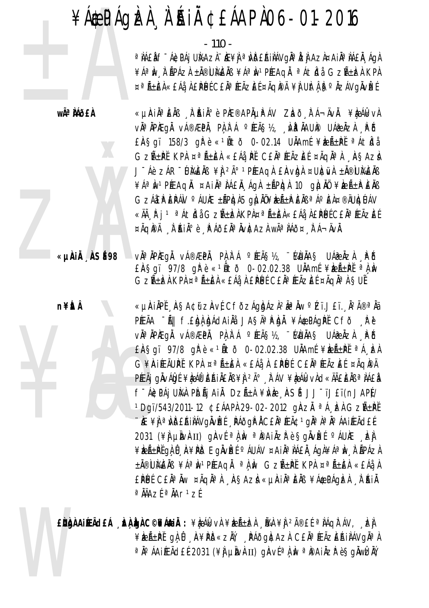$-110 -$ 

a NAEN F ÁGDAJ UNAZN. NE¥N a NDEAINAVONA NZI AZN¤AINA NAEN ÁGN ¥ÁªIN I ÁPÁZI ±Ä®UMEIB ¥ÁªIN1PÆAQI ªÁtIdi GZıIZI KPI ¤ªÑ±EÀ«£Áå¸À£PÚÉC£ĂªÆÃZEɤÃQPÄ¥ÌUÈLÀ§ºÄZÁVgÄvÈÉ

wêÀÁÕ£À

«µÀin ên înin è Phe®APnµp áv Zhō Fá¬ävn. ¥èákva vàªÀPÆgÅ vÁ®ÆPÅ, PA,A`Á °ÆÃ§½, "WPÀAUP UÁ@ÀZÀ "PÕ  $E$ AŞqï 158/3 q $\hat{F}$ è «<sup>1</sup>Ãtð 0-02.14 UÄAmí ¥k $E$ ñ $\hat{F}$ Í ªÁt $\hat{F}$ dá GZıPĬ KPA ¤ªÃ±EA «£Áå PĬ C£ĂªÆÃZEÍ ¤ÃQĂªA ASAZA J-Áè ZÁR-UMENS ¥Ì 2ð 1PÆAGA EAVON ¤UNÜVA ±Ä®UMENS ¥ÁªIWPEEAQI ¤AINPIAEN ÁQI ±APDI 10 QILINÜ ¥IELEPENS GZÁEPEPÁN O ÁUÆ ±ÃPIGA5 GILIAU¥IELE EIN ª A PEA¤®ÄUIGLAV «Äà R j <sup>1 a</sup> Át kjå GzѱkzÀ KPÀ¤ªÑ±keÀ«£Áå À £PÉJÉ C£ĂªÆÃzkÉ ¤ÃQPÄ À AIA°è PÁÕ£ĂªÄvÆAzÀ wêÀÁÕ¤ FÁ¬ÄvÀ.

«µAIÄ ASÉ98

**n¥itÂ** 

vઠÀPAEQÀ vÁ®ÆPÀ, PA À Á ºÆÃ§½, "KAUÀA§ UÁ@ÀZÀ ÀPÔ  $E \triangle \$ gï 97/8 g $\triangle$  e «  $1 \angle \angle \angle$ ī 0-02.02.38 U $\angle$ Amf ¥æ $\angle \angle \angle$ Fi al $\angle \angle \angle$ GZñÈÀ KPÀ ¤ªÃ±ÈÀ «£Áå À £PÙÉ C£ĂªÆÃZÈÉ ¤ÃQĂªÀ §UĚ

«µÀIĂPĚ 'ÀSA¢ü zÀvÉ CFðzÁgbÁzÀºÃª Äw °Ĺï.J£ï. 'ĂºÃ®ª Ää PÆÃA "Ã|| f.£bh bádain Jasa®h di ¥á¢págpi cfð rë v˻ÀPÆgÅ vÁ®ÆPÀ, PÀÀ`Á °ÆÃ§½, ∵¼ÙÀA§ UÁæÀzÀ ¸₽Ő  $E$ AŞgï 97/8 g $\mathbb{R}$ è « $1$ Ãtõ 0-02.02.38 UÄAmí ¥keñPĚ a $\Lambda$  keA G¥AIÆÃUPI KPA ¤ªÃ±EA «£Áå A EPUE CEAªÆÃZEE ¤ÃQPA PÉEÃI QUVÁLO E LA APERIALAIS LA 2ú FAV LA ALVA CERTER ª NAEN f Ácpái Uma Pidãi Aia Dzã±a ¥ivie , insé JJ Tjeti(nJAP)/ <sup>1</sup>Dqï/543/2011-12 ¢£ÁAPÀ 29-02-2012 qiàzi <sup>a Á</sup>. El GzѱPť <u>WE ¥Ì a MBEAINAVQIVE É RÁÕQIPI CEI a ÆÃ¢ 1 gia la lo AAIÆÃCLE.</u> 2031 (\#) unvhII) gav{ a ) in a paiazre sgave ( c AU)E Le ¥ÈLıPĚQLŮ A¥PD EQÄVLÉ ºÁUÁV ¤AIĪJÁ£Ă ÁQÀ¥ÁªÌN À ÃPÁZA ±Ă®ÙMEN ¥ÁªMPÆAGĂ ªÀM GZñPĚ KPA ¤ªÃ±EA «£Áå A EPUL CEÀ<sup>a</sup> Àw ¤Ãqha À ASAZI «µAIAªEAB ¥Á\$PÁgIZA À AIÀ  $a$   $\hat{A}$  $\hat{A}$  $\hat{A}$  $\hat{B}$  $\hat{C}$  $\hat{C}$ 

EÙÙÀAIIEÃCLÁ DÀÙAC©NÁAIÀ : \RAGEN \RAJEA JVA \AJEA@EE @NAQITAV, DA ¥ÈEñPĽ gẠÛ A¥PD«ZN, PÁÕGNCAZA CEJ¤ÆÃZEAIJÁVGJ¤A ªÄ°ÁAiÆÃd£É2031 (¥ÌJ µÌN}II) gÀVɪÌ,ÌN ªÌ®AiÄZ̺è§gĂWÈĂŸ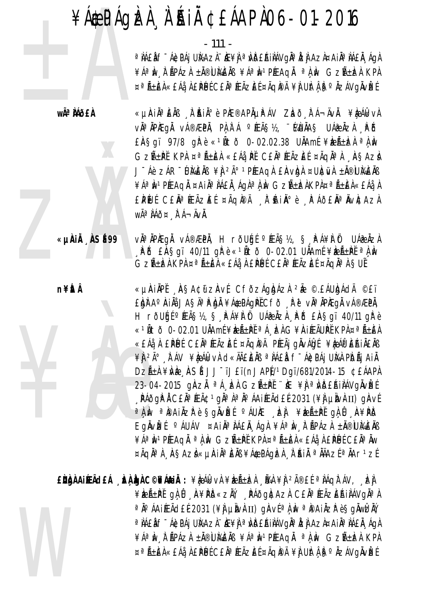$-111 -$ 

a NAEN F ÁGDAJ UNAZN HE¥N a MDEÁINÁVON a IZN ¤AIN ANAEN AON ¥ÁªIN I APÁZI ±Ä®UKEIB ¥ÁªIN1PÆAQI ªLIN GZA±IZI KPI ¤ªÃ±EÀ«£Áå À £PÚÉ C£ĂªÆÃZEÉ ¤ÃQIPÄ ¥Ì UItÀ F º ÄZÁVQIVEÉ

wê MÕ£À

**n¥itÂ** 

«µÀiĂªÈĂB À ĂiĂiðè PÌÆ®APõPÁV Zhò, tá¬ÄvĂ. ¥è ÁlkvÀ vઠÀPAEgÀ vÁ®ÆPÀ, PA À Á ºÆÃS½, "KAUÀAS UÁ@ÀZÀ ÀPÕ  $E$ AŞqï 97/8 q $\mathbb{R}$ è « $1$ Ãtõ 0-02.02.38 U $\lambda$ Amí ¥æÃ $\pm$ be $\lambda$ a $\lambda$  $\lambda$ w GZıPĬ KPA ¤ªÄ±EA «£Áå, PĬ C£ĂªÆÃZEÍ ¤ÃqĪA , ASAZÀ J-Áè ZÁR-UMENS ¥Ì 2ð 1PÉEAQL EAVOL ¤UNEWL ±N®UMENS ¥ÁªÌN1PÆAQL¤AILAªLAEL ÁQLªLÙN GZA±ÈLAKPL¤ªL±EL«EÁ¿L EPUI CEÄ<sup>a</sup> ÆÃZEI ¤ÃQPA A HAI P è PAÕE PUVEAZA WÃ<sup>a</sup> ÀÁÕ¤ À Á-ÄVÀ.

«µÀiÄ ÀSÉ99 vઠÄPÆqå vÁ®ÆPÄ, HrðUgí ºÆÃ޽, Ş. PÁ¥À Öt UÁæÅzÀ PB  $\tilde{E}$   $\tilde{E}$   $\tilde{E}$   $\tilde{E}$   $\tilde{S}$  or  $\tilde{G}$   $\tilde{G}$   $\tilde{G}$   $\tilde{E}$   $\tilde{E}$   $\tilde{G}$   $\tilde{G}$   $\tilde{G}$   $\tilde{G}$   $\tilde{G}$   $\tilde{G}$   $\tilde{G}$   $\tilde{G}$   $\tilde{G}$   $\tilde{G}$   $\tilde{G}$   $\tilde{G}$   $\tilde{G}$   $\tilde{G}$ GZıEÀ KPA ¤ªÃ±EÀ «£Áà, À £PÙÍ C£ĂªÆÃZEÍ ¤ÃQĂªÀ SUĨ

> «µÀIÄPĬ AŞA¢ữZAvÍ CfðzÁgbÁzÀ 2Å ©.£ÁUbÁdÄ ©£ï E DI Aº AI II JASIA E DI ¥AC PÁGIPI CFÕ A PU VIA IPIEGI VÁ®ÆPI, H rõugí "ÆÃ޽, Ş PÁ¥I Öt UÁRÄZI PÕ EASqï 40/11 grè «<sup>1</sup>Ñtð 0-02.01 UNAmí¥leñ±PI ªÁ, LA G¥AIÆÃUPI KPA ¤ªÑ±EA «£Áå À £PÚ É C£ÄªÆÃZE ɤÃQIPÄ PÆÃI QIVÁIQIE ¥I; APEAIÄ£IN ¥) 2ð TÁV ¥ÈAkVA d«ÄÃEÈÀB ªIÁEI f-ÁCPÁJ UIAA PIDÃJ AIÀ DZıÀ ¥NÈ ASÍ JJ<sup>-</sup>ïJ£ï(nJAPÍ/1Dqï/681/2014-15 ¢EÁAPÀ 23-04-2015 gÀZĂ <sup>a A</sup>, ER GZñPĚ "KE ¥J <sup>a</sup> WDEAIAAVGÄVEE , PÁðgi<sup>ð</sup> Á C£Ăª ÆÃ¢ 1 giǎª Áª Áº ÁA i ÆÃd£É 2031 (¥) µI við II) gið ve a iw a painzh è Sgivier caure , ej ¥beñ±Přgi û A¥PB EgÄvIEI OAUAV ¤AIÄ<sup>a</sup> IAEI Agl ¥A<sup>a</sup>Iv TPAZI ±N®UMEIB ¥ÁªIN<sup>1</sup>PÉEAQI ªLIN GZA±PĚ KPL¤ªA±EL«£Áå LEPLUÉ C£IªIW ¤ÃQĪÀ ÀŞAZÌ«µÀIĪÈÄB¥Á\$PÁQÈÀ À'ÁIÄ ªÄÄAZɪÄAr1ZÉ

 $\mathbf{E}$ uga Airã $\mathbf{H}$ áca  $\mathbf{A}$  and  $\mathbf{C}$   $\mathbf{C}$   $\mathbf{A}$   $\mathbf{A}$  :  $\mathbf{A}$   $\mathbf{B}$   $\mathbf{A}$   $\mathbf{B}$   $\mathbf{A}$   $\mathbf{B}$   $\mathbf{A}$   $\mathbf{B}$   $\mathbf{A}$   $\mathbf{B}$   $\mathbf{A}$   $\mathbf{B}$   $\mathbf{A}$   $\mathbf{B}$   $\mathbf{A}$   $\mathbf{B}$ ¥ÈEıPĚ gÀ Û A¥PD«ZÄ) PÁÕGACAZA CEĪÆÃZEŔIAÁVGĪA a jo áaiÆãd£É2031 (¥) µlvkII) glavíal wa pai zresgäwtzní a NAEN F ÁGDAJ UNAZN HE¥N a WÖERINÁVGÄ AZN AZN ¤AIN ANAEN "AGN ¥ÁªIN I APÁZI ±I®UKEIB ¥ÁªIN1PÆAQI ªLIN GZA±IZI KPI ¤ªÑ±EÀ«£Áå À £PÚÉ C£ĂªÆÃZEÉ ¤ÃQPÀ¥Ì UÌtÁ F&NZÁVGÄVÈÉ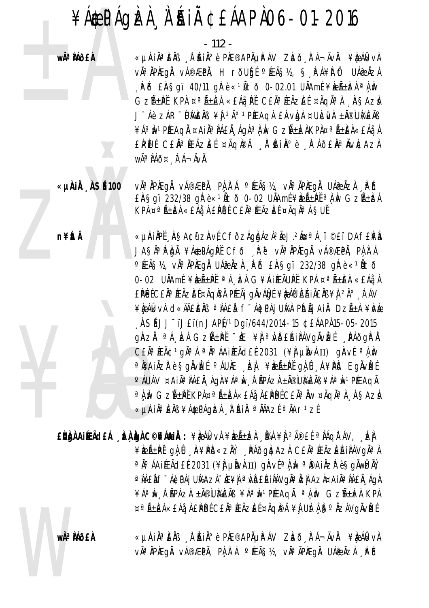$-112-$ 

wÃ<sup>a</sup> Mõ£À

n¥ÈÂ

«µÀIẰªÈÄß ,À ĂIĂºè PhE®APõPÁV Zhò, FÁ¬ÄvÄ. ¥è,ÁlkvÀ vઠÀPAEGÀ vÁ®ÆPÀ, HrðUgé ºÆÃ§½, § PÁ¥À Öt UÁæÅZA  $\hat{A}$   $\hat{B}$   $\hat{B}$   $\hat{B}$   $\hat{C}$   $\hat{C}$   $\hat{A}$   $\hat{C}$   $\hat{C}$   $\hat{C}$   $\hat{C}$   $\hat{C}$   $\hat{C}$   $\hat{D}$   $\hat{C}$   $\hat{C}$   $\hat{C}$   $\hat{C}$   $\hat{C}$   $\hat{D}$   $\hat{C}$   $\hat{C}$   $\hat{C}$   $\hat{C}$   $\hat{C}$   $\hat{C}$   $\hat{C}$   $\hat{C$ GZıPĬ KPA ¤ªÃ±EA «£Áå PĬ C£ĂªÆÃZEÍ ¤ÃQĂªA ASAZÀ J-Áè ZÁR-UMENS ¥Ì 2ð 1PÆAGA EAVDA ¤UNEWA ±N®UMENS ¥ÁªÌN1PÉEAQL ¤AIL<sup>a</sup>LAEL ÁQLªLÌN GZR±ELKPL¤ªR±EL«EÁLL EPŨJÍ CEĂªÆÃZEÍ ¤ÃQÆÄ ĮÌ AIѺè ĮPÁÕEŇªŇVÆAZA WÃ<sup>a</sup> ÀÁð¤ À Á-ÄVÀ.

«µÀIÄ ÀSÉ 100 vì<sup>a</sup> ìpiegì vá®æpì, pì ì á °íeãs½, vìªìpiegì uáæìzì . Pô  $E$ AŞqï 232/38 q $\hat{R}$ è«<sup>1</sup>Ãtõ 0-02 U $\hat{A}$ Amí¥æÃ± $\hat{P}$ t $\hat{P}$ a $\hat{A}$  $\hat{M}$  GzÑ $\pm$ k $\hat{R}$ KPA ¤ªÃ±EA «£Āå A EPUE CEĂªÆÃZEE ¤ÃQĂªA SUE

> «LIAIAPĚ, ASA¢II ZAVÉ CFŎZÁQAÁZÀ<sup>2</sup>Á J.<sup>2</sup>Á¤ªÁ, I ©£I DAFENA JAŞÄ<sup>a</sup>PU ¥ACPAQPI CFÕ PU vÄ<sup>a</sup>NPAQI vA®ÆPI, PLIA OFEÃSIS, VIA APIEGA UARAZA PO EASQU 232/38 QPè «1Ato 0-02 UÄAmE ¥RA±PE ªA EA G¥AIÆÃUPE KPA ¤ªA±EA «£Áå A £PÚ ECE Na ÆÃZE E ¤ÃQIPA PÆÃJ QNVÁDE ¥I AO ERINENS ¥I 2ú FAV ¥ÈAGKVÀ CKKÄEÈÄB ªÀÁEÀ F-Á¢PÁjUÀA PIOÃjAIÀ DZñÀ ¥ÌVÈ NSÍ JJ TJET(nJAPÍ/1Dqi/644/2014-15 ¢EÁAPI 15-05-2015 ghzh <sup>a</sup> á kh Gzñ±pi "k ¥j a vdeáilávgivkí páðgri CEN<sup>a</sup> ÆÃ¢<sup>1</sup>gN<sup>a</sup> N <sup>a</sup>N <sup>O</sup> ÁAIÆÃ d£ É 2031 (\#) µW}II) gAV É <sup>a</sup>N W °ÁUÁV ¤AIĪÌÁ£Ă ÁGÀ¥ÁªÌN À ÃPÁZÀ±Ă®ÙÌÁ£ÀB¥ÁªÌN1PÉEAGÀ a ) Iv GzñPĚ KPA ¤a ñEA «£Áå A £PÚÉ C£Ăa Äw ¤ÃqĂa A "ASAzA «µAIĪEÄB ¥Á\$PÁQÞZA À AIÄ ªÄÄAZÉ ªÄAr1ZÉ

EÙÙA AIÆÃCEÁ "ÈÙ ÙA C©¥Á&IĂ: ¥ÈÁkvÀ ¥ÈıÈÀ "ÜAÀ ¥Ì <sup>2î</sup>£Ĺ ªÌÁQÌ ÁV, "ÈÌ ¥keñPĽgĄÛ A¥PD«zŇ, PÁðg|¢AzI C£ÄªÆÃzEAiIAVgĪI ªÄ°ÁAIÆÃd£É2031 (¥ÌJ µÌNÀII) gÀVɪÀ,ÌN ªÌ®AIÄZłè§gÄWÈÄÝ a NAEN F ÁGDAI UNAZI HE¥N a NDEAINAVOÑ AZI AZI¤AIÑ A NAEN A GA ¥ÁªIN I APÁZI ±Ä®UMEIB ¥ÁªIN1PÆAQI ªI IN GZA±IZI KPI ¤ªÑ±EÀ«£Áå À £PÚÉ C£ĂªÆÃZEÉ ¤ÃQIPÄ ¥Ì UItÀ ISºÄZÁVQIVIZÉ

> «µÀiĂªÈĂB , À`Ăiðè PĂE®APõPÁV ZEO, FÁ¬ÄvÄ. ¥È, ÁlkvÀ vàªÀPÆgÅ vÁ®ÆPÀ, PÀÀʿÁ ºÆÃ§½, vÀªÀPÆgÅ UÁ@ÀZÀ ¸\PÕ

**wÃ<sup>a</sup>MÃfÀ**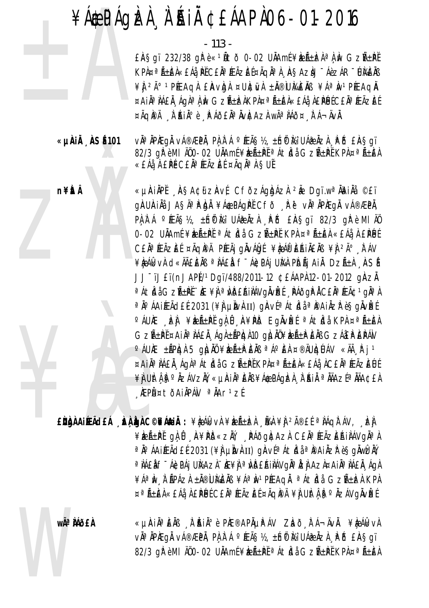$-113 -$ 

EASgï 232/38 gì è «14 to 0-02 UAAmí ¥ EA+ EA ª A M G ZA+ PI KPÀ¤ªÃ±ÈÀ«£Áå¸ÞĚĊ£ĂªÆÃZÈɤÃqĪÀ¸À§AzÀJ¯ÁèzÁR¯ÚÀ&ÈÄß ¥ J 2ð 1 PÉEAQ A E AV Q A ¤ UNC WA ± N ® W MA E N S Y A ª N 1 PÉEAQ N ¤AIĪÌÁ£Ă¸ÁgÀªÌÌN GzѱÌZÀKPÀ¤ªÃ±ÈÀ«£Áå¸À£ÌPĹÚĆ£ĂªÆÃZÈÉ ¤ÃQPA À AIA°è A AOEAª AVACAZA Wê AÁO¤ A A-AVA.

«µÀIÄ ÀSÉ101 vì<sup>a</sup> ìpiegì vá®æpì, pì ì á °íeã§½, ±ínô ři Uá@ìzì . Põ £ìA§gï 82/3 gřèMI A00-02 UAAmí¥ EAt Přa At idia GzñPř KPA ¤ªA±EA «EÁå À EPÉ CEĂª ÆÃZEÉ ¤ÃQĂª À SUĚ

> «µAIÄPĚ "ASA¢űzAvÉ CfðzÁgházi 2Ă Dgï.wªÄäIÄå ©£ï gàuàilia JASA® Pha ¥Á¢PÁgPĚ CFð "Pěvi vä®ÄPAEgÄ vÁ®ÆPÄ, PA A A PEAS12, ±n PK UAPAZA PD EASOI 82/3 OF è MI AO 0-02 UÄAmÉ¥ÈıPĚªÁtİdå GZıPĚKPÀ¤ªÄ±ÈÀ«£ÁåÀ £PÚÉ CEN<sup>a</sup> ÆÃZEE ¤ÃQIPÄ PÆÃj gINVÁIDE ¥ILAPERINENS ¥I 2ð FAV ¥ÈÁI VÀ C «ĂÃÊIEĂB ª ÌÁÊI F-ÁICPÁJ UIVÀ PIDÃJ AIĂ DZñÀ ASÍ JJ<sup>-</sup>ïJ£ï(nJAP)<sup>1</sup>Dgï/488/2011-12 ¢£ÁAPÀ 12-01-2012 gÀZÀ a Átidi GzA+PĬ∵IE ¥Ì a vdéáilávolvizí Páðop i C£ia ÆÃ¢1ola) ªÄ°ÁAIÆÃd£É2031 (¥) µÌMÀII) gÀVɪÁtÍdåªI®AIÄZIP è§gÄVÌZÉ °ÁUÆ DEN ¥DEѱPI GAÛ A¥PIÐ EGNVDEL ªÁtIdå KPA ¤ªÑ±IEA GZձP̤AIĪ IÁ£Ă¸ÁgÀ±ÃPIQÀ10 gļUÄÜ¥IZñP EIB GZÁIEP EPÁV O ÁUNE ±ÃPICH 5 GILINO ¥IEñIPIENS ªÁO EN ¤®ÄUICIÚAV «Äà F j 1 ¤Ail<sup>a</sup> lá£l ágl<sup>a</sup> Át Ídi GzA+P KPl¤ªA+El«£Ái lC£lªÆĀzEUE ¥Ì UItî iş°ÄzÁVzIY, «µiri ila elis ¥Á\$PÁQIzI , I ai A a NAzE a NA¢£I KEPܤtðAIÄPÁN <sup>a</sup> ÄAr<sup>1</sup>zÉ

EÙÙA AIÆÃCEÁ "ÞÀ LON C©¥Á&IÄ: ¥LA ÁkvA ¥LÆÑ±LA "ÜAA ¥LJ 2îEÍ ª AÁQITÁV, "LZJ ¥ÈEñPĽ gÀ Û A¥PD«ZĂ, PÁðgAtAzA CEĪÆÃZEAIÀÁVgĪA a jo á A i ÆÃ d E é 2031 (\\ LI) qi a v f a Á t bla a p A i A z P è S gil wizi (\ L a NAEN F ÁGDA LUKAZI. HE¥N a MDEA NAVOJA HZN AZN¤A NAEN ÁGA ¥ÁªIN I ÁPÁZI ±Ä®UMEIB ¥ÁªIN1PÆAQI ªÁtIdi GZıIZI KPI ¤ªÑ±EÀ«£Áå À £PÚÉ C£ĂªÆÃZEÉ ¤ÃQIPÄ ¥Ì UItÀ ISºÄZÁVQIVIEÉ

wêMÕ£À

n¥ÈLÂ

«µÀIẰªÈÄß À ĂIĂºè PhE®APõPÁV Zhð FÁ¬ÄvÄ. ¥èÁkkvÀ vઠÀPÆgÅ vÁ®ÆPÀ, PÀ À Á °ÆÃ§½, ±Ín® Mi UÁ@ ÀZÀ ¸PÕ £À§gï 82/3 gì è MI AO-02 UAAmi ¥bente da aticia Gznepi KPa¤niera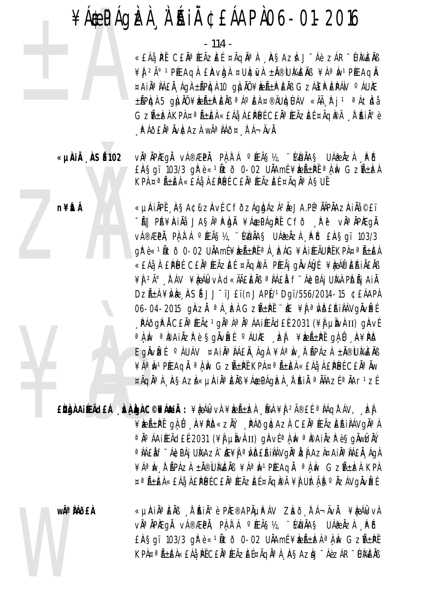$-114$   $-$ 

«EÁå, PĚ CEN¤ÆÃZEÉ ¤ÃQNªA), ASAZA JÉÁè ZÁR DIMENB ¥ J 2ð 1 PÉE AQ A E AV Q A ¤ UNC WA ± N ® UM AE NS ¥ A ª N 1 PÉE AQ N ¤AIÄ<sup>a</sup> IÁEI . ÁgI ±APIGI 10 gIJI ¥IEA±P EIB GZÁEP EPÁV º ÁUIE ±ÃPICH 5 QILIN ¥IZñPENS ª Á°EA ¤®ÄUICLUÁV «Äà F j 1 ªÁtICLA GzñEÀ KPÀ ¤ªÃ±EÀ «£Áå À £PÚ C£ĂªÆÃZE (¤ÃQPÄ , À ÉNIÀº è A Áð£ÄªÄvÆAzÀ wêÌÁð¤ A Á¬ÄvÄ.

vઠÀPÆgå vÁ®ÆPÅ, PÀ, À Á °ÆÃ§½, ∵¼ÙÅA§ UÁ₴ÅzÀ ¸₽Ő «µÀiÅ ÀSÉ 102 EASqï 103/3 qi è «14to 0-02 UAAmi ¥izhti a A in GzAtiza KPA ¤ªÃ±ÆA «ĒÁå A EPUE CEĂªÆÃZEE ¤ÃQĪA SUE

> «µÀIẰPĚ ÀSA¢ữ zÀvÉ CFÕzÁgÌgÁz̺à JA.PɪÄÄPÄAzÀIÄå ©£ï -Ã|| PÁ¥ÀIÄå JAŞÄªÌPÀJĂ ¥Á\$PÁGPĚ CFÕ "ÌPě" vĪÄPÀEGÄ v種PÄ, PÀ,À`Á °ÆÃ§½, ∵KAUÄA§ UÁ@ÀZÀ ,À°Ő £À§gï 103/3 gì è « 1Ñ tờ 0-02 UIAmí ¥izñPI ª Á Ed G¥AI EÃUPI KPA¤ªÑ±EA «EÁå À EPÚ CE À FEÃZE ɤÃQIPÀ PÆÃI QUVÁDI ¥DÁPERINENS ¥Ì 2ð À ÁV ¥È ÁI CHA CHA ALLE AN AREA F-ÁI PAI UNA PIDÃI AI À DZıÀ ¥NÈ ASÍ JJ<sup>-</sup>ïJ£ï(nJAPÍ/1Dqï/556/2014-15 ¢£ÁAPÀ 06-04-2015 ghzh <sup>a A</sup> E Gzh+Pi i E ¥j a Wbeaulavgiver <sub>"</sub> PÁðgP Á C£Ăª ÆÃ¢ 1 gĂª À ª ĺ ÁA iÆÃd£É 2031 (¥) µIV<del>A</del> II) gAvÉ a A M a Pail zh è Sglivize caure del ¥ize +PE ga û a¥PO EgÄvIEÍ <sup>o</sup> ÁUÁV ¤AIÄ<sup>a</sup> JÁEI Agl ¥ÁªIw j ŘPÁZA ±I®UMEIB ¥ÁªIN<sup>1</sup>PÉEAQI ªLIN GZA+PE KPL¤ªA+EL«EÁå LPUECEL»IW ¤ÃQĪÀ AŞAZÌ«µÀIĪEÄB¥Á\$PÁQÈÀ À'AIÄ ªÄÄAZɪÄAr1ZÉ

n¥itÂ

EÙÙÀ AIRACH LA GA CONÁNIA : ¥È ÁI VÀ ¥È Á-ÈA Ù 4 ¥Ì 2î EL ª AÁQIT ÁV, EA ¥ÈEñPĽ gÀ Û A¥PD«ZÄV AAÕgAtAZA CEĪÆÃZEAIAÁVgĪA ªÄ°ÁAIÉEÃd£É2031 (¥Ì µÌNÀII) gÀVɪÀ,ÌN ªÌ®AIÄZPè§gÄWÈÀŸ, a NAEN F ÁGDAI UNAZI HE¥N a NDEAINÁVONA LEN AZA¤AIN A NAEN ÁON ¥ÁªIN I APÁZI ±Ä®UMEIB ¥ÁªIN1PÆAQI ªLIN GZA±IZI KPI ¤ªÑ±EÀ«£Áå À £PÚÉ C£ĂªÆÃZEÉ ¤ÃQIPÄ ¥Ì UItÁB°ÄZÁVQIVÈÉ

wêÀÁñfÀ

«LIAIÄ<sup>a</sup>EÄB A`ÄIİè PAE®APÄLIPÁV ZIað FÁ¬ÄvÄ. ¥IeÁIkvA vઠÀPAEQÀ vÁ®ÆPÀ, PA À Á ºÆÃS½, "KAUÀAS UÁ@ÀZÀ APÕ  $E$ AŞgï 103/3 g $\hat{F}$ è «<sup>1</sup>Ãtð 0-02 U $\hat{A}$ Amí ¥ke $\hat{A}$ ±ke $\hat{A}$  and  $\hat{A}$  and  $G$ z $\tilde{A}$ ± $\hat{P}$ t KPA¤ªÃ±ĒA«£Áå, PĚC£ĂªÆÃZĒɤÃQĂªA, AŞAZAJ-ÁèzÁR-ÚKEĂB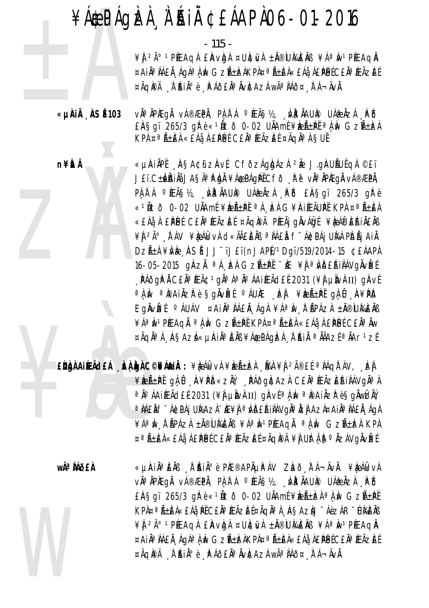$-115 -$ 

¥ J 2ð 1 PÉE AQ A E À V DA ¤ UNC VA ± N ® U MAE NS ¥ A ª N 1 PÉE AQ N ¤AIĪ IÁEÄ ÁGIª L IV GZıIZAKPL¤ª ıEL«EÁå LEPLUÉ CE Lª FEÃZEE ¤ÃQPÄ À AIA°è A AOEAª AVACAZA Wê AÁO¤ A A-AVA.

vઠÀPÆgÅ vÁ®ÆPÀ, PL}A`Á °ÆÃS½, "Wª ÀAUP UÁ@ÀZÀ "PD «µÀiÅ ÀSÉ 103 EASqï 265/3 qrè «1Ñtð 0-02 UAAmí¥beÁ±PI a A w GzA±beA KPA ¤ªÃ±ÆA «£Áå A £PÚÉ C£ĂªÆÃZEÉ ¤ÃQĪA SUĚ

n¥itÂ

«µÀIÀPĚ ASA¢ữZÀVÉ CFÒZÁGÀJÁZÀ 2À J.GÀUÃUËGÀ ©£ï JEï.C±NAIN JAŞÄ<sup>a</sup> P. DIN ¥A&PÁQPL CFÕ R P v A PAEQI vÁ®ÆPÄ, PA A A PEAS12, NP AAUP UAPAZA PB EASqi 265/3 qP è «1Ñtð 0-02 UNAmí¥keѱPI ªÁ EN G¥AIÆÃUPI KPA ¤ªÑ±EN «£Áå À £PÚ É C£Ăª ÆÃZE ɤÃQI®Ä PÆÃj gÄvÁQE ¥LA ÁPEŘIÄ£ÄB ¥Ì <sup>2ð</sup> À ÁV ¥È ÁI XVÀ CI KHI ELAB ª LA ELA F-ÁC PÁJ ULAI PIDÃI AI À DZıÀ ¥NÈ ASÍ JJ<sup>-</sup>ïJ£ï(nJAPJ/1Dqï/519/2014-15 ¢£ÁAPÀ 16-05-2015 ginzi <sup>a</sup> A kh Gzñ+Pi i ke ¥j a Wbeali Avgivize , PÁÕGP A CEĂ<sup>a</sup> ÆÃ¢ 1 gha a a o ÁAIÆÃ dE é 2031 (¥) LINAII) GAVE a) M a painzh è §gnvleí °áune , ej ¥leñ±pí gl, û , h¥pð Eglvizí <sup>o</sup> áuáv ¤ Ail<sup>a</sup> tá fil ágt ¥áªiv tépázt ± övümels ¥ÁªÌN1PÉEAQĂ ªÀÌN GZñPĚ KPA ¤ªÃ±ÈÀ «£Áå À £PÉJÉ C£ĂªĂW ¤ÃQNª) ASAZI«UAINªENS¥Á¢PÁQIZI I AIN ªNAZEªNAr1ZE

EÙÙA AIRACEÁ DA LO DEAGHAI : ¥LA ARVA ¥RA±RA NA ¥J 2îEL ª AÁQA ÁV, DEJ ¥keñ±Pťg) û A¥PD«zŇ, PÁðg)tazi C£ÄªÆÃzEŔiIAVg)<sup>a</sup> i a jo áaifeãd£é 2031 (¥) µjvi II) giavíai ma pai jz pesgiwiziv a NAEN F ÁGDAI UNAZI HE¥N a NDEAINÁVON a IZN AZA¤AIN A NAEN A GA ¥ÁªIN I APÁZI ±I®UMEIB ¥ÁªIN1PÆAQI ªI IN GZA±IZI KPI ¤ªÑ±ÈÀ«£Áå À £PÚÉ C£ĂªÆÃZÈÉ ¤ÃQIPÄ ¥Ì UÌtÅISºÄZÁVQÄVÌZÉ

wêÀÁð£À «µÀIẰªÈÄß À ĂIĂºè PIÆ®APĵPÁV ZLað tá¬ÄvÄ. ¥LeálkvÀ vઠÀPAEqà vá®ÆPÀ, PÀ À Á ºÆÃ§½, "WP ÀAUP UÁ@ÀZÀ "PÕ EASgï 265/3 gì è «1Ñtõ 0-02 UÄAmÉ¥ÈÉLEÀ a LW GZѱPĚ KPA¤ªÃ±ĒA«£Áå, PĚC£ĂªÆÃZĒɤÃQĂªA, AŞAZAJ-ÁèzÁR-ÚKEĂB ¥ N 2ð 1 PÉE AQ A E AVADA ¤ UNCIVA ± N ® IUME NB ¥ A ª N 1 PÉE AQ N ¤AIĪ IÁEI Aglª LIN GZñIZAKPL¤ª ñEL«EÁå LEPLICEL¤ÆĀZEE ¤ÃQIPÄ À AINº è FAÕEN<sup>a</sup> AVICAZA Wê AAÕ¤ FA-AVA.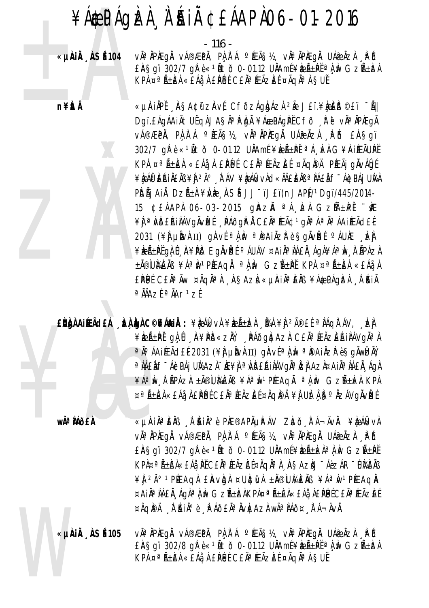#### ¥Á EPÁQIZI À A SAI CEÁAPIO6-01-2016

- 116 -

«µÀiÅ ÀSÉ 104

vàªÀPÆgÅ vÁ®ÆPÀ, PÀÀʿÁ ºÆÃ§½, vÀªÀPÆgÅ UÁ@ÀZÀ ¸\PÕ  $E$ ASqï 302/7 q $\hat{R}$ è«<sup>1</sup>Åtð 0-01.12 U $\hat{A}$ Amí¥ $\hat{z}$ A $\hat{B}$ t<sup>a</sup> $\hat{A}$  $\hat{W}$  GzA $\hat{A}$  $\pm$  $\hat{z}$ A KPA ¤ªÃ±ÆÀ «ĒÁå A EPÚÉ CEĂªÆÃZEÉ ¤ÃQĂªA SUĚ

n¥ÈtÂ



«LIAIAPĚ ASA¢űzAvÉ CFÕZÁQDÁZA 2Ã JET.¥DÉD ©ET "ÃI Dgï.£ÁgÁAiÄtUËqÀJA§ÄªP.bJÄ¥Á\$PÁgPĚCfð RěviAªÄPÆgÄ v種PŇ, PÀ Ì Á ºÆÃ§½, vŇªŇPÆgŇ UÁæŇzÀ "PĎ £Ň§gï 302/7 qře «1Ñtð 0-01.12 UNAmí¥bent a A ba G¥AirEAUPI KPA ¤ªÃ±ÈA «£Áå A £PÚJÉ C£ĂªÆÃZĚÉ ¤ÃQI®Ä PÆÃj gÄVÁIDÉ ¥ÈÁP EÁILENS ¥I 2ð E ÁV ¥ÈÁIk vÌCI «ÄÄEENS ª IÁEL F-ÁCPÁI UNA PIDÃI AI DZñI ¥ME ASÍ JJ~ïJ£ï(nJAPJ/1Dqï/445/2014-15 ¢£ÁAPÀ 06-03-2015 gÀZĂ ªÁ EÀ GZMEPI "KE ¥Ì ª NDEAINAVQNVEE NAÕQP LE CEN º ÆÃ¢ 1 gha la nº AAIÆÃCLE 2031 (\\{A} LINO\{ II) QAV{ a} M a PAIAZP è SQAVE ( cAU) EA ¥ÈLıPĚQLÛ A¥PD EQÄVLÉ ºÁUÁV ¤AIĪJÁ£Ă ÁQÀ¥ÁªÌN À ÃPÁZA ±Ă®UMEÄB ¥ÁªM1PÆAQÄ ªÀM GZñPĚ KPA ¤ªÃ±EÀ «£Áå À EPUL CEÀ<sup>a</sup> Àw ¤ÃqÀa À ASAZÀ «µÀIÀ<sup>a</sup> EÀB ¥Á\$PÁgÌZÀ À AIÀ  $a \overline{M}$ Az $f a \overline{M}$ 

EÙÀNAIRACH LANDAC©NAMIN: ¥RAKVA ¥RA±RI LAN ¥A 2A®EL ªNAQITAV, LA ¥ÈEñPĽ QLÛ A¥PD«ZĂĽ PÁÕQNCAZL CEJ¤ÆÃZEŘIJÁVQJ¤L ªÄ°ÁAIÆÃd£É2031 (¥jjµÌN}II) gÀV{ªÀ,ÌN ªÌ®AIÄZłè§gĂWÈĂŸ a NAEN F ÁGDAI UNAZI HE¥N a NDEAINAVOÑa LEN AZI¤AIÑ ANALA AON ¥ÁªIN I APÁZI ±Ä®UMEIB ¥ÁªIN1PÆAQI ªLIN GZA±IZI KPI ¤ªÑ±EÀ«£Áå À £PÚÉ C£ĂªÆÃZEÉ ¤ÃQI®Ä ¥Ì UItÀ ISºÄZÁVQÄVIZÉ

wê MÕ£À

«UAIN EN A AIN PE®APAUPAV ZEÕ FÁ¬ÄVA. ¥ÈÁkVA vĂªĂPÆgÅ vÁ®ÆPÅ, PLLA`Á °ÆÃ§½, vĪÄPÆgÅ UÁ@ÄZL LPŐ EASqï 302/7 qì è « 1Ñ t ð 0-01.12 UNAmí ¥kan la handi Sznthì KPÀ¤ªÃ±ÈÀ«£Áå PĚC£ĂªÆÃZÈɤÃQĂªÀ ASAZÀJ¯ÁèZÁR¯ÚÀ&ÈÀB ¥ 1 2 A° 1 PE A Q A E A V Q A ¤ U A W A ± A ® W A E A B A 2 A ª A 1 PE A Q A ¤AIĪ)ÁEÄ ÁQ)ª) N GZıELKPL¤ªÄ±EL«EÁå LEPÉJÉCEĪÆÃZEÉ ¤ÃQIPÄ À AIA<sup>°</sup>è PÁÕ£ĂªÄVICAZÀ WêÀÁÕ¤ FÁ¬ÄVÄ.

vì<sup>a</sup> ìpiegì vá®æpì, pì ì á °íeãs½, vìªìpiegì uáæìzì . Pô «µÀIÄ ÀSÉ 105  $E$ AŞgï 302/8 g $\hat{F}$ è«<sup>1</sup>Ãtõ 0-01.12 UÄAmí¥èzñPť<sup>a</sup> $\lambda$ ÀV Gzñèz $\lambda$ KPA ¤ªÃ±EA «EÁå A EPÚÉ CEĂªÆÃZEÉ ¤ÃQĂªA SUÉ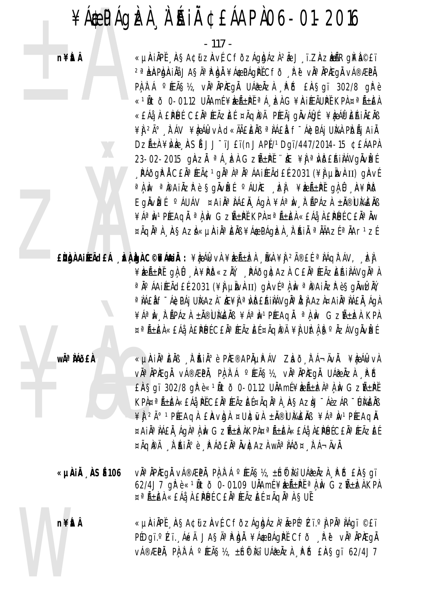$-117 -$ 

«µAIÄPĬ ASA¢ữ zAvÍ CfðzÁgbázì 2Ă J ï.ZAzbÃRg¥Ì©£ï 2ª LÀPLAIN JASAª PLA ¥Á\$PÁQPĚCFÕ, Pě vĪÄPÆQÄ vÁ®ÆPÄ, PA A A PEAS12, vha APAEQA UA@AZA PB EASqi 302/8 qPè «<sup>1</sup>Ñtð 0-01.12 UÄAmí¥kæÑ±PťªÁ, ka G¥AIÆÃUPť KPA ¤ªÑ±EA «EÁå À EPÚ CE À FEÃZE ɤÃQIPÀ PÆÃI QUVÁDI ¥DÁPERINENS ¥Ì <sup>2ð</sup> À ÁV ¥È ÁI CH CHA LA AN EINI <sup>a</sup> NAEN f<sup>-</sup>ÁI PAJ UNA PIOÑJ AIN DZıÀ ¥NÈ ASÍ JJ<sup>-</sup>ïJ£ï(nJAPÍ/1Dqï/447/2014-15 ¢£ÁAPÀ 23-02-2015 gÀZI <sup>a A</sup>, ER GZREPI "KE ¥J a WBEAIAN GAVES , PÁðgP Á C£Ăª ÆÃ¢ 1 gĂª À ª Ăº ÁAIÆÃd£É 2031 (¥) µIVAII) gAVÍ a î.N. a îpaiăzr e Sgăvîzí a Auke de Let Frente Gali Afrio Eglvizí <sup>o</sup> áuáv ¤ail<sup>a</sup> láel ágl ¥áªiv l'épázl ±l®umels ¥ÁªIN<sup>1</sup>PÉEAQI ªLIN GZѱPĚ KPL¤ªÑ±EL«£Áå LPÚÉ C£ÄªIW ¤ÃQĪÀ AŞAZÌ«µÀIĪEÄB¥Á\$PÁQÈÀ À'AIÄ ªÄÄAZɪÄAr1zÉ

 $\mathbf{E}$ Ngà Aireã $\mathbf{d}$ eá  $\mathbf{h}$ gà C©Nánă : ¥èákvà ¥èzã±dzà Usa ¥à 2î£ $f$  ª AÁqitáv, dzi ¥ÈıPĚ QLŮ A¥PD«ZŇ, PÁÕQNAZ) CEŇªÆÃZEŔINÁVQŇªN ªÄ°ÁAiÆÃd£É2031 (¥j} µÌN}II) gÀVɪÀ,ÌN ªÌ®AiÄZłè§gÄWİZĂŸ, a NAEN F ÁGDAI UNAZI HE¥N a MDEAINÁVONA DEN AZA¤AIÑ ANAEN AON ¥ÁªÌN Ì ÃPÁZÀ ±À®ÙÌGÈÀB ¥ÁªÌN1PÉEAQÀ ªÌ ÌN GZñÌZÀ KPÀ ¤ªÑ±EÀ«£Áå À £PÚÉ C£ĂªÆÃZEÉ ¤ÃQPÀ¥Ì UÌtÁ F ºŇZÁVQÄVÌZÉ

wê MÕ£À

«µAIĪÈÄß 'À AIĺè PAE®APĵPÁV ZLað "TÁ¬ÄvÄ. ¥Le Álk vA vìªìPÆgì vá®ÆPì, Pìlì Á °ÆÃ§½, vìªìPÆgì UÁælzì , Pô  $E$ AŞqï 302/8 q $\hat{F}$ è«<sup>1</sup>Ãtõ 0-01.12 UÄAmÉ¥k $E$ Á±k $\hat{A}$ a $\hat{A}$  w Gzñ $\hat{P}$ É KPA¤ªÃ±ÊA«£Áå¸ÞĚC£ĂªÆÃZÈɤÃqĂªA¸ÀSAZÀJ¯ÁèZÁR¯ŨÀ£ĂB ¥ 1 2ð 1 PÉE AQ A E AV Q A ¤ UNC VA ± NO UME NO ¥Áª N 1 PÉE AQ N ¤AIĪ IÁEI ÁGIª I IV GZA±IZIKPI¤ªA±EI«EÁå IEPLUÉCEIª ÆÃZEE ¤ÃQPÄ À AINº è PÁÕEN<sup>a</sup> NVCAZA WêNÁÕ¤ FÁ¬ÄVÀ.

vઠÀPÆgÅ vÁ®ÆPÅ, PÀ À Á ºÆÃ§½, ±ĥ® Mi UÁ@ ÅZÀ ¸PÕ £Ä§gï «µÀIÄ ÀSÉ 106 62/4J7 q $\mathbb{R}$ è«<sup>1</sup> $\tilde{\mathbb{A}}$ tð 0-01.09 U $\tilde{\mathbb{A}}$ Amí¥æ $\tilde{\mathbb{A}}$ ± $\mathbb{P}$ i $\tilde{\mathbb{A}}$   $\mathbb{N}$  Gz $\tilde{\mathbb{A}}$ ± $\tilde{\mathbb{A}}$  KP $\tilde{\mathbb{A}}$ ¤ªÑ±EÀ«£Áå¸À £PÚÉ C£ĂªÆÃZEÉ ¤ÃqĪÀ SUĚ

n¥itÂ «µÀIĂPĚ AŞA¢ữ zàvÉ CfðzÁgbázì2Ă PɺZï.º) PÀª JÁgï ©£ï PEDgï.ºZï. Askå JASÄ<sup>a</sup>P.bi ¥A&PAgPE Cfð Re via APÆgi V種PÄ, PA A A ºÆÃS½, ±h®Mi UÁ®ÄZÀ RÕ EASgï 62/4J7

n¥itÂ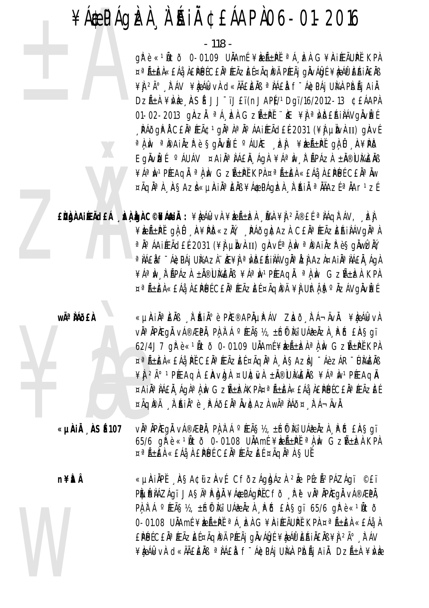$-118 -$ 

gì è «1Ñtờ 0-01.09 UNAmí ¥keñ±př ªÁ ken G¥AIEEÃUPĚ KPN ¤ªÃ±EÀ«£Áå¸À£PÉJÉC£ĂªÆÃZEɤÃQPAÄ PÆÃj gÀvÁQJÉ ¥ÈÃI DÉAIÄ£ÀB ¥Ì <sup>2ð</sup> À ÁV ¥È ÁI XVÀ CI «ÄÃE EÀB ª LAE LA F-ÁIC PÁJ UNA PIDÃI AI À DZÁ±À ¥WE ASÍ JJ<sup>-</sup>ïJ£ï(nJAPÍ/1Dgï/16/2012-13 ¢£ÁAPÀ 01-02-2013 ginzi  ${}^{\circ}$  A ba Gzñ+Pi  ${}^{\circ}$ it ¥i  ${}^{\circ}$  Wdehinavgivize , PÁðgP Å CEÄ<sup>a</sup> ÆÃ¢ 1 gÄ<sup>a</sup> À <sup>a</sup> Ä<sup>o</sup> ÁA IÆÃ dEÉ 2031 (¥) LIN AII) GÄVÍ a î.N. a îpainzî ê Sgivize <sup>o</sup> Aure , izji ¥izr±P gi, û , n¥P d Eglvizí <sup>o</sup>áuáv ¤ail<sup>a</sup>lá£l ágl ¥áªlv i Ápázl ±l®lumeli ¥ÁªIN<sup>1</sup>PÆAQI ªLIN GZñPI KPL¤ªÃ±EL«EÁå LPUECEIªIW ¤ÃQĪ) AŞAZÌ«µÀIĪEÄB¥Á\$PÁQÈÀ À'ÁIÄ ªÄÄAZɪÄAr1ZÉ

 $\mathbf{E}$ ugh Aifeã $\mathbf{d}$ eá  $\mathbf{h}$ gh  $\mathbf{C}$ ©Nágh  $\mathbf{A}$ : ¥ $\mathbf{h}$ á $\mathbf{k}$ và ¥ $\mathbf{h}$   $\mathbf{h}$  ¥à  $\mathbf{A}$ ®£ $\mathbf{f}$   $\mathbf{A}$ á $\mathbf{A}$ a $\mathbf{h}$ ¥ÈÆÃ±PĚ gÌ Û "A¥PD«ZĂY, "PÁðg)¢Az) C£ĂªÆÃZEŔIÌÁVgĪ) ªÄ°ÁAIÉFÁCLÉE2031 (¥Ì µÌNHII) gÀVɪÀ,ÌN ªÌ®AIÄZPè§gÄWİZĂŸ, a NAEN E-ACPAI UNAZI HE¥N a NDEAINAVOÑa LEN AZI¤AIÑ ANEN AON ¥ÁªIW I APÁZI ±Ä®UMEIB ¥ÁªIWPÆAQI ªLIW GZA±IZI KPI ¤ªÑ±ÈÀ«£Áå À £ÌPLIÉ C£ĂªÆÃZÈÉ ¤ÃQIPÄ ¥Ì UÌtÅ FSºŇZÁVQIVÈÉ

**wÃ<sup>a</sup>MÕEÀ** 

«µÀin è Èn II à Àin à è Phe®aphµp áv Zhō tá¬ävn. ¥è Álkvi vh<sup>a</sup> Aprega vá®æpä, pa a á °Æã§½, ±ínő Mi Uáæ Aza "Pé £A§gï 62/4J7 gřè«<sup>1</sup>Ätð 0-01.09 UÄAmÉ¥keÁ±ka<sup>a</sup>Àk GzÁ±k KPA ¤ªÑ±EÀ«£Áå, PĽ C£ĂªÆÃZEɤÃQĂªÀ¸À§AZÀJ¯ÁèZÁR¯ÚMEÀB ¥ Î 2ð 1 PÉEAQ À EAVO À ¤ UNCIVA ± NO UMENS ¥Áª Nº 1 PÉEAQ N ¤AIĪÌÁEÄ ÁGÀªÀÌN GZñÌZÀKPÀ¤ªÃ±ÈÀ«£Áå À£PÉJÉC£ĂªÆÃZEÉ ¤ÃQIPÄ À AIAº è PÁÕEĂª ÄVICAZÀ Wê IÁÕ¤ FÁ¬ÄVÄ.

«µÀIÄ ÀSÉ107

vઠÀPÆgÅ vÁ®ÆPÀ, PÀ À Á °ÆÃ§½, ±h็® Ѝ҈ UÁ@ ÀZÀ È PŐ £À§gï 65/6 ghè «<sup>1</sup>Ñtõ 0-01.08 UNAmí ¥keñ±Př<sup>a</sup>l, w Gzѱkel KPl ¤ªÃ±ÈÀ «£Áå À £PÚÉ C£ĂªÆÃZÈÉ ¤ÃQĪÀ SUĚ

**n¥itÂ** 

«µÄIÄPĬ ÄSA¢ijzÄvÍ CfðzÁgbázì 2Å PÍzÃ2PÁZÁgï ©£ï PLUP LÁZÁGI JASÄ<sup>a je l</sup>ol ¥á¢págpěcťo "k č väª lpiegå vá®ÆPÅ, PA A A  $\circ$  (EAS),  $\pm$  h( $\circ$  M) UA a  $\lambda$   $\neq$  P( $\circ$  EASqi 65/6 qR e  $\ltimes$   $\cdot$  0 t  $\circ$ 0-01.08 UÄAmÉ¥ELıPĚªÁ, EÀ G¥AIÆÃUPĚKPA ¤ªÃ±EÀ «£Áå, À £PÚĽC£ĂªÆÃZEŤÃQIPÄ PÆÃj qÀvÁQLÉ¥RÁO ERIÄ£ĂB¥J?ú KAV ¥ÈAGKVÀ CKKÄEÈÄB ªÀÁEÀ f<sup>-</sup>Á¢PÁj UNA PIOÃj AIÄ DZñÀ ¥ÌVÈ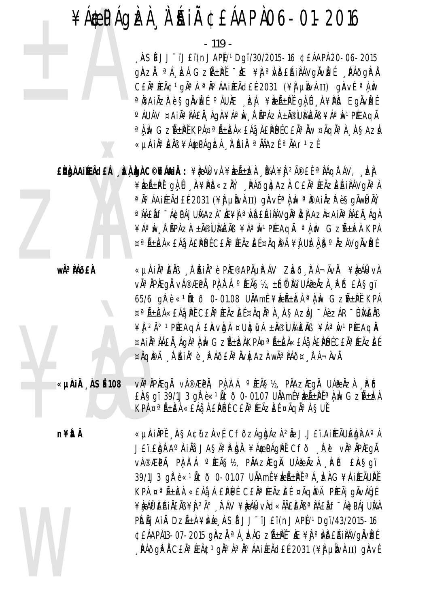$-119 -$ 

ASÍ JJ<sup>-</sup>ïJ£ï(nJAP)/1Dgï/30/2015-16 ¢£ÁAPÀ 20-06-2015 gAzĂ ªÁ, kh GzA+PI "k ¥j ªWDEAIAVgAvki "PÁðgPA CEN<sup>a</sup> FEÃC 1 gNa A a No AAI FEÃO EL 2031 (\\ un un un un un a No a A No ªPAIÄZPè§gÄvÈEÍ ºÁUÆ JZJ ¥ELıPĚ gÀ Û A¥PD EgÄvÈEÍ O ÁUÁV ¤AIĪ LÁEL ÁGA ¥Áª IW A BPÁZA ± N®UMENB ¥Áª IW1PÉEAGA a ì Iv Gzñ±pǐ kpì ¤añ±èì «£Áà ì £ìpúí c£ìa ìw ¤ãqìa ì . Àsazì «µÀIÀªÈÀB ¥Á\$PÁQÈÀ À AIÀ ªÀÄAZÉ ªÀAr1ZÉ

EÙÙNAILEACHA LA LONGHANA : ¥RAKVA ¥RA±REA LA ¥A 2îEL ª NAQITAV, EN ¥ÈEñPĽ gÀ Û A¥PD«ZÄV AAÕgAtAZA CEĪÆÃZEAIAÁVgĪA ªÄ°ÁAIÉEÃd£É2031 (¥Ì µÌNÀII) gÀVɪÀ,ÌN ªÌ®AIÄZPè§gÄWÈÀŸ, a NAEN F ÁGDAI UNAZN HE¥N a NDEAINÁVONA NZI AZN¤AINA NAEN ÁON ¥ÁªIN I APÁZI ±Ä®UKEIB ¥ÁªIN1PÉEAQI ªLIN GZA±IZI KPI ¤ªÑ±EÀ«£Áå À £PÚÉ C£ĂªÆÃZEÉ ¤ÃQPÀ¥Ì UÌtÀ§ºÄZÁVQÄVÈÉ

wê MÕ£À

«µÀiĂªÈĂB À ĂiĂiðè PIÆ®APõPÁV ZLað tá¬ÄvÄ. ¥LeálkvÀ vઠÀPAEgÀ vÁ®ÆPÀ, PÀ À Á ºÆÃ§½, ±Ín® Mi UÁ@ÀZÀ À ® £À§gï 65/6  $qR e \ll 1$ Ñtõ 0-01.08 UNAmí ¥keѱka alk Gzѱk KPN ¤ªÑ±EÀ«EÁå, PĚ CEĂªÆÃZEɤÃQĂªÀ, ÀSAZÀJ-ÁèzÁR-UÀ4EÀB ¥ Î 2ð 1 PÉE AQ A E AVA A ¤ UN EVA ± NO UME NO ¥Aª N 1 PÉE AQ N ¤AIĪÌÁEÄ ÁGÀªÌÌN GZıÌZÀKPÀ¤ªÃ±ÈÀ«£Áå À£PÉJÉC£ĂªÆÃZÈÉ ¤ÃQPÄ À AIA°è PÁÕEAªÄVÆAZA WêAÁÕ¤ FÁ¬ÄVÀ.

«µÀiÅ ÀSÉ 108 vàªÀPÆqÅ vÁ®ÆPÀ, PAÀ`Á °ÆÃ޽, PÀAZÆqÀ UÁ@ÀZÀ PÕ  $E$ AŞqï 39/1J3 q $\mathbb{R}$ è«<sup>1</sup>Ãtð 0-01.07 UÄAmí¥æÃ±Pť<sup>a</sup> $\lambda$ Àv Gzѱ $\mathbb{R}$ Á KPA ¤ªÃ±ÈÀ «£Áå À £PÚÉ C£ĂªÆÃZÈÉ ¤ÃqĂªÀ SUĚ

**n¥itÂ** 

«µÀIAPĚ AŞA¢ijzAvÉ CFÕzÁgbÁzÀ 2 J.J£ï.AIÆÃUÈbÀAºÀ JET.EIDIN A°IAIN JASHa PIDIN ¥ACPÁQIPI CFO RU VIA APIEQI v種PÄ, PÀÀ`Á ºÆÃ޽, PÀAZÆgÄ UÁæÀZÀ "PÕ £ÄŞgï 39/1J3 al è «14to 0-01.07 UAAmi ¥benta fa ben G¥AIEEAUPI KPA ¤ªÃ±ÈA «£ÁåA £PÚJÉ C£ĂªÆÃZÈÉ ¤ÃQPA PÆÃj gÀvÁ0gÉ ¥ÈÁP EÁILEAS ¥Ì 2ð À AV ¥ÈÁIk vÀ d«ÄÄEEAS ª LÁEL f"Á¢PÁJ UNA PIDÄJ AIÄ DZıA¥NE, ASÍ JJ<sup>-</sup>ïJ£ï(nJAPÍ/1Dqï/43/2015-16 ¢£ÁAPÀ13-07-2015 gÀZĂ ªÁ EAGZñPĚ HE ¥Ì ªNDEAIAV GÄVEE , PÁðgPÅ C£ÄªÆÃ¢ 1 gĪÀªÄ°ÁAiÆÃd£É 2031 (¥À µÌWÀII) gÀVÉ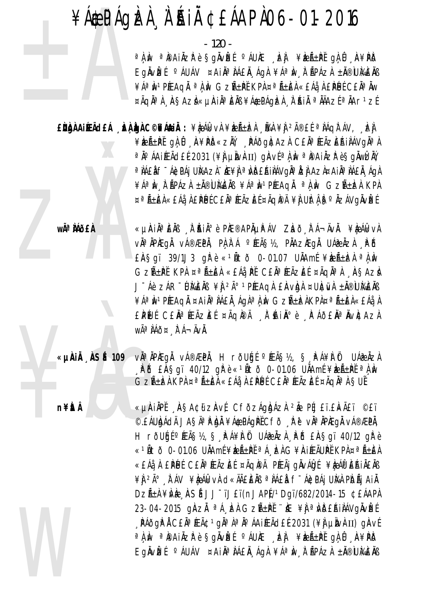$-120 -$ 

a î.N. a îpaiăzi e sgăvîze o aure de vere preferi ga û depis Egnvizí <sup>o</sup> áuáv ¤ Ain<sup>a</sup> ná En ága ¥áªiv a npáza ±n®iumens ¥ÁªIN PÉLAQI ªLIN GZѱPĚ KPL¤ªÑ±EL«EÁå LEPLUÉ CEĪIW ¤ÃQĪÀ ÀŞAZÌ«µÀIĪÈÄB¥Á\$PÁQÈÀ À`ÁIÄ ªÄÄAZɪÄAr1ZÉ

EÙÀNAIREACH AN DA C©NAMIA : ¥RAKVA ¥RA±RI ÙA ¥A 2îEL ª AAQATAV, RA ¥ÈıPĚ QLŮ A¥PD«ZŇ PÁÕQNAZA CEŇªÆÃZEŔINÁVQŇªL a jo áaifeãd£é 2031 (¥) µjvi II) giavíai ma pai jz pesgiwiziv a NAEN F ÁGDAI UNAZI HE¥N a NDEAINÁVON AZI AZI¤AIN ANAEN ÁGH ¥ÁªIN I APÁZI ± N®IUMEIB ¥ÁªIN1PÉEAQI ª LIN GZA±IZI KPL ¤ªÑ±EÀ«£Áå À £PÚÉ C£ĂªÆÃZEÉ ¤ÃQPÄ¥Ì UÌtŧºÄZÁVQÄVÈÉ

wê MÕ£À

**n¥itÂ** 

«µÀIẰªÈÄß À ĂIĂºè PIÆ®APĵPÁV ZLað tá¬ÄvÄ. ¥LeálkvÀ vàªÄPÆqÅ vÁ®ÆPÄ, PA,À`Á °ÆÃ§½, PÀAZÆqÅ UÁ@ÅZÀ . PÕ  $E$ AŞqï 39/1J3 q $\hat{F}$ è «<sup>1</sup>Ãtõ 0-01.07 U $\hat{A}$ Amí ¥k $\hat{E}$ Á $\pm$ k $\hat{A}$  a $\hat{A}$  Av GZıPĬ KPA ¤ªÃ±EA «£Áå PĬ C£ĂªÆÃZEÍ ¤ÃQĂªA ASAZÀ J-Áè ZÁR-UMENS ¥Ì 2ð 1PÆAGA EAVDA ¤UNEWA ±N®UMENS ¥ÁªÌN1PÆAQI ¤AIIªIAEI ÁQIªLÌN GZѱÈLKPL¤ªÑ±EL«EÁ¿L EPŨJÍ CEŇªÆÃZEÍ ¤ÃQPA À AIѺè PÁÕEŇªŇVÆAZA WÃ<sup>a</sup> ÀÁð¤ À Á-ÄVÀ.

v˻ĂPÆgÅ vÁ®ÆPÄ, HrðUģÉ ºÆÃ޽, ޸PÁ¥À Öt UÁæÅzÀ «µÀIA ASÉ 109  $_{\circ}$ PD £ASgi 40/12 grè«<sup>1</sup>Ato 0-01.06 UAAmE¥EAEPE<sup>a</sup> GZѱÈÀ KPÀ ¤ªÑ±ÈÀ «£Áå À £PÙÉ C£ĂªÆÃZÈÉ ¤ÃQĂªÀ SUĚ

> «µÄIÄPĚ ÄSA¢űzÄvÉ CFÕZÁgIdÁzI 2Ă PÉJEï.EIKÃEï ©Eï ©.£ÁUbádå JAŞÄªPbÀ¥Á\$PÁqPĚCfð RěvÀªÄPÆqÅvÁ®ÆPÀ, H rõugí°ÆÃŞ½, Ş PÁ¥Ì Öt UÁæÄzì PÕ £ÄŞgï 40/12 gPè «<sup>1</sup>Ñtð 0-01.06 UNAmí¥leñ±PI ªÁ, lei G¥AIÆÃUPI KPI ¤ªÑ±EI «£Áå À £PÚ É C£Ăª ÆÃZE ɤÃQI®À PÆÃj gÀvÁQE ¥È ÁP EŘIÄ£ÄB ¥Ì <sup>2ð</sup> À ÁV ¥È ÁI XVÀ CI KHI ELAB ª LA ELA F-ÁC PÁJ ULAI PIDÃI AI À DZıÀ ¥NÈ ASÍ JJ<sup>-</sup>ïJ£ï(nJAPÍ/1Dqï/682/2014-15 ¢£ÁAPÀ 23-04-2015 gÀZĂ <sup>a</sup>Á, kh GZñPĚ `` ke ¥j <sup>a</sup> võ£ÁilÁVgÄvke "PÁðgPLÁ CEĪÆÃ¢1gĪÀªÄ°ÁAiÆÃd£É2031 (¥) µÌIvÀII) gÄvÉ a î.N. a îpaiăzi e sgăvîze o aure de vere preferi ga û depis Eglvizí O AUAV ¤AIL<sup>a</sup> JAEL Agl ¥AªIv l'APAZL ± N®UMELS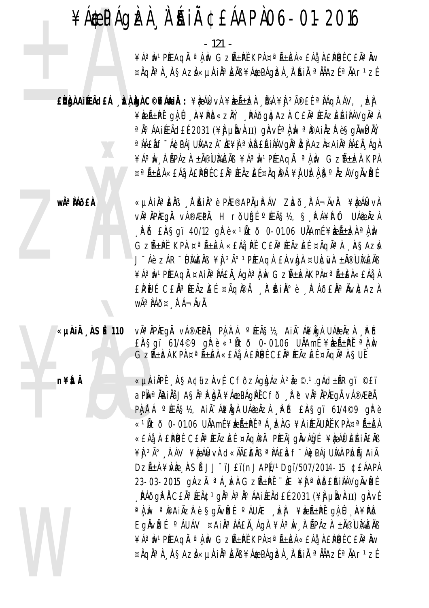$-121 -$ 

¥ÁªIN<sup>1</sup>PÉEAQI <sup>a</sup> I IN GZѱPĚ KPA ¤ªÑ±EA «£Áå A EPÚÉ CEĪIW ¤ÃQĪÀ AŞAZÌ«µÀIĪEÄB¥Á¢PÁQÈÀ À'AIÄ ªÄÄAZɪÄAr1zÉ

EÙÙNAILEÃO EÁ LA LONG CONSTANT : ¥RAIRVA ¥RA-RA NA ¥J 2î EL ª NAQITÁV, RA ¥ÈıPĚ QLŮ A¥PD«ZŇ PÁÕQNAZA CEŇªÆÃZEŔINÁVQŇªL ªÄ°ÁAiÆÃd£É2031 (¥ÌJ µÌNAII) gÀVɪÌ, Nº ªÌ®AiÄZP èSgÄWEÀŸ, a NAEN F ÁGDAI UNAZN HE¥N a NDEAINÁVONA NZI AZN¤AINA NAEN ÁON ¥ÁªIN I APÁZI ±I®UMEIB ¥ÁªIN1PÆAQI ªI IN GZA±IZI KPI ¤ªÑ±EÀ«£Áå À £PÚÉ C£ĂªÆÃZEÉ ¤ÃQIPÄ ¥Ì UItÁB°ÄZÁVQIVÈÉ

wê MÕ£À

«µÀiĂªÈĂB À ĂiĂiðè PIÆ®APõPÁV ZLað tá¬ÄvÄ. ¥LeálkvÀ vઠÄPÆqå vÁ®ÆPÄ, HrðUgí ºÆÃ޽, Ş. PÁ¥À Öt UÁæÅzÀ  $R$  is Ensay 40/12 and  $\ll 1$  it o 0-01.06 Unami  $4k$  is  $\ll 1$  in GZıPĬ KPA ¤ªÃ±EA «£Áå PĬ C£ĂªÆÃZEÍ ¤ÃqĪA ASAZÀ J-Áè ZÁR-UMENS ¥Ì 2ð 1PÆAGA EAVDA ¤UNEWA ±N®UMENS ¥ÁªÌN1PÆAQI ¤AIIªIAEI AQIªLÙ WGZA±ÈNKPR¤ªA±EI«EÁ¿L EPŨJÍ CEŇªÆÃZEÍ ¤ÃQI®À À AINº è PAÕENªNVICAZA WÃ<sup>a</sup> ÀÁð¤ À Á-ÄVÀ.

«µÀiĂ ÀSÉ 110

**n¥itÂ** 

vઠÀPAEQÀ vÁ®ÆPÀ, PÀ À Á ºÆÃ޽, AiÀ-Á¥ÀQÀ UÁ@ÀZÀ , PÓ  $E$ AŞqï 61/4©9 q $\hat{F}$ è «<sup>1</sup>Ãtõ 0-01.06 U $\hat{A}$ Amí ¥èzñ $\hat{F}$ Í <sup>a</sup> $\hat{A}$  Àv Gzѱbà KPà ¤ªÑ±èà «£Áå¸À £PÙÉ C£ĂªÆÃZÈÉ ¤ÃqĂªÀ §UĚ

«µÀIAPĚ ASA¢ữZAvÉ CfðzÁgÀJÁZÀ 2Ă ©.1.gÁd±ÃRgï ©£ï aPÎN<sup>a</sup> Nai Na JAŞA <sup>a</sup> Pidi ¥A\$PAQPECFO R P vI a NPAEQ NA®ÆPA, PA A A PEAS12, AIA A¥AGA UA@AZA PD EASgi 61/4©9 gPè «<sup>1</sup>Ñtõ 0-01.06 UÄAmÉ¥keѱPĚªÁ, ka G¥AIÆÃUPĚKPA¤ªÑ±EA «£Áå À £PÚ É C£Ăª ÆÃZE ɤÃQI®Ä PÆÃj gÄvÁDI ¥LA ÁP EŘIÄ£ÄB ¥Ì <sup>2ð</sup> À ÁV ¥È ÁI CH CHA CHA LA A A CHA THA LA A PIDÃI AI À DZıÀ ¥NÈ ASÍ JJ<sup>-</sup>ïJ£ï(nJAPÍ/1Dqï/507/2014-15 ¢£ÁAPÀ 23-03-2015 GAZA <sup>a</sup> A EA GZA+PI "KE ¥ A a WDEAIAAVGAVE <sub>"</sub> PÁðgP Á C£Ăª ÆÃ¢ 1 gĂª À ª ĺ ÁA iÆÃd£É 2031 (¥) µIV<del>A</del> II) gAvÉ a A M a PAIAZP è SOAVEL CAURE EN ¥ELLE DI O A D A¥PD Eglvizí <sup>o</sup> áuáv ¤ Ail<sup>a</sup> tá fil ágt ¥áªiv tépázt ± övümels ¥ÁªIN<sup>1</sup>PÉEAQI ªLIN GZñPĚ KPL¤ªÃ±EL«£Áå LPÚÉ C£IªIW ¤ÃQĪÀ AŞAZÌ«µÀIĪÈÄB¥Á\$PÁQÈÀ À'ÁIÄ ªÄÄAZɪÄAr1zÉ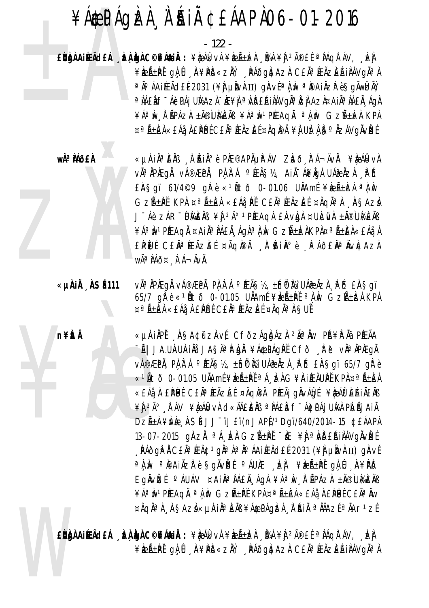#### ¥Á EPÁQIZI À A SAI CEÁAPIO6-01-2016

 $-122-$ 

EÙÙA AIRACEÁ DA LO DE AGAIL : ¥LA AR VÀ ¥RñRA NA ¥Ì <sup>2î</sup>EÍ ª AÁQA ÁV, DE ¥ÈEñPĽ gÌ Û A¥PD«ZIÝ AAÕgICAZI CEIAªÆÃZEŔIIAVGIAªI a jo áAiÆÃd£É2031 (¥) µÌv}II) gÀv{a } jv a pai äzpè§gÄwizĂY a NAEN F ÁGDAI UNAZN HE¥N a NDEAINÁVON a ÍZN AZN¤AIN A NAEN AON ¥ÁªIN I APÁZI ±I®UMEIB ¥ÁªIN1PÆAQI ªI IN GZA±IZI KPI ¤ªÑ±ÈÀ«£Áå À £PÚÉ C£ĂªÆÃZÈÉ ¤ÃQIPÄ ¥Ì UÌtÅFS°ÄZÁVQÄVÌZÉ

wê MÕ£À

n¥itÂ

«µÀIẰªÈÄß À ĂIĂªè PìÆ®APõPÁV Zhð tá¬ÄvÄ. ¥è ÁlkvÀ vàªÄPÆqÅ vÁ®ÆPÅ, PA À Á °ÆÃ§½, A iÀ Á¥ÅqÀ UÁ@ÅzÀ . PÕ  $E$ AŞqï 61/4©9 q $\hat{F}$ è «<sup>1</sup>Ãtõ 0-01.06 U $\hat{A}$ Amí ¥ÈZñÈZÀ <sup>a</sup> $\hat{A}$ ÀW GZıPĬ KPA ¤ªÃ±ÈA «£Áå PĬ C£ĂªÆÃZEÍ ¤ÃQĪA ASAZÀ J-Áè ZÁR-UMENS ¥J 2ð 1PÆAQA EAVOA ¤UNCUA ±N®UMENS ¥ÁªÌN1PÆAQI ¤AIIªIAEI AQIªLÌN GZѱÈLAKPL¤ªÑ±EL«EÁåL £PŨJÍ CEŇªÆÃZÆÍ ¤ÃQÆÄ SN'ÁNIҰè SPÁÕEŇªŇVÆAZA WêÌÁÕ¤ À Á-ÄVÀ.

«µÀIÄ ÀSÉ111 vઠÀPAEQÀ vÁ®ÆPÀ, PÀ À Á ºÆÃ޽, ±hữ Mi UÁ@ÀZÀ , P Ő £ÀSqï 65/7 gře «<sup>1</sup>Ñtð 0-01.05 UÄAmí ¥keñ±Pť <sup>a</sup> A m Gzѱken KPA  $\mathbf{z}^{\alpha} \tilde{\mathbf{A}} \pm \tilde{\mathbf{E}} \tilde{\mathbf{A}} \ll \hat{\mathbf{E}} \tilde{\mathbf{A}} \tilde{\mathbf{a}}_{\alpha} \tilde{\mathbf{A}} \in \tilde{\mathbf{P}} \tilde{\mathbf{E}} \tilde{\mathbf{E}} \subset \tilde{\mathbf{E}} \tilde{\mathbf{A}} \cong \tilde{\mathbf{A}} \tilde{\mathbf{A}} \tilde{\mathbf{C}} \tilde{\mathbf{A}} \cong \tilde{\mathbf{A}} \tilde{\mathbf{Q}} \tilde{\mathbf{A}} \cong \tilde{\mathbf{A}} \tilde{\mathbf{S}} \$ 

> «µÀIẰPĚ "ÀSA¢ữZÀvÉ CfðzÁgbázì <sup>2</sup>ẫªÄw PÁ¥PÄä PÉEÃA -Ã|| JA.UÀUÀIÀå JAŞÄªPÀ)À ¥Á\$PÁGPĚ CFÕ RP vĪÄPÆGÄ v種PÄ, PÀ,À¨Á °ÆÃ޽, ±Íni®kî UÁæÄzÀ ¸PÕ £ÄŞgï 65/7 gìPè «<sup>1</sup>Ñtõ 0-01.05 UÄAmÉ¥keѱPĚªÁ, ka G¥AIÆÃUPĚKPA¤ªÑ±EA «£Áå À £PÚ É C£Ăª ÆÃZÈ É¤ÃQIPÄ PÆÃj gÄvÁDI ¥LAPEAIÄ£IN ¥Ì <sup>2ð</sup> À ÁV ¥È ÁI CH CHA LA AN ALA FTÁ CPÁ UNA PIDÃI AI A DZıÀ ¥NÈ ASÍ JJ<sup>-</sup>ïJ£ï(nJAPÍ/1Dgï/640/2014-15 ¢£ÁAPÀ 13-07-2015 ginzi <sup>a</sup> á ba Gzű±pi "ke ¥j a vö£áliávgivbe <sub>"</sub> PÁðgP Á C£Ăª ÆÃ¢ 1 gĂª À ª İ ÁA iÆÃd£É 2031 (¥) µIv<del>A</del> II) gAvÉ a A M a Painzh e Sgivizí a Aune da Frenta Ga i A¥PO EgÄvIEÍ <sup>o</sup> ÁUÁV ¤AIÄ<sup>a</sup> JÁEÄ ÁgA ¥ÁªIw A ÄPÁZA ±Ä®IUMEÄB ¥ÁªIN<sup>1</sup>PÉEAQI ªLIN GZA±PE KPL¤ªA±EL«EÁå LEPLUE CEL¤IW ¤ÃQĪÀ ÀŞAZÌ«µÀIĪÈÄB¥Á¢PÁQÈÀ À'ÁIÄ ªÄÄAZɪÄAr1zÉ

EÙNA AIREACH AANA C©NA AI : ¥R AKVA ¥RA±RA UA ¥I 2îEL ª AAQA AV, EA ¥ka ke ke ga û a¥pis zik a pasgitazi ce navçekin ku girin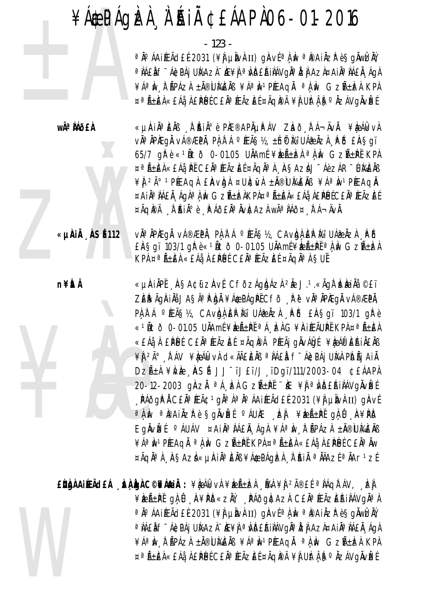$-123 -$ 

a jo áAifEÃd£É 2031 (¥) µ juv hII) g jav fal iv a pai niz resgnweny a NAEN F ÁGDAJ UNAZN HE¥N a NDERINÁVONA NZI AZA¤AIÑ A NAEN AON ¥ÁªIN I APÁZI ±I®UKEIB ¥ÁªIN1PÆAQI ªLIN GZA±IZI KPI ¤ªÃ±EÀ«£Áå À £PÚÉ C£ĂªÆÃZEÉ ¤ÃQIPÄ ¥Ì UItÀ F º ÄZÁVQIVEÉ

wê MÕ£À

«µÀIN¤ÈNB N AINI¤ è PIE®APNUPÁV ZLO FÁ¬ÄVN. ¥LQÁLkvA vઠÀPÆgÅ vÁ®ÆPÀ, PÀ À Á º ÆÃ§½, ±hữ Mi UÁ@ ÀzÀ À B £À§gï 65/7 gře «<sup>1</sup>Ñtð 0-01.05 UÄAmí ¥keѱken <sup>a</sup> A Av GzѱPť KPA ¤ªÑ±EÀ«£Áå PĚ C£ĂªÆÃZEɤÃQĂªÀ ASAZÀJ¯ÁèZÁR¯ŨÀ£ÀB ¥ 1 2ð 1 PÉE AQ A E AV DA ¤ UNC WA ± NO WHE NO ¥Áª W 1 PÉE AQ N ¤AIĪ IÁEÄ ÁGIª L IV GZıIZAKPA¤ª ıEA«EÁå LEPÚÉCEĪ ÆÃZEÉ ¤ÃQIPÄ À AIĺè PÁÕEĪÄVICAZÀ WêÌÁÕ¤ FÁ¬ÄVI.

«µÀiĂ ASÉ 112 vઠÀPAEQÀ vÁ®ÆPÀ, PÀ À Á ºÆÃS½, CAvIdÀ EP I⁄2i UÁ@ÀZÀ PÓ EASqi 103/1 grè«<sup>1</sup>Ato 0-01.05 UAAmf¥beA±Pt<sup>a</sup> Aw GzA±beA KPA ¤ªÃ±ÈÀ «£Áå À £PÚÉ C£ĂªÆÃZÈÉ ¤ÃQĂªÀ SUĚ

n¥itÂ

«µÄIÄPĚ ASA¢űzAvÉ CFÕzÁgIdÁzI 2à J.1.«ÃgI EAII» ©£ï ZEÎKÂQIAI ASA<sup>a je</sup> di ¥A&PAQPĚCFÕ, pë via Ipieqi vá®ÆPI, PA A A PEAS12, CAVAA EP KI UARAZA PO EASQI 103/1 QP è «<sup>1</sup>Ñtð 0-01.05 UNAmí¥leñ±PI ªÁ, Là G¥AIÆÃUPI KPA¤ªÑ±EA «£Áå À £PÚ É C£Äª ÆÃZE É ¤ÃQI®Ä PÆÃj gÄvÁÖJÉ ¥È ÁP EŘIÄ£ÄB ¥Ì 2ð Ì ÁV ¥È ÁI d«ĂÆÈÀB ª IÁEI f-ÁÈ PÁJ UIAI PIDÃJ AI I DZıA ¥NE ASÍ JJTJET/J TDgT/111/2003-04 ¢EÁAPA 20-12-2003 gÀZĂ <sup>a A</sup>, EN GZñPĬ "KE ¥J a NDEAINAV GAVEE , PÁðgPÅ C£ÄªÆÃ¢ 1 gĪÀªÄ°ÁAiÆÃd£É 2031 (¥À µÌWÀII) gÀVÉ a A Av a Pa A i A zh è Soavet CAURE Le River Present o A B A YPD Egňvizí · ÁUÁV ¤AIĪ AAEÄ ÁgA ¥Áª m K ŘPÁZA ±Ň®UMEÄB ¥ÁªÌN1PÆAQĂ ªÀÌN GZñPĚ KPÀ¤ªÃ±ÈÀ«£Áå¸À £PÚÉ C£ĂªĂW ¤ÃQĪÀ AŞAZÌ«µÀIĪÈÄB¥Á\$PÁQÈÀ À'ÁIÄ ªÄÄAZɪÄAr1zÉ

EÙÙA AIÆÃCEÁ "ÈÙ ÙA C©¥Á&IÄ: ¥ÈÁk vÀ ¥ÈıÈÀ "ÜAÀ ¥Ì 2î£Í ªÀÁQÌ ÁV, "ÈJ ¥ÈıPĚ gÀÛ A¥PD«ZÄ, PÁÕGACAZA CEĪÆÃZEŔIAÁVGĪA a jo áAiÆÃd£É2031 (¥) µÌv}II) gÀv{a } jv a pai äzpè§gÄwizĂY a NAEN F ÁGDAJ UNAZN HE¥N a WOERINAVONA DZI AZN¤AIÑA NAEN "AON ¥ÁªIN I APÁZI ±Ä®UKEIB ¥ÁªIN1PÆAQI ªLIN GZA±IZI KPI ¤ªÑ±EÀ«£Áå À £PÚÉ C£ĂªÆÃZEÉ ¤ÃQIPÄ ¥Ì UItÀ F ºŇZÁVQIVIZÉ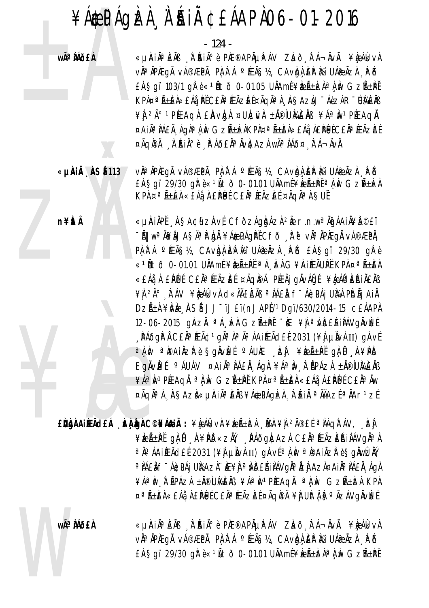$-124$  -

wê MÕ£À

«µÀIN¤ÈNB N AINI¤ è PIE®APNUPÁV ZLAÕ LTÁ¬ÄVN. ¥LEÁLKVN vh<sup>a</sup> Aphega vá®æpa, pa a á °Æã§½, caviga ep ki uáæ aza "p 6 £Ä§gï 103/1 gřè«<sup>1</sup>Ätð 0-01.05 UÄAmÉ¥keıka<sup>a</sup>À, w GzıPĚ KPA¤ªÃ±ĒA«£Áå PĚC£ĂªÆÃZĒɤÃQĂªA ASAZAJ ÁèzÁR ÚKEAB ¥ Î 2ð 1 PÉEAQ À E À V DA ¤ UNC IVA ± N ® IU MA E NS ¥ A ª N 1 PÉEAQ N ¤AIĪ IAEÄ, ÁGIª I IN GZñIZAKPI¤ª ñEA«EÁå, A£PÉJÉCEĪ ÆÃZEÉ ¤ÃQIPÄ À AIA^è PÁÕ£ĂªÄvICAZÀ wêÀÁÕ¤ FÁ¬ÄvÄ.

«µÀiÀ ÀSÉ 113 vઠÀPÆqÅ vÁ®ÆPÅ, PÀ À Á °ÆÃ޽, CAvÀn EP Mì UÁ@ÀZÀ , PÓ EASgï 29/30 gře«<sup>1</sup>Řtõ 0-01.01 UŘAmÉ¥keرŘt<sup>a</sup>ŘN GzرkeŘ KPA ¤ªÃ±ÈÀ «£Áå À £PÚÉ C£ĂªÆÃZÈÉ ¤ÃQĂªÀ SUĚ

> «µÀIÀPĚ ASA¢ữZAvÉ CFÕZÁgbázì<sup>2</sup>Ă r.n.wªÄgÁAIÄ¥Ì ©£ï -AI wa Nima Shapa Mai ta wa Shapa (Kata Wala Walangi wa Kasari) PA A A º KEÃS12, CAVIDA EP Mi UÁR AZA PO EASOI 29/30 OF è «<sup>1</sup>Ñtõ 0-01.01 UÄAmÉ¥ÈÆÃ±PĚªÁ, EÀG¥ÀIÆÃUPĚKPA¤ªÃ±EÀ «£Áå À £PÚ É C£Ăª ÆÃZÈ É¤ÃQI®Ä PÆÃj gÄvÁÖdÉ¥ÈAÎ EŘIÄ£Äß ¥Ì <sup>2ð</sup> À ÁV ¥È ÁI d«ÄãÈÀB ª ÌÁ£Ì f<sup>-</sup>Á¢PÁj UÌAÌ PÌOÃj AIÌ DZÁ±À ¥WE , ASÍ JJ<sup>-</sup>ïJ£ï(nJAP)/1Dgï/630/2014-15 ¢£ÁAPÀ 12-06-2015 ginzi <sup>a</sup> A ba Gzñ±pi "ke ¥j a Wbeali Avgivize , PÁÕGP A CEĂ<sup>a</sup> ÆÃ¢ 1 gha a a o AAIÆÃ dE E2031 (¥A LIN) HA VE a î.N. a îpa inzî ê Şonvêt cáune de ver verhedî di û navîd Egnvizí <sup>o</sup> áuáv ¤ Ain<sup>a</sup> ná En ága ¥áªm a npáza ±n®umens ¥ÁªÌN1PÉEAQL ªLÌN GZѱPĚ KPL¤ªÑ±EL«£Áå LEPLUÉ CEL¤ÌW ¤ÃQĪÀ AŞAZÌ«µÀIĪÈÄB¥Á\$PÁQÈÀ À'ÁIÄ ªÄÄAZɪÄAr1ZÉ

 $\hat{E}$ ùàn Aireāch (zhàn C©¥áain): ¥èák và ¥èzñ±eà (và ¥) 2⮣ $f$  ª náqi $f$ áv, E) ¥EıPĬqìÛ A¥PD«zŇ PÁðgI¢Azì C£ÄªÆÃzEAilÁVgI¤} ªÄ°ÁAIÉFÁd£É2031 (¥Ì µÌNÀII) gÀVɪÀÌN ªÌ®AIÄZ̰è§gÄWÊÄÝ, a NAEN F ÁGDAI UNAZI HE¥N a NDEAINÁVON a IZN AZA¤AIN A NAEN ÁON ¥ÁªIN I APÁZI ±I®UMEIB ¥ÁªIN1PÆAQI ªI IN GZA±IZI KPI ¤ªÑ±EÀ«£Áå À £PÚÉ C£ĂªÆÃZEÉ ¤ÃQIPÄ ¥Ì UItÁ ISºŇZÁVQIVIZÉ

wêÀÁð£À

«µÀIN¤ÈNB À AIN» è PIE®APAUPÁV ZLAÕ FÁ¬ÄVA. ¥LAGKVA vઠÀPÆqÅ vÁ®ÆPÅ, PÀ À Á °ÆÃ§½, CAvÀn EP Mì UÁ@ÀZÀ . PÓ  $E$ AŞgï 29/30 gi è « 1Ñtõ 0-01.01 UÄAmÉ¥izıizh<sup>a</sup> A M GzѱPĚ

n¥itÂ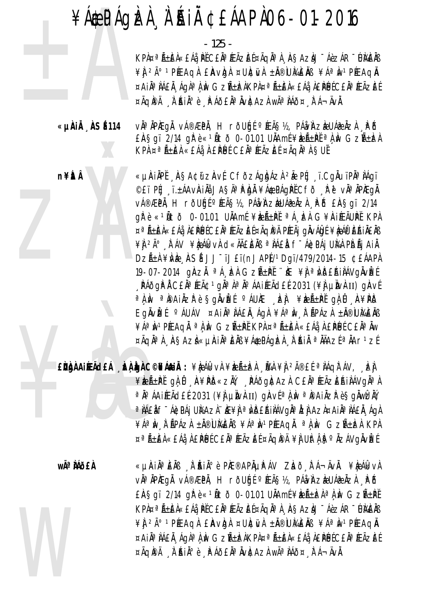$-125 -$ 

KPÀ¤ªÃ±ÈÀ«£Áå¸ÞĚ C£ĂªÆÃZÈɤÃqĂªÀ¸À§AZÀJ¯ÁèzÁR¯ŨKÈÄß ¥ j<sup>2</sup>ð 1 PÉEAQ À EÀV Q À¤ UNC VA ± N® UME NS ¥Áª M 1 PÉEAQ N ¤AIĪ IAEÄ, Aglª I IN GZñIZAKPI¤ª ñEA«EAå, A£PUECEĪ ÆÃZEE ¤ÃQPÄ À AIA°è PÁÕEÀªÀV¢AZÀ WêÀÁÕ¤ FÁ¬ÄVÀ.

«µÀiÅ ÀSÉ114 vì<sup>a</sup> ìpiegì vá®æpì, H rõuái °íeã§½, páàà zèuáæìzì, Põ  $E$ AŞqï 2/14 q $\mathbb{P}$ è«<sup>1</sup>Ãtõ 0-01.01 UÄAmí¥k $E$ ñ $P$ Ě<sup>a</sup> $\lambda$ k Gzñ $E$ À KPA ¤ªÃ±ÆÀ «£Áå¸À £PÚÉ C£ĂªÆÃZEÉ ¤ÃqĪÀ §UĚ

> «µÀIÀPĚ ASA¢ữzÀvÉ CfðzÁgÀAzÌ 2Ă PÉJ ï.CgĂuïPĂªÌÁgï ©£ï PĹJ ï.±ÁAVÀIÄå JAŞÄªPÀJÀ ¥Á\$PÁQPĚCfð Å ë vĪÄPÆQÅ v種PÄ, H rðUálí ºÆÃ޽, PÁåvÀZèUÁæÄZÀ PÕ £ÀSqï 2/14 gì è «1Ñtờ 0-01.01 UNAmí ¥keñ±př ªÁ kel G¥AIÉRAUPĚKPA ¤ªÃ±EÀ«£Áå À£PÉJÉC£ĂªÆÃZEɤÃQI®Ä PÆÃj qÄvÁQIÉ ¥À ÁO EÁJÄ£Äß ¥) 2ð TÁV ¥ÈÁI VÀ CI «ÄÃÊIEÀIS ª IAEI F-ÁICIPAJ UIVA PIDÃJ AIÀ DZıÀ ¥NÈ ASÍ JJ<sup>-</sup>ïJ£ï(nJAPÍ/1Dqï/479/2014-15 ¢£ÁAPÀ 19-07-2014 GIAZI <sup>a</sup> Á LA GZA+PI "IE ¥I <sup>a</sup> NDERIJÁVGIVLE <sub>"</sub> PÁðgP Á C£Ăª ÆÃ¢ 1 gĂª À ª ĺ ÁA iÆÃd£É 2031 (¥) µIV<del>A</del> II) gAvÉ a A Iv a Paily a Sglvet CAUNE DI ¥EREN GA O A¥PD Eglvizí <sup>o</sup> áuáv ¤ Ail<sup>a</sup> tá fil ágt ¥áªiv tépázt ± n®umels ¥ÁªIN PÉEAQI ªLIN GZѱPĚ KPL¤ªÑ±EL «£Áå LEPLUÉ C£I¤IW ¤ÃQĪ) AŞAZÌ«µÀIIªEIB¥Á¢PÁQIZI l'AII ªIJAZEªIAr1ZE

ENGA AIREA COMAGIA : ¥k AkvA ¥k AzA±k MA ¥J 2A®EL ª AAQA AV, LA ¥kæÃ±PĽgĽû A¥PD«zŇ, PÁðgItAzI C£ŇªÆÃzEŔiIAVgI¤I ªÄ°ÁAIÉEÃd£É2031 (¥Ì µÌN}II) gÀVɪÀÌN ªÌ®AIÄZÌ èŞgĂWÊÄÝ ª NAEN F<sup>-</sup>ACPAJ UNAZN∵NE¥N ªNDERINAVGĪNZN AZN¤AIN¤NAEN "AGN ¥ÁªIN I APÁZI ±Ä®UMEIB ¥ÁªIN1PÆAQI ªLIN GZA±IZI KPI ¤ªÑ±EÀ«£Áå¸À£PÚÉC£ĂªÆÃZEɤÃQPÄ¥jUłt"Ҕ°ĂZÁVgÄvÈÉ

wÃ<sup>a</sup> Mõ£À

n¥itÂ

«µÀIN¤ÈNB N AINI¤ è PIE®APNUPÁV ZLAÕ LTÁ¬ÄVN. ¥LEÁLKVN vĂªĂPÆgĂ vÁ®ÆPĂ, H rõUģÉ °ÆÃ§½, PÁネvìAzèUÁæÀzÀ ¸₽Ő  $E$ AŞqï 2/14 q $\hat{F}$ è «  $\hat{I}$ Atõ 0-01.01 U $\hat{A}$ Amí ¥èz $\hat{A} \pm \hat{E}$ A $\hat{A}$  A $\hat{M}$  Gz $\hat{A} \pm \hat{P}$ E KPÀ¤ªÃ±ÈÀ«£Áå PĚC£ĂªÆÃZÈɤÃQÀªÀ ASAZÀJ¯ÁèZÁR¯ÚÀÆĂB ¥ J 2ð 1 PÉEAQ A E À VIGA ¤ UINCIU A ± NO UIGE NS ¥ A ª IN 1 PÉEAQ N ¤AIĪ IAEÄ, Aglª I IN GZñIZAKPI¤ª ñEA«EAå, A£PUECEĪ ÆÃZEE ¤ÃQPÄ À ABIذè À AÕ£ĂªÄvÆAzÀ wêÌÁð¤ À Á¬ÄvÄ.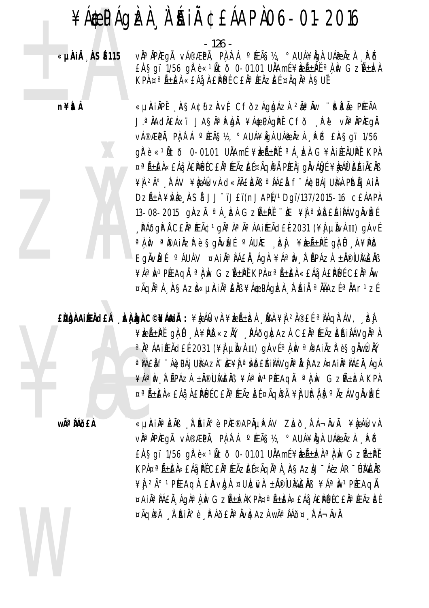- 126 -

«µÀIÄ ÀSÉ115

v˻ÀPÆgÅ vÁ®ÆPÀ, PA À Á °ÆÃ§½, °AUÁ¥ÅgÀ UÁ֎ÀZÀ ÀPÕ  $E$ AŞqï 1/56 q $\mathbb{R}$ è«<sup>1</sup>Ãtõ 0-01.01 UÄAmí¥æÃ±Pť<sup>a</sup> $\lambda$ M GzñbzA KPA ¤ªÃ±EA «£Áå À £PÚÉ C£ĂªÆÃZEÉ ¤ÃQĪÀ SUĚ

«µÀIẰPĚ ÀSA¢ữZÀVÉ CFÕZÁgbÁZÀ 2ĂªÄw ¨₽PÄ PÉEÃA J.ªÄAdÄ£Áxï JAŞÄªÌPÀJÄ ¥Á\$PÁgÌPĚ Cfð İPĕ vĪÄPÆgÄ v種PÄ, PA A Á ºÉAS½, º AUÁ¥ÁGÀ UÁ@ÄZÀ A B EASgï 1/56 gì è «1Ñtờ 0-01.01 UNAmí ¥keñ±př <sup>a A</sup> ken G¥AIÆÃUPĚ KPA ¤ªÃ±EÀ«£Áå À£PÉJÉC£ĂªÆÃZEɤÃQPAÄ PÆÃj gÀvÁQE ¥À Á®EA JÄ£ÀB ¥Ì <sup>2ð</sup> TÁV ¥ÈÁkVÀ d«ÄãÈÄB ªÌÁ£À f<sup>-</sup>Á¢PÁj UÌ⁄A PÌOÃj AIÀ DZıÀ ¥NÈ ASÍ JJ<sup>-</sup>ïJ£ï(nJAPĮ/1Dgï/137/2015-16 ¢EÁAPÀ 13-08-2015 ginzi <sup>a</sup> A kh Gzh+Pi 'k ¥j a Wbeali Avgivke **PÁÕGP A CEĂ<sup>a</sup> ÆÃ¢ 1 gĂª A ª A º ÁAI ÆÃ dE E 2031 (¥A LIDANTI) GA VÉ** a A Iv a Paily a Sglvet CAURE DI YERLPI GA I AYPD Eglvleí <sup>o</sup> áuáv ¤ Ail<sup>a</sup> láel ágl ¥áªlv í Ápázl ±l®umels ¥ÁªIN<sup>1</sup>PÉEAQI ªLIN GZA+PĚ KPL¤ªA+EL«EÁå LEPLUE CEL¤IW ¤ÃQĪ) AŞAZI«UAIIªEIB¥Á¢PÁQIZI ] AI AIAZEªIAr1ZE

EÙÙNAIRACEÁ DA GA C©NA AIA : ¥R ÁR VÀ ¥RA-DA Ù 4À ¥J 2î EL ª NÁQITÁV, DA ¥ÈEñPĚ gÀ Û A¥PD«ZŇ, PÁðgI¢AzI C£ÄªÆÃZEŔIIAVgI¤I ªÄ°ÁAiÆÃd£É2031 (¥∯µÌNv⊩II) gÀVɪÌ, Nº ªÌ®AiÄZIº è§gÄWİZĂÝ, a NAEN F ÁGDAJ UNAZN. NE¥N a NDEA NAVGÄ a IZN AZN ¤A NA NAEN ÁGN ¥ÁªIN I APÁZI ±Ä®UMEIB ¥ÁªIN1PÆAQI ªLIN GZA±IZI KPI ¤ªÑ±EÀ«£Áå¸À £PÚÉ C£ĂªÆÃZEÉ ¤ÃQPÄ¥J UÌtÅ,\S°ÄZÁVgÄvÈÉ

> «µÀIN ª ENS A ANIN ° è PAE®APAUPAV ZLAO A A-AVA. ¥Le Alk vA v˻ÀPÆgÅ vÁ®ÆPÀ, PÀÀ`Á °ÆÃ§½, °AUÁ¥ÀgÀ UÁ֎ÀZÀ ¸ÈÕ  $E$ AŞqï 1/56 q $\mathbb{R}$ è«<sup>1</sup>Ãtõ 0-01.01 UÄAmí¥bzñbzÀ<sup>a</sup>À, w GzñPĚ KPÀ¤ªÃ±ÈÀ«£Áå, PĚC£ĂªÆÃZÈɤÃQĂªÀ, ÀSAZÀJ¯ÁèZÁR¯ÚÀÆÀB ¥ j<sup>2</sup>ð 1 PÉEAQ À EÀV DA ¤UNC TUA ± N® UME NB ¥Áª NU 1 PÉEAQ N ¤AIĪ IAEÄ, Aglª I IN GZñIZAKPI¤ª ñEA«EAå, A£PUECEĪ ÆÃZEE ¤ÃQPÄ À AIA°è PAÕEAªÄVACAZA WêAÁÕ¤ FÁ¬ÄVÀ.

wêÀÁÕfÀ



**n¥itÂ**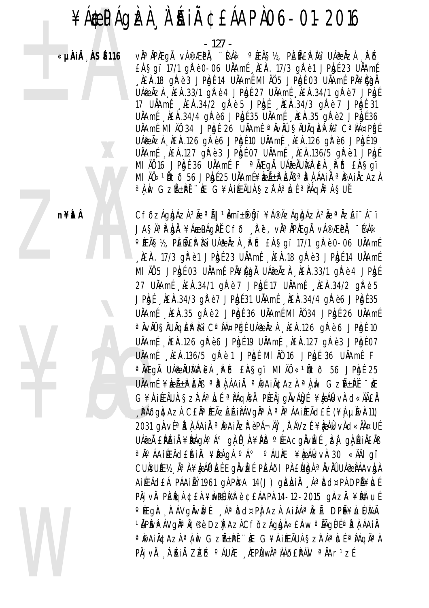#### ¥ÁÆPÁGÈLÀ À ÁLAÏÀ ¢£ÁAPÀ 06-01-2016

zÀÝ

¥Àæ

W

 $\begin{array}{r} \text{127 - } 127 \\ \text{20.44 }\text{ } \text{A} & \text{B} & \text{C} \\ \text{21.5 }\text{ } \text{A} & \text{A} & \text{A} \\ \text{22.6 }\text{ } \text{A} & \text{B} \\ \text{23.6 }\text{ } \text{A} & \text{B} \\ \text{24.6 }\text{ } \text{A} & \text{B} \\ \text{25.6 }\text{ } \text{A} & \text{B} \\ \text{26.6 }\text{ } \text{A} & \text{B} \\ \text{27.6 }\text{ } \text{A} & \text{B} \\ \text{$ «µ**ÀiÀ ¸ÀSÉ116** v˻ÀPÀEgÀ vÁ®ÆPÀ, ¨½Ái« °ÆÃ§½, PÈÑ£ÌPÀ¿i UÁæÀzÀ ¸ÌªÕ £À§gï 17/1 gl Pè 0-06 UĂAm É Lè A. 17/3 gl Pè 1 JPh E 23 UĂAm É  $\lambda$ ie. A. 18 gir è 3 JP. apé 14 Uniamé MI AÖ 5 JP. apé 03 Uniamé Phyadai UÁ $\hat{\mathbf{z}}$ À $\mathbf{z}$ À  $\hat{\mathbf{z}}$ À $\hat{\mathbf{z}}$ À, 33/1 ghè 4 JP $\hat{\mathbf{z}}$ E $\hat{\mathbf{z}}$  27 UÅ $A$ mé  $\hat{\mathbf{z}}$ A.34/1 ghè 7 JP $\hat{\mathbf{z}}$ E 17 UÄAm É, ÀEÀA.34/2 gì Pè 5 JPÀgÉ, ÀEÀA.34/3 gì Pè 7 JPÀgÉ 31  $U$ Å $A$ m $($   $)$   $A \in \mathbb{A}$ .34/4 g $R$ <sup>è</sup> 6 JP $R$ d $($ i 35 U $A$  $A$ m $($   $)$   $A \in \mathbb{A}$ .35 g $R$ <sup>è</sup> 2 JP $R$ d $($ i 36 UÄAmÉ MI ÄÖ 34 JPAgÉ 26 UÄAmÉ <sup>a</sup>ÄvÄÜ §ÄUÄQIEPIK: C<sup>a</sup>IA¤PÉGÉ UÁ $\hat{x}$ À $\bar{z}$ À  $\hat{A}$ £À.126 gì è 6 JPÀgé 10 UÀAmé  $\hat{A}$ EÀ.126 gì è 6 JPÀgé 19 UÄAmÉ, ÀEÀA.127 gì è 3 JPÀgé 07 UÄAmé, ÀEÀA.136/5 gì è 1 JPÀgé MI ÄÖ 16 JPÀGÉ 36 UÅAmÉ F<sup>a</sup> ÅÆgÅ UÁæÄUÅ¥PEÀ "PIÐ £ÀSgï MI ÄÖ«<sup>1</sup>Ätð 56 JPAdÉ 25 UÄAmÉ¥æÃ±PEÄB ªPA ÁAI ÀªPAIÄ¢AzA <sup>a</sup>À Àv GzñPĚ ¨Æ G¥ÀIÆÃUÀ §zháªÀuÉ ªÀÁqĪÀ §UĚ

> n¥ÈÅ **À CfðzÁgÀgÁzÀ <sup>2</sup>Å ªÁ∥ 1Åmï±®Öjï ¥Á®ÄzÁgÀgÁzÀ <sup>2</sup>Å ªÀzÈï¯Á¯ï** JA§ÄªÀþÀ ¥ÁÆPÁgÞĚ CFð ¸Àº, vĪÄPÆgÄ vÁ®ÆPÄ, ¨É4Ák °ÆÃ§½, PÈÑ£ÌPikî UÁæÄzÀ ÅPŐ £À§gï 17/1 gì°è 0-06 UÄAmÉ  $\lambda$  A.E.A. 17/3 gh<sup>e</sup> e 1 JPh and 23 UALA min A.E.A.18 ghe e 3 JPh and UALA min MI ÄÖ 5 JPÀGÉ 03 UÄAmÉ, PĥȤJÄ UÁæÄzÀ , AEÀ.33/1 gì è 4 JPÀGÉ 27 UÄAmÉ ÀEÀA.34/1 gì è 7 JPÀgÉ 17 UÄAmÉ ÀEÀA.34/2 gì è 5 JPÀgÉ, ÀEÀA.34/3 gh è 7 JPÀgÉ 31 UÀAmÉ, ÀEÀA.34/4 gh è 6 JPÀgÉ 35 UÄAmí , ÀEÀA.35 gh è 2 JPÀgÉ 36 UÄAmE MI AÖ 34 JPÀgÉ 26 UÄAmE <sup>a</sup> ÄvÄÛ ŞÄUÄQIEP IYÎ C<sup>a</sup> IA¤PEJE UÁ@ÄZI , IEIA.126 gPè6 JPIQE 10 UÄAm É, ÀEÀA.126 gh è 6 JPh gé 19 UÄAm É, ÀEÀA.127 gh è 3 JPh gé 07 UÄAm { LÈNA.136/5 g) rè 1 JPAgé MI AÜ 16 JPAgé 36 UÄAmé F <sup>a</sup>ÄÆgÀ UÁæÄUÀÅPĒÀ PÕ £À§gï MIÄÖ «1Ñtð 56 JPÀGÉ 25 UÄAmÉ ¥ÈıPÈÄB ªPÀÁAIÄ ªPAIÄ¢AZÀ ªÀ Àv GZñPĚ ¨ É  $G$ ¥ÀIÆÃUÀ §zÌ Áª $\mathbf{\hat{h}}$ e ªÀÁqì®Ä PÉEÃI gÀvÁ0ú ¥èÁl«vÀ d«ÄãÀ  $\hat{A}$ PÁðg $\hat{A}$ zà C£ÅªÆÃzÈÁIÀÁVgŪ $\hat{A}$ ªÅºÁAiÆÃd£É (¥À µÀ $\hat{A}$ 11) 2031 gÀVÉ <sup>a</sup>Ì À ÁAI À <sup>a</sup>Ì®AI ÀZÌ è PÁ¬ÄÝ "À ÁVZÉ ¥À ÁIkvÀ d«ÄĤUÉ UÁæÀ £PÉNIÄ ¥PÁGÀ°Á° gÀ Û, À¥PHŐ ºÆA¢gÄvLÉ DE gÀ BIÄ£ÀB <sup>a</sup> Ä ÁAI ÉAJEÁN <del>À ¥ PÁ</del>GA <sup>o A o</sup> ÁU E ¥ LA Á U 30 «ÄÃI gï CUPUÉ V Å À ¥À ÁÛ ELE GAVE ERAÕI PÀ ENAJÀ <sup>a</sup> AvAÛ UÁ@ LÁAvAJA AI Eà de PÁAI EM 1961 gÀ PIPA 14(J) gEAI À Áª Do aPA DPA¥Àu É PÀ jvÀ PÈÈGÀ ¢£À ¥ÀWÆÚÅAP è ¢£ÁAPÀ 14-12-2015 gÀZÀ ¥ÈPÀ uÉ °Ægi À ÁVgivizí Áªiðd¤PjAzi Ai Ai Áªizã DPÑ¥ Àu ÚMi 1ÄPÀVÀ ÁVGĪÅ¢®è. DzĂ AzÀ CfðzÁgÀdÀ «£ÀW ªÅÃGÚÉ ªÀªÀ¸ÁAiÀ ªPAI ČAZÀ ªÀ NGZñPĚ ¨Æ G¥AI ÆÃUÀ §ZTÁª LLÉ ª JÁQ ĪÀ PÀjvÀ À¨ÅIÄ ZIZŐ °ÁUIE AEPÌWêÀÁð£PÁN ªÀAr1zÉ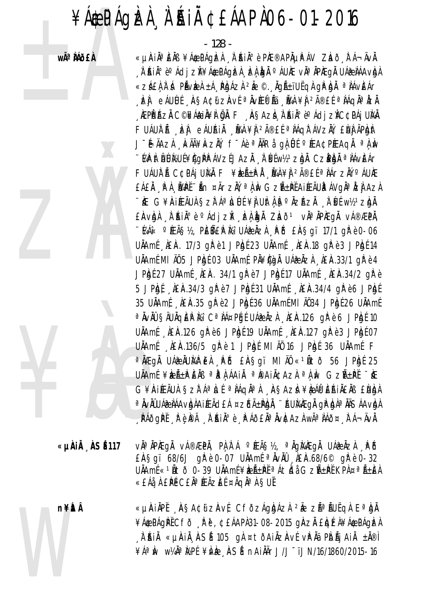wê MÕ£À



 $-128 -$ 

«LIAIĪÈÄB ¥Á\$PÁQIZÀ À AIĺè PIE®APÄLIPÁV ZIað FÁ¬ÄVÄ. , À ʿŔið è°Ácij zǐ ¥Á¢PÁgÌzÀ ¸ÌzÀ LajĂ °ÁUìÆ vĂª ĂPÌÆgĂ UÁ@ ÌÁAvLajÀ «ZÁ£À À Á PÃVÆÀ ±Á PUÁZÀ <sup>2</sup>à © ÅGñïUËQÀ GPÙÀ <sup>a</sup> IÁVEÁr , bì eáulí "Asacüzaví" nvæð li "Ba ¥j ?㮣í" náqn" lzi , ÆPĒP ÁZĂ C©¥Á&IĂ¥Ì ÖJÄ. FI, ASAZÌ, À AIĂº èº Ádi ZĬ C¢PÁj UMÄ FUÁULT Á LA eÁUAIN NA ¥N 2îEL ª NÁGIT ÁVZN, ENN ÃPIONT J - HAZA KAA¥KZAY f - Aè a AARA qa UL o FEA CPFEAQA a A Av "MP At IJUNUE ¥IGPP AVZEJAZĂ A IJEw%1 zIgA. CZPIgA ª IAVEAr FUÁULT Á C¢PÁJ UMÀ F¥ERÁ±PÅ NA¥N 2î£É ªNÁrZŇ ºÁUÆ EÁEĂ P A NAPE ÎN ¤ÃrzĂ, ª A N GzñPE AIÆÃUP ÁVOJª IZJ AZA "IE G¥IAIEÃU) SZITÁªIJUÉ¥I UITÁISº ÄZÁZI A UE W12 ZION. EAVON A AN- è Ácizi EAGA ZAÕ<sup>1</sup> via IPAEGA vá®ÆPA, "KAA« PÆÃS½, PEÑEP K) UÁ® AZA PÕ EASqi 17/1 qP è 0-06 UÄAmÉ AEA. 17/3 gře1 JPh (23 UÄAmÉ AEA.18 gře3 JPh (14 UÄAmÉ MI ÄÜ 5 JP.br 03 UÄAmÉ PÄ¥CipÄ UÁ@ÄZÀ LAEA.33/1 gR è 4 JPkgf 27 UAAmf AEA. 34/1 g/k è 7 JPkgf 17 UAAmf AEA.34/2 g/k è 5 JPD (LEA.34/3 aP è 7 JPD 1 31 UAAm (LEA.34/4 aP è 6 JPD 1 35 UÄAmf AEA.35 gr è 2 JPrgf 36 UÄAmf MI AÖ34 JPrgf 26 UÄAmf <sup>a</sup> ÄvÄÛ SÄUÄQIEIP IVA C<sup>a</sup> IA¤PIGE UA@ ÄzI "ILIA.126 gIP è 6 JPIgE 10 UÄAmf LAEA.126 gPe6 JPbf19 UÄAmf LAEA.127 gPe3 JPbf07 UÄAmf AEA.136/5 gře 1 JPhyf MI AÖ 16 JPhyf 36 UÄAmf F <sup>a</sup> NAE QN UAR NUMPEN PD EASQI MIN «10to 56 JPD 25 UÄAmÉ ¥ÈıPÈÄB aPAÁAIÄ aPAIÄ¢AZA aA M GZıPĚ "Æ G¥AIÆÃUÀ SZFÁªILLÍ ªIÁQIªI ASAZI ¥IRÁPEAIIEIB EUNI <sup>a</sup> ÄvÄÛUÁ@ IÁAvIgIAIÆÃd£Á ¤zŐñPIgÄ, ∵ÁUI‰ÆgÄ gIª IgIª ÄÄSÁAvIgI **PÁÕGPĚ REPÄ A AIAOE PÁÕEĂ<sup>O</sup>ÄVÆAZAWÃ<sup>O</sup>AÁÕ¤ A A-ÄVÅ.** 

«µÀiÅ ÀSÉ 117

vì<sup>a</sup> ìpieaì vá®æpì. Pì ì á º rãs½. ª iai4æaì uáæ izi Põ EASgi 68/6J gPè 0-07 UAAmf a NVAO LEA.68/6 gPè 0-32 UÄAmÍ «<sup>1</sup>Űtð 0-39 UÄAmÍ ¥ìzñPť <sup>a</sup> Átİdå GzѱPť KPA ¤<sup>a</sup> ñEA «EÁå, À EPÉ CEĪÆÃZEÉ ¤ÃQĪÀ §UĚ

**n¥itÂ** 

«µAIÄPĬ "ASA¢ữzAvÍ CfðzÁgbáza 2 m zá mulga Eªba ¥Á\$PÁQPĚCFŎ Řě, ¢£ÁAPÀ31-08-2015 QÄZÄ £IQÍZÀ¥Á\$PÁQIZÀ A'RIA «µAIA ASÍ 105 g) ¤tðAIAZAVÍ vPA PIDAJAIA ±A®I ¥ÁªIW W¼ÄªI½PÉ ¥ÌVÈ ASÍ nAIIÄrJ/J~ïJN/16/1860/2015-16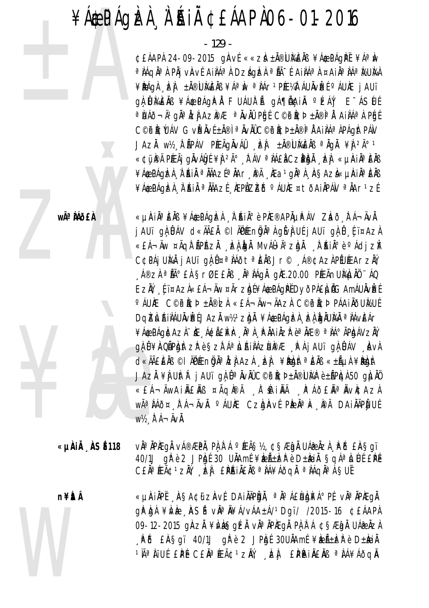$-129$  -

¢£ÁAPÀ 24-09-2015 gÄvÉ ««zà ±Ă®ÙMAÈÄB ¥Á\$PÁGPĚ ¥ÁªÌW a Nágha h phj vinvé Aináa i Dzágizi a ná-é Aináa a ¤Aina ná kumi ¥PÁQA EL ±Ä®UKAEÄB ¥ÁªIN ªIAF1PƼTÁUÄVIEɺÁUÆ jAUï GÀ UMEN ¥ÁCPÁGPÅ FUÁULà GÁTÃAIN ºÉA' E-ÁSUE a NÁլĪ ŌZI AZIPÆ a ÄvÄÛ PÉJÉ C©P ÌŒÞ ±Ă®|a Å A I ÀÁª À PÉJÉ C©P ACUÁV GVP AVɱÀ®| ª ÀVÀÛC©P ACÞ±À®|ª À AIÀÁª À PÁQAt PÁN JAZĂ W½ ,À ÃPÁV PÆÃGÀVÁŲ "È +À®UMÈÄB ªÀGÀ ¥Ì 2ð 1 «¢ü IPÄ PÆÃJ GÄVÁLOIÉ ¥L] <sup>2ð</sup> "ITÁV ª LÁ£LI CZIPLOJÄ "IZJ «µIAIĪ EÄB ¥Á\$PÁgÞA, Í RIÄ ªÄÄAZɪÄAr, PÄ "Æa<sup>1</sup>gĪÀ"A§AZÌ«µÀIĪÈÄB ¥Á\$PÁGÞEA A RIA ª ÄÄAZÍ ÆPILZÞED º ÁUÆ ¤ tÖAIÄPÁN ª ÄAr 1 zÍ

«LIAIĪEÄB ¥Á\$PÁQIZÀ À AIĺè PIE®APÄLIPÁV ZIað FÁ¬ÄVÄ. j AUT gà DÁV d«ÄÃEÀ © LÄPÆnghà dávi UÉ j AUT gà Û LT¤AzÀ «£Á¬Äw ¤Ãqì ÃPÁZI "ÞZI Agi MvÁl¬Ä<sup>1</sup>zaji. "ì Áið°è <sup>o</sup> Ádj zi C¢PÁjUMÄ jAUï gÀ Ĵ¤ª IAÕtª EISJr© A®¢AzIP[UÆArzII) , Á®zÀ ªÑº £À §rØ E£ÀB , ĂªÀÁgĂ gÀE.20.00 PÉEÃnUÀALAŬ ∵ÁQ EZÄ) [j¤Azì«£Á¬Äw ¤Ãrzbí¥Á\$PÁqÌP DyðPi£LuiGAmÁUÄvizí O ÁUNE COPICP ± NOZI «EÁ¬ÄW¬ÄAZI COPICP PÁAI NOUNLUÍ DQIZIUAIIIÁUIIvIEÉJAZI W½ºZIGI. ¥ÁQPÁGIEI "IEI IGIUIVAI ªIÁVEÁr ¥Á\$PÁQI¢AzI``IE Á\$ãÌ¥Ir jĭªI rIAIÏzrèªIÆ® ªIAºÃPIgÁVzIY g) û ¥AQÃPÀDA EZP è SZFÁª LIA I AZNPÆ RA jAUT g) Û AV d«ÄÄEEÄB ©IÄPÆnÖJĪÅZJIAZA EI ¥ROJA ªEÄB «±ÄµA ¥ROJAt JAZĂ ¥Ì UÌI ÎI AUT QI Û¤ ÄVIÛC©P ÌI D ±Ă®UIAP è ±ÃPIQI 50 QILIN «EÁ¬ÄWAIÄEÄB ¤ÃQÆÄ À' HAIÄÄ ÆAÕEĪÄVKCAZA WÃ<sup>a</sup> NÁÕ¤ KÁ¬ÄVN ºÁUNE CZQAVÉ PIPN<sup>a</sup>N Mà DAINAPI UÉ  $W\frac{1}{2}$ ,  $\overline{A}$   $\overline{A}$   $\neg$   $\overline{A}$  $\vee$  $\overline{A}$ .

vì<sup>a</sup> ìpheaì vá®æpì. Pì ì á °éeã§½, ¢§æiaì uá@ìzì Pē £ìa§aï. «µÀiÅ ÀSÉ118 40/1J gir è 2 JPAgé 30 UAAmé ¥beki±ber è D±Ania Sga<sup>a</sup>lullé EPE CEĂªÆÃ¢1ZĂ, EÀ EPAIAEAR ª ASTAQUA ª ASQAª A SUE

n¥itÂ

«µÀIAPĚ AŞA¢űzAvÉ DAIAAPIDA, ªÄºÁ£NDA¥Á°PÉ vĪÄPÆgÄ 09-12-2015 GAZA ¥NESGÉA VÀªÀPÆGÀ PA A A ¢SÆDA UÁ@ÀZA AP & EASOI 40/1J ORE 2 JP. DE 30UAAmE ¥REA±RERE D±AIA 1Ăª À ïUÉ EPÉ CEĂª ÆÃ¢ 1 zN, EP LPAINENS ª NÁ¥ÁÕQN

wêMÃfÀ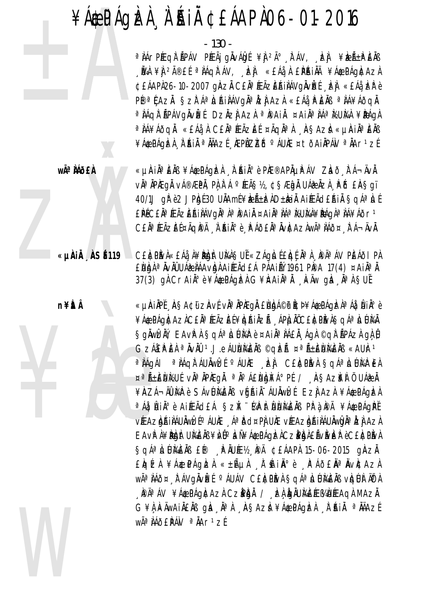$-130 -$ 

a NArpleqi Apav prāj gavadīt ¥n 2ð kav, ka ¥bea±p ENB , Nhà ¥) 2Ă®£É ªNÁQITÁV, , LZJ «£Áå, N £PPAINA ¥Á¢PÁQI¢AZI ¢£ÁAPÀ26-10-2007 gÀZĂ C£ĂªÆÃZĚŔIÀÁVgĂvÈÉ , EÀ «£Áå EP è P®ª¢AzĂ Szlī ÁªLJAIÀÁVgĪÀzÌ AzÀ «£Áå PEÄB ªÀÁ¥ÁðgÄ a NAQN APAVQAVIZE DZAZI AZN a PAIN ¤AINa NA MUMA ¥PAQA <sup>a</sup> IÁ¥ÁðgÄ «£Áå I C£ÄªÆÃzEÉ ¤ÃgĪI . IASAzI «µIAIĪEÄB ¥Á\$PÁGÞLA NIX <sup>a</sup> ÄÄAZÍ KEPÜZÞÓ <sup>o</sup> ÁUƤtðAIÄPÁN <sup>a</sup> ÄAr<sup>1</sup>zÍ

«LIAIĪÈÄB ¥Á\$PÁQIZI À AIĺè PIE®APÄLIPÁV ZIað FÁ¬ÄVÄ. vઠÀPÆqÀ vÁ®ÆPÀ, PÀ À Á ºÆÃ§½, ¢§ÆàjÀ UÁ@ÀzÀ . PÕ £À§qï 40/1J qř è 2 JPht 30 UNAmt ¥rh+rhD±nin Airfãd£hin SqáªLuf £PÉCEĂªÆÃZEŔIÀÁVqĪÀªPAIĂ ¤AIĪÀÁªЍ¿UЍÀ¥ÌPÁqÀªÀÁ¥Áðr1 CEĂª ÆÃZEE¤ÃQÌPÄ A A AJA è A AÕEĂª ÄVICAZAWê IAÕ¤ A A-ÄVÄ.

CEACPAVÀ «EÁÀ À¥PA)ALUMÀ SUÍ «ZÁGAJÍ EAQÉ Àª À PAϪ ÁV PEÁÕI PÀ ENNA <sup>a</sup> NVNÛ UAR NAAVIDA AIREA GEA PAAIN 1961 PIPA 17(4) ¤AIN a N 37(3) gh Crain<sup>°</sup>è¥Á&PÁgÞE G¥ÞAIN<sup>a</sup>N, khw gla N<sup>a</sup>n SUÍ

«µÀIÄPĚ, ÀSA¢ü zÀvÉ vĂªÄPÆqĂ £ÙbÁ©i?Þ¥Á@PÁqÌZÀªÁå¦ÎAİè ¥Á\$PÁQI¢AZICEĪÆÃZEÉ¥IQAIÄZà APIJIÄŪCEI¢PIMSQÁªIJÚMÄ Sgiwiziy EAvP i Sq᪠Lúi kip e ¤Ai i ªi A£i Agi ©qi Apázi gi û GZÁEPEA <sup>a</sup>ÄvÄÛ 1.J.eÁUNMEÄB ©qIzà ¤<sup>a</sup>ñENMEÄB «AUI<sup>}1</sup> a AAgál a AAgít ÁUÄWE (2) CENDA Sgá LLUMPEA ¤ªÃ±ÈÙÈUÉ vÀªÄPÈGÀ ªÄºÁ£Ù¤È¥Á°PÉ / ASAZÈÀ Ö UÁ@À ¥AZÁ¬ÄÙMÀP è SÁVÙMÆÄB vGŔIÀ<sup>-</sup>ÁUÀWŒÉ EZÌ AZÀ ¥Á@PÁQÈÀ <sup>a</sup> Áa¦û li <sup>o</sup> è Aifeãd Eá Szí ∵kp hti Unkens pr a pä ¥áæpágpí vÆAzbáliláUÄwbéé ÁUÆ Áªbd¤Pj UÆvÆAzbáliláUÄwbjĪbzj Azl EAVP À ¥PORT UMEAS ¥NOº DI ¥ACPÁGIZACZPOA EAVIVIZIP è CENTRIVA Sqá<sup>a</sup>lulmens E® PNUE% PÅ ¢EÁAPA 15-06-2015 gAzÀ £kq{z}¥Á&PÁgkz}«±Ãµ}, Î'\$Aiİè, PÁð£ÄªÄvktAz} Wê NÁÕ¤, IT ÁVQNVIEE º ÁUÁV CEICPIVA SQÁª LLUMEAB VIQUA AP A **, PÄ<sup>a</sup>ÁV ¥Á\$PÁG)¢AZI CZPDI / "IZI IGÄUIGELEMIJÆAGI MAZI** G¥L KÄWAIÄEÄB gIa ĪL ASAZI ¥Á\$PÁgIZI A'RIÄ ªÄÄAZE wê ÀÁÕ£PÁN ª ÀAr 1 zÉ

wê MÃfÀ

«µÀIÄ ÀSÉ119

n¥itÂ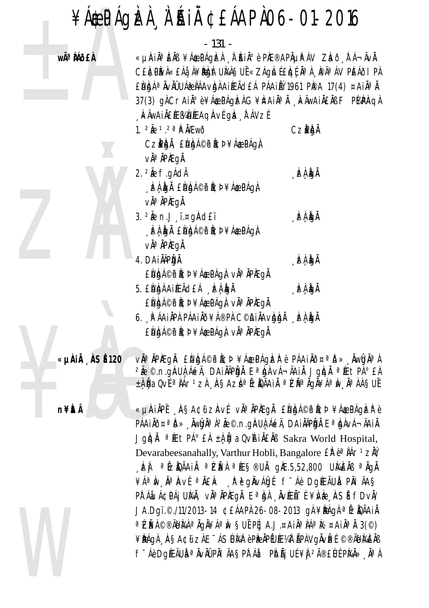|         |                |                                                                          | - 131 -                                             |                                                                                         |  |
|---------|----------------|--------------------------------------------------------------------------|-----------------------------------------------------|-----------------------------------------------------------------------------------------|--|
| wêÀÁð£À |                |                                                                          |                                                     | «µÀIẰªÈÄß ¥Á\$PÁQÈÀ ¸À˙ÁIĂºè PእE®APĵPÁV ZÀð, tá¬ÄvĂ.                                    |  |
|         |                |                                                                          |                                                     | CEICPIN «EÁ  À¥PDITUM SUÍ «ZÁGILI EIQE  Ī  À  PĪÁV PIEÁÕI PI                            |  |
|         |                |                                                                          |                                                     | ENGH <sup>a</sup> Nuni UÁZ NÁA VEN AIKEÑ DE A PÁAIN 1961 PIPA 17(4) ¤AIN <sup>a</sup> N |  |
|         |                |                                                                          |                                                     | 37(3) gÀCrAiÀ°è¥Á\$PÁgÈÀG¥ÀAiĪÀ ,kÄwAiÄ£ÄßF P¼PÀQÌ                                      |  |
|         |                |                                                                          | <b>kÄWAIÄEEMAUEAQAVE gla FAVZE</b>                  |                                                                                         |  |
|         |                | 1. $2\hat{a}$ 1.2 <sup>a</sup> $\hat{a}$ A $\hat{A}$ Ewo                 |                                                     | <b>CzPhā</b>                                                                            |  |
|         |                |                                                                          | CZPOÄ, ENDÁ©P ICÞ¥ÁÆPÁQI                            |                                                                                         |  |
|         |                | vÄ <sup>a</sup> ÄPÄEgÄ.                                                  |                                                     |                                                                                         |  |
|         |                | 2. $2\hat{\mathbf{\mu}}$ f.g $\hat{\mathbf{\mu}}$ d $\hat{\mathbf{\mu}}$ |                                                     | , İzA İgÄ                                                                               |  |
|         |                |                                                                          | , EN ION ENIGA©P ICÞ¥ÁÆPÁOI                         |                                                                                         |  |
|         |                | vÄ <sup>a</sup> ÄPЍEgÄ.                                                  |                                                     |                                                                                         |  |
|         |                |                                                                          | $3.2\text{\AA}$ n.J $i$ $\alpha$ g $\text{\AA}$ d£ï | , İzA İgÄ                                                                               |  |
|         |                |                                                                          | <b>EA ION ENIGA©P ICP ¥A&amp;PÁOI</b>               |                                                                                         |  |
|         |                | vÄ <sup>a</sup> ÄP)ÆgÄ.                                                  |                                                     |                                                                                         |  |
|         |                | 4. DAIÄÄPÄNÄ                                                             |                                                     | , İzA İgÄ                                                                               |  |
|         |                |                                                                          | ENDA©P ICD ¥Á\$PÁQI VĪÄPIEQÄ.                       |                                                                                         |  |
|         |                |                                                                          | 5. ENDA AILEÃO EÁ LEA LON                           | $\Delta$ king $\Delta$                                                                  |  |
|         |                |                                                                          | ENDA©P ACÞ¥ÁÆPÁGA VÄ <sup>a</sup> ÄPÆGÄ.            |                                                                                         |  |
|         |                |                                                                          | 6. PÁAIAPA PÁAIAÕ¥Á®PA C©HIANDDA LEA OA             |                                                                                         |  |
|         |                |                                                                          | ENDÁ©P I¢Þ¥ÁÆPÁG) VĪÄPÆGÄ.                          |                                                                                         |  |
| «µÀiÄ   | <b>ÀSÉ 120</b> |                                                                          |                                                     | via ipiegi Eugá©picþ ¥áæpágizþe Páai ð¤aið» iwgia i                                     |  |

n¥ÈtÎ

<sup>2</sup>Ă ©.n.gÄUÀ ÁskA, DAIÄÄPÌDÀ EªÀDÀ vÁ¬ÄAIÀ JgÀDÀ ªÆtPð£À <u>+) jaoví ajár 1 zl, asazi afzidári azi ajgi¥áam, jají suf</u>

«µÀIĂPĚ ASA¢ữZAVÉ vÀªĂPÆgĂ £Ùbá©f1¢Þ¥Á\$PÁgIZPè PÁAIÄð¤<sup>a</sup>ið» Mwigil<sup>a</sup> l<sup>2</sup>i ©.n.giaul ásk , dai läpigi Eªigivá¬äail Jolah <sup>a</sup> f Et PÁ° El ±l i a OvíA i le Sakra World Hospital, Devarabeesanahally, Varthur Hobli, Bangalore £ $\hat{\mathbf{r}}$  è<sup>a</sup> Mar<sup>1</sup>zN , 之j ª [zìQÃAi] ª Zizì ª Ƨ®UI g)Æ.5,52,800 UMÈÄß ª Ägl ¥ÁªÌN NªÌAVÉ ªÄ£ÌK N PU GAVÁLOSÉ F Á DOJÆÃUN PAI AAS PIT ÁåJÁ¢IPÁJ UIVA, vIIª ÄPIEgI Eª Igi "ÄvIEŰ" É¥IVE "IASÍ FDvIV JA.Dgï.©./11/2013-14 ¢£ÁAPÀ 26-08-2013 gÀ ¥ÌPÁgÀ ª ÉZÌQÃAIÀ aZĬZA©®ÄUMÀªÄQÄ¥ÁªM SUĽPÉJA.J.¤AiĪÌÁªM ¤AiĪÄ 3(©) ¥PÁQA ASA¢űzÀE<sup>-</sup>ÁSÚMP è PP ÄPÉUƼÀ ÁPÁVGÄVDE ©®ÄUMEÄB f - Áè DgíEÃUÀ <sup>a</sup> ÀvÀÛ PÀI AAŞPÌr Áat PIDÃj UÉ ¥Ì <sup>2</sup>î£ÚÉ PIAÀ» Å<sup>a</sup> À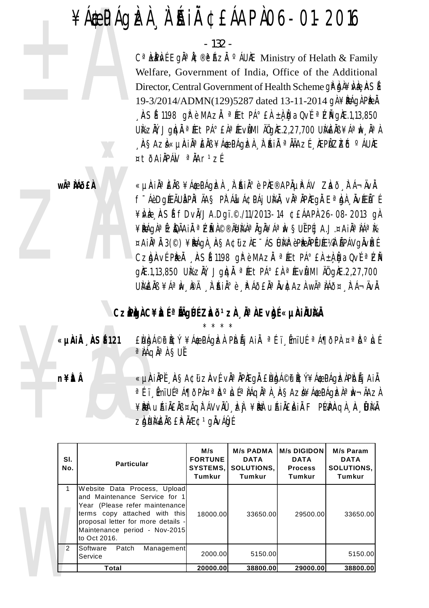# $\angle$  ¥Áæ $\angle$ PÁgèzÀ  $\angle$ À $\angle$ ñiÀ ¢£ÁAPÀ06-01-2016

 $C^a$   $kP$  $k$ f  $E$ g $k^a$   $k^b$  $R$ z $k$ <br>
Welfare, Government<br>
Director, Central Government<br>
19-3/2014/ADMN(129)<br>  $\int_0^R$ Sh 1198 g $k^a$   $k^a$   $R$   $\pm P$  $k^a$ <br>  $\int_0^R$ SAz $k$   $\ll$   $\mu$  $k$ i $a^a$  $\pm P$  $h^o$  $\pm h^a$ C<sup>a</sup> LPM<sup>i</sup> Egl<sup>ia</sup> k<sup>®</sup> e<sup>®</sup> Az<sup>a</sup> <sup>o</sup> AU k Ministry of Helath & Family Welfare, Government of India, Office of the Additional Director, Central Government of Health Scheme gh byl¥k k ASÍ 19-3/2014/ADMN(129)5287 dated 13-11-2014 gÀ ¥PÁgÀ PÈ Å  $\Box$ ÀSÉ 1198 gÌ è MAzĂ  $^{\circ}$ ÆtPÁ $^{\circ}$ £À ±À¸Ù aQvÉ  $^{\circ}$ EĂ g)Æ.1,13,850 UÀ‰zĂÝ, JgÀnĂ <sup>a</sup> ÆtPÁ° £À ªÉVÌMI ÄŬGÀE.2,27,700 UÀ¼ÈÄß ¥ÁªÌw, ÀªÀ ¸À§AzÌ«µÀiĂªÈÄß ¥Á¢PÁgÌzÀ ¸À˙ÁiĂ ªÄÄAzÉ ¸ÀEPÌZIZŐ °ÁUÀE ¤tðAiÄPÁN <sup>a</sup>ÄAr<sup>1</sup>zÉ



**wã<sup>a</sup> Àáð£À** «µÀiĂªÈÄߥÁæPÁgÞÀ À¨ÁiİèPÆ®APÀµPÁV Zað, tá¬ÄvÀ. f<sup>-</sup>Áè DgÉEÃUÀ PÀI ÄA§ PÌTÁåuÁ¢iPÁjUÀ¼À, vÀªÀPÀEgÀ EªÀgÀ ¸ÀvÉEÃ-É ¥ÀvÀæ ¸ÀASÉå fDvÀÄ/JA.Dgï.©./11/2013-14 ¢£ÁAPÀ 26-08-2013 gÀ ¥ÀGÀªÉZÒÃAIÀ ªÉŽIEÀ©®ÄUÌÀÀªÄGÄ¥ÁªÌN §UẾ PÉJA.J.¤AIĪÌÁªÌ½ ¤AiŪÅ 3(©) ¥ÀÁgÀ¸À§A¢ü zÀE¯ÁSŰMÀ? èPÀPÄPÉUƼÀ`ÃPÁVgÄvÌZÉ CzÒAvÉ PÈÀ , ASÉ 1198 gÈè MAZÀ<sup>a</sup> ÆtPÁ° £À ±À Ù aQvÉ <sup>a</sup> EĬ  $q$ ÅÆ.1,13,850 U $\ell$ zÅÝ, Jg $q\lambda$ Å $\ell$  <sup>a</sup> ÆtPÁ° $E$ À  $\ell$ Æ $\ell$ V $\ell$ MI $\ell$ 0  $\ell$ R.2,27,700 UÀ¥ÈÄB ¥ÁªÀv¸ÞÄ ¸À˙£iðè ¸PÁð£ĂªÄvÈAzÀ wêÌÁð¤¸ÈÁ¬ÄvÄ

#### CzP**è**gÀ C¥ÀlÉ <sup>a</sup> ÄÄgÚÉ ZÀð<sup>1</sup>zÀ "ĂªÀ EvÀjÉ «µÀiÄUÀÄ

¥Àæ \* \* \* \* **«µÀAiÀÄ ¸ÀASÉå 121** £ÀUÀgÁ©üªÀÈ¢Ý ¥Áæ¢üPÁgÀzÀ PÀb ÉÃjAi ÀÄ ªÉ¨ï¸ÉÊmïUÉ ªÁ¶ðPÀ ¤ªÀðºÀu É  $a \hat{A}$ iáq $\hat{A}^a \hat{A}$  §UÉ **n¥ÈÅ Å** III «µÀIÅPĚ ÀŞA¢ü zÀVÉ vĂªÄPÀEgĂ £ÙbÁ©i<sup>a</sup> k¢Ý¥ÁæpÁgIzÀPIbÃjAIÀ

<sup>a</sup>ɨï¸ÉmïUÉ ªÁ¶ðPÀ¤ªðºÙÉ ªÀÁqĪÀ¸À§Azd¥Á**æ**PÁgÞÀªÌw¬ÄAzÀ ¥ÈÀ UŘIÄ£ĂB¤ÃQĀĀVVÀÛ "ÈJ ¥ÈÀ UŘIÄ£ÀIÄ F P½PÀQA "À"ÜLAÄ ZÀGÀUÀ AÈÄB £Àº ÀÆ¢º gÀvÁÛGÉ

| SI.<br>No. | <b>Particular</b>                                                                                                                                                                                                       | M/s<br><b>FORTUNE</b><br>SYSTEMS,<br>Tumkur | <b>M/s PADMA</b><br><b>DATA</b><br>SOLUTIONS,<br>Tumkur | <b>M/s DIGIDON</b><br><b>DATA</b><br><b>Process</b><br>Tumkur | M/s Param<br><b>DATA</b><br>SOLUTIONS,<br>Tumkur |
|------------|-------------------------------------------------------------------------------------------------------------------------------------------------------------------------------------------------------------------------|---------------------------------------------|---------------------------------------------------------|---------------------------------------------------------------|--------------------------------------------------|
| 1          | Website Data Process, Upload<br>and Maintenance Service for 1<br>Year (Please refer maintenance<br>terms copy attached with this<br>proposal letter for more details -<br>Maintenance period - Nov-2015<br>to Oct 2016. | 18000.00                                    | 33650.00                                                | 29500.00                                                      | 33650.00                                         |
| 2          | Patch<br>Software<br>Management<br>Service                                                                                                                                                                              | 2000.00                                     | 5150.00                                                 |                                                               | 5150.00                                          |
|            | <b>Total</b>                                                                                                                                                                                                            | 20000.00                                    | 38800.00                                                | 29000.00                                                      | 38800.00                                         |
|            |                                                                                                                                                                                                                         |                                             |                                                         |                                                               |                                                  |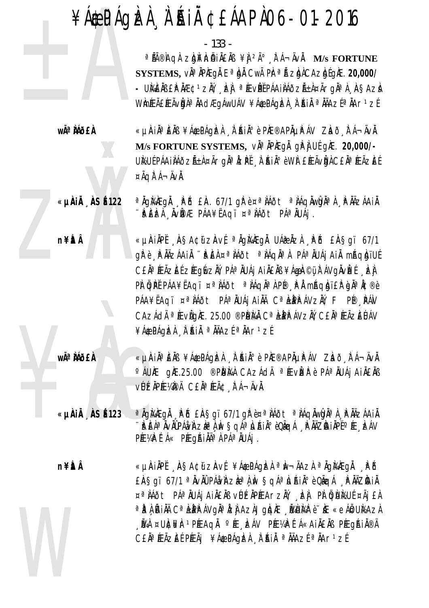$-133 -$ 

<sup>a</sup> HîKQA ZUN hÄINLAS ¥N 2ú FÁ¬ÄVN. M/s FORTUNE SYSTEMS, VĂ<sup>a</sup> ĂPAEGĂ E<sup>a</sup> bĂ Cwà Ph<sup>a</sup> la ziga CAzigégAE. 20,000/ - UMEÄBEPÄÆ¢1zÄ, EL ªÆvPĚPÁAILÁðzÁ±À¤ÃrgĪÀ ASAzL WIMÉLÄEJEÄVIDI<sup>a</sup> ÄAdægáwUÁV ¥Á\$PÁgIzI i A A A a A Aazíª ÄAr<sup>1</sup>zí

wêÀÁð£À

**n¥itÂ** 

«µÀIÀªÈÄß ¥Á¢PÁQÈÀ À ÁIÀºè PÆ®APĵPÁV ZLO, FÁ¬ÄvÄ. M/s FORTUNE SYSTEMS, vÀ<sup>a</sup> Aplega gh i Ut gif. 20,000/-UNUÍ PÁAINÁÕZÁ±N¤ÃrqNªNZPĚ, N`ÍAIN°èWN £ÍEÃVNHA C£ŇªÍEÃZEÍ  $\mathbb{E}[\mathbf{A} \cap \mathbf{A}] = \mathbf{A} \cap \mathbf{A}$ 

«µÀiÅ ÀSÉ 122 a Aglaiteon A.B.B.E.A. 67/1 or e ¤ a láot a lághwha a la hAzaain ∵₽EEA ÄVDÆ PÁA¥ËAQϤªÌÁðt PÁªÄUÁj.

> «µÀIAPĚ "ASA¢űzAvÉ <sup>a</sup> AgMEgA UÁ@AzA "PŐ EASgï 67/1 gì è PhäzáAi "PE ¤ª láot ª lágha P᪠luáj Ai mághjuí CE Nª ÆÃZE ÉZÆGÍVZN, PÁª NUÁJ AINENS ¥ÁQNA©Ü ) FÁVGNVIZÉ DEN PI QPI PÁA¥ËAQI ¤ªIÁÕt ªIÁQIªIP® PI mAQDIEP QIªIC®E PÁA¥ËAQϤ<sup>a</sup>ÀÁÕt PÁªÄUÁjAİÄÄ CªLEPPÁVZÄÝ, F P® PÁV CAZÁdÄ <sup>a</sup> Æv**i**gÆ. 25.00 ®PNMÄ CªLPPAVZŇ, C£ÄªÉAZEUÁV ¥Á\$PÁQIZI I AJÄ ªÄÄAZͪÄAr1ZÍ

- wê Mõ£À
- «µAIĪÈÄß ¥Á\$PÁgÞÀ À ÁIĺè PÆ®APĵPÁV ZÞÒ FÁ¬ÄvÄ °ÁUNE GNE.25.00 ®PIUMA CAZÁdÄ ªÆvÈZPèPÁªÄUÁjAIÄEÄB VÚÉÄPƼPÄ CEĪÆÃ¢ ÀÁ¬ÄVÄ.
- «µÀIÄ ÀSÉ 123 a Aglaitegh PD EASgi 67/1 grè¤a Aota Agawana PAZAAIA ∵PEAªĂvĂŨPÁðÀRZȪĂÀ VSQÁªLAÄNºèQÃQÁ APÄÄZAHÀPĚºÆ¸LAV PÉLYAPÉ Á« PÉLGIAJNA PÁ<sup>a</sup> AUAj.

«LIAIAPĚ ASA¢űZAVÉ ¥Á\$PÁQIZA ªIN¬ÄAZA ªIQIGAEQI PÕ **n¥itÂ** £A§gï 67/1 <sup>a</sup> ÄvÄÛ PÁåvAZk<sup>a</sup> A, İn §qÁª LIA I İ è QÃqÁ , P ÄÄZIA I Ä ¤ªÀÁÕt PÁªÀUÁj AIÀEÀB VÚEAPÆArzÀY, EÀ PÀ GUN2UÉ ¤Ãj EÀ a pa în ia Calpp Avgăa îzi Azajgiore îminar di Xe «eagulază , NAA ¤UNCNEN-1PPEAQN ºPE, DEAV PPE¼PÉ A«AINIENS PPEQPAIN®A CEN<sup>a</sup> ÆÃZEÍ PÆÃJ ¥Á¢PÁGÞA À ÁN <sup>a</sup> NAZÍ <sup>a</sup> NAr<sup>1</sup>zÍ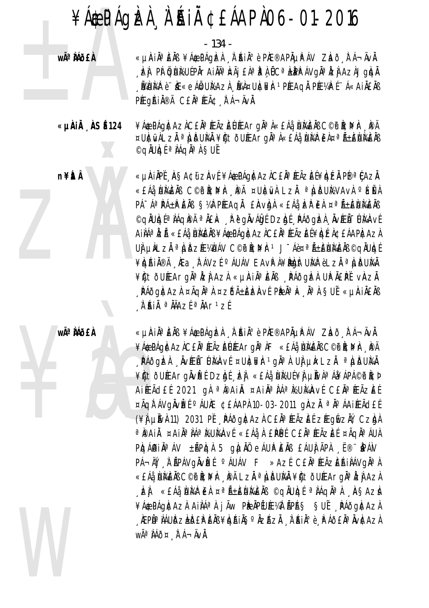$-134 -$ 

**wÃ<sup>a</sup> Mõ£À** 

n¥ÈÂ

«µAIĪÈÄB ¥Á¢PÁgÞZÀ "À AIİè PÆ®APĵPÁV ZÞO", FÁ¬ÄvÄ. , 1z) PI ÖDIYUEPÄrAIÄĪ İEª İP A ÖCª LEPIP ÁVGĪ İIZ) AZAJGİQÄ , LAUMAR è DE «eÁG¤UMAZÀ, LAI¤UNCIENT PÉEAQĂ PÉEVARÉ DA<AIÄEÄB PÆgÁIN®Ä CENªÆÃ¢ FÁ¬ÄVN.

¥Á\$PÁQI¢AZICEĪÆÃZEUÆArQI¤}«EÁå NIGEIB C©P I¢PEIr PA «µÀiÅ ÀSÉ 124 ¤U)¢ŵÀĽzĂ ªµdumĂ¥ÇtðUÆArgĂªλ«£Áå¸WmPæA¤ªÃ±EWMEÄB ©qÄUIqÉ <sup>a</sup> IIÁqĪ I SUÉ

> «µÄIÄPĚ ÄSA¢űZÄvÉ¥Á@PÁQÌCAZÌC£ĂªÆÃZÈÉ¥IQÉÄ P®ªÇAZĂ «EÁå NIKEIN C©PICI¥Ir "IPÄ ¤UICIVI LZI ª LIDUIZVAVI º GIEN PÁ A PÁ±P EAB S¼PPEAQA EAVDA «EAA ER EA ¤ A LENMEAB ©qiulgéªi.Aqi@A ªiEk \_iPëgivAbt Dzigé \_iPAðgizi \_ivæi-UMAvt AILAª LEà «EÁå UNEN ¥Á¢PÁQI¢AZÀCEĂª ÆÃZEĹ¥IQEÀ¢EÁAPI¢AZÀ UI LIKLZĂ <sup>a</sup> LIBZE¼UÁV C©P I¢I¥Ir 1 J - Á褪ѱEÙMEIN ©qÄUIqÉ ¥IQAIÄ®Ä MEa TÁVZÍ °ÁUÁV EAvPI¥PIGINEUMPèLZI ªILIBUMÄ ¥ÇtöUÆArgĪÅzÌAzÀ «µÀiŪÈÄß RÁðgÌzÀ UPÄ£PĚ vÄZÄ ¸PÁðgI¢AzI ¤ÃqϪI ¤zÓñEIzINt PIPĪI»¸ÏªI §UÍ «µIAIÄ£I}} A'AIN <sup>a</sup> NAZÍ <sup>a</sup> NAr<sup>1</sup>zÍ

wê MÕ£À

«LIAIĪÈÄB ¥Á\$PÁQIZI A AIĺè PIE®APÄLIPÁV ZIað FÁ¬ÄVÄ. ¥Á\$PÁQÀCAZÀCEĂªÆÃZÈŨÆArgĂªÀF «EÁå¸ÙЍÆÀB C©PÌ¢N"}PÄ PÁÕGEA NVÆŨ UMAVÍ ¤UNE¥F1GĪA UJ LIK LZĂ ª LUDUMA ¥CtÕUÆArqÄVPÉDZDÉ DZ «EÁå UNUÉ¥I µIVIªÁ¥ÁPÁ©PICÞ AIÆÃdEÍ 2021 gÀ <sup>a </sup>PAIN ¤AINa AA BUMAVÍ CEN a ÆÃZEÍ ¤ÃQITÁVQINDE CÁUIE ¢EÁAPI 10-03-2011 QIAZI <sup>a</sup> lo áAIEFà dE (¥) µÌVÀ11) 2031 PĽ NAÕGNCAZA CEŇ<sup>a</sup> ÆÃZEÍ ZÆGÍVZŇ, CZNA ªPAIÄ ¤AIĪIÁªIŁUMAvÉ «£Áå À £PUÉ C£ĂªÆÃZEÉ ¤ÃQĂªÁUÀ  $P$ kqám i n<sup>a</sup> áv ±ñpkqn 5 gn no eáur féns £áuj ápn  $E^{\otimes}$  páv PÁ-ÄN A ÁPÁVOLVE PÁUÁV F »AZÉ CELPEREZERILÁVOLO «£Áå¸ÙЍÆÄB C©t Ì¢ì¥Ir ¸ÌPĂ LzĂ ª LJĎU̼Ă ¥ÇtðUÆArgĂªÌzj Azl LEI «EÁI UMPEI ¤ªÑ±EUMEN ©QÙUIQÉ ªIAQIªI ASAZI ¥Á¢PÁQICAZI AIIIÁªI JÃW PIPILUÆVI IPAS SUI PÁÕQICAZI , ÆPÙª IÁUDZLDEP EIB¥IQAIÄS° ÄZAZĂ, A AIĺ è , P AÕEĪ ÄvICAZA WÃ<sup>a</sup> ÀÁð¤ Å Á ⊣Ä∨À.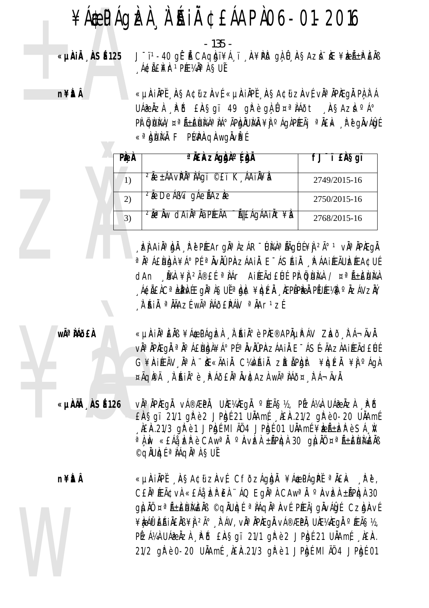$-135 -$ 

«µÀiÅ NSÉ 125 J-ï1-40 gf-ã CAqùi¥Á ï "A¥PD gìû ASAzì `` ke ¥izã±P`EÀB Á¢ÃEÀ 1PƼĪ À SUĚ

**n¥ìt Â** 

«µÄIÄPĚ ÄSA¢űzÄvÉ «µÄIÄPĚ ÄSA¢űzÄvÉvĪÄPÆqÄ PÀ Ì Á UÁRÄZA PÖ EASGI 49 GPè GA B ¤ªIÁÕt ASAZI ºÁº PI ÖLÜMA/¤ªÄ±ELÜMAªIÁºÃPIDININAÄ¥I ºÁQAPÉEÃI ªÄ£Ik R ë qÄvÁÖLÍ « a bullan F Plaph ghwghvir f

| Pæ A | <b>akekzagha that</b>                                  | <b>FJ TT EASGT</b> |  |
|------|--------------------------------------------------------|--------------------|--|
| 1)   | 2A ±AAVPA <sup>a</sup> NAQI ©EI K AANI¥N               | 2749/2015-16       |  |
| (2)  | <b>2A DeAMi gAeAAZA</b>                                | 2750/2015-16       |  |
| 3)   | <b>2 a a</b> w dain a prea - Aleagaaint <del>y</del> a | 2768/2015-16       |  |

, È A A I À ª A À À À PÉArgha A ZÁR DI MA ª LÃQÚ E ¥ À 2ú 1 VI ª À PIE Q À a no áelum ¥á° pé a nviú pirzáai E-ásái "Páaiæãu eæacué dan , Nia ¥j 2î£É ª NÁr AIÆÃd£ÚÉ PI ÖQNMA / ¤ªÑ±ÈNMA , Á¢Ã£ÀCªLPNÉEgĂªÀ§UĚªL) LE ¥LJÉĂ, ÆPÜPPÄ PŰVƼ§ºÄZÁVZŇ, A AIN <sup>a</sup> NAZE wÃ<sup>a</sup> NAQEPAN a NAr<sup>1</sup>zE

wê MÕ£À

«µAIĪÈÄB ¥Á\$PÁGÞEÀ À ÁIĺè PÆ®APĵPÁV ZÞO TÁ¬ÄvÄ. vĂªÄPÆgÅ ªÄºÁ£NbJÀ¥Áº PɪÄvÄÛPÀZÁAiÄ E¯ÁSÉ-ÄAZÀAiÆÃd£ÚÉ G¥AIÆÃV ÀªÀ ``Æ«ÄAIÀ C¼À/AIÀ zÌrÃPÀDAt ¥ÀQÉÀ ¥Ì ºÁGÀ 

vઠÀPAEQÀ vÁ®ÆPÀ, UAE¼ÆQÀ ºÆÃ޽, PÉZÁ¼À UÁ@ÀZÀ , PÕ ǵˀ ÀSÉ126 EASgï 21/1 ghè 2 JPhyf 21 UAAmf REA.21/2 ghè 0-20 UAAmf AEA.21/3 grè 1 JPh f MI AO 4 JPh f 01 UAAm f¥ben + bere SA N a A Av «EÁå ER è CAWa A O AVEA ±APIOA 30 QILIAO ¤ A LENIGEAB ©gÄUIgÉ ª IÁgĪ I SUÉ

n¥ÈÂ «µÀIÀPĚ AŞA¢ữZÀVÉ CFÕZÁQÀÀ ¥Á¢PÁQPĚ ªÄ£k Rě, CEN<sup>a</sup> (Eâv) «EÁ EN EN "AQ EQN<sup>a</sup>) CAW<sup>a</sup>N <sup>o</sup> AvEA ±APIQ) 30 glin ¤ªñ±Elimen ©gnulgí ªiáqiªnví přeáj gnváljí Czlynví ¥ÀA DÊ A INEAIS ¥N 2ð A AV, vÀ ª APAEQA vÁ®ÆPÀ, UAE¼AEQÀ °ÆÃS½, PÉZÁ¼À UÁZ ÀZÀ "PÉD EASGI 21/1 gře 2 JP gÉ 21 UÄAmÉ "AEA. 21/2 gře 0-20 UÄAmf AEA.21/3 gře 1 JPg f MI AÖ 4 JPg f 01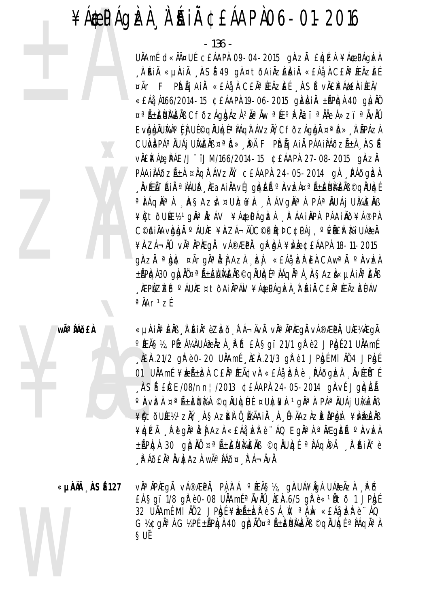$-136 -$ 

UÄAmÉ d«ÄäUÉ ¢EÁAPÀ 09-04-2015 gÀZĂ ELO EA ¥Á\$PÁGLEA A'RIA «µRIA ASÍ 49 gÀ¤tõAIÀZEAIA «£Áå CEAªÆÃZEE ¤Ãr F PIDÃJ AIL «EÁå, À CEI<sup>]</sup> (FÃZEE , IASÍ VILLEA A EIRIPEÃ/ «£Áå Å166/2014-15 ¢£ÁAPÀ 19-06-2015 gÈÀNIĂ ±ĂPÀQÀ 40 GÀUÀO ¤ªÑ±ÊÙŇÈŇ CfðzÁqbÁzÀ 2ѪŇw ªÆ°PŇzï ªŇěÁ»zï ªŇvŇŮ Evbbhülka <sup>o</sup> [ ] Uf©gäUbf<sup>a</sup> jági ávziv, Cfðzágidi ¤<sup>a</sup> ið», a i ápáza CUMÀ PÁª ÄUÁJ UMÈNS ¤ª ID» PÀ F PIOÃJ AIÀ PÁAILAÕZñA ASÍ vÄENFÁ& PÁE/J "ïJM/166/2014-15 ¢EÁAPA 27-08-2015 gAZA PÁAILÁðzÁ±L ¤ÃQLTÁVzLY ¢£ÁAPL 24-05-2014 gl PÁðglzl , ÄVÆÃ "ÁIÄ ª IÁUID, ÆAAIÄAVÍJOIDEà º AVIZI¤ª Á±EIJIKEÄB ©QÄUIDÍ ªÌIÁQĪÀ . AŞAZÌ ¤UÈI¥È . TAVQĪÀ PÁªÄUÁjUMÈÄß ¥Ctðuƽ1gĪÅzÁV ¥Á\$PÁgÞA PÁAiÄPA PÁAiÄð¥Á®PA C©AIĂAVQQĂ OÁUÆ ¥AZÁ¬ÄĴC©P Ì¢Þ C¢PÁj, OÚÑEP Ì⁄i UÁ? À ¥ÀZÁ¬ÄĴ vÀªÀPÆGÀ vÁ®ÆPÀ gÈÀgÀ ¥À/è ¢£ÁAPÀ 18-11-2015 ghzh <sup>a</sup>bht ¤Ãrghahzh Azh beh «EAa beh EA CAwah Ohvbeh ±ÃPIQÀ30 g|UIѤªÃ±ENIGEÀB ©qÄUIQɪÌÁqĪÀ ASAZÌ«µAIĪÈÄB . NEPÜLZIZIÓ Ó ÁUNE ¤ tö AINPÁN ¥Á¢PÁQIZA. N. IAIN CEN ¤ FEÃZIELJÁV  $a$ Å $Ar$ <sup>1</sup> $Zf$ 

wêÀÁÕ£À

«µAIĪÈÄß 'À ʿŔIĂº èZbð 'Ìr Á¬ÄvÄ. vĪÄPÆgÄ vÁ®ÆPÄ, UƼÆgÄ O ÆÃS½, PEZÁ¼I UÁZI LE DE LAS que 21/1 qi è 2 JPIqE 21 UILAME  $\hat{A}$  E.A. 21/2 g  $\hat{R}$  è 0-20 UNAmé  $\hat{A}$  E.A. 21/3 g  $\hat{R}$  è 1 JPh  $\hat{C}$  MI  $\hat{A}$ 0 4 JPh  $\hat{C}$ 01 UNAmÉ ¥REѱRA CEN<sup>a</sup> ÆÃ¢vA «EÁå RAP è PÁðgRA NVÆÑ-É "ÀSÍ ECE/08/nn¦/2013 ¢EÁAPÀ 24-05-2014 gÀvÍ JglqiEÃ °Avizi ¤ªñ±ieiumi ©qiluiqlue ¤uidi¥ir 1 gila paa iuaj umeio ¥Qtöuƽ1zŇ, AŞAz¥LÜ ÜZÄAIÄ A ÜHÄAzAzIrÃPIght ¥WPEÄB ¥IQEÄ RUQIALZI AZI «EÁI ERU"ÁQ EQIALA ALAQEÃ ORVEL ±ÃPIQI 30 QILIN ¤ªÃ±ENMEIB ©QINUQE ªIAQI®A A AINºè A ÁÕEĪÄVÆAZÀ WêÌÁÕ¤ A Á¬ÄVÄ.

vì<sup>a</sup> ìpiegì vá®æpì. Pì ì á °éeã§½. giauá¥igì uáæizì Põ ǵˀ ÀSÉ 127 EASgï 1/8 ghè 0-08 UAAmÉ a AvAU LEA.6/5 ghè « 1Ato 1 JPhi 32 UÄAmE MI AÜ 2 JPAgE ¥AZALER è SA N <sup>a</sup> A M «EA LER è ''AQ G½¢gĂªÀ G½PÉ ±ÃPkqÀ 40 gÙNÖ ¤ªÃ±ÈÙMÈÑS ©qÄUkqÉ ªÀÁqĂªÀ ŞUÊ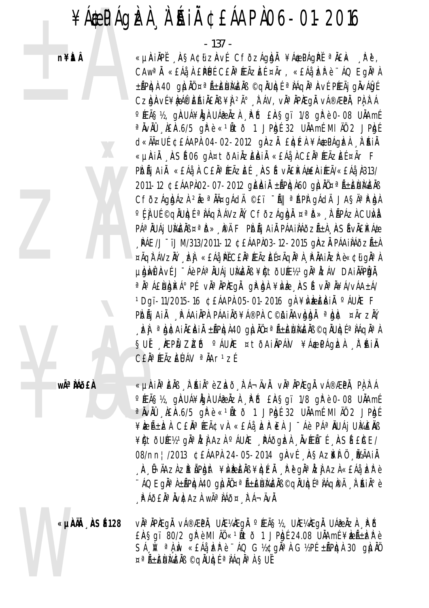$-137 -$ 

**n¥itÂ** 



OFEÃS½, giauá¥igi uáæizi . Pó £iasgï 1/8 gi è 0-08 uilamé <sup>a</sup> ÄvÄÜ , AEA.6/5 gR è «<sup>1</sup>Ätõ 1 JPhgÉ 32 UÄAmÉ MI ÄÜ 2 JPhgÉ d«ÄĤUÉ ¢£ÁAPÀ 04-02-2012 gÀZÀ £IgÉA ¥Á\$PÁGIZÀ À AI «µAIÄ ASÍ06 gì¤tðAIÄZEAIÄ «EÁå I CEĪÆÃZEͤÃr F PIDÃI AIĂ «EÁå À CEĂªÆÃZIEÍ ASÍ VILLIPA AENIÆÃ/«EÁå N313/ 2011-12 ¢EÁAPI02-07-2012 gEAIA ±APIgl60 gIJAܤ<sup>a</sup>A+EUMEAB CFÕZÁGADÁZÀ 2À ªÄĤgÁdÄ ©£ï -Ã|| ªÁPÀ gÁdÄ JASĪÌPÀDÀ <sup>o</sup> [ ] U [ © q ] U [ a ] A q ] A V z ] ( C f ð z Á g b] a a b » a ' [ [ P A z ] C U l / 1 P绀UÁj UMÈŇ ¤ªĎ» PÄ F PIDÃj AIÀ PÁAINÁÕZÁ±I. IASÍ VÄENFÁ& \_PÁE/J ~ ïJM/313/2011-12 ¢£ÁAPÀ03-12-2015 gÀZĂ PÁAIÀÁðZÁ±À ¤ÃQ) ÁVZŇ LA «£Áå PĚC£ĂªÆÃZEɤÃQĂªÀ PĂAIĂZP è «¢ữ qĂªÀ uniwên về Jī Áè PÁª NUÁi UNAENB ¥Ù tõuke½1 gha Izáv Dainapina, ªÄ°Á£ÙIgI¥Á°PÉ vĪÄPIÆgÄ gIªIgI ¥ÌvIe "IASÍ vĪÄ¥Á/vÁA±Á/ 1Dqï-11/2015-16 ¢ £ÁAPÀ 05-01-2016 q }¥N ELÀIÀ ° ÁUÆ F PIDÃI AIN PAAINPA PAAINO¥Á®PA C©HINAVION ªIDIC ¤ÃrzIV , E) ª gicaileini ±āPiqi 40 giulö¤ªā±EiUMEIB ©qiulqeªiAqi¤l SUÍ MEPN ZIZIÓ Ó ÁUME ¤ tÖAINPÁN ¥Á#PÁQIZI NÍAIN C£ÄªÆÃZÈÚÁV ªÄAr1zÉ

«µÀIÀPĚ "ASA¢üzAvÉ CfðzÁgbi ¥Á¢PÁgPĚ ªÄ£k "Pě,

CAW<sup>a</sup>n «EAa, a EPUE CEN<sup>a</sup> FEÃZEE ¤Ãr, «EAa, EP e "AO Egna)

±ÃPIQÀ 40 giuno ¤ªÃ±IENMENS ©qiUlqé ªIAqiAªAvé PREÃj givAlgé Czynuí¥èń léni lis ¥) <sup>2ð</sup> "FÁV, vìª ipiegì vá®ÆPì, pì ì Á

wêÀÁð£À

«µÀIẰªÈÄß À KIĂºè Zhờ FÁ¬ÄvÄ. vÀªĂPÆqÄ vÁ®ÆPĂ, PÀ À Á OFEÃS½, giauá¥igi uáæizi Pó Ensgi 1/8 grè0-08 ulamé <sup>a</sup> ÄvÄÜ , LEA.6/5 gR è «<sup>1</sup>Ãtõ 1 JPhgÉ 32 UÄAmÉ MI ÄÜ 2 JPhgÉ ¥ÈZñÈZÀ CE ĤÉZâvÀ «EÁå ÈZPÈÀ J Áè PÁªÄUÁjUMÈÄB ¥ÇtõUƽºgĪĬzjAzi∘ÁUÆ ¸PÁðgizi ¸IvÆĨ-É ¸ASÍ £ICE/ 08/nn | /2013 CEÁAPÀ 24-05-2014 gÀVÉ ÀSAZIFÀ Ö İZÃAIÀ , À , Ô-ÄAZÀ ZIIrÃPIQIIt ¥IVIP EĂB ¥IQÉÄ , lì ĕ gil<sup>a j</sup>izi, AzÀ «EÁå, Izi? è ``AQ Egăª A±ÃPIqA40 g|uliŭ¤ªÃ±ENMENS ©g|iUIqEª IAqIPA A`Ajİè A AÕEÄ<sup>a</sup>ÄvÆAZA wêÀÁÕ¤ A Á¬ÄvÄ.

**ǵˀ ÀSÉ128** vĂªĂPÆgÅ vÁ®ÆPÅ, UƼÆgÅ °ÆÃ§½, UƼÆgÅ UÁ@ÅzÀ . PÕ  $E$ A Sgï 80/2 gře MI A $0 \leq 1$ A to 1 J Phpf 24.08 UA Amf ¥bzA ± bz Pe SÁ N<sup>a</sup> A N «EÁ LE PE" AQ G12C CI2PE ±APICA 30 CILIAO ¤ªÑ±ÈÙMÈÄB ©qÄUIqÉ ªIAqĪI SUÉ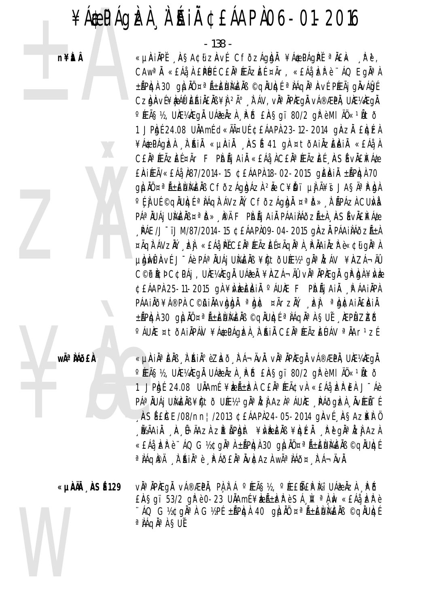n¥itÂ



**wÃ<sup>a</sup> Mõ£À** 

 $-138 -$ 

«µÀIÀPĚ "ASA¢űzAvÉ CfðzÁgh) ¥Á¢PÁgPĚ ªÄ£k "Pě, CAW<sup>a</sup>n «EAa, a EPUE CEN<sup>a</sup> FEÃZEE ¤Ãr, «EAa, EP è "AQ Egna) ±ÃPIQÀ 30 g|UIÙ ¤ªÃ±IEÙIMEÀB ©QÄUIQÉ ªIAQĪÄVÉ PÉEÃJ gÄVAIGÉ Czynaví¥&áf EáinEns¥) <sup>2</sup>ð A ÁV, vn<sup>a</sup> APAEgn vá®ÆPn, UAE¼AEgn O ÆÃS½, UƼÆgÅ UÁæÅzÀ PÕ EÀSqï 80/2 gPèMI ÄŪ«1Ãtð 1 JPh 24.08 UNAmE d«ÄĤUE ¢EÁAPA 23-12-2014 gAZA ELGEA ¥ÁÆPÁGEA A ŘIĂ «µŘIĂ "ASÍ 41 g) ¤ tÕAIÄZEŘIÄ «EÁå, A CEĂª ÆÃZEE¤Ãr F PIDÃJ AIÀ «EÁà ACEĂª ÆÃZEE ASÍ VĂEI¥Á& EÀIPEÃ/«EÁå N87/2014-15 ¢EÁAPÀ 18-02-2015 gÈAIÀ ±ÃPIGA 70 quhù ¤ªñ±èumèn Cfòzáqidázi 2m C¥Ťï µi Ã¥ï JASĪiPidi P绀UÁj UMÈŇ ¤ªĎ» PÄ F PIOÃj AIÄ PÁAIILÁðzÁ±I. ASÍ vÄ£I¥Á& "PÁE/J<sup>-</sup>ïJM/87/2014-15 ¢£ÁAPÀ09-04-2015 gÀZĂ PÁAIÀÁðZÁ±À ¤ÃQ)Ī ÁVZŇ "È) «£Áå"PĚC£ĂªÆÃZ£É¤ÃQĪÀ "PĂAiÅZP è«¢ü gĂªÀ µ bì mề hơ diệ hàng hoài Unive Na trườu trên diệ hoàn ¥h Zá hài C©P ACP CCPAJ, UAE¼AEQA UA®A ¥AZA¬AÛ vÀªAPAEQA QP IQA¥IVE ¢£ÁAPÀ 25-11-2015 QÀ¥NELENIA ºÁUNE F PIOAI AIA PAAIAPA PÁAIÄÕ¥Á®PÀ C©HIÄAvAAAÄ ªAAC ¤ÃrzĂ, EÀ ªAACAIÄEAIÄ ±ÃPICH 30 QILIÑ ¤ªÃ±IEJJKEÄB ©QILUICE ªIÁQIÀªÀ SUÉ , IEPI ZIZÕ O ÁUNE ¤ tÕAINPÁN ¥Á¢PÁGIZA À RIN CENªÆÃZEUÁV ªNAr1ZÉ

«µAIĪÈÄß 'À ʿŔIĂº èZbõ 'À Á¬ÄvÄ. vĂªÄPÆqÄ vÁ®ÆPÄ, UƼÆqÄ °ÆÃ޽, UƼÆgÅ UÁæÅzÀ PŐ £ÀŞgï 80/2 grèMI ÄŬ«1Ãtð 1 JPhjí 24.08 UNAmí ¥DEѱDEN CEN¤PEâvA «EÁà DER EA J-Áè P绀UÁj UMEŇB¥Ctð Uƽ1gĪÅzj AziºÁUÆ PÁðgIzi ÄvÆŰ-É , ASÍ ECE/08/nn | /2013 ¢EÁAPI24-05-2014 gAvÍ, ASAZIFI 0 , ÖZÄAIÄ , IA, Ü-ÄAZA ZIIrÕPIQAt ¥IVIPIEÄB ¥IQIEÄ , IP POJÄ®ÅZI) AZA «£Áå¸Þ£ĥè¨ÁQ G½¢gŇªÀ±ÃPkqÀ30 gluÄÖ¤ªÃ±ÈNM£Äß ©qÄUkqÉ a NAQIPÄ NI ININ PIAJA KOLIA NU AZI WA NAJA NA HA

vìª ÀPÆQÅ vÁ®ÆPÅ, PÀ À Á °ÆÃS½, °Æ£ŐÆP M UÁ@ÅZÀ PÕ ǵˀ ÀSÉ129  $E$ AŞgi 53/2 g $\mathbb P$ è0-23 U $\lambda$ Amé $\angle$ ¥k $\mathbb Z$ Á $\pm$ k $\mathbb P$ èSA $\lambda$  $\lambda$   $\cap$ A $\lambda$ h « $E$ A $\lambda$ <sub>s</sub>k $\lambda$ e $\lambda$ è "AO G½¢gĂªÀ G½PÉ ±ĂPkdÀ 40 gluAO ¤ªÃ±ENAEAB ©gÄUkdÉ <sup>a</sup> IÁqI<sup>a</sup> I SUÍ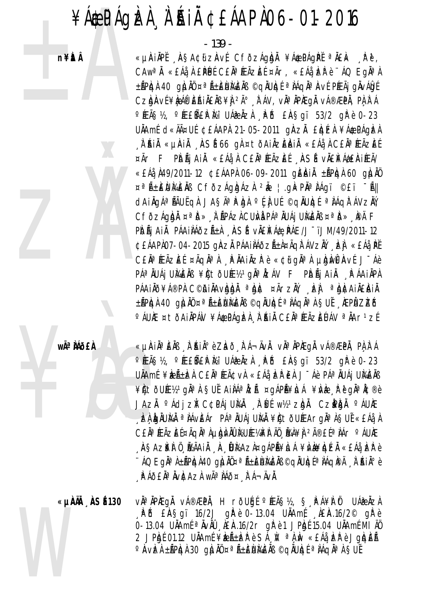$-139$   $-$ 

«µÀIÀPĚ ASA¢ữZAVÉ CFÕZÁQÀNĂ ¥Á\$PÁQPĚ ªÄ£k Rě,

CAW<sup>a</sup>n «EAa, a EPUE CEN<sup>a</sup> FEÃZEE ¤Ãr, «EAa, EP è "AQ Egna)

±ÃPIQÀ 40 giui ¤ªÃ±EUMEIB ©qiUIQÉ ªIAqiAªAvÉ PÆÃJ gilvAIgÉ Czynaví¥èán EáinEns¥j 2ð "káv, vna npregn vá®æpn, pi n·a

OFEÃS½, OFEEÑEPIAI UÁRIZI PO EASQI 53/2 qrè 0-23 UÄAmÉ d«ÄäUÉ ¢£ÁAPÀ 21-05-2011 gÄZÄ £Igizi ¥Á\$PÁgIzi

. À RIA «µRIA , ASÉ 66 gÀ ¤ tòaiàzènià «£Áà, à C£Àª ÆÃzè! ¤Ãr F PIDÃI AIL «EÁLA CELA» ÆÃZEE ASÍ VILLEALEAIEA/ « £Áå, À 49/2011-12 ¢ £ÁAPÀ 06-09-2011 gÈÀNIÀ ±ĂPÀGÀ 60 GÀUAÖ

¤<sup>a</sup>ѱÈÙMÈÑB CfðzÁglgÁzh <sup>2</sup>Å ¦.gkPhalágï ©£ï -Ã||

dAilg᪠AJUEql JASAª Pha º El UE ©qluge ª Aql Avziy CFÕZÁQIDA ¤ªID» A APÁZA CUM PÁªIUÁI UMEIB ¤ªID» PA F

PIDÃJ AIĂ PÁAIILAÕZñI "IASÍ vILENFÁ# PÁE/J¨ïJM/49/2011-12 ¢£ÁAPÀ07-04-2015 gìAzh páaináðzá±a¤ãgìtávzhý "Þi «£Áå Pť

CEN<sup>a</sup> ÆÃZEE ¤ÃQN<sup>a</sup> A ARNAINZP è «¢ü gNa A µIGINEAVE J-Áè PÁ<sup>a</sup> ÄUÁj UMEÄB ¥CtÕUƽ<sup>1</sup>gÄ<sup>a</sup> $k$ záv F PIOÃj AiÄ PÁAIÄPA PÁAIÄÕ¥Á®PÀ C©HIÄAvhhanĂ ªht ¤ÃrzŇ, Li ªhtAIÄ£AIÄ

±ÃPICH 40 QILIÑ ¤ªÃ±IEIJIAEĂB ©QILUICE ªIAQIĂªI SUË , IEPI ZIZÕ °ÁUÆ ¤tðAiÄPÁN ¥Á\$PÁGÞA À ÁH CEĪÆÃZEÚÁV ªÄAr1zÉ

n¥itÂ



**wÃ<sup>a</sup> Mõ£À** 

«µAIĪÈÄß "À AIİè Zhō "È Á¬ÄvÄ. vĪÄPÆgÄ vÁ®ÆPÄ, PÌ À Á OFEÃS½, OFEEÑEPIAI UÁRIZA PO EASQI 53/2 QPè 0-23 UÄAmÉ ¥ÈıÈZÀ CEÀ<sup>a</sup> (EâvÀ «EÁå ÈZP EÀ J<sup>-</sup>Áè PÁªÄUÁj UÄAÈÄB ¥ICtÕUƽ1gĪÀ§UĚAIÌÁªĬZägÁPÃ¥ÌJÁ¥Ì∕È řěgĬªĬ¢®è JAZĂ <sup>o</sup>Ádi zi C¢páj UMÄ A Ú vh<sup>1</sup>zgi. Czpgi oáuk LA CHUMA ª NÁVEÁr PÁª NUÁJ UMA ¥ÇtÖUÆArgĪ NSUÍ «EÁå N C£ĂªÆÃZĒŤÃQĂªÀµbjùÄÙŀkUƼ¥À ÄŬ¸Ĭ¼À¥j 2î£ĹªÀÁr °ÁUÆ , ASAZ¥I Ö, İZAAIÄ, A, İUMAZA¤QAPÄ¥LLA ¥ME¥IQIZI «EAå, İZIP è ``AQ Eqăª A±ÃPIqA40 qilind¤ªã±ENMENS ©qilulqeªiAqI@A , A`Ajă°è A AÕEÄ<sup>a</sup>ÄvÆAZA wêÌÁÕ¤ A Á¬ÄvÄ.

ǵˀ ÀSÉ130

vàªÀPÆQÅ vÁ®ÆPÀ, HrðUgí ºÆÃ޽, Ş.PÁ¥À Öt UÁæÀZÀ PD EASqi 16/2J qr è 0-13.04 UAAmi AEA.16/2<sup>©</sup> qr è 0-13.04 UÄAmf <sup>a</sup> ÄvÄÜ , AEA 16/2r grè1 JP.gf 15.04 UÄAmf MI AÜ 2 JPRI 01.12 UNAmE ¥REA+DR è SA N a A N «EAA DR è JOREA O AVE LÁPGA 30 GILIÖ ¤ªÃ±EUMEAB ©GAUGÉ ª AGA ª À SUÉ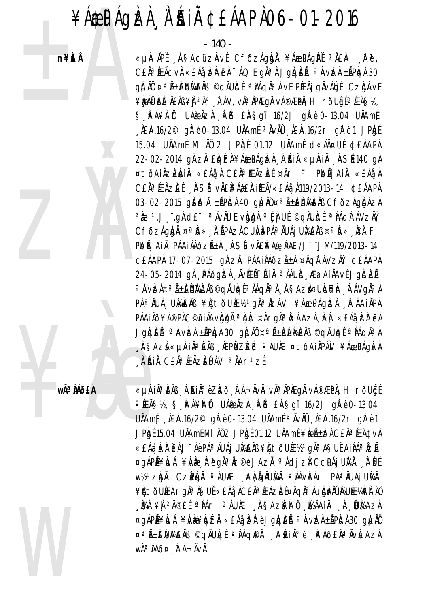n¥itÂ



wê **Mõ£À** 

 $-140 -$ 

«µÀIAPĚ ASA¢ữZAVÉ CFÕZÁGANĂ ¥Á\$PÁGPĚ ªÄ£k Řě, CEN<sup>a</sup> (Eâv) «EÁå, ER EA '' ÁQ EgN<sup>a</sup> A Jg)qEà <sup>o</sup> AvEA ±ÃP)q 30 glin ¤ª Á±Elikelis ©giuldí ª Lágiª Aví Preáj givalgí Czigaví ¥ÀA DÊ AINENS ¥) 2ð À ÁV, VH À PAEGH VÁ®ÆPH, H rÕUGI Ó ÆÃS½, S PÁ¥I Öt UÁPÄZI PŐ EASgï 16/2J gPè 0-13.04 UÄAmÉ  $\hat{A}E\hat{A}$ .16/2<sup>©</sup> g $\hat{B}$ è 0-13.04 U $\hat{A}$ Amé <sup>a</sup> $\hat{A}$ v $\hat{A}0$   $\hat{A}E\hat{A}$ .16/2r g $\hat{B}$ è 1 JP $\hat{B}$ t 15.04 UÄAmÉ MI ÄÖ 2 JP.gf 01.12 UÄAmÉ d«ÄĤUÉ ¢EÁAPA 22-02-2014 ginzi Elgízi ¥á¢págizi "i "hii «µini "insi 140 gi ¤tðAiAzEAIA «EÁa A CEA<sup>a</sup>FEÃZEE ¤Ãr F PDA AIA «EÁa A CEÄ<sup>a</sup>ÉAZEÍ ASÍ VÄENÁZEAIÉA/«EÁ2 119/2013-14 ¢EÁAPA 03-02-2015 GEAIN  $\pm$ APIGI 40 GILIN  $\approx$ <sup>a</sup> A $\pm$ ENIMEIN CFOZAGIGAZI 2 - 1. J T. gindet a NVAU Evidida of i uf ©giluide a lágir ávziv CFÕZÁGIDI ¤ªID» I IPÁZI CUM PÁªIUÁJ UMEIB ¤ªID» PÄ F PIDÃI AIĂ PÁAIILÁÕZñI ASÍ VIENFÁ& PÁE/J~ïJM/119/2013-14 ¢£ÁAPÀ 17-07-2015 gÀZĂ PÁAIÀÁðzñÀ ¤ÃQÀTÁVZŇ ¢£ÁAPÀ 24-05-2014 gì PÁÕgizì NVEŨ-AII <sup>a</sup> IÁUD IEaAIIAVE JgigEÃ °Avizi¤ªã±èiligeiß©qiulo[ªìAqiªì, Aşazi¤ulci¥ir, Fávqiªì P绀UÁjUMÈÄB ¥CtÕUƽ1gĪÅZÁV ¥Á\$PÁgIZA PÁAJÄPA PÁAINŎ¥Á®PNC©ijAINAvIdIdĂ ª lgile ¤Ãrghª lzi Azi , lzi «EÁå, lzi? EA Jgigieñ <sup>o</sup> Avizi ±ăpigi 30 giui ¤ªñ±eumeñ ©giuigí ªiáqiªi ASAZI «µAIĪEÄB KEPI ZIZIS ºAUKE ¤tõAIÄPÁN ¥Á\$PÁGIZA A'AIÀ CEÀ<sup>a</sup> ÆÃZEUÁV <sup>a</sup> ÄAr<sup>1</sup>zí

«µìAiĂªÈÌB "À ʿŔiĂºèZIað "Ìr Á¬ÄvĂ. vĂªĂPĬEgĂ vÁ®ÆPĂ, H rõUfgÉ <sup>o</sup> ÆÃS½, S P Á¥I Ot UÁ PIZA PD EASgï 16/2J grè0-13.04 UÄAmf REA.16/2<sup>©</sup> gPe e 0-13.04 UÄAmf <sup>a</sup> AvAU REA.16/2r gPe e 1 JPRgf 15.04 UNAmf MI A02 JPRgf 01.12 UNAmf ¥REA±RA CEN<sup>a</sup> FEACVA «EÁå, ÞER EÀ J ¯Áè PÁª ÄUÁj UMEÄB ¥È tÕUƽ1 gĪ À SUĽ AIÀÁª ÅZÃ ¤qápã¥ìuá ¥ìvè řěqi¤ř¢®è Jazi °ádi zi C¢pái Umi à Úť W12<sup>1</sup> Zigil. Czipigi <sup>o</sup> áuke jel gäumi <sup>a</sup> jáveár pá<sup>a</sup> juáj umi ¥ÇtöUÆArgĪÀ§UĚ«£Áå¸ÀC£ĂªÆÃZÈɤÃqĪÀµbJkÄŪkUƼ¥ÀÄÖ , ŸAA ¥J <sup>2î</sup>£É ªÌÁr °ÁUÆ ,ÀSAZ¥Ì Ö ,Ÿ2ÃAiĂ ,À,ÛI½AZA ¤gÁPÃ¥LJÁ ¥LVE¥LDÉZÄ «£Áå, LZP è JgLDEà º AVEA±ÃPLDA 30 gLJAŬ ¤ªÑ±ÈÙŀAEÀB ©qĂUIQÉ ªÌAqIPÄ A'ŔIĺè PAÕEĪÄvICAZA WêÌÁÕ¤ ÀÁ-ÄVÀ.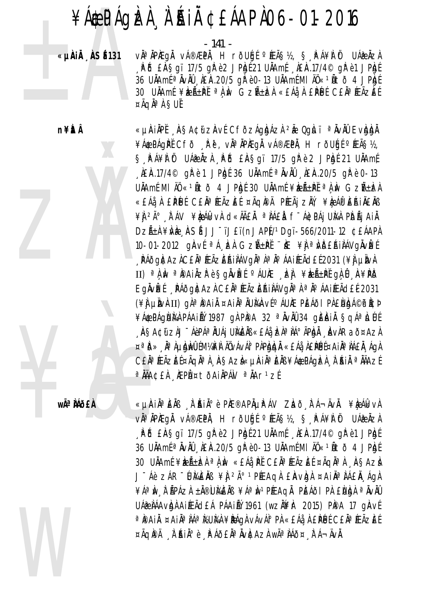- 141 -

«µÀiĂ ÅSÉ 131

vì<sup>a</sup> ìpiegì vá®ÆPì, HrõUgí ºÉÃŞ½, Ş, PÁ¥ì üt UÁæìzì P & EASgi 17/5 g P è 2 J P b E 21 UAA m E L A 17/4 o g P è 1 J P b E 36 UÄAmE<sup>a</sup> ÄvÄÜ , AEA.20/5 grè0-13 UÄAmEMI ÄÜ«1Ätõ 4 JPAgE 30 UÄAmÉ ¥ÌÆÃ±PĚ ªÀ,ÌN GZñÌZÀ «EÁå,À £PÉJÉ CEĂªÆÃZÈÉ  $\Delta \tilde{A}$ q $\tilde{A}^{\alpha}$  $\tilde{A}$  SU $\tilde{B}$ 

n¥ÈLÂ



«LIAIÄPI ASA¢I ZAVI CFÕZÁQIDÁZI 2Ã QQILII ª ÄVÄÜ EVIDIDA ¥Á\$PÁGPĚCFŎ RP. VĪÄPÆGÄ VÁ®ÆPÄ, H rÕUGÉ ºÆÃS½, S PÁ¥I Öt UÁPIZI PŐ EASQI 17/5 grè 2 JPIgÉ 21 UIAmÉ  $\hat{A}$  E.A. 17/4<sup>©</sup> q  $\hat{R}$  è 1 J P apí 36 U A A mí <sup>a</sup>  $\hat{A}$  v A  $\hat{A}$   $\hat{B}$  A  $.20/5$  q  $\hat{R}$  è 0-13 UÄAmÉ MI ÄÜ «1ŰItÕ 4 JPAJÉ 30 UÄAmÉ ¥REıPĚ a A Av GZŰHERA «£Áå À £PÚJÉ C£ĂªÆÃZEÉ ¤ÃQPA PÆÃj ZŇ, ¥ÈÁPÈAJNENB ¥Ì 2ð À ÁV ¥È ÁLKVÀ CKRĂEA ª AAEA F ÁCPAI UNA PIDÃI AIÀ DZÁ±À ¥WE , ASÍ JJ<sup>-</sup>ïJ£ï(nJAP)/1Dgï-566/2011-12 ¢£ÁAPÀ 10-01-2012 gàví <sup>a</sup> Á, kà Gzñ±pi "ke ¥j <sup>a</sup> Ndeáinávgàvke . PÁðgI¢AzICEĪÆÃzEÁIIÁVgI¤lªIºÁAIÆÃdEÍ2031 (¥I µIWH II) <sup>a</sup> A w <sup>a</sup> Paiåzr e Sgåv**l**et <sup>o</sup> AUAE , e j ¥leñ±Pť gA û , A¥PD EgÄvLEÍ PÁðgLaz) CE N<sup>a</sup> FEÃZE A LIÁV gNa Na No ÁA LIFE A 2031 (\] un\AII) qi^@Aii ¤Aii^NUMAvE^AUME PEAðI PIENDA©@ICP ¥Á&PÁQÙЍÀ PÁAILÝ 1987 GÀ PÌPA 32 ª ÀVÀÛ 34 GIÈIAIÀ SQÁª LILLÍ . ÀSA¢ü zìJ <sup>-</sup> Áèp᪠ÄUÁj UMÈÄB «EÁå. ÞÀª IÁº ÃPIdÄ . Avì Rað¤Azì ¤ªið» Īi luidimillí M¼i¥i ÄÖvÁvÁl° PI:Pididi «EÁå IEPÉJɤA IĪiAEÄ Ági I C£ĂªÆÃZĒŤÃQĂªÀ AŞAZÌ«µÀIĂªÈÄB¥Á@PÁQIZÀ À AIÀ ªĂÄAZĹ <sup>a</sup> ÄÄA¢£À AEPÙ¤tÕAiÄPÁN <sup>a</sup> ÄAr<sup>1</sup>zÉ

wê MÕ£À

«µÀin è Èn II à Àin à è Phe®aphµp áv Zað Fá¬ävn. ¥è Álkva via ipiegi vá®æpi, Hrðugí ºíeã§½, §, Pá¥i öt uáæizi P & EASqi 17/5 g P è 2 J P b [ 21 UAA m [ LEA.17/4 % g P è 1 J P b [ 36 UÄAmf <sup>a</sup> ÄvÄÛ , AEA.20/5 g/f è 0-13 UÄAmf MI ÄÖ «<sup>1</sup>Ätõ 4 JPAgf 30 UNAmE ¥DEѱDZA ªAN «EÁAN CENªPEÃZEE ¤ÃQNªA ASAZA J-Áè ZÁR-UMÈNB ¥Ì 2ð 1PÆAQA EAVDA ¤AIN<sup>a</sup> HÁEN AQA ¥ÁªIN I ÁPÁZI ±Ä®UIGEIB ¥ÁªIN1PÉEAQI PEÁðI PI ENIGI ªIVIÚ UÁR LÁAVAL AIÆÃ CEA PÁAILÝ 1961 (WZLYA 12015) PIPA 17 GIAVE ªPAIÄ ¤AIĪIÁªI½UI¼I ¥PÁQI vÁvÁI°PI «£Áå I £PÍJÉ C£ĬªÆÃZEÉ ¤ÃQI®Ä À AIA°è PÁÕ£ĂªÄvICAZÀ wêÀÁÕ¤ FÁ¬ÄvÄ.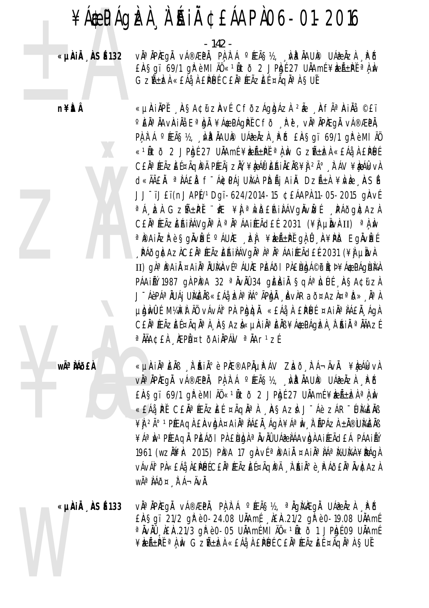«µÀiÅ NSÉ 132

- 142 -

vઠÀPÆgÅ vÁ®ÆPÅ, PA À Á ºÆÃS½, "WP ÀAUP UÁ@ ÀzÀ "PD EASgï 69/1 gì è MI AO « 10 to 2 JPb 27 UAAmE ¥ben + PE a A N Gzѱèz) «EÁà, À EPÙÉ CEÀª ÆÃZÈÉ ¤ÃqÀª À SUĚ

**n¥itÂ** 



wêMÕ£À

«µAIÄPĬ AŞA¢ữZAvÍ CFÕZÁgIdÁZI 2Ă AFêAIÄ ©£ï °EÀªĂAVÀIÄå EªÀJĂ ¥Á\$PÁQPĚ Cfð Įrĕ, vĪÄPÆQÄ vÁ®ÆPÄ, PA À Á º ÆÃS½, NÀ HAUP UÁZ AZA PÕ EAS qi 69/1 qì è MI AU «1Ñtõ 2 JPhjí 27 UÄAmí ¥ìzñPǐ <sup>a</sup> A M GzѱÌzA «EÁå A EPÉUÍ CEĂ<sup>a</sup> ÆÃZEE ¤ÃQIPÀ PÆÃJ ZIN, ¥IE AO ERIAENS ¥I 2ð F AV ¥IE AG vA d«ÄÄEÄ ªÌÁEÀ f-Á¢PÁjUMÀ PIDÃjAIÀ DZñÀ ¥IVE ASÍ JJ<sup>-</sup>ïJ£ï(nJAP) /<sup>1</sup>Dgï-624/2014-15 ¢£ÁAP) 11-05-2015 gÀvÉ <sup>a</sup>Á, EA GZH+PI "KE ¥J <sup>a</sup>NDERINÁVGNVE PAÕGACAZA CEN<sup>a</sup> FEÃZERINÁVON<sup>a</sup> A <sup>a No</sup> ÁAI FEÃO EL 2031 (¥) LUVAII) <sup>a</sup> A No a painzrès givize caure , izi ¥izi-pe qi û n¥pis Eqivize , PÁÕGACAZACEĂª ÆÃZEŔIÀÁVGĂª Àª Ăº ÁAIÆÃCLÉ 2031 (¥) LIVA II) gì<sup>a</sup> paiì ¤aiìª ìumhví° áune peáði piellbá©p hoþ¥áæpáglima PÁAILÝ 1987 GÀ PÌPA 32 ª ÀVÀÙ 34 GIEINIÀ SGA ALLIE ASACIIZA J ÁèpáªÄUÁj UMÈNS «EÁà, ERªIA°ÃPE)Ä, AvARað¤AzA¤ªD», ĪA µNU MYA¥N AÜ VÁVÁI°PN PNUN «EÁå A EPLUÉ ¤AIN ¤NÁEN ÁGA CEĂª ÆÃZEŤÃQĂª À 'ASAZÌ«µÀIĪ EÄB ¥Á\$PÁQEÀ 'À 'AIÄ ª ÄÄAZĹ <sup>a</sup> ÄÄA¢£À AEPÙ¤tÕAiÄPÁN <sup>a</sup> ÄAr<sup>1</sup>zÉ

«µÀin è Èn II à Àin è Phe®aphµp áv Zlað Fá¬ävn. ¥leálkva vì<sup>a</sup> ìpiegì vá®æpì, pì ì á °íeã§½, ¿mp ìaup uá? ìzì . Pô EASqï 69/1 qì è MI AO « 1Ñ to 2 JPhf 27 UAAmE ¥bent Le a Liv «EÁå PĚ CEĪÆÃZEÉ ¤ÃQĪÀ ASAZÀ J-Áè ZÁR-UMEÄB ¥Ì <sup>2ð 1</sup>PÉEAQÌ EÀVÒN ¤AIÀªÌÁEÀ ÁQÌ ¥ÁªÌN Ì ÃPÁZÌ ±À®ÙÀEÀB ¥ÁªIN 1 PÍÆAQI. PIEÁðI PI ENIGI ª IVIÚ UÁR I AAVIGI A I Í EAGLA PÁAI I V 1961 (wzN¥r 2015) PPA 17 gAvíªPAiĤAiĪNáªMUMÀ¥PÁGA VÁVÁ<sup>0</sup> PÀ«£Áå¸À£PÉJÉC£ĂªÆÃZÈɤÃQI®Ä ¸À ŔiĂºè¸PÁÕ£ĂªÄVI¢AZÀ WÃ<sup>a</sup> ÀÁð¤ À Á-ÄVÀ.

«µÀIÅ ÀSÉ 133 vì<sup>a</sup> ìpiegì vá®æpì, pì ì á °Æã§½, ªìgłłegì uáæìzì , pô £Å§qï 21/2 qł è 0-24.08 UÄAmf , LEA.21/2 qł è 0-19.08 UÄAmf <sup>a</sup> ÄvÄÜ , AEA.21/3 gP è 0-05 UÄAmEMI ÄÜ «<sup>1</sup>Ätõ 1 JPAJE 09 UÄAmE ¥EñPĚ ªÀ, W GZñEÀ «£Áå, À £PÚÉ C£ĂªÆÃZEÉ ¤ÃQĂªÀ SUĚ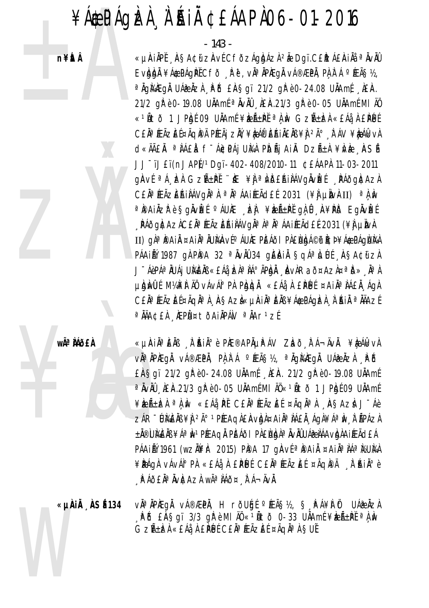n¥itÂ



wÃ<sup>a</sup> Mõ£À

«µÀIẰªÈÄß 'À ĂIĺè PĬÆ®APõPÁV ZIað "Ì Á¬ÄvÄ. ¥IęÁlkvÀ vĂªĂPÆgĂ vÁ®ÆPĂ, PlূA`Á °ÆÃ§½, ªĂgໄAÆgĂ UÁ@ÄzA ¸₽Ď EASgi 21/2 gree-24.08 UAAmf AEA. 21/2 gree-19.08 UAAmf <sup>a</sup> ÄvÄÛ , AEA.21/3 gP è 0-05 UÄAmÉ MI ÄÖ «<sup>1</sup>Ätõ 1 JPAgÉ 09 UÄAmÉ ¥ÈıÈZÀ ªÀ,W «£Áå,PĚ C£ĂªÆÃZÈÉ ¤ÃQĂªÀ ,AŞAZÀ J¯Áè ZÁR DIMENS ¥) 2ú 1 PÉRAQLE AVIDA ¤AIN ª NAEN AQLEA A DI APÁZA ±Ă®ÙMÈÑS ¥Áª IN 1 PÉEAQĂ PIEÁÕI PILEÙIGI ª ÄVÄÛUÁ@ ILAAVIGIA JÉEÃO EÁ PÁAINÝ 1961 (WZNY) 2015) PPA 17 GAVÍ <sup>a</sup>PAIN ¤AIN<sup>a</sup>NÁªMUMA ¥PÁGÀ vÁvÁl°PÀ «£Áå À £PÚÉ C£ĂªÆÃZEÉ ¤ÃGPÄ ) A AIÀºè A Á JEA A VICAZA WÃ<sup>a</sup> NÁÕ¤ A Á HA VI.

vàªÀPÆgÅ vÁ®ÆPÀ, HrðUgÉ ºÆÃ޽, Ş.PÁ¥À Öt UÁæÀZÀ «µÀiÅ ÀSÉ 134 PD EASgi 3/3 grèmi A0 « Thto 0-33 UAAmi ¥bent <sup>a</sup>lw Gzñbà «EÁà, À EPUE CEÀª ÆÃZEE ¤ÃqÀª À SUE

<sup>a</sup> ÄÄA¢£À ÆPܤtÕAiÄPÁN <sup>a</sup> ÄAr<sup>1</sup>zÉ

 $-143 -$ 

«µÄIÄPĬ, AŞA¢i! zAvÍ CFÕzÁgbázì <sup>2</sup>Å Dqï.C£ÎzÁ£ÀiÅå ª ÄvÄÛ

Evbb) ¥Á&PÁgPĚCFð Rě, vĪÄPÆgÄ vÁ®ÆPÄ, PLA`Á °ÆÃS½,

<sup>a</sup> Aglant gå UA& Aza PB EASgi 21/2 gr e0-24.08 UAAmf AEA.

21/2 gř è 0-19.08 UÄAmÉ <sup>a</sup> ÄvÄÜ , LEA.21/3 gř è 0-05 UÄAmÉ MI AÜ

« 1Ñtõ 1 JPAní 09 UAAmí ¥RÁ±PI <sup>a</sup> A Av GzñRA «EÁå A EPUI

CEĂ<sup>a</sup> ÆÃZEE ¤ÃQIPÀ PÆÃJ ZIN, ¥IE AO ERIAEIB ¥I 2ð F AV ¥IE AG vA

d«ÄÄ£Ä ªÌÁ£À fīÁ¢PÁj UMÀ PIDÃj AIÄ DZñÀ ¥IVIE "IASÍ

giaví a é Ed Gzh+př k ¥j avbéhinávgivizí páðgicazi

CE N<sup>a</sup> (EÃZEA INÁVONA) a No AA I (EÃO EL 2031 (¥) LUMAII) a A M

a painzrès give é suite de la serie de la partie de la paint

, PÁðg|¢Az]C£ÄªÆÃz}EÁI}ÁVg|Ăª}ªÄ°ÁAI{EÃd£É2031 (¥] µ}v}

II) gì<sup>a</sup> i Ai ¤Ai Aukaví Áuke Peáði Pielugá©p k¢þ¥áæpáglika

PÁAINÝ 1987 GÀ PIPA 32 ª NUAN 34 GIEININĂ SCAª LUE "INSACII" ZA

J ÁèpáªÄUÁj UMÈNS «EÁ¿ÞÀªÌÁ°ÃPÒNĂ AvÀRað¤AzÀ¤ªð» ĪÀ

µLU)WUE M¼M¥À ÄÜ vÁvÁI° PÀ PLU)LONĂ «EÁå, À EPÉJE ¤AIѪ ÀÁEĂ, ÁGÀ

CEĂª ÆÃZEͤÃQĂª À ASAZÌ«µÀIĂª EÄB ¥Á\$PÁQIZÀ À AIÀ ª ÄÄAZÍ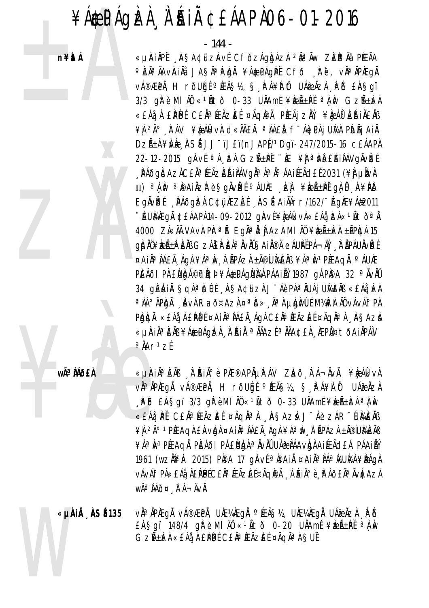$-144$  -

**n¥趾Â** 



3/3 gřè MI AÖ «1Ñtð 0-33 UÄAmÉ ¥ÈEñPĚ <sup>a</sup> A N GZѱEA «£Áå À £PÚJÉ C£ĂªÆÃZEÉ ¤ÃQPA PÆÃj ZŇ, ¥ÈÁPÈAJÄ£ÄB ¥Ì 2ð À ÁV ¥È ÁL VÀ CI «HAEÀ ª LAEA F-ÁC PÁJ UNA PIDÃI AIÀ DZñÀ ¥WE ASÍ JJ<sup>-</sup>ïJ£ï(nJAP)/1Dgï-247/2015-16 ¢£ÁAPÀ 22-12-2015 ginve <sup>a</sup> A bel Gzh+Pt "ke \ \ a Wbeallavgivize , PÁðg|¢Az]C£ÄªÆÃzEÁIÌÁVg]ĭª ̪ Ĭ°ÁAIÆÃd£É2031 (¥] µ]v} II) a A M a Painzr è Sgivizi a Giune Lei ¥izi+Pi ga i A¥Pio EgÄvizé PÁðgizi C¢ü NEZEÉ NSÍ AINArr/162/"AgNE¥Ád2011 "AUMEQL ¢EÁAPR14-09-2012 QAVE¥EÁKVR«EÁREZEKTŐªL 4000 ZÀ«ÄÃ.VAvÀ PI-<sup>a</sup> là Egi<sup>a</sup>lzij Azi MI AÜ ¥IELLEA ±APIGA 15 QILIÄÖ¥IZñIP EÄB GZÁÆIP EÀª ÄVÄÛŞAIÄ®Ä eÁUPĚPÁ¬ÄÝ LÀ ÉPÁUÄVIZÉ ¤AIĪÀÁ£À ÁGÀ¥ÁªÌN À ÃPÁZÀ±À®ÙMÈÄB¥ÁªÌN1PÆAGÀ ºÁUÆ PEÁÕI PÀ ENDA©P PCÞ¥Á EPÁQUMÀ PÁAINÝ 1987 QÀ PPA 32 ª ÄVÄÛ 34 QIÊJAIN ŞQA<sup>a</sup>) LILIE DAŞAÇI ZI JÊAR PAP NUAI UMENB «EA» EA <sup>a</sup> IA° APIDA AVI Rað¤Azi ¤<sup>a</sup> ID» A<sup>a</sup> I uldiwllí M¼if I NU vávál° Pi PION «EÁI A EPUL ¤AIN¤ NAEN ÁGA CEN¤ ÆÃZEL ¤ÃGNª A ASAZI «µAIĪÈÄߥÁ\$PÁGÞZA À ÁIÄ ªÄÄAZɪÄÄA¢£À ÆPÙ¤tÕAIÄPÁV  $a$ Å $Ar$ <sup>1</sup>z $f$ 

«µÀIÀPĚ ASA¢ữzàvÉ Cfòzágházì <sup>2</sup>ê Àw Zèiª Àä PÉEÃA

OEĪÄAVÄIÄå JASĪPÀJÄ ¥Á\$PÁGPĚ CFÕ RP. VĪÄPÆGÄ

v種PÄ, HrðUģɺÆÃ޽, Ş PÁ¥Ì Öt UÁ@ÄZÌ PÕ £ÄŞgï

wÃ<sup>a</sup> Mõ£À

«µÀin è Ens à Ain è Phe®aphµp áv Zhō tá¬ävn. ¥è Álkva vhªnPÆgn vÁ®ÆPn, HrðUģÉ ºÆÃ§½, § PÁ¥n Öt UÁænZA PD EASgi 3/3 grèmi A0 < 10 to 0-33 UAAmE \ELEA a A N «£Áå PĚ C£ÄªÆÃZÆÉ ¤ÃqĪÀ "ASAZÀ J¯Áè ZÁR¯ŰMĚÄB ¥Ì 2ð 1PÉEAQI EIAVIDI ¤AIN¤IAEN, AQI ¥AªIW, I APAZI ±N®UMENB ¥ÁªIN 1 PÍÆAQI L PIEÁðI PA ENIGA ª ÄVÄÛ UÁR LÁAVIGI A JÍÆÃOLÁ PÁAJI N 1961 (wzN¥r 2015) PPA 17 gAvfapaiA ¤AiAaNAaNzUMA¥DAGA vÁvÁ° PÀ«£Áå À£PÉJÉC£ĂªÆÃZÈɤÃQI®Ä , À`ÍAið è , l'Að£ĂªÄvI¢AzÀ WêÌÁÕ¤ ÀÁ-ÄVÀ.

«µÀIÄ ÀSÉ 135 vઠÀPAEQÀ vÁ®ÆPÀ, UAE¼AEQÀ °ÆÃ§½, UAE¼AEQÀ UÁ@ÀZÀ APÕ  $E$ A Sgï 148/4 gì è MI AO «10 to 0-20 UAAmE ¥ben + PE a A Av Gzѱèz) «EÁà, À EPÙÉ CEÀª ÆÃZÈÉ ¤ÃqÀª À SUĚ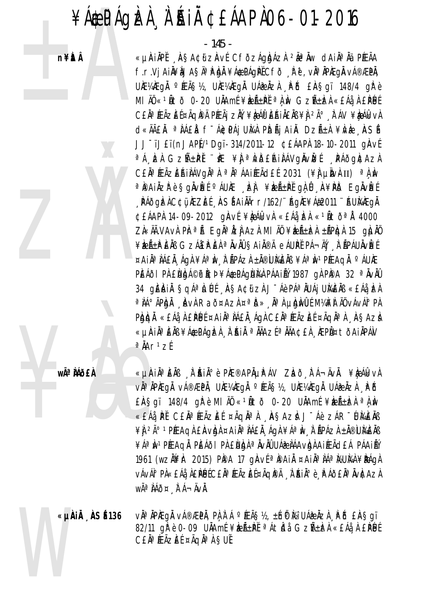$-145 -$ 

n¥itÂ



f.r.Vj AiĥÀJA§ÄªÌPÌÐĂ ¥Á\$PÁGÌPĚCfð ÅPĕ, vĪÄPÌEGĂ vÁ®ÆPĂ, UƼÆgÅ ºÆÃ޽, UƼÆgÅ UÁæÅzÀ RĎ £ÀŞgï 148/4 gřè MI ÄÜ «1ÑtÕ 0-20 UÄAmÉ¥ÈÆÃ±PĚ ªÀ ÀV GZѱÈZÀ «£Áå À £PÉJÉ CEN<sup>¤</sup> ÆÃZEͤÃQÌPÄ PÆÃj ZŇ, ¥ÈÁÔ EÁIÀENS ¥Ì <sup>2ð</sup> À ÁV ¥ÈÁlkvA d«ÄÄEÄ ªÌÁEÀ fīÁ¢PÁj UMÀ PIDÃj AIÄ DZñÀ ¥IVIE ASÍ JJ<sup>-</sup>ïJ£ï(nJAP) /<sup>1</sup>Dqï-314/2011-12 C£ÁAPÀ 18-10-2011 qÀVÍ <sup>a</sup>Á EA GZH+PI "KE ¥J <sup>a</sup>NDERINÁVGNVEE PÁÕGACAZA CEN<sup>a</sup> ÆÃZEŘINÁVGN<sup>a</sup> A <sup>a</sup> Nº ÁAIÆÃCHE 2031 (¥) UNVAII) <sup>a</sup> A N ªPAIÄZPè§gÄvÈEÍ ºÁUÆ ¸È∫ ¥ÈEñPĚ gÀ Û ¸À¥PD EgÄvÈEÉ PÁðgizi C¢ü ÆZIEÉ ASÍ AIÄÄrr/162/'' AgIÆ¥Á#2011 '' AUMAEGI ¢£ÁAPÀ 14-09-2012 gÀVÍ ¥ÈÁkkvÀ «£ÁåÈZÀ «1Ñtð<sup>a</sup>Å 4000 ZL«ÄÄ.VAVI PI-<sup>a</sup>L Egl<sup>a</sup> Izi Azi MI AÜ ¥Izli±Izi ±lipigi 15 gilli ¥EıPEÄB GZÁ£PEÀ ªÄvÄÛ ŞAIÄ®Ä eÁUPĚ PÁ¬ÄÝ . À ÃPÁUÄvĒÉ ¤AIĪÀÁ£À ÁGÀ¥ÁªÌN À ÃPÁZÀ±À®ÙMÈÄB¥ÁªÌN1PÆAGÀ ºÁUÆ PEÁÕI PÅ ENDA©P PCÞ¥ÁÆPÁQNAA PÁAIRÝ 1987 QÀ PPA 32 ª ÄVÄÛ 34 QEAIN SQÁªLLÚÉ ASA¢űz) JÉA PÁªNUÁI UMENB «EÁ) EN <sup>a</sup> IA° APIDA AVI Rað¤Azi ¤<sup>a</sup> ID» A<sup>a</sup>i ludiwu í Maifi Aðvávai° Pi PIOLON «EÁI A EPUE ¤AIN¤ NAEN ÁGI CEN¤ ÆÃZEE ¤ÃGI¤ A ASAZI «µAIĪÈÄߥÁ\$PÁGÞZA À ÁIÄ ªÄÄAZɪÄÄA¢£À ÆPÙ¤tÕAIÄPÁV  $a$ Å $Ar$ <sup>1</sup>z $f$ 

«µÀIẰPĚ "ÀSA¢ữ zàvé Cfòzágàázì <sup>2</sup>ẫª Àw daiÀª Àä PÉEÃA

**WÃ<sup>a</sup> MÕEÀ** 

«µÀin è En A înin è Pie®aphµp áv Zlað Fá¬ävn. ¥leálkva v˻ÄPÀEgÅ vÁ®ÆPÀ, UÀE¼ÆgÀ °ÆÃ§½, UÀE¼ÆgÀ UÁæÀzÀ ¸₽Ő  $E$ AŞgï 148/4 girè MI AÜ «1Ñtð 0-20 UNAmí ¥len Len and Au «£Áå PĚ C£ÄªÆÃZÆÉ ¤ÃqĪÀ "A§AzÀ J¯Áè zÁR"UMEÄB ¥Ì 2ð 1PÉEAQI EÀVIDI ¤AIN¤IÁEN, ÁQI ¥ÁªIW, I APÁZI ±N®UIGENB ¥Áª ÌN 1 PÉEAQL PLEÁÕI PÀ ENDIA ª ÀVÀÛ UÁ LAAVDA AI ÉLAGEÁ PÁAILÝ 1961 (wzN¥r 2015) PPA 17 gAv{aPAiA ¤AiAaNAaMUMA¥DAGA vÁvÁ° PÀ«£Áå À£PÚÉC£ĂªÆÃZÈɤÃQI®Ä , À`ÍAiðè , le Áð£ĂªÄvÌCAzÀ WêÌÁÕ¤ ÀÁ-ÄVÀ.

«µÀiÅ ÀSÉ 136 vì<sup>a</sup> ìpiegì vá®æpì, pì ì á °íeã§½, ±ńë Mi Uá@ ìzì . Fó £ìa§gï 82/11 gPè 0-09 UAAmf ¥bekther a Aticla Gzkttek «EAa A EPEUf CEÄ<sup>a</sup> ÆÃZEÍ ¤ÃQĪ À SUÍ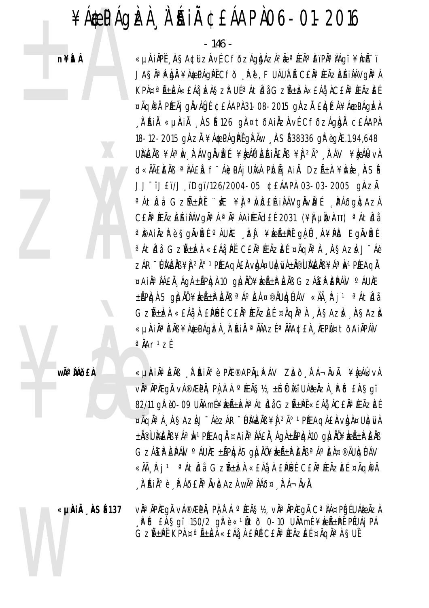**n¥itÂ** 



**WÃ<sup>a</sup> Mõ£À** 

CEN<sup>a</sup> ÆÃZEŘINÁVON<sup>a</sup> N <sup>a</sup> Nº ÁAIÆÃCHE 2031 (¥N LUN) <sup>a</sup> Át bi <sup>a</sup> Paiåzrè§gåvè£í <sup>o</sup> áure ¸dzji ¥dzã±pť gł û "A¥pið Egåvêzí <sup>a</sup>Átidi Gzѱizi «EÁi PI CEIªÆÃzEÍ ¤ÃqiÀªì ASAzi J-Áè ZÁR - ÚMENS ¥N 2ú 1 PÆAQA EAVADA ¤UNCIVA±Ň®UMENS ¥ÁªIN 1 PÆAQĂ ¤AIĪ IAEI AQI ±APIQI 10 QILIN ¥IZA±P EIN GZAEP EPAN °AUIE ±ÃPICJA 5 GILIAŬ ¥IEñPEAB ªAºEA ¤®ÄUICJÚAV «Äà R j 1 ªAtICJa GZѱÌZÌ «EÁå À EPLUÉ CEÀªÆÃZEÉ ¤ÃQIÀªÀ , ÀSAZÌ , ÀSAZÌ «µAIĪÈÄߥÁ\$PÁQÞZA À ÁIÄ ªÄÄAZɪÄÄA¢£À ÆPÙ¤tõAIÄPÁN  $a$ ÅAr<sup>1</sup>zÍ «µAIĪEÄB À AIÄIİè PAE®APĵPÁV ZLað FÁ¬ÄvÄ. ¥LeÁLkvA vઠÀPÆqÅ vÁ®ÆPÀ, PÀ À Á °ÆÃ§½, ±Ín® Mi UÁ®ÀZÀ . PÕ £À§qï 82/11 gì è 0-09 UÀAmí ¥ìzñìzh<sup>a</sup> ÁtÌdå GzѱìPť «EÁå, ÀC£Ăª ÆÃzìEÍ ¤ÃQĂª À "ASAZIJ"ÁèZÁR"ÚMEÄB¥J 2ð 1 PÆAQI EAVIOI ¤UICIVI ±Ă®ÙMAEĂB ¥ÁªÌN1PÆAQĂ ¤AIĪÌÁ£Ă ÁQÀ±ÃPÌQÀ10 QÌLĂÜ¥ÌZñÌP`EĂB

GZÁIEP EPÁN º ÁUIE ±ÃPIGA5 GILIAU¥IELE EIN ª Aº EN¤®ÄUIGLIÁV «Äà R j 1 ªÁtklå Gzѱke) «EÁå A EPUE CEĪÆÃZEE ¤ÃQPA A AIA°è A AOEA<sup>a</sup> Avraza wã<sup>a</sup> Aáo¤ A A-Avã.

v˻ ÀPÆQÅ vÁ®ÆPÀ, PÀ À Á °ÆÃS½, vÀª ÀPÆQÅ Cª ÀÁ¤PÉIÉ UÁ@ ÀZÀ «µÀiÅ ÀSÉ 137 , P B £ĂSgï 150/2 g Pè « 1Ñ t ð 0-10 U Amf ¥ bzÁ± PI PfUAj PA GzñPĚ KPA ¤ªÃ±IEA «EÁå A EPÉ CEĂª ÆÃZIEÉ ¤ÃQĂªA SUÉ

 $-146$  -

«µÀIÄPĚ AŞA¢űzÁvÉ CFðzÁgÀÁzÀºÃ ªÆÃºEïPĪÀÁgï ¥Ànïï

JASÄ<sup>a</sup>řbě ¥Á¢PÁQPĚCfð Řě, FUÁUFŘ CEĂ<sup>a</sup>ÆÃZEŘIÀÁVQÄ<sup>a</sup>

KPÀ¤ªÃ±ÈÀ«£Áå, ÈÀ§zÌ UɪÁtÍdåGzѱÈÀ«£Áå, ÌC£ĂªÆÃzÈÉ

¤ÃQIPÄ PÉEÃJ GINALOJÉ ¢EÁAPI 31-08-2015 GIAZI ELGEZI ¥ÁGEPÁGIZI

A RIA «URIA ASÍ 126 gÀ ¤ tÕAIAZAVÍ CFÕZÁGAN ¢EÁAPA

18-12-2015 ginzh ¥A¢PÁgiPL gir Aw ASE 38336 gir è gil E.1,94,648

UMENS ¥ÁªM FÁVQNVE ¥LAPEAINENS ¥N 2ú FÁV ¥LAGKV

d«ÄÄEEÄB ªÌÁEÀ F-Á¢PÁj UMA PIDÃj AIÀ DZñÀ ¥ÌVÈ ASÍ

JJ-TJET/J\_TDgT/126/2004-05 CEÁAPA 03-03-2005 gAZA

<sup>a</sup>ÁtNå GzA+PI "KE ¥I <sup>a</sup>NDEAINÁVgÄvIEI PAÕgACAZA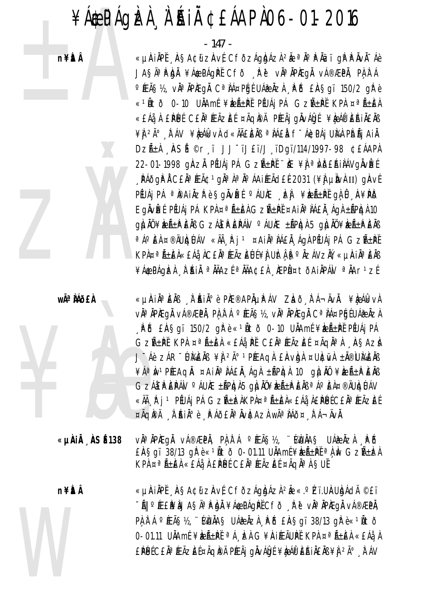n¥itÂ



wêÀÁð£À

 $-147 -$ 

«µÀIAPĚ AŞA¢üzAvÉ CfðzÁgAdázì ?à ªÄ°PÄzï gPPÄvÄ-Áè JASÄ<sup>a</sup>Phi ¥Á¢PÁgPĚCfð Pè viaPÆgi vá®ÆPi, PLA`A <sup>o</sup> ÆÃ޽, vha Aplæga Ca AA¤PGE UA@AZA PO £AŞgï 150/2 gPè «1Ñtð 0-10 UÄAmÍ ¥keñPI PIUÁj PÁ GZALPI KPA ¤ªÃ±EA «£Áå À £PÚ É C£Ä¤ ÆÃZE ɤÃQI®Ä PÆÃj gÄvÁÖdÉ¥ÈAή EŘIÄ£Äß ¥Ì <sup>2ð</sup> TÁV ¥ÈAGKVÀ CI«ĂÃÊĒĂB ªÌÁEÀ f<sup>-</sup>ÁCPÁj UNA PIDÃJ AIĂ DZñÀ ASÍ ©r ï JJ<sup>-</sup>ïJ£ï/J ïDgï/114/1997-98 ¢£ÁAPÀ 22-01-1998 gÀZL PÉUÁj PÁ GZÁ±PĚ "KE ¥J ª NDEÁILÁVGÄVLEÉ **. PÁðgP Á CEĂª ÆÃ¢ 1 gĂª Àª ĺ ÁA iÆÃd EE 2031 (¥) µIVA II) gAvE** PEUAj PÁ <sup>a</sup> IPA i Az P è Sqivize <sup>o</sup> AUAE Lei ¥izã±PE qi û A¥PIS EgÄvIE PEUAJ PÁ KPA ¤ªÃ±EÀ GZѱPĚ ¤AIĪÀÁEÀ ÁgÀ ±ÃPIgÀ 10  $Q$  (LIAO ¥ ) E AB G ZÁ E PAN  $\circ$  AU E  $\pm$  AP to A  $\pm$  AP to  $\pm$  AD  $\pm$  AP E AB a á° E a ¤®ÄUIQÚÁV «Äà R j 1 ¤A jiĂª JÁE À ÁQI PÉUÁ j PÁ GZѱPĚ KPA¤ªÃ±ĒA«£Áå AC£ÄªÆÃZĒŨĹ¥À UÌtÁ F°ÄZÁVZÄÝ «µÀIĪĒÄB ¥Á\$PÁGEZA A A A A A AZ E A A A CEA A A A PI ¤ tÕA I A PÁN a A A r 1 z E

«µÀIN¤ÈNB N AINI¤ è PIE®APNUPÁV ZLAÕ TÁ¬ÄVN. ¥LQÁLkvA vĂªÄPÆgÅ vÁ®ÆPÄ, PÀÀʿÁ °ÆÃ§½, vĪÄPÆgÅ CªÌÁ¤PGEUÁ@ÄzÀ AP & EASgi 150/2 gP è «1Ñto 0-10 UAAmE ¥beA±PE PEUAJ PA GZıPĚ KPA ¤ªÃ±ÈA «£Áå PĚ C£ĂªÆÃZEÉ ¤ÃQĪA "ÀSAZÀ J Áè ZÁR LUMENS ¥I 2ú 1 PÉRAQL EAVIDL¤UICIVL ± N®UMENS ¥ÁªN1PÆAQÄ ¤AiĪÌA£Ä¸ÁgÀ±ÃPIqÀ 10 gļuÄÜ ¥IEıPEÄB GZÁIEP EPÁV Ó ÁUIE ±ÃPIGA5 GILIAU¥IE±P EÄB ª Á° EA¤®ÄUIGLIÁV «ÄÃ, È i 1 PÉUÁj PÁ GzѱìzÀKPÀ¤ªÑ±ìEÀ«£Áå, À£ÌPÉJÉ C£Ăª ÆÃZÈÉ ¤ÃQIPÄ À AIA°è PÁÕEĂªÄVICAZÀ WêIÁÕ¤ FÁ¬ÄVÄ.

vઠàpægå vá®æpà, pà à á °éeã§½, ∵éauàa§ uáæ àzà ¸èõ «µÀIÄ ÀSÉ 138  $E$ AŞqï 38/13 q $\hat{F}$ è «<sup>1</sup>Ãtõ 0-01.11 UÄAmí¥æÃ± $\hat{F}$ <sup>a</sup> $\hat{A}$  $\hat{W}$  Gzѱ $\hat{E}$ A KPA ¤ªÃ±EA «EÁå A EPUE CEĂªÆÃZEE ¤ÃQĪA SUE

n¥itÂ

«µÀIÀPĚ ASA¢ữZÀvÉ CFÕZÁQIDÁZI 2Å «.º Zï.UAUDÁCIÄ ©£ï -AI O ÆEI¥IJASĪPIDI ¥ÁÆPÁQPI CFÕ R ë vĪÄPÆQI vÁ®ÆPI, PLIA A PEAS12, "KAUAAS UARAZA PO EASOI 38/13 OF è «1Ãtõ 0-01.11 UÄAmÉ¥EÁ±PĚ<sup>a</sup>Á, EÀG¥AiÆÃUPĚKPA¤ªÁ±EÀ«£Áå, À £PÚĹC£ĂªÆÃZEŤÃQIPĂ PÆÃj gÀvÁQLÉ ¥LAO EŘIĂ£ĂB¥J 2ð KAV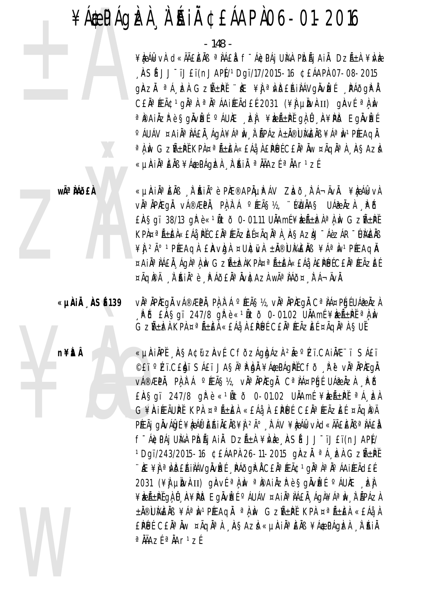$-148 -$ 

¥ÈÁGKVÀ CKKÄEEÄB <sup>a</sup>NÁEN f<sup>-</sup>Á¢PÁjUMA PIDÃjAIN DZñÀ ¥NÈ  $\frac{1}{2}$  $\mathsf{ASf}$  JJ<sup>-</sup>ïJ£ï(nJAP $\mathsf{h}/1$ Dgï/17/2015-16 ¢£ÁAP $\mathsf{h}$  07-08-2015 ghzh <sup>a</sup> A ba Gzñ±pi "ke ¥j a wbeaiiavgivbe "paðgiai CEN<sup>a</sup> FEÃC 1 gNa A a No AAI FEÃO EL 2031 (\\ um um um um um quot a l m a painzrès givize caure , izi ¥izi-pe qi û n¥pis Eqivize °ÁUÁV ¤AIĪÀÁ£À ÁGÀ¥ÁªÌN À ÃPÁZÀ±Ă®Ù}A£ÀB¥ÁªÌN1PÆAGÀ <sup>a</sup>l ÌN GZñPĚ KP̤ªÃ±ÈÀ«£Áå Ì£PÉJÉ C£ĂªĂW ¤ÃQĂªÀ ¸À§AZÀ «µÀIÀªÈÀB ¥Á\$PÁgÞLA À ÁIÀ ªÀÄAZÉ ªÀAr1zÉ

«µÀin è Èn II à Àin è Phe®APnµp áv Zhō Fá¬ävn. ¥è Álk va vàªàpæqà vá®æpà, pàà∙á °Æã§½, ''¼ùàa§ uáæàzà ,Pê EASgï 38/13 gì è «14 tổ 0-01.11 UAAmí ¥ka Ale a Lu GzñPI KPA¤ªÃ±ÈÀ«£Áå, PĚC£ĂªÆÃZÈɤÃQĂªÀ, ÀSAZÀJ¯ÁèZÁR¯ÚÀGÈÀB ¥ Î 2ð 1 PÉEAQ À E AV Q À ¤ UNC N À ± N ® IU MA E N S T A 2 A º N 1 PÉEAQ N ¤AIĪÌÁEÄ ÁGÀªÌÌN GZѱÈÀKPÀ¤ªÃ±ÈÀ«£Áå¸À£PÚſC£ĂªÆÃZÈſ ¤ÃQI®Ä À ANIº è APÁÕEI¤ AVICAZA Wê AÁÕ¤ A Á¬ÄVÄ.

v˻ ÀPÆgÅ vÁ®ÆPÅ, PÀ À Á °ÆÃ§½, vÀª ÀPÆgÅ Cª ÀÁ¤PÉJÉUÁ₴ ÀZÀ PD EASqi 247/8 qrè «14to 0-01.02 UAAmi ¥beather ali Gzñèz) KP) ¤ªÃ±èì «£Áå ) £PÚÉ C£ĂªÆÃzèÉ ¤ÃqĂª) SUĚ

> «LIAIAPĚ ASA¢űzAvÉ CFŎZÁgADÁZA 2Ã º ZI.CAIAE''I SÁET ©£ï °Øï.C£Àï SÁ£ï JAŞÄªPbÀ ¥Á\$PÁqPĚCfð þë vìªÄPÆqì v種PÄ, PÀ,À`Á °ÆÃ޽, vĪÄPÆgÄ CªÌÁ¤PÉJÉ UÁ@ÄZÀ "PÉD  $E$ AŞqï 247/8 q $\mathbb{R}$ è «<sup>1</sup>Ãtõ 0-01.02 UÄAmí ¥àzñPť <sup>a</sup>Á àz G¥AIÆÃUPĚ KPA ¤ªÃ±EA «£Áå A £PÚÉ C£ĂªÆÃZEÉ ¤ÃQPA PÉEÃJ GÄVÁD É¥D AP EAIÄEÄB¥), 2ð TÁV¥D AB VA d«ÄÃEEÄB ª NÁED f Ácpái Um Pidái Ain Dzá±i ¥m. Así JJ TJET(nJAP)/ <sup>1</sup>Dgï/243/2015-16 ¢£ÁAPÀ 26-11-2015 gÀZĂ ªÁ ÈÀ GZñPĚ <u>WE ¥Ì a MDEAINAVQNWE (PÁÕQP LCELA ÆÃ¢ 1 gha la lo AAIÆÃCLE )</u> 2031 (\\{A} LINO\AII) QAVE a A AN a PAIAZR è SQAVELE CAURE EL ¥ÈEñPĚQÀ Û A¥PÕ EQÄVÈE ºÁUÁV ¤AIÀªÀÁ£À ÁQÀ¥ÁªÌN À ÃPÁZÀ ±Ă®UMEÄB ¥ÁªM1PÆAQĂ ªÀM GZñPĚ KPA ¤ªÃ±EA «£Áå A EPUL CE˻ ÀW ¤ÃQNª À ASAZI «µAINª EN ¥Á\$PÁQIZI À AI  $a \overline{M}$ Az $f$  $a \overline{M}$ r<sup>1</sup>z $f$



«µÀiÅ ÀSÉ 139

**n¥itÂ**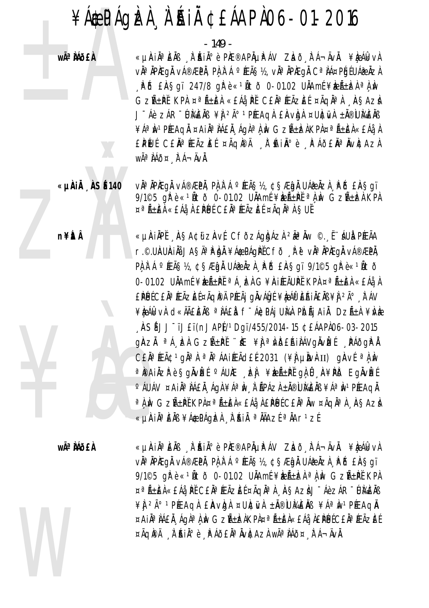- 149 -

**WÃ<sup>a</sup>MÕEÀ** 

**n¥itÂ** 

«LIAIÄ<sup>a</sup>EÄB A AIÄI<sup>o</sup>è PAE®APÄLIPAV ZIaõ FA-ÄvÄ. ¥IeAIkvA v˻ ÀPÆgÅ vÁ®ÆPÀ, PÀ À Á °ÆÃ§½, vÀª ÀPÆgÅ Cª ÀÁ¤PÉJÉUÁ₴ ÀZÀ  $\hat{A}$   $\hat{B}$   $\hat{B}$   $\hat{B}$   $\hat{C}$   $\hat{C}$   $\hat{A}$   $\hat{C}$   $\hat{C}$   $\hat{C}$   $\hat{C}$   $\hat{C}$   $\hat{C}$   $\hat{C}$   $\hat{C}$   $\hat{C}$   $\hat{C}$   $\hat{C}$   $\hat{C}$   $\hat{C}$   $\hat{C}$   $\hat{C}$   $\hat{C}$   $\hat{C}$   $\hat{C}$   $\hat{C}$   $\hat{C}$   $\hat{C$ GZıPĬ KPA ¤ªÃ±EA «£Áå PĬ C£ĂªÆÃZEÍ ¤ÃQĂªA ASAZA J-Áè ZÁR-UMEÄB ¥J 2ð 1PÆAGÀ EAVDA ¤UNEWA ±Ä®UMEÄB ¥ÁªIN<sup>1</sup>PÆAQI ¤AIIªIÁ£I ÁQIªLIN GZA±DAKPA¤ªA±EA«£ÁåL £PŨĿĹĊ£ĂªÆÃZĔŤÃQÆĂ Ă`Ŕijðè "PÁÕ£ĂªĂvÆAzA WÃ<sup>a</sup> ÀÁð¤ , lī Á¬ÄvÀ.

«µÀIÄ NSÉ140 vì<sup>a</sup> ìpiegì vá®æpì, pì ì á °íeã§½, ¢§æmì uá@ìzì . Pó £ìa§gï 9/1©5 gřè«1Ñtð 0-01.02 UÄAmÉ¥æÑ±PĚªÀÙ GZѱbZÀ KPA ¤ªÃ±ÈÀ «£Áå À £PÙÉ C£ĂªÆÃZÈÉ ¤ÃQĪÀ SUĚ

> «µÀIÀPĚ ASA¢ữZAvÉ CFÕZÁQAÁZÀ 2ªÀw © E ÁUÀ PÉEÃA r.©.UAUAIÄå JA§ÄªÌPÌdĂ ¥Á¢PÁQÌPĚCFð, ÌPĕ vĂªĂPÌEQĂ vÁ®ÆPĂ, PA A A º ÆÃS½, ¢SÆDA UÁR AZA PO ERSQI 9/1©5 OR è «1Ãtõ 0-01.02 UÄAmÉ¥ELıPĚªÁ, EÀ G¥AIÆÃUPĚKPA ¤ªÃ±EÀ «£Áå, À £PÚ ECE Na FEÃZE EXÃO PA PEEÃI ON VÁD EX LA PERINENS ¥N 2ú FÁV ¥ÈÁGKVÀ CKAJAEJEJNA AJÁEL FTÁCTPÁJULAI PIDÃJAI DZñI ¥IVE , ÀSÍJJ<sup>-</sup>ïJ£ï(nJAP)/1Dgï/455/2014-15 ¢£ÁAPÌ06-03-2015 gàzh <sup>a á</sup> kh Gzñ±pí "k ¥j a vdeáilávgivkí páðgri CEN<sup>a</sup> FEÃC 1 gNa A a No AAI FEÃCIEL 2031 (\\ um um um um quot a l m ªPAIÄZPè§gÄvÈEÍ ºÁUÆ LEJI ¥LEıPĚ gA Û A¥PD EgÄvÈEÉ °ÁUÁV ¤AIĪÌÁ£Ă ÁGÀ¥ÁªÌN À ÃPÁZÀ±Ă®Ù}A£ÀB¥ÁªÌN1PÆAGÄ a ì Iv GzñPĚ KPÌ ¤a ñEÀ «EÁå, À EPÙÉ CEĂª Iv ¤ÃQĂª À , ÀSAZÀ «µÀIÀªÈÀB ¥Á\$PÁQÈÀ À AIÀ ªÀÄAZÉ ªÀAr1zÉ

wêÀÁðfÀ

«µÀIN¤ÈNB N AINI¤è PIE®APNUPÁV ZIað FÁ¬ÄvN. ¥IQÁIkvA vì<sup>a</sup> ìpiegì vá®æpì, pì ì á °Æã§½, ¢§Æìgì Uáæìzì , Põ £ìA§qï 9/1©5 gPè«<sup>1</sup>Ñtð 0-01.02 UAAmf¥Enten<sup>a</sup> A m GzAtPf KPA ¤ªÃ±EÀ«EÁå, PĚ CEĂªÆÃZEɤÃQĂªÀ, ÀSAZÀJ¯ÁèZÁR¯ÚÀÆÄB ¥ J<sup>2ð</sup> 1PÉEAQ A E AV Q A ¤ UNC TUA ± NO UME NB ¥ A ª N 1PÉEAQ N ¤AIĪ IAEÄ, AGIª I IN GZñIZAKPA¤ª ñIEA«EÁå, AEPLUECEĪ ÆÃZIEE ¤ÃQIPÄ À AIA P è PÁÕEĂª ÄVICAZÀ Wê ÀÁÕ¤ À Á¬ÄVÄ.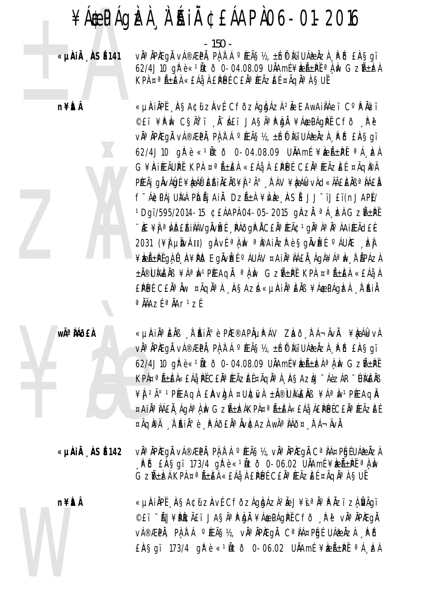$-150 -$ 

«µÀIÄ ÀSÉ141

**n¥itÂ** 

vઠÀPÆqÅ vÁ®ÆPÀ, PÀ À Á °ÆÃ§½, ±Ín® Mi UÁ@ÀZÀ . PÕ £À§qï 62/4J10 gře « $10 + 10$  0-04.08.09 UAAmé ¥ben +  $P^{\text{F}}$ an w Gzn + ben KPÀ ¤ªÃ±ÈÀ «£Áå À £PÚÉ C£ĂªÆÃZÈÉ ¤ÃQĂªÀ §UĚ

«µÀIÀPĚ ÀSA¢ữZÀVÉ CFÕZÁgbÁZÀ 2Ă EAWAILÁeï CºPLÄZï ©£ï¥PM CŞÄTï ĨÁ£ï JAŞÄªPhÀ ¥Á\$PÁqPĚ Cfð Rĕ vì<sup>a</sup> ìpiegì vá®æpì, pì ì á °íeã§½, ±íðPì⁄a Uá@ìzì , Pô £ìA§gï 62/4J10 gře « $10$ to 0-04.08.09 UNAmí ¥k $E$ Ř $\pm$ Pľ $\approx$ A, kal G¥AIÆÃUPĚ KPA ¤ªÃ±EA «£Áå A £PÚÉ C£ĂªÆÃZEÉ ¤ÃQPA PÉEÃJ GÄVÁLO É ¥È AP EAIAEAB ¥Ì <sup>2ð</sup> À ÁV ¥È ÁL vÀ d«ÄÃE EAB ª LÁEA f Ácpái Uma Pidãi Aiå Dzã±a ¥ivie "Insé JJ Tjeti(nJAPI)/ <sup>1</sup>Dgï/595/2014-15 ¢£ÁAPÀ 04-05-2015 gÀZĂ <sup>a</sup>Á EÀ GZñPĚ <u>WE ¥Ì a MDEAINAVQNWE ARAJQAN CEN ARET CON a VO AUTERO EF</u> 2031 (\\{A} LI LI LI LI CIAVE a LA M a Patilize è Sgivize CAURE LE ¥ÈLñPĚGÀÛ À¥PD EGÄVLÉ ºÁUÁV ¤AIÀªÀÁ£À ÁGÀ¥ÁªÌN À ÃPÁZÀ ±Ă®UMEÄB ¥ÁªM1PÆAQĂ ªÀM GZñPĚ KPA ¤ªÃ±EÀ «£Áå.A £PUE C£ĂªĂw ¤ÃqĂªÀ "AŞAzI «µAIĪÈÄB ¥Á\$PÁgIzA "À AIÄ  $a$   $\hat{A}$   $\hat{A}$   $\hat{A}$   $\hat{B}$   $\hat{A}$   $\hat{A}$   $\hat{B}$   $\hat{C}$   $\hat{C}$   $\hat{C}$   $\hat{A}$   $\hat{B}$   $\hat{C}$   $\hat{C}$   $\hat{C}$   $\hat{C}$   $\hat{C}$   $\hat{C}$   $\hat{C}$   $\hat{C}$   $\hat{C}$   $\hat{C}$   $\hat{C}$   $\hat{C}$   $\hat{C}$   $\hat{C}$   $\hat{C}$ 

wÃ<sup>a</sup> Mõ£À

«µAiĪEÄß ¸À˙Ăiİè PĬÆ®APõPÁV Zhð¸ÌrÁ¬ÄvÄ. ¥È}ÁlkvÀ vì<sup>a</sup> ìpiegì vá®æpì, pì ì á °íeã§½, ±íð Mi uá@ìzì . Pó £ìa§gï 62/4J10 gřè«1Ñtð 0-04.08.09 UÄAmí¥æÃ±bena) w GzѱPť KPÀ¤ªÃ±ÈÀ«£Áå¸ÞĚ C£ĂªÆÃZÈɤÃQĂªÀ¸À§AZÀJ¯ÁèZÁR¯ÚÀ&ÈÅB ¥] <sup>2ð 1</sup>PÉEAQÀ £ÀVÒGÀ ¤UÈÙVÀ ±Ä®ÙMÈÄB ¥ÁªÌW1PÉEAQÄ ¤AIĪÌÁEÀ ÁGÀªÀÌN GZñÈÀKPÀ¤ªÃ±ÈÀ«EÁå ÀEPÚÉCEĂªÆÃZÈÉ ¤ÃQIPÄ À ANIº è APÁÕEI¤ AVICAZA Wê AÁÕ¤ A Á-ÄVÀ.

v˻ ÀPÆQÅ vÁ®ÆPÀ, PÀ À Á °ÆÃ޽, vÀª ÀPÆQÅ Cª ÀÁ¤PÉIEUÁ@ ÀZÀ «µÀiÅ ÀSÉ142  $R$   $\tilde{D}$   $\tilde{E}$ A sqi 173/4 q $R$ è « $1$ A tõ 0-06.02 UAAmé ¥beA t $\tilde{P}$ i a A w GZñÈÀ KPÀ ¤ªÃ±ÈÀ «£Áå¸À £PÙÉ C£ĂªÆÃZÈÉ ¤ÃQĂªÀ SUÉ

n¥ÈÂ

«µÀIÄPĬ, AŞA¢üzAvÍ CfðzÁgbázì?à J¥ï.ªÄ°PÄzï zì vãqï ©£ï ¯Ã|| ¥P̢ãï JAŞÄªP bÌ ¥Á\$PÁqPť Cfð þë vìªÄPÆqì v種PÄ, PÀÀ`Á °ÆÃ޽, vĪÄPÆqÄ CªÀÁ¤PÉJÉ UÁ@ÄZÀ . PÉ £Ä§gï 173/4 gřè «1Ätð 0-06.02 UÄAmf¥æÄ±Př<sup>a</sup>Á, bel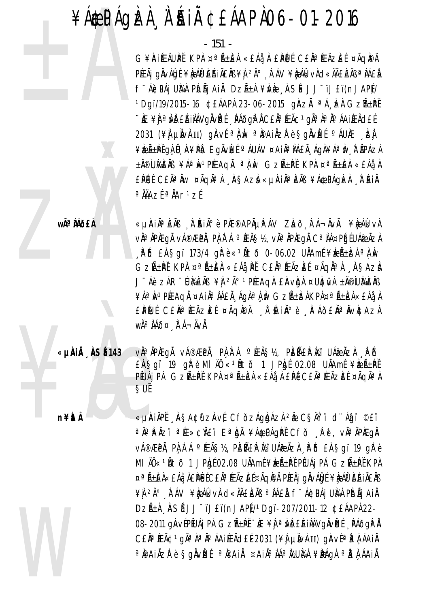$-151 -$ 

G¥AIÆÃUPĚ KPA ¤ªÃ±EA «£Áà A £PÚÉ C£ĂªÆÃZEÉ ¤ÃQPA PÉEÃI GÄVÁD É¥R ÁP EA JÄEÄB¥), 2ð À ÁV¥R ÁR VÀ d«ÄãEÄB ª NÁ£R f - Á¢PÁj UMA PIDÃj AIĂ DZñA ¥IVIe "IASÍ JJ "ïJ£ï(nJAP)/ <sup>1</sup>Dgï/19/2015-16 ¢£ÁAPÀ 23-06-2015 gÀZĂ ªÁ EÀ GZñPĚ <u>WE ¥Ì a MDEAINAVQIVIEL NAÕQIPI CEN AREACI QIA JA JO AAIRACLEE</u> 2031 (\\{A} LI LI LI LI CIAVE a LA M a PAIAZA è SOLVET CAURE EL ¥ÈEñPĚGÀÛ A¥PD EGÄVÈE ºÁUÁV ¤AIÀªÀÁ£Ă ÁGÀ¥ÁªÌN À ÃPÁZA ±Ă®UMEÄB ¥ÁªM1PÆAQĂ ªÀM GZñPĚ KPA ¤ªÃ±EÀ «£Áå¸À EPUL CEĂ® AW ¤ÃQN® A ASAZA «µAIN®EAB ¥Á\$PÁQEA A AI  $a \overline{N}$ AZÍ $a \overline{N}$ Ar<sup>1</sup>ZÍ

wê MÕ£À

«µÀin è Èn di Atation phe®aphup av Zaõ Fá¬ävn. ¥è Álkvi v˻ ÀPÆQÅ vÁ®ÆPÀ, PÀ À Á °ÆÃ޽, vÀª ÀPÆQÅ Cª ÀÁ¤PÉIEUÁ@ ÀZÀ  $R$   $\tilde{D}$   $ER$   $S$ qï 173/4 q $R$ è « $1\tilde{A}$ tð 0-06.02 U $\tilde{A}$ Amf ¥k $\tilde{E}$  $\pm$ k $A$ a $\tilde{A}$   $\tilde{M}$ GZıPĬ KPA ¤ªÃ±EA «£Áå PĬ C£ĂªÆÃZEÍ ¤ÃQĂªA ASAZA J-Áè ZÁR-UMENS ¥Ì 2ð 1PÆAGA EAVDA ¤UNEWA ±N®UMENS ¥ÁªÌNºPÆAQäAiÀªÌÁ£Ă¸ÁgÀªÌ¸ÌW GZñÌZÀKPÀ¤ªÃ±ÈÀ«£Áå¸À EPŨJÍ CEŇªÆÃZEÍ ¤ÃQI®Ä A HINºè PÁÕEŇªŇVICAZA WÃ<sup>a</sup> ÀÁð¤ À Á-ÄVÀ.

«µÀIÄ ÀSÉ143

**n¥itÂ** 

vì<sup>a</sup> ìpiegì vá®æpì, pì ì á °éeã§½, pèñep ři uáæìzì . Põ EASqi 19 qrè MI AO «10to 1 JPb( 02.08 UAAmE ¥benthe PÉUÁJ PÁ GZıPĚ KPA ¤ªÃ±EA «EÁå A EPÉ CEA¤ÆÃZEÉ ¤ÃQAªA ŞUË

«µÀIÀPĚ ASA¢ữzAvÉ CfðzÁgbÁzÀ 2Ă CSĂŤï d'Ánï ©£ï a jo păzi a fe scñei Ea dă ¥ác págpě Cfð tre, via ipiegi V種PÄ, PA A Á ºÆÃS½, PEÑEP Mi UÁ®ÄZA PÕ EASqi 19 gPè MI ÄÖ«<sup>1</sup>Ätð 1 JPhjí 02.08 UÄAmí¥keıPť PÍUÁj PÁ GzıPť KPA ¤ªÃ±EÀ«£Áå À£PÉJÉC£ĂªÆÃZEɤÃQÌPÄ PÆÃj gÄvÁQÉ ¥À¿Á®ÈŔiÄ£Äß ¥Ì <sup>2ð</sup> È ÁV ¥È ÁI CHA CHA LA PHÁE AN ALLA FTÁ EPÁ JUMA PIDÃI AIÀ DzÁ±A ASÍ JJ<sup>-</sup>ïJ£ï(nJAPÍ/1Dgï-207/2011-12 ¢£ÁAPA 22-08-2011 gàvépéuáj pá Gző±pě ke ¥j a vdeájiávgivět "Páðgial C£ĂªÆÃ¢1gĂªÀªĂ°ÁAiÆÃd£É2031 (¥ĴJ µÌNÀII) gÀVɪÌPÀ ÁAIÀ ªPAIÄZPèŞqÄvÈÉ ªPAIÄ ¤AIĪÀÁªMUMÀ¥PÁqÀªPÀÁAIÄ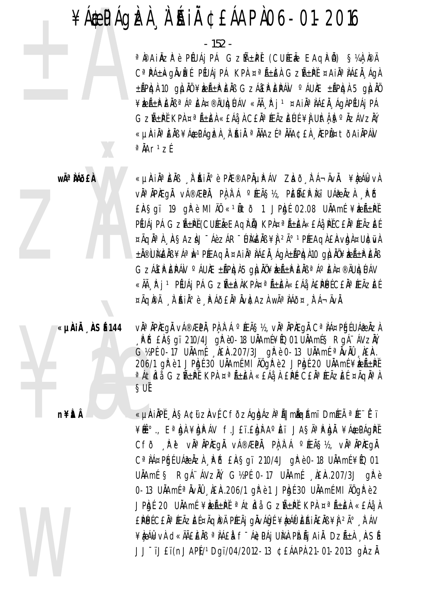$-152-$ 

<sup>a</sup> Painzi è Piuaj pa Gzñ±Pi (Cura Eagha) S¼l Pa C<sup>a</sup>PÁ±kgÄvíE PEUÁj PÁ KPA ¤ªÃ±EA GZñPĚ ¤AIĪÀÁEÀ ÁgA  $\pm$ ÃPICH 10 QILIAŬ ¥IZÃ $\pm$ ĨP EINS GZÁIEIP EIPÁIV  $\circ$ ÁUIE  $\pm$ ÃPICH 5 QILIAŬ ¥ÈEѱÈÑEÀÑ ªÁ°ÈÀ¤®ÄUÒQÚÁV «Äà È j 1 ¤AiÀªÀÁ£À ÁQÀPÉUÁj PÁ GzñPĚ KPA ¤ªÃ±EA «£Áå A C£ĂªÆÃZEUÉ ¥A UNtA ISº AZÁVZĂY «µAIĪÈÄߥÁ\$PÁGÞZA À AIÄ ªÄÄAZɪÄÄA¢£À ÆPÙ¤tÕAIÄPÁV  $a$ ÅAr<sup>1</sup>zÉ

#### wê MÕ£À



«µÀIN¤ÈNB N AINI¤è PIE®APNUPÁV ZIað FÁ¬ÄvN. ¥IQÁIkvA vì¤ìPàEgì vá®ÆPì, Pìlì Á °ÆÃ§½, PÈãPì½i UÁæÌzì ¸Pô EASqi 19 qrè MI AO «10to 1 JPgt 02.08 UAAmt ¥benthe PÊUÁI PÁ GZѱŘĚ (CUÆÃ EAQNĂ) KPA¤ªÃ±ÈÀ«£Áå ŘĚ C£ĂªÆÃZÈÉ ¤ÃQĂª À ASAZIJ Áè ZÁR DI MEAS ¥Ì 2ú 1 PÉE AQI EAVIDI ¤UICIVA ±Ă®ÙŀAi£ĂB ¥ÁªÌw1PÉEAQĂ ¤AiĪÌÁ£Ă ÁQÀ±ÃPÌQÀ10 QÌJĂÜ¥ÌzñłP`EĂB GZÁEPEPÁN O ÁUÆ ±ÃPIGA5 GILIAU¥IELE EIN ª A PEA¤®ÄUIGLAV «Äà R j 1 PÉUÁj PÁ GZŐ±) KPA¤ªŐ±EA«EÁå A£PÉJÉ C£ÄªÆÃZEÉ ¤ÃQIPÄ À ANIO è APÁÕEI<sup>a</sup> IvIcazi w㪠IAÕ¤ A Á¬ÄvI.

«µÀiÅ ÀSÉ 144

**n¥itÂ** 

v˻ ÀPÆQÅ vÁ®ÆPÅ, PÀ À Á ºÆÃ޽, vÀª ÀPÆQÅ Cª ÀÁ¤PÉIEUÁ@ÄZÀ A B EASqi 210/4J qir e0-18 UAAmi ¥i0 01 UAAmi S RgA AVZAY G1/2PE 0-17 UAAmE REA.207/3J gP è 0-13 UAAmE <sup>a</sup> NVAU REA. 206/1 q Pè 1 J Phot 30 UNAme MI AU q Pè 2 J Phot 20 UNAme ¥ be A ± Pt <sup>a</sup>Átidi Gzѱil KPI ¤ªÑ±ici «£Ái I £il C£ilªÆÃzieí ¤Ãqila] ŞUÊ

«LIAIAPĚ, ASA¢II ZAVÉ CFÕZÁQIDÁZI¤III mIGÁMI DMÆÃ ªÆ∵ɨI ¥Ë.º, EªQÀ¥QPÁV f.J£ï.£QÀAºÈï JAŞÄªPQÀ ¥Á\$PÁQPÍ CFÕ RU VIAPIEGI VÁ®ÆPI, PARÁ ºÆÃS½, VIAPIEGI C<sup>a</sup> IA¤Pfgf UA@ IzA PFB EASgi 210/4J gP è 0-18 UIAmf ¥fQ 01 UÄAmÉ § RgÁ ÁVZÄÝ, G1/2PÉ 0-17 UÄAmÉ LAEA.207/3J gPe 0-13 UNAmE<sup>a</sup> NovAU AEA.206/1 g Pè1 JPhgE 30 UNAmEMI AU g Pè2 JPhjí 20 UÄAmí ¥keñ±Pľ <sup>a</sup> Átida GzѱPľ KPA ¤<sup>a</sup> ѱiEA «£Áa.A £PÚ ECE Nª ÆÃZE E ¤ÃQIPA PÆÃJ QNVÁD E ¥R ÁV ERINENS ¥N 2ú À AV ¥ỆÁ KU H C KHẾ EN <sup>a</sup> NAEN f<sup>-</sup>ÁC PÁJ UNA PIDÃJ A IN DZñA A SÍ JJ<sup>-</sup>ïJ£ï(nJAP)<sup>1</sup>Dgï/04/2012-13 ¢£ÁAPÀ 21-01-2013 gÀZÀ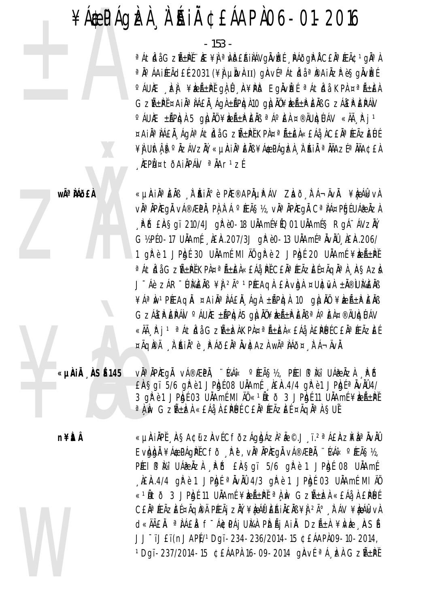$-153 -$ 

<sup>a</sup>ÁtNåGzѱPĚ∵Æ¥jªWDEÁINÁVgŇvÞEɸPÁðgPi LCEŇªÆÃ¢1gŇªN a jo áAiÆÃd£É2031 (¥) µjvih II) gikví a átidi a pari ves sgivizí °ÁUÆ DEN ¥DEѱPĚ GILÛ DE¥PID EGÄVDEÉ ªÁtIda KPA ¤ªÑ±IEA GZñP̤AIÀª JÁ£Ă ÁGÀ±ÃPIQÀ10 GI JÄÜ¥IZñP EJB GZÁEP EPÁV O ÁUNE ±ÃPICH 5 QILINO ¥IZñPENS ªÁO EN ¤®ÄUICLIÁV «Äà F j 1 ¤AIĪ IÁEI AqlªÁt Idå GzѱPĚ KPl¤ªÑ±El«£Áå ICEIª ÆÃzEUE ¥Ì UItî iş°ÄzÁVzIY, «µiri II`ª EIB ¥Á\$PÁQIZI A BILI ª AAZE ª AA¢EI ÅEPܤtõAiÄPÁN <sup>a</sup>ÄAr<sup>1</sup>zÉ

«µÀin è En II à Ain è Pre®aphup áv Zlað tá¬ävn. ¥leálkvi v˻ ÀPÆqÅ vÁ®ÆPÀ, PÀ À Á °ÆÃ§½, vÀª ÀPÆqÅ Cª ÀÁ¤PÉJÉUÁ֎ ÀZÀ P & EASqi 210/4J q Pè0-18 UAAmi ¥i0 01 UAAmi S Rg A AVZAY G1/2PE0-17 UNAmE NEM.207/3J qP e0-13 UNAmE NVAIO NEM.206/ 1 gře 1 JPhyt 30 UNAmt MI AU gře 2 JPhyt 20 UNAmt ¥benE±Pt <sup>a</sup>Átidi GzѱPĚKPÀ¤ªÑ±ÈÀ«£Áå PĚC£ĂªÆÃZÈɤÃQĪÀ À§AzÀ J-Áè ZÁR-UMENS ¥Ì 2ð 1PÆAGÀ EAVDA ¤UNEWA ±N®UMENS ¥ÁªIWPEEAQI ¤AINPAEN ÁQI ±APDA 10 QLINU ¥IEA±PENB GZÁJEP EPÁN O ÁUNE ±ÃPIGA5 GILIAU¥IELE EN ª AO EN¤®ÄUIGLIAV «Äà R j 1 ªÁtbå GzѱkÀKPÀ¤ªÃ±kÀ«£Áå À£PÚÉC£ĂªÆÃzkÉ ¤ÃQPÄ À AIA°è A AOEAª AVA AZA Wê AÁO¤ A A-AVA.

«µÀiÅ ÅSÉ145

wÃ<sup>a</sup> Mõ£À

vઠÀPAEQÀ vÁ®ÆPÀ, ''14Aî« ºÆÃ޽, PÆI IP À2î UÁ@ÀZÀ , PÕ EASgi 5/6 gh e1 JPh f 08 UNAmf AEA.4/4 gh e1 JPh f a NVNO 4/ 3 gir è 1 JPigé 03 UÄAmé MI ÄÖ « 1Ätõ 3 JPigé 11 UÄAmé ¥izıPě a Lin Gzñ-EA «EÁà, A EPUE CEĂª ÆÃZEE ¤ÃQĂª A SUE

**n¥itÂ** 

«UAIAPĚ ASA¢ű ZAVÉCFŐZÁQDÁZA<sup>2</sup>à ©.J ï.<sup>2ª</sup>Á£AZ¥ÀªÄVÄÛ Evgg) ¥Á\$PÁgPĚCFð Rě, vĪÄPÆgÄ vÁ®ÆPÄ, "KAÁ« °ÆÃ§½, PÉEI IP Itái UÁR AZA PB EAS qi 5/6 qi e 1 JPIqé 08 UAAmé AEAR.4/4 ghee 1 JPhgt <sup>a</sup> AlvAU 4/3 ghee 1 JPhgt 03 UAAmt MIAU «<sup>1</sup>Ñtõ 3 JPhjí 11 UNAmí ¥leñ±Př<sup>a</sup>l IIv Gzѱlen «EÁå A EPÚ! CEÀ<sup>a</sup> ÆÃZEE¤ÃQIPA PÆÃI ZIN, ¥DAP EAIAENB ¥I 2ð FAV ¥DAGKVA d«ÄÄEÄ <sup>a</sup>ÄÁEÀ f<sup>-</sup>Á¢PÁj UMA PIDÃj AIÄ DZñÀ ¥IVE ASÍ <sup>1</sup>Dgï-237/2014-15 ¢£ÁAPÀ 16-09-2014 gÀvÉ <sup>a</sup>Á EÀ GZñPĚ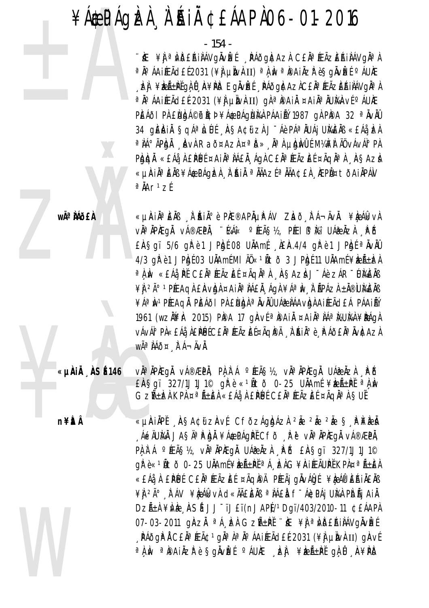$-154$  -

∵Æ ¥] ªWDEAINAVgNvDE NAðgDAzA CENªÆÃZEAINAVgNªA <sup>a</sup>İÁAiÆÃd£É2031 (¥) µÌW⊦II) <sup>a</sup>Ì, w <sup>a</sup>IPAiÄZP èSgÄVÌZÉ °ÁUÆ , E) ¥EÁ±PĚGÀ Û, A¥PD EGÄVEÉ, PÁÕGACAZICEÄ®ÆÃZEÁIIÁVGÄ®I <sup>a</sup>İÁAiÆÃd£É2031 (¥ÌJµÌNÀII) gÀªÌ®AiĤAiĪÄUMÀNVɺÁUÆ PEÁÕI PÀ ENDA©P PCÞ¥ÁÆPÁQNAA PÁAIRÝ 1987 QÀ PPA 32 ª ÄVÄÛ 34 QEAIA SQÁªLILLÍ ASA¢űzi JÉÁèPÁªÄUÁj UMEÄB «EÁå, EA <sup>a</sup> IA° APIDA , AVI Rað¤AzI ¤<sup>a</sup> ID», AªI µDIWUL M¼IFI AU vÁVAI° PI PIOLON «EÁI A EPLUE ¤AIN¤ NAEN ÁGA CEN¤ ÆÃZEE ¤ÃGNª A "IASAZI «µÀIẰªÈÄߥÁ\$PÁQÈÀ À ÁIÄ ªÄÄAZɪÄÄA¢£À ÆP̤tðAIÄPÁV  $a$  $Mr$ <sup>1</sup>zf

wê MÕEÀ

«µÀIN¤ÈNB N AINI¤ è PIE®APNUPAV ZIað FÁ¬ÄvN. ¥Ie ÁlkvA vh<sup>a</sup>ňpiegň vá®æpň, ∵ľaák °ÉEç½, péel iPíki Uá@ňzi "Píð EAS gï 5/6 ghè 1 JPh t 08 UAA mí LEA.4/4 ghè 1 JPh t <sup>a</sup> NVAU 4/3 gře1 JPRjé03 UÄAméMI ÄÖ«1Ätõ 3 JPRjé11 UÄAmé¥REıRA <sup>a</sup> À N «EÁå PĚ CEĂª ÆÃZEE ¤ÃQĂª À ASAZÀ J¯Áè ZÁR¯UMÈÑB ¥Ì 2ð 1PÉEAQI EÀVIDI ¤AIÀªIAEI ÁQI ¥ÁªIN I APÁZI ±I®UIAEIB ¥ÁªIN 1 PÍÆAQI L PIEÁðI PA ENIGA ª ÄVÄÛ UÁR LÁAVIGI A JÍÆÃOLÁ PÁAJI N 1961 (wzN¥r 2015) PPA 17 gAvíªPAIÄ ¤AIĪNÁªMUMÀ¥PÁGA VÁVÁ<sup>®</sup> PÀ«£Áå À£**PÉ**JÉC£ĂªÆÃZÈɤÃQPA À ŔIĂº è À Áð£ĂªÄVÀCAZÀ WÃ<sup>a</sup> ÀÁð¤ À Á-ÄVÀ.

«µÀIÄ "ÀSÉ 146

v˻ĂPÆgÅ vÁ®ÆPÄ, PLLA`Á °ÆÃ§½, vĪÄPÆgÅ UÁ@ÅzÀ ¸ÆÕ EASqï 327/1J1J1© qrè «1Ñtð 0-25 UÄAmÉ ¥keѱPĚ ali GZñÈÀ KPÀ ¤ªÃ±ÈÀ «£Áå¸À £PÙÉ C£ĂªÆÃZÈÉ ¤ÃQĂªÀ §UĚ

n¥ÈÂ

«LIAIAPE ASACIIZAVE CFÒZÁGADAZA 2Ã 2Ã S PIFEI , Á&ÄUMÄ JASĪP.bI ¥Á\$PÁgPĚCFÕ, Pě vĪÄPÆgÄ vÁ®ÆPÄ, PA A A º ÆÃS½, vÀª ÀPÆGÀ UÁ@ ÀZA PÕ EASqï 327/1J1J1© gì è « 1Ñ tờ 0-25 UIAmí ¥ìzñPI ª Á EI G¥AI EÃUPI KPA¤ªÃ±EA «£Áå À £PÚ É C£Ä¤ ÆÃZE ɤÃQI®Ä PÆÃj gÄvÁÖdÉ¥ÈAή EŘIÄ£Äß ¥Ì <sup>2ð</sup> L ÁV ¥È ÁI XVÀ CI «ÄÃE E ÀS ª LAE LA F-ÁIC PÁI UNA PIDÃI AI À DZÁ±À ¥WE ASÍ JJ<sup>-</sup>ïJ£ï(nJAPÍ/1Dqï/403/2010-11 ¢£ÁAPÀ 07-03-2011 gàzh <sup>a á</sup> kh Gzá+př k ¥j a vdeáliávgivké **. PÁðgP Å C£Ăª ÆÃ¢ 1 gĂª Àª Áº ÁA iÆÃd£É 2031 (¥) µIv}II) gAvf** a A IN a Paily a Bolvict of UKE Let FERENT ON D A FRID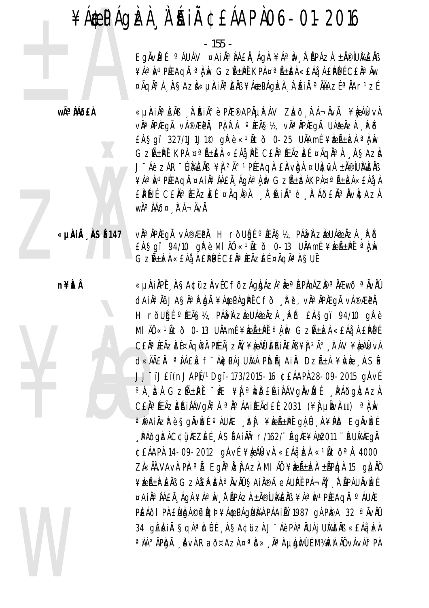$-155 -$ 

Eqlvizí <sup>o</sup>áuáv ¤ail<sup>a</sup>iá£l ági ¥áªiv i Ápázi ±l®iumelis ¥ÁªINºPÆAQI ªLIN GZñPĚ KPA¤ªÃ±EA«£Áà LPUECEĂªIW ¤ÃQĪ) AŞAZI«µAIĪEÄB¥Á\$PÁQIZI Ì AIÄ ªÄÄAZEªÄAr1ZE

wê MÕ£À

«µÀin è Èn II à Àin è Phe®aphµp áv Zhō tá¬ävn. ¥è Álkvi vìªìPÆqì vÁ®ÆPì, PìlìÁ °ÆÃ§½, vìªìPÆqì UÁ֎Ìzì Pô  $E$ AŞqï 327/1J1J1© q $R$ è «1Ãtð 0-25 UÄAmÉ¥æÃ±bel<sup>a</sup>lw GZıPĬ KPA ¤ªÃ±EA «EÁå PĬ CEĂªÆÃZEÍ ¤ÃQĪA ASAZÀ J-Áè ZÁR-UMENS ¥Ì 2ð 1PÆAGA EAVDA ¤UNEWA ±N®UMENS ¥ÁªÌN1PÆAQĤAiĪÌÁ£Ă¸ÁgÀªÌ¸ÌN GZñÌZÀKPÀ¤ªÃ±ÈÀ«£Áå¸À £PŨJÍ CEĂªÆÃZĔÍ ¤ÃQÆÅ "À HINº è "PÁÕEŇªŇvÆAZA WÃ<sup>a</sup> ÀÁð¤ À Á-ÄVÀ.

«µÀiÅ ÀSÉ 147 vì<sup>a</sup> ìpiegì vá®æpì, H rõugí °íeã§½, pá $\dot{\mathcal{W}}$ àzèuáæìzà "Põ  $E$ AŞqï 94/10 q $\hat{F}$ è MI ÄÜ «1 $\hat{A}$ tõ 0-13 U $\hat{A}$ Amé ¥ $\hat{z}$ A $\hat{E}$ + $\hat{F}$ i a $\hat{A}$  $\hat{W}$ Gzѱbà «EÁà, À EPUE CEÀª ÆÃZEE ¤ÃQÀª À SUE

**n¥itÂ** 

«µÀIÄPĚ AŞA¢ű zAvÉCFÕZÁgÀAZÀ<sup>2</sup>à ªÁPInÁZÌ<sup>@a</sup> NÆwŎ ªÄvÄÛ daina na Jashapan ¥acpágpi cfð Re, via npægn vá®æpn, H rõugí º ÆÃ޽, PÁÅ/ÀZÈ UÁZÀ LÀ PÕ EÀSqï 94/10 gì è MI ÄÜ «1Ñtõ 0-13 UÄAmÉ¥ELıPĚ <sup>a</sup> A Av GzѱEA «£Áå A £PÉJÉ CEĂªÆÃZEɤÃQÌ®Ä PÆÃj ZĂÝ, ¥ÈAÎ EŘIÀEĂB ¥Ì, 2ð À ÁV ¥ÈAĴ&vÀ d«ÄÄ£Ä ªÌÁ£À fīÁ¢PÁj UMÀ PIDÃj AIÄ DZñÀ ¥IVIE "IASÍ JJ<sup>-</sup>ïJ£ï(nJAP) /<sup>1</sup>Dgï-173/2015-16 ¢£ÁAPÌ 28-09-2015 gÀvÍ <sup>a</sup>Á EN GZH+PI "KE ¥J <sup>a</sup>NDERINÁVGNVEE PÁÕGNAZN CEN<sup>a</sup> (EÃZEÁINÁVGN<sup>a</sup>) <sup>a No</sup> ÁAI(EÃCIEL 2031 (¥) LINVAII) <sup>a</sup> A N ªPAIÄZPè§gÄvÈEÍ ºÁUÆ "È∬ ¥ÈEñPĚ gÀ Û "A¥PIð EgÄvÈEÉ PÁðgizi C¢ü, ÆZEÍ "ASÍ AIÄÄrr/162/'' AgÆ¥Á#2011 '' AUMÆgi ¢£ÁAPÀ 14-09-2012 gÀVÉ ¥ÈÁkkvÀ «£Áå EÀ «1ÑtðªÅ 4000 ZL«ÄÄ.VAvI PIr<sup>a</sup>li Egli<sup>a</sup>lizi, AzI MI AÜ ¥Leh±La ±APIQI 15 giuliü ¥ÈË. ELLET CE SALLET EN PROJECT A LA SATIVE A LA LA SALLET A LA SATIVE ELLET A LA SATIVE ELLET A LA SATIVE EL ¤AIĪÀÁ£À ÁGÀ¥ÁªÌN À ÃPÁZÀ±À®ÙMÈÄB¥ÁªÌN1PÆAGÀ ºÁUÆ PEÁÕI PÀ ENDA©P PCÞ¥Á EPÁGNA PÁAIRÝ 1987 GÀ PPA 32 ª ÄVÄÜ 34 GEAIN SQÁª LUÍ ASA¢ữ ZÌ J¯Áè PÁª ÄUÁj UMÈNS «EÁå EN <sup>a</sup> IA° APIDA AVI Rað¤Azi ¤<sup>a</sup> D» A<sup>a</sup> I uldiwllí M¼if I NU vávál° Pi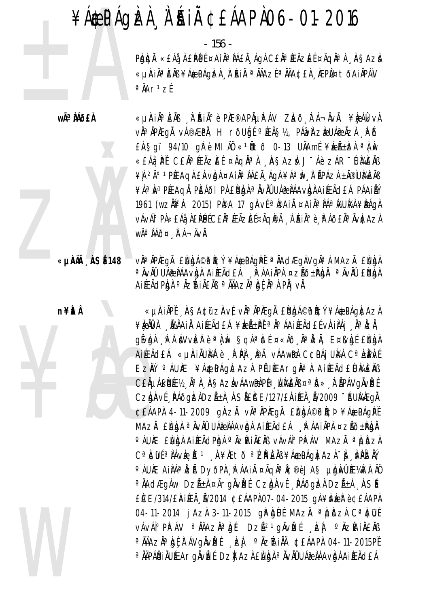$-156 -$ 

PIOLON «EÁI A EPLUE ¤AIN¤ NAEN ÁGA CEN¤ ÆÃZEE ¤ÃGNª A "IASAZI «µAIĪÈÄߥÁ\$PÁGÞZA À ÁIÄ ªÄÄAZɪÄÄA¢£À ÆPÙ¤tÕAIÄPÁV  $a$  $Mr$ <sup>1</sup>z $f$ 

wêMÕ£À

«µÀIN¤ÈNB N ÀINI¤è PIE®APNUPÁV ZIað FÁ¬ÄvN. ¥IeÁlkvA vĂªĂPÆQĂ vÁ®ÆPĂ, H rõUģÉ °ÆÃ޽, PÁ∂vǐAzèUÁ֎ĂzÀ , PÕ  $E$ AŞqi 94/10 q $\hat{F}$ è MI AÖ «1Ñtð 0-13 UÄAmÉ¥EZÁ±EA al $\hat{F}$ «£Áå, PĚ C£ŇªÆÃZÆÉ ¤ÃQŇªÀ , ASAZÀ J¯Áè ZÁR¯ŬMĚŇB ¥Ì 2ð 1PÉEAQÀ EÀVÀNÀ ¤AIÀªÌÁEÀ ÁQÀ ¥ÁªÌN À ÃPÁZÀ ±À®ÙÀAÈÀB ¥Áª IN 1 PÉEAQI PEÁÕI PI ENIGI ª IVIÙ UÁR IÁAVIGI A IÉEÃO EÁ PÁA II V 1961 (wzAl¥k 2015) PPA 17 gAv{apaiA ¤AiAa AAa Kuka ¥PAga vÁvÁ<sup>1</sup>° PÀ«£Áå¸À£**PÉ**JÉC£ĂªÆÃZÈɤÃQPA ¸À`kiðè¸PÁð£ĂªĂvÀ¢AzÀ WÃ<sup>a</sup> ÀÁð¤ À Á-ÄVÀ.

ǵˀ ÀSÉ148

n¥itÂ

vઠÄPÆgÄ ENbá©i l¢Ý ¥Á\$PÁgPĚ ª ÄAdÆgÁVgĪ À MAZÄ ENbjA a Nvài Uap ná a chách a la hai a chách a la chách a la chách a la chách a la hai dhe la hai dhe la h AIÆÃdPÀJÀ °ÄZÁIÄ£Äß ªÄÄAZĪÀJÉ ÄªÀ PÅj vÄ.

«µÀIÄPĚ AŞA¢üzÄvÉvĪÄPÆqÄ £ÙbÁ©iP͢ݥÁ\$PÁqI¢AzÌ ¥ÈÑWA "ÏVÃAIÀ AIÆÃd£Á ¥ÌZѱPĚ ªÄ°ÁAIÆÃd£É vÀIÌAI "ĂªÅZÀ, géven priávvere a n sgáalí¤«ñð natzn, E¤reig Ellen AIFEÃO EÁ «µAIÀUMP è PPI PA vÁAWPA C¢PÁI UMA CªLPNÉ EZÄÝ <sup>o</sup> ÁUNE ¥Á\$CPÁQACAZA PEUNEArgÄ<sup>a</sup> A AIREà CEÚMANENTS CEÄLIÁENƽ ĪÀ AŞAZÀVÁAWRÀP® NIAEÄB¤ªI5» À ÁPÁVOÄVIEE Czbaví Páðgeidzá±i así£ce/127/£aiæã á/2009 "Aumegi ¢£ÁAPA 4-11-2009 gAZĂ vĂªÄPÆGĂ £NgÁ©iP A¢ŀ¥Á\$CPÁGPĚ MAZĂ ENGIA <sup>a</sup> Avâl UÁZ NÁAVGIA AIPEÃO EA PÁAIAPA ¤ZÃÕ±PGA °ÁUNE ENNA AIPEÃOPNA ºNZÍAINENS vÁvAIº PIPÁV MAZN ªNDZA C<sup>a</sup> kul <sup>a</sup> iáve if<sup>1</sup> A¥kto <sup>a</sup> ZPENS¥Á¢PÁgkAzi `j NPZN °ÁUÆ AIIIÁªÍIZÍA DYÖPI "PÁAII ¤ÃQIIªÍC®èJAS µIgIINIUƼI¥I ÄÖ <sup>a</sup> ÄAdÆgÁw Dzñ) ¤ÃrgÄvízé CzigÄvé "PÁðgizi DzÁ±i "ASÍ EICE/314/EIAIFEA AV2014 ¢EÁAPA07-04-2015 a A¥NER è ¢EÁAPA 04-11-2014 j Azi 3-11-2015 qi buli MAzi a Lubzi Calculi vÁvÁl° PP ÁV ª ÄÄAZĪ bí<sup>1</sup> DzÃ<sup>21</sup>gŇvÈÉ , Ej ° ÄzíA i Ä£iB a NAZIA DE LAVONVIEL EN º NZIA IN ¢EAAPA 04-11-2015PE a AÄPÁ(A I AU VEA ro Avizé Dzij Az) EN)g) a Aviû UÁ@ AÁAvIg) A I VEà d£Á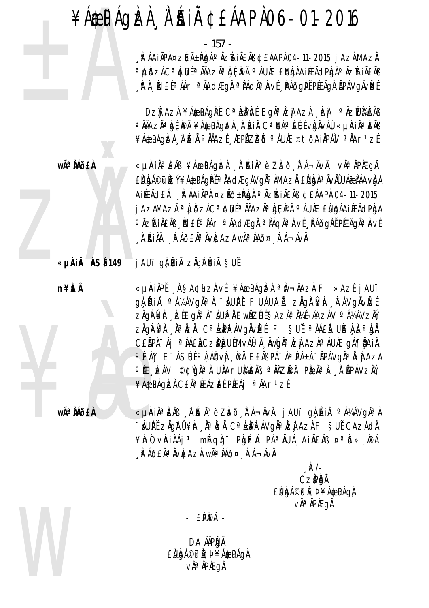$-157 -$ 

. PÁAINPA ¤ZŐñPIGI ~ NZÍAINENS ¢EÁAPI 04-11-2015 jAZI MAZN ªµDzlCª\Cli{ªÄÄAzĂª\g{,}PÄ ºÁUÆ £ÙJg}AiÆÃdP}g}ºÄzŔiÄ£Äß "P. A., Id£Íª IÁr" <sup>a</sup> IAdÆgI ª IÁqiª AvÍ "PÁðgPI PÆÃgI ÁPÁVgIvIzÍ

DZI AZI ¥Á\$PÁQPI CªLPNÍ EQĪIZI AZI EI ºIZUMEIB ªÄÄAZĂª bĹPÄ ¥Á\$PÁgÞÀ ¸À ʿŔìÅ CªÙÁº ÈÚĹvbÀvÁŶ «µÀiĂª ÈÀß ¥Á\$PÁQIZI A AJ AJ A MAZÍ AEPIZIZIÓ Ó AUNE ¤ tÖA INPÁN ªNAr1ZÍ

«µAIĪEÄB ¥Á\$PÁgIzA "À AIİè ZIað "FÁ¬ÄvÄ. vĪÄPIÆgÄ ENDA©T ICÝ ¥ÁÆPÁGIPĚ <sup>a</sup> ÄAdÆgÁVgĪ IMAZÄ ENDAª ÄvÄÛUÁT IÁAvDA AIÆÃdEÁ RAAIAPA ¤ZAÕ±PAJA PAZAIAEAB ¢EÁAPA 04-11-2015 j AzAMAzĂ ª LIDZACª ICILÍ ª ĂÄAzĂª Iqí IPÄ º ÁUIÆ ENIQAAIÆÃdPIqA <sup>o</sup> ÄzíAiÄ£Äß "İd£ÉªÌÁr" ªÄAdÆgÄ ªÌÁqĪÄvÉ "PÁðgPĚPÆÃgĪÄvÉ A AIA A AOEA<sup>a</sup> AvAcaza wã<sup>a</sup> Aáð¤, Fá¬ÄvÀ.

«µÀIÀ ÀSÉ 149 j AUï gà khi zàgh hià sué

n¥ÈLÂ

wêMÕ£À

«µÀIÀPĚ AŞA¢üzAvÉ¥Á\$PÁqÌZÀ ªÌw¬ÄAzÀ F »AzÉ jAUï gÀ BIN º A¼AVgNªN "AUPI FUAUNĂ ZNgNVKr, FAVgNVLE ZÄGÌ ÎK LEGĪ Ì Ú ÁUP I EWŰZŰ SAZIª ļ HAZÁV º Á¼ÁVZIÝ ZÄGNIK Ä<sup>a</sup>kzi C<sup>a</sup>lppávgivké F Suť alá£i Up<sub>le</sub>abi C£ÃPÀ∵Áj ªÀÁ£À CZPÌ UÉMvÁĴ⊢Ä Äw∯ĪÅZÌ AZÀ°ÁUÀE gÁ¶ÃAiÀ <sup>O</sup>ÉAÝ E ÁSUÍ <sup>O</sup> LÁNVI PLA EEAB PÁ A PÁ±A "ÁPÁVOJÄ PÁZI AZA °Æ¸kAV ©¢ÍgŇªÀ UŇArUM£ŇB ªŇÄZĬPÄ PÈѪN»¸À ÃPÁVZŇ, ¥Á¢PÁQIZI CEÄ<sup>a</sup> ÍEÃZIEÍ PÍEÃI ª ÄAr<sup>1</sup>zÍ

wÃ<sup>a</sup> Mõ£À

«µAIĪEÄB "À AIĺè Zhõ "À Á¬ÄvÄ. j AUI gl AIÄ º Á¼ÁVgĪÀ "ÁUPĚ ZÀONŮ¥Ir , JP IZL CªLPPÁVOJP IZJ AZI F SUÉ CAZÁCIA ¥Inü virinai 1 miaqigi pigizil paaluajailelis ¤alo» IPA A Á JEA A VICAZA WÃ<sup>a</sup> NÁÕ¤ A Á H NVA.

> $\mathbb{R}$  / -**CzPbÅ** ENDÁ©P ICÞ¥ÁÆPÁQI **via iPiEgi**

 $EPRA -$ 

**DAIÄÄPIDÄ** ENDA©P ICÞ¥ÁÆPÁGA vÀ<sup>a</sup> ÀPÌÆqÀ.